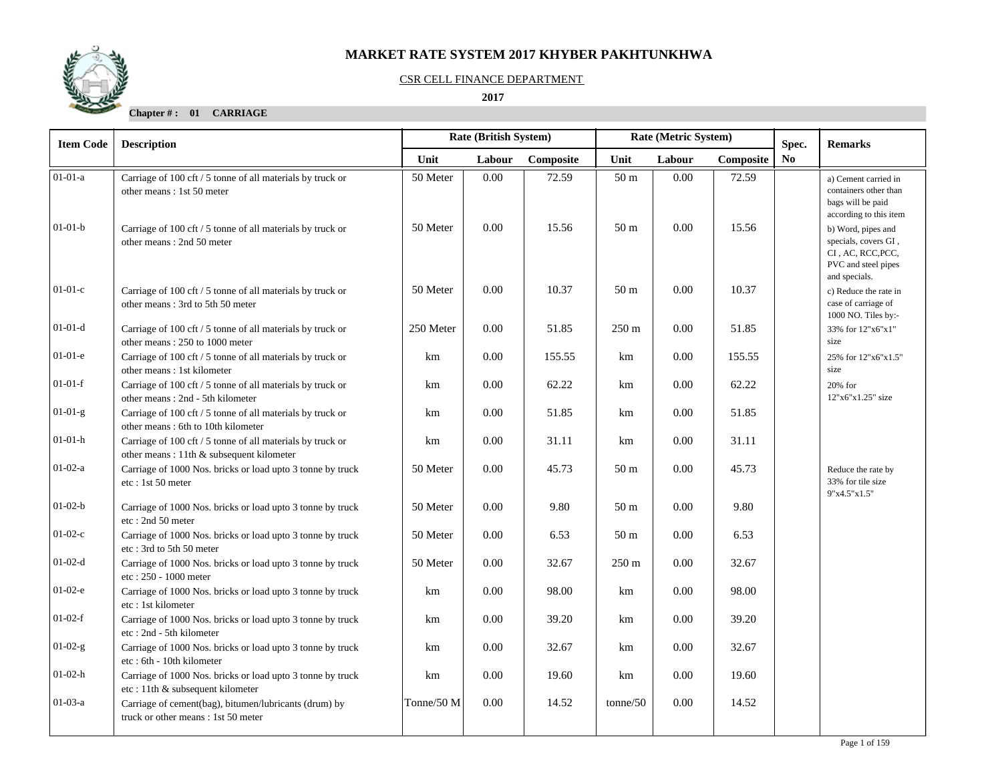

#### CSR CELL FINANCE DEPARTMENT

 **2017** 

**Chapter # : 01 CARRIAGE**

| <b>Item Code</b> | <b>Description</b>                                                                                     |            | Rate (British System) |           | Rate (Metric System) |          |           |                | <b>Remarks</b><br>Spec.                                                                                                           |  |  |
|------------------|--------------------------------------------------------------------------------------------------------|------------|-----------------------|-----------|----------------------|----------|-----------|----------------|-----------------------------------------------------------------------------------------------------------------------------------|--|--|
|                  |                                                                                                        | Unit       | Labour                | Composite | Unit                 | Labour   | Composite | N <sub>0</sub> |                                                                                                                                   |  |  |
| $01-01-a$        | Carriage of 100 cft / 5 tonne of all materials by truck or<br>other means: 1st 50 meter                | 50 Meter   | 0.00                  | 72.59     | 50 <sub>m</sub>      | 0.00     | 72.59     |                | a) Cement carried in<br>containers other than<br>bags will be paid                                                                |  |  |
| $01-01-b$        | Carriage of 100 cft / 5 tonne of all materials by truck or<br>other means: 2nd 50 meter                | 50 Meter   | 0.00                  | 15.56     | 50 <sub>m</sub>      | 0.00     | 15.56     |                | according to this item<br>b) Word, pipes and<br>specials, covers GI,<br>CI, AC, RCC, PCC,<br>PVC and steel pipes<br>and specials. |  |  |
| $01-01-c$        | Carriage of 100 cft / 5 tonne of all materials by truck or<br>other means: 3rd to 5th 50 meter         | 50 Meter   | 0.00                  | 10.37     | 50 <sub>m</sub>      | 0.00     | 10.37     |                | c) Reduce the rate in<br>case of carriage of<br>1000 NO. Tiles by:-                                                               |  |  |
| $01-01-d$        | Carriage of 100 cft / 5 tonne of all materials by truck or<br>other means: 250 to 1000 meter           | 250 Meter  | 0.00                  | 51.85     | $250 \text{ m}$      | 0.00     | 51.85     |                | 33% for 12"x6"x1"<br>size                                                                                                         |  |  |
| $01-01-e$        | Carriage of 100 cft / 5 tonne of all materials by truck or<br>other means: 1st kilometer               | km         | 0.00                  | 155.55    | km                   | 0.00     | 155.55    |                | 25% for 12"x6"x1.5"<br>size                                                                                                       |  |  |
| $01-01-f$        | Carriage of 100 cft / 5 tonne of all materials by truck or<br>other means: 2nd - 5th kilometer         | km         | 0.00                  | 62.22     | km                   | 0.00     | 62.22     |                | 20% for<br>12"x6"x1.25" size                                                                                                      |  |  |
| $01-01-g$        | Carriage of 100 cft / 5 tonne of all materials by truck or<br>other means: 6th to 10th kilometer       | km         | 0.00                  | 51.85     | km                   | $0.00\,$ | 51.85     |                |                                                                                                                                   |  |  |
| $01-01-h$        | Carriage of 100 cft / 5 tonne of all materials by truck or<br>other means: 11th & subsequent kilometer | km         | 0.00                  | 31.11     | km                   | 0.00     | 31.11     |                |                                                                                                                                   |  |  |
| $01-02-a$        | Carriage of 1000 Nos. bricks or load upto 3 tonne by truck<br>etc: 1st 50 meter                        | 50 Meter   | 0.00                  | 45.73     | 50 <sub>m</sub>      | 0.00     | 45.73     |                | Reduce the rate by<br>33% for tile size<br>9"x4.5"x1.5"                                                                           |  |  |
| $01-02-b$        | Carriage of 1000 Nos. bricks or load upto 3 tonne by truck<br>etc: 2nd 50 meter                        | 50 Meter   | 0.00                  | 9.80      | 50 <sub>m</sub>      | 0.00     | 9.80      |                |                                                                                                                                   |  |  |
| $01-02-c$        | Carriage of 1000 Nos. bricks or load upto 3 tonne by truck<br>etc: 3rd to 5th 50 meter                 | 50 Meter   | 0.00                  | 6.53      | 50 m                 | 0.00     | 6.53      |                |                                                                                                                                   |  |  |
| $01-02-d$        | Carriage of 1000 Nos. bricks or load upto 3 tonne by truck<br>etc: 250 - 1000 meter                    | 50 Meter   | 0.00                  | 32.67     | $250 \text{ m}$      | 0.00     | 32.67     |                |                                                                                                                                   |  |  |
| $01-02-e$        | Carriage of 1000 Nos. bricks or load upto 3 tonne by truck<br>etc: 1st kilometer                       | km         | 0.00                  | 98.00     | km                   | $0.00\,$ | 98.00     |                |                                                                                                                                   |  |  |
| $01-02-f$        | Carriage of 1000 Nos. bricks or load upto 3 tonne by truck<br>etc: 2nd - 5th kilometer                 | km         | 0.00                  | 39.20     | km                   | 0.00     | 39.20     |                |                                                                                                                                   |  |  |
| $01-02-g$        | Carriage of 1000 Nos. bricks or load upto 3 tonne by truck<br>etc: 6th - 10th kilometer                | km         | 0.00                  | 32.67     | km                   | 0.00     | 32.67     |                |                                                                                                                                   |  |  |
| $01-02-h$        | Carriage of 1000 Nos. bricks or load upto 3 tonne by truck<br>etc: 11th & subsequent kilometer         | km         | 0.00                  | 19.60     | km                   | 0.00     | 19.60     |                |                                                                                                                                   |  |  |
| $01-03-a$        | Carriage of cement(bag), bitumen/lubricants (drum) by<br>truck or other means: 1st 50 meter            | Tonne/50 M | 0.00                  | 14.52     | tonne/50             | 0.00     | 14.52     |                |                                                                                                                                   |  |  |
|                  |                                                                                                        |            |                       |           |                      |          |           |                |                                                                                                                                   |  |  |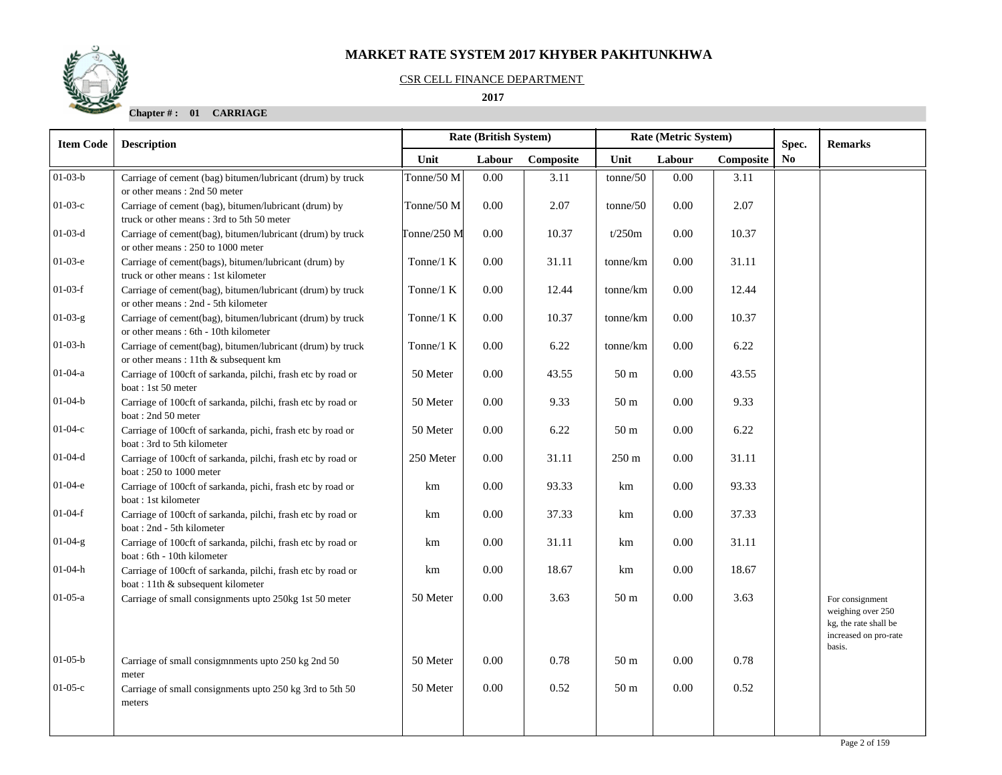

#### CSR CELL FINANCE DEPARTMENT

 **2017** 

**Chapter # : 01 CARRIAGE**

| <b>Item Code</b> | Rate (British System)<br>Rate (Metric System)<br><b>Description</b>                                |               |        |           |                 |        |           |                         | <b>Remarks</b>                                                                         |
|------------------|----------------------------------------------------------------------------------------------------|---------------|--------|-----------|-----------------|--------|-----------|-------------------------|----------------------------------------------------------------------------------------|
|                  |                                                                                                    | Unit          | Labour | Composite | Unit            | Labour | Composite | Spec.<br>N <sub>0</sub> |                                                                                        |
| $01-03-b$        | Carriage of cement (bag) bitumen/lubricant (drum) by truck<br>or other means: 2nd 50 meter         | Tonne/50 M    | 0.00   | 3.11      | tonne/50        | 0.00   | 3.11      |                         |                                                                                        |
| $01-03-c$        | Carriage of cement (bag), bitumen/lubricant (drum) by<br>truck or other means: 3rd to 5th 50 meter | Tonne/50 M    | 0.00   | 2.07      | tonne/50        | 0.00   | 2.07      |                         |                                                                                        |
| $01-03-d$        | Carriage of cement(bag), bitumen/lubricant (drum) by truck<br>or other means: 250 to 1000 meter    | Tonne/250 $M$ | 0.00   | 10.37     | t/250m          | 0.00   | 10.37     |                         |                                                                                        |
| $01-03-e$        | Carriage of cement(bags), bitumen/lubricant (drum) by<br>truck or other means: 1st kilometer       | Tonne/ $1 K$  | 0.00   | 31.11     | tonne/km        | 0.00   | 31.11     |                         |                                                                                        |
| $01-03-f$        | Carriage of cement(bag), bitumen/lubricant (drum) by truck<br>or other means: 2nd - 5th kilometer  | Tonne/ $1 K$  | 0.00   | 12.44     | tonne/km        | 0.00   | 12.44     |                         |                                                                                        |
| $01-03-g$        | Carriage of cement(bag), bitumen/lubricant (drum) by truck<br>or other means: 6th - 10th kilometer | Tonne/1 K     | 0.00   | 10.37     | tonne/km        | 0.00   | 10.37     |                         |                                                                                        |
| 01-03-h          | Carriage of cement(bag), bitumen/lubricant (drum) by truck<br>or other means: 11th & subsequent km | Tonne/ $1 K$  | 0.00   | 6.22      | tonne/km        | 0.00   | 6.22      |                         |                                                                                        |
| $01 - 04 - a$    | Carriage of 100cft of sarkanda, pilchi, frash etc by road or<br>boat: 1st 50 meter                 | 50 Meter      | 0.00   | 43.55     | 50 <sub>m</sub> | 0.00   | 43.55     |                         |                                                                                        |
| $01-04-b$        | Carriage of 100cft of sarkanda, pilchi, frash etc by road or<br>boat: 2nd 50 meter                 | 50 Meter      | 0.00   | 9.33      | 50 <sub>m</sub> | 0.00   | 9.33      |                         |                                                                                        |
| $01-04-c$        | Carriage of 100cft of sarkanda, pichi, frash etc by road or<br>boat: 3rd to 5th kilometer          | 50 Meter      | 0.00   | 6.22      | 50 <sub>m</sub> | 0.00   | 6.22      |                         |                                                                                        |
| $01 - 04 - d$    | Carriage of 100cft of sarkanda, pilchi, frash etc by road or<br>boat: 250 to 1000 meter            | 250 Meter     | 0.00   | 31.11     | $250 \text{ m}$ | 0.00   | 31.11     |                         |                                                                                        |
| $01-04-e$        | Carriage of 100cft of sarkanda, pichi, frash etc by road or<br>boat: 1st kilometer                 | km            | 0.00   | 93.33     | km              | 0.00   | 93.33     |                         |                                                                                        |
| $01-04-f$        | Carriage of 100cft of sarkanda, pilchi, frash etc by road or<br>boat: 2nd - 5th kilometer          | km            | 0.00   | 37.33     | km              | 0.00   | 37.33     |                         |                                                                                        |
| $01-04-g$        | Carriage of 100cft of sarkanda, pilchi, frash etc by road or<br>boat: 6th - 10th kilometer         | km            | 0.00   | 31.11     | km              | 0.00   | 31.11     |                         |                                                                                        |
| 01-04-h          | Carriage of 100cft of sarkanda, pilchi, frash etc by road or<br>boat: 11th & subsequent kilometer  | km            | 0.00   | 18.67     | km              | 0.00   | 18.67     |                         |                                                                                        |
| $01-05-a$        | Carriage of small consignments upto 250kg 1st 50 meter                                             | 50 Meter      | 0.00   | 3.63      | 50 <sub>m</sub> | 0.00   | 3.63      |                         | For consignment<br>weighing over 250<br>kg, the rate shall be<br>increased on pro-rate |
| $01-05-b$        | Carriage of small consigmnments upto 250 kg 2nd 50<br>meter                                        | 50 Meter      | 0.00   | 0.78      | 50 <sub>m</sub> | 0.00   | 0.78      |                         | basis.                                                                                 |
| $01-05-c$        | Carriage of small consignments upto 250 kg 3rd to 5th 50<br>meters                                 | 50 Meter      | 0.00   | 0.52      | 50 <sub>m</sub> | 0.00   | 0.52      |                         |                                                                                        |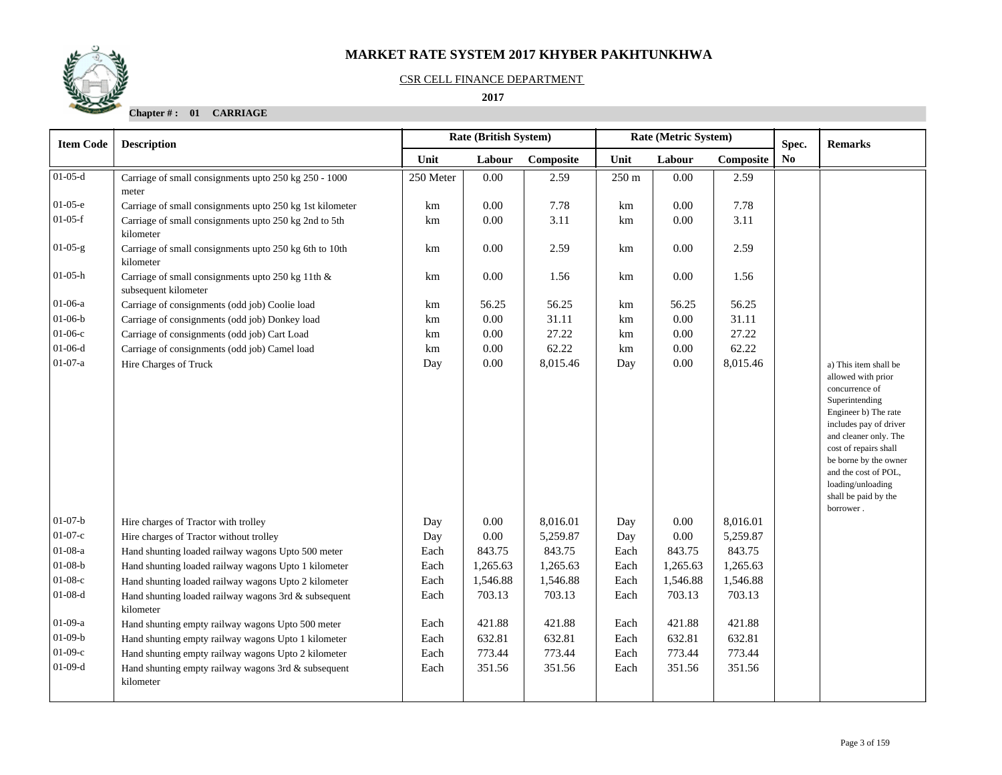#### CSR CELL FINANCE DEPARTMENT

 **2017** 

**Chapter # : 01 CARRIAGE**

| <b>Item Code</b>       | <b>Description</b>                                                                                                        |              | <b>Rate (British System)</b> |                      |              | Rate (Metric System) | Spec.                | <b>Remarks</b> |                                                                                                                                                                                                                                                                                                |
|------------------------|---------------------------------------------------------------------------------------------------------------------------|--------------|------------------------------|----------------------|--------------|----------------------|----------------------|----------------|------------------------------------------------------------------------------------------------------------------------------------------------------------------------------------------------------------------------------------------------------------------------------------------------|
|                        |                                                                                                                           | Unit         | Labour                       | Composite            | Unit         | Labour               | Composite            | N <sub>0</sub> |                                                                                                                                                                                                                                                                                                |
| $01-05-d$              | Carriage of small consignments upto 250 kg 250 - 1000<br>meter                                                            | 250 Meter    | 0.00                         | 2.59                 | 250 m        | 0.00                 | 2.59                 |                |                                                                                                                                                                                                                                                                                                |
| $01-05-e$              | Carriage of small consignments upto 250 kg 1st kilometer                                                                  | km           | 0.00                         | 7.78                 | km           | 0.00                 | 7.78                 |                |                                                                                                                                                                                                                                                                                                |
| $01-05-f$              | Carriage of small consignments upto 250 kg 2nd to 5th<br>kilometer                                                        | km           | $0.00\,$                     | 3.11                 | km           | 0.00                 | 3.11                 |                |                                                                                                                                                                                                                                                                                                |
| $01-05-g$              | Carriage of small consignments upto 250 kg 6th to 10th<br>kilometer                                                       | km           | 0.00                         | 2.59                 | km           | 0.00                 | 2.59                 |                |                                                                                                                                                                                                                                                                                                |
| $01-05-h$              | Carriage of small consignments upto 250 kg 11th &<br>subsequent kilometer                                                 | km           | 0.00                         | 1.56                 | km           | 0.00                 | 1.56                 |                |                                                                                                                                                                                                                                                                                                |
| 01-06-a                | Carriage of consignments (odd job) Coolie load                                                                            | km           | 56.25                        | 56.25                | km           | 56.25                | 56.25                |                |                                                                                                                                                                                                                                                                                                |
| $01-06-b$              | Carriage of consignments (odd job) Donkey load                                                                            | km           | $0.00\,$                     | 31.11                | km           | 0.00                 | 31.11                |                |                                                                                                                                                                                                                                                                                                |
| $01-06-c$              | Carriage of consignments (odd job) Cart Load                                                                              | km           | $0.00\,$                     | 27.22                | km           | 0.00                 | 27.22                |                |                                                                                                                                                                                                                                                                                                |
| $01-06-d$              | Carriage of consignments (odd job) Camel load                                                                             | km           | 0.00                         | 62.22                | km           | 0.00                 | 62.22                |                |                                                                                                                                                                                                                                                                                                |
| $01-07-a$              | Hire Charges of Truck                                                                                                     | Day          | 0.00                         | 8,015.46             | Day          | 0.00                 | 8,015.46             |                | a) This item shall be<br>allowed with prior<br>concurrence of<br>Superintending<br>Engineer b) The rate<br>includes pay of driver<br>and cleaner only. The<br>cost of repairs shall<br>be borne by the owner<br>and the cost of POL,<br>loading/unloading<br>shall be paid by the<br>borrower. |
| $01-07-b$              | Hire charges of Tractor with trolley                                                                                      | Day          | 0.00                         | 8,016.01             | Day          | 0.00                 | 8,016.01             |                |                                                                                                                                                                                                                                                                                                |
| $01-07-c$              | Hire charges of Tractor without trolley                                                                                   | Day          | $0.00\,$                     | 5,259.87             | Day          | 0.00                 | 5,259.87             |                |                                                                                                                                                                                                                                                                                                |
| $01-08-a$<br>$01-08-b$ | Hand shunting loaded railway wagons Upto 500 meter                                                                        | Each         | 843.75                       | 843.75               | Each         | 843.75               | 843.75               |                |                                                                                                                                                                                                                                                                                                |
| $01-08-c$              | Hand shunting loaded railway wagons Upto 1 kilometer                                                                      | Each<br>Each | 1,265.63<br>1,546.88         | 1,265.63<br>1,546.88 | Each<br>Each | 1,265.63<br>1,546.88 | 1,265.63<br>1,546.88 |                |                                                                                                                                                                                                                                                                                                |
| $01-08-d$              | Hand shunting loaded railway wagons Upto 2 kilometer<br>Hand shunting loaded railway wagons 3rd & subsequent<br>kilometer | Each         | 703.13                       | 703.13               | Each         | 703.13               | 703.13               |                |                                                                                                                                                                                                                                                                                                |
| $01-09-a$              | Hand shunting empty railway wagons Upto 500 meter                                                                         | Each         | 421.88                       | 421.88               | Each         | 421.88               | 421.88               |                |                                                                                                                                                                                                                                                                                                |
| $01-09-b$              | Hand shunting empty railway wagons Upto 1 kilometer                                                                       | Each         | 632.81                       | 632.81               | Each         | 632.81               | 632.81               |                |                                                                                                                                                                                                                                                                                                |
| $01-09-c$              | Hand shunting empty railway wagons Upto 2 kilometer                                                                       | Each         | 773.44                       | 773.44               | Each         | 773.44               | 773.44               |                |                                                                                                                                                                                                                                                                                                |
| $01-09-d$              | Hand shunting empty railway wagons 3rd & subsequent<br>kilometer                                                          | Each         | 351.56                       | 351.56               | Each         | 351.56               | 351.56               |                |                                                                                                                                                                                                                                                                                                |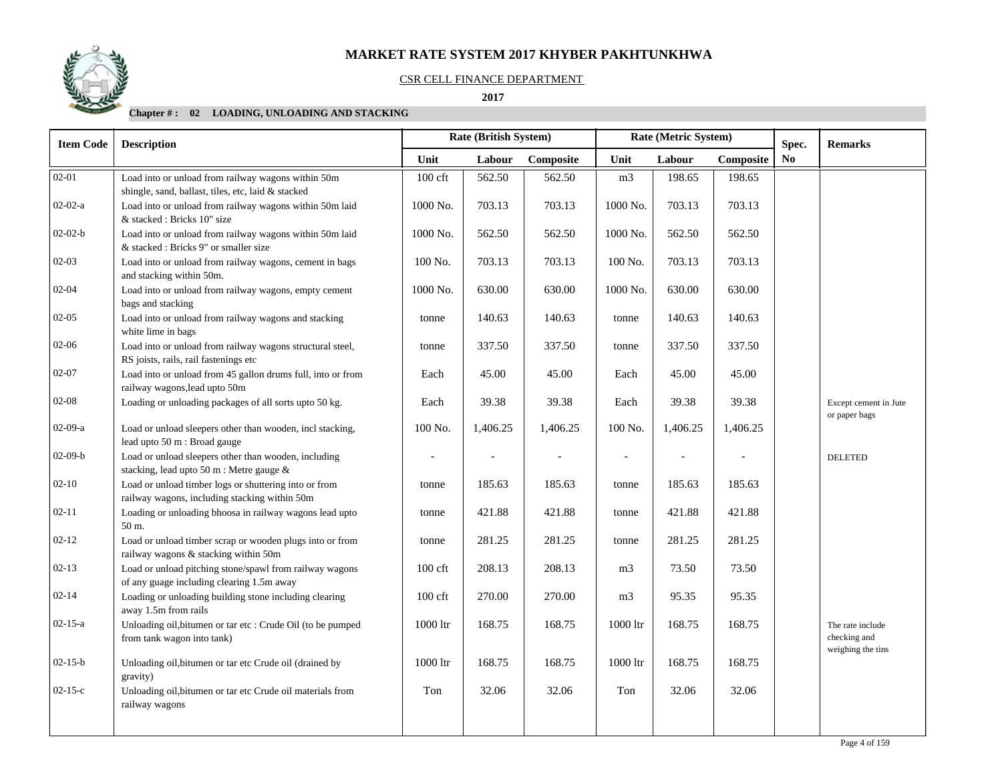#### CSR CELL FINANCE DEPARTMENT

 **2017** 

# **Chapter # : 02 LOADING, UNLOADING AND STACKING**

| <b>Item Code</b> | <b>Description</b>                                                                                       | <b>Rate (British System)</b> |          |           |                          | Rate (Metric System)     |           | Spec.                  | <b>Remarks</b>                                        |
|------------------|----------------------------------------------------------------------------------------------------------|------------------------------|----------|-----------|--------------------------|--------------------------|-----------|------------------------|-------------------------------------------------------|
|                  |                                                                                                          | Unit                         | Labour   | Composite | Unit                     | Labour                   | Composite | $\mathbf{N}\mathbf{o}$ |                                                       |
| $02 - 01$        | Load into or unload from railway wagons within 50m<br>shingle, sand, ballast, tiles, etc, laid & stacked | 100 cft                      | 562.50   | 562.50    | m <sub>3</sub>           | 198.65                   | 198.65    |                        |                                                       |
| $02-02-a$        | Load into or unload from railway wagons within 50m laid<br>& stacked : Bricks 10" size                   | 1000 No.                     | 703.13   | 703.13    | 1000 No.                 | 703.13                   | 703.13    |                        |                                                       |
| $02-02-b$        | Load into or unload from railway wagons within 50m laid<br>& stacked : Bricks 9" or smaller size         | 1000 No.                     | 562.50   | 562.50    | 1000 No.                 | 562.50                   | 562.50    |                        |                                                       |
| $02 - 03$        | Load into or unload from railway wagons, cement in bags<br>and stacking within 50m.                      | 100 No.                      | 703.13   | 703.13    | 100 No.                  | 703.13                   | 703.13    |                        |                                                       |
| $02 - 04$        | Load into or unload from railway wagons, empty cement<br>bags and stacking                               | 1000 No.                     | 630.00   | 630.00    | 1000 No.                 | 630.00                   | 630.00    |                        |                                                       |
| $02 - 05$        | Load into or unload from railway wagons and stacking<br>white lime in bags                               | tonne                        | 140.63   | 140.63    | tonne                    | 140.63                   | 140.63    |                        |                                                       |
| 02-06            | Load into or unload from railway wagons structural steel,<br>RS joists, rails, rail fastenings etc       | tonne                        | 337.50   | 337.50    | tonne                    | 337.50                   | 337.50    |                        |                                                       |
| $02 - 07$        | Load into or unload from 45 gallon drums full, into or from<br>railway wagons, lead upto 50m             | Each                         | 45.00    | 45.00     | Each                     | 45.00                    | 45.00     |                        |                                                       |
| $02 - 08$        | Loading or unloading packages of all sorts upto 50 kg.                                                   | Each                         | 39.38    | 39.38     | Each                     | 39.38                    | 39.38     |                        | Except cement in Jute<br>or paper bags                |
| $02-09-a$        | Load or unload sleepers other than wooden, incl stacking,<br>lead upto 50 m : Broad gauge                | 100 No.                      | 1,406.25 | 1,406.25  | 100 No.                  | 1,406.25                 | 1,406.25  |                        |                                                       |
| $02-09-b$        | Load or unload sleepers other than wooden, including<br>stacking, lead upto 50 m : Metre gauge &         |                              |          |           | $\overline{\phantom{a}}$ | $\overline{\phantom{a}}$ |           |                        | <b>DELETED</b>                                        |
| $02 - 10$        | Load or unload timber logs or shuttering into or from<br>railway wagons, including stacking within 50m   | tonne                        | 185.63   | 185.63    | tonne                    | 185.63                   | 185.63    |                        |                                                       |
| $02 - 11$        | Loading or unloading bhoosa in railway wagons lead upto<br>50 m.                                         | tonne                        | 421.88   | 421.88    | tonne                    | 421.88                   | 421.88    |                        |                                                       |
| $02 - 12$        | Load or unload timber scrap or wooden plugs into or from<br>railway wagons & stacking within 50m         | tonne                        | 281.25   | 281.25    | tonne                    | 281.25                   | 281.25    |                        |                                                       |
| $02 - 13$        | Load or unload pitching stone/spawl from railway wagons<br>of any guage including clearing 1.5m away     | $100$ cft                    | 208.13   | 208.13    | m <sub>3</sub>           | 73.50                    | 73.50     |                        |                                                       |
| $02 - 14$        | Loading or unloading building stone including clearing<br>away 1.5m from rails                           | $100 \text{ cf}$             | 270.00   | 270.00    | m <sub>3</sub>           | 95.35                    | 95.35     |                        |                                                       |
| $02 - 15 - a$    | Unloading oil, bitumen or tar etc : Crude Oil (to be pumped<br>from tank wagon into tank)                | 1000 ltr                     | 168.75   | 168.75    | 1000 ltr                 | 168.75                   | 168.75    |                        | The rate include<br>checking and<br>weighing the tins |
| $02 - 15 - b$    | Unloading oil, bitumen or tar etc Crude oil (drained by<br>gravity)                                      | 1000 ltr                     | 168.75   | 168.75    | $1000$ ltr               | 168.75                   | 168.75    |                        |                                                       |
| $02 - 15 - c$    | Unloading oil, bitumen or tar etc Crude oil materials from<br>railway wagons                             | Ton                          | 32.06    | 32.06     | Ton                      | 32.06                    | 32.06     |                        |                                                       |
|                  |                                                                                                          |                              |          |           |                          |                          |           |                        |                                                       |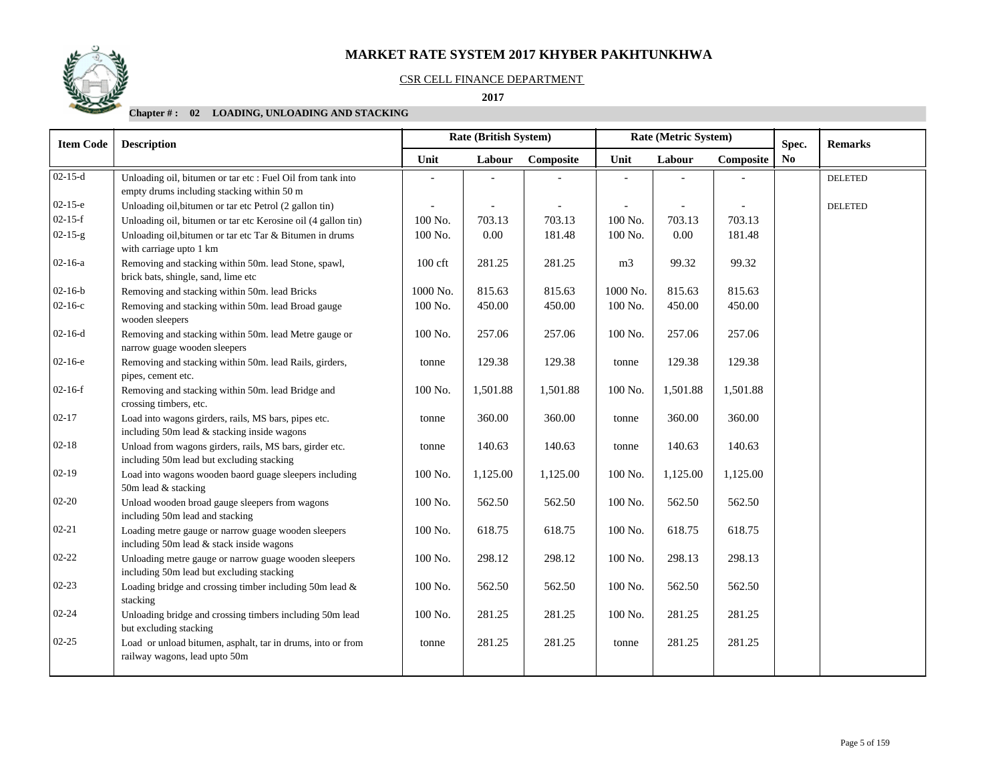#### CSR CELL FINANCE DEPARTMENT

 **2017** 

# **Chapter # : 02 LOADING, UNLOADING AND STACKING**

| <b>Item Code</b> | <b>Description</b>                                                                                        | <b>Rate (British System)</b> |          |           |                | Rate (Metric System) |           | Spec. | <b>Remarks</b> |
|------------------|-----------------------------------------------------------------------------------------------------------|------------------------------|----------|-----------|----------------|----------------------|-----------|-------|----------------|
|                  |                                                                                                           | Unit                         | Labour   | Composite | Unit           | Labour               | Composite | No    |                |
| $02-15-d$        | Unloading oil, bitumen or tar etc : Fuel Oil from tank into<br>empty drums including stacking within 50 m |                              |          |           |                |                      |           |       | <b>DELETED</b> |
| $02-15-e$        | Unloading oil, bitumen or tar etc Petrol (2 gallon tin)                                                   |                              |          |           |                |                      |           |       | <b>DELETED</b> |
| $02 - 15 - f$    | Unloading oil, bitumen or tar etc Kerosine oil (4 gallon tin)                                             | 100 No.                      | 703.13   | 703.13    | 100 No.        | 703.13               | 703.13    |       |                |
| $02-15-g$        | Unloading oil, bitumen or tar etc Tar & Bitumen in drums<br>with carriage upto 1 km                       | 100 No.                      | 0.00     | 181.48    | 100 No.        | 0.00                 | 181.48    |       |                |
| $02-16-a$        | Removing and stacking within 50m. lead Stone, spawl,<br>brick bats, shingle, sand, lime etc               | $100$ cft                    | 281.25   | 281.25    | m <sub>3</sub> | 99.32                | 99.32     |       |                |
| $02 - 16 - b$    | Removing and stacking within 50m. lead Bricks                                                             | 1000 No.                     | 815.63   | 815.63    | 1000 No.       | 815.63               | 815.63    |       |                |
| $02 - 16 - c$    | Removing and stacking within 50m. lead Broad gauge<br>wooden sleepers                                     | 100 No.                      | 450.00   | 450.00    | 100 No.        | 450.00               | 450.00    |       |                |
| $02-16-d$        | Removing and stacking within 50m. lead Metre gauge or<br>narrow guage wooden sleepers                     | 100 No.                      | 257.06   | 257.06    | 100 No.        | 257.06               | 257.06    |       |                |
| $02 - 16 - e$    | Removing and stacking within 50m. lead Rails, girders,<br>pipes, cement etc.                              | tonne                        | 129.38   | 129.38    | tonne          | 129.38               | 129.38    |       |                |
| $02-16-f$        | Removing and stacking within 50m. lead Bridge and<br>crossing timbers, etc.                               | 100 No.                      | 1,501.88 | 1,501.88  | 100 No.        | 1,501.88             | 1,501.88  |       |                |
| $02 - 17$        | Load into wagons girders, rails, MS bars, pipes etc.<br>including 50m lead & stacking inside wagons       | tonne                        | 360.00   | 360.00    | tonne          | 360.00               | 360.00    |       |                |
| $02 - 18$        | Unload from wagons girders, rails, MS bars, girder etc.<br>including 50m lead but excluding stacking      | tonne                        | 140.63   | 140.63    | tonne          | 140.63               | 140.63    |       |                |
| $02-19$          | Load into wagons wooden baord guage sleepers including<br>50m lead & stacking                             | 100 No.                      | 1,125.00 | 1,125.00  | 100 No.        | 1,125.00             | 1,125.00  |       |                |
| $02 - 20$        | Unload wooden broad gauge sleepers from wagons<br>including 50m lead and stacking                         | 100 No.                      | 562.50   | 562.50    | 100 No.        | 562.50               | 562.50    |       |                |
| $02 - 21$        | Loading metre gauge or narrow guage wooden sleepers<br>including 50m lead & stack inside wagons           | 100 No.                      | 618.75   | 618.75    | 100 No.        | 618.75               | 618.75    |       |                |
| 02-22            | Unloading metre gauge or narrow guage wooden sleepers<br>including 50m lead but excluding stacking        | 100 No.                      | 298.12   | 298.12    | 100 No.        | 298.13               | 298.13    |       |                |
| $02 - 23$        | Loading bridge and crossing timber including 50m lead $\&$<br>stacking                                    | 100 No.                      | 562.50   | 562.50    | 100 No.        | 562.50               | 562.50    |       |                |
| $02 - 24$        | Unloading bridge and crossing timbers including 50m lead<br>but excluding stacking                        | 100 No.                      | 281.25   | 281.25    | 100 No.        | 281.25               | 281.25    |       |                |
| $02 - 25$        | Load or unload bitumen, asphalt, tar in drums, into or from<br>railway wagons, lead upto 50m              | tonne                        | 281.25   | 281.25    | tonne          | 281.25               | 281.25    |       |                |
|                  |                                                                                                           |                              |          |           |                |                      |           |       |                |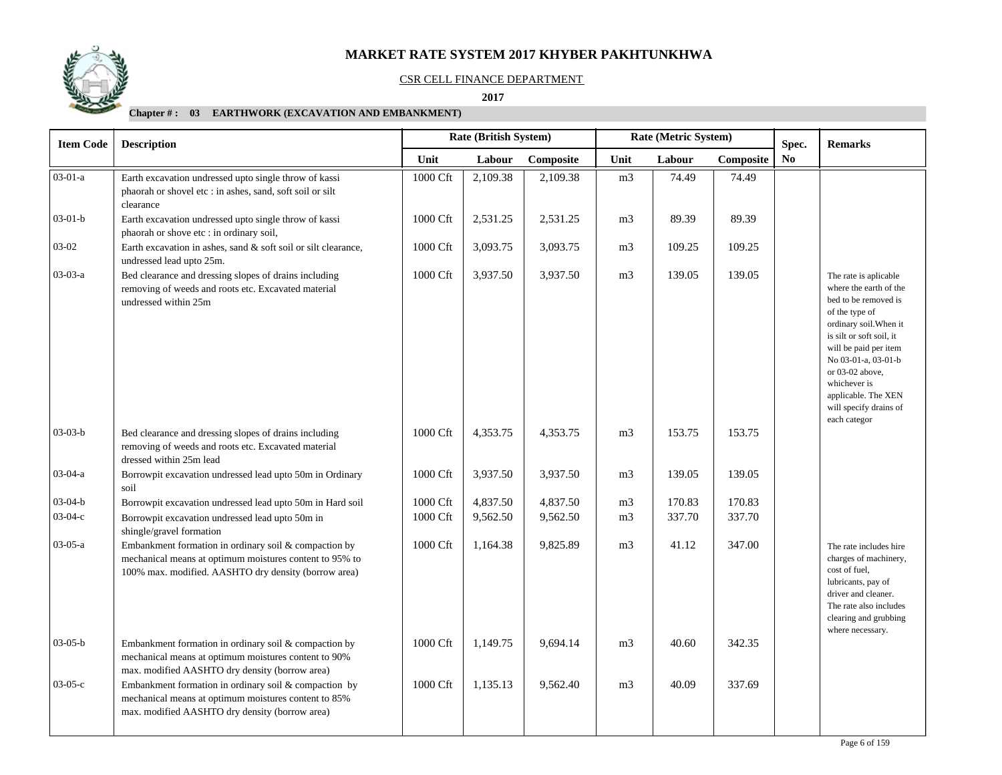#### CSR CELL FINANCE DEPARTMENT

 **2017** 

| <b>Item Code</b><br><b>Description</b> |                                                                                                                                                                          |          | Rate (British System) |           |                | Rate (Metric System) |           | Spec.          | <b>Remarks</b>                                                                                                                                                                                                                                                                                      |
|----------------------------------------|--------------------------------------------------------------------------------------------------------------------------------------------------------------------------|----------|-----------------------|-----------|----------------|----------------------|-----------|----------------|-----------------------------------------------------------------------------------------------------------------------------------------------------------------------------------------------------------------------------------------------------------------------------------------------------|
|                                        |                                                                                                                                                                          | Unit     | Labour                | Composite | Unit           | Labour               | Composite | N <sub>0</sub> |                                                                                                                                                                                                                                                                                                     |
| $03-01-a$                              | Earth excavation undressed upto single throw of kassi<br>phaorah or shovel etc : in ashes, sand, soft soil or silt<br>clearance                                          | 1000 Cft | 2,109.38              | 2,109.38  | m <sub>3</sub> | 74.49                | 74.49     |                |                                                                                                                                                                                                                                                                                                     |
| $03-01-b$                              | Earth excavation undressed upto single throw of kassi<br>phaorah or shove etc : in ordinary soil,                                                                        | 1000 Cft | 2,531.25              | 2,531.25  | m <sub>3</sub> | 89.39                | 89.39     |                |                                                                                                                                                                                                                                                                                                     |
| 03-02                                  | Earth excavation in ashes, sand & soft soil or silt clearance,<br>undressed lead upto 25m.                                                                               | 1000 Cft | 3,093.75              | 3,093.75  | m <sub>3</sub> | 109.25               | 109.25    |                |                                                                                                                                                                                                                                                                                                     |
| $03-03-a$                              | Bed clearance and dressing slopes of drains including<br>removing of weeds and roots etc. Excavated material<br>undressed within 25m                                     | 1000 Cft | 3,937.50              | 3,937.50  | m <sub>3</sub> | 139.05               | 139.05    |                | The rate is aplicable<br>where the earth of the<br>bed to be removed is<br>of the type of<br>ordinary soil. When it<br>is silt or soft soil, it<br>will be paid per item<br>No 03-01-a, 03-01-b<br>or 03-02 above,<br>whichever is<br>applicable. The XEN<br>will specify drains of<br>each categor |
| $03-03-b$                              | Bed clearance and dressing slopes of drains including<br>removing of weeds and roots etc. Excavated material<br>dressed within 25m lead                                  | 1000 Cft | 4,353.75              | 4,353.75  | m <sub>3</sub> | 153.75               | 153.75    |                |                                                                                                                                                                                                                                                                                                     |
| $03-04-a$                              | Borrowpit excavation undressed lead upto 50m in Ordinary<br>soil                                                                                                         | 1000 Cft | 3,937.50              | 3,937.50  | m <sub>3</sub> | 139.05               | 139.05    |                |                                                                                                                                                                                                                                                                                                     |
| $03-04-b$                              | Borrowpit excavation undressed lead upto 50m in Hard soil                                                                                                                | 1000 Cft | 4,837.50              | 4,837.50  | m <sub>3</sub> | 170.83               | 170.83    |                |                                                                                                                                                                                                                                                                                                     |
| $03-04-c$                              | Borrowpit excavation undressed lead upto 50m in<br>shingle/gravel formation                                                                                              | 1000 Cft | 9,562.50              | 9,562.50  | m <sub>3</sub> | 337.70               | 337.70    |                |                                                                                                                                                                                                                                                                                                     |
| $03-05-a$                              | Embankment formation in ordinary soil & compaction by<br>mechanical means at optimum moistures content to 95% to<br>100% max. modified. AASHTO dry density (borrow area) | 1000 Cft | 1,164.38              | 9,825.89  | m <sub>3</sub> | 41.12                | 347.00    |                | The rate includes hire<br>charges of machinery,<br>cost of fuel,<br>lubricants, pay of<br>driver and cleaner.<br>The rate also includes<br>clearing and grubbing<br>where necessary.                                                                                                                |
| $03-05-b$                              | Embankment formation in ordinary soil & compaction by<br>mechanical means at optimum moistures content to 90%<br>max. modified AASHTO dry density (borrow area)          | 1000 Cft | 1,149.75              | 9,694.14  | m <sub>3</sub> | 40.60                | 342.35    |                |                                                                                                                                                                                                                                                                                                     |
| $03-05-c$                              | Embankment formation in ordinary soil & compaction by<br>mechanical means at optimum moistures content to 85%<br>max. modified AASHTO dry density (borrow area)          | 1000 Cft | 1,135.13              | 9,562.40  | m <sub>3</sub> | 40.09                | 337.69    |                |                                                                                                                                                                                                                                                                                                     |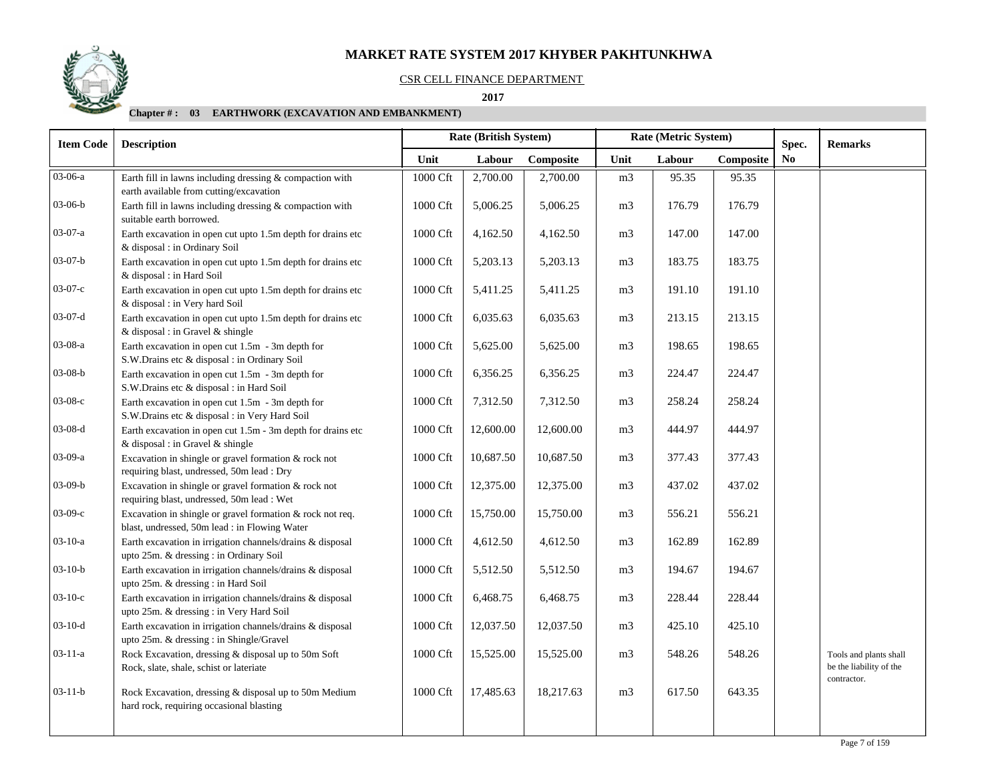#### CSR CELL FINANCE DEPARTMENT

 **2017** 

| <b>Item Code</b> | <b>Description</b>                                                                                         |                      | Rate (British System) |           | Rate (Metric System) |        | Spec.     | <b>Remarks</b> |                                                                  |
|------------------|------------------------------------------------------------------------------------------------------------|----------------------|-----------------------|-----------|----------------------|--------|-----------|----------------|------------------------------------------------------------------|
|                  |                                                                                                            | Unit                 | Labour                | Composite | Unit                 | Labour | Composite | N <sub>0</sub> |                                                                  |
| $03 - 06 - a$    | Earth fill in lawns including dressing & compaction with<br>earth available from cutting/excavation        | 1000 Cft             | 2,700.00              | 2,700.00  | m <sub>3</sub>       | 95.35  | 95.35     |                |                                                                  |
| $03-06-b$        | Earth fill in lawns including dressing $&$ compaction with<br>suitable earth borrowed.                     | 1000 Cft             | 5,006.25              | 5,006.25  | m <sub>3</sub>       | 176.79 | 176.79    |                |                                                                  |
| $03-07-a$        | Earth excavation in open cut upto 1.5m depth for drains etc<br>& disposal : in Ordinary Soil               | 1000 Cft             | 4,162.50              | 4,162.50  | m <sub>3</sub>       | 147.00 | 147.00    |                |                                                                  |
| $03-07-b$        | Earth excavation in open cut upto 1.5m depth for drains etc<br>& disposal : in Hard Soil                   | 1000 Cft             | 5,203.13              | 5,203.13  | m <sub>3</sub>       | 183.75 | 183.75    |                |                                                                  |
| $03-07-c$        | Earth excavation in open cut upto 1.5m depth for drains etc<br>& disposal : in Very hard Soil              | 1000 Cft             | 5,411.25              | 5,411.25  | m <sub>3</sub>       | 191.10 | 191.10    |                |                                                                  |
| $03-07-d$        | Earth excavation in open cut upto 1.5m depth for drains etc<br>& disposal : in Gravel & shingle            | 1000 Cft             | 6,035.63              | 6,035.63  | m3                   | 213.15 | 213.15    |                |                                                                  |
| 03-08-a          | Earth excavation in open cut 1.5m - 3m depth for<br>S.W.Drains etc & disposal : in Ordinary Soil           | 1000 Cft             | 5,625.00              | 5,625.00  | m <sub>3</sub>       | 198.65 | 198.65    |                |                                                                  |
| $03-08-b$        | Earth excavation in open cut $1.5m - 3m$ depth for<br>S.W.Drains etc & disposal : in Hard Soil             | 1000 Cft             | 6,356.25              | 6,356.25  | m <sub>3</sub>       | 224.47 | 224.47    |                |                                                                  |
| 03-08-с          | Earth excavation in open cut $1.5m - 3m$ depth for<br>S.W.Drains etc & disposal : in Very Hard Soil        | 1000 Cft             | 7,312.50              | 7,312.50  | m <sub>3</sub>       | 258.24 | 258.24    |                |                                                                  |
| $03-08-d$        | Earth excavation in open cut 1.5m - 3m depth for drains etc<br>& disposal : in Gravel & shingle            | 1000 Cft             | 12,600.00             | 12,600.00 | m <sub>3</sub>       | 444.97 | 444.97    |                |                                                                  |
| 03-09-a          | Excavation in shingle or gravel formation & rock not<br>requiring blast, undressed, 50m lead : Dry         | 1000 Cft             | 10,687.50             | 10,687.50 | m <sub>3</sub>       | 377.43 | 377.43    |                |                                                                  |
| $03-09-b$        | Excavation in shingle or gravel formation & rock not<br>requiring blast, undressed, 50m lead : Wet         | $1000\,\mathrm{Cft}$ | 12,375.00             | 12,375.00 | m <sub>3</sub>       | 437.02 | 437.02    |                |                                                                  |
| 03-09-с          | Excavation in shingle or gravel formation & rock not req.<br>blast, undressed, 50m lead : in Flowing Water | 1000 Cft             | 15,750.00             | 15,750.00 | m <sub>3</sub>       | 556.21 | 556.21    |                |                                                                  |
| $03-10-a$        | Earth excavation in irrigation channels/drains & disposal<br>upto 25m. & dressing : in Ordinary Soil       | 1000 Cft             | 4,612.50              | 4,612.50  | m <sub>3</sub>       | 162.89 | 162.89    |                |                                                                  |
| $03-10-b$        | Earth excavation in irrigation channels/drains & disposal<br>upto 25m. & dressing : in Hard Soil           | 1000 Cft             | 5,512.50              | 5,512.50  | m3                   | 194.67 | 194.67    |                |                                                                  |
| $03-10-c$        | Earth excavation in irrigation channels/drains & disposal<br>upto 25m. & dressing : in Very Hard Soil      | 1000 Cft             | 6,468.75              | 6,468.75  | m <sub>3</sub>       | 228.44 | 228.44    |                |                                                                  |
| $03-10-d$        | Earth excavation in irrigation channels/drains & disposal<br>upto 25m. & dressing : in Shingle/Gravel      | 1000 Cft             | 12,037.50             | 12,037.50 | m <sub>3</sub>       | 425.10 | 425.10    |                |                                                                  |
| $03-11-a$        | Rock Excavation, dressing & disposal up to 50m Soft<br>Rock, slate, shale, schist or lateriate             | 1000 Cft             | 15,525.00             | 15,525.00 | m <sub>3</sub>       | 548.26 | 548.26    |                | Tools and plants shall<br>be the liability of the<br>contractor. |
| $03-11-b$        | Rock Excavation, dressing & disposal up to 50m Medium<br>hard rock, requiring occasional blasting          | 1000 Cft             | 17,485.63             | 18,217.63 | m <sub>3</sub>       | 617.50 | 643.35    |                |                                                                  |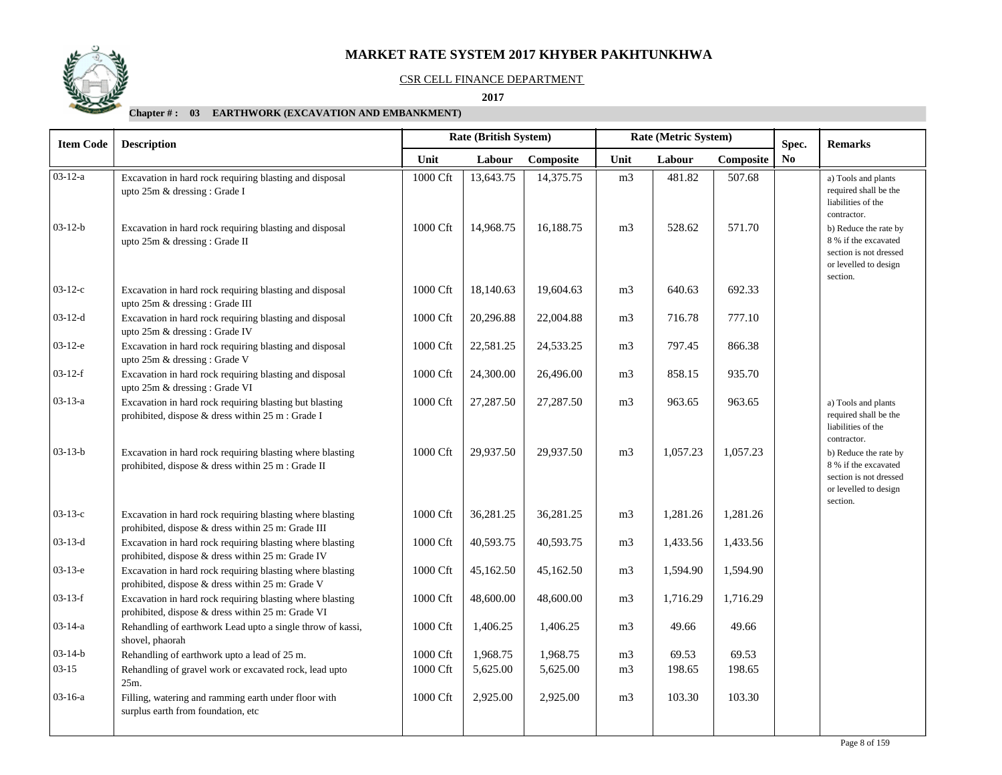

#### CSR CELL FINANCE DEPARTMENT

 **2017** 

| <b>Item Code</b><br><b>Description</b> |                                                                                                                 |          |           | <b>Rate (British System)</b> |                | Rate (Metric System) | Spec.     | <b>Remarks</b> |                                                                                                              |
|----------------------------------------|-----------------------------------------------------------------------------------------------------------------|----------|-----------|------------------------------|----------------|----------------------|-----------|----------------|--------------------------------------------------------------------------------------------------------------|
|                                        |                                                                                                                 | Unit     | Labour    | Composite                    | Unit           | Labour               | Composite | No             |                                                                                                              |
| $03-12-a$                              | Excavation in hard rock requiring blasting and disposal<br>upto 25m & dressing : Grade I                        | 1000 Cft | 13,643.75 | 14,375.75                    | m <sub>3</sub> | 481.82               | 507.68    |                | a) Tools and plants<br>required shall be the<br>liabilities of the<br>contractor.                            |
| $03 - 12 - b$                          | Excavation in hard rock requiring blasting and disposal<br>upto 25m & dressing : Grade II                       | 1000 Cft | 14,968.75 | 16,188.75                    | m <sub>3</sub> | 528.62               | 571.70    |                | b) Reduce the rate by<br>8 % if the excavated<br>section is not dressed<br>or levelled to design<br>section. |
| $03-12-c$                              | Excavation in hard rock requiring blasting and disposal<br>upto 25m & dressing : Grade III                      | 1000 Cft | 18,140.63 | 19,604.63                    | m <sub>3</sub> | 640.63               | 692.33    |                |                                                                                                              |
| $03-12-d$                              | Excavation in hard rock requiring blasting and disposal<br>upto 25m & dressing : Grade IV                       | 1000 Cft | 20,296.88 | 22,004.88                    | m <sub>3</sub> | 716.78               | 777.10    |                |                                                                                                              |
| $03-12-e$                              | Excavation in hard rock requiring blasting and disposal<br>upto 25m & dressing: Grade V                         | 1000 Cft | 22,581.25 | 24,533.25                    | m <sub>3</sub> | 797.45               | 866.38    |                |                                                                                                              |
| $03-12-f$                              | Excavation in hard rock requiring blasting and disposal<br>upto 25m & dressing : Grade VI                       | 1000 Cft | 24,300.00 | 26,496.00                    | m <sub>3</sub> | 858.15               | 935.70    |                |                                                                                                              |
| $03-13-a$                              | Excavation in hard rock requiring blasting but blasting<br>prohibited, dispose & dress within 25 m : Grade I    | 1000 Cft | 27,287.50 | 27,287.50                    | m <sub>3</sub> | 963.65               | 963.65    |                | a) Tools and plants<br>required shall be the<br>liabilities of the<br>contractor.                            |
| $03 - 13 - b$                          | Excavation in hard rock requiring blasting where blasting<br>prohibited, dispose & dress within 25 m : Grade II | 1000 Cft | 29,937.50 | 29,937.50                    | m <sub>3</sub> | 1,057.23             | 1.057.23  |                | b) Reduce the rate by<br>8 % if the excavated<br>section is not dressed<br>or levelled to design<br>section. |
| $03-13-c$                              | Excavation in hard rock requiring blasting where blasting<br>prohibited, dispose & dress within 25 m: Grade III | 1000 Cft | 36,281.25 | 36,281.25                    | m <sub>3</sub> | 1,281.26             | 1,281.26  |                |                                                                                                              |
| $03-13-d$                              | Excavation in hard rock requiring blasting where blasting<br>prohibited, dispose & dress within 25 m: Grade IV  | 1000 Cft | 40,593.75 | 40,593.75                    | m <sub>3</sub> | 1,433.56             | 1,433.56  |                |                                                                                                              |
| $03-13-e$                              | Excavation in hard rock requiring blasting where blasting<br>prohibited, dispose & dress within 25 m: Grade V   | 1000 Cft | 45,162.50 | 45,162.50                    | m <sub>3</sub> | 1,594.90             | 1,594.90  |                |                                                                                                              |
| $03-13-f$                              | Excavation in hard rock requiring blasting where blasting<br>prohibited, dispose & dress within 25 m: Grade VI  | 1000 Cft | 48,600.00 | 48,600.00                    | m <sub>3</sub> | 1,716.29             | 1,716.29  |                |                                                                                                              |
| 03-14-a                                | Rehandling of earthwork Lead upto a single throw of kassi,<br>shovel, phaorah                                   | 1000 Cft | 1,406.25  | 1,406.25                     | m <sub>3</sub> | 49.66                | 49.66     |                |                                                                                                              |
| $03-14-b$                              | Rehandling of earthwork upto a lead of 25 m.                                                                    | 1000 Cft | 1,968.75  | 1,968.75                     | m <sub>3</sub> | 69.53                | 69.53     |                |                                                                                                              |
| $03-15$                                | Rehandling of gravel work or excavated rock, lead upto<br>25m.                                                  | 1000 Cft | 5,625.00  | 5,625.00                     | m <sub>3</sub> | 198.65               | 198.65    |                |                                                                                                              |
| $03-16-a$                              | Filling, watering and ramming earth under floor with<br>surplus earth from foundation, etc                      | 1000 Cft | 2,925.00  | 2,925.00                     | m <sub>3</sub> | 103.30               | 103.30    |                |                                                                                                              |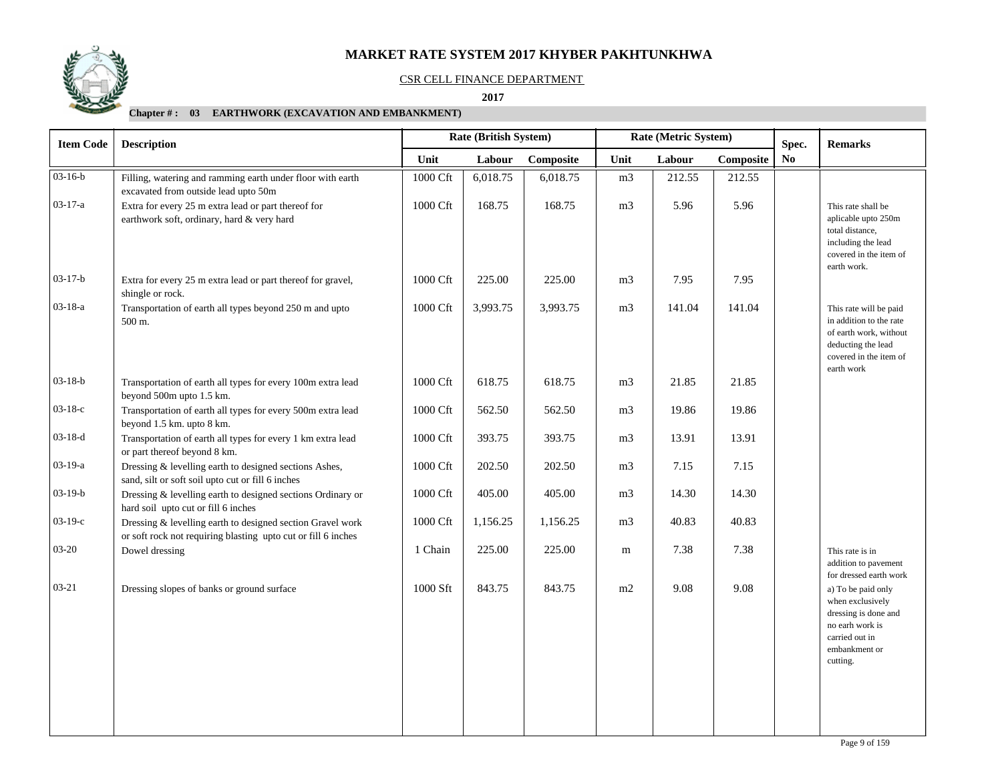

#### CSR CELL FINANCE DEPARTMENT

 **2017** 

| <b>Item Code</b> | <b>Rate (British System)</b><br>Rate (Metric System)<br><b>Description</b>                                                  |          |          |           |                | Spec.  | <b>Remarks</b> |     |                                                                                                                                           |
|------------------|-----------------------------------------------------------------------------------------------------------------------------|----------|----------|-----------|----------------|--------|----------------|-----|-------------------------------------------------------------------------------------------------------------------------------------------|
|                  |                                                                                                                             | Unit     | Labour   | Composite | Unit           | Labour | Composite      | No. |                                                                                                                                           |
| $03 - 16 - b$    | Filling, watering and ramming earth under floor with earth<br>excavated from outside lead upto 50m                          | 1000 Cft | 6,018.75 | 6,018.75  | m <sub>3</sub> | 212.55 | 212.55         |     |                                                                                                                                           |
| $03 - 17 - a$    | Extra for every 25 m extra lead or part thereof for<br>earthwork soft, ordinary, hard & very hard                           | 1000 Cft | 168.75   | 168.75    | m <sub>3</sub> | 5.96   | 5.96           |     | This rate shall be<br>aplicable upto 250m<br>total distance,<br>including the lead<br>covered in the item of<br>earth work.               |
| $03-17-b$        | Extra for every 25 m extra lead or part thereof for gravel,<br>shingle or rock.                                             | 1000 Cft | 225.00   | 225.00    | m <sub>3</sub> | 7.95   | 7.95           |     |                                                                                                                                           |
| $03 - 18 - a$    | Transportation of earth all types beyond 250 m and upto<br>500 m.                                                           | 1000 Cft | 3,993.75 | 3,993.75  | m <sub>3</sub> | 141.04 | 141.04         |     | This rate will be paid<br>in addition to the rate<br>of earth work, without<br>deducting the lead<br>covered in the item of<br>earth work |
| $03-18-b$        | Transportation of earth all types for every 100m extra lead<br>beyond 500m upto 1.5 km.                                     | 1000 Cft | 618.75   | 618.75    | m <sub>3</sub> | 21.85  | 21.85          |     |                                                                                                                                           |
| $03-18-c$        | Transportation of earth all types for every 500m extra lead<br>beyond 1.5 km. upto 8 km.                                    | 1000 Cft | 562.50   | 562.50    | m <sub>3</sub> | 19.86  | 19.86          |     |                                                                                                                                           |
| $03-18-d$        | Transportation of earth all types for every 1 km extra lead<br>or part thereof beyond 8 km.                                 | 1000 Cft | 393.75   | 393.75    | m <sub>3</sub> | 13.91  | 13.91          |     |                                                                                                                                           |
| $03-19-a$        | Dressing & levelling earth to designed sections Ashes,<br>sand, silt or soft soil upto cut or fill 6 inches                 | 1000 Cft | 202.50   | 202.50    | m <sub>3</sub> | 7.15   | 7.15           |     |                                                                                                                                           |
| $03-19-b$        | Dressing & levelling earth to designed sections Ordinary or<br>hard soil upto cut or fill 6 inches                          | 1000 Cft | 405.00   | 405.00    | m <sub>3</sub> | 14.30  | 14.30          |     |                                                                                                                                           |
| $03-19-c$        | Dressing & levelling earth to designed section Gravel work<br>or soft rock not requiring blasting upto cut or fill 6 inches | 1000 Cft | 1,156.25 | 1,156.25  | m <sub>3</sub> | 40.83  | 40.83          |     |                                                                                                                                           |
| $03 - 20$        | Dowel dressing                                                                                                              | 1 Chain  | 225.00   | 225.00    | m              | 7.38   | 7.38           |     | This rate is in<br>addition to pavement<br>for dressed earth work                                                                         |
| $03 - 21$        | Dressing slopes of banks or ground surface                                                                                  | 1000 Sft | 843.75   | 843.75    | m2             | 9.08   | 9.08           |     | a) To be paid only<br>when exclusively<br>dressing is done and<br>no earh work is<br>carried out in<br>embankment or<br>cutting.          |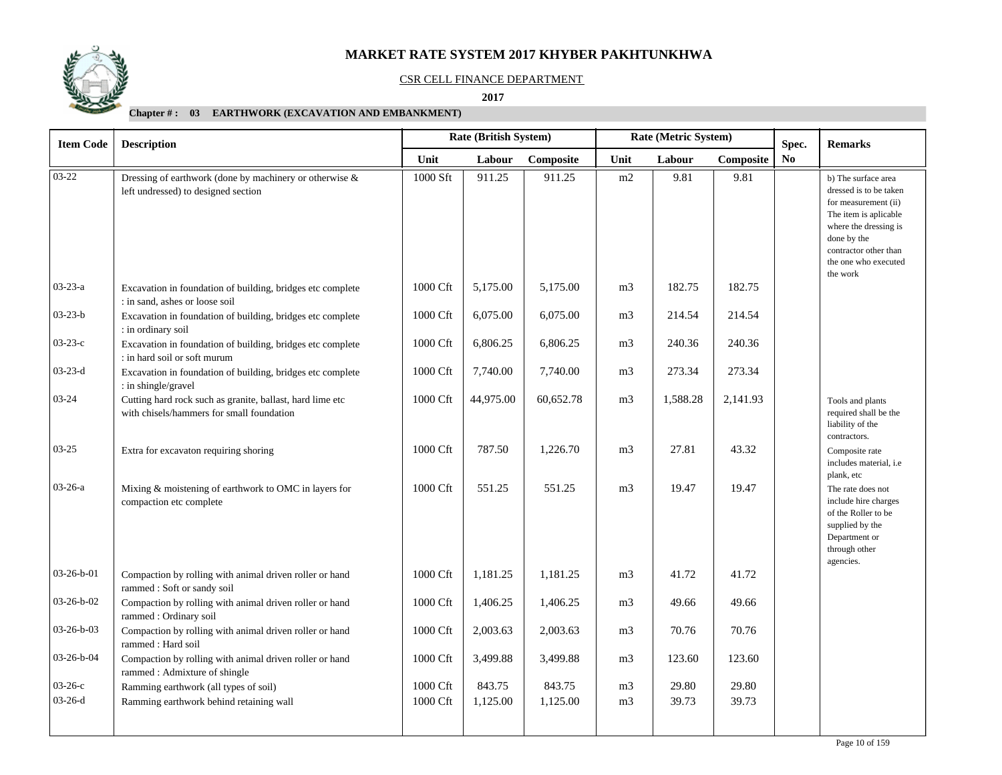

#### CSR CELL FINANCE DEPARTMENT

 **2017** 

| <b>Item Code</b> | <b>Description</b>                                                                                     |          | Rate (British System) |           |                | Rate (Metric System) | Spec.     | <b>Remarks</b> |                                                                                                                                                                                                     |
|------------------|--------------------------------------------------------------------------------------------------------|----------|-----------------------|-----------|----------------|----------------------|-----------|----------------|-----------------------------------------------------------------------------------------------------------------------------------------------------------------------------------------------------|
|                  |                                                                                                        | Unit     | Labour                | Composite | Unit           | Labour               | Composite | No             |                                                                                                                                                                                                     |
| $03 - 22$        | Dressing of earthwork (done by machinery or otherwise &<br>left undressed) to designed section         | 1000 Sft | 911.25                | 911.25    | m2             | 9.81                 | 9.81      |                | b) The surface area<br>dressed is to be taken<br>for measurement (ii)<br>The item is aplicable<br>where the dressing is<br>done by the<br>contractor other than<br>the one who executed<br>the work |
| $03 - 23 - a$    | Excavation in foundation of building, bridges etc complete<br>: in sand, ashes or loose soil           | 1000 Cft | 5,175.00              | 5,175.00  | m <sub>3</sub> | 182.75               | 182.75    |                |                                                                                                                                                                                                     |
| $03 - 23 - b$    | Excavation in foundation of building, bridges etc complete<br>: in ordinary soil                       | 1000 Cft | 6,075.00              | 6,075.00  | m <sub>3</sub> | 214.54               | 214.54    |                |                                                                                                                                                                                                     |
| $03 - 23 - c$    | Excavation in foundation of building, bridges etc complete<br>: in hard soil or soft murum             | 1000 Cft | 6,806.25              | 6,806.25  | m <sub>3</sub> | 240.36               | 240.36    |                |                                                                                                                                                                                                     |
| $03 - 23 - d$    | Excavation in foundation of building, bridges etc complete<br>: in shingle/gravel                      | 1000 Cft | 7,740.00              | 7,740.00  | m <sub>3</sub> | 273.34               | 273.34    |                |                                                                                                                                                                                                     |
| $03 - 24$        | Cutting hard rock such as granite, ballast, hard lime etc<br>with chisels/hammers for small foundation | 1000 Cft | 44,975.00             | 60,652.78 | m <sub>3</sub> | 1,588.28             | 2,141.93  |                | Tools and plants<br>required shall be the<br>liability of the<br>contractors.                                                                                                                       |
| $03 - 25$        | Extra for excavaton requiring shoring                                                                  | 1000 Cft | 787.50                | 1,226.70  | m <sub>3</sub> | 27.81                | 43.32     |                | Composite rate<br>includes material, i.e<br>plank, etc                                                                                                                                              |
| $03-26-a$        | Mixing & moistening of earthwork to OMC in layers for<br>compaction etc complete                       | 1000 Cft | 551.25                | 551.25    | m <sub>3</sub> | 19.47                | 19.47     |                | The rate does not<br>include hire charges<br>of the Roller to be<br>supplied by the<br>Department or<br>through other<br>agencies.                                                                  |
| $03-26-b-01$     | Compaction by rolling with animal driven roller or hand<br>rammed: Soft or sandy soil                  | 1000 Cft | 1,181.25              | 1,181.25  | m <sub>3</sub> | 41.72                | 41.72     |                |                                                                                                                                                                                                     |
| $03-26-b-02$     | Compaction by rolling with animal driven roller or hand<br>rammed: Ordinary soil                       | 1000 Cft | 1,406.25              | 1,406.25  | m <sub>3</sub> | 49.66                | 49.66     |                |                                                                                                                                                                                                     |
| 03-26-b-03       | Compaction by rolling with animal driven roller or hand<br>rammed: Hard soil                           | 1000 Cft | 2,003.63              | 2,003.63  | m <sub>3</sub> | 70.76                | 70.76     |                |                                                                                                                                                                                                     |
| 03-26-b-04       | Compaction by rolling with animal driven roller or hand<br>rammed: Admixture of shingle                | 1000 Cft | 3,499.88              | 3,499.88  | m <sub>3</sub> | 123.60               | 123.60    |                |                                                                                                                                                                                                     |
| $03-26-c$        | Ramming earthwork (all types of soil)                                                                  | 1000 Cft | 843.75                | 843.75    | m <sub>3</sub> | 29.80                | 29.80     |                |                                                                                                                                                                                                     |
| $03-26-d$        | Ramming earthwork behind retaining wall                                                                | 1000 Cft | 1,125.00              | 1,125.00  | m <sub>3</sub> | 39.73                | 39.73     |                |                                                                                                                                                                                                     |
|                  |                                                                                                        |          |                       |           |                |                      |           |                |                                                                                                                                                                                                     |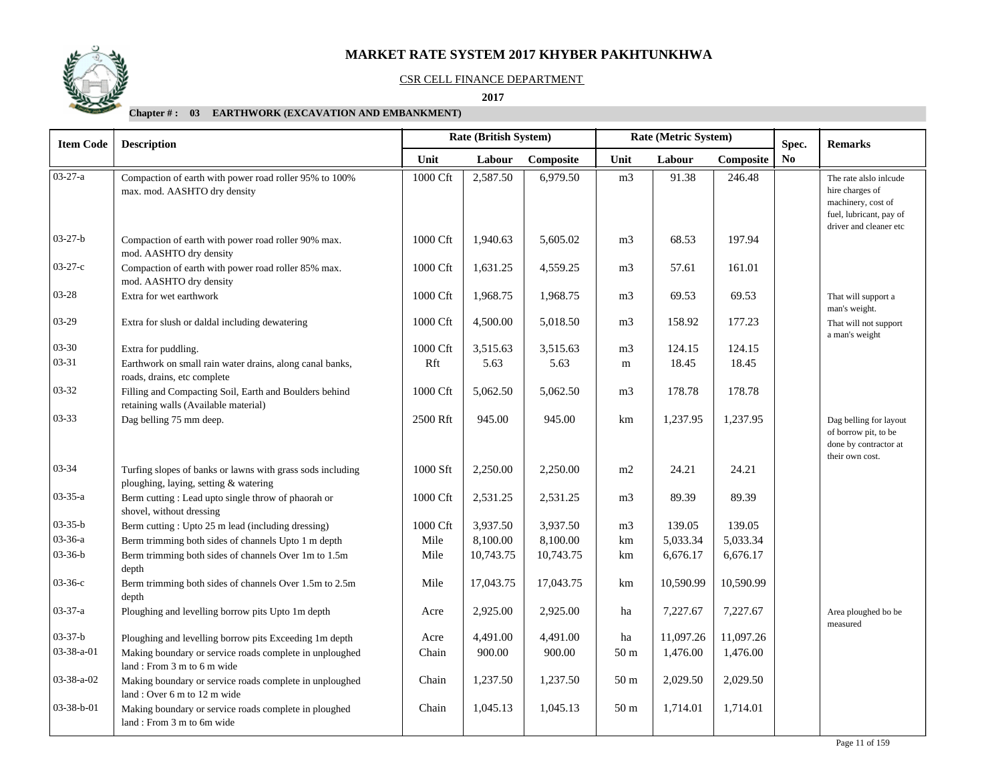

#### CSR CELL FINANCE DEPARTMENT

 **2017** 

| <b>Item Code</b> | <b>Description</b>                                                                                  |          | Rate (British System) |           |                 | Rate (Metric System) | Spec.     | <b>Remarks</b> |                                                                                            |
|------------------|-----------------------------------------------------------------------------------------------------|----------|-----------------------|-----------|-----------------|----------------------|-----------|----------------|--------------------------------------------------------------------------------------------|
|                  |                                                                                                     | Unit     | Labour                | Composite | Unit            | Labour               | Composite | No             |                                                                                            |
| $03 - 27 - a$    | Compaction of earth with power road roller 95% to 100%<br>max. mod. AASHTO dry density              | 1000 Cft | 2,587.50              | 6,979.50  | m <sub>3</sub>  | 91.38                | 246.48    |                | The rate alslo inlcude<br>hire charges of<br>machinery, cost of                            |
|                  |                                                                                                     |          |                       |           |                 |                      |           |                | fuel, lubricant, pay of<br>driver and cleaner etc                                          |
| $03 - 27 - b$    | Compaction of earth with power road roller 90% max.<br>mod. AASHTO dry density                      | 1000 Cft | 1,940.63              | 5,605.02  | m <sub>3</sub>  | 68.53                | 197.94    |                |                                                                                            |
| $03-27-c$        | Compaction of earth with power road roller 85% max.<br>mod. AASHTO dry density                      | 1000 Cft | 1,631.25              | 4,559.25  | m <sub>3</sub>  | 57.61                | 161.01    |                |                                                                                            |
| 03-28            | Extra for wet earthwork                                                                             | 1000 Cft | 1,968.75              | 1,968.75  | m <sub>3</sub>  | 69.53                | 69.53     |                | That will support a<br>man's weight.                                                       |
| 03-29            | Extra for slush or daldal including dewatering                                                      | 1000 Cft | 4,500.00              | 5,018.50  | m <sub>3</sub>  | 158.92               | 177.23    |                | That will not support<br>a man's weight                                                    |
| $03 - 30$        | Extra for puddling.                                                                                 | 1000 Cft | 3,515.63              | 3,515.63  | m <sub>3</sub>  | 124.15               | 124.15    |                |                                                                                            |
| $03 - 31$        | Earthwork on small rain water drains, along canal banks,<br>roads, drains, etc complete             | Rft      | 5.63                  | 5.63      | m               | 18.45                | 18.45     |                |                                                                                            |
| 03-32            | Filling and Compacting Soil, Earth and Boulders behind<br>retaining walls (Available material)      | 1000 Cft | 5,062.50              | 5,062.50  | m <sub>3</sub>  | 178.78               | 178.78    |                |                                                                                            |
| 03-33            | Dag belling 75 mm deep.                                                                             | 2500 Rft | 945.00                | 945.00    | km              | 1,237.95             | 1,237.95  |                | Dag belling for layout<br>of borrow pit, to be<br>done by contractor at<br>their own cost. |
| 03-34            | Turfing slopes of banks or lawns with grass sods including<br>ploughing, laying, setting & watering | 1000 Sft | 2,250.00              | 2,250.00  | m2              | 24.21                | 24.21     |                |                                                                                            |
| $03 - 35 - a$    | Berm cutting : Lead upto single throw of phaorah or<br>shovel, without dressing                     | 1000 Cft | 2,531.25              | 2,531.25  | m <sub>3</sub>  | 89.39                | 89.39     |                |                                                                                            |
| $03 - 35 - b$    | Berm cutting: Upto 25 m lead (including dressing)                                                   | 1000 Cft | 3,937.50              | 3,937.50  | m <sub>3</sub>  | 139.05               | 139.05    |                |                                                                                            |
| 03-36-a          | Berm trimming both sides of channels Upto 1 m depth                                                 | Mile     | 8,100.00              | 8,100.00  | km              | 5,033.34             | 5,033.34  |                |                                                                                            |
| $03 - 36 - b$    | Berm trimming both sides of channels Over 1m to 1.5m<br>depth                                       | Mile     | 10,743.75             | 10,743.75 | km              | 6,676.17             | 6,676.17  |                |                                                                                            |
| $03-36-c$        | Berm trimming both sides of channels Over 1.5m to 2.5m<br>depth                                     | Mile     | 17,043.75             | 17,043.75 | km              | 10,590.99            | 10,590.99 |                |                                                                                            |
| $03 - 37 - a$    | Ploughing and levelling borrow pits Upto 1m depth                                                   | Acre     | 2,925.00              | 2,925.00  | ha              | 7,227.67             | 7,227.67  |                | Area ploughed bo be<br>measured                                                            |
| $03 - 37 - b$    | Ploughing and levelling borrow pits Exceeding 1m depth                                              | Acre     | 4,491.00              | 4,491.00  | ha              | 11,097.26            | 11,097.26 |                |                                                                                            |
| 03-38-a-01       | Making boundary or service roads complete in unploughed<br>land: From 3 m to 6 m wide               | Chain    | 900.00                | 900.00    | 50 <sub>m</sub> | 1,476.00             | 1,476.00  |                |                                                                                            |
| 03-38-a-02       | Making boundary or service roads complete in unploughed<br>land: Over 6 m to 12 m wide              | Chain    | 1,237.50              | 1,237.50  | 50 <sub>m</sub> | 2,029.50             | 2,029.50  |                |                                                                                            |
| $03-38-b-01$     | Making boundary or service roads complete in ploughed<br>land: From 3 m to 6m wide                  | Chain    | 1,045.13              | 1,045.13  | 50 <sub>m</sub> | 1,714.01             | 1,714.01  |                |                                                                                            |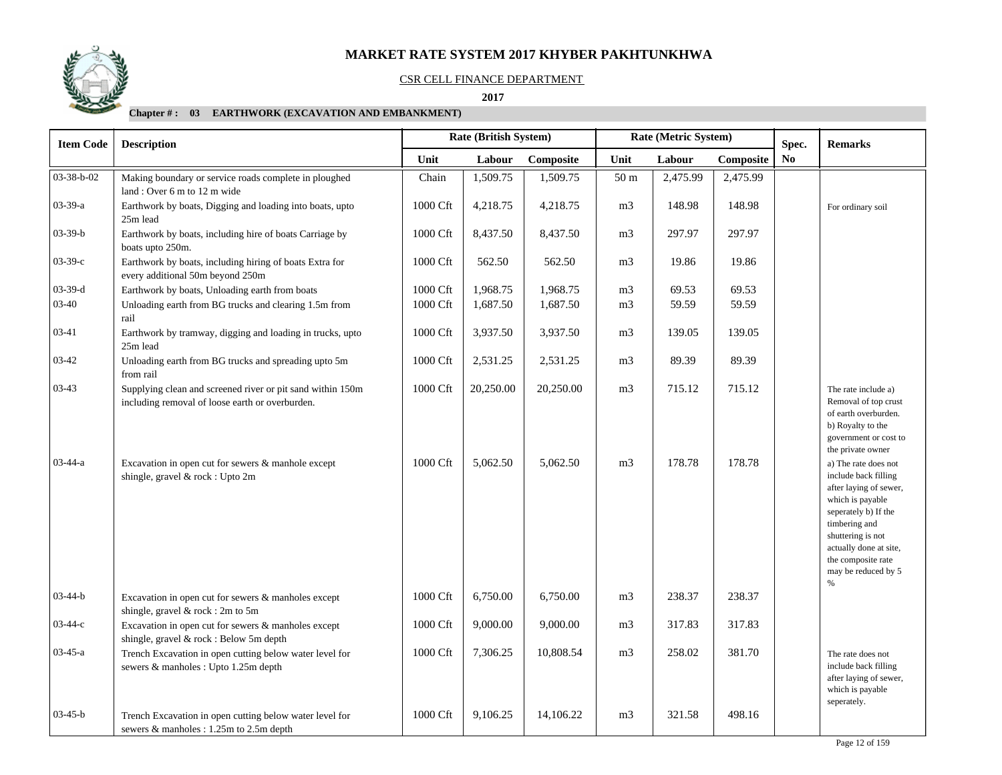

#### CSR CELL FINANCE DEPARTMENT

 **2017** 

| <b>Item Code</b> | <b>Description</b>                                                                                            |          | <b>Rate (British System)</b> |           |                 | Rate (Metric System) |           | Spec.          | <b>Remarks</b>                                                                                                                                                                                                                       |  |
|------------------|---------------------------------------------------------------------------------------------------------------|----------|------------------------------|-----------|-----------------|----------------------|-----------|----------------|--------------------------------------------------------------------------------------------------------------------------------------------------------------------------------------------------------------------------------------|--|
|                  |                                                                                                               | Unit     | Labour                       | Composite | Unit            | Labour               | Composite | N <sub>0</sub> |                                                                                                                                                                                                                                      |  |
| 03-38-b-02       | Making boundary or service roads complete in ploughed                                                         | Chain    | 1,509.75                     | 1,509.75  | 50 <sub>m</sub> | 2,475.99             | 2,475.99  |                |                                                                                                                                                                                                                                      |  |
|                  | land: Over 6 m to 12 m wide                                                                                   |          |                              |           |                 |                      |           |                |                                                                                                                                                                                                                                      |  |
| $03-39-a$        | Earthwork by boats, Digging and loading into boats, upto<br>25m lead                                          | 1000 Cft | 4,218.75                     | 4,218.75  | m <sub>3</sub>  | 148.98               | 148.98    |                | For ordinary soil                                                                                                                                                                                                                    |  |
| $03 - 39 - b$    | Earthwork by boats, including hire of boats Carriage by<br>boats upto 250m.                                   | 1000 Cft | 8,437.50                     | 8,437.50  | m <sub>3</sub>  | 297.97               | 297.97    |                |                                                                                                                                                                                                                                      |  |
| $03 - 39 - c$    | Earthwork by boats, including hiring of boats Extra for<br>every additional 50m beyond 250m                   | 1000 Cft | 562.50                       | 562.50    | m <sub>3</sub>  | 19.86                | 19.86     |                |                                                                                                                                                                                                                                      |  |
| $03 - 39 - d$    | Earthwork by boats, Unloading earth from boats                                                                | 1000 Cft | 1,968.75                     | 1,968.75  | m <sub>3</sub>  | 69.53                | 69.53     |                |                                                                                                                                                                                                                                      |  |
| $03-40$          | Unloading earth from BG trucks and clearing 1.5m from<br>rail                                                 | 1000 Cft | 1,687.50                     | 1,687.50  | m <sub>3</sub>  | 59.59                | 59.59     |                |                                                                                                                                                                                                                                      |  |
| 03-41            | Earthwork by tramway, digging and loading in trucks, upto<br>25m lead                                         | 1000 Cft | 3,937.50                     | 3,937.50  | m <sub>3</sub>  | 139.05               | 139.05    |                |                                                                                                                                                                                                                                      |  |
| $03 - 42$        | Unloading earth from BG trucks and spreading upto 5m<br>from rail                                             | 1000 Cft | 2,531.25                     | 2,531.25  | m <sub>3</sub>  | 89.39                | 89.39     |                |                                                                                                                                                                                                                                      |  |
| $03-43$          | Supplying clean and screened river or pit sand within 150m<br>including removal of loose earth or overburden. | 1000 Cft | 20,250.00                    | 20,250.00 | m <sub>3</sub>  | 715.12               | 715.12    |                | The rate include a)<br>Removal of top crust<br>of earth overburden.<br>b) Royalty to the<br>government or cost to<br>the private owner                                                                                               |  |
| $03 - 44 - a$    | Excavation in open cut for sewers $\&$ manhole except<br>shingle, gravel & rock : Upto 2m                     | 1000 Cft | 5,062.50                     | 5,062.50  | m <sub>3</sub>  | 178.78               | 178.78    |                | a) The rate does not<br>include back filling<br>after laying of sewer,<br>which is payable<br>seperately b) If the<br>timbering and<br>shuttering is not<br>actually done at site,<br>the composite rate<br>may be reduced by 5<br>% |  |
| $03 - 44 - b$    | Excavation in open cut for sewers & manholes except<br>shingle, gravel & rock: 2m to 5m                       | 1000 Cft | 6,750.00                     | 6,750.00  | m <sub>3</sub>  | 238.37               | 238.37    |                |                                                                                                                                                                                                                                      |  |
| $03 - 44 - c$    | Excavation in open cut for sewers & manholes except<br>shingle, gravel & rock: Below 5m depth                 | 1000 Cft | 9,000.00                     | 9,000.00  | m <sub>3</sub>  | 317.83               | 317.83    |                |                                                                                                                                                                                                                                      |  |
| $03-45-a$        | Trench Excavation in open cutting below water level for<br>sewers & manholes : Upto 1.25m depth               | 1000 Cft | 7,306.25                     | 10,808.54 | m <sub>3</sub>  | 258.02               | 381.70    |                | The rate does not<br>include back filling<br>after laying of sewer,<br>which is payable                                                                                                                                              |  |
| $03-45-b$        | Trench Excavation in open cutting below water level for<br>sewers & manholes : 1.25m to 2.5m depth            | 1000 Cft | 9,106.25                     | 14,106.22 | m <sub>3</sub>  | 321.58               | 498.16    |                | seperately.                                                                                                                                                                                                                          |  |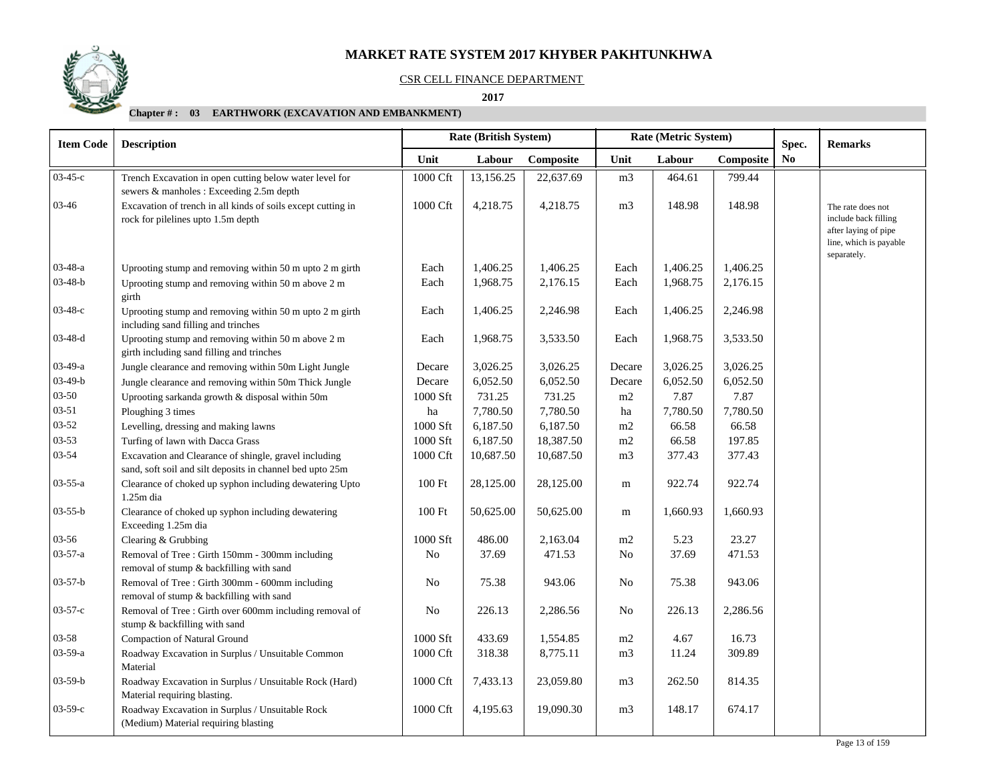## CSR CELL FINANCE DEPARTMENT

 **2017** 

| <b>Rate (British System)</b><br><b>Item Code</b><br><b>Description</b> |                                                                                                                    | Rate (Metric System) |           |           |                | Spec.    | <b>Remarks</b> |                |                                                                                                            |
|------------------------------------------------------------------------|--------------------------------------------------------------------------------------------------------------------|----------------------|-----------|-----------|----------------|----------|----------------|----------------|------------------------------------------------------------------------------------------------------------|
|                                                                        |                                                                                                                    | Unit                 | Labour    | Composite | Unit           | Labour   | Composite      | N <sub>0</sub> |                                                                                                            |
| 03-45-с                                                                | Trench Excavation in open cutting below water level for<br>sewers & manholes : Exceeding 2.5m depth                | 1000 Cft             | 13,156.25 | 22,637.69 | m <sub>3</sub> | 464.61   | 799.44         |                |                                                                                                            |
| 03-46                                                                  | Excavation of trench in all kinds of soils except cutting in<br>rock for pilelines upto 1.5m depth                 | 1000 Cft             | 4,218.75  | 4,218.75  | m <sub>3</sub> | 148.98   | 148.98         |                | The rate does not<br>include back filling<br>after laying of pipe<br>line, which is payable<br>separately. |
| $03-48-a$                                                              | Uprooting stump and removing within 50 m upto 2 m girth                                                            | Each                 | 1,406.25  | 1,406.25  | Each           | 1,406.25 | 1,406.25       |                |                                                                                                            |
| $03-48-b$                                                              | Uprooting stump and removing within 50 m above 2 m<br>girth                                                        | Each                 | 1,968.75  | 2,176.15  | Each           | 1,968.75 | 2,176.15       |                |                                                                                                            |
| $03-48-c$                                                              | Uprooting stump and removing within 50 m upto 2 m girth<br>including sand filling and trinches                     | Each                 | 1,406.25  | 2,246.98  | Each           | 1,406.25 | 2,246.98       |                |                                                                                                            |
| $03 - 48 - d$                                                          | Uprooting stump and removing within 50 m above 2 m<br>girth including sand filling and trinches                    | Each                 | 1,968.75  | 3,533.50  | Each           | 1,968.75 | 3,533.50       |                |                                                                                                            |
| $03-49-a$                                                              | Jungle clearance and removing within 50m Light Jungle                                                              | Decare               | 3,026.25  | 3,026.25  | Decare         | 3,026.25 | 3,026.25       |                |                                                                                                            |
| $03-49-b$                                                              | Jungle clearance and removing within 50m Thick Jungle                                                              | Decare               | 6,052.50  | 6,052.50  | Decare         | 6,052.50 | 6,052.50       |                |                                                                                                            |
| $03 - 50$                                                              | Uprooting sarkanda growth & disposal within 50m                                                                    | 1000 Sft             | 731.25    | 731.25    | m2             | 7.87     | 7.87           |                |                                                                                                            |
| $03 - 51$                                                              | Ploughing 3 times                                                                                                  | ha                   | 7,780.50  | 7,780.50  | ha             | 7,780.50 | 7,780.50       |                |                                                                                                            |
| $03 - 52$                                                              | Levelling, dressing and making lawns                                                                               | 1000 Sft             | 6,187.50  | 6,187.50  | m2             | 66.58    | 66.58          |                |                                                                                                            |
| $03 - 53$                                                              | Turfing of lawn with Dacca Grass                                                                                   | 1000 Sft             | 6,187.50  | 18,387.50 | m2             | 66.58    | 197.85         |                |                                                                                                            |
| 03-54                                                                  | Excavation and Clearance of shingle, gravel including<br>sand, soft soil and silt deposits in channel bed upto 25m | 1000 Cft             | 10,687.50 | 10,687.50 | m <sub>3</sub> | 377.43   | 377.43         |                |                                                                                                            |
| $03 - 55 - a$                                                          | Clearance of choked up syphon including dewatering Upto<br>$1.25m$ dia                                             | 100 Ft               | 28,125.00 | 28,125.00 | m              | 922.74   | 922.74         |                |                                                                                                            |
| $03 - 55 - b$                                                          | Clearance of choked up syphon including dewatering<br>Exceeding 1.25m dia                                          | 100 Ft               | 50,625.00 | 50,625.00 | m              | 1,660.93 | 1,660.93       |                |                                                                                                            |
| 03-56                                                                  | Clearing & Grubbing                                                                                                | 1000 Sft             | 486.00    | 2,163.04  | m2             | 5.23     | 23.27          |                |                                                                                                            |
| 03-57-a                                                                | Removal of Tree : Girth 150mm - 300mm including<br>removal of stump & backfilling with sand                        | $\rm No$             | 37.69     | 471.53    | No             | 37.69    | 471.53         |                |                                                                                                            |
| $03 - 57 - b$                                                          | Removal of Tree : Girth 300mm - 600mm including<br>removal of stump & backfilling with sand                        | No                   | 75.38     | 943.06    | No             | 75.38    | 943.06         |                |                                                                                                            |
| $03 - 57 - c$                                                          | Removal of Tree : Girth over 600mm including removal of<br>stump & backfilling with sand                           | N <sub>0</sub>       | 226.13    | 2,286.56  | No             | 226.13   | 2,286.56       |                |                                                                                                            |
| 03-58                                                                  | Compaction of Natural Ground                                                                                       | 1000 Sft             | 433.69    | 1,554.85  | m2             | 4.67     | 16.73          |                |                                                                                                            |
| $03-59-a$                                                              | Roadway Excavation in Surplus / Unsuitable Common<br>Material                                                      | 1000 Cft             | 318.38    | 8,775.11  | m3             | 11.24    | 309.89         |                |                                                                                                            |
| $03 - 59 - b$                                                          | Roadway Excavation in Surplus / Unsuitable Rock (Hard)<br>Material requiring blasting.                             | $1000\,\mathrm{Cft}$ | 7,433.13  | 23,059.80 | m <sub>3</sub> | 262.50   | 814.35         |                |                                                                                                            |
| $03-59-c$                                                              | Roadway Excavation in Surplus / Unsuitable Rock<br>(Medium) Material requiring blasting                            | 1000 Cft             | 4,195.63  | 19,090.30 | m <sub>3</sub> | 148.17   | 674.17         |                |                                                                                                            |

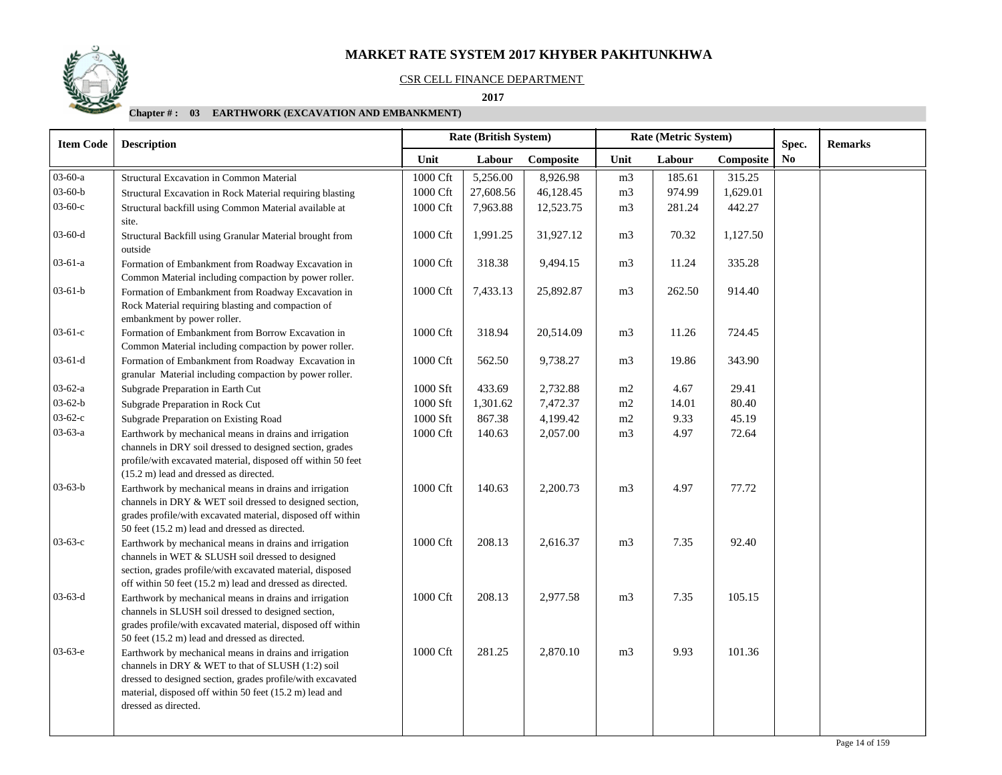#### CSR CELL FINANCE DEPARTMENT

 **2017** 

| <b>Item Code</b> | <b>Description</b>                                                                                                                                                                                                                                           |                      | <b>Rate (British System)</b> |           |                | Rate (Metric System) |           | Spec.          | <b>Remarks</b> |
|------------------|--------------------------------------------------------------------------------------------------------------------------------------------------------------------------------------------------------------------------------------------------------------|----------------------|------------------------------|-----------|----------------|----------------------|-----------|----------------|----------------|
|                  |                                                                                                                                                                                                                                                              | Unit                 | Labour                       | Composite | Unit           | Labour               | Composite | N <sub>0</sub> |                |
| 03-60-a          | <b>Structural Excavation in Common Material</b>                                                                                                                                                                                                              | 1000 Cft             | 5,256.00                     | 8,926.98  | m <sub>3</sub> | 185.61               | 315.25    |                |                |
| $03 - 60 - b$    | Structural Excavation in Rock Material requiring blasting                                                                                                                                                                                                    | 1000 Cft             | 27,608.56                    | 46,128.45 | m <sub>3</sub> | 974.99               | 1,629.01  |                |                |
| $03-60-c$        | Structural backfill using Common Material available at<br>site.                                                                                                                                                                                              | 1000 Cft             | 7,963.88                     | 12,523.75 | m <sub>3</sub> | 281.24               | 442.27    |                |                |
| $03-60-d$        | Structural Backfill using Granular Material brought from<br>outside                                                                                                                                                                                          | 1000 Cft             | 1,991.25                     | 31,927.12 | m <sub>3</sub> | 70.32                | 1,127.50  |                |                |
| $03-61-a$        | Formation of Embankment from Roadway Excavation in<br>Common Material including compaction by power roller.                                                                                                                                                  | 1000 Cft             | 318.38                       | 9,494.15  | m <sub>3</sub> | 11.24                | 335.28    |                |                |
| $03-61-b$        | Formation of Embankment from Roadway Excavation in<br>Rock Material requiring blasting and compaction of<br>embankment by power roller.                                                                                                                      | 1000 Cft             | 7,433.13                     | 25,892.87 | m <sub>3</sub> | 262.50               | 914.40    |                |                |
| $03-61-c$        | Formation of Embankment from Borrow Excavation in<br>Common Material including compaction by power roller.                                                                                                                                                   | 1000 Cft             | 318.94                       | 20,514.09 | m <sub>3</sub> | 11.26                | 724.45    |                |                |
| $03-61-d$        | Formation of Embankment from Roadway Excavation in<br>granular Material including compaction by power roller.                                                                                                                                                | 1000 Cft             | 562.50                       | 9,738.27  | m <sub>3</sub> | 19.86                | 343.90    |                |                |
| $03-62-a$        | Subgrade Preparation in Earth Cut                                                                                                                                                                                                                            | 1000 Sft             | 433.69                       | 2,732.88  | m2             | 4.67                 | 29.41     |                |                |
| $03 - 62 - b$    | Subgrade Preparation in Rock Cut                                                                                                                                                                                                                             | 1000 Sft             | 1,301.62                     | 7,472.37  | m2             | 14.01                | 80.40     |                |                |
| $03-62-c$        | Subgrade Preparation on Existing Road                                                                                                                                                                                                                        | 1000 Sft             | 867.38                       | 4,199.42  | m2             | 9.33                 | 45.19     |                |                |
| 03-63-a          | Earthwork by mechanical means in drains and irrigation<br>channels in DRY soil dressed to designed section, grades<br>profile/with excavated material, disposed off within 50 feet<br>(15.2 m) lead and dressed as directed.                                 | $1000\,\mathrm{Cft}$ | 140.63                       | 2,057.00  | m <sub>3</sub> | 4.97                 | 72.64     |                |                |
| $03-63-b$        | Earthwork by mechanical means in drains and irrigation<br>channels in DRY & WET soil dressed to designed section,<br>grades profile/with excavated material, disposed off within<br>50 feet (15.2 m) lead and dressed as directed.                           | 1000 Cft             | 140.63                       | 2,200.73  | m <sub>3</sub> | 4.97                 | 77.72     |                |                |
| $03-63-c$        | Earthwork by mechanical means in drains and irrigation<br>channels in WET & SLUSH soil dressed to designed<br>section, grades profile/with excavated material, disposed<br>off within 50 feet (15.2 m) lead and dressed as directed.                         | 1000 Cft             | 208.13                       | 2,616.37  | m <sub>3</sub> | 7.35                 | 92.40     |                |                |
| $03 - 63 - d$    | Earthwork by mechanical means in drains and irrigation<br>channels in SLUSH soil dressed to designed section,<br>grades profile/with excavated material, disposed off within<br>50 feet (15.2 m) lead and dressed as directed.                               | 1000 Cft             | 208.13                       | 2,977.58  | m <sub>3</sub> | 7.35                 | 105.15    |                |                |
| $03-63-e$        | Earthwork by mechanical means in drains and irrigation<br>channels in DRY & WET to that of SLUSH (1:2) soil<br>dressed to designed section, grades profile/with excavated<br>material, disposed off within 50 feet (15.2 m) lead and<br>dressed as directed. | 1000 Cft             | 281.25                       | 2,870.10  | m <sub>3</sub> | 9.93                 | 101.36    |                |                |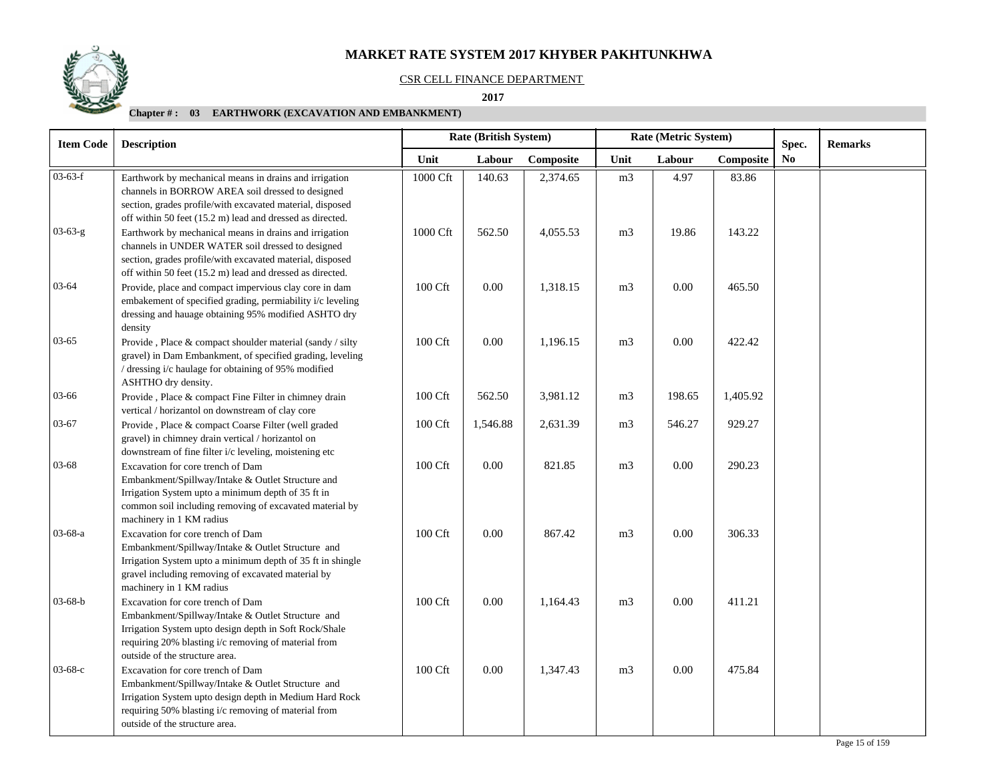#### CSR CELL FINANCE DEPARTMENT

 **2017** 

| <b>Item Code</b> | Rate (British System)<br><b>Description</b>                                                                                                                                                                                                          |          |          |           | Rate (Metric System) |          | Spec.     | <b>Remarks</b> |  |
|------------------|------------------------------------------------------------------------------------------------------------------------------------------------------------------------------------------------------------------------------------------------------|----------|----------|-----------|----------------------|----------|-----------|----------------|--|
|                  |                                                                                                                                                                                                                                                      | Unit     | Labour   | Composite | Unit                 | Labour   | Composite | N <sub>0</sub> |  |
| $03-63-f$        | Earthwork by mechanical means in drains and irrigation<br>channels in BORROW AREA soil dressed to designed<br>section, grades profile/with excavated material, disposed                                                                              | 1000 Cft | 140.63   | 2,374.65  | m <sub>3</sub>       | 4.97     | 83.86     |                |  |
| $03 - 63 - g$    | off within 50 feet (15.2 m) lead and dressed as directed.<br>Earthwork by mechanical means in drains and irrigation<br>channels in UNDER WATER soil dressed to designed<br>section, grades profile/with excavated material, disposed                 | 1000 Cft | 562.50   | 4,055.53  | m <sub>3</sub>       | 19.86    | 143.22    |                |  |
| 03-64            | off within 50 feet (15.2 m) lead and dressed as directed.<br>Provide, place and compact impervious clay core in dam<br>embakement of specified grading, permiability i/c leveling<br>dressing and hauage obtaining 95% modified ASHTO dry<br>density | 100 Cft  | 0.00     | 1,318.15  | m <sub>3</sub>       | $0.00\,$ | 465.50    |                |  |
| $03 - 65$        | Provide, Place & compact shoulder material (sandy / silty<br>gravel) in Dam Embankment, of specified grading, leveling<br>/ dressing i/c haulage for obtaining of 95% modified<br>ASHTHO dry density.                                                | 100 Cft  | $0.00\,$ | 1,196.15  | m <sub>3</sub>       | 0.00     | 422.42    |                |  |
| 03-66            | Provide, Place & compact Fine Filter in chimney drain<br>vertical / horizantol on downstream of clay core                                                                                                                                            | 100 Cft  | 562.50   | 3,981.12  | m <sub>3</sub>       | 198.65   | 1,405.92  |                |  |
| $03 - 67$        | Provide, Place & compact Coarse Filter (well graded<br>gravel) in chimney drain vertical / horizantol on<br>downstream of fine filter i/c leveling, moistening etc                                                                                   | 100 Cft  | 1,546.88 | 2,631.39  | m <sub>3</sub>       | 546.27   | 929.27    |                |  |
| $03 - 68$        | Excavation for core trench of Dam<br>Embankment/Spillway/Intake & Outlet Structure and<br>Irrigation System upto a minimum depth of 35 ft in<br>common soil including removing of excavated material by<br>machinery in 1 KM radius                  | 100 Cft  | 0.00     | 821.85    | m <sub>3</sub>       | 0.00     | 290.23    |                |  |
| $03-68-a$        | Excavation for core trench of Dam<br>Embankment/Spillway/Intake & Outlet Structure and<br>Irrigation System upto a minimum depth of 35 ft in shingle<br>gravel including removing of excavated material by<br>machinery in 1 KM radius               | 100 Cft  | 0.00     | 867.42    | m <sub>3</sub>       | 0.00     | 306.33    |                |  |
| $03-68-b$        | Excavation for core trench of Dam<br>Embankment/Spillway/Intake & Outlet Structure and<br>Irrigation System upto design depth in Soft Rock/Shale<br>requiring 20% blasting i/c removing of material from<br>outside of the structure area.           | 100 Cft  | 0.00     | 1,164.43  | m <sub>3</sub>       | 0.00     | 411.21    |                |  |
| $03-68-c$        | Excavation for core trench of Dam<br>Embankment/Spillway/Intake & Outlet Structure and<br>Irrigation System upto design depth in Medium Hard Rock<br>requiring 50% blasting i/c removing of material from<br>outside of the structure area.          | 100 Cft  | 0.00     | 1,347.43  | m <sub>3</sub>       | 0.00     | 475.84    |                |  |

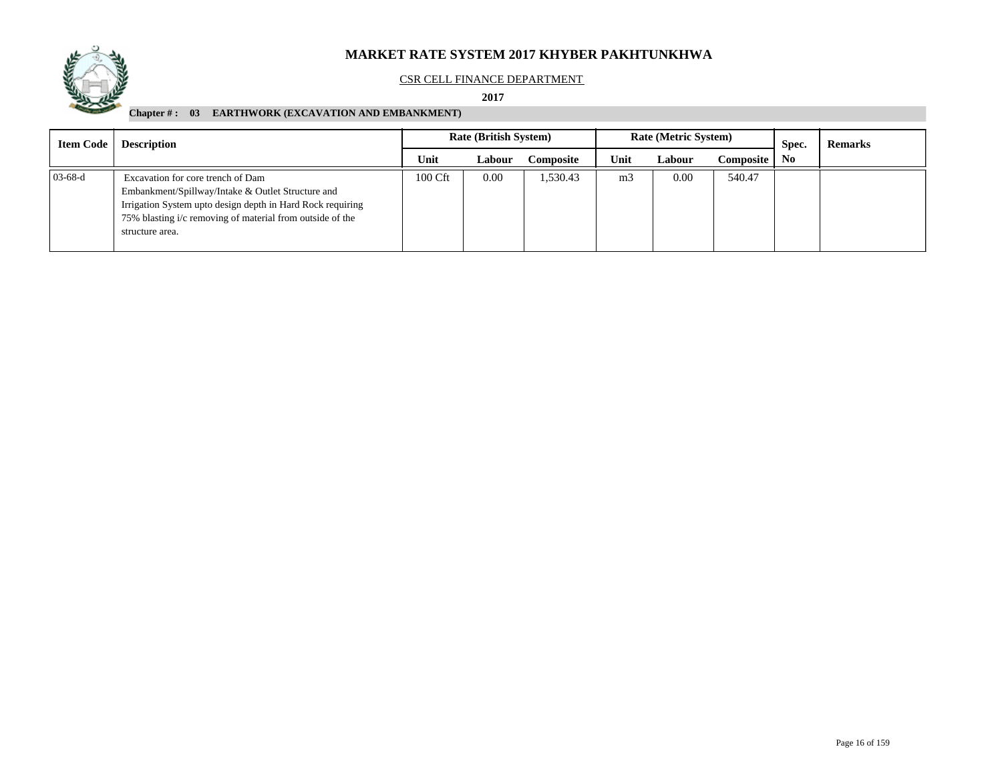

#### CSR CELL FINANCE DEPARTMENT

 **2017** 

| <b>Item Code</b> | <b>Description</b>                                                                                                                                                                                                                   | <b>Rate (British System)</b> |        |           |                | <b>Rate (Metric System)</b> |           | Spec.          | <b>Remarks</b> |
|------------------|--------------------------------------------------------------------------------------------------------------------------------------------------------------------------------------------------------------------------------------|------------------------------|--------|-----------|----------------|-----------------------------|-----------|----------------|----------------|
|                  |                                                                                                                                                                                                                                      | Unit                         | Labour | Composite | Unit           | Labour                      | Composite | N <sub>0</sub> |                |
| $03-68-d$        | Excavation for core trench of Dam<br>Embankment/Spillway/Intake & Outlet Structure and<br>Irrigation System upto design depth in Hard Rock requiring<br>75% blasting i/c removing of material from outside of the<br>structure area. | 100 Cft                      | 0.00   | 1.530.43  | m <sub>3</sub> | 0.00                        | 540.47    |                |                |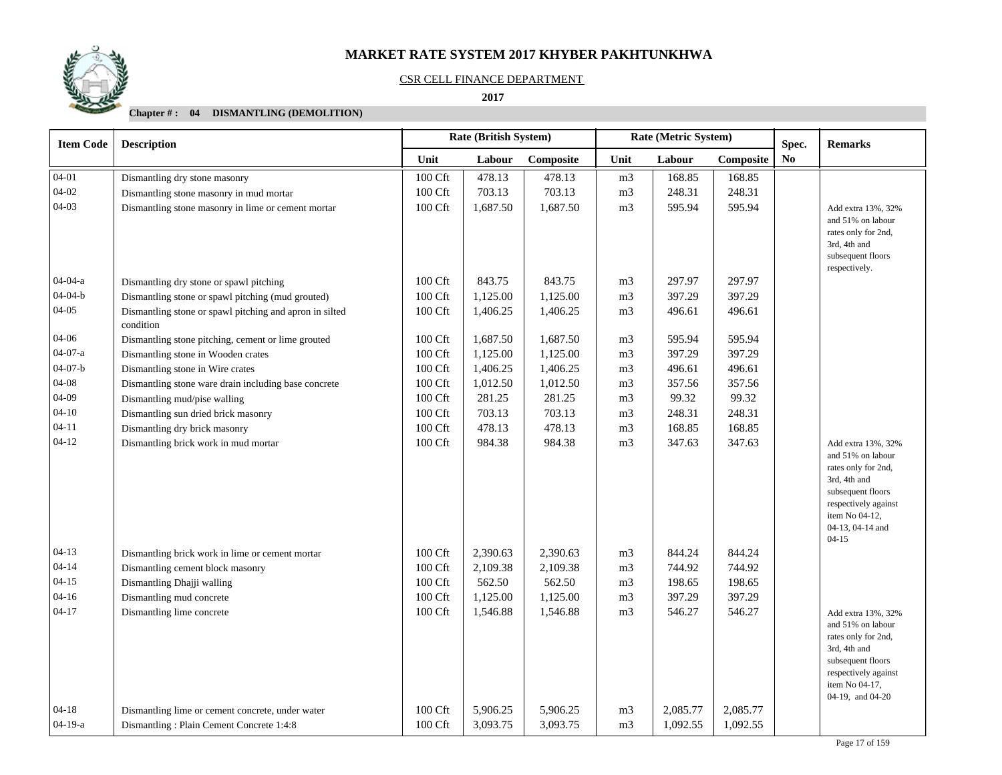#### CSR CELL FINANCE DEPARTMENT

 **2017** 

| <b>Item Code</b> | <b>Description</b>                                                   |                     | Rate (British System) |           |                | Rate (Metric System) |           | Spec. | <b>Remarks</b>                                                                                                                                                                 |
|------------------|----------------------------------------------------------------------|---------------------|-----------------------|-----------|----------------|----------------------|-----------|-------|--------------------------------------------------------------------------------------------------------------------------------------------------------------------------------|
|                  |                                                                      | Unit                | Labour                | Composite | Unit           | Labour               | Composite | No    |                                                                                                                                                                                |
| $04 - 01$        | Dismantling dry stone masonry                                        | 100 Cft             | 478.13                | 478.13    | m <sub>3</sub> | 168.85               | 168.85    |       |                                                                                                                                                                                |
| $04 - 02$        | Dismantling stone masonry in mud mortar                              | $100\ \mathrm{Cft}$ | 703.13                | 703.13    | m <sub>3</sub> | 248.31               | 248.31    |       |                                                                                                                                                                                |
| $04 - 03$        | Dismantling stone masonry in lime or cement mortar                   | 100 Cft             | 1,687.50              | 1,687.50  | m <sub>3</sub> | 595.94               | 595.94    |       | Add extra 13%, 32%<br>and 51% on labour<br>rates only for 2nd,<br>3rd, 4th and<br>subsequent floors<br>respectively.                                                           |
| $04 - 04 - a$    | Dismantling dry stone or spawl pitching                              | 100 Cft             | 843.75                | 843.75    | m <sub>3</sub> | 297.97               | 297.97    |       |                                                                                                                                                                                |
| $04 - 04 - b$    | Dismantling stone or spawl pitching (mud grouted)                    | 100 Cft             | 1,125.00              | 1,125.00  | m <sub>3</sub> | 397.29               | 397.29    |       |                                                                                                                                                                                |
| $04 - 05$        | Dismantling stone or spawl pitching and apron in silted<br>condition | 100 Cft             | 1,406.25              | 1,406.25  | m <sub>3</sub> | 496.61               | 496.61    |       |                                                                                                                                                                                |
| 04-06            | Dismantling stone pitching, cement or lime grouted                   | 100 Cft             | 1,687.50              | 1,687.50  | m <sub>3</sub> | 595.94               | 595.94    |       |                                                                                                                                                                                |
| $04-07-a$        | Dismantling stone in Wooden crates                                   | 100 Cft             | 1,125.00              | 1,125.00  | m <sub>3</sub> | 397.29               | 397.29    |       |                                                                                                                                                                                |
| $04 - 07 - b$    | Dismantling stone in Wire crates                                     | 100 Cft             | 1,406.25              | 1,406.25  | m <sub>3</sub> | 496.61               | 496.61    |       |                                                                                                                                                                                |
| $04 - 08$        | Dismantling stone ware drain including base concrete                 | 100 Cft             | 1,012.50              | 1,012.50  | m <sub>3</sub> | 357.56               | 357.56    |       |                                                                                                                                                                                |
| $04-09$          | Dismantling mud/pise walling                                         | 100 Cft             | 281.25                | 281.25    | m <sub>3</sub> | 99.32                | 99.32     |       |                                                                                                                                                                                |
| $04 - 10$        | Dismantling sun dried brick masonry                                  | 100 Cft             | 703.13                | 703.13    | m <sub>3</sub> | 248.31               | 248.31    |       |                                                                                                                                                                                |
| $04 - 11$        | Dismantling dry brick masonry                                        | 100 Cft             | 478.13                | 478.13    | m <sub>3</sub> | 168.85               | 168.85    |       |                                                                                                                                                                                |
| $04-12$          | Dismantling brick work in mud mortar                                 | 100 Cft             | 984.38                | 984.38    | m <sub>3</sub> | 347.63               | 347.63    |       | Add extra 13%, 32%<br>and 51% on labour<br>rates only for 2nd,<br>3rd, 4th and<br>subsequent floors<br>respectively against<br>item No 04-12,<br>04-13, 04-14 and<br>$04 - 15$ |
| $04 - 13$        | Dismantling brick work in lime or cement mortar                      | 100 Cft             | 2,390.63              | 2,390.63  | m <sub>3</sub> | 844.24               | 844.24    |       |                                                                                                                                                                                |
| $04 - 14$        | Dismantling cement block masonry                                     | 100 Cft             | 2,109.38              | 2,109.38  | m <sub>3</sub> | 744.92               | 744.92    |       |                                                                                                                                                                                |
| $04 - 15$        | Dismantling Dhajji walling                                           | 100 Cft             | 562.50                | 562.50    | m <sub>3</sub> | 198.65               | 198.65    |       |                                                                                                                                                                                |
| $04 - 16$        | Dismantling mud concrete                                             | 100 Cft             | 1,125.00              | 1,125.00  | m <sub>3</sub> | 397.29               | 397.29    |       |                                                                                                                                                                                |
| $04 - 17$        | Dismantling lime concrete                                            | 100 Cft             | 1,546.88              | 1,546.88  | m <sub>3</sub> | 546.27               | 546.27    |       | Add extra 13%, 32%<br>and 51% on labour<br>rates only for 2nd,<br>3rd, 4th and<br>subsequent floors<br>respectively against<br>item No 04-17,<br>04-19, and 04-20              |
| $04 - 18$        | Dismantling lime or cement concrete, under water                     | 100 Cft             | 5,906.25              | 5,906.25  | m <sub>3</sub> | 2,085.77             | 2,085.77  |       |                                                                                                                                                                                |
| $04-19-a$        | Dismantling: Plain Cement Concrete 1:4:8                             | 100 Cft             | 3,093.75              | 3,093.75  | m <sub>3</sub> | 1,092.55             | 1,092.55  |       |                                                                                                                                                                                |

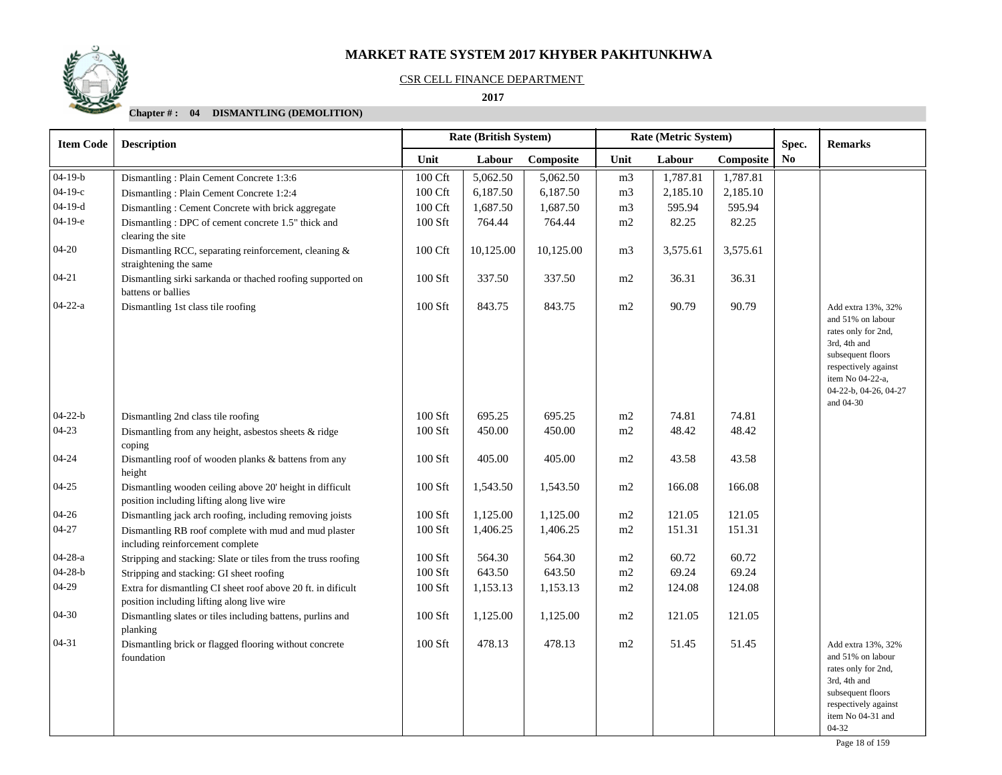#### CSR CELL FINANCE DEPARTMENT

 **2017** 

| <b>Item Code</b> | <b>Description</b>                                                                                         |           | <b>Rate (British System)</b> |           |                | Rate (Metric System) |           | Spec.          | <b>Remarks</b>                                                                                                                                                                        |
|------------------|------------------------------------------------------------------------------------------------------------|-----------|------------------------------|-----------|----------------|----------------------|-----------|----------------|---------------------------------------------------------------------------------------------------------------------------------------------------------------------------------------|
|                  |                                                                                                            | Unit      | Labour                       | Composite | Unit           | Labour               | Composite | N <sub>0</sub> |                                                                                                                                                                                       |
| $04-19-b$        | Dismantling: Plain Cement Concrete 1:3:6                                                                   | 100 Cft   | 5,062.50                     | 5,062.50  | m <sub>3</sub> | 1,787.81             | 1,787.81  |                |                                                                                                                                                                                       |
| $04-19-c$        | Dismantling: Plain Cement Concrete 1:2:4                                                                   | 100 Cft   | 6,187.50                     | 6,187.50  | m <sub>3</sub> | 2,185.10             | 2,185.10  |                |                                                                                                                                                                                       |
| $04-19-d$        | Dismantling: Cement Concrete with brick aggregate                                                          | 100 Cft   | 1,687.50                     | 1,687.50  | m <sub>3</sub> | 595.94               | 595.94    |                |                                                                                                                                                                                       |
| $04-19-e$        | Dismantling: DPC of cement concrete 1.5" thick and<br>clearing the site                                    | 100 Sft   | 764.44                       | 764.44    | m2             | 82.25                | 82.25     |                |                                                                                                                                                                                       |
| $04 - 20$        | Dismantling RCC, separating reinforcement, cleaning &<br>straightening the same                            | 100 Cft   | 10,125.00                    | 10,125.00 | m <sub>3</sub> | 3,575.61             | 3,575.61  |                |                                                                                                                                                                                       |
| $04 - 21$        | Dismantling sirki sarkanda or thached roofing supported on<br>battens or ballies                           | 100 Sft   | 337.50                       | 337.50    | m2             | 36.31                | 36.31     |                |                                                                                                                                                                                       |
| $04-22-a$        | Dismantling 1st class tile roofing                                                                         | 100 Sft   | 843.75                       | 843.75    | m2             | 90.79                | 90.79     |                | Add extra 13%, 32%<br>and 51% on labour<br>rates only for 2nd,<br>3rd, 4th and<br>subsequent floors<br>respectively against<br>item No 04-22-a,<br>04-22-b, 04-26, 04-27<br>and 04-30 |
| $04 - 22 - b$    | Dismantling 2nd class tile roofing                                                                         | $100$ Sft | 695.25                       | 695.25    | m2             | 74.81                | 74.81     |                |                                                                                                                                                                                       |
| $04-23$          | Dismantling from any height, asbestos sheets $&$ ridge<br>coping                                           | 100 Sft   | 450.00                       | 450.00    | m2             | 48.42                | 48.42     |                |                                                                                                                                                                                       |
| $04 - 24$        | Dismantling roof of wooden planks & battens from any<br>height                                             | 100 Sft   | 405.00                       | 405.00    | m2             | 43.58                | 43.58     |                |                                                                                                                                                                                       |
| $04 - 25$        | Dismantling wooden ceiling above 20' height in difficult<br>position including lifting along live wire     | 100 Sft   | 1,543.50                     | 1,543.50  | m2             | 166.08               | 166.08    |                |                                                                                                                                                                                       |
| $04 - 26$        | Dismantling jack arch roofing, including removing joists                                                   | 100 Sft   | 1,125.00                     | 1,125.00  | $\rm m2$       | 121.05               | 121.05    |                |                                                                                                                                                                                       |
| $04 - 27$        | Dismantling RB roof complete with mud and mud plaster<br>including reinforcement complete                  | 100 Sft   | 1,406.25                     | 1,406.25  | m2             | 151.31               | 151.31    |                |                                                                                                                                                                                       |
| $04 - 28 - a$    | Stripping and stacking: Slate or tiles from the truss roofing                                              | 100 Sft   | 564.30                       | 564.30    | m2             | 60.72                | 60.72     |                |                                                                                                                                                                                       |
| $04 - 28 - b$    | Stripping and stacking: GI sheet roofing                                                                   | 100 Sft   | 643.50                       | 643.50    | m2             | 69.24                | 69.24     |                |                                                                                                                                                                                       |
| $04-29$          | Extra for dismantling CI sheet roof above 20 ft. in dificult<br>position including lifting along live wire | 100 Sft   | 1,153.13                     | 1,153.13  | m2             | 124.08               | 124.08    |                |                                                                                                                                                                                       |
| $04 - 30$        | Dismantling slates or tiles including battens, purlins and<br>planking                                     | $100$ Sft | 1,125.00                     | 1,125.00  | m2             | 121.05               | 121.05    |                |                                                                                                                                                                                       |
| $04 - 31$        | Dismantling brick or flagged flooring without concrete<br>foundation                                       | 100 Sft   | 478.13                       | 478.13    | m2             | 51.45                | 51.45     |                | Add extra 13%, 32%<br>and 51% on labour<br>rates only for 2nd,<br>3rd, 4th and<br>subsequent floors<br>respectively against<br>item No 04-31 and<br>$04-32$                           |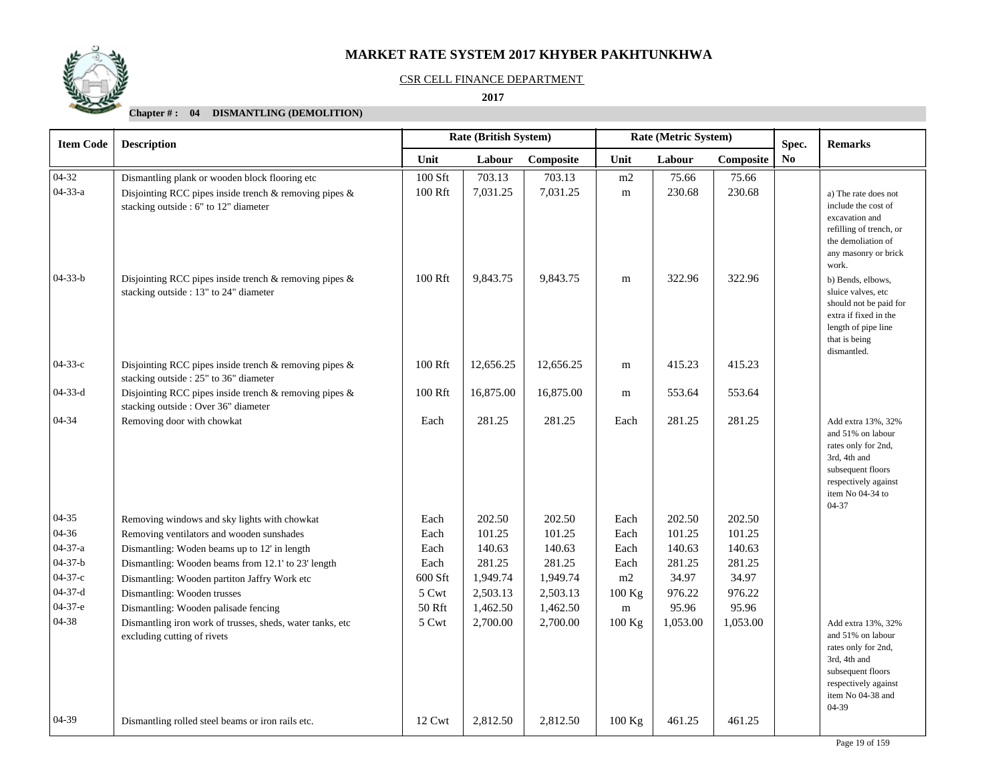#### CSR CELL FINANCE DEPARTMENT

 **2017** 

| <b>Item Code</b> | <b>Description</b>                                                                                     |         | Rate (British System) |           | Rate (Metric System) |          | Spec.     | <b>Remarks</b> |                                                                                                                                                            |
|------------------|--------------------------------------------------------------------------------------------------------|---------|-----------------------|-----------|----------------------|----------|-----------|----------------|------------------------------------------------------------------------------------------------------------------------------------------------------------|
|                  |                                                                                                        | Unit    | Labour                | Composite | Unit                 | Labour   | Composite | No             |                                                                                                                                                            |
| $04-32$          | Dismantling plank or wooden block flooring etc                                                         | 100 Sft | 703.13                | 703.13    | m2                   | 75.66    | 75.66     |                |                                                                                                                                                            |
| $04 - 33 - a$    | Disjointing RCC pipes inside trench & removing pipes &<br>stacking outside : 6" to 12" diameter        | 100 Rft | 7,031.25              | 7,031.25  | m                    | 230.68   | 230.68    |                | a) The rate does not<br>include the cost of<br>excavation and<br>refilling of trench, or<br>the demoliation of<br>any masonry or brick                     |
| $04 - 33 - b$    | Disjointing RCC pipes inside trench & removing pipes &<br>stacking outside : 13" to 24" diameter       | 100 Rft | 9,843.75              | 9,843.75  | ${\rm m}$            | 322.96   | 322.96    |                | work.<br>b) Bends, elbows,<br>sluice valves, etc<br>should not be paid for<br>extra if fixed in the<br>length of pipe line<br>that is being<br>dismantled. |
| $04 - 33 - c$    | Disjointing RCC pipes inside trench $\&$ removing pipes $\&$<br>stacking outside : 25" to 36" diameter | 100 Rft | 12,656.25             | 12,656.25 | ${\bf m}$            | 415.23   | 415.23    |                |                                                                                                                                                            |
| $04 - 33 - d$    | Disjointing RCC pipes inside trench $\&$ removing pipes $\&$<br>stacking outside : Over 36" diameter   | 100 Rft | 16,875.00             | 16,875.00 | m                    | 553.64   | 553.64    |                |                                                                                                                                                            |
| 04-34            | Removing door with chowkat                                                                             | Each    | 281.25                | 281.25    | Each                 | 281.25   | 281.25    |                | Add extra 13%, 32%<br>and 51% on labour<br>rates only for 2nd,<br>3rd, 4th and<br>subsequent floors<br>respectively against<br>item No 04-34 to<br>04-37   |
| 04-35            | Removing windows and sky lights with chowkat                                                           | Each    | 202.50                | 202.50    | Each                 | 202.50   | 202.50    |                |                                                                                                                                                            |
| 04-36            | Removing ventilators and wooden sunshades                                                              | Each    | 101.25                | 101.25    | Each                 | 101.25   | 101.25    |                |                                                                                                                                                            |
| 04-37-a          | Dismantling: Woden beams up to 12' in length                                                           | Each    | 140.63                | 140.63    | Each                 | 140.63   | 140.63    |                |                                                                                                                                                            |
| $04 - 37 - b$    | Dismantling: Wooden beams from 12.1' to 23' length                                                     | Each    | 281.25                | 281.25    | Each                 | 281.25   | 281.25    |                |                                                                                                                                                            |
| $04 - 37 - c$    | Dismantling: Wooden partiton Jaffry Work etc                                                           | 600 Sft | 1,949.74              | 1,949.74  | m2                   | 34.97    | 34.97     |                |                                                                                                                                                            |
| $04 - 37 - d$    | Dismantling: Wooden trusses                                                                            | 5 Cwt   | 2,503.13              | 2,503.13  | 100 Kg               | 976.22   | 976.22    |                |                                                                                                                                                            |
| 04-37-е          | Dismantling: Wooden palisade fencing                                                                   | 50 Rft  | 1,462.50              | 1,462.50  | ${\rm m}$            | 95.96    | 95.96     |                |                                                                                                                                                            |
| 04-38            | Dismantling iron work of trusses, sheds, water tanks, etc<br>excluding cutting of rivets               | 5 Cwt   | 2,700.00              | 2,700.00  | 100 Kg               | 1,053.00 | 1,053.00  |                | Add extra 13%, 32%<br>and 51% on labour<br>rates only for 2nd,<br>3rd, 4th and<br>subsequent floors<br>respectively against<br>item No 04-38 and<br>04-39  |
| 04-39            | Dismantling rolled steel beams or iron rails etc.                                                      | 12 Cwt  | 2,812.50              | 2,812.50  | 100 Kg               | 461.25   | 461.25    |                |                                                                                                                                                            |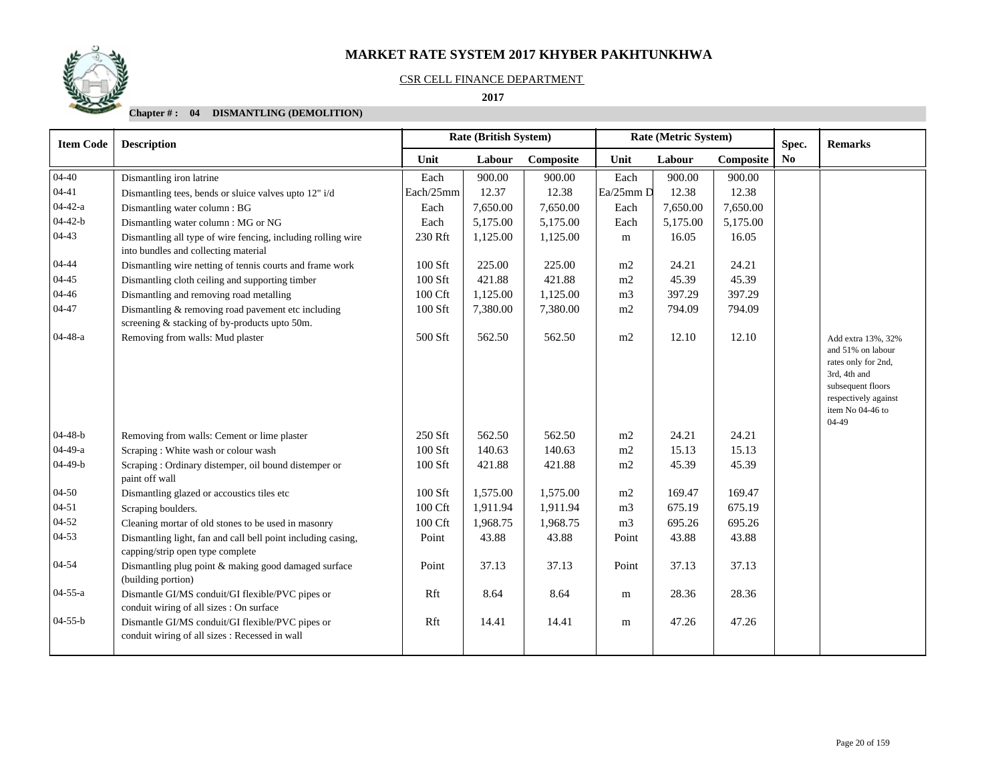#### CSR CELL FINANCE DEPARTMENT

 **2017** 

| <b>Item Code</b> | <b>Description</b>                                                                                   |           | <b>Rate (British System)</b> |           |                | Rate (Metric System) |           | Spec.          | <b>Remarks</b>                                                                                                                                             |
|------------------|------------------------------------------------------------------------------------------------------|-----------|------------------------------|-----------|----------------|----------------------|-----------|----------------|------------------------------------------------------------------------------------------------------------------------------------------------------------|
|                  |                                                                                                      | Unit      | Labour                       | Composite | Unit           | Labour               | Composite | N <sub>0</sub> |                                                                                                                                                            |
| $04 - 40$        | Dismantling iron latrine                                                                             | Each      | 900.00                       | 900.00    | Each           | 900.00               | 900.00    |                |                                                                                                                                                            |
| $04 - 41$        | Dismantling tees, bends or sluice valves upto 12" i/d                                                | Each/25mm | 12.37                        | 12.38     | $Ea/25mm$ D    | 12.38                | 12.38     |                |                                                                                                                                                            |
| $04 - 42 - a$    | Dismantling water column: BG                                                                         | Each      | 7,650.00                     | 7,650.00  | Each           | 7,650.00             | 7,650.00  |                |                                                                                                                                                            |
| $04 - 42 - b$    | Dismantling water column : MG or NG                                                                  | Each      | 5,175.00                     | 5,175.00  | Each           | 5,175.00             | 5,175.00  |                |                                                                                                                                                            |
| $04 - 43$        | Dismantling all type of wire fencing, including rolling wire<br>into bundles and collecting material | 230 Rft   | 1,125.00                     | 1,125.00  | m              | 16.05                | 16.05     |                |                                                                                                                                                            |
| $04 - 44$        | Dismantling wire netting of tennis courts and frame work                                             | 100 Sft   | 225.00                       | 225.00    | m2             | 24.21                | 24.21     |                |                                                                                                                                                            |
| $04 - 45$        | Dismantling cloth ceiling and supporting timber                                                      | 100 Sft   | 421.88                       | 421.88    | m2             | 45.39                | 45.39     |                |                                                                                                                                                            |
| $04 - 46$        | Dismantling and removing road metalling                                                              | 100 Cft   | 1,125.00                     | 1,125.00  | m <sub>3</sub> | 397.29               | 397.29    |                |                                                                                                                                                            |
| $04 - 47$        | Dismantling & removing road pavement etc including<br>screening & stacking of by-products upto 50m.  | 100 Sft   | 7,380.00                     | 7,380.00  | m2             | 794.09               | 794.09    |                |                                                                                                                                                            |
| $04-48-a$        | Removing from walls: Mud plaster                                                                     | 500 Sft   | 562.50                       | 562.50    | m2             | 12.10                | 12.10     |                | Add extra 13%, 32%<br>and 51% on labour<br>rates only for 2nd,<br>3rd, 4th and<br>subsequent floors<br>respectively against<br>item No 04-46 to<br>$04-49$ |
| $04-48-b$        | Removing from walls: Cement or lime plaster                                                          | 250 Sft   | 562.50                       | 562.50    | m2             | 24.21                | 24.21     |                |                                                                                                                                                            |
| $04-49-a$        | Scraping: White wash or colour wash                                                                  | 100 Sft   | 140.63                       | 140.63    | m2             | 15.13                | 15.13     |                |                                                                                                                                                            |
| $04-49-b$        | Scraping : Ordinary distemper, oil bound distemper or<br>paint off wall                              | $100$ Sft | 421.88                       | 421.88    | m2             | 45.39                | 45.39     |                |                                                                                                                                                            |
| $04 - 50$        | Dismantling glazed or accoustics tiles etc                                                           | 100 Sft   | 1,575.00                     | 1,575.00  | m2             | 169.47               | 169.47    |                |                                                                                                                                                            |
| $04 - 51$        | Scraping boulders.                                                                                   | 100 Cft   | 1,911.94                     | 1,911.94  | m <sub>3</sub> | 675.19               | 675.19    |                |                                                                                                                                                            |
| $04 - 52$        | Cleaning mortar of old stones to be used in masonry                                                  | 100 Cft   | 1,968.75                     | 1,968.75  | m <sub>3</sub> | 695.26               | 695.26    |                |                                                                                                                                                            |
| $04 - 53$        | Dismantling light, fan and call bell point including casing,<br>capping/strip open type complete     | Point     | 43.88                        | 43.88     | Point          | 43.88                | 43.88     |                |                                                                                                                                                            |
| 04-54            | Dismantling plug point & making good damaged surface<br>(building portion)                           | Point     | 37.13                        | 37.13     | Point          | 37.13                | 37.13     |                |                                                                                                                                                            |
| $04 - 55 - a$    | Dismantle GI/MS conduit/GI flexible/PVC pipes or<br>conduit wiring of all sizes : On surface         | Rft       | 8.64                         | 8.64      | m              | 28.36                | 28.36     |                |                                                                                                                                                            |
| $04 - 55 - b$    | Dismantle GI/MS conduit/GI flexible/PVC pipes or<br>conduit wiring of all sizes : Recessed in wall   | Rft       | 14.41                        | 14.41     | ${\rm m}$      | 47.26                | 47.26     |                |                                                                                                                                                            |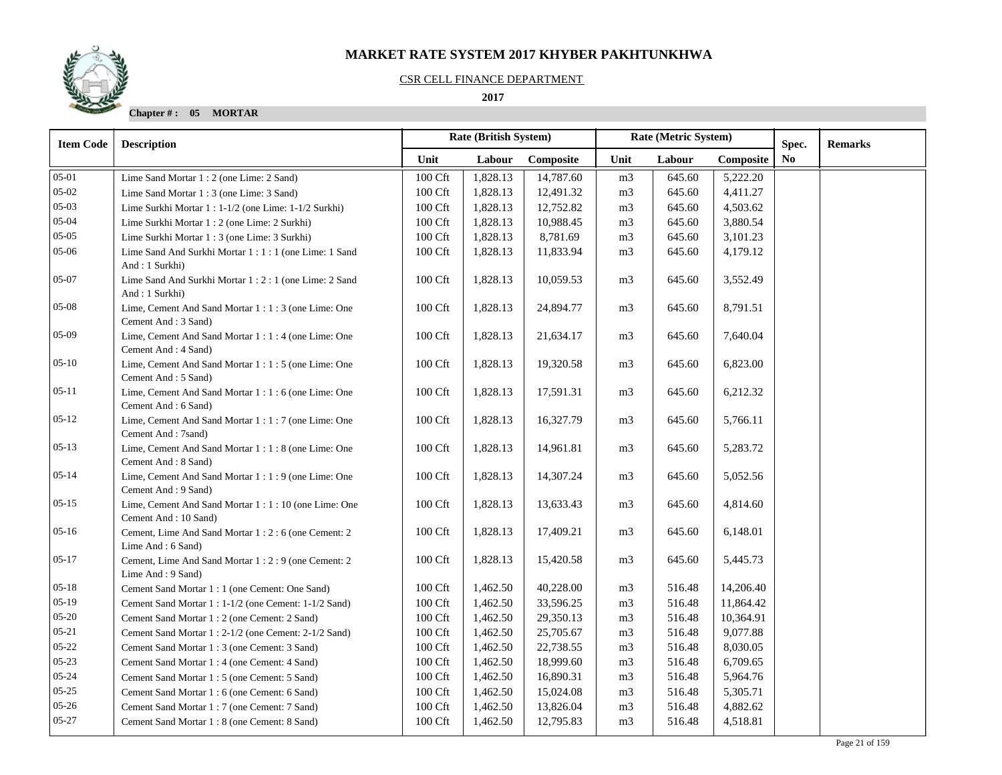#### CSR CELL FINANCE DEPARTMENT

 **2017** 

**Chapter # : 05 MORTAR**

| <b>Item Code</b> | Rate (British System)<br><b>Description</b>                                   |                     | Rate (Metric System) |           |                | Spec.  | <b>Remarks</b> |                |  |
|------------------|-------------------------------------------------------------------------------|---------------------|----------------------|-----------|----------------|--------|----------------|----------------|--|
|                  |                                                                               | Unit                | Labour               | Composite | Unit           | Labour | Composite      | N <sub>0</sub> |  |
| $05-01$          | Lime Sand Mortar 1 : 2 (one Lime: 2 Sand)                                     | $100\ \mathrm{Cft}$ | 1,828.13             | 14,787.60 | m <sub>3</sub> | 645.60 | 5,222.20       |                |  |
| $05 - 02$        | Lime Sand Mortar 1 : 3 (one Lime: 3 Sand)                                     | 100 Cft             | 1,828.13             | 12,491.32 | m <sub>3</sub> | 645.60 | 4,411.27       |                |  |
| $05-03$          | Lime Surkhi Mortar 1 : 1-1/2 (one Lime: 1-1/2 Surkhi)                         | 100 Cft             | 1,828.13             | 12,752.82 | m <sub>3</sub> | 645.60 | 4,503.62       |                |  |
| $05 - 04$        | Lime Surkhi Mortar 1 : 2 (one Lime: 2 Surkhi)                                 | 100 Cft             | 1,828.13             | 10,988.45 | m <sub>3</sub> | 645.60 | 3,880.54       |                |  |
| 05-05            | Lime Surkhi Mortar 1 : 3 (one Lime: 3 Surkhi)                                 | 100 Cft             | 1,828.13             | 8,781.69  | m3             | 645.60 | 3,101.23       |                |  |
| $05 - 06$        | Lime Sand And Surkhi Mortar 1:1:1 (one Lime: 1 Sand<br>And: 1 Surkhi)         | 100 Cft             | 1,828.13             | 11,833.94 | m3             | 645.60 | 4,179.12       |                |  |
| 05-07            | Lime Sand And Surkhi Mortar 1 : 2 : 1 (one Lime: 2 Sand<br>And: 1 Surkhi)     | 100 Cft             | 1,828.13             | 10,059.53 | m <sub>3</sub> | 645.60 | 3,552.49       |                |  |
| $05-08$          | Lime, Cement And Sand Mortar 1 : 1 : 3 (one Lime: One<br>Cement And: 3 Sand)  | 100 Cft             | 1,828.13             | 24,894.77 | m3             | 645.60 | 8,791.51       |                |  |
| $05-09$          | Lime, Cement And Sand Mortar 1 : 1 : 4 (one Lime: One<br>Cement And : 4 Sand) | 100 Cft             | 1,828.13             | 21,634.17 | m <sub>3</sub> | 645.60 | 7,640.04       |                |  |
| $05 - 10$        | Lime, Cement And Sand Mortar 1:1:5 (one Lime: One<br>Cement And: 5 Sand)      | 100 Cft             | 1,828.13             | 19,320.58 | m <sub>3</sub> | 645.60 | 6,823.00       |                |  |
| $05 - 11$        | Lime, Cement And Sand Mortar 1:1:6 (one Lime: One<br>Cement And: 6 Sand)      | 100 Cft             | 1,828.13             | 17,591.31 | m <sub>3</sub> | 645.60 | 6,212.32       |                |  |
| $05-12$          | Lime, Cement And Sand Mortar 1:1:7 (one Lime: One<br>Cement And: 7sand)       | 100 Cft             | 1,828.13             | 16,327.79 | m <sub>3</sub> | 645.60 | 5,766.11       |                |  |
| $05-13$          | Lime, Cement And Sand Mortar 1:1:8 (one Lime: One<br>Cement And: 8 Sand)      | 100 Cft             | 1,828.13             | 14,961.81 | m3             | 645.60 | 5,283.72       |                |  |
| $05 - 14$        | Lime, Cement And Sand Mortar 1:1:9 (one Lime: One<br>Cement And: 9 Sand)      | 100 Cft             | 1,828.13             | 14,307.24 | m <sub>3</sub> | 645.60 | 5,052.56       |                |  |
| $05-15$          | Lime, Cement And Sand Mortar 1:1:10 (one Lime: One<br>Cement And: 10 Sand)    | 100 Cft             | 1,828.13             | 13,633.43 | m <sub>3</sub> | 645.60 | 4,814.60       |                |  |
| $05-16$          | Cement, Lime And Sand Mortar 1:2:6 (one Cement: 2<br>Lime And: 6 Sand)        | 100 Cft             | 1,828.13             | 17,409.21 | m3             | 645.60 | 6,148.01       |                |  |
| $05-17$          | Cement, Lime And Sand Mortar 1:2:9 (one Cement: 2)<br>Lime And: 9 Sand)       | 100 Cft             | 1,828.13             | 15,420.58 | m <sub>3</sub> | 645.60 | 5,445.73       |                |  |
| $05 - 18$        | Cement Sand Mortar 1 : 1 (one Cement: One Sand)                               | 100 Cft             | 1,462.50             | 40,228.00 | m <sub>3</sub> | 516.48 | 14,206.40      |                |  |
| $05-19$          | Cement Sand Mortar 1 : 1-1/2 (one Cement: 1-1/2 Sand)                         | 100 Cft             | 1,462.50             | 33,596.25 | m3             | 516.48 | 11,864.42      |                |  |
| $05 - 20$        | Cement Sand Mortar 1 : 2 (one Cement: 2 Sand)                                 | 100 Cft             | 1,462.50             | 29,350.13 | m3             | 516.48 | 10,364.91      |                |  |
| $05 - 21$        | Cement Sand Mortar 1 : 2-1/2 (one Cement: 2-1/2 Sand)                         | 100 Cft             | 1,462.50             | 25,705.67 | m <sub>3</sub> | 516.48 | 9,077.88       |                |  |
| $05 - 22$        | Cement Sand Mortar 1 : 3 (one Cement: 3 Sand)                                 | 100 Cft             | 1,462.50             | 22,738.55 | m3             | 516.48 | 8,030.05       |                |  |
| $05-23$          | Cement Sand Mortar 1 : 4 (one Cement: 4 Sand)                                 | 100 Cft             | 1,462.50             | 18,999.60 | m <sub>3</sub> | 516.48 | 6,709.65       |                |  |
| $05 - 24$        | Cement Sand Mortar 1:5 (one Cement: 5 Sand)                                   | 100 Cft             | 1,462.50             | 16,890.31 | m <sub>3</sub> | 516.48 | 5,964.76       |                |  |
| $05 - 25$        | Cement Sand Mortar 1:6 (one Cement: 6 Sand)                                   | $100 \mathrm{Cft}$  | 1,462.50             | 15,024.08 | m3             | 516.48 | 5,305.71       |                |  |
| $05 - 26$        | Cement Sand Mortar 1: 7 (one Cement: 7 Sand)                                  | 100 Cft             | 1,462.50             | 13,826.04 | m <sub>3</sub> | 516.48 | 4,882.62       |                |  |
| $05 - 27$        | Cement Sand Mortar 1:8 (one Cement: 8 Sand)                                   | 100 Cft             | 1,462.50             | 12,795.83 | m <sub>3</sub> | 516.48 | 4,518.81       |                |  |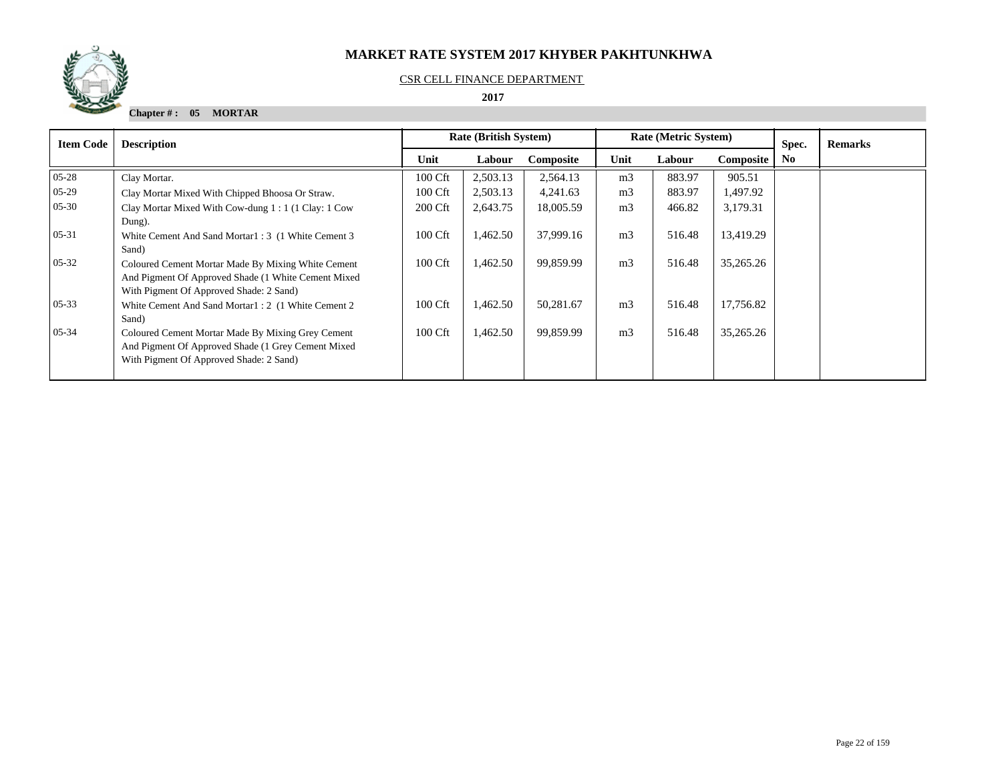

#### CSR CELL FINANCE DEPARTMENT

 **2017** 

**Chapter # : 05 MORTAR**

| <b>Item Code</b> | <b>Description</b>                                                                                                                                    | <b>Rate (British System)</b> |          |           | <b>Rate (Metric System)</b> |        | Spec.     | <b>Remarks</b> |  |
|------------------|-------------------------------------------------------------------------------------------------------------------------------------------------------|------------------------------|----------|-----------|-----------------------------|--------|-----------|----------------|--|
|                  |                                                                                                                                                       | Unit                         | Labour   | Composite | Unit                        | Labour | Composite | N <sub>0</sub> |  |
| $05 - 28$        | Clay Mortar.                                                                                                                                          | 100 Cft                      | 2,503.13 | 2,564.13  | m <sub>3</sub>              | 883.97 | 905.51    |                |  |
| $05-29$          | Clay Mortar Mixed With Chipped Bhoosa Or Straw.                                                                                                       | 100 Cft                      | 2,503.13 | 4,241.63  | m <sub>3</sub>              | 883.97 | 1,497.92  |                |  |
| $05 - 30$        | Clay Mortar Mixed With Cow-dung 1:1 (1 Clay: 1 Cow<br>Dung).                                                                                          | 200 Cft                      | 2,643.75 | 18,005.59 | m <sub>3</sub>              | 466.82 | 3,179.31  |                |  |
| $05 - 31$        | White Cement And Sand Mortar1: 3 (1 White Cement 3)<br>Sand)                                                                                          | 100 Cft                      | 1,462.50 | 37,999.16 | m <sub>3</sub>              | 516.48 | 13,419.29 |                |  |
| $05 - 32$        | Coloured Cement Mortar Made By Mixing White Cement<br>And Pigment Of Approved Shade (1 White Cement Mixed)<br>With Pigment Of Approved Shade: 2 Sand) | 100 Cft                      | 1,462.50 | 99,859.99 | m <sub>3</sub>              | 516.48 | 35,265.26 |                |  |
| $05 - 33$        | White Cement And Sand Mortar1: 2 (1 White Cement 2)<br>Sand)                                                                                          | 100 Cft                      | 1,462.50 | 50,281.67 | m <sub>3</sub>              | 516.48 | 17,756.82 |                |  |
| $05 - 34$        | Coloured Cement Mortar Made By Mixing Grey Cement<br>And Pigment Of Approved Shade (1 Grey Cement Mixed)<br>With Pigment Of Approved Shade: 2 Sand)   | 100 Cft                      | 1,462.50 | 99,859.99 | m <sub>3</sub>              | 516.48 | 35,265.26 |                |  |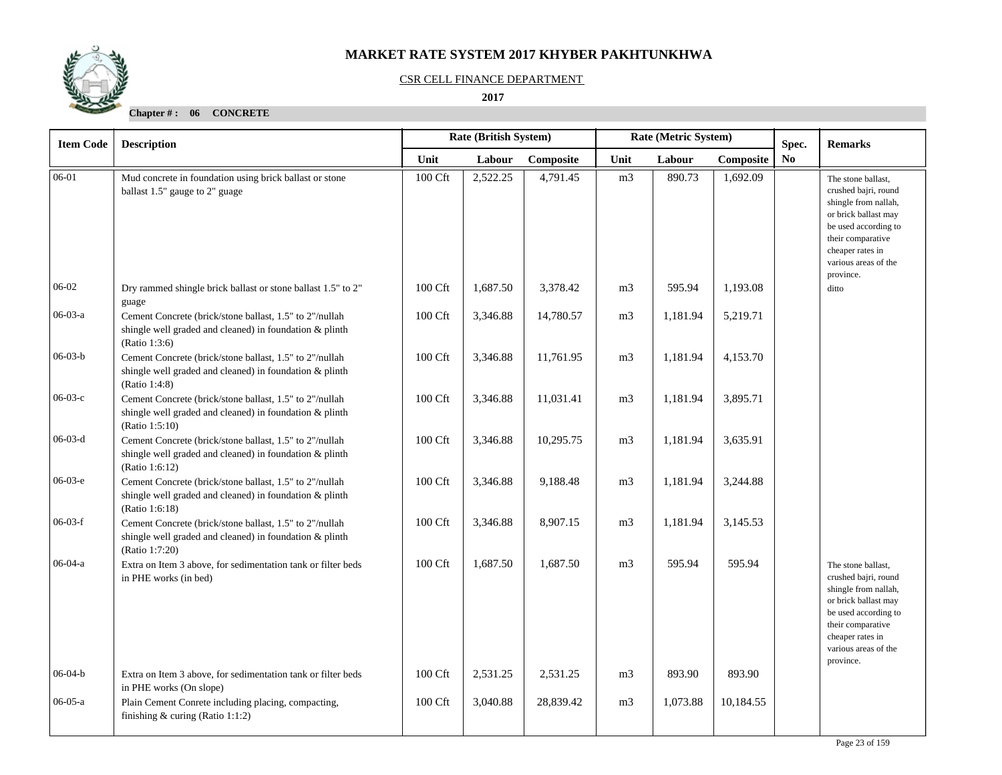

#### CSR CELL FINANCE DEPARTMENT

 **2017** 

| <b>Item Code</b> | <b>Description</b>                                                                                                                   |         | Rate (British System) |           |                | Rate (Metric System) | Spec.     | <b>Remarks</b> |                                                                                                                                                                                                  |
|------------------|--------------------------------------------------------------------------------------------------------------------------------------|---------|-----------------------|-----------|----------------|----------------------|-----------|----------------|--------------------------------------------------------------------------------------------------------------------------------------------------------------------------------------------------|
|                  |                                                                                                                                      | Unit    | Labour                | Composite | Unit           | Labour               | Composite | No             |                                                                                                                                                                                                  |
| 06-01            | Mud concrete in foundation using brick ballast or stone<br>ballast 1.5" gauge to 2" guage                                            | 100 Cft | 2,522.25              | 4,791.45  | m <sub>3</sub> | 890.73               | 1,692.09  |                | The stone ballast,<br>crushed bajri, round<br>shingle from nallah,<br>or brick ballast may<br>be used according to<br>their comparative<br>cheaper rates in<br>various areas of the<br>province. |
| 06-02            | Dry rammed shingle brick ballast or stone ballast 1.5" to 2"<br>guage                                                                | 100 Cft | 1,687.50              | 3,378.42  | m <sub>3</sub> | 595.94               | 1,193.08  |                | ditto                                                                                                                                                                                            |
| 06-03-a          | Cement Concrete (brick/stone ballast, 1.5" to 2"/nullah<br>shingle well graded and cleaned) in foundation & plinth<br>(Ratio 1:3:6)  | 100 Cft | 3,346.88              | 14,780.57 | m <sub>3</sub> | 1,181.94             | 5,219.71  |                |                                                                                                                                                                                                  |
| $06-03-b$        | Cement Concrete (brick/stone ballast, 1.5" to 2"/nullah<br>shingle well graded and cleaned) in foundation & plinth<br>(Ratio 1:4:8)  | 100 Cft | 3,346.88              | 11,761.95 | m <sub>3</sub> | 1,181.94             | 4,153.70  |                |                                                                                                                                                                                                  |
| $06-03-c$        | Cement Concrete (brick/stone ballast, 1.5" to 2"/nullah<br>shingle well graded and cleaned) in foundation & plinth<br>(Ratio 1:5:10) | 100 Cft | 3,346.88              | 11,031.41 | m <sub>3</sub> | 1,181.94             | 3,895.71  |                |                                                                                                                                                                                                  |
| $06-03-d$        | Cement Concrete (brick/stone ballast, 1.5" to 2"/nullah<br>shingle well graded and cleaned) in foundation & plinth<br>(Ratio 1:6:12) | 100 Cft | 3,346.88              | 10,295.75 | m <sub>3</sub> | 1,181.94             | 3,635.91  |                |                                                                                                                                                                                                  |
| $06-03-e$        | Cement Concrete (brick/stone ballast, 1.5" to 2"/nullah<br>shingle well graded and cleaned) in foundation & plinth<br>(Ratio 1:6:18) | 100 Cft | 3,346.88              | 9,188.48  | m <sub>3</sub> | 1,181.94             | 3,244.88  |                |                                                                                                                                                                                                  |
| $06-03-f$        | Cement Concrete (brick/stone ballast, 1.5" to 2"/nullah<br>shingle well graded and cleaned) in foundation & plinth<br>(Ratio 1:7:20) | 100 Cft | 3,346.88              | 8,907.15  | m <sub>3</sub> | 1,181.94             | 3,145.53  |                |                                                                                                                                                                                                  |
| $06-04-a$        | Extra on Item 3 above, for sedimentation tank or filter beds<br>in PHE works (in bed)                                                | 100 Cft | 1,687.50              | 1,687.50  | m <sub>3</sub> | 595.94               | 595.94    |                | The stone ballast,<br>crushed bajri, round<br>shingle from nallah,<br>or brick ballast may<br>be used according to<br>their comparative<br>cheaper rates in<br>various areas of the<br>province. |
| $06 - 04 - b$    | Extra on Item 3 above, for sedimentation tank or filter beds<br>in PHE works (On slope)                                              | 100 Cft | 2,531.25              | 2,531.25  | m <sub>3</sub> | 893.90               | 893.90    |                |                                                                                                                                                                                                  |
| $06-05-a$        | Plain Cement Conrete including placing, compacting,<br>finishing $&$ curing (Ratio 1:1:2)                                            | 100 Cft | 3,040.88              | 28,839.42 | m <sub>3</sub> | 1,073.88             | 10,184.55 |                |                                                                                                                                                                                                  |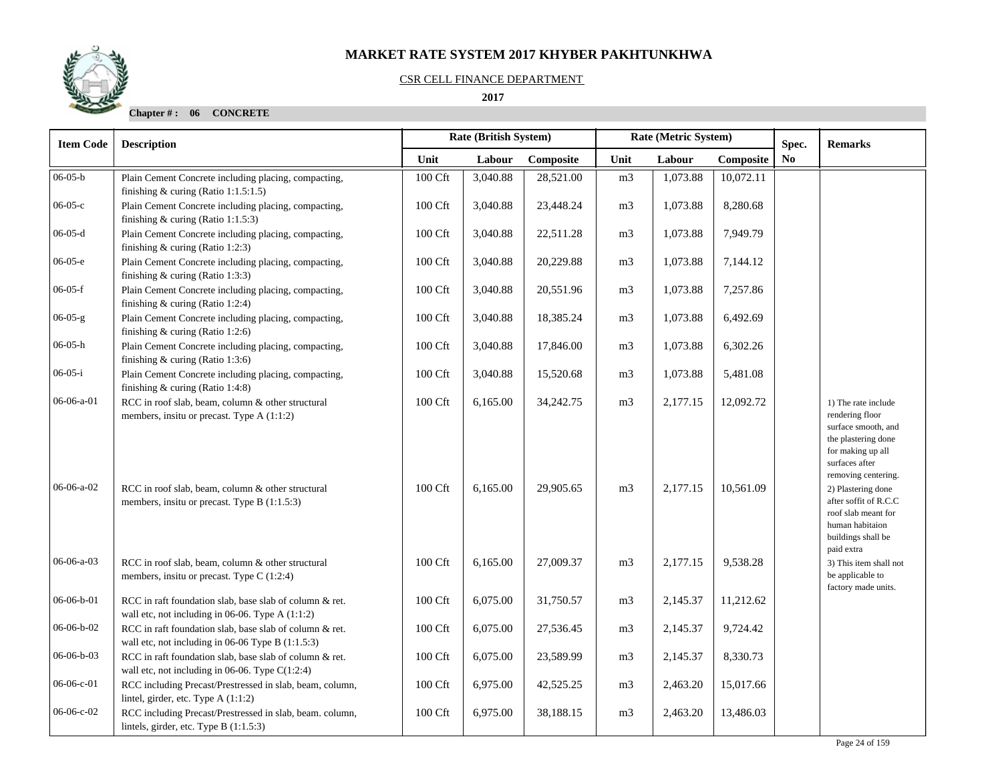#### CSR CELL FINANCE DEPARTMENT

 **2017** 

| <b>Item Code</b> | <b>Description</b>                                                                                           |                     | Rate (British System) |           |                | Rate (Metric System) | Spec.     | <b>Remarks</b> |                                                                                                                                                    |
|------------------|--------------------------------------------------------------------------------------------------------------|---------------------|-----------------------|-----------|----------------|----------------------|-----------|----------------|----------------------------------------------------------------------------------------------------------------------------------------------------|
|                  |                                                                                                              | Unit                | Labour                | Composite | Unit           | Labour               | Composite | N <sub>0</sub> |                                                                                                                                                    |
| $06 - 05 - b$    | Plain Cement Concrete including placing, compacting,<br>finishing $&$ curing (Ratio 1:1.5:1.5)               | 100 Cft             | 3,040.88              | 28,521.00 | m <sub>3</sub> | 1,073.88             | 10,072.11 |                |                                                                                                                                                    |
| $06-05-c$        | Plain Cement Concrete including placing, compacting,<br>finishing $&$ curing (Ratio 1:1.5:3)                 | 100 Cft             | 3,040.88              | 23,448.24 | m <sub>3</sub> | 1,073.88             | 8,280.68  |                |                                                                                                                                                    |
| $06-05-d$        | Plain Cement Concrete including placing, compacting,<br>finishing & curing (Ratio 1:2:3)                     | 100 Cft             | 3,040.88              | 22,511.28 | m <sub>3</sub> | 1,073.88             | 7,949.79  |                |                                                                                                                                                    |
| $06-05-e$        | Plain Cement Concrete including placing, compacting,<br>finishing $&$ curing (Ratio 1:3:3)                   | 100 Cft             | 3,040.88              | 20,229.88 | m <sub>3</sub> | 1,073.88             | 7,144.12  |                |                                                                                                                                                    |
| $06-05-f$        | Plain Cement Concrete including placing, compacting,<br>finishing $&$ curing (Ratio 1:2:4)                   | $100 \mathrm{Cft}$  | 3,040.88              | 20,551.96 | m <sub>3</sub> | 1,073.88             | 7,257.86  |                |                                                                                                                                                    |
| $06-05-g$        | Plain Cement Concrete including placing, compacting,<br>finishing $&$ curing (Ratio 1:2:6)                   | 100 Cft             | 3,040.88              | 18,385.24 | m <sub>3</sub> | 1,073.88             | 6,492.69  |                |                                                                                                                                                    |
| $06-05-h$        | Plain Cement Concrete including placing, compacting,<br>finishing $&$ curing (Ratio 1:3:6)                   | 100 Cft             | 3,040.88              | 17,846.00 | m <sub>3</sub> | 1,073.88             | 6,302.26  |                |                                                                                                                                                    |
| $06-05-i$        | Plain Cement Concrete including placing, compacting,<br>finishing & curing (Ratio 1:4:8)                     | 100 Cft             | 3,040.88              | 15,520.68 | m <sub>3</sub> | 1,073.88             | 5,481.08  |                |                                                                                                                                                    |
| 06-06-a-01       | RCC in roof slab, beam, column & other structural<br>members, insitu or precast. Type A (1:1:2)              | 100 Cft             | 6,165.00              | 34,242.75 | m <sub>3</sub> | 2,177.15             | 12,092.72 |                | 1) The rate include<br>rendering floor<br>surface smooth, and<br>the plastering done<br>for making up all<br>surfaces after<br>removing centering. |
| $06-06-a-02$     | RCC in roof slab, beam, column & other structural<br>members, insitu or precast. Type B (1:1.5:3)            | 100 Cft             | 6,165.00              | 29,905.65 | m <sub>3</sub> | 2,177.15             | 10,561.09 |                | 2) Plastering done<br>after soffit of R.C.C<br>roof slab meant for<br>human habitaion<br>buildings shall be<br>paid extra                          |
| $06-06-a-03$     | RCC in roof slab, beam, column & other structural<br>members, insitu or precast. Type $C(1:2:4)$             | 100 Cft             | 6,165.00              | 27,009.37 | m <sub>3</sub> | 2,177.15             | 9,538.28  |                | 3) This item shall not<br>be applicable to<br>factory made units.                                                                                  |
| 06-06-b-01       | RCC in raft foundation slab, base slab of column & ret.<br>wall etc, not including in 06-06. Type A (1:1:2)  | 100 Cft             | 6,075.00              | 31,750.57 | m <sub>3</sub> | 2,145.37             | 11,212.62 |                |                                                                                                                                                    |
| 06-06-b-02       | RCC in raft foundation slab, base slab of column & ret.<br>wall etc, not including in 06-06 Type B (1:1.5:3) | 100 Cft             | 6,075.00              | 27,536.45 | m <sub>3</sub> | 2,145.37             | 9,724.42  |                |                                                                                                                                                    |
| $06-06-b-03$     | RCC in raft foundation slab, base slab of column & ret.<br>wall etc, not including in 06-06. Type $C(1:2:4)$ | 100 Cft             | 6,075.00              | 23,589.99 | m <sub>3</sub> | 2,145.37             | 8,330.73  |                |                                                                                                                                                    |
| 06-06-c-01       | RCC including Precast/Prestressed in slab, beam, column,<br>lintel, girder, etc. Type A (1:1:2)              | $100\ \mathrm{Cft}$ | 6,975.00              | 42,525.25 | m <sub>3</sub> | 2,463.20             | 15,017.66 |                |                                                                                                                                                    |
| 06-06-с-02       | RCC including Precast/Prestressed in slab, beam. column,<br>lintels, girder, etc. Type B (1:1.5:3)           | 100 Cft             | 6,975.00              | 38,188.15 | m <sub>3</sub> | 2,463.20             | 13,486.03 |                |                                                                                                                                                    |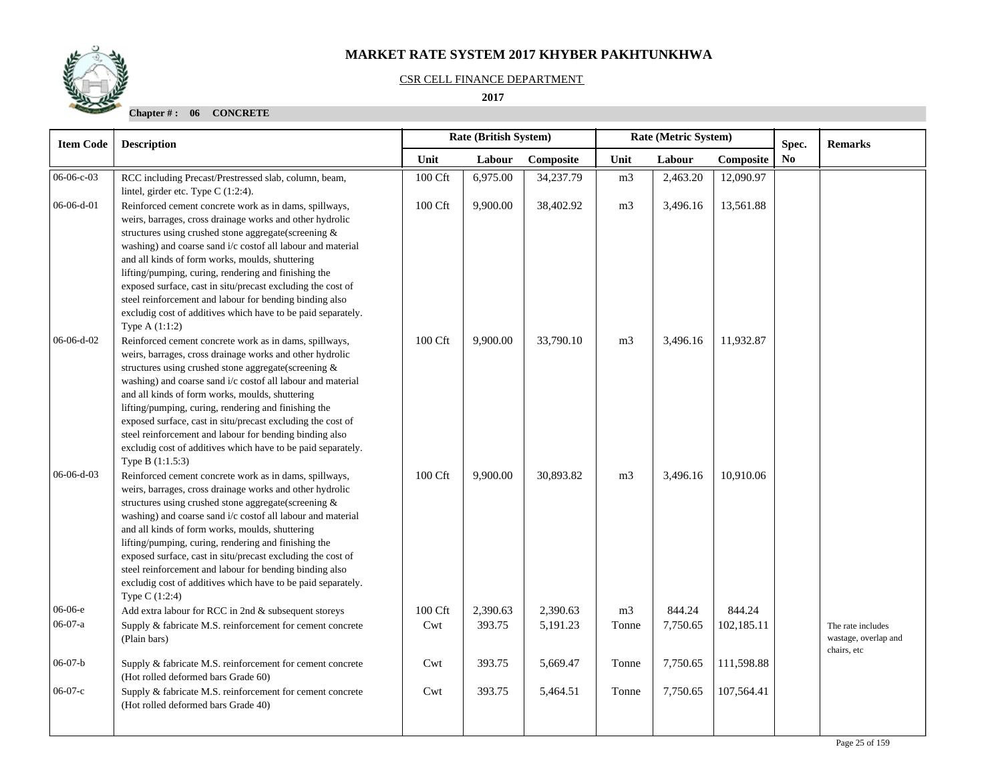

#### CSR CELL FINANCE DEPARTMENT

 **2017** 

| <b>Item Code</b> | <b>Description</b>                                                                                                                                                                                                                                                                                                                                                                                                                                                                                                                                                 | Rate (British System) |          |           |                | Rate (Metric System) |            | Spec.          | <b>Remarks</b>                                           |
|------------------|--------------------------------------------------------------------------------------------------------------------------------------------------------------------------------------------------------------------------------------------------------------------------------------------------------------------------------------------------------------------------------------------------------------------------------------------------------------------------------------------------------------------------------------------------------------------|-----------------------|----------|-----------|----------------|----------------------|------------|----------------|----------------------------------------------------------|
|                  |                                                                                                                                                                                                                                                                                                                                                                                                                                                                                                                                                                    | Unit                  | Labour   | Composite | Unit           | Labour               | Composite  | N <sub>0</sub> |                                                          |
| 06-06-c-03       | RCC including Precast/Prestressed slab, column, beam,<br>lintel, girder etc. Type C (1:2:4).                                                                                                                                                                                                                                                                                                                                                                                                                                                                       | 100 Cft               | 6,975.00 | 34,237.79 | m <sub>3</sub> | 2,463.20             | 12,090.97  |                |                                                          |
| 06-06-d-01       | Reinforced cement concrete work as in dams, spillways,<br>weirs, barrages, cross drainage works and other hydrolic<br>structures using crushed stone aggregate(screening &<br>washing) and coarse sand i/c costof all labour and material<br>and all kinds of form works, moulds, shuttering<br>lifting/pumping, curing, rendering and finishing the<br>exposed surface, cast in situ/precast excluding the cost of<br>steel reinforcement and labour for bending binding also<br>excludig cost of additives which have to be paid separately.<br>Type $A(1:1:2)$  | 100 Cft               | 9,900.00 | 38,402.92 | m <sub>3</sub> | 3,496.16             | 13,561.88  |                |                                                          |
| 06-06-d-02       | Reinforced cement concrete work as in dams, spillways,<br>weirs, barrages, cross drainage works and other hydrolic<br>structures using crushed stone aggregate(screening &<br>washing) and coarse sand i/c costof all labour and material<br>and all kinds of form works, moulds, shuttering<br>lifting/pumping, curing, rendering and finishing the<br>exposed surface, cast in situ/precast excluding the cost of<br>steel reinforcement and labour for bending binding also<br>excludig cost of additives which have to be paid separately.<br>Type B (1:1.5:3) | 100 Cft               | 9,900.00 | 33,790.10 | m <sub>3</sub> | 3,496.16             | 11,932.87  |                |                                                          |
| $06-06-d-03$     | Reinforced cement concrete work as in dams, spillways,<br>weirs, barrages, cross drainage works and other hydrolic<br>structures using crushed stone aggregate(screening &<br>washing) and coarse sand i/c costof all labour and material<br>and all kinds of form works, moulds, shuttering<br>lifting/pumping, curing, rendering and finishing the<br>exposed surface, cast in situ/precast excluding the cost of<br>steel reinforcement and labour for bending binding also<br>excludig cost of additives which have to be paid separately.<br>Type C (1:2:4)   | 100 Cft               | 9,900.00 | 30,893.82 | m <sub>3</sub> | 3,496.16             | 10,910.06  |                |                                                          |
| 06-06-е          | Add extra labour for RCC in 2nd & subsequent storeys                                                                                                                                                                                                                                                                                                                                                                                                                                                                                                               | 100 Cft               | 2,390.63 | 2,390.63  | m <sub>3</sub> | 844.24               | 844.24     |                |                                                          |
| $06-07-a$        | Supply & fabricate M.S. reinforcement for cement concrete<br>(Plain bars)                                                                                                                                                                                                                                                                                                                                                                                                                                                                                          | Cwt                   | 393.75   | 5,191.23  | Tonne          | 7,750.65             | 102,185.11 |                | The rate includes<br>wastage, overlap and<br>chairs, etc |
| $06-07-b$        | Supply & fabricate M.S. reinforcement for cement concrete<br>(Hot rolled deformed bars Grade 60)                                                                                                                                                                                                                                                                                                                                                                                                                                                                   | Cwt                   | 393.75   | 5,669.47  | Tonne          | 7,750.65             | 111,598.88 |                |                                                          |
| $06-07-c$        | Supply & fabricate M.S. reinforcement for cement concrete<br>(Hot rolled deformed bars Grade 40)                                                                                                                                                                                                                                                                                                                                                                                                                                                                   | Cwt                   | 393.75   | 5,464.51  | Tonne          | 7,750.65             | 107,564.41 |                |                                                          |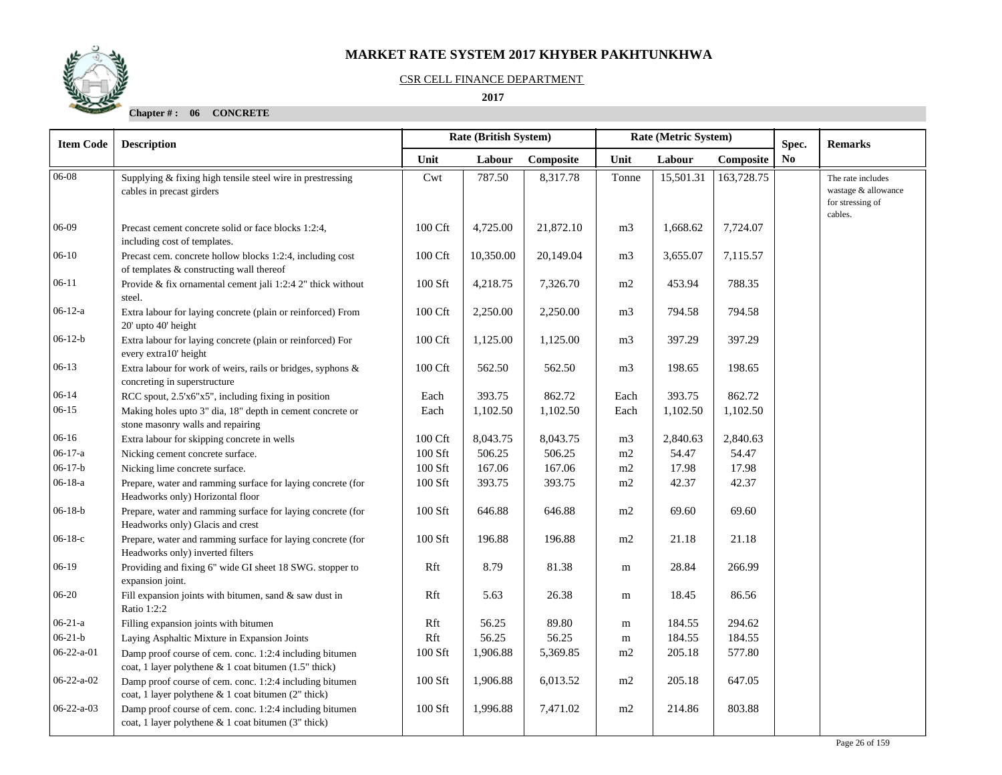

#### CSR CELL FINANCE DEPARTMENT

 **2017** 

| <b>Item Code</b>   | <b>Description</b>                                                                                               | <b>Rate (British System)</b><br>Rate (Metric System) |           |           |                | Spec.     | <b>Remarks</b> |                |                                                                         |
|--------------------|------------------------------------------------------------------------------------------------------------------|------------------------------------------------------|-----------|-----------|----------------|-----------|----------------|----------------|-------------------------------------------------------------------------|
|                    |                                                                                                                  | Unit                                                 | Labour    | Composite | Unit           | Labour    | Composite      | N <sub>0</sub> |                                                                         |
| 06-08              | Supplying & fixing high tensile steel wire in prestressing<br>cables in precast girders                          | Cwt                                                  | 787.50    | 8,317.78  | Tonne          | 15,501.31 | 163,728.75     |                | The rate includes<br>wastage & allowance<br>for stressing of<br>cables. |
| 06-09              | Precast cement concrete solid or face blocks 1:2:4,<br>including cost of templates.                              | 100 Cft                                              | 4,725.00  | 21,872.10 | m <sub>3</sub> | 1,668.62  | 7,724.07       |                |                                                                         |
| $06-10$            | Precast cem. concrete hollow blocks 1:2:4, including cost<br>of templates & constructing wall thereof            | 100 Cft                                              | 10,350.00 | 20,149.04 | m <sub>3</sub> | 3,655.07  | 7,115.57       |                |                                                                         |
| $06-11$            | Provide & fix ornamental cement jali 1:2:4 2" thick without<br>steel.                                            | 100 Sft                                              | 4,218.75  | 7,326.70  | m2             | 453.94    | 788.35         |                |                                                                         |
| $06-12-a$          | Extra labour for laying concrete (plain or reinforced) From<br>20' upto 40' height                               | 100 Cft                                              | 2,250.00  | 2,250.00  | m <sub>3</sub> | 794.58    | 794.58         |                |                                                                         |
| $06-12-b$          | Extra labour for laying concrete (plain or reinforced) For<br>every extra10' height                              | 100 Cft                                              | 1,125.00  | 1,125.00  | m <sub>3</sub> | 397.29    | 397.29         |                |                                                                         |
| $06-13$            | Extra labour for work of weirs, rails or bridges, syphons &<br>concreting in superstructure                      | 100 Cft                                              | 562.50    | 562.50    | m <sub>3</sub> | 198.65    | 198.65         |                |                                                                         |
| $06-14$            | RCC spout, 2.5'x6"x5", including fixing in position                                                              | Each                                                 | 393.75    | 862.72    | Each           | 393.75    | 862.72         |                |                                                                         |
| $06-15$            | Making holes upto 3" dia, 18" depth in cement concrete or<br>stone masonry walls and repairing                   | Each                                                 | 1,102.50  | 1,102.50  | Each           | 1,102.50  | 1,102.50       |                |                                                                         |
| $06-16$            | Extra labour for skipping concrete in wells                                                                      | 100 Cft                                              | 8,043.75  | 8,043.75  | m <sub>3</sub> | 2,840.63  | 2,840.63       |                |                                                                         |
| $06-17-a$          | Nicking cement concrete surface.                                                                                 | 100 Sft                                              | 506.25    | 506.25    | m2             | 54.47     | 54.47          |                |                                                                         |
| $06-17-b$          | Nicking lime concrete surface.                                                                                   | 100 Sft                                              | 167.06    | 167.06    | m2             | 17.98     | 17.98          |                |                                                                         |
| $06-18-a$          | Prepare, water and ramming surface for laying concrete (for<br>Headworks only) Horizontal floor                  | 100 Sft                                              | 393.75    | 393.75    | m2             | 42.37     | 42.37          |                |                                                                         |
| $06-18-b$          | Prepare, water and ramming surface for laying concrete (for<br>Headworks only) Glacis and crest                  | 100 Sft                                              | 646.88    | 646.88    | m2             | 69.60     | 69.60          |                |                                                                         |
| $06-18-c$          | Prepare, water and ramming surface for laying concrete (for<br>Headworks only) inverted filters                  | 100 Sft                                              | 196.88    | 196.88    | m2             | 21.18     | 21.18          |                |                                                                         |
| 06-19              | Providing and fixing 6" wide GI sheet 18 SWG. stopper to<br>expansion joint.                                     | Rft                                                  | 8.79      | 81.38     | m              | 28.84     | 266.99         |                |                                                                         |
| 06-20              | Fill expansion joints with bitumen, sand & saw dust in<br>Ratio 1:2:2                                            | Rft                                                  | 5.63      | 26.38     | m              | 18.45     | 86.56          |                |                                                                         |
| $06-21-a$          | Filling expansion joints with bitumen                                                                            | Rft                                                  | 56.25     | 89.80     | m              | 184.55    | 294.62         |                |                                                                         |
| $06 - 21 - b$      | Laying Asphaltic Mixture in Expansion Joints                                                                     | Rft                                                  | 56.25     | 56.25     | m              | 184.55    | 184.55         |                |                                                                         |
| $06 - 22 - a - 01$ | Damp proof course of cem. conc. 1:2:4 including bitumen<br>coat, 1 layer polythene & 1 coat bitumen (1.5" thick) | 100 Sft                                              | 1,906.88  | 5,369.85  | m2             | 205.18    | 577.80         |                |                                                                         |
| $06 - 22 - a - 02$ | Damp proof course of cem. conc. 1:2:4 including bitumen<br>coat, 1 layer polythene & 1 coat bitumen (2" thick)   | 100 Sft                                              | 1,906.88  | 6,013.52  | m2             | 205.18    | 647.05         |                |                                                                         |
| $06 - 22 - a - 03$ | Damp proof course of cem. conc. 1:2:4 including bitumen<br>coat, 1 layer polythene & 1 coat bitumen (3" thick)   | 100 Sft                                              | 1,996.88  | 7,471.02  | m2             | 214.86    | 803.88         |                |                                                                         |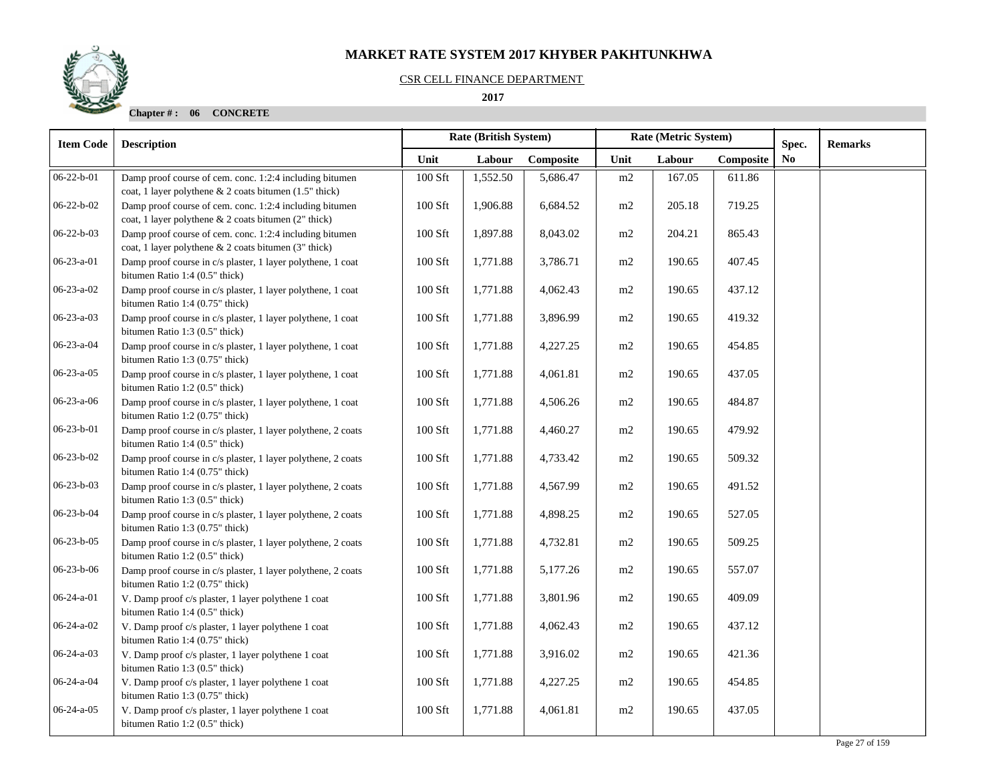#### CSR CELL FINANCE DEPARTMENT

 **2017** 



| <b>Item Code</b>   | <b>Description</b>                                                                                                | <b>Rate (British System)</b> |          |           | Rate (Metric System) |        | Spec.     | <b>Remarks</b> |  |
|--------------------|-------------------------------------------------------------------------------------------------------------------|------------------------------|----------|-----------|----------------------|--------|-----------|----------------|--|
|                    |                                                                                                                   | Unit                         | Labour   | Composite | Unit                 | Labour | Composite | N <sub>0</sub> |  |
| $06-22-b-01$       | Damp proof course of cem. conc. 1:2:4 including bitumen<br>coat, 1 layer polythene & 2 coats bitumen (1.5" thick) | 100 Sft                      | 1,552.50 | 5,686.47  | m2                   | 167.05 | 611.86    |                |  |
| $06 - 22 - b - 02$ | Damp proof course of cem. conc. 1:2:4 including bitumen<br>coat, 1 layer polythene & 2 coats bitumen (2" thick)   | 100 Sft                      | 1,906.88 | 6,684.52  | m2                   | 205.18 | 719.25    |                |  |
| $06 - 22 - b - 03$ | Damp proof course of cem. conc. 1:2:4 including bitumen<br>coat, 1 layer polythene & 2 coats bitumen (3" thick)   | 100 Sft                      | 1,897.88 | 8,043.02  | m2                   | 204.21 | 865.43    |                |  |
| $06-23-a-01$       | Damp proof course in c/s plaster, 1 layer polythene, 1 coat<br>bitumen Ratio 1:4 (0.5" thick)                     | 100 Sft                      | 1,771.88 | 3,786.71  | m2                   | 190.65 | 407.45    |                |  |
| $06 - 23 - a - 02$ | Damp proof course in c/s plaster, 1 layer polythene, 1 coat<br>bitumen Ratio 1:4 (0.75" thick)                    | 100 Sft                      | 1,771.88 | 4,062.43  | m2                   | 190.65 | 437.12    |                |  |
| $06 - 23 - a - 03$ | Damp proof course in c/s plaster, 1 layer polythene, 1 coat<br>bitumen Ratio 1:3 (0.5" thick)                     | 100 Sft                      | 1,771.88 | 3,896.99  | m2                   | 190.65 | 419.32    |                |  |
| 06-23-a-04         | Damp proof course in c/s plaster, 1 layer polythene, 1 coat<br>bitumen Ratio 1:3 (0.75" thick)                    | 100 Sft                      | 1,771.88 | 4,227.25  | m2                   | 190.65 | 454.85    |                |  |
| $06-23-a-05$       | Damp proof course in c/s plaster, 1 layer polythene, 1 coat<br>bitumen Ratio 1:2 (0.5" thick)                     | 100 Sft                      | 1,771.88 | 4,061.81  | m2                   | 190.65 | 437.05    |                |  |
| $06-23-a-06$       | Damp proof course in c/s plaster, 1 layer polythene, 1 coat<br>bitumen Ratio 1:2 (0.75" thick)                    | 100 Sft                      | 1,771.88 | 4,506.26  | m2                   | 190.65 | 484.87    |                |  |
| $06 - 23 - b - 01$ | Damp proof course in c/s plaster, 1 layer polythene, 2 coats<br>bitumen Ratio 1:4 (0.5" thick)                    | 100 Sft                      | 1,771.88 | 4,460.27  | m2                   | 190.65 | 479.92    |                |  |
| $06-23-b-02$       | Damp proof course in c/s plaster, 1 layer polythene, 2 coats<br>bitumen Ratio 1:4 (0.75" thick)                   | 100 Sft                      | 1,771.88 | 4,733.42  | m2                   | 190.65 | 509.32    |                |  |
| $06 - 23 - b - 03$ | Damp proof course in c/s plaster, 1 layer polythene, 2 coats<br>bitumen Ratio 1:3 (0.5" thick)                    | 100 Sft                      | 1,771.88 | 4,567.99  | m2                   | 190.65 | 491.52    |                |  |
| 06-23-b-04         | Damp proof course in c/s plaster, 1 layer polythene, 2 coats<br>bitumen Ratio 1:3 (0.75" thick)                   | 100 Sft                      | 1,771.88 | 4,898.25  | m2                   | 190.65 | 527.05    |                |  |
| $06 - 23 - b - 05$ | Damp proof course in c/s plaster, 1 layer polythene, 2 coats<br>bitumen Ratio 1:2 (0.5" thick)                    | 100 Sft                      | 1,771.88 | 4,732.81  | m2                   | 190.65 | 509.25    |                |  |
| $06-23-b-06$       | Damp proof course in c/s plaster, 1 layer polythene, 2 coats<br>bitumen Ratio 1:2 (0.75" thick)                   | 100 Sft                      | 1,771.88 | 5,177.26  | m2                   | 190.65 | 557.07    |                |  |
| $06 - 24 - a - 01$ | V. Damp proof c/s plaster, 1 layer polythene 1 coat<br>bitumen Ratio 1:4 (0.5" thick)                             | 100 Sft                      | 1,771.88 | 3,801.96  | m2                   | 190.65 | 409.09    |                |  |
| $06 - 24 - a - 02$ | V. Damp proof c/s plaster, 1 layer polythene 1 coat<br>bitumen Ratio 1:4 (0.75" thick)                            | 100 Sft                      | 1,771.88 | 4,062.43  | m2                   | 190.65 | 437.12    |                |  |
| $06 - 24 - a - 03$ | V. Damp proof c/s plaster, 1 layer polythene 1 coat<br>bitumen Ratio 1:3 (0.5" thick)                             | 100 Sft                      | 1,771.88 | 3,916.02  | m2                   | 190.65 | 421.36    |                |  |
| 06-24-a-04         | V. Damp proof c/s plaster, 1 layer polythene 1 coat<br>bitumen Ratio 1:3 (0.75" thick)                            | 100 Sft                      | 1,771.88 | 4,227.25  | m2                   | 190.65 | 454.85    |                |  |
| $06-24-a-05$       | V. Damp proof c/s plaster, 1 layer polythene 1 coat<br>bitumen Ratio 1:2 (0.5" thick)                             | 100 Sft                      | 1,771.88 | 4,061.81  | m2                   | 190.65 | 437.05    |                |  |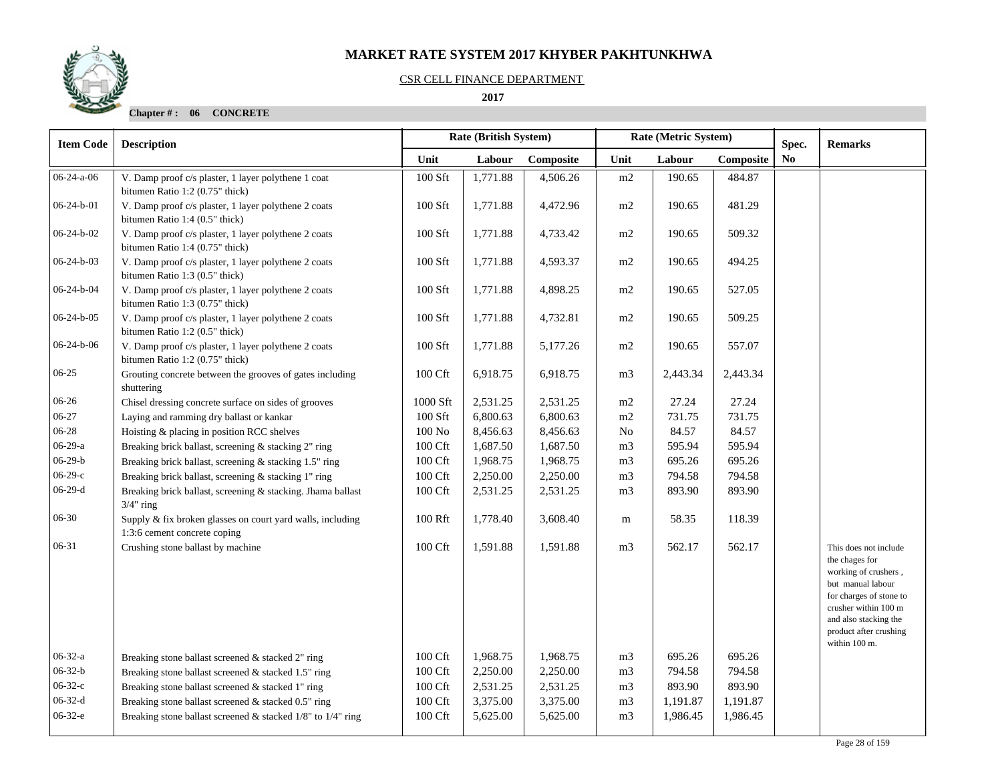## CSR CELL FINANCE DEPARTMENT

 **2017** 

| <b>Item Code</b>   | Rate (British System)<br>Rate (Metric System)<br><b>Description</b>                        |                     |          |           |                |          | Spec.     | <b>Remarks</b> |                                                                                                                                                                                                             |
|--------------------|--------------------------------------------------------------------------------------------|---------------------|----------|-----------|----------------|----------|-----------|----------------|-------------------------------------------------------------------------------------------------------------------------------------------------------------------------------------------------------------|
|                    |                                                                                            | Unit                | Labour   | Composite | Unit           | Labour   | Composite | N <sub>0</sub> |                                                                                                                                                                                                             |
| $06-24-a-06$       | V. Damp proof c/s plaster, 1 layer polythene 1 coat<br>bitumen Ratio 1:2 (0.75" thick)     | 100 Sft             | 1,771.88 | 4,506.26  | m2             | 190.65   | 484.87    |                |                                                                                                                                                                                                             |
| $06-24-b-01$       | V. Damp proof c/s plaster, 1 layer polythene 2 coats<br>bitumen Ratio 1:4 (0.5" thick)     | 100 Sft             | 1,771.88 | 4,472.96  | m2             | 190.65   | 481.29    |                |                                                                                                                                                                                                             |
| $06-24-b-02$       | V. Damp proof c/s plaster, 1 layer polythene 2 coats<br>bitumen Ratio 1:4 (0.75" thick)    | 100 Sft             | 1,771.88 | 4,733.42  | m2             | 190.65   | 509.32    |                |                                                                                                                                                                                                             |
| $06 - 24 - b - 03$ | V. Damp proof c/s plaster, 1 layer polythene 2 coats<br>bitumen Ratio 1:3 (0.5" thick)     | 100 Sft             | 1,771.88 | 4,593.37  | m2             | 190.65   | 494.25    |                |                                                                                                                                                                                                             |
| 06-24-b-04         | V. Damp proof c/s plaster, 1 layer polythene 2 coats<br>bitumen Ratio 1:3 (0.75" thick)    | 100 Sft             | 1,771.88 | 4,898.25  | m2             | 190.65   | 527.05    |                |                                                                                                                                                                                                             |
| 06-24-b-05         | V. Damp proof c/s plaster, 1 layer polythene 2 coats<br>bitumen Ratio 1:2 (0.5" thick)     | 100 Sft             | 1,771.88 | 4,732.81  | m2             | 190.65   | 509.25    |                |                                                                                                                                                                                                             |
| $06-24-b-06$       | V. Damp proof c/s plaster, 1 layer polythene 2 coats<br>bitumen Ratio 1:2 (0.75" thick)    | 100 Sft             | 1,771.88 | 5,177.26  | m2             | 190.65   | 557.07    |                |                                                                                                                                                                                                             |
| $06-25$            | Grouting concrete between the grooves of gates including<br>shuttering                     | 100 Cft             | 6,918.75 | 6,918.75  | m <sub>3</sub> | 2,443.34 | 2,443.34  |                |                                                                                                                                                                                                             |
| 06-26              | Chisel dressing concrete surface on sides of grooves                                       | 1000 Sft            | 2,531.25 | 2,531.25  | m2             | 27.24    | 27.24     |                |                                                                                                                                                                                                             |
| $06 - 27$          | Laying and ramming dry ballast or kankar                                                   | 100 Sft             | 6,800.63 | 6,800.63  | m2             | 731.75   | 731.75    |                |                                                                                                                                                                                                             |
| 06-28              | Hoisting & placing in position RCC shelves                                                 | 100N <sub>o</sub>   | 8,456.63 | 8,456.63  | No             | 84.57    | 84.57     |                |                                                                                                                                                                                                             |
| $06-29-a$          | Breaking brick ballast, screening & stacking 2" ring                                       | 100 Cft             | 1,687.50 | 1,687.50  | m <sub>3</sub> | 595.94   | 595.94    |                |                                                                                                                                                                                                             |
| $06-29-b$          | Breaking brick ballast, screening & stacking 1.5" ring                                     | 100 Cft             | 1,968.75 | 1,968.75  | m <sub>3</sub> | 695.26   | 695.26    |                |                                                                                                                                                                                                             |
| $06-29-c$          | Breaking brick ballast, screening & stacking 1" ring                                       | 100 Cft             | 2,250.00 | 2,250.00  | m <sub>3</sub> | 794.58   | 794.58    |                |                                                                                                                                                                                                             |
| $06-29-d$          | Breaking brick ballast, screening & stacking. Jhama ballast<br>$3/4"$ ring                 | 100 Cft             | 2,531.25 | 2,531.25  | m <sub>3</sub> | 893.90   | 893.90    |                |                                                                                                                                                                                                             |
| $06 - 30$          | Supply & fix broken glasses on court yard walls, including<br>1:3:6 cement concrete coping | $100\;\mathrm{Rft}$ | 1,778.40 | 3,608.40  | m              | 58.35    | 118.39    |                |                                                                                                                                                                                                             |
| 06-31              | Crushing stone ballast by machine                                                          | 100 Cft             | 1,591.88 | 1,591.88  | m <sub>3</sub> | 562.17   | 562.17    |                | This does not include<br>the chages for<br>working of crushers,<br>but manual labour<br>for charges of stone to<br>crusher within 100 m<br>and also stacking the<br>product after crushing<br>within 100 m. |
| $06 - 32 - a$      | Breaking stone ballast screened & stacked 2" ring                                          | 100 Cft             | 1,968.75 | 1,968.75  | m <sub>3</sub> | 695.26   | 695.26    |                |                                                                                                                                                                                                             |
| $06 - 32 - b$      | Breaking stone ballast screened & stacked 1.5" ring                                        | 100 Cft             | 2,250.00 | 2,250.00  | m <sub>3</sub> | 794.58   | 794.58    |                |                                                                                                                                                                                                             |
| $06 - 32 - c$      | Breaking stone ballast screened & stacked 1" ring                                          | 100 Cft             | 2,531.25 | 2,531.25  | m <sub>3</sub> | 893.90   | 893.90    |                |                                                                                                                                                                                                             |
| $06-32-d$          | Breaking stone ballast screened & stacked 0.5" ring                                        | 100 Cft             | 3,375.00 | 3,375.00  | m <sub>3</sub> | 1,191.87 | 1,191.87  |                |                                                                                                                                                                                                             |
| $06-32-e$          | Breaking stone ballast screened $&$ stacked 1/8" to 1/4" ring                              | 100 Cft             | 5,625.00 | 5,625.00  | m <sub>3</sub> | 1,986.45 | 1,986.45  |                |                                                                                                                                                                                                             |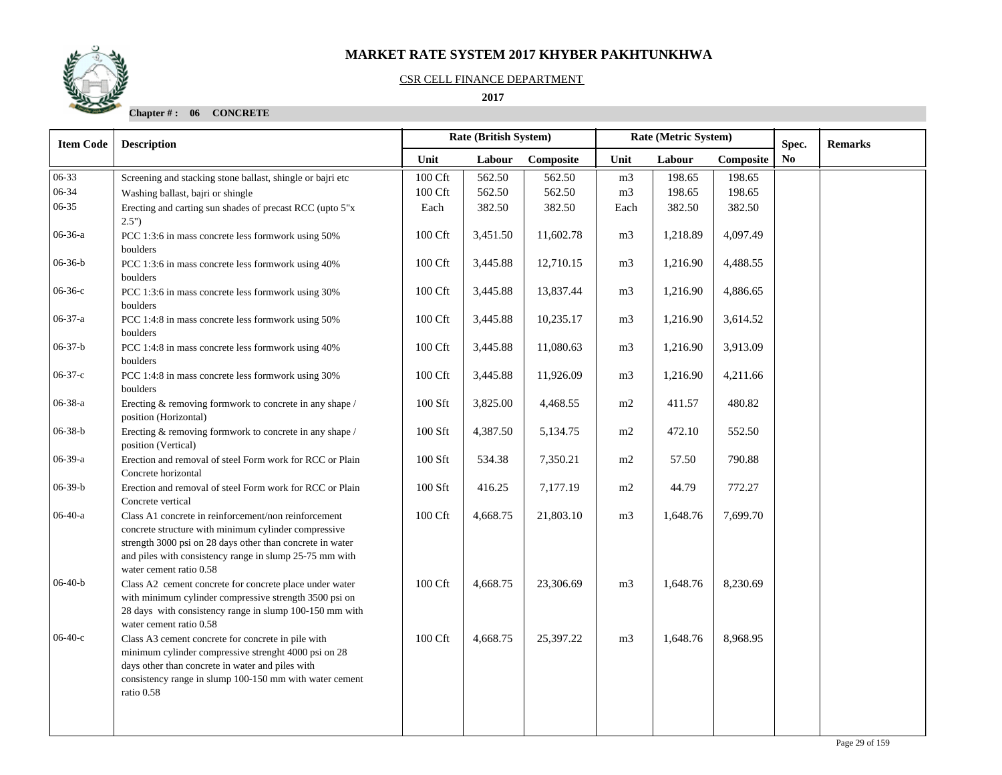#### CSR CELL FINANCE DEPARTMENT

 **2017** 

| <b>Item Code</b> | <b>Description</b>                                                                                                                                                                                                                                              |         | Rate (British System) |           | Rate (Metric System) |          |           | Spec.          | <b>Remarks</b> |
|------------------|-----------------------------------------------------------------------------------------------------------------------------------------------------------------------------------------------------------------------------------------------------------------|---------|-----------------------|-----------|----------------------|----------|-----------|----------------|----------------|
|                  |                                                                                                                                                                                                                                                                 | Unit    | Labour                | Composite | Unit                 | Labour   | Composite | N <sub>0</sub> |                |
| 06-33            | Screening and stacking stone ballast, shingle or bajri etc                                                                                                                                                                                                      | 100 Cft | 562.50                | 562.50    | m <sub>3</sub>       | 198.65   | 198.65    |                |                |
| 06-34            | Washing ballast, bajri or shingle                                                                                                                                                                                                                               | 100 Cft | 562.50                | 562.50    | m <sub>3</sub>       | 198.65   | 198.65    |                |                |
| 06-35            | Erecting and carting sun shades of precast RCC (upto 5"x<br>2.5"                                                                                                                                                                                                | Each    | 382.50                | 382.50    | Each                 | 382.50   | 382.50    |                |                |
| 06-36-a          | PCC 1:3:6 in mass concrete less formwork using 50%<br>boulders                                                                                                                                                                                                  | 100 Cft | 3,451.50              | 11,602.78 | m <sub>3</sub>       | 1,218.89 | 4,097.49  |                |                |
| $06-36-b$        | PCC 1:3:6 in mass concrete less formwork using 40%<br>boulders                                                                                                                                                                                                  | 100 Cft | 3,445.88              | 12,710.15 | m <sub>3</sub>       | 1,216.90 | 4,488.55  |                |                |
| $06-36-c$        | PCC 1:3:6 in mass concrete less formwork using 30%<br>boulders                                                                                                                                                                                                  | 100 Cft | 3,445.88              | 13,837.44 | m <sub>3</sub>       | 1,216.90 | 4,886.65  |                |                |
| $06-37-a$        | PCC 1:4:8 in mass concrete less formwork using 50%<br>boulders                                                                                                                                                                                                  | 100 Cft | 3,445.88              | 10,235.17 | m <sub>3</sub>       | 1,216.90 | 3,614.52  |                |                |
| $06 - 37 - b$    | PCC 1:4:8 in mass concrete less formwork using 40%<br>boulders                                                                                                                                                                                                  | 100 Cft | 3,445.88              | 11,080.63 | m <sub>3</sub>       | 1,216.90 | 3,913.09  |                |                |
| $06-37-c$        | PCC 1:4:8 in mass concrete less formwork using 30%<br>boulders                                                                                                                                                                                                  | 100 Cft | 3,445.88              | 11,926.09 | m <sub>3</sub>       | 1,216.90 | 4,211.66  |                |                |
| $06 - 38 - a$    | Erecting & removing formwork to concrete in any shape /<br>position (Horizontal)                                                                                                                                                                                | 100 Sft | 3,825.00              | 4,468.55  | m2                   | 411.57   | 480.82    |                |                |
| $06 - 38 - b$    | Erecting & removing formwork to concrete in any shape /<br>position (Vertical)                                                                                                                                                                                  | 100 Sft | 4,387.50              | 5,134.75  | m2                   | 472.10   | 552.50    |                |                |
| 06-39-a          | Erection and removal of steel Form work for RCC or Plain<br>Concrete horizontal                                                                                                                                                                                 | 100 Sft | 534.38                | 7,350.21  | m2                   | 57.50    | 790.88    |                |                |
| $06-39-b$        | Erection and removal of steel Form work for RCC or Plain<br>Concrete vertical                                                                                                                                                                                   | 100 Sft | 416.25                | 7,177.19  | m2                   | 44.79    | 772.27    |                |                |
| $06-40-a$        | Class A1 concrete in reinforcement/non reinforcement<br>concrete structure with minimum cylinder compressive<br>strength 3000 psi on 28 days other than concrete in water<br>and piles with consistency range in slump 25-75 mm with<br>water cement ratio 0.58 | 100 Cft | 4,668.75              | 21,803.10 | m <sub>3</sub>       | 1,648.76 | 7,699.70  |                |                |
| $06-40-b$        | Class A2 cement concrete for concrete place under water<br>with minimum cylinder compressive strength 3500 psi on<br>28 days with consistency range in slump 100-150 mm with<br>water cement ratio 0.58                                                         | 100 Cft | 4,668.75              | 23,306.69 | m <sub>3</sub>       | 1,648.76 | 8,230.69  |                |                |
| $06-40-c$        | Class A3 cement concrete for concrete in pile with<br>minimum cylinder compressive strenght 4000 psi on 28<br>days other than concrete in water and piles with<br>consistency range in slump 100-150 mm with water cement<br>ratio 0.58                         | 100 Cft | 4,668.75              | 25,397.22 | m <sub>3</sub>       | 1,648.76 | 8,968.95  |                |                |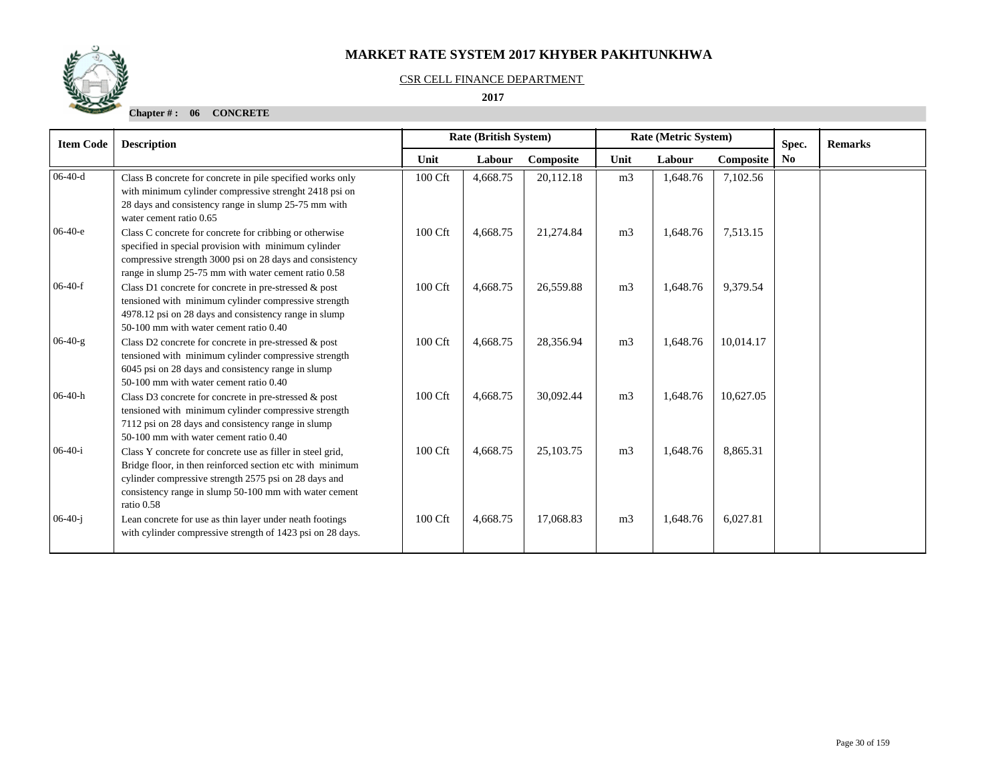#### CSR CELL FINANCE DEPARTMENT

 **2017** 

| <b>Item Code</b> | <b>Description</b>                                                                                                                                                                                                                                       |         | <b>Rate (British System)</b> |           |                | Rate (Metric System) |           | Spec.          | <b>Remarks</b> |
|------------------|----------------------------------------------------------------------------------------------------------------------------------------------------------------------------------------------------------------------------------------------------------|---------|------------------------------|-----------|----------------|----------------------|-----------|----------------|----------------|
|                  |                                                                                                                                                                                                                                                          | Unit    | Labour                       | Composite | Unit           | Labour               | Composite | N <sub>0</sub> |                |
| $06-40-d$        | Class B concrete for concrete in pile specified works only<br>with minimum cylinder compressive strenght 2418 psi on<br>28 days and consistency range in slump 25-75 mm with<br>water cement ratio 0.65                                                  | 100 Cft | 4,668.75                     | 20,112.18 | m <sub>3</sub> | 1,648.76             | 7,102.56  |                |                |
| $06-40-e$        | Class C concrete for concrete for cribbing or otherwise<br>specified in special provision with minimum cylinder<br>compressive strength 3000 psi on 28 days and consistency<br>range in slump 25-75 mm with water cement ratio 0.58                      | 100 Cft | 4,668.75                     | 21,274.84 | m <sub>3</sub> | 1,648.76             | 7,513.15  |                |                |
| $06-40-f$        | Class D1 concrete for concrete in pre-stressed $\&$ post<br>tensioned with minimum cylinder compressive strength<br>4978.12 psi on 28 days and consistency range in slump<br>50-100 mm with water cement ratio 0.40                                      | 100 Cft | 4,668.75                     | 26,559.88 | m <sub>3</sub> | 1,648.76             | 9,379.54  |                |                |
| $06-40-g$        | Class D2 concrete for concrete in pre-stressed & post<br>tensioned with minimum cylinder compressive strength<br>6045 psi on 28 days and consistency range in slump<br>50-100 mm with water cement ratio 0.40                                            | 100 Cft | 4,668.75                     | 28,356.94 | m <sub>3</sub> | 1,648.76             | 10,014.17 |                |                |
| $06-40-h$        | Class D3 concrete for concrete in pre-stressed & post<br>tensioned with minimum cylinder compressive strength<br>7112 psi on 28 days and consistency range in slump<br>50-100 mm with water cement ratio 0.40                                            | 100 Cft | 4,668.75                     | 30,092.44 | m <sub>3</sub> | 1,648.76             | 10,627.05 |                |                |
| $06-40-i$        | Class Y concrete for concrete use as filler in steel grid,<br>Bridge floor, in then reinforced section etc with minimum<br>cylinder compressive strength 2575 psi on 28 days and<br>consistency range in slump 50-100 mm with water cement<br>ratio 0.58 | 100 Cft | 4,668.75                     | 25,103.75 | m <sub>3</sub> | 1,648.76             | 8,865.31  |                |                |
| $06-40-i$        | Lean concrete for use as thin layer under neath footings<br>with cylinder compressive strength of 1423 psi on 28 days.                                                                                                                                   | 100 Cft | 4,668.75                     | 17,068.83 | m <sub>3</sub> | 1,648.76             | 6,027.81  |                |                |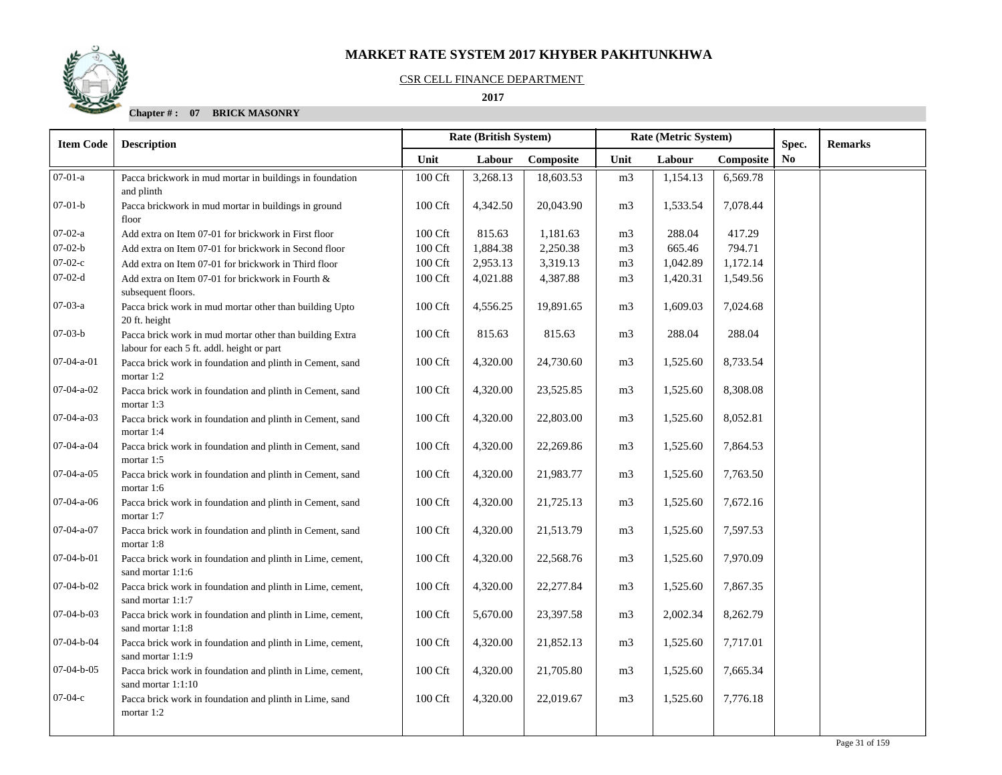

#### CSR CELL FINANCE DEPARTMENT

 **2017** 

| <b>Item Code</b>      | <b>Description</b>                                                                                     | Rate (British System) |          |           |                | Rate (Metric System) |           | Spec.          | <b>Remarks</b> |
|-----------------------|--------------------------------------------------------------------------------------------------------|-----------------------|----------|-----------|----------------|----------------------|-----------|----------------|----------------|
|                       |                                                                                                        | Unit                  | Labour   | Composite | Unit           | Labour               | Composite | N <sub>0</sub> |                |
| $\overline{07-01}$ -a | Pacca brickwork in mud mortar in buildings in foundation<br>and plinth                                 | 100 Cft               | 3,268.13 | 18,603.53 | m <sub>3</sub> | 1,154.13             | 6,569.78  |                |                |
| $07-01-b$             | Pacca brickwork in mud mortar in buildings in ground<br>floor                                          | 100 Cft               | 4,342.50 | 20,043.90 | m <sub>3</sub> | 1,533.54             | 7,078.44  |                |                |
| $07-02-a$             | Add extra on Item 07-01 for brickwork in First floor                                                   | 100 Cft               | 815.63   | 1,181.63  | m <sub>3</sub> | 288.04               | 417.29    |                |                |
| $07 - 02 - b$         | Add extra on Item 07-01 for brickwork in Second floor                                                  | 100 Cft               | 1,884.38 | 2,250.38  | m <sub>3</sub> | 665.46               | 794.71    |                |                |
| $07-02-c$             | Add extra on Item 07-01 for brickwork in Third floor                                                   | 100 Cft               | 2,953.13 | 3,319.13  | m <sub>3</sub> | 1,042.89             | 1,172.14  |                |                |
| $07-02-d$             | Add extra on Item 07-01 for brickwork in Fourth &<br>subsequent floors.                                | 100 Cft               | 4,021.88 | 4,387.88  | m <sub>3</sub> | 1,420.31             | 1,549.56  |                |                |
| $07-03-a$             | Pacca brick work in mud mortar other than building Upto<br>20 ft. height                               | $100 \mathrm{Cft}$    | 4,556.25 | 19,891.65 | m <sub>3</sub> | 1,609.03             | 7,024.68  |                |                |
| $07-03-b$             | Pacca brick work in mud mortar other than building Extra<br>labour for each 5 ft. addl. height or part | 100 Cft               | 815.63   | 815.63    | m <sub>3</sub> | 288.04               | 288.04    |                |                |
| 07-04-a-01            | Pacca brick work in foundation and plinth in Cement, sand<br>mortar 1:2                                | 100 Cft               | 4,320.00 | 24,730.60 | m <sub>3</sub> | 1,525.60             | 8,733.54  |                |                |
| 07-04-a-02            | Pacca brick work in foundation and plinth in Cement, sand<br>mortar 1:3                                | 100 Cft               | 4,320.00 | 23,525.85 | m <sub>3</sub> | 1,525.60             | 8,308.08  |                |                |
| 07-04-a-03            | Pacca brick work in foundation and plinth in Cement, sand<br>mortar 1:4                                | 100 Cft               | 4,320.00 | 22,803.00 | m <sub>3</sub> | 1,525.60             | 8,052.81  |                |                |
| 07-04-a-04            | Pacca brick work in foundation and plinth in Cement, sand<br>mortar 1:5                                | 100 Cft               | 4,320.00 | 22,269.86 | m <sub>3</sub> | 1,525.60             | 7,864.53  |                |                |
| 07-04-a-05            | Pacca brick work in foundation and plinth in Cement, sand<br>mortar 1:6                                | 100 Cft               | 4,320.00 | 21,983.77 | m <sub>3</sub> | 1,525.60             | 7,763.50  |                |                |
| $07-04-a-06$          | Pacca brick work in foundation and plinth in Cement, sand<br>mortar 1:7                                | 100 Cft               | 4,320.00 | 21,725.13 | m <sub>3</sub> | 1,525.60             | 7,672.16  |                |                |
| 07-04-a-07            | Pacca brick work in foundation and plinth in Cement, sand<br>mortar 1:8                                | 100 Cft               | 4,320.00 | 21,513.79 | m <sub>3</sub> | 1,525.60             | 7,597.53  |                |                |
| 07-04-b-01            | Pacca brick work in foundation and plinth in Lime, cement,<br>sand mortar 1:1:6                        | 100 Cft               | 4,320.00 | 22,568.76 | m <sub>3</sub> | 1,525.60             | 7,970.09  |                |                |
| 07-04-b-02            | Pacca brick work in foundation and plinth in Lime, cement,<br>sand mortar 1:1:7                        | 100 Cft               | 4,320.00 | 22,277.84 | m <sub>3</sub> | 1,525.60             | 7,867.35  |                |                |
| 07-04-b-03            | Pacca brick work in foundation and plinth in Lime, cement,<br>sand mortar 1:1:8                        | 100 Cft               | 5,670.00 | 23,397.58 | m <sub>3</sub> | 2,002.34             | 8,262.79  |                |                |
| 07-04-b-04            | Pacca brick work in foundation and plinth in Lime, cement,<br>sand mortar 1:1:9                        | 100 Cft               | 4,320.00 | 21,852.13 | m <sub>3</sub> | 1,525.60             | 7,717.01  |                |                |
| $07-04-b-05$          | Pacca brick work in foundation and plinth in Lime, cement,<br>sand mortar 1:1:10                       | 100 Cft               | 4,320.00 | 21,705.80 | m <sub>3</sub> | 1,525.60             | 7,665.34  |                |                |
| $07-04-c$             | Pacca brick work in foundation and plinth in Lime, sand<br>mortar 1:2                                  | 100 Cft               | 4,320.00 | 22,019.67 | m <sub>3</sub> | 1,525.60             | 7,776.18  |                |                |
|                       |                                                                                                        |                       |          |           |                |                      |           |                |                |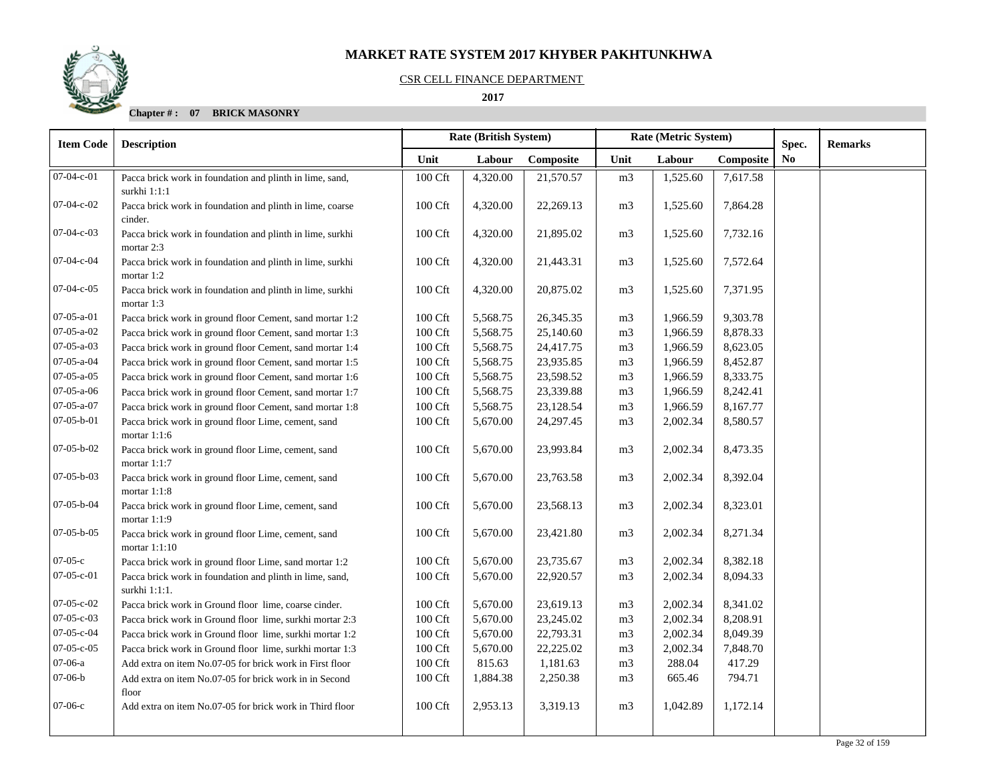#### CSR CELL FINANCE DEPARTMENT

 **2017** 

| <b>Item Code</b>   | <b>Description</b>                                                        | Rate (British System) |          |           |                | Rate (Metric System) | Spec.     | <b>Remarks</b> |  |
|--------------------|---------------------------------------------------------------------------|-----------------------|----------|-----------|----------------|----------------------|-----------|----------------|--|
|                    |                                                                           | Unit                  | Labour   | Composite | Unit           | Labour               | Composite | N <sub>0</sub> |  |
| $07 - 04 - c - 01$ | Pacca brick work in foundation and plinth in lime, sand,<br>surkhi 1:1:1  | 100 Cft               | 4,320.00 | 21,570.57 | m <sub>3</sub> | 1,525.60             | 7,617.58  |                |  |
| $07-04-c-02$       | Pacca brick work in foundation and plinth in lime, coarse<br>cinder.      | 100 Cft               | 4,320.00 | 22,269.13 | m <sub>3</sub> | 1,525.60             | 7,864.28  |                |  |
| 07-04-c-03         | Pacca brick work in foundation and plinth in lime, surkhi<br>mortar 2:3   | 100 Cft               | 4,320.00 | 21,895.02 | m <sub>3</sub> | 1,525.60             | 7,732.16  |                |  |
| 07-04-c-04         | Pacca brick work in foundation and plinth in lime, surkhi<br>mortar 1:2   | 100 Cft               | 4,320.00 | 21,443.31 | m <sub>3</sub> | 1,525.60             | 7,572.64  |                |  |
| 07-04-c-05         | Pacca brick work in foundation and plinth in lime, surkhi<br>mortar 1:3   | 100 Cft               | 4,320.00 | 20,875.02 | m <sub>3</sub> | 1,525.60             | 7,371.95  |                |  |
| $07-05-a-01$       | Pacca brick work in ground floor Cement, sand mortar 1:2                  | 100 Cft               | 5,568.75 | 26,345.35 | m <sub>3</sub> | 1,966.59             | 9,303.78  |                |  |
| $07-05-a-02$       | Pacca brick work in ground floor Cement, sand mortar 1:3                  | $100 \mathrm{Cft}$    | 5,568.75 | 25,140.60 | m <sub>3</sub> | 1,966.59             | 8,878.33  |                |  |
| $07 - 05 - a - 03$ | Pacca brick work in ground floor Cement, sand mortar 1:4                  | 100 Cft               | 5,568.75 | 24,417.75 | m <sub>3</sub> | 1,966.59             | 8,623.05  |                |  |
| 07-05-a-04         | Pacca brick work in ground floor Cement, sand mortar 1:5                  | 100 Cft               | 5,568.75 | 23,935.85 | m <sub>3</sub> | 1,966.59             | 8,452.87  |                |  |
| $07 - 05 - a - 05$ | Pacca brick work in ground floor Cement, sand mortar 1:6                  | 100 Cft               | 5,568.75 | 23,598.52 | m <sub>3</sub> | 1,966.59             | 8,333.75  |                |  |
| $07-05-a-06$       | Pacca brick work in ground floor Cement, sand mortar 1:7                  | 100 Cft               | 5,568.75 | 23,339.88 | m <sub>3</sub> | 1,966.59             | 8,242.41  |                |  |
| 07-05-a-07         | Pacca brick work in ground floor Cement, sand mortar 1:8                  | 100 Cft               | 5,568.75 | 23,128.54 | m <sub>3</sub> | 1,966.59             | 8,167.77  |                |  |
| $07 - 05 - b - 01$ | Pacca brick work in ground floor Lime, cement, sand<br>mortar $1:1:6$     | 100 Cft               | 5,670.00 | 24,297.45 | m <sub>3</sub> | 2,002.34             | 8,580.57  |                |  |
| 07-05-b-02         | Pacca brick work in ground floor Lime, cement, sand<br>mortar 1:1:7       | 100 Cft               | 5,670.00 | 23,993.84 | m <sub>3</sub> | 2,002.34             | 8,473.35  |                |  |
| 07-05-b-03         | Pacca brick work in ground floor Lime, cement, sand<br>mortar 1:1:8       | $100 \mathrm{Cft}$    | 5,670.00 | 23,763.58 | m <sub>3</sub> | 2,002.34             | 8,392.04  |                |  |
| 07-05-b-04         | Pacca brick work in ground floor Lime, cement, sand<br>mortar $1:1:9$     | 100 Cft               | 5,670.00 | 23,568.13 | m <sub>3</sub> | 2,002.34             | 8,323.01  |                |  |
| $07 - 05 - b - 05$ | Pacca brick work in ground floor Lime, cement, sand<br>mortar 1:1:10      | 100 Cft               | 5,670.00 | 23,421.80 | m <sub>3</sub> | 2,002.34             | 8,271.34  |                |  |
| $07-05-c$          | Pacca brick work in ground floor Lime, sand mortar 1:2                    | 100 Cft               | 5,670.00 | 23,735.67 | m <sub>3</sub> | 2,002.34             | 8,382.18  |                |  |
| $07 - 05 - c - 01$ | Pacca brick work in foundation and plinth in lime, sand,<br>surkhi 1:1:1. | 100 Cft               | 5,670.00 | 22,920.57 | m <sub>3</sub> | 2,002.34             | 8,094.33  |                |  |
| $07 - 05 - c - 02$ | Pacca brick work in Ground floor lime, coarse cinder.                     | 100 Cft               | 5,670.00 | 23,619.13 | m <sub>3</sub> | 2,002.34             | 8,341.02  |                |  |
| $07 - 05 - c - 03$ | Pacca brick work in Ground floor lime, surkhi mortar 2:3                  | 100 Cft               | 5,670.00 | 23,245.02 | m <sub>3</sub> | 2,002.34             | 8,208.91  |                |  |
| 07-05-c-04         | Pacca brick work in Ground floor lime, surkhi mortar 1:2                  | 100 Cft               | 5,670.00 | 22,793.31 | m <sub>3</sub> | 2,002.34             | 8,049.39  |                |  |
| $07-05-c-05$       | Pacca brick work in Ground floor lime, surkhi mortar 1:3                  | 100 Cft               | 5,670.00 | 22,225.02 | m <sub>3</sub> | 2,002.34             | 7,848.70  |                |  |
| $07-06-a$          | Add extra on item No.07-05 for brick work in First floor                  | 100 Cft               | 815.63   | 1,181.63  | m <sub>3</sub> | 288.04               | 417.29    |                |  |
| $07-06-b$          | Add extra on item No.07-05 for brick work in in Second<br>floor           | 100 Cft               | 1,884.38 | 2,250.38  | m <sub>3</sub> | 665.46               | 794.71    |                |  |
| $07-06-c$          | Add extra on item No.07-05 for brick work in Third floor                  | 100 Cft               | 2,953.13 | 3,319.13  | m <sub>3</sub> | 1,042.89             | 1,172.14  |                |  |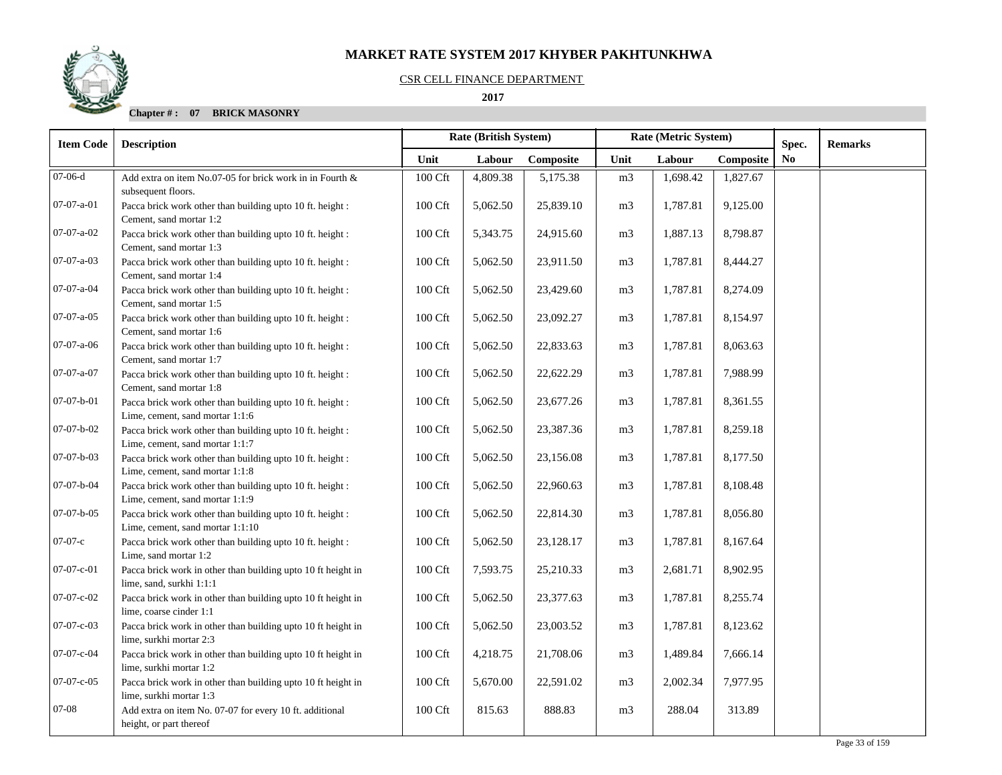#### CSR CELL FINANCE DEPARTMENT

## **2017**

| <b>Item Code</b>   | <b>Description</b>                                                                            | Rate (British System)<br>Rate (Metric System) |          |           |                | Spec.    | <b>Remarks</b> |                |  |
|--------------------|-----------------------------------------------------------------------------------------------|-----------------------------------------------|----------|-----------|----------------|----------|----------------|----------------|--|
|                    |                                                                                               | Unit                                          | Labour   | Composite | Unit           | Labour   | Composite      | N <sub>0</sub> |  |
| $07-06-d$          | Add extra on item No.07-05 for brick work in in Fourth &<br>subsequent floors.                | 100 Cft                                       | 4,809.38 | 5,175.38  | m <sub>3</sub> | 1,698.42 | 1,827.67       |                |  |
| $07-07-a-01$       | Pacca brick work other than building upto 10 ft. height :<br>Cement, sand mortar 1:2          | 100 Cft                                       | 5,062.50 | 25,839.10 | m <sub>3</sub> | 1,787.81 | 9,125.00       |                |  |
| $07-07-a-02$       | Pacca brick work other than building upto 10 ft. height :<br>Cement, sand mortar 1:3          | 100 Cft                                       | 5,343.75 | 24,915.60 | m <sub>3</sub> | 1,887.13 | 8,798.87       |                |  |
| $07-07-a-03$       | Pacca brick work other than building upto 10 ft. height :<br>Cement, sand mortar 1:4          | 100 Cft                                       | 5,062.50 | 23,911.50 | m <sub>3</sub> | 1,787.81 | 8,444.27       |                |  |
| 07-07-a-04         | Pacca brick work other than building upto 10 ft. height :<br>Cement, sand mortar 1:5          | 100 Cft                                       | 5,062.50 | 23,429.60 | m <sub>3</sub> | 1,787.81 | 8,274.09       |                |  |
| $07-07-a-05$       | Pacca brick work other than building upto 10 ft. height :<br>Cement, sand mortar 1:6          | 100 Cft                                       | 5,062.50 | 23,092.27 | m <sub>3</sub> | 1,787.81 | 8,154.97       |                |  |
| $07-07-a-06$       | Pacca brick work other than building upto 10 ft. height :<br>Cement, sand mortar 1:7          | 100 Cft                                       | 5,062.50 | 22,833.63 | m <sub>3</sub> | 1,787.81 | 8,063.63       |                |  |
| $07 - 07 - a - 07$ | Pacca brick work other than building upto 10 ft. height :<br>Cement, sand mortar 1:8          | $100 \mathrm{Cft}$                            | 5,062.50 | 22,622.29 | m <sub>3</sub> | 1,787.81 | 7,988.99       |                |  |
| $07 - 07 - b - 01$ | Pacca brick work other than building upto 10 ft. height :<br>Lime, cement, sand mortar 1:1:6  | 100 Cft                                       | 5,062.50 | 23,677.26 | m <sub>3</sub> | 1,787.81 | 8,361.55       |                |  |
| $07-07-b-02$       | Pacca brick work other than building upto 10 ft. height :<br>Lime, cement, sand mortar 1:1:7  | 100 Cft                                       | 5,062.50 | 23,387.36 | m <sub>3</sub> | 1,787.81 | 8,259.18       |                |  |
| 07-07-b-03         | Pacca brick work other than building upto 10 ft. height :<br>Lime, cement, sand mortar 1:1:8  | 100 Cft                                       | 5,062.50 | 23,156.08 | m <sub>3</sub> | 1,787.81 | 8,177.50       |                |  |
| 07-07-b-04         | Pacca brick work other than building upto 10 ft. height :<br>Lime, cement, sand mortar 1:1:9  | 100 Cft                                       | 5,062.50 | 22,960.63 | m <sub>3</sub> | 1,787.81 | 8,108.48       |                |  |
| $07-07-b-05$       | Pacca brick work other than building upto 10 ft. height :<br>Lime, cement, sand mortar 1:1:10 | 100 Cft                                       | 5,062.50 | 22,814.30 | m <sub>3</sub> | 1,787.81 | 8,056.80       |                |  |
| $07-07-c$          | Pacca brick work other than building upto 10 ft. height :<br>Lime, sand mortar 1:2            | 100 Cft                                       | 5,062.50 | 23,128.17 | m <sub>3</sub> | 1,787.81 | 8,167.64       |                |  |
| $07 - 07 - c - 01$ | Pacca brick work in other than building upto 10 ft height in<br>lime, sand, surkhi 1:1:1      | 100 Cft                                       | 7,593.75 | 25,210.33 | m <sub>3</sub> | 2,681.71 | 8,902.95       |                |  |
| 07-07-c-02         | Pacca brick work in other than building upto 10 ft height in<br>lime, coarse cinder 1:1       | 100 Cft                                       | 5,062.50 | 23,377.63 | m <sub>3</sub> | 1,787.81 | 8,255.74       |                |  |
| 07-07-c-03         | Pacca brick work in other than building upto 10 ft height in<br>lime, surkhi mortar 2:3       | 100 Cft                                       | 5,062.50 | 23,003.52 | m <sub>3</sub> | 1,787.81 | 8,123.62       |                |  |
| 07-07-c-04         | Pacca brick work in other than building upto 10 ft height in<br>lime, surkhi mortar 1:2       | 100 Cft                                       | 4,218.75 | 21,708.06 | m <sub>3</sub> | 1,489.84 | 7,666.14       |                |  |
| $07-07-c-05$       | Pacca brick work in other than building upto 10 ft height in<br>lime, surkhi mortar 1:3       | 100 Cft                                       | 5,670.00 | 22,591.02 | m <sub>3</sub> | 2,002.34 | 7,977.95       |                |  |
| 07-08              | Add extra on item No. 07-07 for every 10 ft. additional<br>height, or part thereof            | 100 Cft                                       | 815.63   | 888.83    | m <sub>3</sub> | 288.04   | 313.89         |                |  |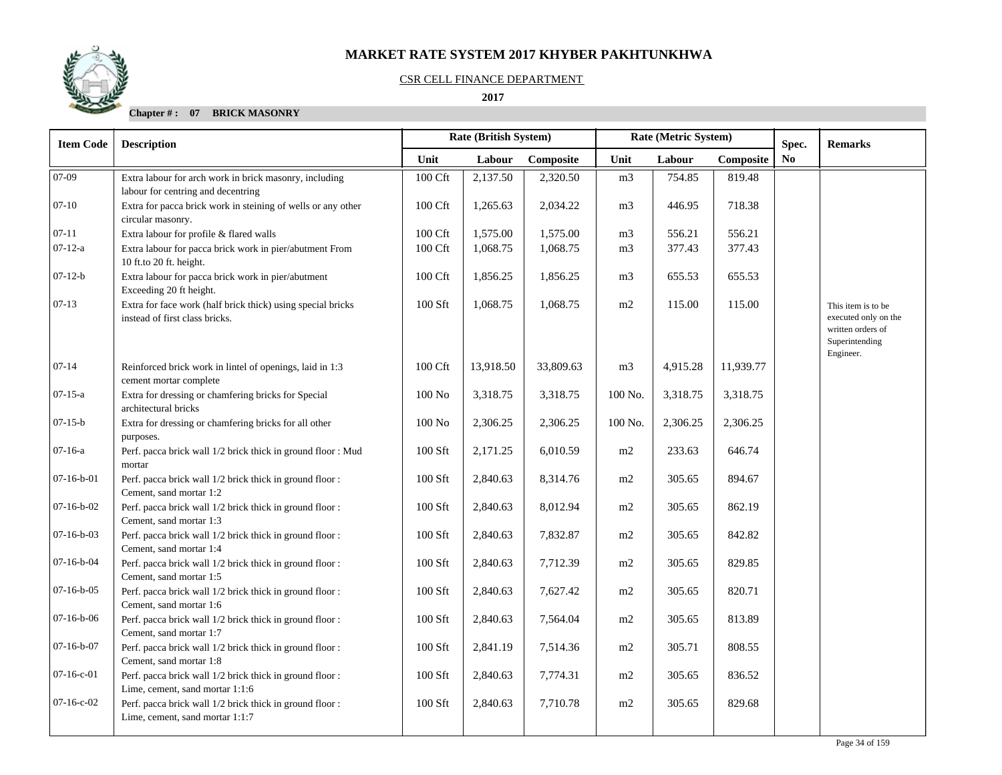#### CSR CELL FINANCE DEPARTMENT

## **2017**

| <b>Item Code</b> | <b>Description</b>                                                                            | Rate (British System) |           |           |                | Rate (Metric System) |           |             |                                                                                                |
|------------------|-----------------------------------------------------------------------------------------------|-----------------------|-----------|-----------|----------------|----------------------|-----------|-------------|------------------------------------------------------------------------------------------------|
|                  |                                                                                               | Unit                  | Labour    | Composite | Unit           | Labour               | Composite | Spec.<br>No | <b>Remarks</b>                                                                                 |
| $07-09$          | Extra labour for arch work in brick masonry, including<br>labour for centring and decentring  | 100 Cft               | 2,137.50  | 2,320.50  | m <sub>3</sub> | 754.85               | 819.48    |             |                                                                                                |
| $07 - 10$        | Extra for pacca brick work in steining of wells or any other<br>circular masonry.             | 100 Cft               | 1,265.63  | 2,034.22  | m <sub>3</sub> | 446.95               | 718.38    |             |                                                                                                |
| $07 - 11$        | Extra labour for profile & flared walls                                                       | 100 Cft               | 1,575.00  | 1,575.00  | m <sub>3</sub> | 556.21               | 556.21    |             |                                                                                                |
| $07 - 12 - a$    | Extra labour for pacca brick work in pier/abutment From<br>10 ft.to 20 ft. height.            | 100 Cft               | 1,068.75  | 1,068.75  | m <sub>3</sub> | 377.43               | 377.43    |             |                                                                                                |
| $07-12-b$        | Extra labour for pacca brick work in pier/abutment<br>Exceeding 20 ft height.                 | 100 Cft               | 1,856.25  | 1,856.25  | m <sub>3</sub> | 655.53               | 655.53    |             |                                                                                                |
| $07-13$          | Extra for face work (half brick thick) using special bricks<br>instead of first class bricks. | 100 Sft               | 1,068.75  | 1,068.75  | m2             | 115.00               | 115.00    |             | This item is to be<br>executed only on the<br>written orders of<br>Superintending<br>Engineer. |
| $07 - 14$        | Reinforced brick work in lintel of openings, laid in 1:3<br>cement mortar complete            | 100 Cft               | 13,918.50 | 33,809.63 | m <sub>3</sub> | 4,915.28             | 11,939.77 |             |                                                                                                |
| $07 - 15 - a$    | Extra for dressing or chamfering bricks for Special<br>architectural bricks                   | $100\ \mathrm{No}$    | 3,318.75  | 3,318.75  | 100 No.        | 3,318.75             | 3,318.75  |             |                                                                                                |
| $07 - 15 - b$    | Extra for dressing or chamfering bricks for all other<br>purposes.                            | $100\ \mathrm{No}$    | 2,306.25  | 2,306.25  | 100 No.        | 2,306.25             | 2,306.25  |             |                                                                                                |
| $07-16-a$        | Perf. pacca brick wall 1/2 brick thick in ground floor : Mud<br>mortar                        | 100 Sft               | 2,171.25  | 6,010.59  | m2             | 233.63               | 646.74    |             |                                                                                                |
| $07-16-b-01$     | Perf. pacca brick wall 1/2 brick thick in ground floor :<br>Cement, sand mortar 1:2           | 100 Sft               | 2,840.63  | 8,314.76  | m2             | 305.65               | 894.67    |             |                                                                                                |
| $07-16-b-02$     | Perf. pacca brick wall 1/2 brick thick in ground floor:<br>Cement, sand mortar 1:3            | 100 Sft               | 2,840.63  | 8,012.94  | m2             | 305.65               | 862.19    |             |                                                                                                |
| $07-16-b-03$     | Perf. pacca brick wall 1/2 brick thick in ground floor:<br>Cement, sand mortar 1:4            | 100 Sft               | 2,840.63  | 7,832.87  | m2             | 305.65               | 842.82    |             |                                                                                                |
| $07-16-b-04$     | Perf. pacca brick wall 1/2 brick thick in ground floor :<br>Cement, sand mortar 1:5           | 100 Sft               | 2,840.63  | 7,712.39  | m2             | 305.65               | 829.85    |             |                                                                                                |
| $07-16-b-05$     | Perf. pacca brick wall 1/2 brick thick in ground floor:<br>Cement, sand mortar 1:6            | 100 Sft               | 2,840.63  | 7,627.42  | m2             | 305.65               | 820.71    |             |                                                                                                |
| $07-16-b-06$     | Perf. pacca brick wall 1/2 brick thick in ground floor :<br>Cement, sand mortar 1:7           | 100 Sft               | 2,840.63  | 7,564.04  | m2             | 305.65               | 813.89    |             |                                                                                                |
| $07-16-b-07$     | Perf. pacca brick wall 1/2 brick thick in ground floor :<br>Cement, sand mortar 1:8           | 100 Sft               | 2,841.19  | 7,514.36  | m2             | 305.71               | 808.55    |             |                                                                                                |
| $07-16-c-01$     | Perf. pacca brick wall 1/2 brick thick in ground floor:<br>Lime, cement, sand mortar 1:1:6    | 100 Sft               | 2,840.63  | 7,774.31  | m2             | 305.65               | 836.52    |             |                                                                                                |
| $07-16-c-02$     | Perf. pacca brick wall 1/2 brick thick in ground floor:<br>Lime, cement, sand mortar 1:1:7    | 100 Sft               | 2,840.63  | 7,710.78  | m2             | 305.65               | 829.68    |             |                                                                                                |
|                  |                                                                                               |                       |           |           |                |                      |           |             |                                                                                                |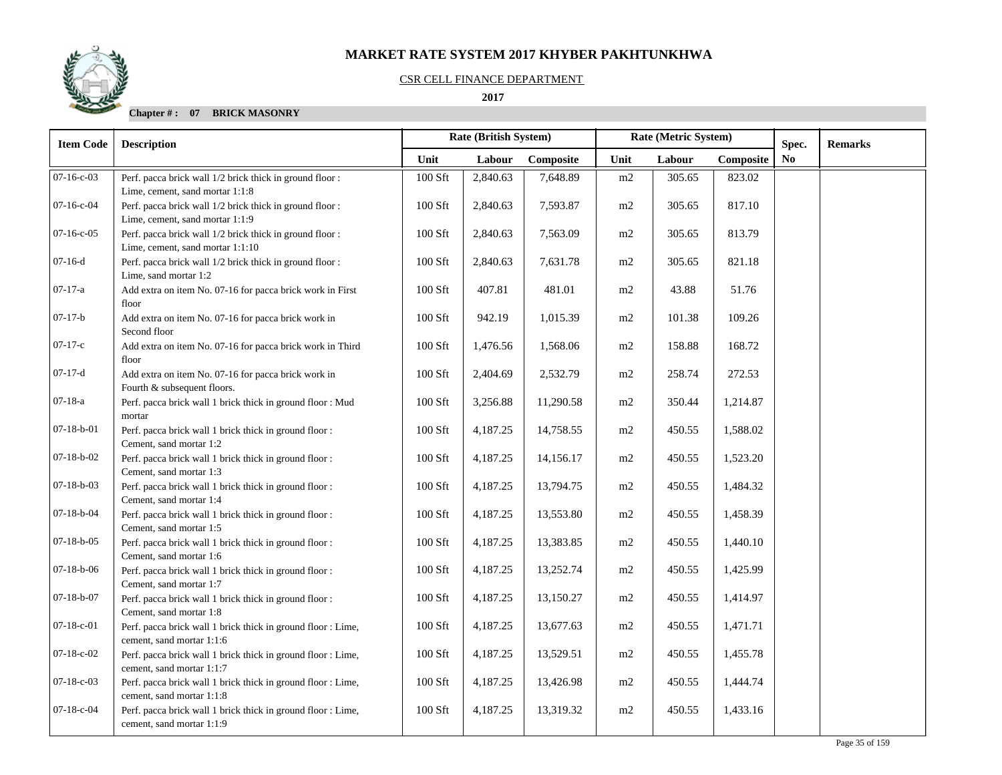#### CSR CELL FINANCE DEPARTMENT

 **2017** 

| <b>Item Code</b>   | <b>Description</b>                                                                           | Rate (British System)<br>Rate (Metric System) |          |           |      |        | Spec.     | <b>Remarks</b> |  |
|--------------------|----------------------------------------------------------------------------------------------|-----------------------------------------------|----------|-----------|------|--------|-----------|----------------|--|
|                    |                                                                                              | Unit                                          | Labour   | Composite | Unit | Labour | Composite | N <sub>0</sub> |  |
| $07-16-c-03$       | Perf. pacca brick wall 1/2 brick thick in ground floor:<br>Lime, cement, sand mortar 1:1:8   | 100 Sft                                       | 2,840.63 | 7,648.89  | m2   | 305.65 | 823.02    |                |  |
| $07-16-c-04$       | Perf. pacca brick wall 1/2 brick thick in ground floor:<br>Lime, cement, sand mortar 1:1:9   | $100$ Sft                                     | 2,840.63 | 7,593.87  | m2   | 305.65 | 817.10    |                |  |
| $07-16-c-05$       | Perf. pacca brick wall 1/2 brick thick in ground floor :<br>Lime, cement, sand mortar 1:1:10 | 100 Sft                                       | 2,840.63 | 7,563.09  | m2   | 305.65 | 813.79    |                |  |
| $07-16-d$          | Perf. pacca brick wall 1/2 brick thick in ground floor:<br>Lime, sand mortar 1:2             | $100$ Sft                                     | 2,840.63 | 7,631.78  | m2   | 305.65 | 821.18    |                |  |
| $07-17-a$          | Add extra on item No. 07-16 for pacca brick work in First<br>floor                           | 100 Sft                                       | 407.81   | 481.01    | m2   | 43.88  | 51.76     |                |  |
| $07-17-b$          | Add extra on item No. 07-16 for pacca brick work in<br>Second floor                          | 100 Sft                                       | 942.19   | 1,015.39  | m2   | 101.38 | 109.26    |                |  |
| $07-17-c$          | Add extra on item No. 07-16 for pacca brick work in Third<br>floor                           | 100 Sft                                       | 1,476.56 | 1,568.06  | m2   | 158.88 | 168.72    |                |  |
| $07-17-d$          | Add extra on item No. 07-16 for pacca brick work in<br>Fourth & subsequent floors.           | 100 Sft                                       | 2,404.69 | 2,532.79  | m2   | 258.74 | 272.53    |                |  |
| $07-18-a$          | Perf. pacca brick wall 1 brick thick in ground floor : Mud<br>mortar                         | $100$ Sft                                     | 3,256.88 | 11,290.58 | m2   | 350.44 | 1,214.87  |                |  |
| $07-18-b-01$       | Perf. pacca brick wall 1 brick thick in ground floor :<br>Cement, sand mortar 1:2            | 100 Sft                                       | 4,187.25 | 14,758.55 | m2   | 450.55 | 1,588.02  |                |  |
| $07-18-b-02$       | Perf. pacca brick wall 1 brick thick in ground floor:<br>Cement, sand mortar 1:3             | 100 Sft                                       | 4,187.25 | 14,156.17 | m2   | 450.55 | 1,523.20  |                |  |
| $07-18-b-03$       | Perf. pacca brick wall 1 brick thick in ground floor :<br>Cement, sand mortar 1:4            | $100$ Sft                                     | 4,187.25 | 13,794.75 | m2   | 450.55 | 1,484.32  |                |  |
| $07-18-b-04$       | Perf. pacca brick wall 1 brick thick in ground floor :<br>Cement, sand mortar 1:5            | $100$ Sft                                     | 4,187.25 | 13,553.80 | m2   | 450.55 | 1,458.39  |                |  |
| $07 - 18 - b - 05$ | Perf. pacca brick wall 1 brick thick in ground floor :<br>Cement, sand mortar 1:6            | $100$ Sft                                     | 4,187.25 | 13,383.85 | m2   | 450.55 | 1,440.10  |                |  |
| $07-18-b-06$       | Perf. pacca brick wall 1 brick thick in ground floor :<br>Cement, sand mortar 1:7            | $100$ Sft                                     | 4,187.25 | 13,252.74 | m2   | 450.55 | 1,425.99  |                |  |
| $07 - 18 - b - 07$ | Perf. pacca brick wall 1 brick thick in ground floor :<br>Cement, sand mortar 1:8            | 100 Sft                                       | 4,187.25 | 13,150.27 | m2   | 450.55 | 1,414.97  |                |  |
| $07 - 18 - c - 01$ | Perf. pacca brick wall 1 brick thick in ground floor : Lime,<br>cement, sand mortar 1:1:6    | 100 Sft                                       | 4,187.25 | 13,677.63 | m2   | 450.55 | 1,471.71  |                |  |
| $07-18-c-02$       | Perf. pacca brick wall 1 brick thick in ground floor : Lime,<br>cement, sand mortar 1:1:7    | 100 Sft                                       | 4,187.25 | 13,529.51 | m2   | 450.55 | 1,455.78  |                |  |
| $07-18-c-03$       | Perf. pacca brick wall 1 brick thick in ground floor : Lime,<br>cement, sand mortar 1:1:8    | 100 Sft                                       | 4,187.25 | 13,426.98 | m2   | 450.55 | 1,444.74  |                |  |
| $07-18-c-04$       | Perf. pacca brick wall 1 brick thick in ground floor : Lime,<br>cement, sand mortar 1:1:9    | $100$ Sft                                     | 4,187.25 | 13,319.32 | m2   | 450.55 | 1,433.16  |                |  |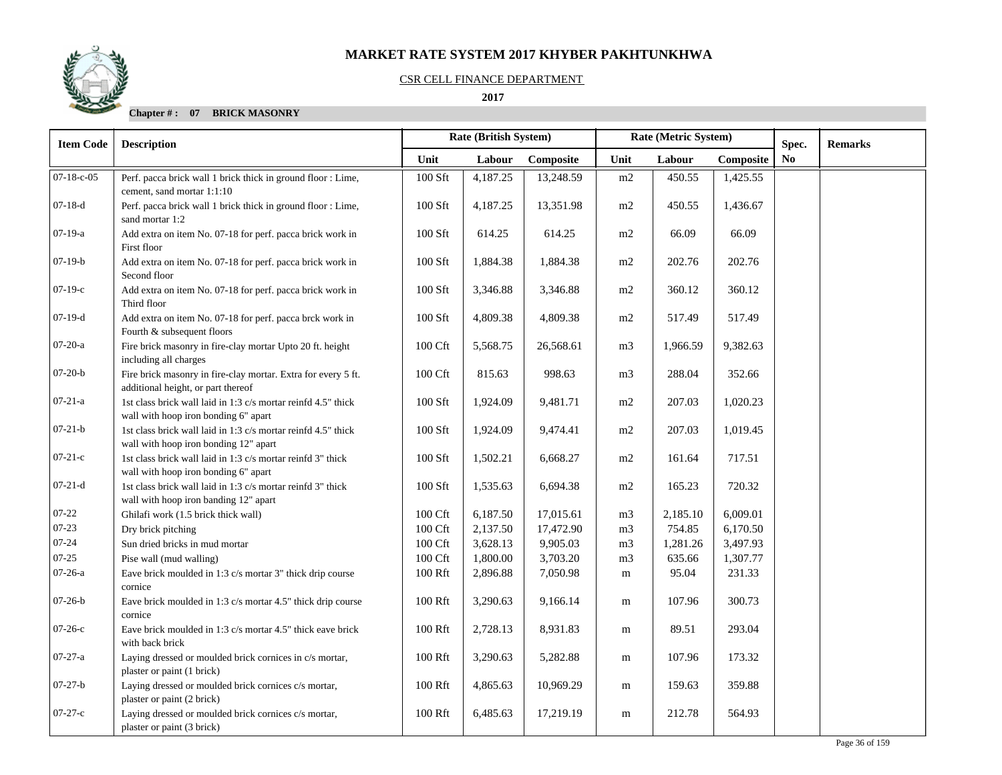#### CSR CELL FINANCE DEPARTMENT

## **2017**

| <b>Item Code</b> | <b>Description</b>                                                                                     | <b>Rate (British System)</b> |          |           | Rate (Metric System) |          | Spec.     | <b>Remarks</b> |  |
|------------------|--------------------------------------------------------------------------------------------------------|------------------------------|----------|-----------|----------------------|----------|-----------|----------------|--|
|                  |                                                                                                        | Unit                         | Labour   | Composite | Unit                 | Labour   | Composite | N <sub>0</sub> |  |
| $07-18-c-05$     | Perf. pacca brick wall 1 brick thick in ground floor : Lime,<br>cement, sand mortar 1:1:10             | 100 Sft                      | 4,187.25 | 13,248.59 | m2                   | 450.55   | 1,425.55  |                |  |
| $07-18-d$        | Perf. pacca brick wall 1 brick thick in ground floor : Lime,<br>sand mortar 1:2                        | 100 Sft                      | 4,187.25 | 13,351.98 | m2                   | 450.55   | 1,436.67  |                |  |
| $07-19-a$        | Add extra on item No. 07-18 for perf. pacca brick work in<br>First floor                               | 100 Sft                      | 614.25   | 614.25    | m2                   | 66.09    | 66.09     |                |  |
| $07-19-b$        | Add extra on item No. 07-18 for perf. pacca brick work in<br>Second floor                              | 100 Sft                      | 1,884.38 | 1,884.38  | m2                   | 202.76   | 202.76    |                |  |
| $07-19-c$        | Add extra on item No. 07-18 for perf. pacca brick work in<br>Third floor                               | 100 Sft                      | 3,346.88 | 3,346.88  | m2                   | 360.12   | 360.12    |                |  |
| $07-19-d$        | Add extra on item No. 07-18 for perf. pacca brck work in<br>Fourth & subsequent floors                 | 100 Sft                      | 4,809.38 | 4,809.38  | m2                   | 517.49   | 517.49    |                |  |
| $07-20-a$        | Fire brick masonry in fire-clay mortar Upto 20 ft. height<br>including all charges                     | 100 Cft                      | 5,568.75 | 26,568.61 | m <sub>3</sub>       | 1,966.59 | 9,382.63  |                |  |
| $07-20-b$        | Fire brick masonry in fire-clay mortar. Extra for every 5 ft.<br>additional height, or part thereof    | 100 Cft                      | 815.63   | 998.63    | m <sub>3</sub>       | 288.04   | 352.66    |                |  |
| $07 - 21 - a$    | 1st class brick wall laid in 1:3 c/s mortar reinfd 4.5" thick<br>wall with hoop iron bonding 6" apart  | 100 Sft                      | 1,924.09 | 9,481.71  | m2                   | 207.03   | 1,020.23  |                |  |
| $07 - 21 - b$    | 1st class brick wall laid in 1:3 c/s mortar reinfd 4.5" thick<br>wall with hoop iron bonding 12" apart | 100 Sft                      | 1,924.09 | 9,474.41  | m2                   | 207.03   | 1,019.45  |                |  |
| $07-21-c$        | 1st class brick wall laid in 1:3 c/s mortar reinfd 3" thick<br>wall with hoop iron bonding 6" apart    | 100 Sft                      | 1,502.21 | 6,668.27  | m2                   | 161.64   | 717.51    |                |  |
| $07-21-d$        | 1st class brick wall laid in 1:3 c/s mortar reinfd 3" thick<br>wall with hoop iron banding 12" apart   | 100 Sft                      | 1,535.63 | 6,694.38  | m2                   | 165.23   | 720.32    |                |  |
| $07 - 22$        | Ghilafi work (1.5 brick thick wall)                                                                    | 100 Cft                      | 6,187.50 | 17,015.61 | m <sub>3</sub>       | 2,185.10 | 6,009.01  |                |  |
| 07-23            | Dry brick pitching                                                                                     | 100 Cft                      | 2,137.50 | 17,472.90 | m <sub>3</sub>       | 754.85   | 6,170.50  |                |  |
| 07-24            | Sun dried bricks in mud mortar                                                                         | $100\ \mathrm{Cft}$          | 3,628.13 | 9,905.03  | m <sub>3</sub>       | 1,281.26 | 3,497.93  |                |  |
| 07-25            | Pise wall (mud walling)                                                                                | $100\ \mathrm{Cft}$          | 1,800.00 | 3,703.20  | m <sub>3</sub>       | 635.66   | 1,307.77  |                |  |
| $07-26-a$        | Eave brick moulded in 1:3 c/s mortar 3" thick drip course<br>cornice                                   | 100 Rft                      | 2,896.88 | 7,050.98  | m                    | 95.04    | 231.33    |                |  |
| $07-26-b$        | Eave brick moulded in 1:3 c/s mortar 4.5" thick drip course<br>cornice                                 | 100 Rft                      | 3,290.63 | 9,166.14  | m                    | 107.96   | 300.73    |                |  |
| $07-26-c$        | Eave brick moulded in 1:3 c/s mortar 4.5" thick eave brick<br>with back brick                          | 100 Rft                      | 2,728.13 | 8,931.83  | m                    | 89.51    | 293.04    |                |  |
| $07-27-a$        | Laying dressed or moulded brick cornices in c/s mortar,<br>plaster or paint (1 brick)                  | 100 Rft                      | 3,290.63 | 5,282.88  | m                    | 107.96   | 173.32    |                |  |
| $07 - 27 - b$    | Laying dressed or moulded brick cornices c/s mortar,<br>plaster or paint (2 brick)                     | 100 Rft                      | 4,865.63 | 10,969.29 | m                    | 159.63   | 359.88    |                |  |
| $07-27-c$        | Laying dressed or moulded brick cornices c/s mortar,<br>plaster or paint (3 brick)                     | 100 Rft                      | 6,485.63 | 17,219.19 | ${\bf m}$            | 212.78   | 564.93    |                |  |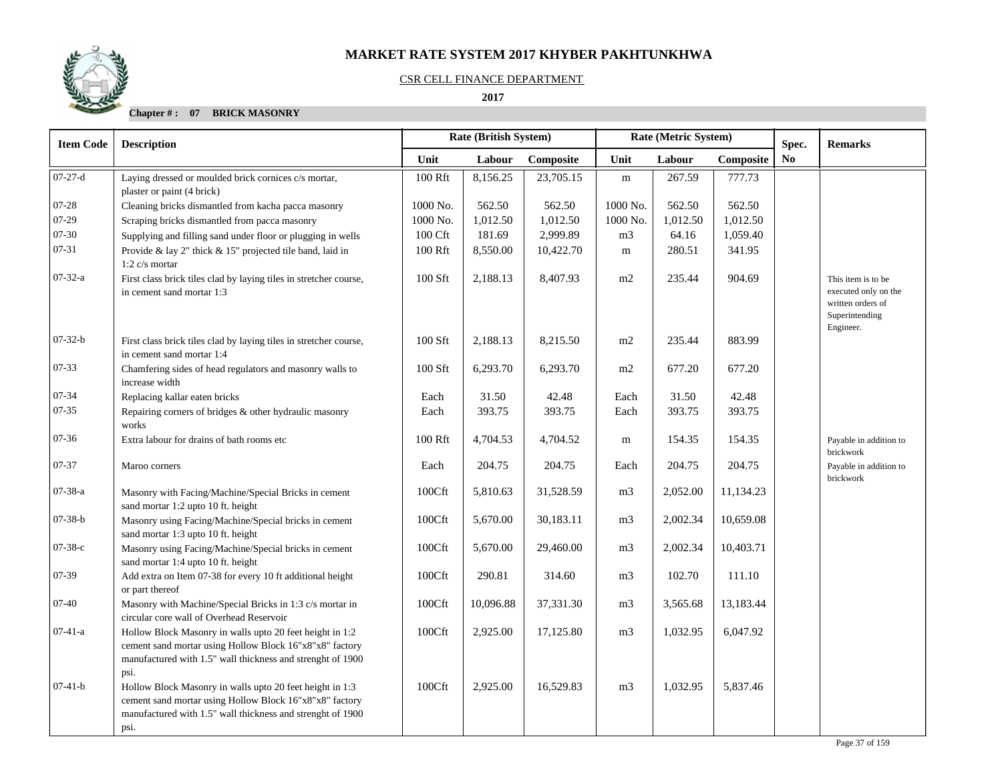

### CSR CELL FINANCE DEPARTMENT

## **2017**

| <b>Item Code</b> | <b>Description</b>                                                                                                                                                                        |          | <b>Rate (British System)</b> |           | Rate (Metric System) |          |           | Spec.          | <b>Remarks</b>                                                                                 |
|------------------|-------------------------------------------------------------------------------------------------------------------------------------------------------------------------------------------|----------|------------------------------|-----------|----------------------|----------|-----------|----------------|------------------------------------------------------------------------------------------------|
|                  |                                                                                                                                                                                           | Unit     | Labour                       | Composite | Unit                 | Labour   | Composite | N <sub>0</sub> |                                                                                                |
| $07-27-d$        | Laying dressed or moulded brick cornices c/s mortar,<br>plaster or paint (4 brick)                                                                                                        | 100 Rft  | 8,156.25                     | 23,705.15 | m                    | 267.59   | 777.73    |                |                                                                                                |
| $07 - 28$        | Cleaning bricks dismantled from kacha pacca masonry                                                                                                                                       | 1000 No. | 562.50                       | 562.50    | 1000 No.             | 562.50   | 562.50    |                |                                                                                                |
| 07-29            | Scraping bricks dismantled from pacca masonry                                                                                                                                             | 1000 No. | 1,012.50                     | 1,012.50  | 1000 No.             | 1,012.50 | 1,012.50  |                |                                                                                                |
| 07-30            | Supplying and filling sand under floor or plugging in wells                                                                                                                               | 100 Cft  | 181.69                       | 2,999.89  | m <sub>3</sub>       | 64.16    | 1,059.40  |                |                                                                                                |
| 07-31            | Provide & lay 2" thick & 15" projected tile band, laid in<br>1:2 $c/s$ mortar                                                                                                             | 100 Rft  | 8,550.00                     | 10,422.70 | m                    | 280.51   | 341.95    |                |                                                                                                |
| $07 - 32 - a$    | First class brick tiles clad by laying tiles in stretcher course,<br>in cement sand mortar 1:3                                                                                            | 100 Sft  | 2,188.13                     | 8,407.93  | m2                   | 235.44   | 904.69    |                | This item is to be<br>executed only on the<br>written orders of<br>Superintending<br>Engineer. |
| $07 - 32 - b$    | First class brick tiles clad by laying tiles in stretcher course,<br>in cement sand mortar 1:4                                                                                            | 100 Sft  | 2,188.13                     | 8,215.50  | m2                   | 235.44   | 883.99    |                |                                                                                                |
| 07-33            | Chamfering sides of head regulators and masonry walls to<br>increase width                                                                                                                | 100 Sft  | 6,293.70                     | 6,293.70  | m2                   | 677.20   | 677.20    |                |                                                                                                |
| 07-34            | Replacing kallar eaten bricks                                                                                                                                                             | Each     | 31.50                        | 42.48     | Each                 | 31.50    | 42.48     |                |                                                                                                |
| $07 - 35$        | Repairing corners of bridges & other hydraulic masonry<br>works                                                                                                                           | Each     | 393.75                       | 393.75    | Each                 | 393.75   | 393.75    |                |                                                                                                |
| 07-36            | Extra labour for drains of bath rooms etc                                                                                                                                                 | 100 Rft  | 4,704.53                     | 4,704.52  | m                    | 154.35   | 154.35    |                | Payable in addition to<br>brickwork                                                            |
| 07-37            | Maroo corners                                                                                                                                                                             | Each     | 204.75                       | 204.75    | Each                 | 204.75   | 204.75    |                | Payable in addition to<br>brickwork                                                            |
| 07-38-a          | Masonry with Facing/Machine/Special Bricks in cement<br>sand mortar 1:2 upto 10 ft. height                                                                                                | 100Cft   | 5,810.63                     | 31,528.59 | m <sub>3</sub>       | 2,052.00 | 11,134.23 |                |                                                                                                |
| $07 - 38 - b$    | Masonry using Facing/Machine/Special bricks in cement<br>sand mortar 1:3 upto 10 ft. height                                                                                               | 100Cft   | 5,670.00                     | 30,183.11 | m <sub>3</sub>       | 2,002.34 | 10,659.08 |                |                                                                                                |
| $07 - 38 - c$    | Masonry using Facing/Machine/Special bricks in cement<br>sand mortar 1:4 upto 10 ft. height                                                                                               | 100Cft   | 5,670.00                     | 29,460.00 | m <sub>3</sub>       | 2,002.34 | 10,403.71 |                |                                                                                                |
| 07-39            | Add extra on Item 07-38 for every 10 ft additional height<br>or part thereof                                                                                                              | 100Cft   | 290.81                       | 314.60    | m <sub>3</sub>       | 102.70   | 111.10    |                |                                                                                                |
| $07 - 40$        | Masonry with Machine/Special Bricks in 1:3 c/s mortar in<br>circular core wall of Overhead Reservoir                                                                                      | 100Cft   | 10,096.88                    | 37,331.30 | m <sub>3</sub>       | 3,565.68 | 13,183.44 |                |                                                                                                |
| $07-41-a$        | Hollow Block Masonry in walls upto 20 feet height in 1:2<br>cement sand mortar using Hollow Block 16"x8"x8" factory<br>manufactured with 1.5" wall thickness and strenght of 1900<br>psi. | 100Cft   | 2,925.00                     | 17,125.80 | m <sub>3</sub>       | 1,032.95 | 6,047.92  |                |                                                                                                |
| $07-41-b$        | Hollow Block Masonry in walls upto 20 feet height in 1:3<br>cement sand mortar using Hollow Block 16"x8"x8" factory<br>manufactured with 1.5" wall thickness and strenght of 1900<br>psi. | 100Cft   | 2,925.00                     | 16,529.83 | m <sub>3</sub>       | 1,032.95 | 5,837.46  |                |                                                                                                |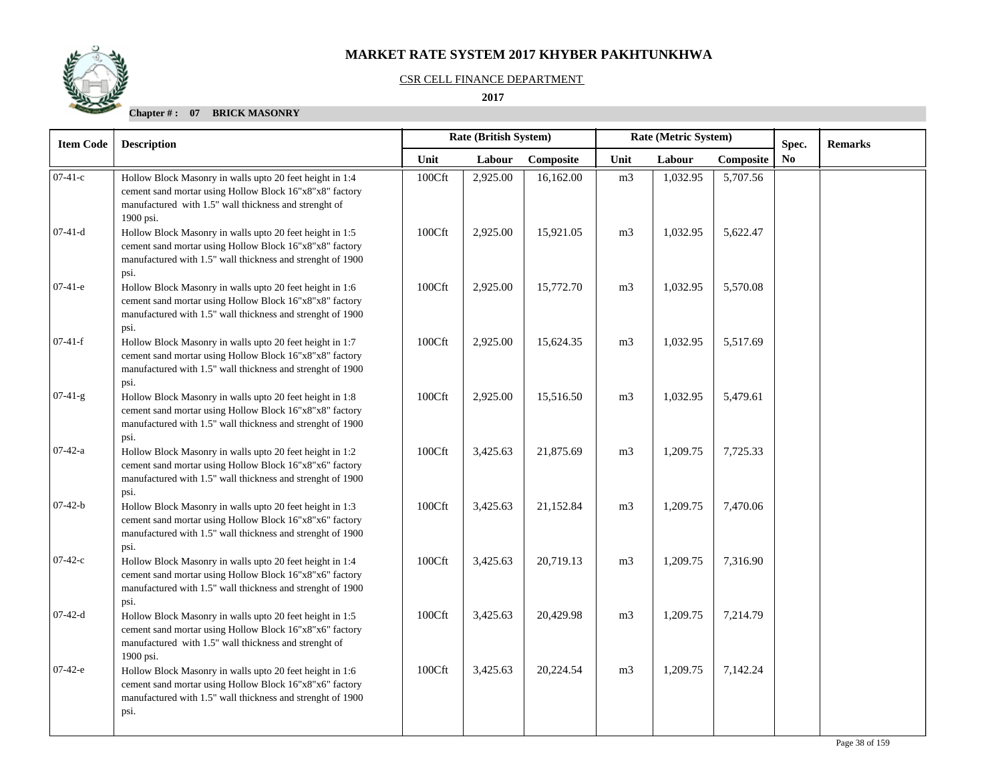## CSR CELL FINANCE DEPARTMENT

## **2017**

| <b>Item Code</b> | <b>Description</b>                                                                                                                                                                        |        | Rate (British System) |           |                | Rate (Metric System) |           | Spec.          | <b>Remarks</b> |
|------------------|-------------------------------------------------------------------------------------------------------------------------------------------------------------------------------------------|--------|-----------------------|-----------|----------------|----------------------|-----------|----------------|----------------|
|                  | Unit                                                                                                                                                                                      |        | Labour                | Composite | Unit           | Labour               | Composite | N <sub>0</sub> |                |
| $07-41-c$        | Hollow Block Masonry in walls upto 20 feet height in 1:4<br>cement sand mortar using Hollow Block 16"x8"x8" factory<br>manufactured with 1.5" wall thickness and strenght of<br>1900 psi. | 100Cft | 2,925.00              | 16,162.00 | m <sub>3</sub> | 1,032.95             | 5,707.56  |                |                |
| $07-41-d$        | Hollow Block Masonry in walls upto 20 feet height in 1:5<br>cement sand mortar using Hollow Block 16"x8"x8" factory<br>manufactured with 1.5" wall thickness and strenght of 1900<br>psi. | 100Cft | 2,925.00              | 15,921.05 | m <sub>3</sub> | 1,032.95             | 5,622.47  |                |                |
| $07-41-e$        | Hollow Block Masonry in walls upto 20 feet height in 1:6<br>cement sand mortar using Hollow Block 16"x8"x8" factory<br>manufactured with 1.5" wall thickness and strenght of 1900<br>psi. | 100Cft | 2,925.00              | 15,772.70 | m <sub>3</sub> | 1,032.95             | 5,570.08  |                |                |
| $07-41-f$        | Hollow Block Masonry in walls upto 20 feet height in 1:7<br>cement sand mortar using Hollow Block 16"x8"x8" factory<br>manufactured with 1.5" wall thickness and strenght of 1900<br>psi. | 100Cft | 2,925.00              | 15,624.35 | m <sub>3</sub> | 1,032.95             | 5,517.69  |                |                |
| $07-41-g$        | Hollow Block Masonry in walls upto 20 feet height in 1:8<br>cement sand mortar using Hollow Block 16"x8"x8" factory<br>manufactured with 1.5" wall thickness and strenght of 1900<br>psi. | 100Cft | 2,925.00              | 15,516.50 | m <sub>3</sub> | 1,032.95             | 5,479.61  |                |                |
| $07-42-a$        | Hollow Block Masonry in walls upto 20 feet height in 1:2<br>cement sand mortar using Hollow Block 16"x8"x6" factory<br>manufactured with 1.5" wall thickness and strenght of 1900<br>psi. | 100Cft | 3,425.63              | 21,875.69 | m <sub>3</sub> | 1,209.75             | 7,725.33  |                |                |
| $07-42-b$        | Hollow Block Masonry in walls upto 20 feet height in 1:3<br>cement sand mortar using Hollow Block 16"x8"x6" factory<br>manufactured with 1.5" wall thickness and strenght of 1900<br>psi. | 100Cft | 3,425.63              | 21,152.84 | m <sub>3</sub> | 1,209.75             | 7,470.06  |                |                |
| $07-42-c$        | Hollow Block Masonry in walls upto 20 feet height in 1:4<br>cement sand mortar using Hollow Block 16"x8"x6" factory<br>manufactured with 1.5" wall thickness and strenght of 1900<br>psi. | 100Cft | 3,425.63              | 20,719.13 | m <sub>3</sub> | 1,209.75             | 7,316.90  |                |                |
| $07-42-d$        | Hollow Block Masonry in walls upto 20 feet height in 1:5<br>cement sand mortar using Hollow Block 16"x8"x6" factory<br>manufactured with 1.5" wall thickness and strenght of<br>1900 psi. | 100Cft | 3,425.63              | 20,429.98 | m <sub>3</sub> | 1,209.75             | 7,214.79  |                |                |
| $07-42-e$        | Hollow Block Masonry in walls upto 20 feet height in 1:6<br>cement sand mortar using Hollow Block 16"x8"x6" factory<br>manufactured with 1.5" wall thickness and strenght of 1900<br>psi. | 100Cft | 3,425.63              | 20,224.54 | m <sub>3</sub> | 1,209.75             | 7,142.24  |                |                |

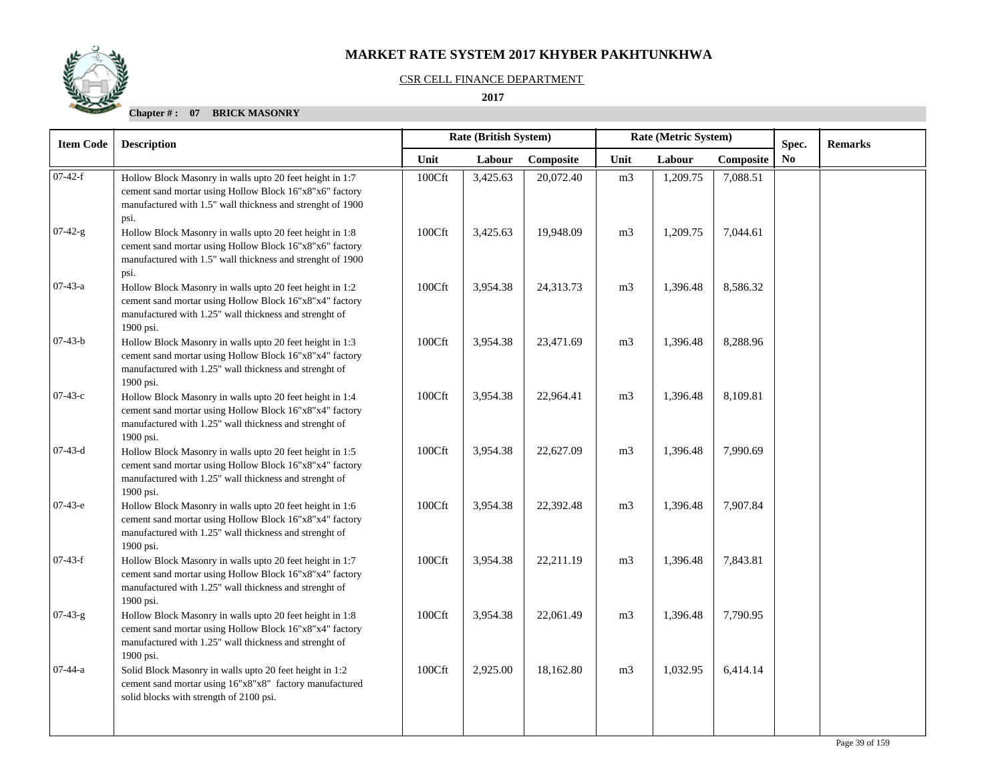## CSR CELL FINANCE DEPARTMENT

 **2017** 

| <b>Item Code</b> | <b>Description</b>                                                                                                                                                                         |        | Rate (British System) |           |                | Rate (Metric System) |           | Spec.          | <b>Remarks</b> |
|------------------|--------------------------------------------------------------------------------------------------------------------------------------------------------------------------------------------|--------|-----------------------|-----------|----------------|----------------------|-----------|----------------|----------------|
|                  |                                                                                                                                                                                            | Unit   | Labour                | Composite | Unit           | Labour               | Composite | N <sub>0</sub> |                |
| $07-42-f$        | Hollow Block Masonry in walls upto 20 feet height in 1:7<br>cement sand mortar using Hollow Block 16"x8"x6" factory<br>manufactured with 1.5" wall thickness and strenght of 1900<br>psi.  | 100Cft | 3,425.63              | 20,072.40 | m <sub>3</sub> | 1,209.75             | 7,088.51  |                |                |
| $07-42-g$        | Hollow Block Masonry in walls upto 20 feet height in 1:8<br>cement sand mortar using Hollow Block 16"x8"x6" factory<br>manufactured with 1.5" wall thickness and strenght of 1900<br>psi.  | 100Cft | 3,425.63              | 19,948.09 | m <sub>3</sub> | 1,209.75             | 7,044.61  |                |                |
| $07-43-a$        | Hollow Block Masonry in walls upto 20 feet height in 1:2<br>cement sand mortar using Hollow Block 16"x8"x4" factory<br>manufactured with 1.25" wall thickness and strenght of<br>1900 psi. | 100Cft | 3,954.38              | 24,313.73 | m <sub>3</sub> | 1,396.48             | 8,586.32  |                |                |
| $07-43-b$        | Hollow Block Masonry in walls upto 20 feet height in 1:3<br>cement sand mortar using Hollow Block 16"x8"x4" factory<br>manufactured with 1.25" wall thickness and strenght of<br>1900 psi. | 100Cft | 3,954.38              | 23,471.69 | m <sub>3</sub> | 1,396.48             | 8,288.96  |                |                |
| $07-43-c$        | Hollow Block Masonry in walls upto 20 feet height in 1:4<br>cement sand mortar using Hollow Block 16"x8"x4" factory<br>manufactured with 1.25" wall thickness and strenght of<br>1900 psi. | 100Cft | 3,954.38              | 22,964.41 | m <sub>3</sub> | 1,396.48             | 8,109.81  |                |                |
| $07-43-d$        | Hollow Block Masonry in walls upto 20 feet height in 1:5<br>cement sand mortar using Hollow Block 16"x8"x4" factory<br>manufactured with 1.25" wall thickness and strenght of<br>1900 psi. | 100Cft | 3,954.38              | 22,627.09 | m <sub>3</sub> | 1,396.48             | 7,990.69  |                |                |
| $07-43-e$        | Hollow Block Masonry in walls upto 20 feet height in 1:6<br>cement sand mortar using Hollow Block 16"x8"x4" factory<br>manufactured with 1.25" wall thickness and strenght of<br>1900 psi. | 100Cft | 3,954.38              | 22,392.48 | m <sub>3</sub> | 1,396.48             | 7,907.84  |                |                |
| $07-43-f$        | Hollow Block Masonry in walls upto 20 feet height in 1:7<br>cement sand mortar using Hollow Block 16"x8"x4" factory<br>manufactured with 1.25" wall thickness and strenght of<br>1900 psi. | 100Cft | 3,954.38              | 22,211.19 | m <sub>3</sub> | 1,396.48             | 7,843.81  |                |                |
| $07-43-g$        | Hollow Block Masonry in walls upto 20 feet height in 1:8<br>cement sand mortar using Hollow Block 16"x8"x4" factory<br>manufactured with 1.25" wall thickness and strenght of<br>1900 psi. | 100Cft | 3,954.38              | 22,061.49 | m <sub>3</sub> | 1,396.48             | 7,790.95  |                |                |
| $07 - 44 - a$    | Solid Block Masonry in walls upto 20 feet height in 1:2<br>cement sand mortar using 16"x8"x8" factory manufactured<br>solid blocks with strength of 2100 psi.                              | 100Cft | 2,925.00              | 18,162.80 | m <sub>3</sub> | 1,032.95             | 6,414.14  |                |                |
|                  |                                                                                                                                                                                            |        |                       |           |                |                      |           |                |                |

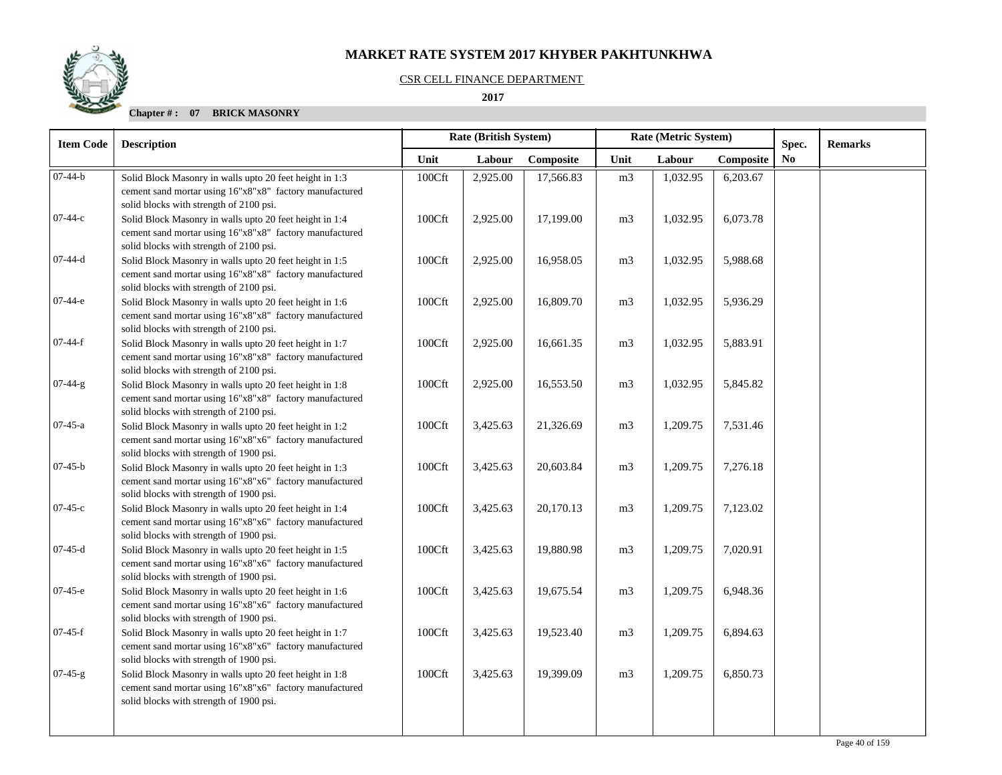#### CSR CELL FINANCE DEPARTMENT

 **2017** 

| <b>Item Code</b> | <b>Description</b>                                                                                                                                            | <b>Rate (British System)</b> |          |           |                | Rate (Metric System) |           | Spec.          | <b>Remarks</b> |
|------------------|---------------------------------------------------------------------------------------------------------------------------------------------------------------|------------------------------|----------|-----------|----------------|----------------------|-----------|----------------|----------------|
|                  |                                                                                                                                                               | Unit                         | Labour   | Composite | Unit           | Labour               | Composite | N <sub>0</sub> |                |
| $\sqrt{07-44-b}$ | Solid Block Masonry in walls upto 20 feet height in 1:3<br>cement sand mortar using 16"x8"x8" factory manufactured<br>solid blocks with strength of 2100 psi. | 100Cft                       | 2,925.00 | 17,566.83 | m <sub>3</sub> | 1,032.95             | 6,203.67  |                |                |
| 07-44-с          | Solid Block Masonry in walls upto 20 feet height in 1:4<br>cement sand mortar using 16"x8"x8" factory manufactured<br>solid blocks with strength of 2100 psi. | 100Cft                       | 2,925.00 | 17,199.00 | m <sub>3</sub> | 1,032.95             | 6,073.78  |                |                |
| $07-44-d$        | Solid Block Masonry in walls upto 20 feet height in 1:5<br>cement sand mortar using 16"x8"x8" factory manufactured<br>solid blocks with strength of 2100 psi. | 100Cft                       | 2,925.00 | 16,958.05 | m <sub>3</sub> | 1,032.95             | 5,988.68  |                |                |
| $07-44-e$        | Solid Block Masonry in walls upto 20 feet height in 1:6<br>cement sand mortar using 16"x8"x8" factory manufactured<br>solid blocks with strength of 2100 psi. | 100Cft                       | 2,925.00 | 16,809.70 | m <sub>3</sub> | 1,032.95             | 5,936.29  |                |                |
| $07-44-f$        | Solid Block Masonry in walls upto 20 feet height in 1:7<br>cement sand mortar using 16"x8"x8" factory manufactured<br>solid blocks with strength of 2100 psi. | 100Cft                       | 2,925.00 | 16,661.35 | m <sub>3</sub> | 1,032.95             | 5,883.91  |                |                |
| $07-44-g$        | Solid Block Masonry in walls upto 20 feet height in 1:8<br>cement sand mortar using 16"x8"x8" factory manufactured<br>solid blocks with strength of 2100 psi. | 100Cft                       | 2,925.00 | 16,553.50 | m <sub>3</sub> | 1,032.95             | 5,845.82  |                |                |
| $07-45-a$        | Solid Block Masonry in walls upto 20 feet height in 1:2<br>cement sand mortar using 16"x8"x6" factory manufactured<br>solid blocks with strength of 1900 psi. | 100Cft                       | 3,425.63 | 21,326.69 | m <sub>3</sub> | 1,209.75             | 7,531.46  |                |                |
| $07-45-b$        | Solid Block Masonry in walls upto 20 feet height in 1:3<br>cement sand mortar using 16"x8"x6" factory manufactured<br>solid blocks with strength of 1900 psi. | 100Cft                       | 3,425.63 | 20,603.84 | m <sub>3</sub> | 1,209.75             | 7,276.18  |                |                |
| $07-45-c$        | Solid Block Masonry in walls upto 20 feet height in 1:4<br>cement sand mortar using 16"x8"x6" factory manufactured<br>solid blocks with strength of 1900 psi. | 100Cft                       | 3,425.63 | 20,170.13 | m <sub>3</sub> | 1,209.75             | 7,123.02  |                |                |
| $07-45-d$        | Solid Block Masonry in walls upto 20 feet height in 1:5<br>cement sand mortar using 16"x8"x6" factory manufactured<br>solid blocks with strength of 1900 psi. | 100Cft                       | 3,425.63 | 19,880.98 | m <sub>3</sub> | 1,209.75             | 7,020.91  |                |                |
| $07-45-e$        | Solid Block Masonry in walls upto 20 feet height in 1:6<br>cement sand mortar using 16"x8"x6" factory manufactured<br>solid blocks with strength of 1900 psi. | 100Cft                       | 3,425.63 | 19,675.54 | m <sub>3</sub> | 1,209.75             | 6,948.36  |                |                |
| $07-45-f$        | Solid Block Masonry in walls upto 20 feet height in 1:7<br>cement sand mortar using 16"x8"x6" factory manufactured<br>solid blocks with strength of 1900 psi. | 100Cft                       | 3,425.63 | 19,523.40 | m <sub>3</sub> | 1,209.75             | 6,894.63  |                |                |
| $07-45-g$        | Solid Block Masonry in walls upto 20 feet height in 1:8<br>cement sand mortar using 16"x8"x6" factory manufactured<br>solid blocks with strength of 1900 psi. | 100Cft                       | 3,425.63 | 19,399.09 | m <sub>3</sub> | 1,209.75             | 6,850.73  |                |                |
|                  |                                                                                                                                                               |                              |          |           |                |                      |           |                |                |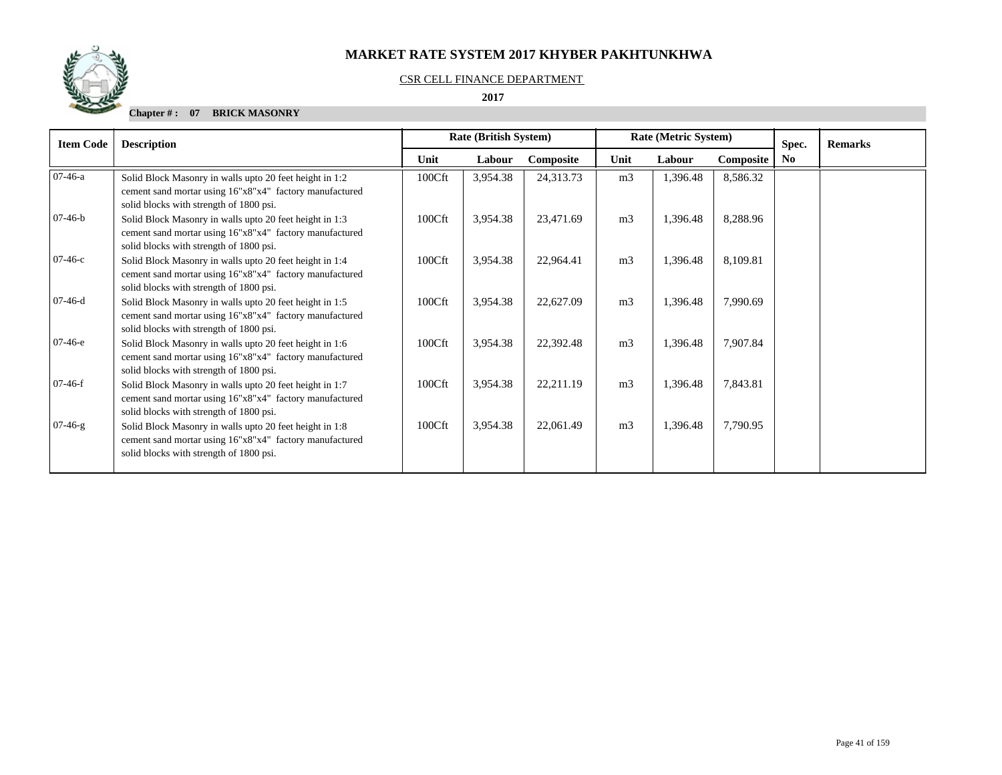## CSR CELL FINANCE DEPARTMENT

 **2017** 

| <b>Item Code</b> | <b>Description</b>                                                                                                                                            |        | <b>Rate (British System)</b> |           |                | Rate (Metric System) |           | Spec.          | <b>Remarks</b> |
|------------------|---------------------------------------------------------------------------------------------------------------------------------------------------------------|--------|------------------------------|-----------|----------------|----------------------|-----------|----------------|----------------|
|                  |                                                                                                                                                               | Unit   | Labour                       | Composite | Unit           | Labour               | Composite | N <sub>0</sub> |                |
| $07-46-a$        | Solid Block Masonry in walls upto 20 feet height in 1:2<br>cement sand mortar using 16"x8"x4" factory manufactured<br>solid blocks with strength of 1800 psi. | 100Cft | 3,954.38                     | 24,313.73 | m <sub>3</sub> | 1,396.48             | 8,586.32  |                |                |
| $07-46-b$        | Solid Block Masonry in walls upto 20 feet height in 1:3<br>cement sand mortar using 16"x8"x4" factory manufactured<br>solid blocks with strength of 1800 psi. | 100Cft | 3,954.38                     | 23,471.69 | m <sub>3</sub> | 1,396.48             | 8,288.96  |                |                |
| $07-46-c$        | Solid Block Masonry in walls upto 20 feet height in 1:4<br>cement sand mortar using 16"x8"x4" factory manufactured<br>solid blocks with strength of 1800 psi. | 100Cft | 3,954.38                     | 22,964.41 | m <sub>3</sub> | 1,396.48             | 8,109.81  |                |                |
| $07-46-d$        | Solid Block Masonry in walls upto 20 feet height in 1:5<br>cement sand mortar using 16"x8"x4" factory manufactured<br>solid blocks with strength of 1800 psi. | 100Cft | 3,954.38                     | 22,627.09 | m <sub>3</sub> | 1,396.48             | 7,990.69  |                |                |
| $07-46-e$        | Solid Block Masonry in walls upto 20 feet height in 1:6<br>cement sand mortar using 16"x8"x4" factory manufactured<br>solid blocks with strength of 1800 psi. | 100Cft | 3,954.38                     | 22,392.48 | m <sub>3</sub> | 1,396.48             | 7,907.84  |                |                |
| $07-46-f$        | Solid Block Masonry in walls upto 20 feet height in 1:7<br>cement sand mortar using 16"x8"x4" factory manufactured<br>solid blocks with strength of 1800 psi. | 100Cft | 3,954.38                     | 22,211.19 | m <sub>3</sub> | 1,396.48             | 7,843.81  |                |                |
| $07-46-g$        | Solid Block Masonry in walls upto 20 feet height in 1:8<br>cement sand mortar using 16"x8"x4" factory manufactured<br>solid blocks with strength of 1800 psi. | 100Cft | 3,954.38                     | 22,061.49 | m <sub>3</sub> | 1,396.48             | 7,790.95  |                |                |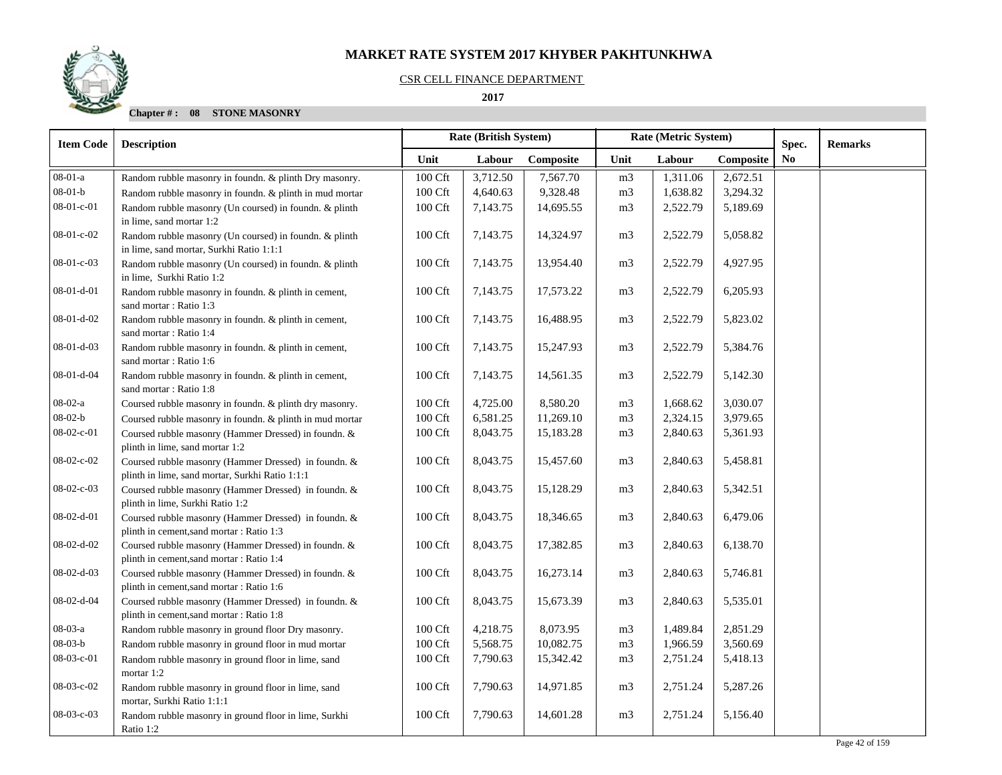### CSR CELL FINANCE DEPARTMENT

 **2017** 

| <b>Item Code</b>   | <b>Description</b>                                                                                      |         | Rate (British System) |           | Rate (Metric System) |          |           | Spec.          | <b>Remarks</b> |
|--------------------|---------------------------------------------------------------------------------------------------------|---------|-----------------------|-----------|----------------------|----------|-----------|----------------|----------------|
|                    |                                                                                                         | Unit    | Labour                | Composite | Unit                 | Labour   | Composite | N <sub>0</sub> |                |
| $08-01-a$          | Random rubble masonry in foundn. & plinth Dry masonry.                                                  | 100 Cft | 3,712.50              | 7,567.70  | m <sub>3</sub>       | 1,311.06 | 2,672.51  |                |                |
| $08 - 01 - b$      | Random rubble masonry in foundn. & plinth in mud mortar                                                 | 100 Cft | 4,640.63              | 9,328.48  | m <sub>3</sub>       | 1,638.82 | 3,294.32  |                |                |
| $08 - 01 - c - 01$ | Random rubble masonry (Un coursed) in foundn. & plinth<br>in lime, sand mortar 1:2                      | 100 Cft | 7,143.75              | 14,695.55 | m <sub>3</sub>       | 2,522.79 | 5,189.69  |                |                |
| $08-01-c-02$       | Random rubble masonry (Un coursed) in foundn. & plinth<br>in lime, sand mortar, Surkhi Ratio 1:1:1      | 100 Cft | 7,143.75              | 14,324.97 | m <sub>3</sub>       | 2,522.79 | 5,058.82  |                |                |
| 08-01-c-03         | Random rubble masonry (Un coursed) in foundn. & plinth<br>in lime, Surkhi Ratio 1:2                     | 100 Cft | 7,143.75              | 13,954.40 | m <sub>3</sub>       | 2,522.79 | 4,927.95  |                |                |
| $08-01-d-01$       | Random rubble masonry in foundn. & plinth in cement,<br>sand mortar: Ratio 1:3                          | 100 Cft | 7,143.75              | 17,573.22 | m <sub>3</sub>       | 2,522.79 | 6,205.93  |                |                |
| $08-01-d-02$       | Random rubble masonry in foundn. & plinth in cement,<br>sand mortar: Ratio 1:4                          | 100 Cft | 7,143.75              | 16,488.95 | m <sub>3</sub>       | 2,522.79 | 5,823.02  |                |                |
| $08-01-d-03$       | Random rubble masonry in foundn. & plinth in cement,<br>sand mortar: Ratio 1:6                          | 100 Cft | 7,143.75              | 15,247.93 | m <sub>3</sub>       | 2,522.79 | 5,384.76  |                |                |
| 08-01-d-04         | Random rubble masonry in foundn. & plinth in cement,<br>sand mortar: Ratio 1:8                          | 100 Cft | 7,143.75              | 14,561.35 | m <sub>3</sub>       | 2,522.79 | 5,142.30  |                |                |
| $08-02-a$          | Coursed rubble masonry in foundn. & plinth dry masonry.                                                 | 100 Cft | 4,725.00              | 8,580.20  | m <sub>3</sub>       | 1,668.62 | 3,030.07  |                |                |
| $08 - 02 - b$      | Coursed rubble masonry in foundn. & plinth in mud mortar                                                | 100 Cft | 6,581.25              | 11,269.10 | m <sub>3</sub>       | 2,324.15 | 3,979.65  |                |                |
| $08-02-c-01$       | Coursed rubble masonry (Hammer Dressed) in foundn. &<br>plinth in lime, sand mortar 1:2                 | 100 Cft | 8,043.75              | 15,183.28 | m <sub>3</sub>       | 2,840.63 | 5,361.93  |                |                |
| 08-02-c-02         | Coursed rubble masonry (Hammer Dressed) in foundn. &<br>plinth in lime, sand mortar, Surkhi Ratio 1:1:1 | 100 Cft | 8,043.75              | 15,457.60 | m <sub>3</sub>       | 2,840.63 | 5,458.81  |                |                |
| $08-02-c-03$       | Coursed rubble masonry (Hammer Dressed) in foundn. &<br>plinth in lime, Surkhi Ratio 1:2                | 100 Cft | 8,043.75              | 15,128.29 | m <sub>3</sub>       | 2,840.63 | 5,342.51  |                |                |
| 08-02-d-01         | Coursed rubble masonry (Hammer Dressed) in foundn. &<br>plinth in cement, sand mortar : Ratio 1:3       | 100 Cft | 8,043.75              | 18,346.65 | m <sub>3</sub>       | 2,840.63 | 6,479.06  |                |                |
| 08-02-d-02         | Coursed rubble masonry (Hammer Dressed) in foundn. &<br>plinth in cement, sand mortar : Ratio 1:4       | 100 Cft | 8,043.75              | 17,382.85 | m <sub>3</sub>       | 2,840.63 | 6,138.70  |                |                |
| 08-02-d-03         | Coursed rubble masonry (Hammer Dressed) in foundn. &<br>plinth in cement, sand mortar : Ratio 1:6       | 100 Cft | 8,043.75              | 16,273.14 | m <sub>3</sub>       | 2,840.63 | 5,746.81  |                |                |
| 08-02-d-04         | Coursed rubble masonry (Hammer Dressed) in foundn. &<br>plinth in cement, sand mortar : Ratio 1:8       | 100 Cft | 8,043.75              | 15,673.39 | m <sub>3</sub>       | 2,840.63 | 5,535.01  |                |                |
| 08-03-a            | Random rubble masonry in ground floor Dry masonry.                                                      | 100 Cft | 4,218.75              | 8,073.95  | m <sub>3</sub>       | 1,489.84 | 2,851.29  |                |                |
| $08 - 03 - b$      | Random rubble masonry in ground floor in mud mortar                                                     | 100 Cft | 5,568.75              | 10,082.75 | m <sub>3</sub>       | 1,966.59 | 3,560.69  |                |                |
| 08-03-c-01         | Random rubble masonry in ground floor in lime, sand<br>mortar 1:2                                       | 100 Cft | 7,790.63              | 15,342.42 | m <sub>3</sub>       | 2,751.24 | 5,418.13  |                |                |
| 08-03-c-02         | Random rubble masonry in ground floor in lime, sand<br>mortar, Surkhi Ratio 1:1:1                       | 100 Cft | 7,790.63              | 14,971.85 | m <sub>3</sub>       | 2,751.24 | 5,287.26  |                |                |
| $08-03-c-03$       | Random rubble masonry in ground floor in lime, Surkhi<br>Ratio 1:2                                      | 100 Cft | 7,790.63              | 14,601.28 | m <sub>3</sub>       | 2,751.24 | 5,156.40  |                |                |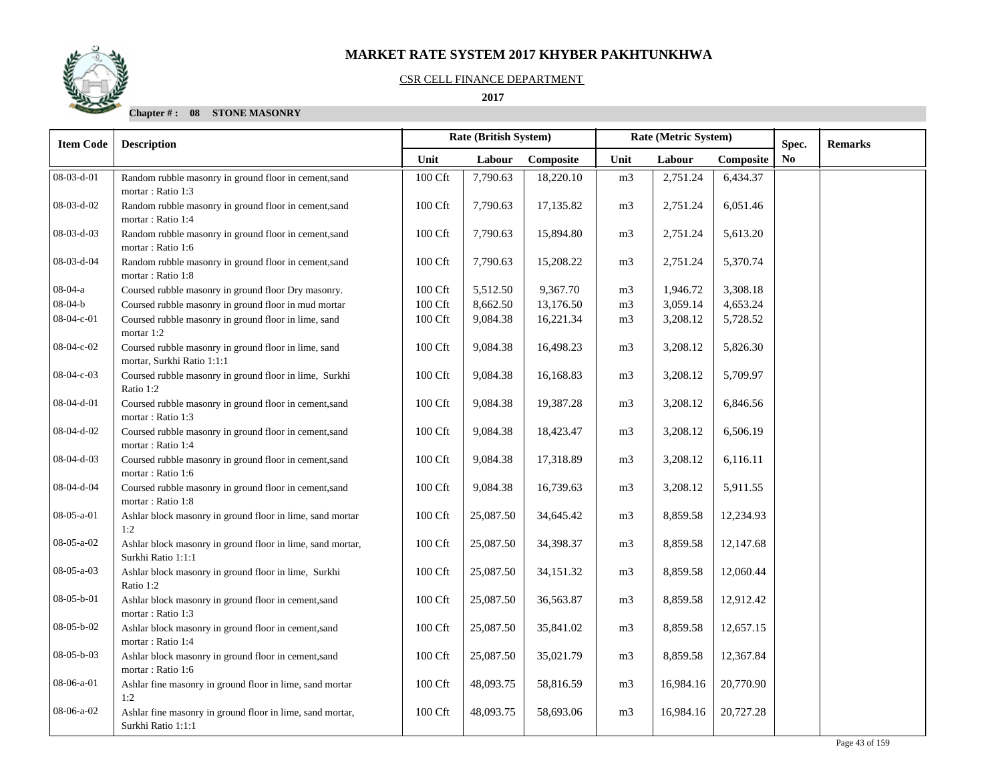

### CSR CELL FINANCE DEPARTMENT

 **2017** 

| <b>Item Code</b> | <b>Description</b>                                                                 | Rate (British System) |           | Rate (Metric System) |                | Spec.     | <b>Remarks</b> |    |  |
|------------------|------------------------------------------------------------------------------------|-----------------------|-----------|----------------------|----------------|-----------|----------------|----|--|
|                  |                                                                                    | Unit                  | Labour    | Composite            | Unit           | Labour    | Composite      | No |  |
| 08-03-d-01       | Random rubble masonry in ground floor in cement,sand<br>mortar: Ratio 1:3          | 100 Cft               | 7,790.63  | 18,220.10            | m <sub>3</sub> | 2,751.24  | 6,434.37       |    |  |
| 08-03-d-02       | Random rubble masonry in ground floor in cement, sand<br>mortar: Ratio 1:4         | 100 Cft               | 7,790.63  | 17,135.82            | m <sub>3</sub> | 2,751.24  | 6,051.46       |    |  |
| 08-03-d-03       | Random rubble masonry in ground floor in cement, sand<br>mortar: Ratio 1:6         | 100 Cft               | 7,790.63  | 15,894.80            | m <sub>3</sub> | 2,751.24  | 5,613.20       |    |  |
| 08-03-d-04       | Random rubble masonry in ground floor in cement, sand<br>mortar: Ratio 1:8         | 100 Cft               | 7,790.63  | 15,208.22            | m <sub>3</sub> | 2,751.24  | 5,370.74       |    |  |
| $08-04-a$        | Coursed rubble masonry in ground floor Dry masonry.                                | 100 Cft               | 5,512.50  | 9,367.70             | m <sub>3</sub> | 1,946.72  | 3,308.18       |    |  |
| $08 - 04 - b$    | Coursed rubble masonry in ground floor in mud mortar                               | 100 Cft               | 8,662.50  | 13,176.50            | m <sub>3</sub> | 3,059.14  | 4,653.24       |    |  |
| 08-04-c-01       | Coursed rubble masonry in ground floor in lime, sand<br>mortar 1:2                 | 100 Cft               | 9,084.38  | 16,221.34            | m <sub>3</sub> | 3,208.12  | 5,728.52       |    |  |
| 08-04-c-02       | Coursed rubble masonry in ground floor in lime, sand<br>mortar, Surkhi Ratio 1:1:1 | 100 Cft               | 9,084.38  | 16,498.23            | m <sub>3</sub> | 3,208.12  | 5,826.30       |    |  |
| 08-04-c-03       | Coursed rubble masonry in ground floor in lime, Surkhi<br>Ratio 1:2                | 100 Cft               | 9,084.38  | 16,168.83            | m <sub>3</sub> | 3,208.12  | 5,709.97       |    |  |
| 08-04-d-01       | Coursed rubble masonry in ground floor in cement,sand<br>mortar: Ratio 1:3         | 100 Cft               | 9,084.38  | 19,387.28            | m <sub>3</sub> | 3,208.12  | 6,846.56       |    |  |
| 08-04-d-02       | Coursed rubble masonry in ground floor in cement, sand<br>mortar: Ratio 1:4        | 100 Cft               | 9,084.38  | 18,423.47            | m <sub>3</sub> | 3,208.12  | 6,506.19       |    |  |
| 08-04-d-03       | Coursed rubble masonry in ground floor in cement, sand<br>mortar: Ratio 1:6        | 100 Cft               | 9,084.38  | 17,318.89            | m <sub>3</sub> | 3,208.12  | 6,116.11       |    |  |
| 08-04-d-04       | Coursed rubble masonry in ground floor in cement, sand<br>mortar: Ratio 1:8        | 100 Cft               | 9,084.38  | 16,739.63            | m <sub>3</sub> | 3,208.12  | 5,911.55       |    |  |
| 08-05-a-01       | Ashlar block masonry in ground floor in lime, sand mortar<br>1:2                   | 100 Cft               | 25,087.50 | 34,645.42            | m <sub>3</sub> | 8,859.58  | 12,234.93      |    |  |
| $08-05-a-02$     | Ashlar block masonry in ground floor in lime, sand mortar,<br>Surkhi Ratio 1:1:1   | 100 Cft               | 25,087.50 | 34,398.37            | m <sub>3</sub> | 8,859.58  | 12,147.68      |    |  |
| 08-05-a-03       | Ashlar block masonry in ground floor in lime, Surkhi<br>Ratio 1:2                  | 100 Cft               | 25,087.50 | 34,151.32            | m <sub>3</sub> | 8,859.58  | 12,060.44      |    |  |
| 08-05-b-01       | Ashlar block masonry in ground floor in cement,sand<br>mortar: Ratio 1:3           | 100 Cft               | 25,087.50 | 36,563.87            | m <sub>3</sub> | 8,859.58  | 12,912.42      |    |  |
| $08-05-b-02$     | Ashlar block masonry in ground floor in cement,sand<br>mortar: Ratio 1:4           | 100 Cft               | 25,087.50 | 35,841.02            | m <sub>3</sub> | 8,859.58  | 12,657.15      |    |  |
| 08-05-b-03       | Ashlar block masonry in ground floor in cement, sand<br>mortar: Ratio 1:6          | 100 Cft               | 25,087.50 | 35,021.79            | m <sub>3</sub> | 8,859.58  | 12,367.84      |    |  |
| 08-06-a-01       | Ashlar fine masonry in ground floor in lime, sand mortar<br>1:2                    | 100 Cft               | 48,093.75 | 58,816.59            | m <sub>3</sub> | 16,984.16 | 20,770.90      |    |  |
| 08-06-a-02       | Ashlar fine masonry in ground floor in lime, sand mortar,<br>Surkhi Ratio 1:1:1    | 100 Cft               | 48,093.75 | 58,693.06            | m <sub>3</sub> | 16,984.16 | 20,727.28      |    |  |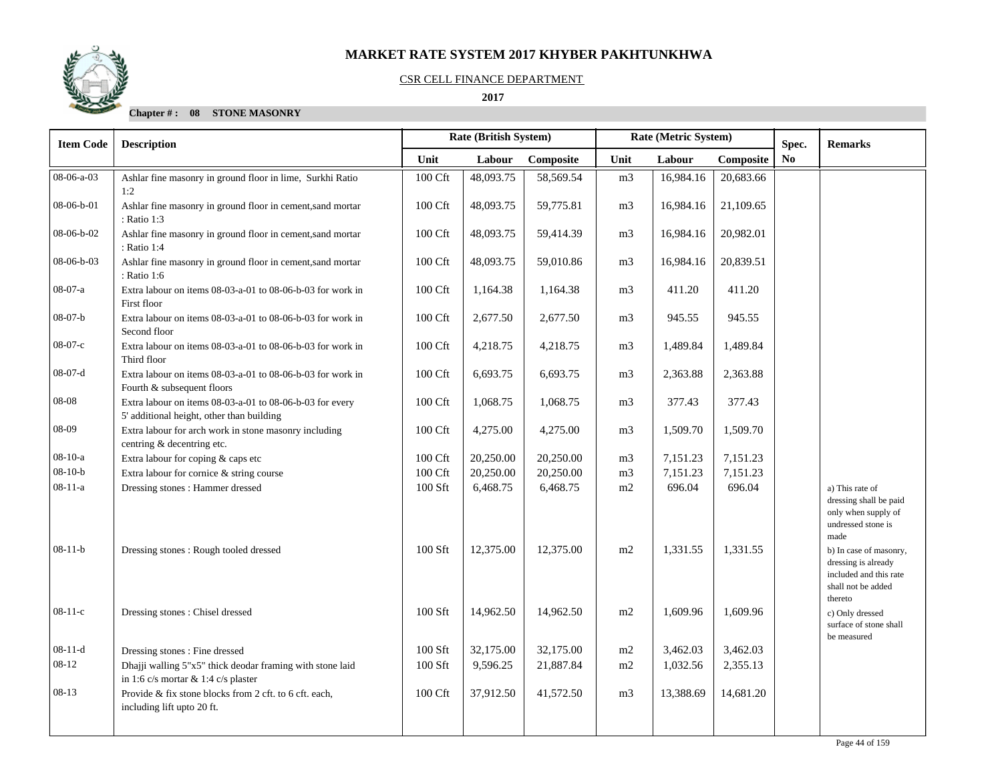

### CSR CELL FINANCE DEPARTMENT

 **2017** 

| <b>Item Code</b> | <b>Description</b>                                                                                    | <b>Rate (British System)</b><br>Rate (Metric System) |           |           | Spec.          | <b>Remarks</b> |           |     |                                                                                                          |
|------------------|-------------------------------------------------------------------------------------------------------|------------------------------------------------------|-----------|-----------|----------------|----------------|-----------|-----|----------------------------------------------------------------------------------------------------------|
|                  |                                                                                                       | Unit                                                 | Labour    | Composite | Unit           | Labour         | Composite | No. |                                                                                                          |
| 08-06-a-03       | Ashlar fine masonry in ground floor in lime, Surkhi Ratio<br>1:2                                      | 100 Cft                                              | 48,093.75 | 58,569.54 | m <sub>3</sub> | 16,984.16      | 20,683.66 |     |                                                                                                          |
| 08-06-b-01       | Ashlar fine masonry in ground floor in cement, sand mortar<br>: Ratio 1:3                             | 100 Cft                                              | 48,093.75 | 59,775.81 | m <sub>3</sub> | 16,984.16      | 21,109.65 |     |                                                                                                          |
| 08-06-b-02       | Ashlar fine masonry in ground floor in cement, sand mortar<br>: Ratio 1:4                             | 100 Cft                                              | 48,093.75 | 59,414.39 | m3             | 16,984.16      | 20,982.01 |     |                                                                                                          |
| 08-06-b-03       | Ashlar fine masonry in ground floor in cement, sand mortar<br>: Ratio 1:6                             | 100 Cft                                              | 48,093.75 | 59,010.86 | m <sub>3</sub> | 16,984.16      | 20,839.51 |     |                                                                                                          |
| $08-07-a$        | Extra labour on items 08-03-a-01 to 08-06-b-03 for work in<br>First floor                             | 100 Cft                                              | 1,164.38  | 1,164.38  | m <sub>3</sub> | 411.20         | 411.20    |     |                                                                                                          |
| $08-07-b$        | Extra labour on items 08-03-a-01 to 08-06-b-03 for work in<br>Second floor                            | 100 Cft                                              | 2,677.50  | 2,677.50  | m <sub>3</sub> | 945.55         | 945.55    |     |                                                                                                          |
| $08-07-c$        | Extra labour on items 08-03-a-01 to 08-06-b-03 for work in<br>Third floor                             | 100 Cft                                              | 4,218.75  | 4,218.75  | m <sub>3</sub> | 1,489.84       | 1,489.84  |     |                                                                                                          |
| $08-07-d$        | Extra labour on items 08-03-a-01 to 08-06-b-03 for work in<br>Fourth & subsequent floors              | 100 Cft                                              | 6,693.75  | 6,693.75  | m <sub>3</sub> | 2,363.88       | 2,363.88  |     |                                                                                                          |
| 08-08            | Extra labour on items 08-03-a-01 to 08-06-b-03 for every<br>5' additional height, other than building | 100 Cft                                              | 1,068.75  | 1,068.75  | m <sub>3</sub> | 377.43         | 377.43    |     |                                                                                                          |
| 08-09            | Extra labour for arch work in stone masonry including<br>centring & decentring etc.                   | 100 Cft                                              | 4,275.00  | 4,275.00  | m <sub>3</sub> | 1,509.70       | 1,509.70  |     |                                                                                                          |
| $08-10-a$        | Extra labour for coping & caps etc                                                                    | 100 Cft                                              | 20,250.00 | 20,250.00 | m <sub>3</sub> | 7,151.23       | 7,151.23  |     |                                                                                                          |
| $08-10-b$        | Extra labour for cornice & string course                                                              | 100 Cft                                              | 20,250.00 | 20,250.00 | m <sub>3</sub> | 7,151.23       | 7,151.23  |     |                                                                                                          |
| $08 - 11 - a$    | Dressing stones : Hammer dressed                                                                      | 100 Sft                                              | 6,468.75  | 6,468.75  | m2             | 696.04         | 696.04    |     | a) This rate of<br>dressing shall be paid<br>only when supply of<br>undressed stone is<br>made           |
| $08-11-b$        | Dressing stones: Rough tooled dressed                                                                 | 100 Sft                                              | 12,375.00 | 12,375.00 | m2             | 1,331.55       | 1,331.55  |     | b) In case of masonry,<br>dressing is already<br>included and this rate<br>shall not be added<br>thereto |
| $08-11-c$        | Dressing stones: Chisel dressed                                                                       | 100 Sft                                              | 14,962.50 | 14,962.50 | m2             | 1,609.96       | 1,609.96  |     | c) Only dressed<br>surface of stone shall<br>be measured                                                 |
| $08-11-d$        | Dressing stones : Fine dressed                                                                        | 100 Sft                                              | 32,175.00 | 32,175.00 | m <sub>2</sub> | 3,462.03       | 3,462.03  |     |                                                                                                          |
| $08 - 12$        | Dhajji walling 5"x5" thick deodar framing with stone laid                                             | 100 Sft                                              | 9,596.25  | 21,887.84 | m2             | 1,032.56       | 2,355.13  |     |                                                                                                          |
|                  | in 1:6 c/s mortar & 1:4 c/s plaster                                                                   |                                                      |           |           |                |                |           |     |                                                                                                          |
| $08-13$          | Provide & fix stone blocks from 2 cft. to 6 cft. each,<br>including lift upto 20 ft.                  | 100 Cft                                              | 37,912.50 | 41,572.50 | m <sub>3</sub> | 13,388.69      | 14,681.20 |     |                                                                                                          |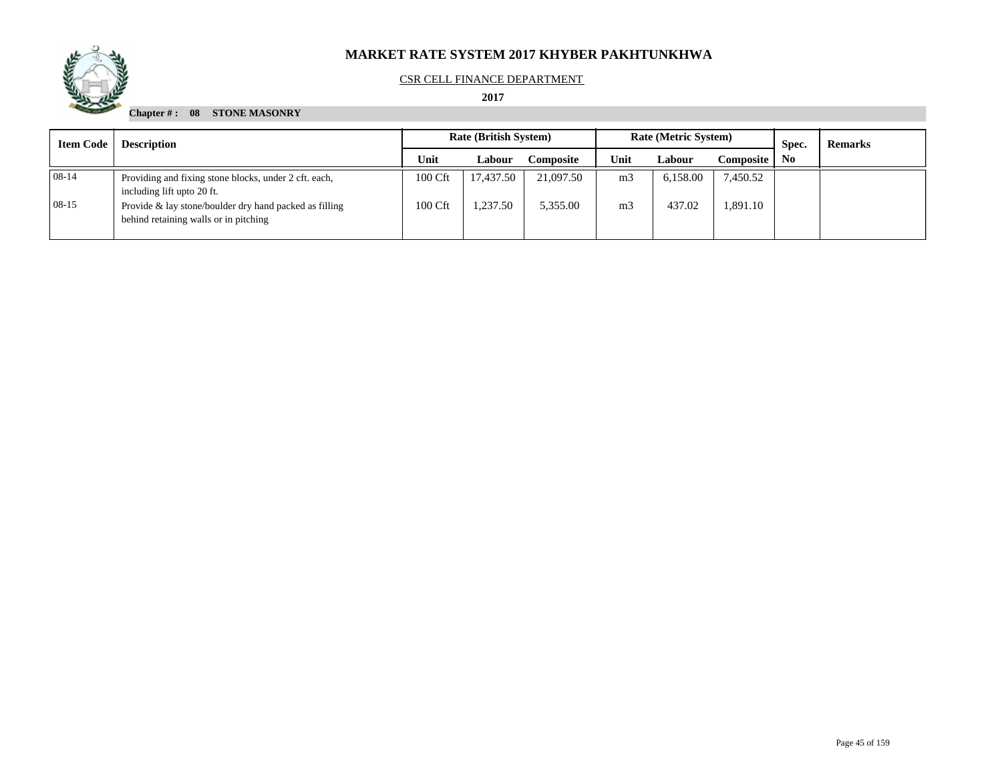

## CSR CELL FINANCE DEPARTMENT

## **2017**

| <b>Item Code</b> | <b>Description</b>                                                                              | <b>Rate (British System)</b> |           |           |                | <b>Rate (Metric System)</b> |           | Spec. | <b>Remarks</b> |
|------------------|-------------------------------------------------------------------------------------------------|------------------------------|-----------|-----------|----------------|-----------------------------|-----------|-------|----------------|
|                  |                                                                                                 | Unit                         | Labour    | Composite | Unit           | Labour                      | Composite | No.   |                |
| $08-14$          | Providing and fixing stone blocks, under 2 cft. each,<br>including lift upto 20 ft.             | 100 Cft                      | 17.437.50 | 21,097.50 | m <sub>3</sub> | 6,158.00                    | 7,450.52  |       |                |
| $08-15$          | Provide & lay stone/boulder dry hand packed as filling<br>behind retaining walls or in pitching | 100 Cft                      | .237.50   | 5,355.00  | m <sub>3</sub> | 437.02                      | 1,891.10  |       |                |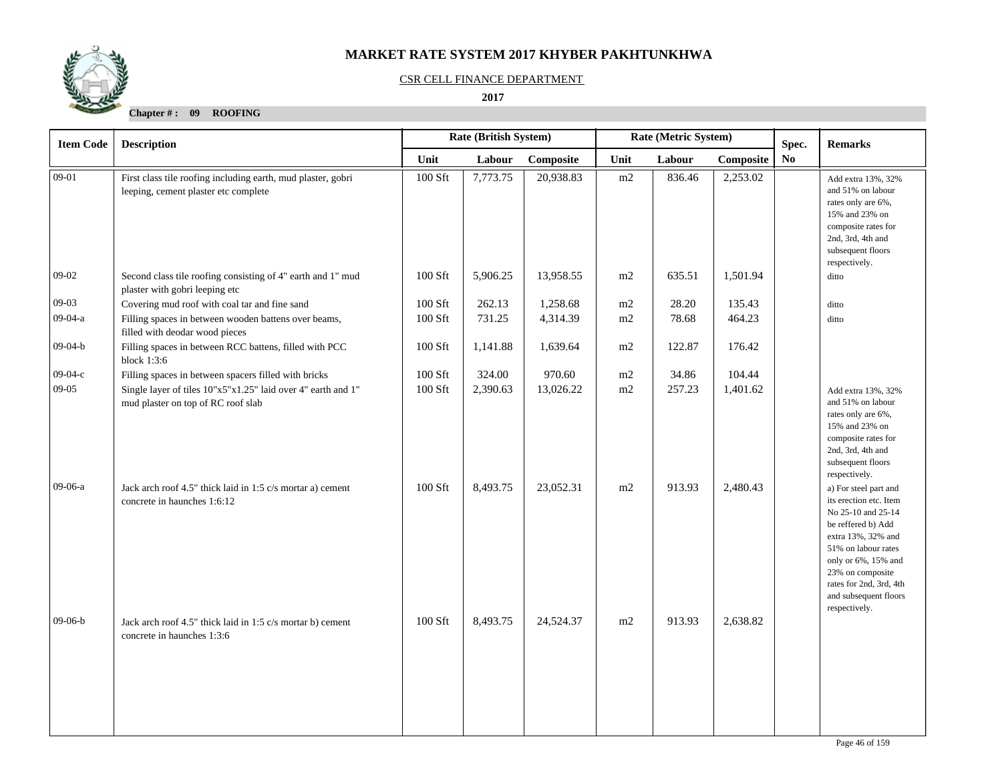

#### CSR CELL FINANCE DEPARTMENT

 **2017** 

| <b>Item Code</b> | <b>Description</b>                                                                                   |         | Rate (Metric System)<br>Rate (British System) |           |      | Spec.  |           | <b>Remarks</b> |                                                                                                                                                                                                                                                          |
|------------------|------------------------------------------------------------------------------------------------------|---------|-----------------------------------------------|-----------|------|--------|-----------|----------------|----------------------------------------------------------------------------------------------------------------------------------------------------------------------------------------------------------------------------------------------------------|
|                  |                                                                                                      | Unit    | Labour                                        | Composite | Unit | Labour | Composite | N <sub>0</sub> |                                                                                                                                                                                                                                                          |
| $09-01$          | First class tile roofing including earth, mud plaster, gobri<br>leeping, cement plaster etc complete | 100 Sft | 7,773.75                                      | 20,938.83 | m2   | 836.46 | 2,253.02  |                | Add extra 13%, 32%<br>and 51% on labour<br>rates only are 6%,<br>15% and 23% on<br>composite rates for<br>2nd, 3rd, 4th and<br>subsequent floors<br>respectively.                                                                                        |
| $09-02$          | Second class tile roofing consisting of 4" earth and 1" mud<br>plaster with gobri leeping etc        | 100 Sft | 5,906.25                                      | 13,958.55 | m2   | 635.51 | 1,501.94  |                | ditto                                                                                                                                                                                                                                                    |
| $09-03$          | Covering mud roof with coal tar and fine sand                                                        | 100 Sft | 262.13                                        | 1,258.68  | m2   | 28.20  | 135.43    |                | ditto                                                                                                                                                                                                                                                    |
| 09-04-a          | Filling spaces in between wooden battens over beams,<br>filled with deodar wood pieces               | 100 Sft | 731.25                                        | 4,314.39  | m2   | 78.68  | 464.23    |                | ditto                                                                                                                                                                                                                                                    |
| $09-04-b$        | Filling spaces in between RCC battens, filled with PCC<br>block 1:3:6                                | 100 Sft | 1,141.88                                      | 1,639.64  | m2   | 122.87 | 176.42    |                |                                                                                                                                                                                                                                                          |
| $09-04-c$        | Filling spaces in between spacers filled with bricks                                                 | 100 Sft | 324.00                                        | 970.60    | m2   | 34.86  | 104.44    |                |                                                                                                                                                                                                                                                          |
| $09-05$          | Single layer of tiles 10"x5"x1.25" laid over 4" earth and 1"<br>mud plaster on top of RC roof slab   | 100 Sft | 2,390.63                                      | 13,026.22 | m2   | 257.23 | 1,401.62  |                | Add extra 13%, 32%<br>and 51% on labour<br>rates only are 6%,<br>15% and 23% on<br>composite rates for<br>2nd, 3rd, 4th and<br>subsequent floors<br>respectively.                                                                                        |
| 09-06-a          | Jack arch roof 4.5" thick laid in 1:5 c/s mortar a) cement<br>concrete in haunches 1:6:12            | 100 Sft | 8,493.75                                      | 23,052.31 | m2   | 913.93 | 2,480.43  |                | a) For steel part and<br>its erection etc. Item<br>No 25-10 and 25-14<br>be reffered b) Add<br>extra 13%, 32% and<br>51% on labour rates<br>only or 6%, 15% and<br>23% on composite<br>rates for 2nd, 3rd, 4th<br>and subsequent floors<br>respectively. |
| $09-06-b$        | Jack arch roof 4.5" thick laid in 1:5 c/s mortar b) cement<br>concrete in haunches 1:3:6             | 100 Sft | 8,493.75                                      | 24,524.37 | m2   | 913.93 | 2,638.82  |                |                                                                                                                                                                                                                                                          |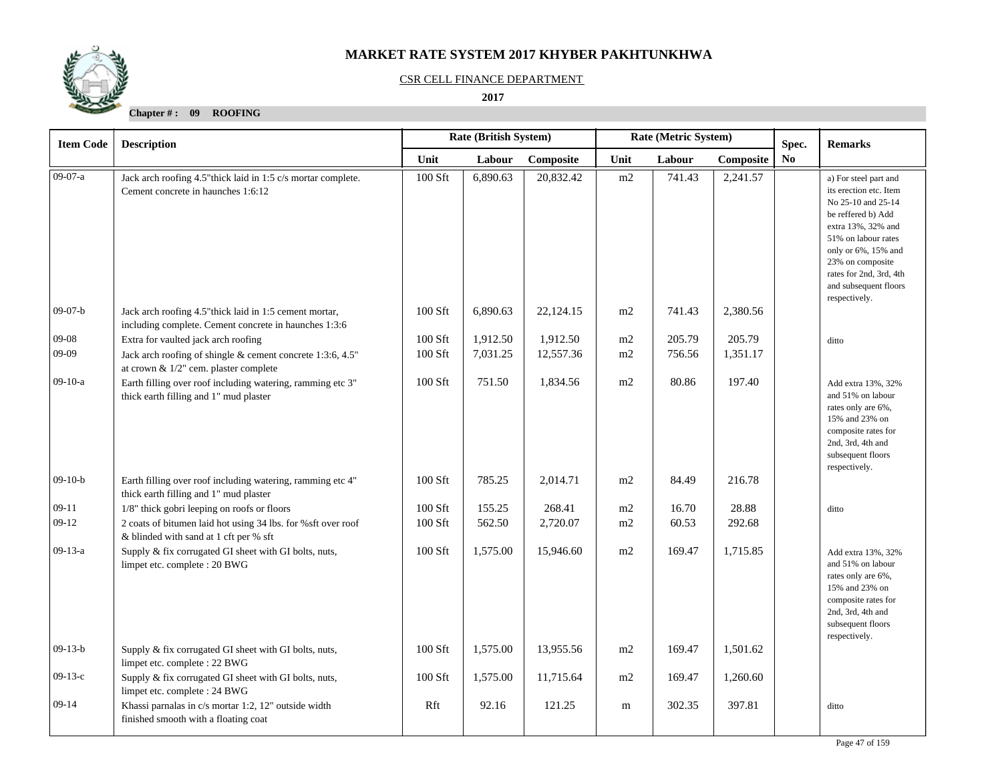

#### CSR CELL FINANCE DEPARTMENT

 **2017** 

| <b>Item Code</b> | <b>Description</b>                                                                                               | Rate (British System)<br>Rate (Metric System) |          |           |      | Spec.  | <b>Remarks</b> |    |                                                                                                                                                                                                                                                          |
|------------------|------------------------------------------------------------------------------------------------------------------|-----------------------------------------------|----------|-----------|------|--------|----------------|----|----------------------------------------------------------------------------------------------------------------------------------------------------------------------------------------------------------------------------------------------------------|
|                  |                                                                                                                  | Unit                                          | Labour   | Composite | Unit | Labour | Composite      | No |                                                                                                                                                                                                                                                          |
| 09-07-a          | Jack arch roofing 4.5" thick laid in 1:5 c/s mortar complete.<br>Cement concrete in haunches 1:6:12              | 100 Sft                                       | 6,890.63 | 20,832.42 | m2   | 741.43 | 2,241.57       |    | a) For steel part and<br>its erection etc. Item<br>No 25-10 and 25-14<br>be reffered b) Add<br>extra 13%, 32% and<br>51% on labour rates<br>only or 6%, 15% and<br>23% on composite<br>rates for 2nd, 3rd, 4th<br>and subsequent floors<br>respectively. |
| $09-07-b$        | Jack arch roofing 4.5" thick laid in 1:5 cement mortar,<br>including complete. Cement concrete in haunches 1:3:6 | 100 Sft                                       | 6,890.63 | 22,124.15 | m2   | 741.43 | 2,380.56       |    |                                                                                                                                                                                                                                                          |
| 09-08            | Extra for vaulted jack arch roofing                                                                              | 100 Sft                                       | 1,912.50 | 1,912.50  | m2   | 205.79 | 205.79         |    | ditto                                                                                                                                                                                                                                                    |
| 09-09            | Jack arch roofing of shingle & cement concrete 1:3:6, 4.5"<br>at crown & 1/2" cem. plaster complete              | 100 Sft                                       | 7,031.25 | 12,557.36 | m2   | 756.56 | 1,351.17       |    |                                                                                                                                                                                                                                                          |
| $09-10-a$        | Earth filling over roof including watering, ramming etc 3"<br>thick earth filling and 1" mud plaster             | 100 Sft                                       | 751.50   | 1,834.56  | m2   | 80.86  | 197.40         |    | Add extra 13%, 32%<br>and 51% on labour<br>rates only are 6%,<br>15% and 23% on<br>composite rates for<br>2nd, 3rd, 4th and<br>subsequent floors<br>respectively.                                                                                        |
| $09-10-b$        | Earth filling over roof including watering, ramming etc 4"<br>thick earth filling and 1" mud plaster             | 100 Sft                                       | 785.25   | 2,014.71  | m2   | 84.49  | 216.78         |    |                                                                                                                                                                                                                                                          |
| $09-11$          | 1/8" thick gobri leeping on roofs or floors                                                                      | 100 Sft                                       | 155.25   | 268.41    | m2   | 16.70  | 28.88          |    | ditto                                                                                                                                                                                                                                                    |
| 09-12            | 2 coats of bitumen laid hot using 34 lbs. for %sft over roof<br>& blinded with sand at 1 cft per % sft           | 100 Sft                                       | 562.50   | 2,720.07  | m2   | 60.53  | 292.68         |    |                                                                                                                                                                                                                                                          |
| $09-13-a$        | Supply & fix corrugated GI sheet with GI bolts, nuts,<br>limpet etc. complete : 20 BWG                           | 100 Sft                                       | 1,575.00 | 15,946.60 | m2   | 169.47 | 1,715.85       |    | Add extra 13%, 32%<br>and 51% on labour<br>rates only are 6%,<br>15% and 23% on<br>composite rates for<br>2nd, 3rd, 4th and<br>subsequent floors<br>respectively.                                                                                        |
| $09-13-b$        | Supply & fix corrugated GI sheet with GI bolts, nuts,<br>limpet etc. complete : 22 BWG                           | 100 Sft                                       | 1,575.00 | 13,955.56 | m2   | 169.47 | 1,501.62       |    |                                                                                                                                                                                                                                                          |
| $09-13-c$        | Supply & fix corrugated GI sheet with GI bolts, nuts,<br>limpet etc. complete : 24 BWG                           | 100 Sft                                       | 1,575.00 | 11,715.64 | m2   | 169.47 | 1,260.60       |    |                                                                                                                                                                                                                                                          |
| $09-14$          | Khassi parnalas in c/s mortar 1:2, 12" outside width<br>finished smooth with a floating coat                     | Rft                                           | 92.16    | 121.25    | m    | 302.35 | 397.81         |    | ditto                                                                                                                                                                                                                                                    |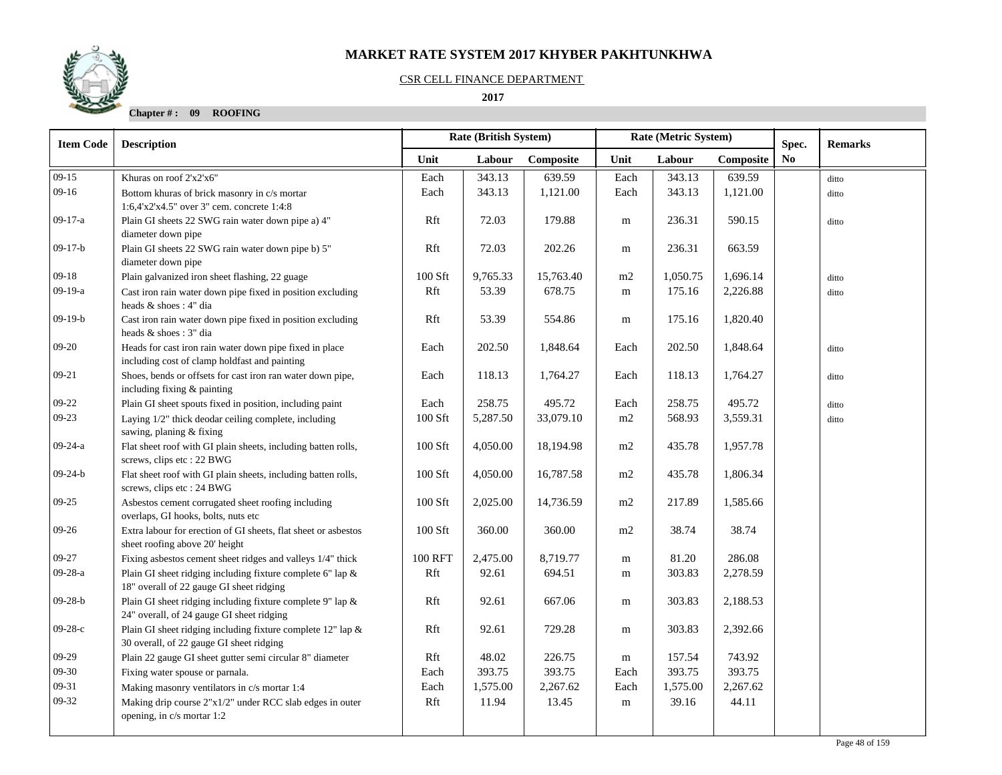## CSR CELL FINANCE DEPARTMENT

 **2017** 

| <b>Item Code</b> | <b>Description</b>                                                                                             | <b>Rate (British System)</b> |          |           |           | Rate (Metric System) |           | Spec.          | <b>Remarks</b> |
|------------------|----------------------------------------------------------------------------------------------------------------|------------------------------|----------|-----------|-----------|----------------------|-----------|----------------|----------------|
|                  |                                                                                                                | Unit                         | Labour   | Composite | Unit      | Labour               | Composite | N <sub>0</sub> |                |
| $09-15$          | Khuras on roof 2'x2'x6"                                                                                        | Each                         | 343.13   | 639.59    | Each      | 343.13               | 639.59    |                | ditto          |
| $09-16$          | Bottom khuras of brick masonry in c/s mortar                                                                   | Each                         | 343.13   | 1,121.00  | Each      | 343.13               | 1,121.00  |                | ditto          |
|                  | 1:6,4'x2'x4.5" over 3" cem. concrete 1:4:8                                                                     |                              |          |           |           |                      |           |                |                |
| $09-17-a$        | Plain GI sheets 22 SWG rain water down pipe a) 4"                                                              | Rft                          | 72.03    | 179.88    | m         | 236.31               | 590.15    |                | ditto          |
|                  | diameter down pipe                                                                                             |                              |          |           |           |                      |           |                |                |
| $09-17-b$        | Plain GI sheets 22 SWG rain water down pipe b) 5"                                                              | Rft                          | 72.03    | 202.26    | ${\bf m}$ | 236.31               | 663.59    |                |                |
| $09-18$          | diameter down pipe<br>Plain galvanized iron sheet flashing, 22 guage                                           | $100$ Sft                    | 9,765.33 | 15,763.40 | m2        | 1,050.75             | 1,696.14  |                | ditto          |
| $09-19-a$        | Cast iron rain water down pipe fixed in position excluding                                                     | Rft                          | 53.39    | 678.75    | ${\bf m}$ | 175.16               | 2,226.88  |                |                |
|                  | heads & shoes: 4" dia                                                                                          |                              |          |           |           |                      |           |                | ditto          |
| $09-19-b$        | Cast iron rain water down pipe fixed in position excluding                                                     | Rft                          | 53.39    | 554.86    | m         | 175.16               | 1,820.40  |                |                |
|                  | heads & shoes: 3" dia                                                                                          |                              |          |           |           |                      |           |                |                |
| $09 - 20$        | Heads for cast iron rain water down pipe fixed in place                                                        | Each                         | 202.50   | 1,848.64  | Each      | 202.50               | 1,848.64  |                | ditto          |
|                  | including cost of clamp holdfast and painting                                                                  |                              |          |           |           |                      |           |                |                |
| $09 - 21$        | Shoes, bends or offsets for cast iron ran water down pipe,                                                     | Each                         | 118.13   | 1,764.27  | Each      | 118.13               | 1,764.27  |                | ditto          |
|                  | including fixing & painting                                                                                    |                              |          |           |           |                      |           |                |                |
| $09-22$          | Plain GI sheet spouts fixed in position, including paint                                                       | Each                         | 258.75   | 495.72    | Each      | 258.75               | 495.72    |                | ditto          |
| $09-23$          | Laying 1/2" thick deodar ceiling complete, including                                                           | $100$ Sft                    | 5,287.50 | 33,079.10 | m2        | 568.93               | 3,559.31  |                | ditto          |
| $09 - 24 - a$    | sawing, planing & fixing                                                                                       |                              |          |           |           |                      |           |                |                |
|                  | Flat sheet roof with GI plain sheets, including batten rolls,<br>screws, clips etc : 22 BWG                    | 100 Sft                      | 4,050.00 | 18,194.98 | m2        | 435.78               | 1,957.78  |                |                |
| $09-24-b$        | Flat sheet roof with GI plain sheets, including batten rolls,                                                  | 100 Sft                      | 4,050.00 | 16,787.58 | m2        | 435.78               | 1,806.34  |                |                |
|                  | screws, clips etc : 24 BWG                                                                                     |                              |          |           |           |                      |           |                |                |
| $09-25$          | Asbestos cement corrugated sheet roofing including                                                             | 100 Sft                      | 2,025.00 | 14,736.59 | $\rm m2$  | 217.89               | 1,585.66  |                |                |
|                  | overlaps, GI hooks, bolts, nuts etc                                                                            |                              |          |           |           |                      |           |                |                |
| $09-26$          | Extra labour for erection of GI sheets, flat sheet or asbestos                                                 | 100 Sft                      | 360.00   | 360.00    | m2        | 38.74                | 38.74     |                |                |
|                  | sheet roofing above 20' height                                                                                 |                              |          |           |           |                      |           |                |                |
| $09-27$          | Fixing asbestos cement sheet ridges and valleys 1/4" thick                                                     | <b>100 RFT</b>               | 2,475.00 | 8,719.77  | m         | 81.20                | 286.08    |                |                |
| $09-28-a$        | Plain GI sheet ridging including fixture complete 6" lap &                                                     | Rft                          | 92.61    | 694.51    | m         | 303.83               | 2,278.59  |                |                |
|                  | 18" overall of 22 gauge GI sheet ridging                                                                       |                              |          |           |           |                      |           |                |                |
| 09-28-b          | Plain GI sheet ridging including fixture complete 9" lap &                                                     | Rft                          | 92.61    | 667.06    | m         | 303.83               | 2,188.53  |                |                |
| $09-28-c$        | 24" overall, of 24 gauge GI sheet ridging<br>Plain GI sheet ridging including fixture complete $12$ " lap $\&$ | Rft                          | 92.61    | 729.28    |           | 303.83               | 2,392.66  |                |                |
|                  | 30 overall, of 22 gauge GI sheet ridging                                                                       |                              |          |           | m         |                      |           |                |                |
| $09-29$          | Plain 22 gauge GI sheet gutter semi circular 8" diameter                                                       | Rft                          | 48.02    | 226.75    | m         | 157.54               | 743.92    |                |                |
| $09-30$          | Fixing water spouse or parnala.                                                                                | Each                         | 393.75   | 393.75    | Each      | 393.75               | 393.75    |                |                |
| 09-31            | Making masonry ventilators in c/s mortar 1:4                                                                   | Each                         | 1,575.00 | 2,267.62  | Each      | 1,575.00             | 2,267.62  |                |                |
| $09-32$          | Making drip course 2"x1/2" under RCC slab edges in outer                                                       | Rft                          | 11.94    | 13.45     | ${\bf m}$ | 39.16                | 44.11     |                |                |
|                  | opening, in c/s mortar 1:2                                                                                     |                              |          |           |           |                      |           |                |                |

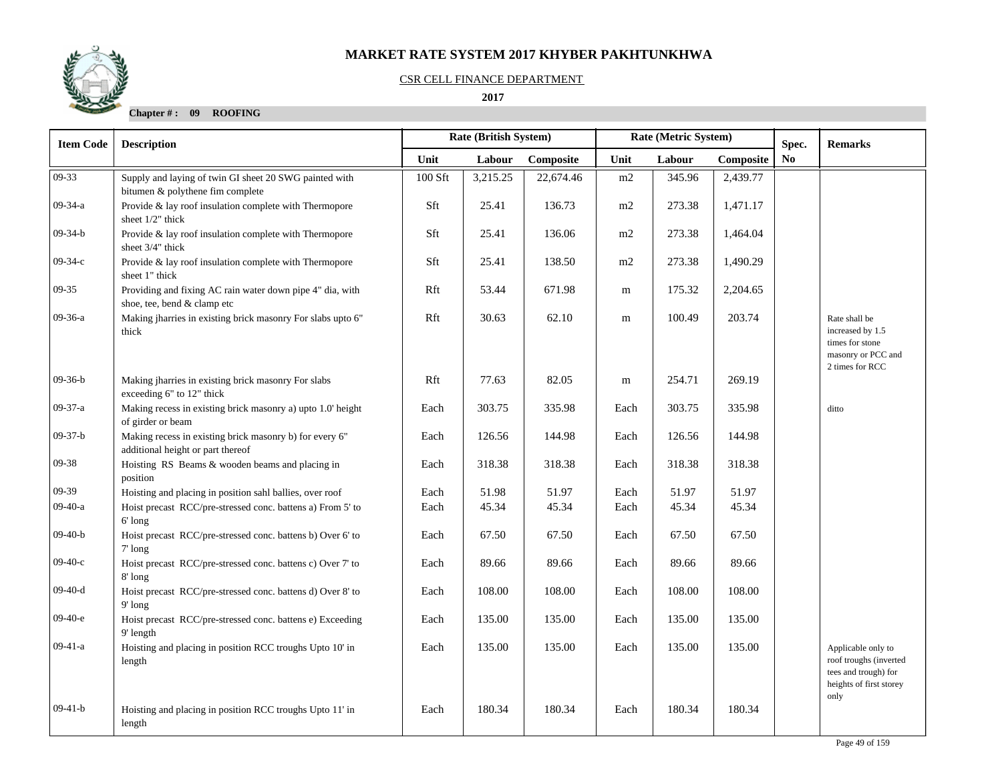## CSR CELL FINANCE DEPARTMENT

## **2017**

| <b>Item Code</b> | <b>Description</b>                                                                           |         | Rate (British System) |           |      | Rate (Metric System) |           | Spec.          | <b>Remarks</b>                                                                                          |
|------------------|----------------------------------------------------------------------------------------------|---------|-----------------------|-----------|------|----------------------|-----------|----------------|---------------------------------------------------------------------------------------------------------|
|                  |                                                                                              | Unit    | Labour                | Composite | Unit | Labour               | Composite | N <sub>0</sub> |                                                                                                         |
| $09-33$          | Supply and laying of twin GI sheet 20 SWG painted with<br>bitumen & polythene fim complete   | 100 Sft | 3,215.25              | 22,674.46 | m2   | 345.96               | 2,439.77  |                |                                                                                                         |
| $09-34-a$        | Provide & lay roof insulation complete with Thermopore<br>sheet 1/2" thick                   | Sft     | 25.41                 | 136.73    | m2   | 273.38               | 1,471.17  |                |                                                                                                         |
| $09-34-b$        | Provide & lay roof insulation complete with Thermopore<br>sheet 3/4" thick                   | Sft     | 25.41                 | 136.06    | m2   | 273.38               | 1,464.04  |                |                                                                                                         |
| $09-34-c$        | Provide & lay roof insulation complete with Thermopore<br>sheet 1" thick                     | Sft     | 25.41                 | 138.50    | m2   | 273.38               | 1,490.29  |                |                                                                                                         |
| $09-35$          | Providing and fixing AC rain water down pipe 4" dia, with<br>shoe, tee, bend & clamp etc     | Rft     | 53.44                 | 671.98    | m    | 175.32               | 2,204.65  |                |                                                                                                         |
| 09-36-a          | Making jharries in existing brick masonry For slabs upto 6"<br>thick                         | Rft     | 30.63                 | 62.10     | m    | 100.49               | 203.74    |                | Rate shall be<br>increased by 1.5<br>times for stone<br>masonry or PCC and<br>2 times for RCC           |
| $09-36-b$        | Making jharries in existing brick masonry For slabs<br>exceeding 6" to 12" thick             | Rft     | 77.63                 | 82.05     | m    | 254.71               | 269.19    |                |                                                                                                         |
| $09-37-a$        | Making recess in existing brick masonry a) upto 1.0' height<br>of girder or beam             | Each    | 303.75                | 335.98    | Each | 303.75               | 335.98    |                | ditto                                                                                                   |
| $09-37-b$        | Making recess in existing brick masonry b) for every 6"<br>additional height or part thereof | Each    | 126.56                | 144.98    | Each | 126.56               | 144.98    |                |                                                                                                         |
| 09-38            | Hoisting RS Beams & wooden beams and placing in<br>position                                  | Each    | 318.38                | 318.38    | Each | 318.38               | 318.38    |                |                                                                                                         |
| 09-39            | Hoisting and placing in position sahl ballies, over roof                                     | Each    | 51.98                 | 51.97     | Each | 51.97                | 51.97     |                |                                                                                                         |
| $09-40-a$        | Hoist precast RCC/pre-stressed conc. battens a) From 5' to<br>6' long                        | Each    | 45.34                 | 45.34     | Each | 45.34                | 45.34     |                |                                                                                                         |
| $09-40-b$        | Hoist precast RCC/pre-stressed conc. battens b) Over 6' to<br>$7'$ long                      | Each    | 67.50                 | 67.50     | Each | 67.50                | 67.50     |                |                                                                                                         |
| $09-40-c$        | Hoist precast RCC/pre-stressed conc. battens c) Over 7' to<br>8'long                         | Each    | 89.66                 | 89.66     | Each | 89.66                | 89.66     |                |                                                                                                         |
| $09-40-d$        | Hoist precast RCC/pre-stressed conc. battens d) Over 8' to<br>$9'$ long                      | Each    | 108.00                | 108.00    | Each | 108.00               | 108.00    |                |                                                                                                         |
| $09-40-e$        | Hoist precast RCC/pre-stressed conc. battens e) Exceeding<br>9' length                       | Each    | 135.00                | 135.00    | Each | 135.00               | 135.00    |                |                                                                                                         |
| $09-41-a$        | Hoisting and placing in position RCC troughs Upto 10' in<br>length                           | Each    | 135.00                | 135.00    | Each | 135.00               | 135.00    |                | Applicable only to<br>roof troughs (inverted<br>tees and trough) for<br>heights of first storey<br>only |
| $09-41-b$        | Hoisting and placing in position RCC troughs Upto 11' in<br>length                           | Each    | 180.34                | 180.34    | Each | 180.34               | 180.34    |                |                                                                                                         |

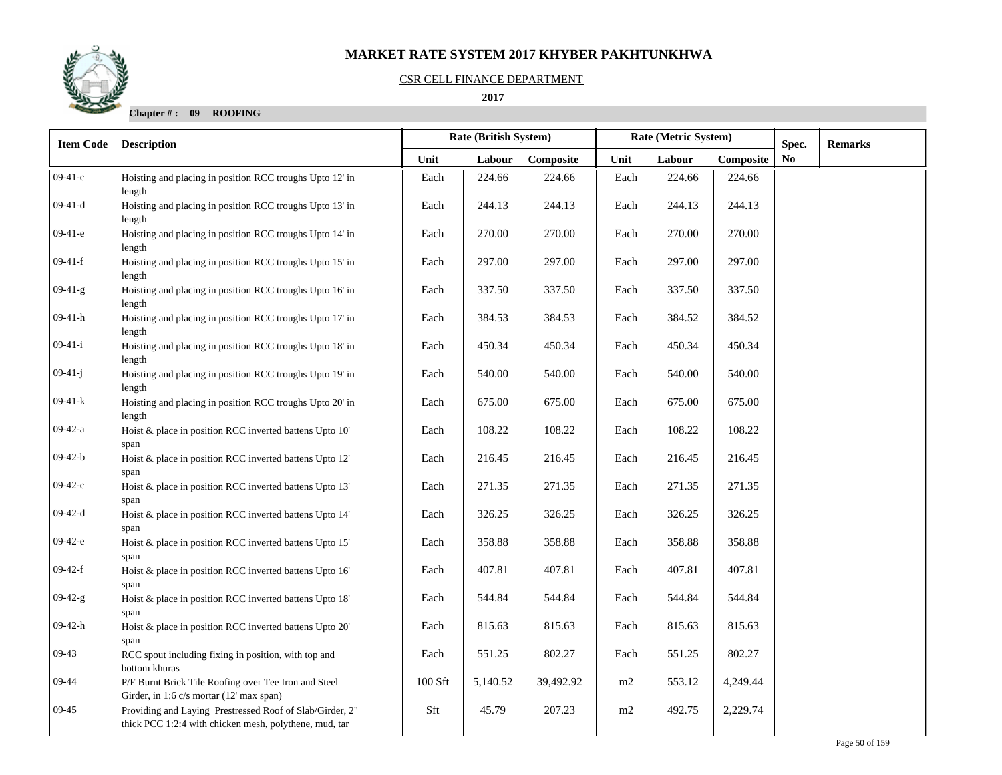#### CSR CELL FINANCE DEPARTMENT

## **2017**

| <b>Item Code</b> | <b>Description</b>                                                                                                 |         | <b>Rate (British System)</b> |           |      | Rate (Metric System) | Spec.     | <b>Remarks</b> |  |
|------------------|--------------------------------------------------------------------------------------------------------------------|---------|------------------------------|-----------|------|----------------------|-----------|----------------|--|
|                  |                                                                                                                    | Unit    | Labour                       | Composite | Unit | Labour               | Composite | No.            |  |
| $09-41-c$        | Hoisting and placing in position RCC troughs Upto 12' in<br>length                                                 | Each    | 224.66                       | 224.66    | Each | 224.66               | 224.66    |                |  |
| $09-41-d$        | Hoisting and placing in position RCC troughs Upto 13' in<br>length                                                 | Each    | 244.13                       | 244.13    | Each | 244.13               | 244.13    |                |  |
| $09-41-e$        | Hoisting and placing in position RCC troughs Upto 14' in<br>length                                                 | Each    | 270.00                       | 270.00    | Each | 270.00               | 270.00    |                |  |
| $09-41-f$        | Hoisting and placing in position RCC troughs Upto 15' in<br>length                                                 | Each    | 297.00                       | 297.00    | Each | 297.00               | 297.00    |                |  |
| $09-41-g$        | Hoisting and placing in position RCC troughs Upto 16' in<br>length                                                 | Each    | 337.50                       | 337.50    | Each | 337.50               | 337.50    |                |  |
| $09-41-h$        | Hoisting and placing in position RCC troughs Upto 17' in<br>length                                                 | Each    | 384.53                       | 384.53    | Each | 384.52               | 384.52    |                |  |
| $09-41-i$        | Hoisting and placing in position RCC troughs Upto 18' in<br>length                                                 | Each    | 450.34                       | 450.34    | Each | 450.34               | 450.34    |                |  |
| $09-41-j$        | Hoisting and placing in position RCC troughs Upto 19' in<br>length                                                 | Each    | 540.00                       | 540.00    | Each | 540.00               | 540.00    |                |  |
| $09-41-k$        | Hoisting and placing in position RCC troughs Upto 20' in<br>length                                                 | Each    | 675.00                       | 675.00    | Each | 675.00               | 675.00    |                |  |
| $09-42-a$        | Hoist & place in position RCC inverted battens Upto 10'<br>span                                                    | Each    | 108.22                       | 108.22    | Each | 108.22               | 108.22    |                |  |
| $09-42-b$        | Hoist & place in position RCC inverted battens Upto 12'<br>span                                                    | Each    | 216.45                       | 216.45    | Each | 216.45               | 216.45    |                |  |
| $09-42-c$        | Hoist & place in position RCC inverted battens Upto 13'<br>span                                                    | Each    | 271.35                       | 271.35    | Each | 271.35               | 271.35    |                |  |
| $09-42-d$        | Hoist & place in position RCC inverted battens Upto 14'<br>span                                                    | Each    | 326.25                       | 326.25    | Each | 326.25               | 326.25    |                |  |
| $09-42-e$        | Hoist & place in position RCC inverted battens Upto 15'<br>span                                                    | Each    | 358.88                       | 358.88    | Each | 358.88               | 358.88    |                |  |
| $09-42-f$        | Hoist & place in position RCC inverted battens Upto 16'<br>span                                                    | Each    | 407.81                       | 407.81    | Each | 407.81               | 407.81    |                |  |
| $09-42-g$        | Hoist & place in position RCC inverted battens Upto 18'<br>span                                                    | Each    | 544.84                       | 544.84    | Each | 544.84               | 544.84    |                |  |
| $09-42-h$        | Hoist & place in position RCC inverted battens Upto 20'<br>span                                                    | Each    | 815.63                       | 815.63    | Each | 815.63               | 815.63    |                |  |
| $09-43$          | RCC spout including fixing in position, with top and<br>bottom khuras                                              | Each    | 551.25                       | 802.27    | Each | 551.25               | 802.27    |                |  |
| 09-44            | P/F Burnt Brick Tile Roofing over Tee Iron and Steel<br>Girder, in 1:6 c/s mortar (12' max span)                   | 100 Sft | 5,140.52                     | 39,492.92 | m2   | 553.12               | 4,249.44  |                |  |
| $09-45$          | Providing and Laying Prestressed Roof of Slab/Girder, 2"<br>thick PCC 1:2:4 with chicken mesh, polythene, mud, tar | Sft     | 45.79                        | 207.23    | m2   | 492.75               | 2,229.74  |                |  |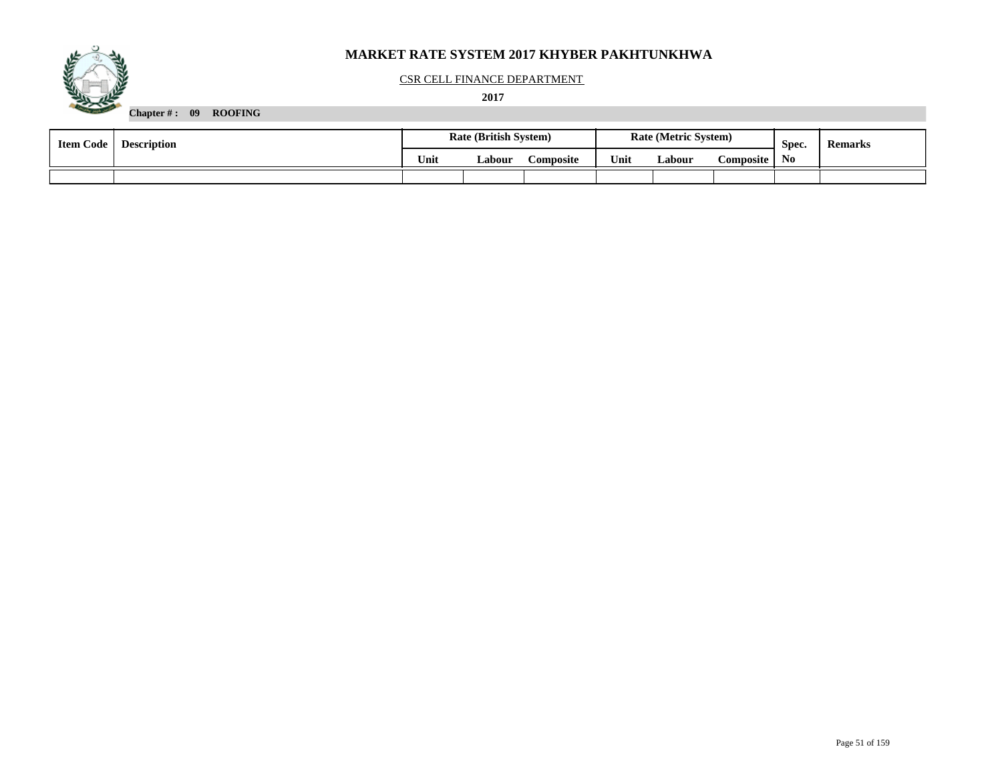

#### CSR CELL FINANCE DEPARTMENT

 **2017** 

| <b>Item Code</b> | <b>Description</b> | <b>Rate (British System)</b> |        |                  |      | <b>Rate (Metric System)</b> |                  | Spec.          | <b>Remarks</b> |
|------------------|--------------------|------------------------------|--------|------------------|------|-----------------------------|------------------|----------------|----------------|
|                  |                    | Unit                         | Labour | <b>'omposite</b> | Unit | Labour                      | <b>Composite</b> | N <sub>0</sub> |                |
|                  |                    |                              |        |                  |      |                             |                  |                |                |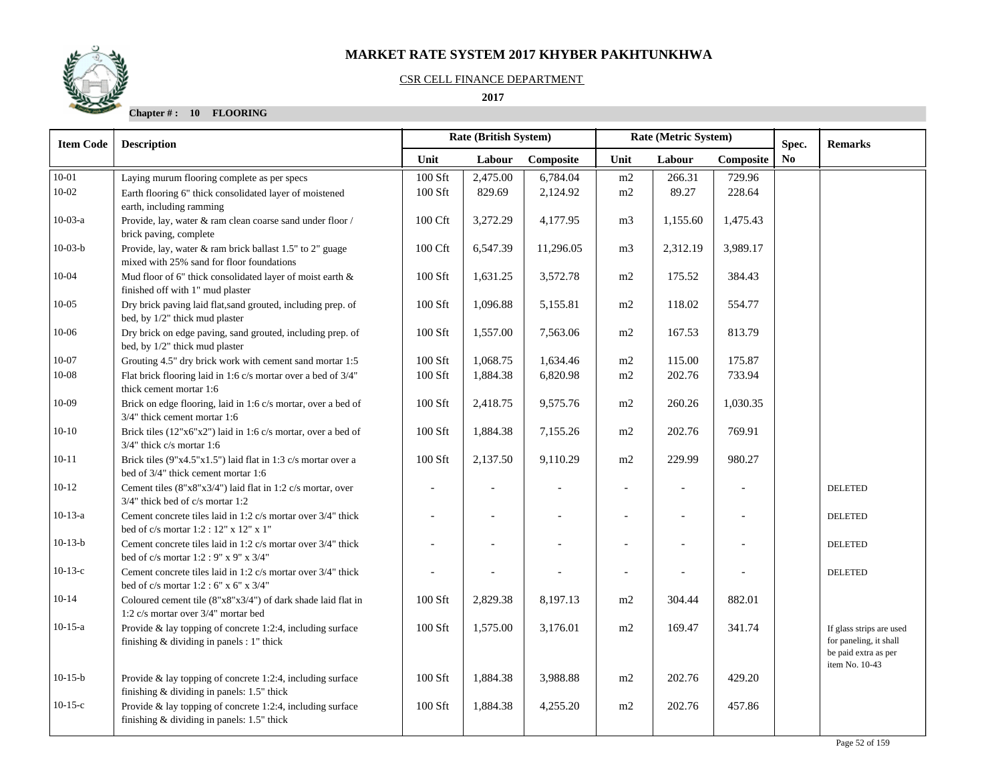## CSR CELL FINANCE DEPARTMENT

 **2017** 

| <b>Item Code</b> | <b>Description</b>                                                                                          | <b>Rate (British System)</b> |          |           |                          | Rate (Metric System) |           | Spec. | <b>Remarks</b>                                                                               |
|------------------|-------------------------------------------------------------------------------------------------------------|------------------------------|----------|-----------|--------------------------|----------------------|-----------|-------|----------------------------------------------------------------------------------------------|
|                  |                                                                                                             | Unit                         | Labour   | Composite | Unit                     | Labour               | Composite | No.   |                                                                                              |
| $10 - 01$        | Laying murum flooring complete as per specs                                                                 | 100 Sft                      | 2,475.00 | 6,784.04  | m2                       | 266.31               | 729.96    |       |                                                                                              |
| $10 - 02$        | Earth flooring 6" thick consolidated layer of moistened<br>earth, including ramming                         | 100 Sft                      | 829.69   | 2,124.92  | m2                       | 89.27                | 228.64    |       |                                                                                              |
| $10-03-a$        | Provide, lay, water & ram clean coarse sand under floor /<br>brick paving, complete                         | 100 Cft                      | 3,272.29 | 4,177.95  | m <sub>3</sub>           | 1,155.60             | 1,475.43  |       |                                                                                              |
| $10-03-b$        | Provide, lay, water & ram brick ballast 1.5" to 2" guage<br>mixed with 25% sand for floor foundations       | 100 Cft                      | 6,547.39 | 11,296.05 | m <sub>3</sub>           | 2,312.19             | 3,989.17  |       |                                                                                              |
| $10 - 04$        | Mud floor of 6" thick consolidated layer of moist earth &<br>finished off with 1" mud plaster               | 100 Sft                      | 1,631.25 | 3,572.78  | m2                       | 175.52               | 384.43    |       |                                                                                              |
| $10 - 05$        | Dry brick paving laid flat, sand grouted, including prep. of<br>bed, by 1/2" thick mud plaster              | 100 Sft                      | 1,096.88 | 5,155.81  | m2                       | 118.02               | 554.77    |       |                                                                                              |
| 10-06            | Dry brick on edge paving, sand grouted, including prep. of<br>bed, by 1/2" thick mud plaster                | 100 Sft                      | 1,557.00 | 7,563.06  | m2                       | 167.53               | 813.79    |       |                                                                                              |
| $10 - 07$        | Grouting 4.5" dry brick work with cement sand mortar 1:5                                                    | 100 Sft                      | 1,068.75 | 1,634.46  | m2                       | 115.00               | 175.87    |       |                                                                                              |
| 10-08            | Flat brick flooring laid in 1:6 c/s mortar over a bed of 3/4"<br>thick cement mortar 1:6                    | 100 Sft                      | 1,884.38 | 6,820.98  | m2                       | 202.76               | 733.94    |       |                                                                                              |
| $10-09$          | Brick on edge flooring, laid in 1:6 c/s mortar, over a bed of<br>3/4" thick cement mortar 1:6               | 100 Sft                      | 2,418.75 | 9,575.76  | m2                       | 260.26               | 1,030.35  |       |                                                                                              |
| $10-10$          | Brick tiles (12"x6"x2") laid in 1:6 c/s mortar, over a bed of<br>$3/4$ " thick c/s mortar 1:6               | 100 Sft                      | 1,884.38 | 7,155.26  | m2                       | 202.76               | 769.91    |       |                                                                                              |
| $10 - 11$        | Brick tiles $(9"x4.5"x1.5")$ laid flat in 1:3 c/s mortar over a<br>bed of 3/4" thick cement mortar 1:6      | $100$ Sft                    | 2,137.50 | 9,110.29  | m2                       | 229.99               | 980.27    |       |                                                                                              |
| $10-12$          | Cement tiles (8"x8"x3/4") laid flat in 1:2 c/s mortar, over<br>3/4" thick bed of c/s mortar 1:2             |                              |          |           |                          |                      |           |       | <b>DELETED</b>                                                                               |
| $10-13-a$        | Cement concrete tiles laid in 1:2 c/s mortar over 3/4" thick<br>bed of c/s mortar 1:2 : 12" x 12" x 1"      |                              |          |           |                          |                      |           |       | <b>DELETED</b>                                                                               |
| $10-13-b$        | Cement concrete tiles laid in 1:2 c/s mortar over 3/4" thick<br>bed of c/s mortar $1:2:9"$ x 9" x 3/4"      |                              |          |           |                          |                      |           |       | <b>DELETED</b>                                                                               |
| $10-13-c$        | Cement concrete tiles laid in 1:2 c/s mortar over 3/4" thick<br>bed of c/s mortar 1:2 : 6" x 6" x 3/4"      |                              |          |           | $\overline{\phantom{a}}$ |                      |           |       | <b>DELETED</b>                                                                               |
| $10-14$          | Coloured cement tile $(8"x8"x3/4")$ of dark shade laid flat in<br>1:2 c/s mortar over 3/4" mortar bed       | 100 Sft                      | 2,829.38 | 8,197.13  | m2                       | 304.44               | 882.01    |       |                                                                                              |
| $10-15-a$        | Provide & lay topping of concrete 1:2:4, including surface<br>finishing & dividing in panels : 1" thick     | 100 Sft                      | 1,575.00 | 3,176.01  | m2                       | 169.47               | 341.74    |       | If glass strips are used<br>for paneling, it shall<br>be paid extra as per<br>item No. 10-43 |
| $10-15-b$        | Provide $\&$ lay topping of concrete 1:2:4, including surface<br>finishing & dividing in panels: 1.5" thick | 100 Sft                      | 1,884.38 | 3,988.88  | m2                       | 202.76               | 429.20    |       |                                                                                              |
| $10-15-c$        | Provide & lay topping of concrete 1:2:4, including surface<br>finishing & dividing in panels: 1.5" thick    | 100 Sft                      | 1,884.38 | 4,255.20  | m2                       | 202.76               | 457.86    |       |                                                                                              |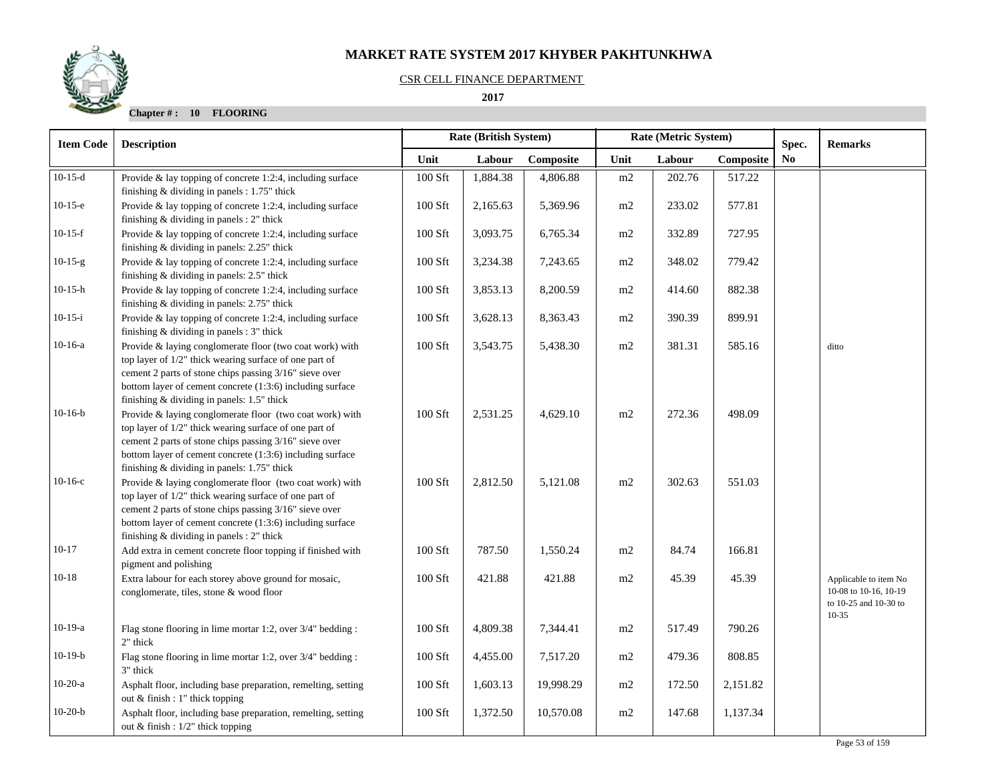## CSR CELL FINANCE DEPARTMENT

 **2017** 



| <b>Item Code</b> | <b>Rate (British System)</b><br><b>Description</b>                                                                                                                                                                                                                                       |         |          | Rate (Metric System) |      | Spec.  | <b>Remarks</b> |                |                                                                                    |
|------------------|------------------------------------------------------------------------------------------------------------------------------------------------------------------------------------------------------------------------------------------------------------------------------------------|---------|----------|----------------------|------|--------|----------------|----------------|------------------------------------------------------------------------------------|
|                  |                                                                                                                                                                                                                                                                                          | Unit    | Labour   | Composite            | Unit | Labour | Composite      | N <sub>0</sub> |                                                                                    |
| $10-15-d$        | Provide & lay topping of concrete 1:2:4, including surface<br>finishing $&$ dividing in panels : 1.75" thick                                                                                                                                                                             | 100 Sft | 1,884.38 | 4,806.88             | m2   | 202.76 | 517.22         |                |                                                                                    |
| $10-15-e$        | Provide $\&$ lay topping of concrete 1:2:4, including surface<br>finishing $&$ dividing in panels : 2" thick                                                                                                                                                                             | 100 Sft | 2,165.63 | 5,369.96             | m2   | 233.02 | 577.81         |                |                                                                                    |
| $10-15-f$        | Provide & lay topping of concrete 1:2:4, including surface<br>finishing & dividing in panels: 2.25" thick                                                                                                                                                                                | 100 Sft | 3,093.75 | 6,765.34             | m2   | 332.89 | 727.95         |                |                                                                                    |
| $10-15-g$        | Provide $\&$ lay topping of concrete 1:2:4, including surface<br>finishing & dividing in panels: 2.5" thick                                                                                                                                                                              | 100 Sft | 3,234.38 | 7,243.65             | m2   | 348.02 | 779.42         |                |                                                                                    |
| $10-15-h$        | Provide $\&$ lay topping of concrete 1:2:4, including surface<br>finishing & dividing in panels: 2.75" thick                                                                                                                                                                             | 100 Sft | 3,853.13 | 8,200.59             | m2   | 414.60 | 882.38         |                |                                                                                    |
| $10-15-i$        | Provide & lay topping of concrete 1:2:4, including surface<br>finishing & dividing in panels : 3" thick                                                                                                                                                                                  | 100 Sft | 3,628.13 | 8,363.43             | m2   | 390.39 | 899.91         |                |                                                                                    |
| $10-16-a$        | Provide & laying conglomerate floor (two coat work) with<br>top layer of 1/2" thick wearing surface of one part of<br>cement 2 parts of stone chips passing 3/16" sieve over<br>bottom layer of cement concrete (1:3:6) including surface<br>finishing & dividing in panels: 1.5" thick  | 100 Sft | 3,543.75 | 5,438.30             | m2   | 381.31 | 585.16         |                | ditto                                                                              |
| $10-16-b$        | Provide & laying conglomerate floor (two coat work) with<br>top layer of 1/2" thick wearing surface of one part of<br>cement 2 parts of stone chips passing 3/16" sieve over<br>bottom layer of cement concrete (1:3:6) including surface<br>finishing & dividing in panels: 1.75" thick | 100 Sft | 2,531.25 | 4,629.10             | m2   | 272.36 | 498.09         |                |                                                                                    |
| $10-16-c$        | Provide & laying conglomerate floor (two coat work) with<br>top layer of 1/2" thick wearing surface of one part of<br>cement 2 parts of stone chips passing 3/16" sieve over<br>bottom layer of cement concrete (1:3:6) including surface<br>finishing & dividing in panels : 2" thick   | 100 Sft | 2,812.50 | 5,121.08             | m2   | 302.63 | 551.03         |                |                                                                                    |
| $10 - 17$        | Add extra in cement concrete floor topping if finished with<br>pigment and polishing                                                                                                                                                                                                     | 100 Sft | 787.50   | 1,550.24             | m2   | 84.74  | 166.81         |                |                                                                                    |
| $10 - 18$        | Extra labour for each storey above ground for mosaic,<br>conglomerate, tiles, stone & wood floor                                                                                                                                                                                         | 100 Sft | 421.88   | 421.88               | m2   | 45.39  | 45.39          |                | Applicable to item No<br>10-08 to 10-16, 10-19<br>to 10-25 and 10-30 to<br>$10-35$ |
| $10-19-a$        | Flag stone flooring in lime mortar 1:2, over 3/4" bedding :<br>2" thick                                                                                                                                                                                                                  | 100 Sft | 4,809.38 | 7,344.41             | m2   | 517.49 | 790.26         |                |                                                                                    |
| $10-19-b$        | Flag stone flooring in lime mortar 1:2, over 3/4" bedding :<br>3" thick                                                                                                                                                                                                                  | 100 Sft | 4,455.00 | 7,517.20             | m2   | 479.36 | 808.85         |                |                                                                                    |
| $10-20-a$        | Asphalt floor, including base preparation, remelting, setting<br>out & finish : 1" thick topping                                                                                                                                                                                         | 100 Sft | 1,603.13 | 19,998.29            | m2   | 172.50 | 2,151.82       |                |                                                                                    |
| $10-20-b$        | Asphalt floor, including base preparation, remelting, setting<br>out & finish : $1/2$ " thick topping                                                                                                                                                                                    | 100 Sft | 1,372.50 | 10,570.08            | m2   | 147.68 | 1,137.34       |                |                                                                                    |

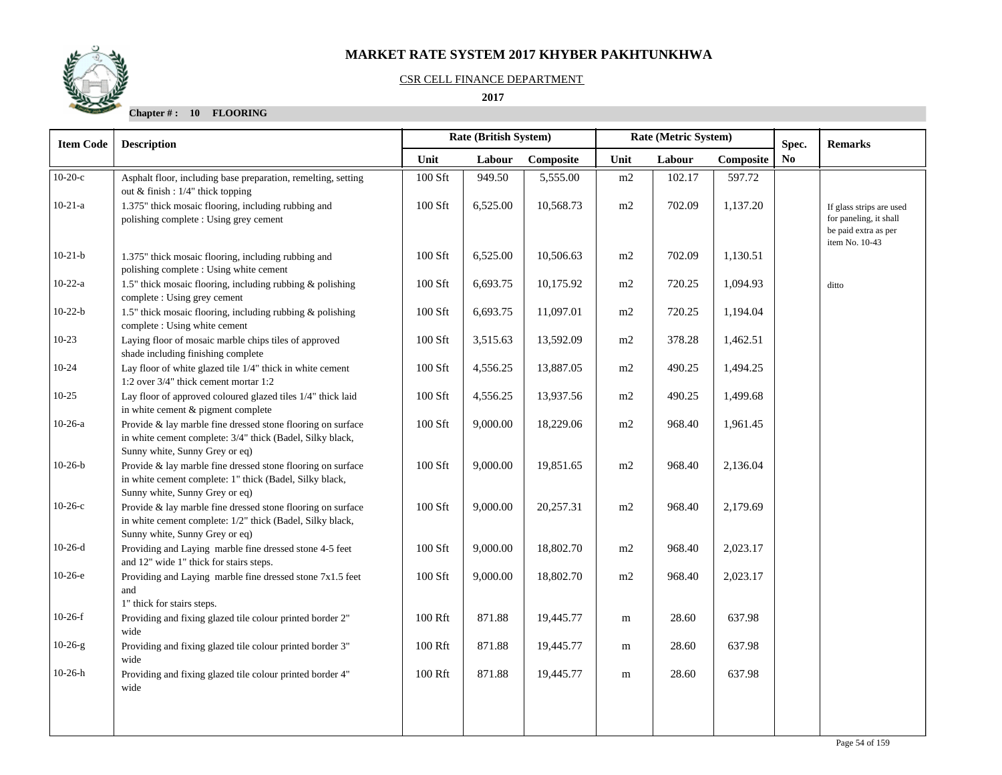

#### CSR CELL FINANCE DEPARTMENT

 **2017** 

| <b>Description</b>                                                                                                                                         |                                                                                                                                                                                                          |          |           |                       |        |           |                                  | <b>Remarks</b>                                                                               |
|------------------------------------------------------------------------------------------------------------------------------------------------------------|----------------------------------------------------------------------------------------------------------------------------------------------------------------------------------------------------------|----------|-----------|-----------------------|--------|-----------|----------------------------------|----------------------------------------------------------------------------------------------|
|                                                                                                                                                            | Unit                                                                                                                                                                                                     | Labour   | Composite | Unit                  | Labour | Composite | N <sub>0</sub>                   |                                                                                              |
| Asphalt floor, including base preparation, remelting, setting<br>out & finish : 1/4" thick topping                                                         | 100 Sft                                                                                                                                                                                                  | 949.50   | 5,555.00  | $\rm m2$              | 102.17 | 597.72    |                                  |                                                                                              |
| 1.375" thick mosaic flooring, including rubbing and<br>polishing complete : Using grey cement                                                              | 100 Sft                                                                                                                                                                                                  | 6,525.00 | 10,568.73 | m2                    | 702.09 | 1,137.20  |                                  | If glass strips are used<br>for paneling, it shall<br>be paid extra as per<br>item No. 10-43 |
| 1.375" thick mosaic flooring, including rubbing and<br>polishing complete : Using white cement                                                             | 100 Sft                                                                                                                                                                                                  | 6,525.00 | 10,506.63 | m2                    | 702.09 | 1,130.51  |                                  |                                                                                              |
| 1.5" thick mosaic flooring, including rubbing & polishing<br>complete : Using grey cement                                                                  | 100 Sft                                                                                                                                                                                                  | 6,693.75 | 10,175.92 | m2                    | 720.25 | 1,094.93  |                                  | ditto                                                                                        |
| 1.5" thick mosaic flooring, including rubbing & polishing<br>complete : Using white cement                                                                 | 100 Sft                                                                                                                                                                                                  | 6,693.75 | 11,097.01 | m2                    | 720.25 | 1,194.04  |                                  |                                                                                              |
| Laying floor of mosaic marble chips tiles of approved<br>shade including finishing complete                                                                | 100 Sft                                                                                                                                                                                                  | 3,515.63 | 13,592.09 | m2                    | 378.28 | 1,462.51  |                                  |                                                                                              |
| Lay floor of white glazed tile 1/4" thick in white cement<br>1:2 over 3/4" thick cement mortar 1:2                                                         | 100 Sft                                                                                                                                                                                                  | 4,556.25 | 13,887.05 | m2                    | 490.25 | 1,494.25  |                                  |                                                                                              |
| in white cement & pigment complete                                                                                                                         | 100 Sft                                                                                                                                                                                                  | 4,556.25 | 13,937.56 | m2                    | 490.25 |           |                                  |                                                                                              |
| Provide & lay marble fine dressed stone flooring on surface<br>in white cement complete: 3/4" thick (Badel, Silky black,<br>Sunny white, Sunny Grey or eq) | 100 Sft                                                                                                                                                                                                  | 9,000.00 | 18,229.06 | m2                    |        | 1,961.45  |                                  |                                                                                              |
| Provide & lay marble fine dressed stone flooring on surface<br>in white cement complete: 1" thick (Badel, Silky black,                                     | 100 Sft                                                                                                                                                                                                  | 9,000.00 | 19,851.65 | m2                    | 968.40 | 2,136.04  |                                  |                                                                                              |
| Provide & lay marble fine dressed stone flooring on surface<br>in white cement complete: 1/2" thick (Badel, Silky black,                                   | 100 Sft                                                                                                                                                                                                  | 9,000.00 | 20,257.31 | m2                    | 968.40 | 2,179.69  |                                  |                                                                                              |
| Providing and Laying marble fine dressed stone 4-5 feet                                                                                                    | 100 Sft                                                                                                                                                                                                  | 9,000.00 | 18,802.70 | m2                    | 968.40 | 2,023.17  |                                  |                                                                                              |
| Providing and Laying marble fine dressed stone 7x1.5 feet<br>and                                                                                           | 100 Sft                                                                                                                                                                                                  | 9,000.00 | 18,802.70 | m2                    | 968.40 | 2,023.17  |                                  |                                                                                              |
| Providing and fixing glazed tile colour printed border 2"<br>wide                                                                                          | 100 Rft                                                                                                                                                                                                  | 871.88   | 19,445.77 | m                     | 28.60  | 637.98    |                                  |                                                                                              |
| Providing and fixing glazed tile colour printed border 3"<br>wide                                                                                          | 100 Rft                                                                                                                                                                                                  | 871.88   | 19,445.77 | m                     | 28.60  | 637.98    |                                  |                                                                                              |
| Providing and fixing glazed tile colour printed border 4"<br>wide                                                                                          | 100 Rft                                                                                                                                                                                                  | 871.88   | 19,445.77 | m                     | 28.60  | 637.98    |                                  |                                                                                              |
|                                                                                                                                                            |                                                                                                                                                                                                          |          |           |                       |        |           |                                  |                                                                                              |
|                                                                                                                                                            | Lay floor of approved coloured glazed tiles 1/4" thick laid<br>Sunny white, Sunny Grey or eq)<br>Sunny white, Sunny Grey or eq)<br>and 12" wide 1" thick for stairs steps.<br>1" thick for stairs steps. |          |           | Rate (British System) |        | 968.40    | Rate (Metric System)<br>1,499.68 | Spec.                                                                                        |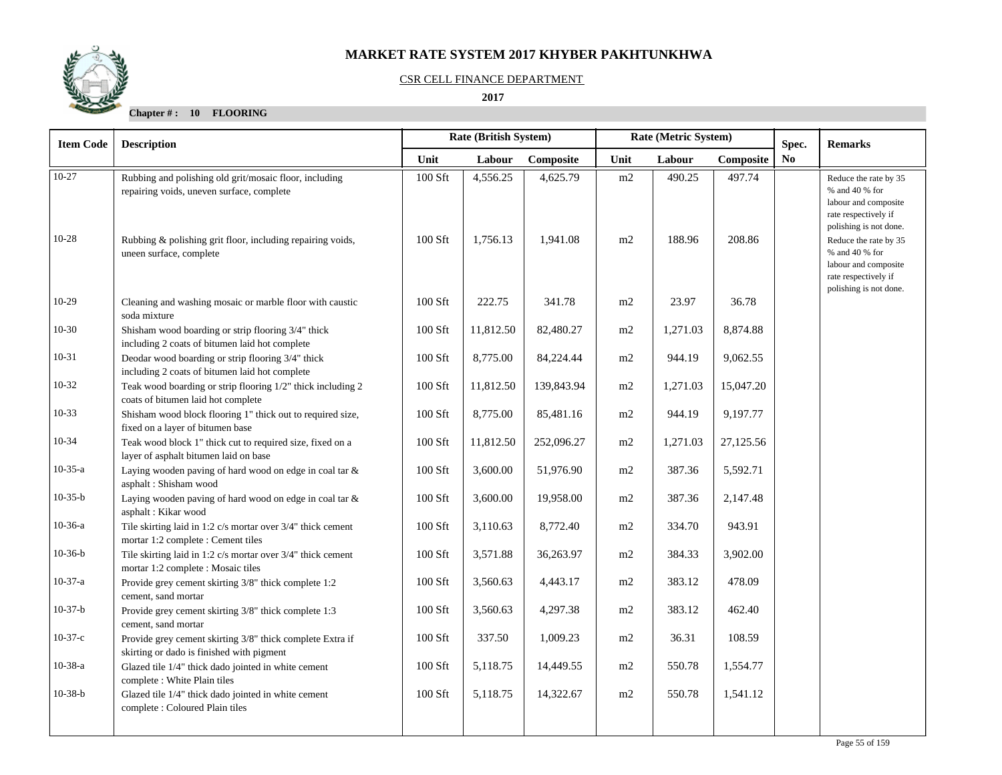

#### CSR CELL FINANCE DEPARTMENT

 **2017** 

| <b>Item Code</b> | Rate (British System)<br><b>Description</b>                                                            |                                               |           |            | Rate (Metric System) |          |           | Spec. | <b>Remarks</b>                                                                                                                                    |
|------------------|--------------------------------------------------------------------------------------------------------|-----------------------------------------------|-----------|------------|----------------------|----------|-----------|-------|---------------------------------------------------------------------------------------------------------------------------------------------------|
|                  |                                                                                                        | Unit<br>Composite<br>Labour<br>Labour<br>Unit |           | Composite  | No                   |          |           |       |                                                                                                                                                   |
| $10-27$          | Rubbing and polishing old grit/mosaic floor, including<br>repairing voids, uneven surface, complete    | 100 Sft                                       | 4,556.25  | 4,625.79   | m2                   | 490.25   | 497.74    |       | Reduce the rate by 35<br>% and 40 % for<br>labour and composite<br>rate respectively if                                                           |
| $10-28$          | Rubbing & polishing grit floor, including repairing voids,<br>uneen surface, complete                  | 100 Sft                                       | 1,756.13  | 1,941.08   | m2                   | 188.96   | 208.86    |       | polishing is not done.<br>Reduce the rate by 35<br>$\%$ and 40 $\%$ for<br>labour and composite<br>rate respectively if<br>polishing is not done. |
| $10-29$          | Cleaning and washing mosaic or marble floor with caustic<br>soda mixture                               | 100 Sft                                       | 222.75    | 341.78     | m2                   | 23.97    | 36.78     |       |                                                                                                                                                   |
| $10 - 30$        | Shisham wood boarding or strip flooring 3/4" thick<br>including 2 coats of bitumen laid hot complete   | 100 Sft                                       | 11,812.50 | 82,480.27  | m2                   | 1,271.03 | 8,874.88  |       |                                                                                                                                                   |
| $10-31$          | Deodar wood boarding or strip flooring 3/4" thick<br>including 2 coats of bitumen laid hot complete    | 100 Sft                                       | 8,775.00  | 84,224.44  | m2                   | 944.19   | 9,062.55  |       |                                                                                                                                                   |
| $10-32$          | Teak wood boarding or strip flooring 1/2" thick including 2<br>coats of bitumen laid hot complete      | $100$ Sft                                     | 11,812.50 | 139,843.94 | m2                   | 1,271.03 | 15,047.20 |       |                                                                                                                                                   |
| $10-33$          | Shisham wood block flooring 1" thick out to required size,<br>fixed on a layer of bitumen base         | 100 Sft                                       | 8,775.00  | 85,481.16  | m2                   | 944.19   | 9,197.77  |       |                                                                                                                                                   |
| 10-34            | Teak wood block 1" thick cut to required size, fixed on a<br>layer of asphalt bitumen laid on base     | $100$ Sft                                     | 11,812.50 | 252,096.27 | m2                   | 1,271.03 | 27,125.56 |       |                                                                                                                                                   |
| $10-35-a$        | Laying wooden paving of hard wood on edge in coal tar &<br>asphalt: Shisham wood                       | $100$ Sft                                     | 3,600.00  | 51,976.90  | $\rm m2$             | 387.36   | 5,592.71  |       |                                                                                                                                                   |
| $10-35-b$        | Laying wooden paving of hard wood on edge in coal tar $\&$<br>asphalt: Kikar wood                      | 100 Sft                                       | 3,600.00  | 19,958.00  | m2                   | 387.36   | 2,147.48  |       |                                                                                                                                                   |
| $10-36-a$        | Tile skirting laid in 1:2 c/s mortar over 3/4" thick cement<br>mortar 1:2 complete : Cement tiles      | $100$ Sft                                     | 3,110.63  | 8,772.40   | m2                   | 334.70   | 943.91    |       |                                                                                                                                                   |
| $10-36-b$        | Tile skirting laid in 1:2 c/s mortar over 3/4" thick cement<br>mortar 1:2 complete : Mosaic tiles      | 100 Sft                                       | 3,571.88  | 36,263.97  | m2                   | 384.33   | 3,902.00  |       |                                                                                                                                                   |
| $10-37-a$        | Provide grey cement skirting 3/8" thick complete 1:2<br>cement, sand mortar                            | $100$ Sft                                     | 3,560.63  | 4,443.17   | m2                   | 383.12   | 478.09    |       |                                                                                                                                                   |
| $10-37-b$        | Provide grey cement skirting 3/8" thick complete 1:3<br>cement, sand mortar                            | 100 Sft                                       | 3,560.63  | 4,297.38   | m2                   | 383.12   | 462.40    |       |                                                                                                                                                   |
| $10-37-c$        | Provide grey cement skirting 3/8" thick complete Extra if<br>skirting or dado is finished with pigment | 100 Sft                                       | 337.50    | 1,009.23   | m2                   | 36.31    | 108.59    |       |                                                                                                                                                   |
| $10-38-a$        | Glazed tile 1/4" thick dado jointed in white cement<br>complete : White Plain tiles                    | 100 Sft                                       | 5,118.75  | 14,449.55  | m2                   | 550.78   | 1,554.77  |       |                                                                                                                                                   |
| $10-38-b$        | Glazed tile 1/4" thick dado jointed in white cement<br>complete : Coloured Plain tiles                 | 100 Sft                                       | 5,118.75  | 14,322.67  | m2                   | 550.78   | 1,541.12  |       |                                                                                                                                                   |
|                  |                                                                                                        |                                               |           |            |                      |          |           |       |                                                                                                                                                   |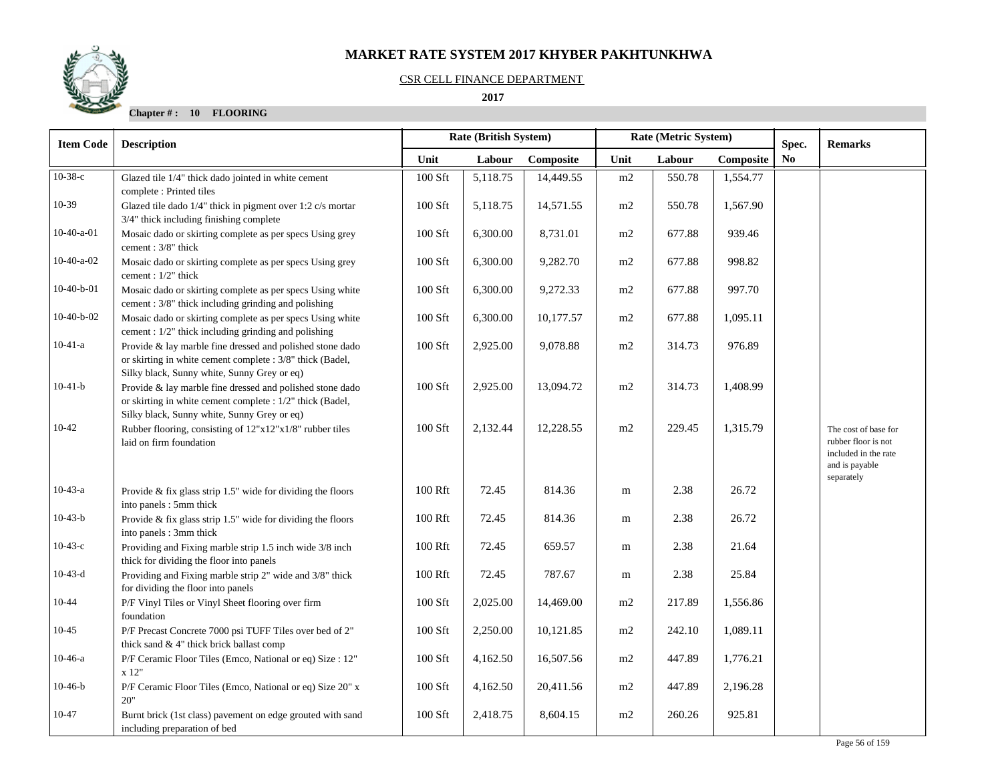#### CSR CELL FINANCE DEPARTMENT

 **2017** 

| <b>Item Code</b> | <b>Description</b>                                                                                                                                                    |           | <b>Rate (British System)</b><br>Rate (Metric System) |           |      | Spec.  | <b>Remarks</b> |                |                                                                                       |
|------------------|-----------------------------------------------------------------------------------------------------------------------------------------------------------------------|-----------|------------------------------------------------------|-----------|------|--------|----------------|----------------|---------------------------------------------------------------------------------------|
|                  |                                                                                                                                                                       | Unit      | Labour                                               | Composite | Unit | Labour | Composite      | N <sub>0</sub> |                                                                                       |
| $10-38-c$        | Glazed tile 1/4" thick dado jointed in white cement<br>complete: Printed tiles                                                                                        | 100 Sft   | 5,118.75                                             | 14,449.55 | m2   | 550.78 | 1,554.77       |                |                                                                                       |
| 10-39            | Glazed tile dado 1/4" thick in pigment over 1:2 c/s mortar<br>3/4" thick including finishing complete                                                                 | $100$ Sft | 5,118.75                                             | 14,571.55 | m2   | 550.78 | 1,567.90       |                |                                                                                       |
| $10-40-a-01$     | Mosaic dado or skirting complete as per specs Using grey<br>cement: 3/8" thick                                                                                        | 100 Sft   | 6,300.00                                             | 8,731.01  | m2   | 677.88 | 939.46         |                |                                                                                       |
| $10-40-a-02$     | Mosaic dado or skirting complete as per specs Using grey<br>cement : 1/2" thick                                                                                       | 100 Sft   | 6,300.00                                             | 9,282.70  | m2   | 677.88 | 998.82         |                |                                                                                       |
| $10-40-b-01$     | Mosaic dado or skirting complete as per specs Using white<br>cement: 3/8" thick including grinding and polishing                                                      | $100$ Sft | 6,300.00                                             | 9,272.33  | m2   | 677.88 | 997.70         |                |                                                                                       |
| $10-40-b-02$     | Mosaic dado or skirting complete as per specs Using white<br>cement : 1/2" thick including grinding and polishing                                                     | 100 Sft   | 6,300.00                                             | 10,177.57 | m2   | 677.88 | 1,095.11       |                |                                                                                       |
| $10-41-a$        | Provide & lay marble fine dressed and polished stone dado<br>or skirting in white cement complete : 3/8" thick (Badel,<br>Silky black, Sunny white, Sunny Grey or eq) | $100$ Sft | 2,925.00                                             | 9,078.88  | m2   | 314.73 | 976.89         |                |                                                                                       |
| $10-41-b$        | Provide & lay marble fine dressed and polished stone dado<br>or skirting in white cement complete : 1/2" thick (Badel,<br>Silky black, Sunny white, Sunny Grey or eq) | $100$ Sft | 2,925.00                                             | 13,094.72 | m2   | 314.73 | 1,408.99       |                |                                                                                       |
| 10-42            | Rubber flooring, consisting of 12"x12"x1/8" rubber tiles<br>laid on firm foundation                                                                                   | $100$ Sft | 2,132.44                                             | 12,228.55 | m2   | 229.45 | 1,315.79       |                | The cost of base for<br>rubber floor is not<br>included in the rate<br>and is payable |
| $10-43-a$        | Provide & fix glass strip $1.5$ " wide for dividing the floors<br>into panels : 5mm thick                                                                             | 100 Rft   | 72.45                                                | 814.36    | m    | 2.38   | 26.72          |                | separately                                                                            |
| $10-43-b$        | Provide & fix glass strip $1.5$ " wide for dividing the floors<br>into panels : 3mm thick                                                                             | 100 Rft   | 72.45                                                | 814.36    | m    | 2.38   | 26.72          |                |                                                                                       |
| $10-43-c$        | Providing and Fixing marble strip 1.5 inch wide 3/8 inch<br>thick for dividing the floor into panels                                                                  | 100 Rft   | 72.45                                                | 659.57    | m    | 2.38   | 21.64          |                |                                                                                       |
| $10-43-d$        | Providing and Fixing marble strip 2" wide and 3/8" thick<br>for dividing the floor into panels                                                                        | 100 Rft   | 72.45                                                | 787.67    | m    | 2.38   | 25.84          |                |                                                                                       |
| $10 - 44$        | P/F Vinyl Tiles or Vinyl Sheet flooring over firm<br>foundation                                                                                                       | 100 Sft   | 2,025.00                                             | 14,469.00 | m2   | 217.89 | 1,556.86       |                |                                                                                       |
| $10 - 45$        | P/F Precast Concrete 7000 psi TUFF Tiles over bed of 2"<br>thick sand & 4" thick brick ballast comp                                                                   | 100 Sft   | 2,250.00                                             | 10,121.85 | m2   | 242.10 | 1,089.11       |                |                                                                                       |
| $10-46-a$        | P/F Ceramic Floor Tiles (Emco, National or eq) Size : 12"<br>x 12"                                                                                                    | 100 Sft   | 4,162.50                                             | 16,507.56 | m2   | 447.89 | 1,776.21       |                |                                                                                       |
| $10-46-b$        | P/F Ceramic Floor Tiles (Emco, National or eq) Size 20" x<br>20"                                                                                                      | 100 Sft   | 4,162.50                                             | 20,411.56 | m2   | 447.89 | 2,196.28       |                |                                                                                       |
| 10-47            | Burnt brick (1st class) pavement on edge grouted with sand<br>including preparation of bed                                                                            | 100 Sft   | 2,418.75                                             | 8,604.15  | m2   | 260.26 | 925.81         |                |                                                                                       |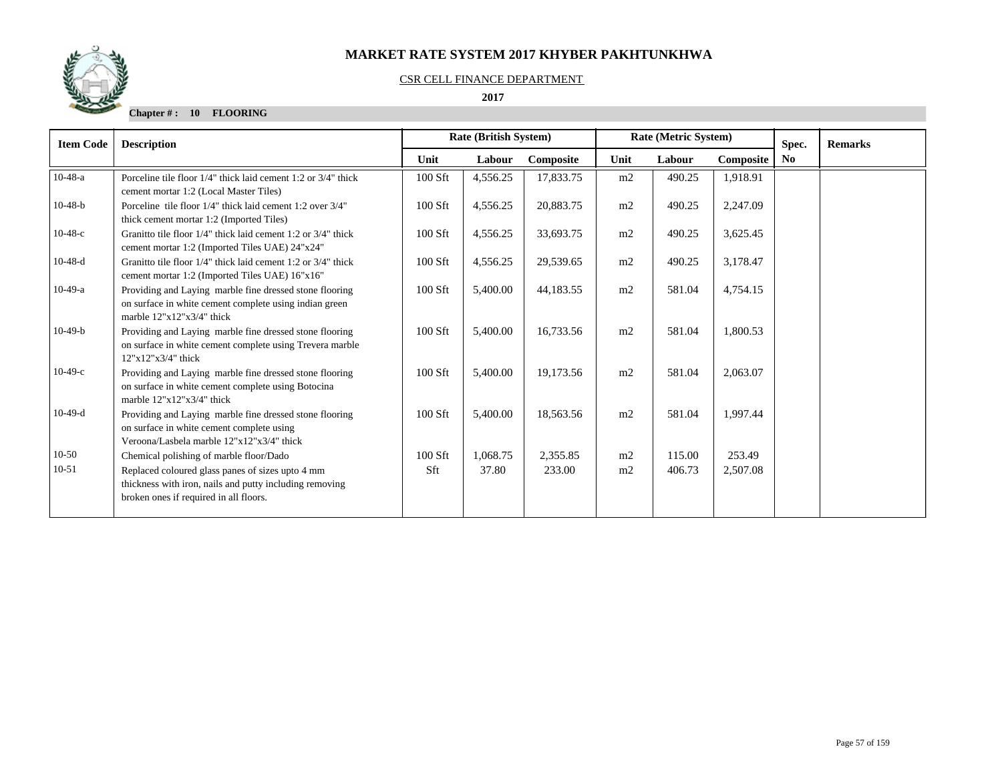## CSR CELL FINANCE DEPARTMENT

 **2017** 



| <b>Item Code</b> | <b>Description</b>                                                                                                                                    |           | <b>Rate (British System)</b> |           |      | Rate (Metric System) | Spec.     | <b>Remarks</b> |  |
|------------------|-------------------------------------------------------------------------------------------------------------------------------------------------------|-----------|------------------------------|-----------|------|----------------------|-----------|----------------|--|
|                  |                                                                                                                                                       | Unit      | Labour                       | Composite | Unit | Labour               | Composite | N <sub>0</sub> |  |
| $10-48-a$        | Porceline tile floor 1/4" thick laid cement 1:2 or 3/4" thick<br>cement mortar 1:2 (Local Master Tiles)                                               | 100 Sft   | 4,556.25                     | 17,833.75 | m2   | 490.25               | 1,918.91  |                |  |
| $10-48-b$        | Porceline tile floor 1/4" thick laid cement 1:2 over 3/4"<br>thick cement mortar 1:2 (Imported Tiles)                                                 | 100 Sft   | 4,556.25                     | 20,883.75 | m2   | 490.25               | 2,247.09  |                |  |
| $10-48-c$        | Granitto tile floor 1/4" thick laid cement 1:2 or 3/4" thick<br>cement mortar 1:2 (Imported Tiles UAE) 24"x24"                                        | $100$ Sft | 4,556.25                     | 33,693.75 | m2   | 490.25               | 3,625.45  |                |  |
| $10-48-d$        | Granitto tile floor 1/4" thick laid cement 1:2 or 3/4" thick<br>cement mortar 1:2 (Imported Tiles UAE) 16"x16"                                        | $100$ Sft | 4,556.25                     | 29,539.65 | m2   | 490.25               | 3,178.47  |                |  |
| $10-49-a$        | Providing and Laying marble fine dressed stone flooring<br>on surface in white cement complete using indian green<br>marble $12"x12"x3/4"$ thick      | 100 Sft   | 5,400.00                     | 44,183.55 | m2   | 581.04               | 4,754.15  |                |  |
| $10-49-b$        | Providing and Laying marble fine dressed stone flooring<br>on surface in white cement complete using Trevera marble<br>$12"x12"x3/4"$ thick           | 100 Sft   | 5,400.00                     | 16,733.56 | m2   | 581.04               | 1,800.53  |                |  |
| $10-49-c$        | Providing and Laying marble fine dressed stone flooring<br>on surface in white cement complete using Botocina<br>marble $12"x12"x3/4"$ thick          | 100 Sft   | 5,400.00                     | 19,173.56 | m2   | 581.04               | 2,063.07  |                |  |
| $10-49-d$        | Providing and Laying marble fine dressed stone flooring<br>on surface in white cement complete using<br>Veroona/Lasbela marble 12"x12"x3/4" thick     | $100$ Sft | 5,400.00                     | 18,563.56 | m2   | 581.04               | 1.997.44  |                |  |
| $10-50$          | Chemical polishing of marble floor/Dado                                                                                                               | $100$ Sft | 1,068.75                     | 2,355.85  | m2   | 115.00               | 253.49    |                |  |
| $10 - 51$        | Replaced coloured glass panes of sizes upto 4 mm<br>thickness with iron, nails and putty including removing<br>broken ones if required in all floors. | Sft       | 37.80                        | 233.00    | m2   | 406.73               | 2,507.08  |                |  |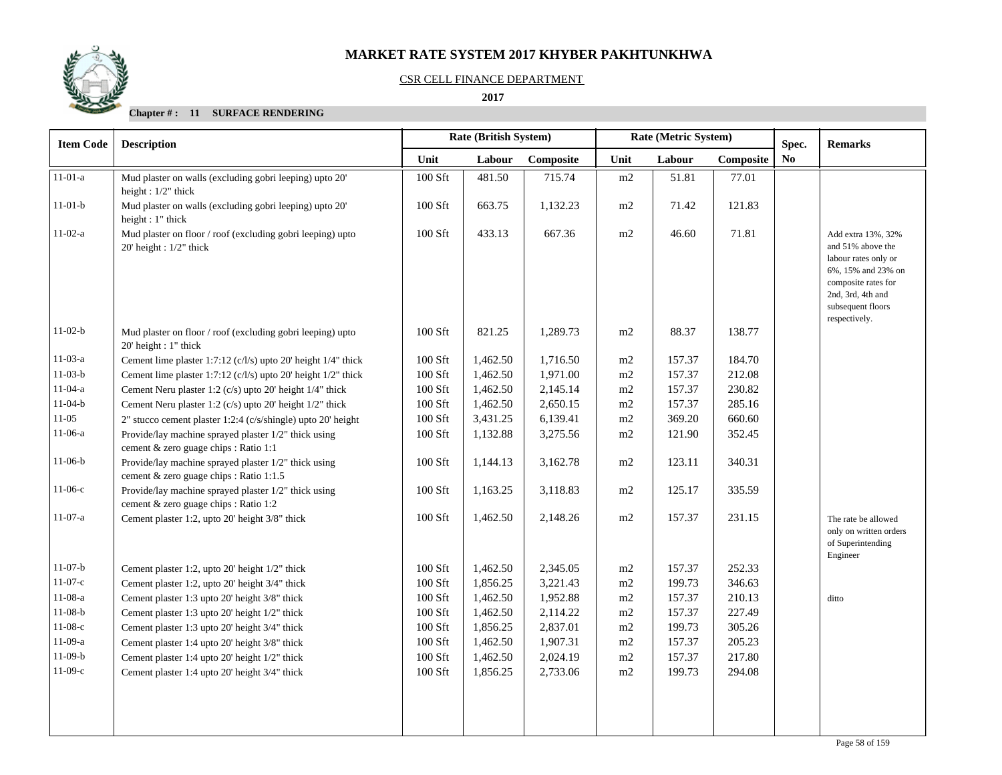

### CSR CELL FINANCE DEPARTMENT

 **2017** 

| <b>Item Code</b> | <b>Rate (British System)</b><br>Rate (Metric System)<br><b>Description</b>                      |         |          |           |          | Spec.  | <b>Remarks</b> |                |                                                                                                                                                                                   |
|------------------|-------------------------------------------------------------------------------------------------|---------|----------|-----------|----------|--------|----------------|----------------|-----------------------------------------------------------------------------------------------------------------------------------------------------------------------------------|
|                  |                                                                                                 | Unit    | Labour   | Composite | Unit     | Labour | Composite      | N <sub>0</sub> |                                                                                                                                                                                   |
| $11-01-a$        | Mud plaster on walls (excluding gobri leeping) upto 20'<br>height: $1/2$ " thick                | 100 Sft | 481.50   | 715.74    | m2       | 51.81  | 77.01          |                |                                                                                                                                                                                   |
| $11-01-b$        | Mud plaster on walls (excluding gobri leeping) upto 20'<br>height: 1" thick                     | 100 Sft | 663.75   | 1,132.23  | m2       | 71.42  | 121.83         |                |                                                                                                                                                                                   |
| $11-02-a$        | Mud plaster on floor / roof (excluding gobri leeping) upto<br>$20'$ height : $1/2"$ thick       | 100 Sft | 433.13   | 667.36    | m2       | 46.60  | 71.81          |                | Add extra 13%, 32%<br>and 51% above the<br>labour rates only or<br>$6\%$ , $15\%$ and $23\%$ on<br>composite rates for<br>2nd, 3rd, 4th and<br>subsequent floors<br>respectively. |
| $11-02-b$        | Mud plaster on floor / roof (excluding gobri leeping) upto<br>20' height : 1" thick             | 100 Sft | 821.25   | 1,289.73  | m2       | 88.37  | 138.77         |                |                                                                                                                                                                                   |
| $11-03-a$        | Cement lime plaster 1:7:12 $(c/l/s)$ upto 20' height 1/4" thick                                 | 100 Sft | 1,462.50 | 1,716.50  | m2       | 157.37 | 184.70         |                |                                                                                                                                                                                   |
| $11-03-b$        | Cement lime plaster 1:7:12 (c/l/s) upto 20' height 1/2" thick                                   | 100 Sft | 1,462.50 | 1,971.00  | m2       | 157.37 | 212.08         |                |                                                                                                                                                                                   |
| $11-04-a$        | Cement Neru plaster 1:2 (c/s) upto 20' height 1/4" thick                                        | 100 Sft | 1,462.50 | 2,145.14  | m2       | 157.37 | 230.82         |                |                                                                                                                                                                                   |
| $11-04-b$        | Cement Neru plaster 1:2 (c/s) upto 20' height 1/2" thick                                        | 100 Sft | 1,462.50 | 2,650.15  | $\rm m2$ | 157.37 | 285.16         |                |                                                                                                                                                                                   |
| $11-05$          | 2" stucco cement plaster 1:2:4 (c/s/shingle) upto 20' height                                    | 100 Sft | 3,431.25 | 6,139.41  | m2       | 369.20 | 660.60         |                |                                                                                                                                                                                   |
| $11-06-a$        | Provide/lay machine sprayed plaster 1/2" thick using<br>cement & zero guage chips : Ratio 1:1   | 100 Sft | 1,132.88 | 3,275.56  | m2       | 121.90 | 352.45         |                |                                                                                                                                                                                   |
| $11-06-b$        | Provide/lay machine sprayed plaster 1/2" thick using<br>cement & zero guage chips : Ratio 1:1.5 | 100 Sft | 1,144.13 | 3,162.78  | m2       | 123.11 | 340.31         |                |                                                                                                                                                                                   |
| $11-06-c$        | Provide/lay machine sprayed plaster 1/2" thick using<br>cement & zero guage chips : Ratio 1:2   | 100 Sft | 1,163.25 | 3,118.83  | m2       | 125.17 | 335.59         |                |                                                                                                                                                                                   |
| $11-07-a$        | Cement plaster 1:2, upto 20' height 3/8" thick                                                  | 100 Sft | 1,462.50 | 2,148.26  | m2       | 157.37 | 231.15         |                | The rate be allowed<br>only on written orders<br>of Superintending<br>Engineer                                                                                                    |
| $11-07-b$        | Cement plaster 1:2, upto 20' height 1/2" thick                                                  | 100 Sft | 1,462.50 | 2,345.05  | m2       | 157.37 | 252.33         |                |                                                                                                                                                                                   |
| $11-07-c$        | Cement plaster 1:2, upto 20' height 3/4" thick                                                  | 100 Sft | 1,856.25 | 3,221.43  | m2       | 199.73 | 346.63         |                |                                                                                                                                                                                   |
| $11-08-a$        | Cement plaster 1:3 upto 20' height 3/8" thick                                                   | 100 Sft | 1,462.50 | 1,952.88  | m2       | 157.37 | 210.13         |                | ditto                                                                                                                                                                             |
| $11-08-b$        | Cement plaster 1:3 upto 20' height 1/2" thick                                                   | 100 Sft | 1,462.50 | 2,114.22  | m2       | 157.37 | 227.49         |                |                                                                                                                                                                                   |
| $11-08-c$        | Cement plaster 1:3 upto 20' height 3/4" thick                                                   | 100 Sft | 1,856.25 | 2,837.01  | m2       | 199.73 | 305.26         |                |                                                                                                                                                                                   |
| $11-09-a$        | Cement plaster 1:4 upto 20' height 3/8" thick                                                   | 100 Sft | 1,462.50 | 1,907.31  | m2       | 157.37 | 205.23         |                |                                                                                                                                                                                   |
| $11-09-b$        | Cement plaster 1:4 upto 20' height 1/2" thick                                                   | 100 Sft | 1,462.50 | 2,024.19  | m2       | 157.37 | 217.80         |                |                                                                                                                                                                                   |
| $11-09-c$        | Cement plaster 1:4 upto 20' height 3/4" thick                                                   | 100 Sft | 1,856.25 | 2,733.06  | m2       | 199.73 | 294.08         |                |                                                                                                                                                                                   |
|                  |                                                                                                 |         |          |           |          |        |                |                |                                                                                                                                                                                   |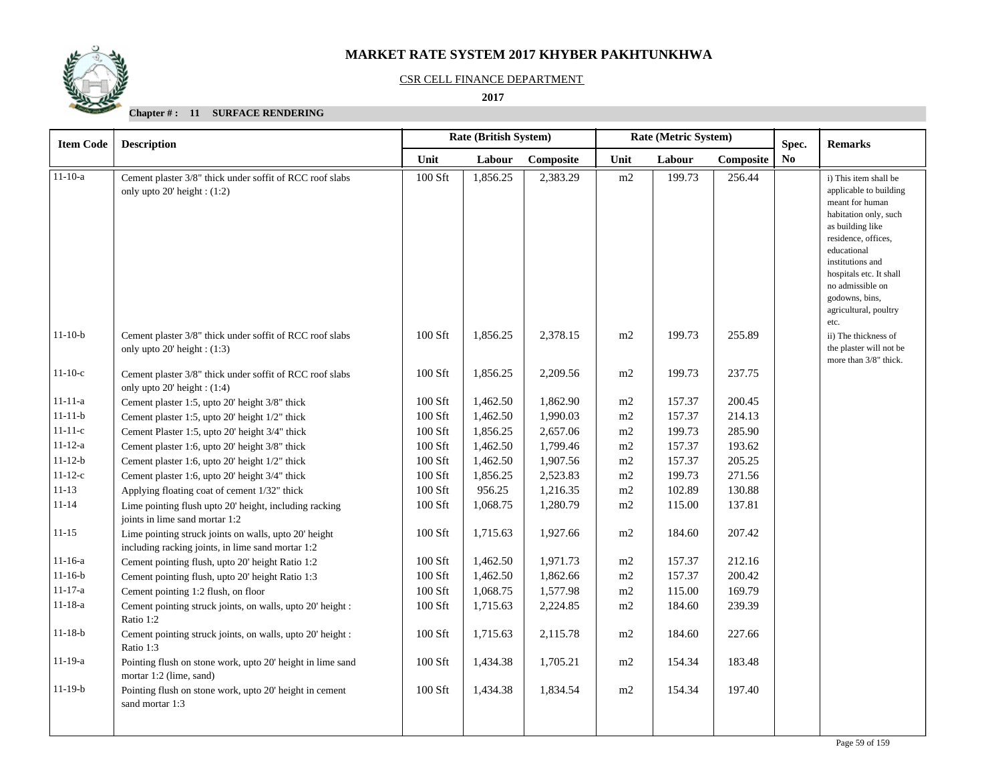

### CSR CELL FINANCE DEPARTMENT

 **2017** 

| <b>Item Code</b> | <b>Description</b>                                                                                         | <b>Rate (British System)</b> |          |           | Rate (Metric System) |        |           |     |                                                                                                                                                                                                                                                                     |  | Spec. | <b>Remarks</b> |
|------------------|------------------------------------------------------------------------------------------------------------|------------------------------|----------|-----------|----------------------|--------|-----------|-----|---------------------------------------------------------------------------------------------------------------------------------------------------------------------------------------------------------------------------------------------------------------------|--|-------|----------------|
|                  |                                                                                                            | Unit                         | Labour   | Composite | Unit                 | Labour | Composite | No. |                                                                                                                                                                                                                                                                     |  |       |                |
| $11-10-a$        | Cement plaster 3/8" thick under soffit of RCC roof slabs<br>only upto $20'$ height: $(1:2)$                | 100 Sft                      | 1,856.25 | 2,383.29  | m2                   | 199.73 | 256.44    |     | i) This item shall be<br>applicable to building<br>meant for human<br>habitation only, such<br>as building like<br>residence, offices,<br>educational<br>institutions and<br>hospitals etc. It shall<br>no admissible on<br>godowns, bins,<br>agricultural, poultry |  |       |                |
| $11-10-b$        | Cement plaster 3/8" thick under soffit of RCC roof slabs<br>only upto $20'$ height: $(1:3)$                | 100 Sft                      | 1,856.25 | 2,378.15  | m2                   | 199.73 | 255.89    |     | etc.<br>ii) The thickness of<br>the plaster will not be<br>more than 3/8" thick.                                                                                                                                                                                    |  |       |                |
| $11-10-c$        | Cement plaster 3/8" thick under soffit of RCC roof slabs<br>only upto $20'$ height: $(1:4)$                | 100 Sft                      | 1,856.25 | 2,209.56  | m2                   | 199.73 | 237.75    |     |                                                                                                                                                                                                                                                                     |  |       |                |
| $11 - 11 - a$    | Cement plaster 1:5, upto 20' height 3/8" thick                                                             | 100 Sft                      | 1,462.50 | 1,862.90  | m2                   | 157.37 | 200.45    |     |                                                                                                                                                                                                                                                                     |  |       |                |
| $11 - 11 - b$    | Cement plaster 1:5, upto 20' height 1/2" thick                                                             | 100 Sft                      | 1,462.50 | 1,990.03  | m2                   | 157.37 | 214.13    |     |                                                                                                                                                                                                                                                                     |  |       |                |
| $11 - 11 - c$    | Cement Plaster 1:5, upto 20' height 3/4" thick                                                             | 100 Sft                      | 1,856.25 | 2,657.06  | m2                   | 199.73 | 285.90    |     |                                                                                                                                                                                                                                                                     |  |       |                |
| $11 - 12 - a$    | Cement plaster 1:6, upto 20' height 3/8" thick                                                             | 100 Sft                      | 1,462.50 | 1,799.46  | m2                   | 157.37 | 193.62    |     |                                                                                                                                                                                                                                                                     |  |       |                |
| $11 - 12 - b$    | Cement plaster 1:6, upto 20' height 1/2" thick                                                             | $100$ Sft                    | 1,462.50 | 1,907.56  | m2                   | 157.37 | 205.25    |     |                                                                                                                                                                                                                                                                     |  |       |                |
| $11 - 12 - c$    | Cement plaster 1:6, upto 20' height 3/4" thick                                                             | $100$ Sft                    | 1,856.25 | 2,523.83  | m2                   | 199.73 | 271.56    |     |                                                                                                                                                                                                                                                                     |  |       |                |
| $11 - 13$        | Applying floating coat of cement 1/32" thick                                                               | 100 Sft                      | 956.25   | 1,216.35  | m2                   | 102.89 | 130.88    |     |                                                                                                                                                                                                                                                                     |  |       |                |
| $11 - 14$        | Lime pointing flush upto 20' height, including racking<br>joints in lime sand mortar 1:2                   | 100 Sft                      | 1,068.75 | 1,280.79  | m2                   | 115.00 | 137.81    |     |                                                                                                                                                                                                                                                                     |  |       |                |
| $11 - 15$        | Lime pointing struck joints on walls, upto 20' height<br>including racking joints, in lime sand mortar 1:2 | 100 Sft                      | 1,715.63 | 1,927.66  | m2                   | 184.60 | 207.42    |     |                                                                                                                                                                                                                                                                     |  |       |                |
| $11 - 16 - a$    | Cement pointing flush, upto 20' height Ratio 1:2                                                           | 100 Sft                      | 1,462.50 | 1,971.73  | m2                   | 157.37 | 212.16    |     |                                                                                                                                                                                                                                                                     |  |       |                |
| $11-16-b$        | Cement pointing flush, upto 20' height Ratio 1:3                                                           | 100 Sft                      | 1,462.50 | 1,862.66  | m2                   | 157.37 | 200.42    |     |                                                                                                                                                                                                                                                                     |  |       |                |
| $11 - 17 - a$    | Cement pointing 1:2 flush, on floor                                                                        | $100$ Sft                    | 1,068.75 | 1,577.98  | m2                   | 115.00 | 169.79    |     |                                                                                                                                                                                                                                                                     |  |       |                |
| $11 - 18 - a$    | Cement pointing struck joints, on walls, upto 20' height :<br>Ratio 1:2                                    | 100 Sft                      | 1,715.63 | 2,224.85  | m2                   | 184.60 | 239.39    |     |                                                                                                                                                                                                                                                                     |  |       |                |
| $11 - 18 - b$    | Cement pointing struck joints, on walls, upto 20' height :<br>Ratio 1:3                                    | 100 Sft                      | 1,715.63 | 2,115.78  | m2                   | 184.60 | 227.66    |     |                                                                                                                                                                                                                                                                     |  |       |                |
| $11-19-a$        | Pointing flush on stone work, upto 20' height in lime sand<br>mortar 1:2 (lime, sand)                      | $100$ Sft                    | 1,434.38 | 1,705.21  | m2                   | 154.34 | 183.48    |     |                                                                                                                                                                                                                                                                     |  |       |                |
| $11-19-b$        | Pointing flush on stone work, upto 20' height in cement<br>sand mortar 1:3                                 | 100 Sft                      | 1,434.38 | 1,834.54  | m2                   | 154.34 | 197.40    |     |                                                                                                                                                                                                                                                                     |  |       |                |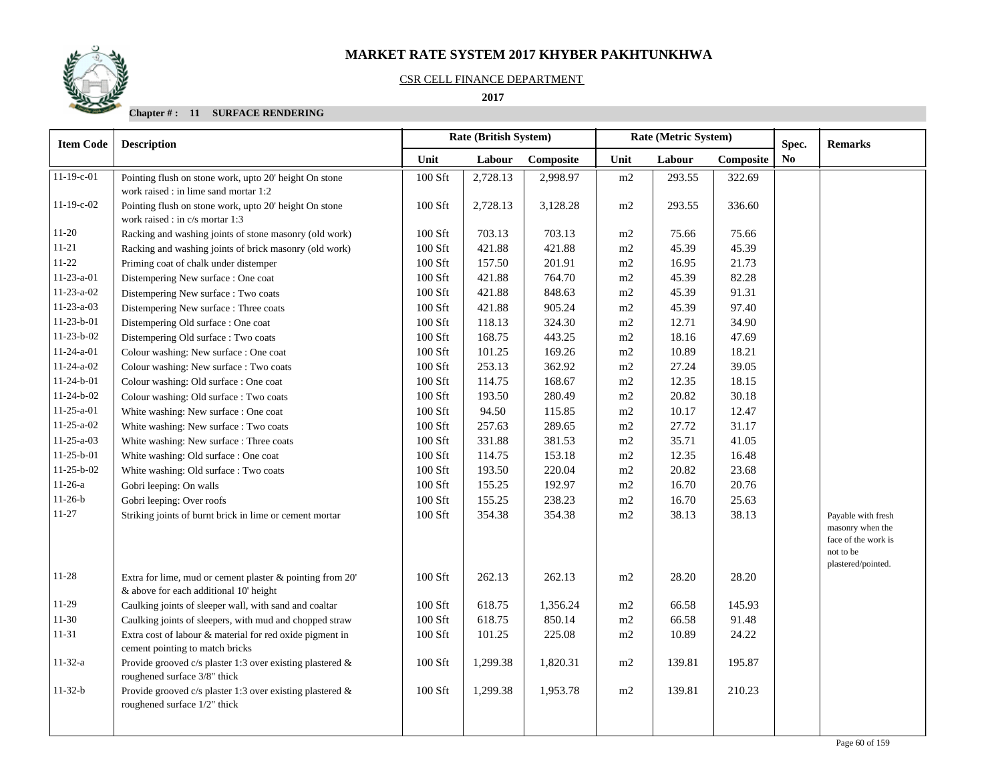

### CSR CELL FINANCE DEPARTMENT

 **2017** 

| <b>Item Code</b>   | <b>Description</b>                                           |           | <b>Rate (British System)</b> |           |          | Rate (Metric System) | Spec.     | <b>Remarks</b> |                                 |
|--------------------|--------------------------------------------------------------|-----------|------------------------------|-----------|----------|----------------------|-----------|----------------|---------------------------------|
|                    |                                                              | Unit      | Labour                       | Composite | Unit     | Labour               | Composite | N <sub>0</sub> |                                 |
| $11-19-c-01$       | Pointing flush on stone work, upto 20' height On stone       | 100 Sft   | 2,728.13                     | 2,998.97  | m2       | 293.55               | 322.69    |                |                                 |
|                    | work raised : in lime sand mortar 1:2                        |           |                              |           |          |                      |           |                |                                 |
| 11-19-c-02         | Pointing flush on stone work, upto 20' height On stone       | 100 Sft   | 2,728.13                     | 3,128.28  | m2       | 293.55               | 336.60    |                |                                 |
|                    | work raised : in c/s mortar 1:3                              |           |                              |           |          |                      |           |                |                                 |
| $11-20$            | Racking and washing joints of stone masonry (old work)       | 100 Sft   | 703.13                       | 703.13    | m2       | 75.66                | 75.66     |                |                                 |
| $11 - 21$          | Racking and washing joints of brick masonry (old work)       | 100 Sft   | 421.88                       | 421.88    | m2       | 45.39                | 45.39     |                |                                 |
| $11-22$            | Priming coat of chalk under distemper                        | 100 Sft   | 157.50                       | 201.91    | m2       | 16.95                | 21.73     |                |                                 |
| $11-23-a-01$       | Distempering New surface : One coat                          | $100$ Sft | 421.88                       | 764.70    | m2       | 45.39                | 82.28     |                |                                 |
| $11-23-a-02$       | Distempering New surface : Two coats                         | 100 Sft   | 421.88                       | 848.63    | m2       | 45.39                | 91.31     |                |                                 |
| $11 - 23 - a - 03$ | Distempering New surface : Three coats                       | 100 Sft   | 421.88                       | 905.24    | $\rm m2$ | 45.39                | 97.40     |                |                                 |
| $11-23-b-01$       | Distempering Old surface : One coat                          | 100 Sft   | 118.13                       | 324.30    | m2       | 12.71                | 34.90     |                |                                 |
| $11-23-b-02$       | Distempering Old surface : Two coats                         | 100 Sft   | 168.75                       | 443.25    | m2       | 18.16                | 47.69     |                |                                 |
| $11-24-a-01$       | Colour washing: New surface : One coat                       | 100 Sft   | 101.25                       | 169.26    | m2       | 10.89                | 18.21     |                |                                 |
| $11-24-a-02$       | Colour washing: New surface : Two coats                      | 100 Sft   | 253.13                       | 362.92    | m2       | 27.24                | 39.05     |                |                                 |
| $11-24-b-01$       | Colour washing: Old surface : One coat                       | 100 Sft   | 114.75                       | 168.67    | $\rm m2$ | 12.35                | 18.15     |                |                                 |
| $11-24-b-02$       | Colour washing: Old surface : Two coats                      | 100 Sft   | 193.50                       | 280.49    | m2       | 20.82                | 30.18     |                |                                 |
| $11-25-a-01$       | White washing: New surface : One coat                        | 100 Sft   | 94.50                        | 115.85    | m2       | 10.17                | 12.47     |                |                                 |
| $11-25-a-02$       | White washing: New surface : Two coats                       | 100 Sft   | 257.63                       | 289.65    | m2       | 27.72                | 31.17     |                |                                 |
| $11-25-a-03$       | White washing: New surface : Three coats                     | 100 Sft   | 331.88                       | 381.53    | m2       | 35.71                | 41.05     |                |                                 |
| $11-25-b-01$       | White washing: Old surface : One coat                        | 100 Sft   | 114.75                       | 153.18    | m2       | 12.35                | 16.48     |                |                                 |
| $11-25-b-02$       | White washing: Old surface : Two coats                       | 100 Sft   | 193.50                       | 220.04    | $\rm m2$ | 20.82                | 23.68     |                |                                 |
| $11-26-a$          | Gobri leeping: On walls                                      | 100 Sft   | 155.25                       | 192.97    | m2       | 16.70                | 20.76     |                |                                 |
| $11-26-b$          | Gobri leeping: Over roofs                                    | 100 Sft   | 155.25                       | 238.23    | m2       | 16.70                | 25.63     |                |                                 |
| $11 - 27$          | Striking joints of burnt brick in lime or cement mortar      | 100 Sft   | 354.38                       | 354.38    | m2       | 38.13                | 38.13     |                | Payable with fresh              |
|                    |                                                              |           |                              |           |          |                      |           |                | masonry when the                |
|                    |                                                              |           |                              |           |          |                      |           |                | face of the work is             |
|                    |                                                              |           |                              |           |          |                      |           |                | not to be<br>plastered/pointed. |
| $11 - 28$          | Extra for lime, mud or cement plaster & pointing from 20'    | 100 Sft   | 262.13                       | 262.13    | m2       | 28.20                | 28.20     |                |                                 |
|                    | & above for each additional 10' height                       |           |                              |           |          |                      |           |                |                                 |
| $11-29$            | Caulking joints of sleeper wall, with sand and coaltar       | 100 Sft   | 618.75                       | 1,356.24  | m2       | 66.58                | 145.93    |                |                                 |
| $11-30$            | Caulking joints of sleepers, with mud and chopped straw      | 100 Sft   | 618.75                       | 850.14    | $\rm m2$ | 66.58                | 91.48     |                |                                 |
| 11-31              | Extra cost of labour & material for red oxide pigment in     | 100 Sft   | 101.25                       | 225.08    | m2       | 10.89                | 24.22     |                |                                 |
|                    | cement pointing to match bricks                              |           |                              |           |          |                      |           |                |                                 |
| $11 - 32 - a$      | Provide grooved c/s plaster 1:3 over existing plastered $\&$ | 100 Sft   | 1,299.38                     | 1,820.31  | m2       | 139.81               | 195.87    |                |                                 |
|                    | roughened surface 3/8" thick                                 |           |                              |           |          |                      |           |                |                                 |
| $11-32-b$          | Provide grooved c/s plaster 1:3 over existing plastered $\&$ | 100 Sft   | 1,299.38                     | 1,953.78  | m2       | 139.81               | 210.23    |                |                                 |
|                    | roughened surface 1/2" thick                                 |           |                              |           |          |                      |           |                |                                 |
|                    |                                                              |           |                              |           |          |                      |           |                |                                 |
|                    |                                                              |           |                              |           |          |                      |           |                |                                 |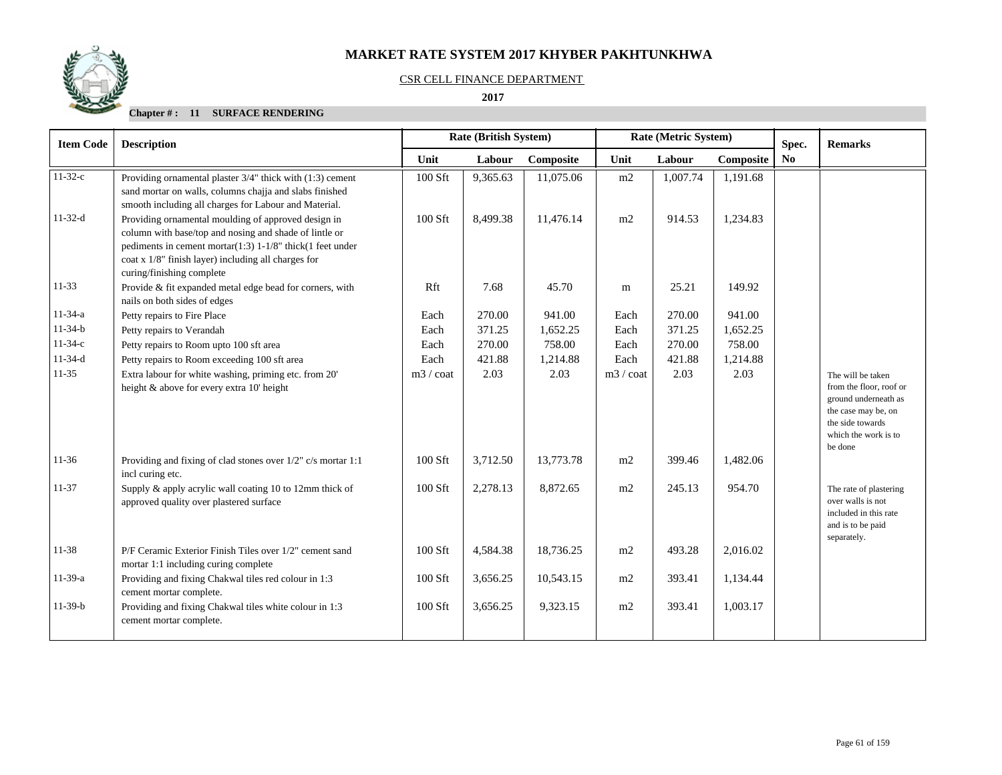

### CSR CELL FINANCE DEPARTMENT

 **2017** 

| <b>Item Code</b> | <b>Rate (British System)</b><br><b>Description</b>                                                                                                                                                                                                                |                   |          |           |                    | Rate (Metric System) | Spec.     | <b>Remarks</b> |                                                                                                                                                    |
|------------------|-------------------------------------------------------------------------------------------------------------------------------------------------------------------------------------------------------------------------------------------------------------------|-------------------|----------|-----------|--------------------|----------------------|-----------|----------------|----------------------------------------------------------------------------------------------------------------------------------------------------|
|                  |                                                                                                                                                                                                                                                                   | Unit              | Labour   | Composite | Unit               | Labour               | Composite | No             |                                                                                                                                                    |
| $11-32-c$        | Providing ornamental plaster 3/4" thick with (1:3) cement<br>sand mortar on walls, columns chajja and slabs finished<br>smooth including all charges for Labour and Material.                                                                                     | 100 Sft           | 9,365.63 | 11,075.06 | m2                 | 1,007.74             | 1,191.68  |                |                                                                                                                                                    |
| $11-32-d$        | Providing ornamental moulding of approved design in<br>column with base/top and nosing and shade of lintle or<br>pediments in cement mortar(1:3) $1-1/8$ " thick(1 feet under<br>coat x 1/8" finish layer) including all charges for<br>curing/finishing complete | 100 Sft           | 8,499.38 | 11.476.14 | m2                 | 914.53               | 1,234.83  |                |                                                                                                                                                    |
| $11-33$          | Provide & fit expanded metal edge bead for corners, with<br>nails on both sides of edges                                                                                                                                                                          | Rft               | 7.68     | 45.70     | m                  | 25.21                | 149.92    |                |                                                                                                                                                    |
| $11-34-a$        | Petty repairs to Fire Place                                                                                                                                                                                                                                       | Each              | 270.00   | 941.00    | Each               | 270.00               | 941.00    |                |                                                                                                                                                    |
| $11-34-b$        | Petty repairs to Verandah                                                                                                                                                                                                                                         | Each              | 371.25   | 1,652.25  | Each               | 371.25               | 1,652.25  |                |                                                                                                                                                    |
| $11-34-c$        | Petty repairs to Room upto 100 sft area                                                                                                                                                                                                                           | Each              | 270.00   | 758.00    | Each               | 270.00               | 758.00    |                |                                                                                                                                                    |
| $11-34-d$        | Petty repairs to Room exceeding 100 sft area                                                                                                                                                                                                                      | Each              | 421.88   | 1,214.88  | Each               | 421.88               | 1,214.88  |                |                                                                                                                                                    |
| $11-35$          | Extra labour for white washing, priming etc. from 20'<br>height & above for every extra 10' height                                                                                                                                                                | $m3 / \text{cot}$ | 2.03     | 2.03      | $m3 / \text{coat}$ | 2.03                 | 2.03      |                | The will be taken<br>from the floor, roof or<br>ground underneath as<br>the case may be, on<br>the side towards<br>which the work is to<br>be done |
| $11-36$          | Providing and fixing of clad stones over 1/2" c/s mortar 1:1<br>incl curing etc.                                                                                                                                                                                  | 100 Sft           | 3,712.50 | 13,773.78 | m2                 | 399.46               | 1,482.06  |                |                                                                                                                                                    |
| $11 - 37$        | Supply & apply acrylic wall coating 10 to 12mm thick of<br>approved quality over plastered surface                                                                                                                                                                | 100 Sft           | 2,278.13 | 8,872.65  | m2                 | 245.13               | 954.70    |                | The rate of plastering<br>over walls is not<br>included in this rate<br>and is to be paid<br>separately.                                           |
| 11-38            | P/F Ceramic Exterior Finish Tiles over 1/2" cement sand<br>mortar 1:1 including curing complete                                                                                                                                                                   | 100 Sft           | 4,584.38 | 18,736.25 | m2                 | 493.28               | 2,016.02  |                |                                                                                                                                                    |
| $11-39-a$        | Providing and fixing Chakwal tiles red colour in 1:3<br>cement mortar complete.                                                                                                                                                                                   | 100 Sft           | 3,656.25 | 10,543.15 | m2                 | 393.41               | 1,134.44  |                |                                                                                                                                                    |
| $11-39-b$        | Providing and fixing Chakwal tiles white colour in 1:3<br>cement mortar complete.                                                                                                                                                                                 | 100 Sft           | 3,656.25 | 9,323.15  | m2                 | 393.41               | 1,003.17  |                |                                                                                                                                                    |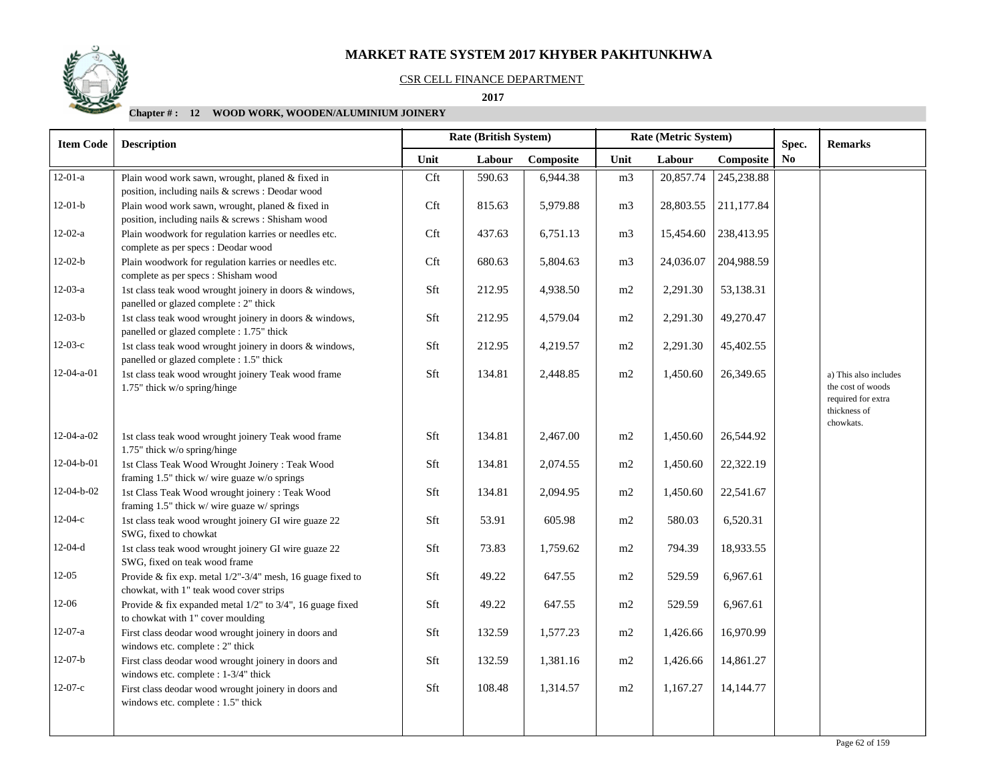## CSR CELL FINANCE DEPARTMENT

 **2017** 

| <b>Item Code</b> | <b>Description</b>                                                                                    |      | Rate (British System) |           |                | Rate (Metric System) |            | Spec. | <b>Remarks</b>                                                                   |
|------------------|-------------------------------------------------------------------------------------------------------|------|-----------------------|-----------|----------------|----------------------|------------|-------|----------------------------------------------------------------------------------|
|                  |                                                                                                       | Unit | Labour                | Composite | Unit           | Labour               | Composite  | No    |                                                                                  |
| $12-01-a$        | Plain wood work sawn, wrought, planed & fixed in<br>position, including nails & screws : Deodar wood  | Cft  | 590.63                | 6,944.38  | m <sub>3</sub> | 20,857.74            | 245,238.88 |       |                                                                                  |
| $12-01-b$        | Plain wood work sawn, wrought, planed & fixed in<br>position, including nails & screws : Shisham wood | Cft  | 815.63                | 5,979.88  | m <sub>3</sub> | 28,803.55            | 211,177.84 |       |                                                                                  |
| $12-02-a$        | Plain woodwork for regulation karries or needles etc.<br>complete as per specs : Deodar wood          | Cft  | 437.63                | 6,751.13  | m <sub>3</sub> | 15,454.60            | 238,413.95 |       |                                                                                  |
| $12-02-b$        | Plain woodwork for regulation karries or needles etc.<br>complete as per specs : Shisham wood         | Cft  | 680.63                | 5,804.63  | m <sub>3</sub> | 24,036.07            | 204,988.59 |       |                                                                                  |
| $12-03-a$        | 1st class teak wood wrought joinery in doors & windows,<br>panelled or glazed complete : 2" thick     | Sft  | 212.95                | 4,938.50  | m2             | 2,291.30             | 53,138.31  |       |                                                                                  |
| $12-03-b$        | 1st class teak wood wrought joinery in doors & windows,<br>panelled or glazed complete : 1.75" thick  | Sft  | 212.95                | 4,579.04  | m2             | 2,291.30             | 49,270.47  |       |                                                                                  |
| $12-03-c$        | 1st class teak wood wrought joinery in doors & windows,<br>panelled or glazed complete : 1.5" thick   | Sft  | 212.95                | 4,219.57  | m2             | 2,291.30             | 45,402.55  |       |                                                                                  |
| $12-04-a-01$     | 1st class teak wood wrought joinery Teak wood frame<br>1.75" thick w/o spring/hinge                   | Sft  | 134.81                | 2,448.85  | m2             | 1,450.60             | 26,349.65  |       | a) This also includes<br>the cost of woods<br>required for extra<br>thickness of |
| $12-04-a-02$     | 1st class teak wood wrought joinery Teak wood frame<br>1.75" thick w/o spring/hinge                   | Sft  | 134.81                | 2,467.00  | m2             | 1,450.60             | 26,544.92  |       | chowkats.                                                                        |
| 12-04-b-01       | 1st Class Teak Wood Wrought Joinery: Teak Wood<br>framing 1.5" thick w/ wire guaze w/o springs        | Sft  | 134.81                | 2,074.55  | m2             | 1,450.60             | 22,322.19  |       |                                                                                  |
| 12-04-b-02       | 1st Class Teak Wood wrought joinery : Teak Wood<br>framing 1.5" thick w/ wire guaze w/ springs        | Sft  | 134.81                | 2,094.95  | m2             | 1,450.60             | 22,541.67  |       |                                                                                  |
| $12-04-c$        | 1st class teak wood wrought joinery GI wire guaze 22<br>SWG, fixed to chowkat                         | Sft  | 53.91                 | 605.98    | m2             | 580.03               | 6,520.31   |       |                                                                                  |
| $12-04-d$        | 1st class teak wood wrought joinery GI wire guaze 22<br>SWG, fixed on teak wood frame                 | Sft  | 73.83                 | 1,759.62  | m2             | 794.39               | 18,933.55  |       |                                                                                  |
| $12 - 05$        | Provide & fix exp. metal 1/2"-3/4" mesh, 16 guage fixed to<br>chowkat, with 1" teak wood cover strips | Sft  | 49.22                 | 647.55    | m2             | 529.59               | 6,967.61   |       |                                                                                  |
| $12 - 06$        | Provide & fix expanded metal 1/2" to 3/4", 16 guage fixed<br>to chowkat with 1" cover moulding        | Sft  | 49.22                 | 647.55    | m2             | 529.59               | 6,967.61   |       |                                                                                  |
| $12-07-a$        | First class deodar wood wrought joinery in doors and<br>windows etc. complete : 2" thick              | Sft  | 132.59                | 1,577.23  | m2             | 1,426.66             | 16,970.99  |       |                                                                                  |
| $12-07-b$        | First class deodar wood wrought joinery in doors and<br>windows etc. complete : 1-3/4" thick          | Sft  | 132.59                | 1,381.16  | m2             | 1,426.66             | 14,861.27  |       |                                                                                  |
| $12-07-c$        | First class deodar wood wrought joinery in doors and<br>windows etc. complete : 1.5" thick            | Sft  | 108.48                | 1,314.57  | m2             | 1,167.27             | 14,144.77  |       |                                                                                  |
|                  |                                                                                                       |      |                       |           |                |                      |            |       |                                                                                  |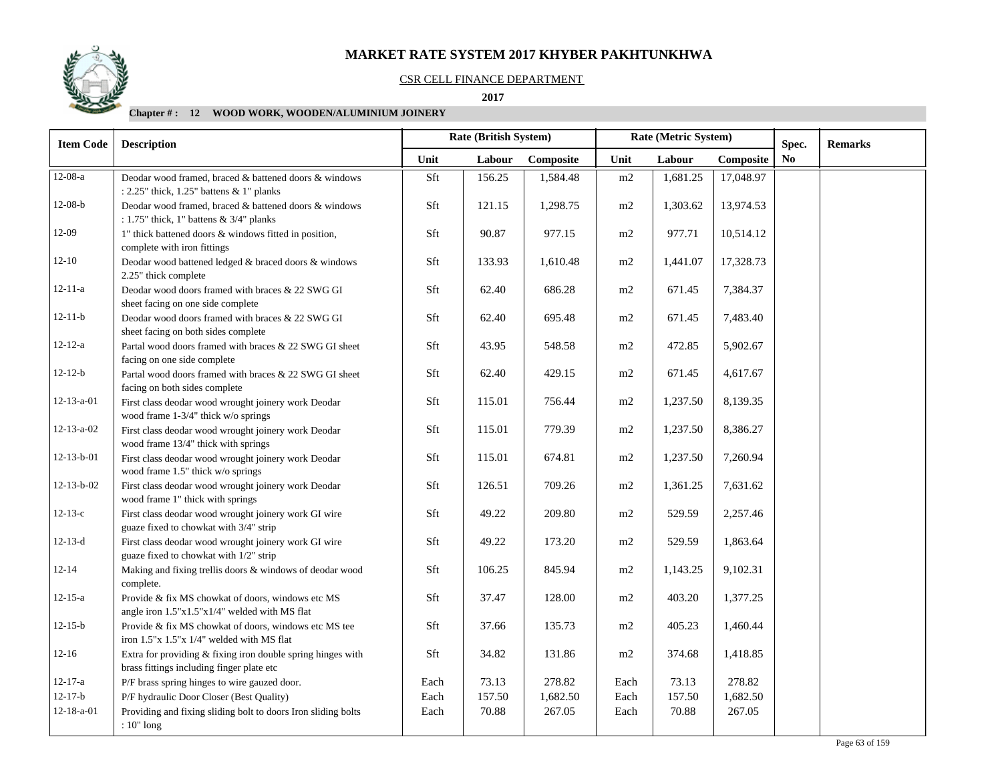## CSR CELL FINANCE DEPARTMENT

 **2017** 

| <b>Item Code</b>   | <b>Description</b>                                                                                       |      | Rate (British System) |           | Rate (Metric System) |          |           | Spec.          | <b>Remarks</b> |
|--------------------|----------------------------------------------------------------------------------------------------------|------|-----------------------|-----------|----------------------|----------|-----------|----------------|----------------|
|                    |                                                                                                          | Unit | Labour                | Composite | Unit                 | Labour   | Composite | N <sub>0</sub> |                |
| $12-08-a$          | Deodar wood framed, braced & battened doors & windows<br>: 2.25" thick, 1.25" battens & 1" planks        | Sft  | 156.25                | 1,584.48  | m2                   | 1,681.25 | 17,048.97 |                |                |
| $12-08-b$          | Deodar wood framed, braced & battened doors & windows<br>: $1.75$ " thick, 1" battens & $3/4$ " planks   | Sft  | 121.15                | 1,298.75  | m2                   | 1,303.62 | 13,974.53 |                |                |
| 12-09              | 1" thick battened doors & windows fitted in position,<br>complete with iron fittings                     | Sft  | 90.87                 | 977.15    | m2                   | 977.71   | 10,514.12 |                |                |
| $12 - 10$          | Deodar wood battened ledged & braced doors & windows<br>2.25" thick complete                             | Sft  | 133.93                | 1,610.48  | m2                   | 1,441.07 | 17,328.73 |                |                |
| $12 - 11 - a$      | Deodar wood doors framed with braces & 22 SWG GI<br>sheet facing on one side complete                    | Sft  | 62.40                 | 686.28    | m2                   | 671.45   | 7,384.37  |                |                |
| $12 - 11 - b$      | Deodar wood doors framed with braces & 22 SWG GI<br>sheet facing on both sides complete                  | Sft  | 62.40                 | 695.48    | m2                   | 671.45   | 7,483.40  |                |                |
| $12 - 12 - a$      | Partal wood doors framed with braces & 22 SWG GI sheet<br>facing on one side complete                    | Sft  | 43.95                 | 548.58    | m2                   | 472.85   | 5,902.67  |                |                |
| $12 - 12 - b$      | Partal wood doors framed with braces & 22 SWG GI sheet<br>facing on both sides complete                  | Sft  | 62.40                 | 429.15    | m2                   | 671.45   | 4,617.67  |                |                |
| $12 - 13 - a - 01$ | First class deodar wood wrought joinery work Deodar<br>wood frame 1-3/4" thick w/o springs               | Sft  | 115.01                | 756.44    | m2                   | 1,237.50 | 8,139.35  |                |                |
| $12 - 13 - a - 02$ | First class deodar wood wrought joinery work Deodar<br>wood frame 13/4" thick with springs               | Sft  | 115.01                | 779.39    | m2                   | 1,237.50 | 8,386.27  |                |                |
| $12 - 13 - b - 01$ | First class deodar wood wrought joinery work Deodar<br>wood frame 1.5" thick w/o springs                 | Sft  | 115.01                | 674.81    | m2                   | 1,237.50 | 7,260.94  |                |                |
| $12 - 13 - b - 02$ | First class deodar wood wrought joinery work Deodar<br>wood frame 1" thick with springs                  | Sft  | 126.51                | 709.26    | m2                   | 1,361.25 | 7,631.62  |                |                |
| $12-13-c$          | First class deodar wood wrought joinery work GI wire<br>guaze fixed to chowkat with 3/4" strip           | Sft  | 49.22                 | 209.80    | m2                   | 529.59   | 2,257.46  |                |                |
| $12 - 13 - d$      | First class deodar wood wrought joinery work GI wire<br>guaze fixed to chowkat with 1/2" strip           | Sft  | 49.22                 | 173.20    | m2                   | 529.59   | 1,863.64  |                |                |
| $12 - 14$          | Making and fixing trellis doors & windows of deodar wood<br>complete.                                    | Sft  | 106.25                | 845.94    | m2                   | 1,143.25 | 9,102.31  |                |                |
| $12 - 15 - a$      | Provide & fix MS chowkat of doors, windows etc MS<br>angle iron 1.5"x1.5"x1/4" welded with MS flat       | Sft  | 37.47                 | 128.00    | m2                   | 403.20   | 1,377.25  |                |                |
| $12 - 15 - b$      | Provide & fix MS chowkat of doors, windows etc MS tee<br>iron 1.5"x 1.5"x 1/4" welded with MS flat       | Sft  | 37.66                 | 135.73    | m2                   | 405.23   | 1,460.44  |                |                |
| $12-16$            | Extra for providing & fixing iron double spring hinges with<br>brass fittings including finger plate etc | Sft  | 34.82                 | 131.86    | m2                   | 374.68   | 1,418.85  |                |                |
| $12 - 17 - a$      | P/F brass spring hinges to wire gauzed door.                                                             | Each | 73.13                 | 278.82    | Each                 | 73.13    | 278.82    |                |                |
| $12 - 17 - b$      | P/F hydraulic Door Closer (Best Quality)                                                                 | Each | 157.50                | 1,682.50  | Each                 | 157.50   | 1,682.50  |                |                |
| $12 - 18 - a - 01$ | Providing and fixing sliding bolt to doors Iron sliding bolts<br>$: 10"$ long                            | Each | 70.88                 | 267.05    | Each                 | 70.88    | 267.05    |                |                |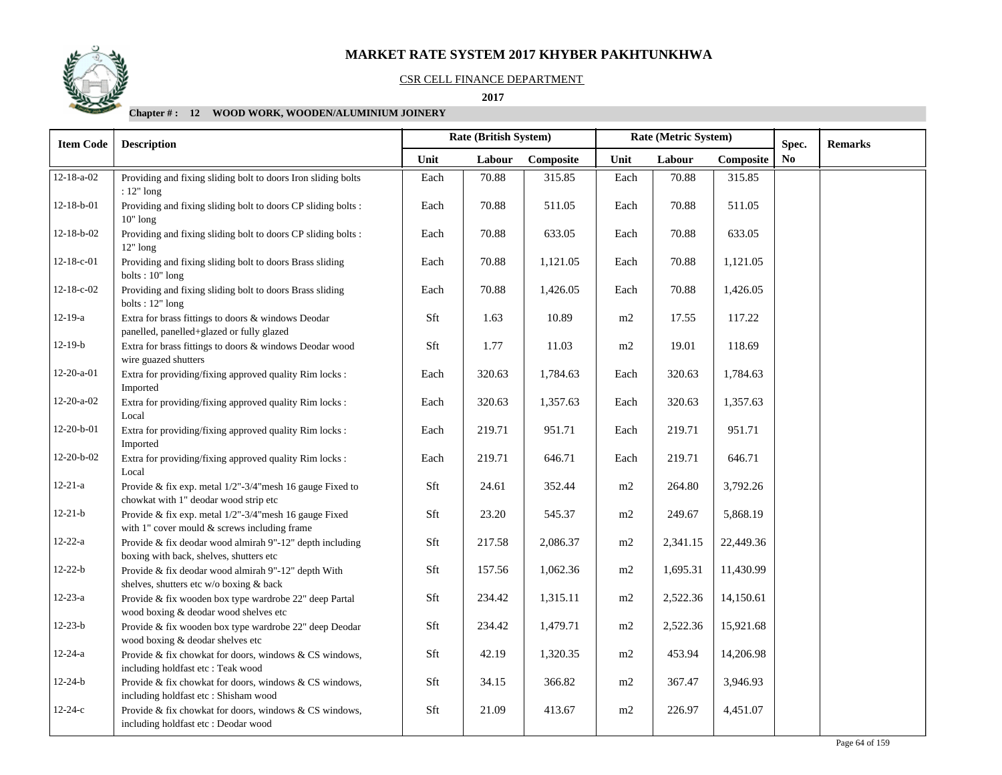## CSR CELL FINANCE DEPARTMENT

 **2017** 

| <b>Item Code</b>   | <b>Description</b>                                                                                     |                               | Rate (British System) |           | Rate (Metric System) |          |           | Spec.          | <b>Remarks</b> |
|--------------------|--------------------------------------------------------------------------------------------------------|-------------------------------|-----------------------|-----------|----------------------|----------|-----------|----------------|----------------|
|                    |                                                                                                        | Unit                          | Labour                | Composite | Unit                 | Labour   | Composite | N <sub>o</sub> |                |
| $12 - 18 - a - 02$ | Providing and fixing sliding bolt to doors Iron sliding bolts<br>$: 12"$ long                          | Each                          | 70.88                 | 315.85    | Each                 | 70.88    | 315.85    |                |                |
| $12-18-b-01$       | Providing and fixing sliding bolt to doors CP sliding bolts :<br>$10"$ long                            | Each                          | 70.88                 | 511.05    | Each                 | 70.88    | 511.05    |                |                |
| $12 - 18 - b - 02$ | Providing and fixing sliding bolt to doors CP sliding bolts :<br>$12"$ long                            | Each                          | 70.88                 | 633.05    | Each                 | 70.88    | 633.05    |                |                |
| 12-18-c-01         | Providing and fixing sliding bolt to doors Brass sliding<br>bolts: $10"$ long                          | Each                          | 70.88                 | 1,121.05  | Each                 | 70.88    | 1,121.05  |                |                |
| 12-18-c-02         | Providing and fixing sliding bolt to doors Brass sliding<br>bolts: 12" long                            | Each                          | 70.88                 | 1,426.05  | Each                 | 70.88    | 1,426.05  |                |                |
| $12-19-a$          | Extra for brass fittings to doors & windows Deodar<br>panelled, panelled+glazed or fully glazed        | Sft                           | 1.63                  | 10.89     | m2                   | 17.55    | 117.22    |                |                |
| $12-19-b$          | Extra for brass fittings to doors & windows Deodar wood<br>wire guazed shutters                        | Sft                           | 1.77                  | 11.03     | m2                   | 19.01    | 118.69    |                |                |
| $12-20-a-01$       | Extra for providing/fixing approved quality Rim locks :<br>Imported                                    | Each                          | 320.63                | 1,784.63  | Each                 | 320.63   | 1,784.63  |                |                |
| $12-20-a-02$       | Extra for providing/fixing approved quality Rim locks :<br>Local                                       | Each                          | 320.63                | 1,357.63  | Each                 | 320.63   | 1,357.63  |                |                |
| 12-20-b-01         | Extra for providing/fixing approved quality Rim locks :<br>Imported                                    | Each                          | 219.71                | 951.71    | Each                 | 219.71   | 951.71    |                |                |
| 12-20-b-02         | Extra for providing/fixing approved quality Rim locks :<br>Local                                       | Each                          | 219.71                | 646.71    | Each                 | 219.71   | 646.71    |                |                |
| $12 - 21 - a$      | Provide & fix exp. metal 1/2"-3/4"mesh 16 gauge Fixed to<br>chowkat with 1" deodar wood strip etc      | $\operatorname{\mathsf{Sft}}$ | 24.61                 | 352.44    | $\rm m2$             | 264.80   | 3,792.26  |                |                |
| $12 - 21 - b$      | Provide & fix exp. metal 1/2"-3/4" mesh 16 gauge Fixed<br>with 1" cover mould & screws including frame | Sft                           | 23.20                 | 545.37    | m2                   | 249.67   | 5,868.19  |                |                |
| $12 - 22 - a$      | Provide & fix deodar wood almirah 9"-12" depth including<br>boxing with back, shelves, shutters etc    | Sft                           | 217.58                | 2,086.37  | $\rm m2$             | 2,341.15 | 22,449.36 |                |                |
| $12 - 22 - b$      | Provide & fix deodar wood almirah 9"-12" depth With<br>shelves, shutters etc w/o boxing & back         | Sft                           | 157.56                | 1,062.36  | m2                   | 1,695.31 | 11,430.99 |                |                |
| $12 - 23 - a$      | Provide & fix wooden box type wardrobe 22" deep Partal<br>wood boxing & deodar wood shelves etc        | Sft                           | 234.42                | 1,315.11  | m2                   | 2,522.36 | 14,150.61 |                |                |
| $12 - 23 - b$      | Provide & fix wooden box type wardrobe 22" deep Deodar<br>wood boxing & deodar shelves etc             | Sft                           | 234.42                | 1,479.71  | m2                   | 2,522.36 | 15,921.68 |                |                |
| $12 - 24 - a$      | Provide & fix chowkat for doors, windows & CS windows,<br>including holdfast etc: Teak wood            | Sft                           | 42.19                 | 1,320.35  | m2                   | 453.94   | 14,206.98 |                |                |
| $12 - 24 - b$      | Provide & fix chowkat for doors, windows & CS windows,<br>including holdfast etc: Shisham wood         | Sft                           | 34.15                 | 366.82    | m2                   | 367.47   | 3,946.93  |                |                |
| $12 - 24 - c$      | Provide & fix chowkat for doors, windows & CS windows,<br>including holdfast etc: Deodar wood          | Sft                           | 21.09                 | 413.67    | m2                   | 226.97   | 4,451.07  |                |                |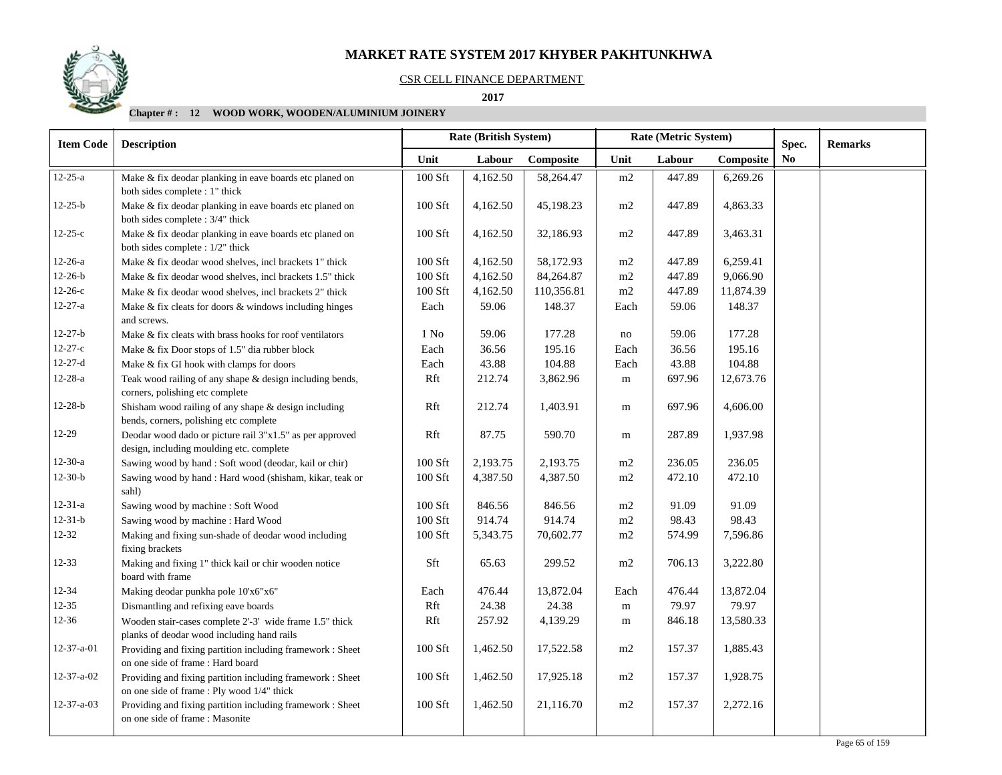## CSR CELL FINANCE DEPARTMENT

 **2017** 

| <b>Item Code</b>   | <b>Description</b>                                                                                       |           | Rate (British System) |            | Rate (Metric System) |        |           | Spec.          | <b>Remarks</b> |
|--------------------|----------------------------------------------------------------------------------------------------------|-----------|-----------------------|------------|----------------------|--------|-----------|----------------|----------------|
|                    |                                                                                                          | Unit      | Labour                | Composite  | Unit                 | Labour | Composite | N <sub>0</sub> |                |
| $12 - 25 - a$      | Make & fix deodar planking in eave boards etc planed on<br>both sides complete : 1" thick                | 100 Sft   | 4,162.50              | 58,264.47  | m2                   | 447.89 | 6,269.26  |                |                |
| $12 - 25 - b$      | Make & fix deodar planking in eave boards etc planed on<br>both sides complete : 3/4" thick              | 100 Sft   | 4,162.50              | 45,198.23  | m2                   | 447.89 | 4,863.33  |                |                |
| $12 - 25 - c$      | Make & fix deodar planking in eave boards etc planed on<br>both sides complete : 1/2" thick              | 100 Sft   | 4,162.50              | 32,186.93  | m2                   | 447.89 | 3,463.31  |                |                |
| $12-26-a$          | Make & fix deodar wood shelves, incl brackets 1" thick                                                   | 100 Sft   | 4,162.50              | 58,172.93  | m2                   | 447.89 | 6,259.41  |                |                |
| $12 - 26 - b$      | Make & fix deodar wood shelves, incl brackets 1.5" thick                                                 | 100 Sft   | 4,162.50              | 84,264.87  | m2                   | 447.89 | 9,066.90  |                |                |
| $12 - 26 - c$      | Make & fix deodar wood shelves, incl brackets 2" thick                                                   | 100 Sft   | 4,162.50              | 110,356.81 | m2                   | 447.89 | 11,874.39 |                |                |
| $12 - 27 - a$      | Make & fix cleats for doors & windows including hinges<br>and screws.                                    | Each      | 59.06                 | 148.37     | Each                 | 59.06  | 148.37    |                |                |
| $12 - 27 - b$      | Make & fix cleats with brass hooks for roof ventilators                                                  | $1$ No    | 59.06                 | 177.28     | no                   | 59.06  | 177.28    |                |                |
| $12 - 27 - c$      | Make & fix Door stops of 1.5" dia rubber block                                                           | Each      | 36.56                 | 195.16     | Each                 | 36.56  | 195.16    |                |                |
| $12 - 27 - d$      | Make & fix GI hook with clamps for doors                                                                 | Each      | 43.88                 | 104.88     | Each                 | 43.88  | 104.88    |                |                |
| $12 - 28 - a$      | Teak wood railing of any shape & design including bends,<br>corners, polishing etc complete              | Rft       | 212.74                | 3,862.96   | m                    | 697.96 | 12,673.76 |                |                |
| $12 - 28 - b$      | Shisham wood railing of any shape $&$ design including<br>bends, corners, polishing etc complete         | Rft       | 212.74                | 1,403.91   | m                    | 697.96 | 4,606.00  |                |                |
| $12-29$            | Deodar wood dado or picture rail 3"x1.5" as per approved                                                 | Rft       | 87.75                 | 590.70     | m                    | 287.89 | 1,937.98  |                |                |
|                    | design, including moulding etc. complete                                                                 |           |                       |            |                      |        |           |                |                |
| $12-30-a$          | Sawing wood by hand: Soft wood (deodar, kail or chir)                                                    | 100 Sft   | 2,193.75              | 2,193.75   | $\rm m2$             | 236.05 | 236.05    |                |                |
| $12-30-b$          | Sawing wood by hand: Hard wood (shisham, kikar, teak or<br>sahl)                                         | 100 Sft   | 4,387.50              | 4,387.50   | m2                   | 472.10 | 472.10    |                |                |
| $12 - 31 - a$      | Sawing wood by machine : Soft Wood                                                                       | 100 Sft   | 846.56                | 846.56     | m2                   | 91.09  | 91.09     |                |                |
| $12 - 31 - b$      | Sawing wood by machine : Hard Wood                                                                       | 100 Sft   | 914.74                | 914.74     | $\rm m2$             | 98.43  | 98.43     |                |                |
| $12 - 32$          | Making and fixing sun-shade of deodar wood including<br>fixing brackets                                  | 100 Sft   | 5,343.75              | 70,602.77  | m2                   | 574.99 | 7,596.86  |                |                |
| $12 - 33$          | Making and fixing 1" thick kail or chir wooden notice<br>board with frame                                | Sft       | 65.63                 | 299.52     | m2                   | 706.13 | 3,222.80  |                |                |
| $12 - 34$          | Making deodar punkha pole 10'x6"x6"                                                                      | Each      | 476.44                | 13,872.04  | Each                 | 476.44 | 13,872.04 |                |                |
| $12 - 35$          | Dismantling and refixing eave boards                                                                     | Rft       | 24.38                 | 24.38      | ${\bf m}$            | 79.97  | 79.97     |                |                |
| 12-36              | Wooden stair-cases complete 2'-3' wide frame 1.5" thick<br>planks of deodar wood including hand rails    | Rft       | 257.92                | 4,139.29   | m                    | 846.18 | 13,580.33 |                |                |
| 12-37-a-01         | Providing and fixing partition including framework : Sheet<br>on one side of frame: Hard board           | 100 Sft   | 1,462.50              | 17,522.58  | m2                   | 157.37 | 1,885.43  |                |                |
| 12-37-a-02         | Providing and fixing partition including framework : Sheet<br>on one side of frame : Ply wood 1/4" thick | 100 Sft   | 1,462.50              | 17,925.18  | m2                   | 157.37 | 1,928.75  |                |                |
| $12 - 37 - a - 03$ | Providing and fixing partition including framework : Sheet<br>on one side of frame : Masonite            | $100$ Sft | 1,462.50              | 21,116.70  | m2                   | 157.37 | 2,272.16  |                |                |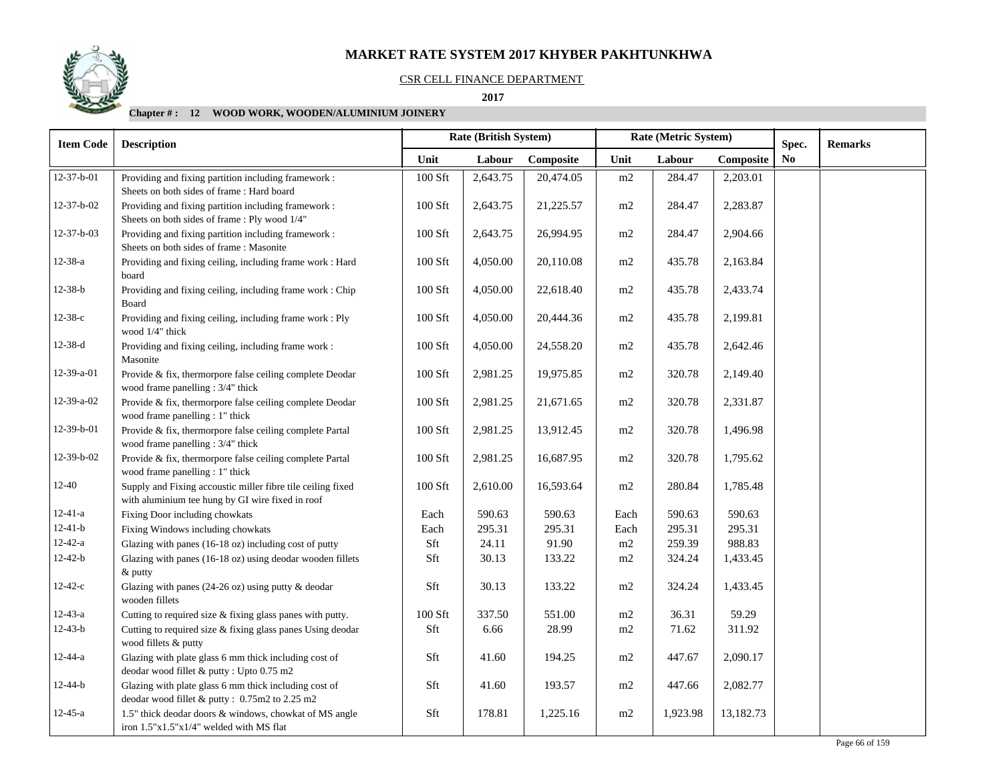## CSR CELL FINANCE DEPARTMENT

 **2017** 

| <b>Item Code</b>   | <b>Description</b>                                                                                              |                | <b>Rate (British System)</b> |           | Rate (Metric System) |          | Spec.     | <b>Remarks</b> |  |
|--------------------|-----------------------------------------------------------------------------------------------------------------|----------------|------------------------------|-----------|----------------------|----------|-----------|----------------|--|
|                    |                                                                                                                 | Unit           | Labour                       | Composite | Unit                 | Labour   | Composite | No             |  |
| 12-37-b-01         | Providing and fixing partition including framework :                                                            | 100 Sft        | 2,643.75                     | 20,474.05 | m2                   | 284.47   | 2,203.01  |                |  |
|                    | Sheets on both sides of frame: Hard board                                                                       |                |                              |           |                      |          |           |                |  |
| $12 - 37 - b - 02$ | Providing and fixing partition including framework :<br>Sheets on both sides of frame : Ply wood 1/4"           | 100 Sft        | 2,643.75                     | 21,225.57 | m2                   | 284.47   | 2,283.87  |                |  |
| 12-37-b-03         | Providing and fixing partition including framework :<br>Sheets on both sides of frame : Masonite                | 100 Sft        | 2,643.75                     | 26,994.95 | m2                   | 284.47   | 2,904.66  |                |  |
| $12 - 38 - a$      | Providing and fixing ceiling, including frame work : Hard<br>board                                              | $100$ Sft $\,$ | 4,050.00                     | 20,110.08 | $\rm m2$             | 435.78   | 2,163.84  |                |  |
| $12 - 38 - b$      | Providing and fixing ceiling, including frame work : Chip<br>Board                                              | 100 Sft        | 4,050.00                     | 22,618.40 | m2                   | 435.78   | 2,433.74  |                |  |
| $12 - 38 - c$      | Providing and fixing ceiling, including frame work : Ply<br>wood 1/4" thick                                     | 100 Sft        | 4,050.00                     | 20,444.36 | m2                   | 435.78   | 2,199.81  |                |  |
| $12-38-d$          | Providing and fixing ceiling, including frame work :<br>Masonite                                                | 100 Sft        | 4,050.00                     | 24,558.20 | m2                   | 435.78   | 2,642.46  |                |  |
| 12-39-a-01         | Provide & fix, thermorpore false ceiling complete Deodar<br>wood frame panelling: 3/4" thick                    | 100 Sft        | 2,981.25                     | 19,975.85 | m2                   | 320.78   | 2,149.40  |                |  |
| 12-39-a-02         | Provide & fix, thermorpore false ceiling complete Deodar<br>wood frame panelling : 1" thick                     | 100 Sft        | 2,981.25                     | 21,671.65 | $\rm m2$             | 320.78   | 2,331.87  |                |  |
| 12-39-b-01         | Provide & fix, thermorpore false ceiling complete Partal<br>wood frame panelling: 3/4" thick                    | 100 Sft        | 2,981.25                     | 13,912.45 | m2                   | 320.78   | 1,496.98  |                |  |
| 12-39-b-02         | Provide & fix, thermorpore false ceiling complete Partal<br>wood frame panelling : 1" thick                     | 100 Sft        | 2,981.25                     | 16,687.95 | m2                   | 320.78   | 1,795.62  |                |  |
| $12 - 40$          | Supply and Fixing accoustic miller fibre tile ceiling fixed<br>with aluminium tee hung by GI wire fixed in roof | 100 Sft        | 2,610.00                     | 16,593.64 | m2                   | 280.84   | 1,785.48  |                |  |
| $12 - 41 - a$      | Fixing Door including chowkats                                                                                  | Each           | 590.63                       | 590.63    | Each                 | 590.63   | 590.63    |                |  |
| $12 - 41 - b$      | Fixing Windows including chowkats                                                                               | Each           | 295.31                       | 295.31    | Each                 | 295.31   | 295.31    |                |  |
| $12 - 42 - a$      | Glazing with panes (16-18 oz) including cost of putty                                                           | Sft            | 24.11                        | 91.90     | m2                   | 259.39   | 988.83    |                |  |
| $12 - 42 - b$      | Glazing with panes (16-18 oz) using deodar wooden fillets<br>& putty                                            | Sft            | 30.13                        | 133.22    | m2                   | 324.24   | 1,433.45  |                |  |
| $12 - 42 - c$      | Glazing with panes (24-26 oz) using putty & deodar<br>wooden fillets                                            | Sft            | 30.13                        | 133.22    | m2                   | 324.24   | 1,433.45  |                |  |
| $12 - 43 - a$      | Cutting to required size & fixing glass panes with putty.                                                       | 100 Sft        | 337.50                       | 551.00    | m2                   | 36.31    | 59.29     |                |  |
| $12 - 43 - b$      | Cutting to required size & fixing glass panes Using deodar<br>wood fillets & putty                              | Sft            | 6.66                         | 28.99     | m2                   | 71.62    | 311.92    |                |  |
| $12 - 44 - a$      | Glazing with plate glass 6 mm thick including cost of<br>deodar wood fillet & putty: Upto 0.75 m2               | Sft            | 41.60                        | 194.25    | m2                   | 447.67   | 2,090.17  |                |  |
| $12 - 44 - b$      | Glazing with plate glass 6 mm thick including cost of<br>deodar wood fillet & putty: 0.75m2 to 2.25 m2          | Sft            | 41.60                        | 193.57    | m2                   | 447.66   | 2,082.77  |                |  |
| $12 - 45 - a$      | 1.5" thick deodar doors & windows, chowkat of MS angle<br>iron 1.5"x1.5"x1/4" welded with MS flat               | Sft            | 178.81                       | 1,225.16  | m2                   | 1,923.98 | 13,182.73 |                |  |

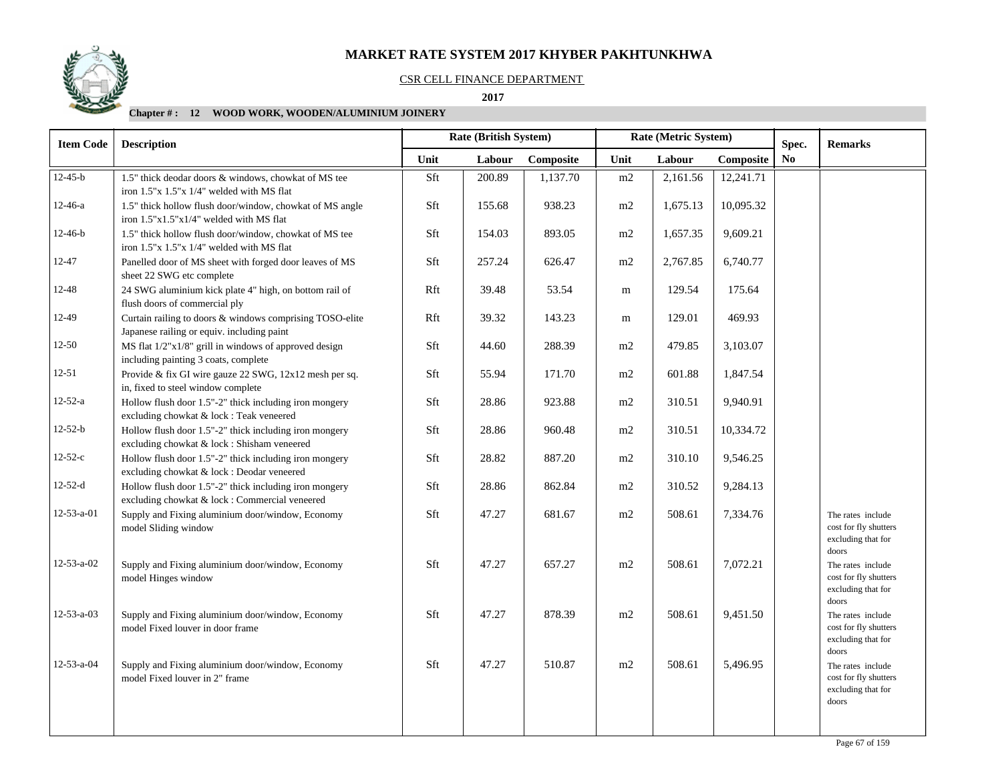## CSR CELL FINANCE DEPARTMENT

 **2017** 

| <b>Item Code</b>   | <b>Description</b>                                                                                       |      | Rate (British System) |           | Rate (Metric System) |          |           | Spec.          | <b>Remarks</b>                                                            |
|--------------------|----------------------------------------------------------------------------------------------------------|------|-----------------------|-----------|----------------------|----------|-----------|----------------|---------------------------------------------------------------------------|
|                    |                                                                                                          | Unit | Labour                | Composite | Unit                 | Labour   | Composite | N <sub>0</sub> |                                                                           |
| $12 - 45 - b$      | 1.5" thick deodar doors & windows, chowkat of MS tee                                                     | Sft  | 200.89                | 1,137.70  | m2                   | 2,161.56 | 12,241.71 |                |                                                                           |
|                    | iron 1.5"x 1.5"x 1/4" welded with MS flat                                                                |      |                       |           |                      |          |           |                |                                                                           |
| $12 - 46 - a$      | 1.5" thick hollow flush door/window, chowkat of MS angle<br>iron $1.5"x1.5"x1/4"$ welded with MS flat    | Sft  | 155.68                | 938.23    | m2                   | 1,675.13 | 10,095.32 |                |                                                                           |
| $12 - 46 - b$      | 1.5" thick hollow flush door/window, chowkat of MS tee<br>iron $1.5"x 1.5"x 1/4"$ welded with MS flat    | Sft  | 154.03                | 893.05    | m2                   | 1,657.35 | 9,609.21  |                |                                                                           |
| 12-47              | Panelled door of MS sheet with forged door leaves of MS<br>sheet 22 SWG etc complete                     | Sft  | 257.24                | 626.47    | m2                   | 2,767.85 | 6,740.77  |                |                                                                           |
| 12-48              | 24 SWG aluminium kick plate 4" high, on bottom rail of<br>flush doors of commercial ply                  | Rft  | 39.48                 | 53.54     | m                    | 129.54   | 175.64    |                |                                                                           |
| 12-49              | Curtain railing to doors & windows comprising TOSO-elite<br>Japanese railing or equiv. including paint   | Rft  | 39.32                 | 143.23    | m                    | 129.01   | 469.93    |                |                                                                           |
| $12 - 50$          | $MS$ flat $1/2"x1/8"$ grill in windows of approved design<br>including painting 3 coats, complete        | Sft  | 44.60                 | 288.39    | m2                   | 479.85   | 3,103.07  |                |                                                                           |
| $12 - 51$          | Provide & fix GI wire gauze 22 SWG, 12x12 mesh per sq.<br>in, fixed to steel window complete             | Sft  | 55.94                 | 171.70    | m2                   | 601.88   | 1,847.54  |                |                                                                           |
| $12 - 52 - a$      | Hollow flush door 1.5"-2" thick including iron mongery<br>excluding chowkat & lock : Teak veneered       | Sft  | 28.86                 | 923.88    | m2                   | 310.51   | 9,940.91  |                |                                                                           |
| $12 - 52 - b$      | Hollow flush door 1.5"-2" thick including iron mongery<br>excluding chowkat & lock : Shisham veneered    | Sft  | 28.86                 | 960.48    | m2                   | 310.51   | 10,334.72 |                |                                                                           |
| $12 - 52 - c$      | Hollow flush door 1.5"-2" thick including iron mongery<br>excluding chowkat & lock : Deodar veneered     | Sft  | 28.82                 | 887.20    | m2                   | 310.10   | 9,546.25  |                |                                                                           |
| $12 - 52 - d$      | Hollow flush door 1.5"-2" thick including iron mongery<br>excluding chowkat & lock : Commercial veneered | Sft  | 28.86                 | 862.84    | m2                   | 310.52   | 9,284.13  |                |                                                                           |
| $12 - 53 - a - 01$ | Supply and Fixing aluminium door/window, Economy<br>model Sliding window                                 | Sft  | 47.27                 | 681.67    | $\rm m2$             | 508.61   | 7,334.76  |                | The rates include<br>cost for fly shutters<br>excluding that for<br>doors |
| 12-53-a-02         | Supply and Fixing aluminium door/window, Economy<br>model Hinges window                                  | Sft  | 47.27                 | 657.27    | m2                   | 508.61   | 7,072.21  |                | The rates include<br>cost for fly shutters<br>excluding that for<br>doors |
| $12 - 53 - a - 03$ | Supply and Fixing aluminium door/window, Economy<br>model Fixed louver in door frame                     | Sft  | 47.27                 | 878.39    | m2                   | 508.61   | 9,451.50  |                | The rates include<br>cost for fly shutters<br>excluding that for<br>doors |
| 12-53-a-04         | Supply and Fixing aluminium door/window, Economy<br>model Fixed louver in 2" frame                       | Sft  | 47.27                 | 510.87    | m2                   | 508.61   | 5,496.95  |                | The rates include<br>cost for fly shutters<br>excluding that for<br>doors |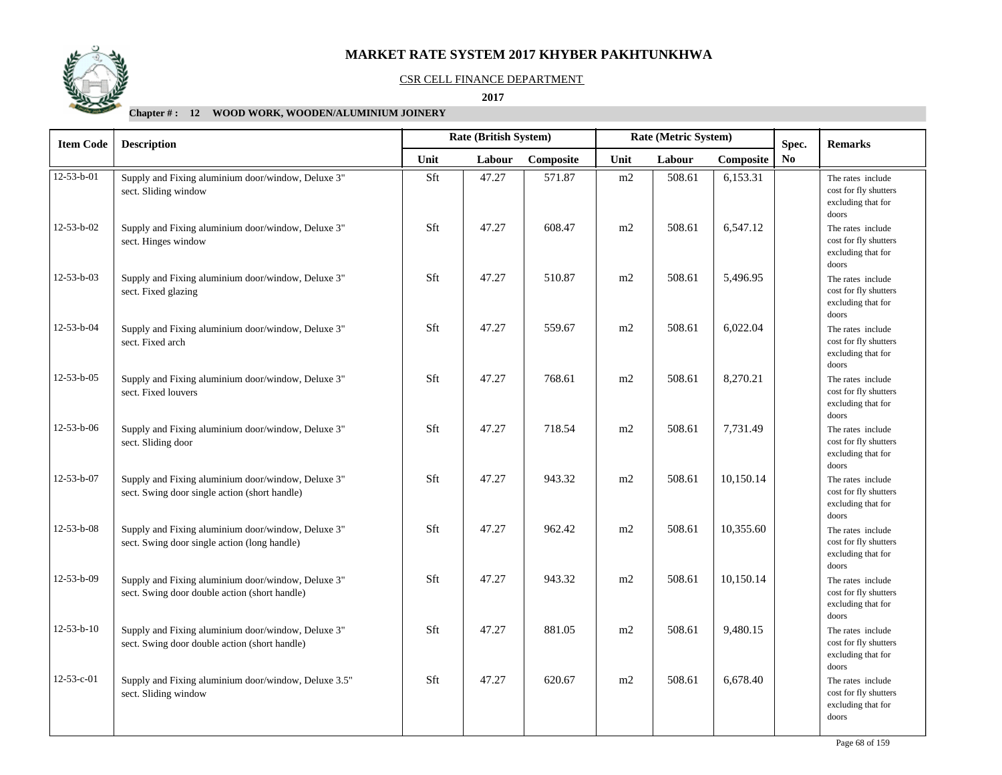

#### CSR CELL FINANCE DEPARTMENT

 **2017** 

| <b>Item Code</b>   | <b>Description</b>                                                                                  |      | Rate (British System)<br>Rate (Metric System)<br>Spec. |           |      |        |           | <b>Remarks</b> |                                                                           |
|--------------------|-----------------------------------------------------------------------------------------------------|------|--------------------------------------------------------|-----------|------|--------|-----------|----------------|---------------------------------------------------------------------------|
|                    |                                                                                                     | Unit | Labour                                                 | Composite | Unit | Labour | Composite | N <sub>0</sub> |                                                                           |
| $12 - 53 - b - 01$ | Supply and Fixing aluminium door/window, Deluxe 3"<br>sect. Sliding window                          | Sft  | 47.27                                                  | 571.87    | m2   | 508.61 | 6,153.31  |                | The rates include<br>cost for fly shutters<br>excluding that for<br>doors |
| 12-53-b-02         | Supply and Fixing aluminium door/window, Deluxe 3"<br>sect. Hinges window                           | Sft  | 47.27                                                  | 608.47    | m2   | 508.61 | 6,547.12  |                | The rates include<br>cost for fly shutters<br>excluding that for<br>doors |
| 12-53-b-03         | Supply and Fixing aluminium door/window, Deluxe 3"<br>sect. Fixed glazing                           | Sft  | 47.27                                                  | 510.87    | m2   | 508.61 | 5,496.95  |                | The rates include<br>cost for fly shutters<br>excluding that for<br>doors |
| 12-53-b-04         | Supply and Fixing aluminium door/window, Deluxe 3"<br>sect. Fixed arch                              | Sft  | 47.27                                                  | 559.67    | m2   | 508.61 | 6,022.04  |                | The rates include<br>cost for fly shutters<br>excluding that for<br>doors |
| 12-53-b-05         | Supply and Fixing aluminium door/window, Deluxe 3"<br>sect. Fixed louvers                           | Sft  | 47.27                                                  | 768.61    | m2   | 508.61 | 8,270.21  |                | The rates include<br>cost for fly shutters<br>excluding that for<br>doors |
| 12-53-b-06         | Supply and Fixing aluminium door/window, Deluxe 3"<br>sect. Sliding door                            | Sft  | 47.27                                                  | 718.54    | m2   | 508.61 | 7,731.49  |                | The rates include<br>cost for fly shutters<br>excluding that for<br>doors |
| 12-53-b-07         | Supply and Fixing aluminium door/window, Deluxe 3"<br>sect. Swing door single action (short handle) | Sft  | 47.27                                                  | 943.32    | m2   | 508.61 | 10,150.14 |                | The rates include<br>cost for fly shutters<br>excluding that for<br>doors |
| $12 - 53 - b - 08$ | Supply and Fixing aluminium door/window, Deluxe 3"<br>sect. Swing door single action (long handle)  | Sft  | 47.27                                                  | 962.42    | m2   | 508.61 | 10,355.60 |                | The rates include<br>cost for fly shutters<br>excluding that for<br>doors |
| 12-53-b-09         | Supply and Fixing aluminium door/window, Deluxe 3"<br>sect. Swing door double action (short handle) | Sft  | 47.27                                                  | 943.32    | m2   | 508.61 | 10,150.14 |                | The rates include<br>cost for fly shutters<br>excluding that for<br>doors |
| $12 - 53 - b - 10$ | Supply and Fixing aluminium door/window, Deluxe 3"<br>sect. Swing door double action (short handle) | Sft  | 47.27                                                  | 881.05    | m2   | 508.61 | 9,480.15  |                | The rates include<br>cost for fly shutters<br>excluding that for<br>doors |
| 12-53-c-01         | Supply and Fixing aluminium door/window, Deluxe 3.5"<br>sect. Sliding window                        | Sft  | 47.27                                                  | 620.67    | m2   | 508.61 | 6,678.40  |                | The rates include<br>cost for fly shutters<br>excluding that for<br>doors |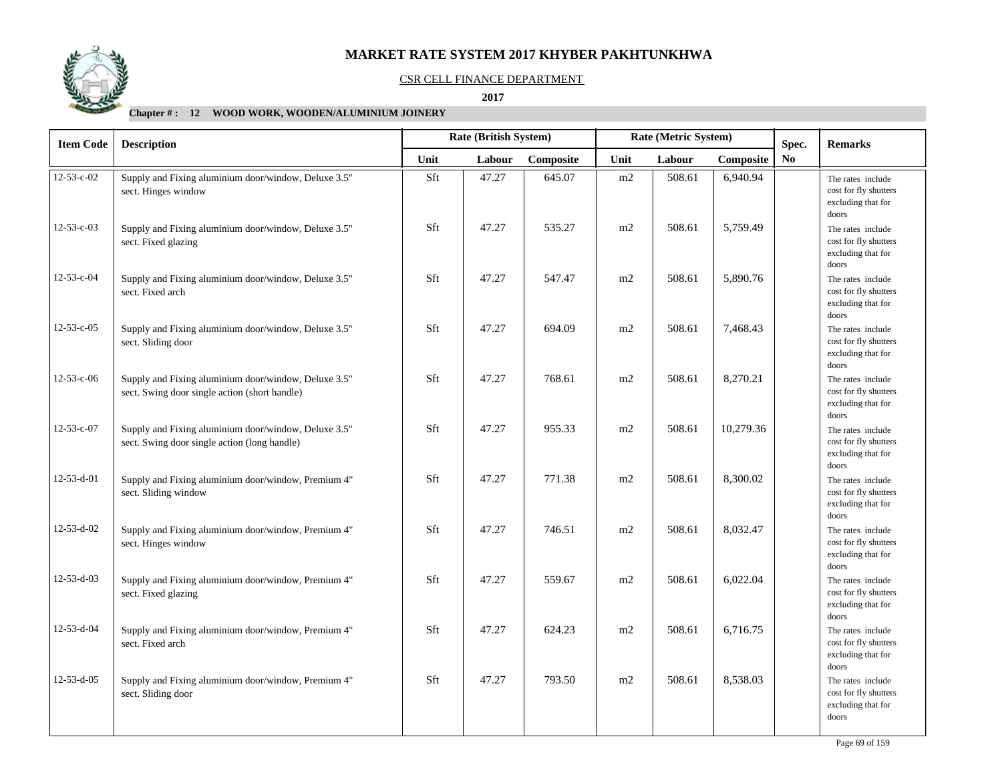

#### CSR CELL FINANCE DEPARTMENT

 **2017** 

| <b>Item Code</b>   | <b>Description</b>                                                                                    |      | Rate (British System) |           | Rate (Metric System) |        |           | Spec.          | <b>Remarks</b>                                                            |
|--------------------|-------------------------------------------------------------------------------------------------------|------|-----------------------|-----------|----------------------|--------|-----------|----------------|---------------------------------------------------------------------------|
|                    |                                                                                                       | Unit | Labour                | Composite | Unit                 | Labour | Composite | N <sub>0</sub> |                                                                           |
| $12 - 53 - c - 02$ | Supply and Fixing aluminium door/window, Deluxe 3.5"<br>sect. Hinges window                           | Sft  | 47.27                 | 645.07    | m2                   | 508.61 | 6,940.94  |                | The rates include<br>cost for fly shutters<br>excluding that for<br>doors |
| $12 - 53 - c - 03$ | Supply and Fixing aluminium door/window, Deluxe 3.5"<br>sect. Fixed glazing                           | Sft  | 47.27                 | 535.27    | m2                   | 508.61 | 5,759.49  |                | The rates include<br>cost for fly shutters<br>excluding that for<br>doors |
| 12-53-c-04         | Supply and Fixing aluminium door/window, Deluxe 3.5"<br>sect. Fixed arch                              | Sft  | 47.27                 | 547.47    | m2                   | 508.61 | 5,890.76  |                | The rates include<br>cost for fly shutters<br>excluding that for<br>doors |
| 12-53-c-05         | Supply and Fixing aluminium door/window, Deluxe 3.5"<br>sect. Sliding door                            | Sft  | 47.27                 | 694.09    | m2                   | 508.61 | 7,468.43  |                | The rates include<br>cost for fly shutters<br>excluding that for<br>doors |
| $12 - 53 - c - 06$ | Supply and Fixing aluminium door/window, Deluxe 3.5"<br>sect. Swing door single action (short handle) | Sft  | 47.27                 | 768.61    | m2                   | 508.61 | 8,270.21  |                | The rates include<br>cost for fly shutters<br>excluding that for<br>doors |
| 12-53-c-07         | Supply and Fixing aluminium door/window, Deluxe 3.5"<br>sect. Swing door single action (long handle)  | Sft  | 47.27                 | 955.33    | m2                   | 508.61 | 10,279.36 |                | The rates include<br>cost for fly shutters<br>excluding that for<br>doors |
| 12-53-d-01         | Supply and Fixing aluminium door/window, Premium 4"<br>sect. Sliding window                           | Sft  | 47.27                 | 771.38    | m2                   | 508.61 | 8,300.02  |                | The rates include<br>cost for fly shutters<br>excluding that for<br>doors |
| 12-53-d-02         | Supply and Fixing aluminium door/window, Premium 4"<br>sect. Hinges window                            | Sft  | 47.27                 | 746.51    | m2                   | 508.61 | 8,032.47  |                | The rates include<br>cost for fly shutters<br>excluding that for<br>doors |
| 12-53-d-03         | Supply and Fixing aluminium door/window, Premium 4"<br>sect. Fixed glazing                            | Sft  | 47.27                 | 559.67    | m2                   | 508.61 | 6,022.04  |                | The rates include<br>cost for fly shutters<br>excluding that for<br>doors |
| 12-53-d-04         | Supply and Fixing aluminium door/window, Premium 4"<br>sect. Fixed arch                               | Sft  | 47.27                 | 624.23    | m2                   | 508.61 | 6,716.75  |                | The rates include<br>cost for fly shutters<br>excluding that for<br>doors |
| 12-53-d-05         | Supply and Fixing aluminium door/window, Premium 4"<br>sect. Sliding door                             | Sft  | 47.27                 | 793.50    | m2                   | 508.61 | 8,538.03  |                | The rates include<br>cost for fly shutters<br>excluding that for<br>doors |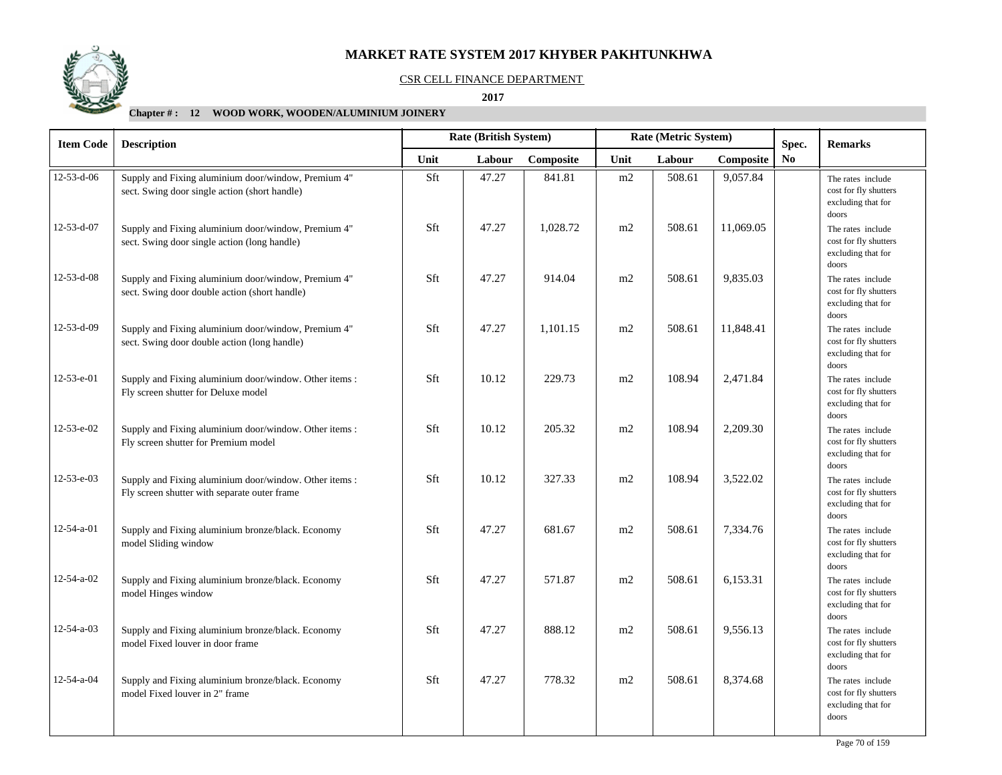

### CSR CELL FINANCE DEPARTMENT

 **2017** 

| <b>Item Code</b>   | <b>Description</b>                                                                                     |      | Rate (British System)<br>Rate (Metric System)<br>Spec. |           |      |        |           | <b>Remarks</b>         |                                                                           |
|--------------------|--------------------------------------------------------------------------------------------------------|------|--------------------------------------------------------|-----------|------|--------|-----------|------------------------|---------------------------------------------------------------------------|
|                    |                                                                                                        | Unit | Labour                                                 | Composite | Unit | Labour | Composite | $\mathbf{N}\mathbf{o}$ |                                                                           |
| $12 - 53 - d - 06$ | Supply and Fixing aluminium door/window, Premium 4"<br>sect. Swing door single action (short handle)   | Sft  | 47.27                                                  | 841.81    | m2   | 508.61 | 9,057.84  |                        | The rates include<br>cost for fly shutters<br>excluding that for<br>doors |
| 12-53-d-07         | Supply and Fixing aluminium door/window, Premium 4"<br>sect. Swing door single action (long handle)    | Sft  | 47.27                                                  | 1,028.72  | m2   | 508.61 | 11,069.05 |                        | The rates include<br>cost for fly shutters<br>excluding that for<br>doors |
| $12 - 53 - d - 08$ | Supply and Fixing aluminium door/window, Premium 4"<br>sect. Swing door double action (short handle)   | Sft  | 47.27                                                  | 914.04    | m2   | 508.61 | 9,835.03  |                        | The rates include<br>cost for fly shutters<br>excluding that for<br>doors |
| 12-53-d-09         | Supply and Fixing aluminium door/window, Premium 4"<br>sect. Swing door double action (long handle)    | Sft  | 47.27                                                  | 1,101.15  | m2   | 508.61 | 11,848.41 |                        | The rates include<br>cost for fly shutters<br>excluding that for<br>doors |
| 12-53-e-01         | Supply and Fixing aluminium door/window. Other items :<br>Fly screen shutter for Deluxe model          | Sft  | 10.12                                                  | 229.73    | m2   | 108.94 | 2,471.84  |                        | The rates include<br>cost for fly shutters<br>excluding that for<br>doors |
| 12-53-e-02         | Supply and Fixing aluminium door/window. Other items :<br>Fly screen shutter for Premium model         | Sft  | 10.12                                                  | 205.32    | m2   | 108.94 | 2,209.30  |                        | The rates include<br>cost for fly shutters<br>excluding that for<br>doors |
| $12 - 53 - e - 03$ | Supply and Fixing aluminium door/window. Other items :<br>Fly screen shutter with separate outer frame | Sft  | 10.12                                                  | 327.33    | m2   | 108.94 | 3,522.02  |                        | The rates include<br>cost for fly shutters<br>excluding that for<br>doors |
| $12 - 54 - a - 01$ | Supply and Fixing aluminium bronze/black. Economy<br>model Sliding window                              | Sft  | 47.27                                                  | 681.67    | m2   | 508.61 | 7,334.76  |                        | The rates include<br>cost for fly shutters<br>excluding that for<br>doors |
| $12 - 54 - a - 02$ | Supply and Fixing aluminium bronze/black. Economy<br>model Hinges window                               | Sft  | 47.27                                                  | 571.87    | m2   | 508.61 | 6,153.31  |                        | The rates include<br>cost for fly shutters<br>excluding that for<br>doors |
| $12 - 54 - a - 03$ | Supply and Fixing aluminium bronze/black. Economy<br>model Fixed louver in door frame                  | Sft  | 47.27                                                  | 888.12    | m2   | 508.61 | 9,556.13  |                        | The rates include<br>cost for fly shutters<br>excluding that for<br>doors |
| 12-54-a-04         | Supply and Fixing aluminium bronze/black. Economy<br>model Fixed louver in 2" frame                    | Sft  | 47.27                                                  | 778.32    | m2   | 508.61 | 8,374.68  |                        | The rates include<br>cost for fly shutters<br>excluding that for<br>doors |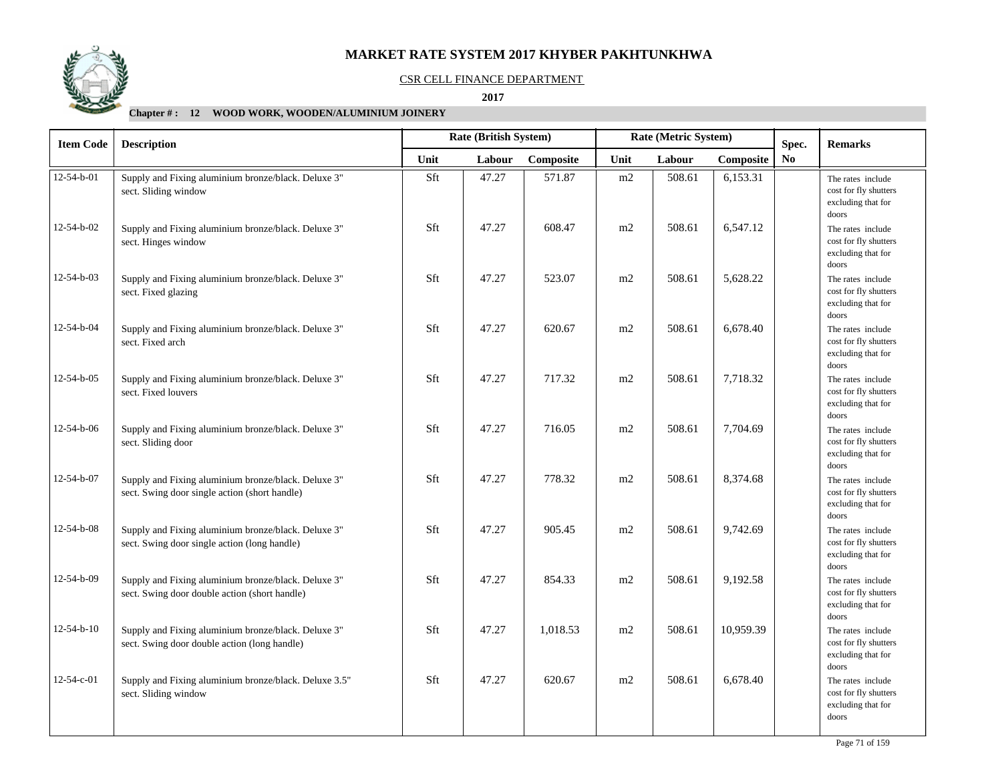

### CSR CELL FINANCE DEPARTMENT

 **2017** 

| <b>Item Code</b>   | <b>Description</b>                                                                                   |      | Rate (British System) |           | Rate (Metric System) |        |           | Spec.          | <b>Remarks</b>                                                                     |
|--------------------|------------------------------------------------------------------------------------------------------|------|-----------------------|-----------|----------------------|--------|-----------|----------------|------------------------------------------------------------------------------------|
|                    |                                                                                                      | Unit | Labour                | Composite | Unit                 | Labour | Composite | N <sub>0</sub> |                                                                                    |
| $12 - 54 - b - 01$ | Supply and Fixing aluminium bronze/black. Deluxe 3"<br>sect. Sliding window                          | Sft  | 47.27                 | 571.87    | m2                   | 508.61 | 6,153.31  |                | The rates include<br>cost for fly shutters<br>excluding that for                   |
| 12-54-b-02         | Supply and Fixing aluminium bronze/black. Deluxe 3"<br>sect. Hinges window                           | Sft  | 47.27                 | 608.47    | m2                   | 508.61 | 6,547.12  |                | doors<br>The rates include<br>cost for fly shutters<br>excluding that for<br>doors |
| 12-54-b-03         | Supply and Fixing aluminium bronze/black. Deluxe 3"<br>sect. Fixed glazing                           | Sft  | 47.27                 | 523.07    | m2                   | 508.61 | 5,628.22  |                | The rates include<br>cost for fly shutters<br>excluding that for<br>doors          |
| 12-54-b-04         | Supply and Fixing aluminium bronze/black. Deluxe 3"<br>sect. Fixed arch                              | Sft  | 47.27                 | 620.67    | m2                   | 508.61 | 6,678.40  |                | The rates include<br>cost for fly shutters<br>excluding that for<br>doors          |
| 12-54-b-05         | Supply and Fixing aluminium bronze/black. Deluxe 3"<br>sect. Fixed louvers                           | Sft  | 47.27                 | 717.32    | m2                   | 508.61 | 7,718.32  |                | The rates include<br>cost for fly shutters<br>excluding that for<br>doors          |
| 12-54-b-06         | Supply and Fixing aluminium bronze/black. Deluxe 3"<br>sect. Sliding door                            | Sft  | 47.27                 | 716.05    | m2                   | 508.61 | 7,704.69  |                | The rates include<br>cost for fly shutters<br>excluding that for<br>doors          |
| 12-54-b-07         | Supply and Fixing aluminium bronze/black. Deluxe 3"<br>sect. Swing door single action (short handle) | Sft  | 47.27                 | 778.32    | m2                   | 508.61 | 8,374.68  |                | The rates include<br>cost for fly shutters<br>excluding that for<br>doors          |
| 12-54-b-08         | Supply and Fixing aluminium bronze/black. Deluxe 3"<br>sect. Swing door single action (long handle)  | Sft  | 47.27                 | 905.45    | m2                   | 508.61 | 9,742.69  |                | The rates include<br>cost for fly shutters<br>excluding that for<br>doors          |
| 12-54-b-09         | Supply and Fixing aluminium bronze/black. Deluxe 3"<br>sect. Swing door double action (short handle) | Sft  | 47.27                 | 854.33    | m2                   | 508.61 | 9,192.58  |                | The rates include<br>cost for fly shutters<br>excluding that for<br>doors          |
| $12 - 54 - b - 10$ | Supply and Fixing aluminium bronze/black. Deluxe 3"<br>sect. Swing door double action (long handle)  | Sft  | 47.27                 | 1.018.53  | m2                   | 508.61 | 10,959.39 |                | The rates include<br>cost for fly shutters<br>excluding that for<br>doors          |
| 12-54-c-01         | Supply and Fixing aluminium bronze/black. Deluxe 3.5"<br>sect. Sliding window                        | Sft  | 47.27                 | 620.67    | m2                   | 508.61 | 6,678.40  |                | The rates include<br>cost for fly shutters<br>excluding that for<br>doors          |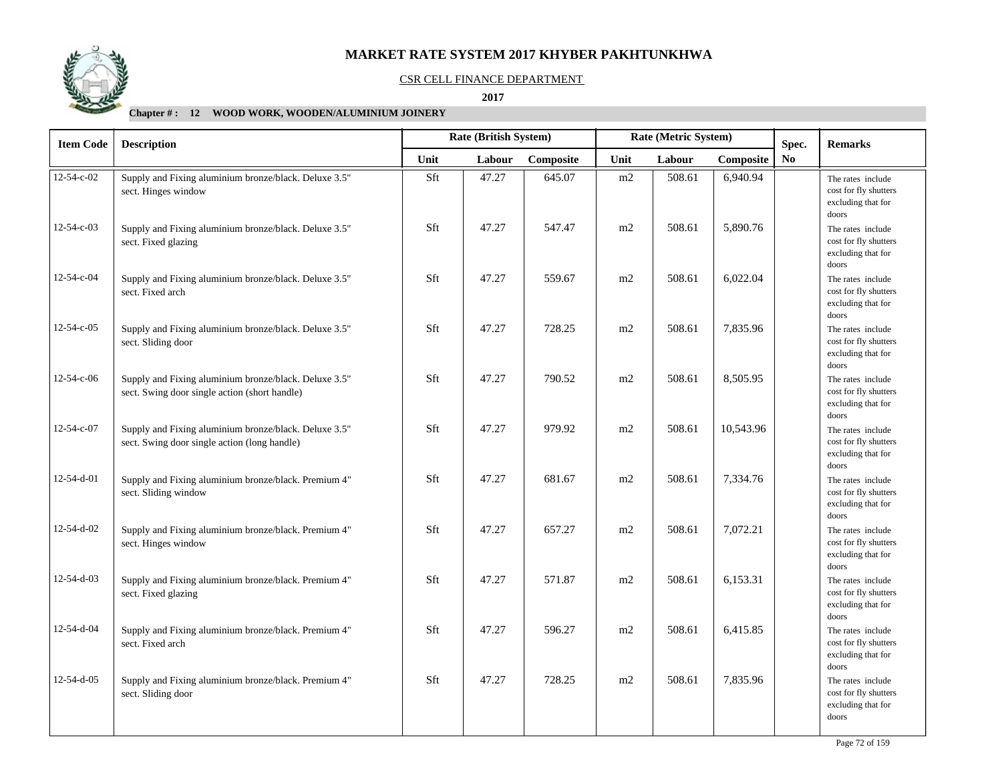

### CSR CELL FINANCE DEPARTMENT

 **2017** 

| <b>Item Code</b>   | <b>Description</b>                                                                                     |      | Rate (British System) |           | Rate (Metric System) |        |           | Spec.          | <b>Remarks</b>                                                            |
|--------------------|--------------------------------------------------------------------------------------------------------|------|-----------------------|-----------|----------------------|--------|-----------|----------------|---------------------------------------------------------------------------|
|                    |                                                                                                        | Unit | Labour                | Composite | Unit                 | Labour | Composite | N <sub>0</sub> |                                                                           |
| $12 - 54 - c - 02$ | Supply and Fixing aluminium bronze/black. Deluxe 3.5"<br>sect. Hinges window                           | Sft  | 47.27                 | 645.07    | m2                   | 508.61 | 6,940.94  |                | The rates include<br>cost for fly shutters<br>excluding that for<br>doors |
| $12 - 54 - c - 03$ | Supply and Fixing aluminium bronze/black. Deluxe 3.5"<br>sect. Fixed glazing                           | Sft  | 47.27                 | 547.47    | m2                   | 508.61 | 5,890.76  |                | The rates include<br>cost for fly shutters<br>excluding that for<br>doors |
| 12-54-c-04         | Supply and Fixing aluminium bronze/black. Deluxe 3.5"<br>sect. Fixed arch                              | Sft  | 47.27                 | 559.67    | m2                   | 508.61 | 6,022.04  |                | The rates include<br>cost for fly shutters<br>excluding that for<br>doors |
| 12-54-c-05         | Supply and Fixing aluminium bronze/black. Deluxe 3.5"<br>sect. Sliding door                            | Sft  | 47.27                 | 728.25    | m2                   | 508.61 | 7,835.96  |                | The rates include<br>cost for fly shutters<br>excluding that for<br>doors |
| 12-54-c-06         | Supply and Fixing aluminium bronze/black. Deluxe 3.5"<br>sect. Swing door single action (short handle) | Sft  | 47.27                 | 790.52    | m2                   | 508.61 | 8,505.95  |                | The rates include<br>cost for fly shutters<br>excluding that for<br>doors |
| 12-54-c-07         | Supply and Fixing aluminium bronze/black. Deluxe 3.5"<br>sect. Swing door single action (long handle)  | Sft  | 47.27                 | 979.92    | m2                   | 508.61 | 10,543.96 |                | The rates include<br>cost for fly shutters<br>excluding that for<br>doors |
| 12-54-d-01         | Supply and Fixing aluminium bronze/black. Premium 4"<br>sect. Sliding window                           | Sft  | 47.27                 | 681.67    | m2                   | 508.61 | 7,334.76  |                | The rates include<br>cost for fly shutters<br>excluding that for<br>doors |
| 12-54-d-02         | Supply and Fixing aluminium bronze/black. Premium 4"<br>sect. Hinges window                            | Sft  | 47.27                 | 657.27    | m2                   | 508.61 | 7,072.21  |                | The rates include<br>cost for fly shutters<br>excluding that for<br>doors |
| 12-54-d-03         | Supply and Fixing aluminium bronze/black. Premium 4"<br>sect. Fixed glazing                            | Sft  | 47.27                 | 571.87    | m2                   | 508.61 | 6,153.31  |                | The rates include<br>cost for fly shutters<br>excluding that for<br>doors |
| 12-54-d-04         | Supply and Fixing aluminium bronze/black. Premium 4"<br>sect. Fixed arch                               | Sft  | 47.27                 | 596.27    | m2                   | 508.61 | 6,415.85  |                | The rates include<br>cost for fly shutters<br>excluding that for<br>doors |
| 12-54-d-05         | Supply and Fixing aluminium bronze/black. Premium 4"<br>sect. Sliding door                             | Sft  | 47.27                 | 728.25    | m2                   | 508.61 | 7,835.96  |                | The rates include<br>cost for fly shutters<br>excluding that for<br>doors |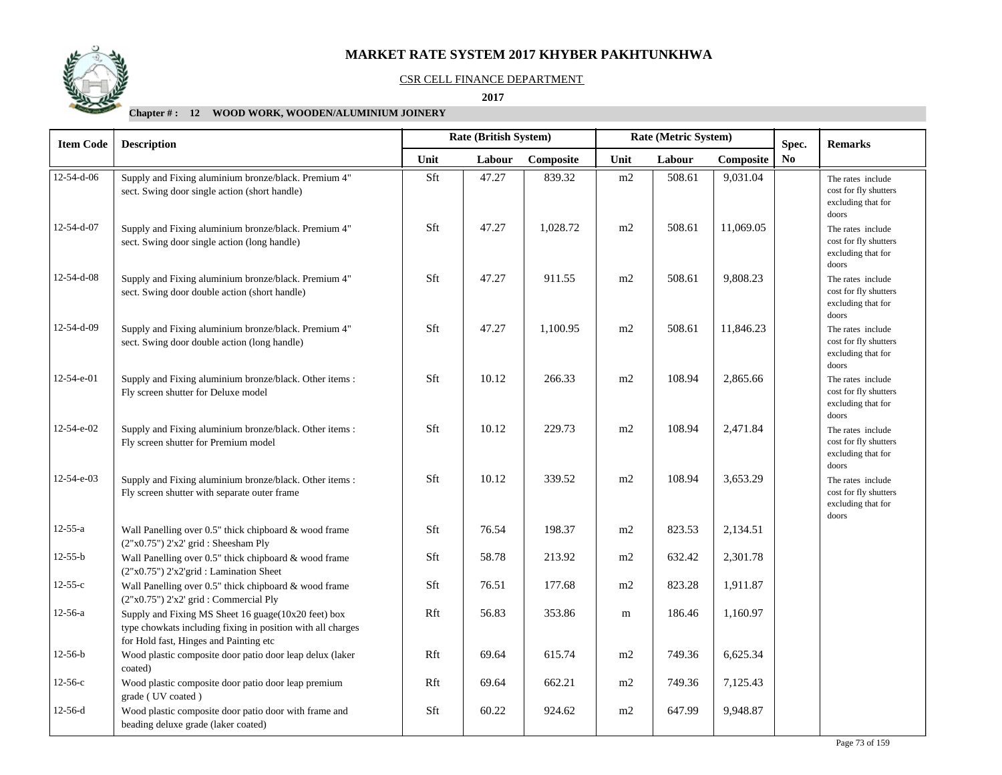

#### CSR CELL FINANCE DEPARTMENT

 **2017** 

# **Chapter # : 12 WOOD WORK, WOODEN/ALUMINIUM JOINERY**

| <b>Item Code</b>   | <b>Description</b>                                                                                                                                           | Rate (British System)<br>Rate (Metric System)<br>Spec. |        |           |      |        |           | <b>Remarks</b> |                                                                           |
|--------------------|--------------------------------------------------------------------------------------------------------------------------------------------------------------|--------------------------------------------------------|--------|-----------|------|--------|-----------|----------------|---------------------------------------------------------------------------|
|                    |                                                                                                                                                              | Unit                                                   | Labour | Composite | Unit | Labour | Composite | N <sub>0</sub> |                                                                           |
| $12 - 54 - d - 06$ | Supply and Fixing aluminium bronze/black. Premium 4"<br>sect. Swing door single action (short handle)                                                        | Sft                                                    | 47.27  | 839.32    | m2   | 508.61 | 9,031.04  |                | The rates include<br>cost for fly shutters<br>excluding that for<br>doors |
| $12 - 54 - d - 07$ | Supply and Fixing aluminium bronze/black. Premium 4"<br>sect. Swing door single action (long handle)                                                         | Sft                                                    | 47.27  | 1,028.72  | m2   | 508.61 | 11,069.05 |                | The rates include<br>cost for fly shutters<br>excluding that for<br>doors |
| 12-54-d-08         | Supply and Fixing aluminium bronze/black. Premium 4"<br>sect. Swing door double action (short handle)                                                        | Sft                                                    | 47.27  | 911.55    | m2   | 508.61 | 9,808.23  |                | The rates include<br>cost for fly shutters<br>excluding that for<br>doors |
| 12-54-d-09         | Supply and Fixing aluminium bronze/black. Premium 4"<br>sect. Swing door double action (long handle)                                                         | Sft                                                    | 47.27  | 1,100.95  | m2   | 508.61 | 11,846.23 |                | The rates include<br>cost for fly shutters<br>excluding that for<br>doors |
| $12 - 54 - e - 01$ | Supply and Fixing aluminium bronze/black. Other items :<br>Fly screen shutter for Deluxe model                                                               | Sft                                                    | 10.12  | 266.33    | m2   | 108.94 | 2,865.66  |                | The rates include<br>cost for fly shutters<br>excluding that for<br>doors |
| 12-54-e-02         | Supply and Fixing aluminium bronze/black. Other items :<br>Fly screen shutter for Premium model                                                              | Sft                                                    | 10.12  | 229.73    | m2   | 108.94 | 2,471.84  |                | The rates include<br>cost for fly shutters<br>excluding that for<br>doors |
| 12-54-e-03         | Supply and Fixing aluminium bronze/black. Other items :<br>Fly screen shutter with separate outer frame                                                      | Sft                                                    | 10.12  | 339.52    | m2   | 108.94 | 3,653.29  |                | The rates include<br>cost for fly shutters<br>excluding that for<br>doors |
| $12 - 55 - a$      | Wall Panelling over 0.5" thick chipboard & wood frame<br>$(2"x0.75")$ $2'x2'$ grid : Sheesham Ply                                                            | Sft                                                    | 76.54  | 198.37    | m2   | 823.53 | 2,134.51  |                |                                                                           |
| $12-55-b$          | Wall Panelling over 0.5" thick chipboard & wood frame<br>(2"x0.75") 2'x2'grid : Lamination Sheet                                                             | Sft                                                    | 58.78  | 213.92    | m2   | 632.42 | 2,301.78  |                |                                                                           |
| $12 - 55 - c$      | Wall Panelling over 0.5" thick chipboard & wood frame<br>(2"x0.75") 2'x2' grid : Commercial Ply                                                              | Sft                                                    | 76.51  | 177.68    | m2   | 823.28 | 1,911.87  |                |                                                                           |
| $12-56-a$          | Supply and Fixing MS Sheet 16 guage(10x20 feet) box<br>type chowkats including fixing in position with all charges<br>for Hold fast, Hinges and Painting etc | Rft                                                    | 56.83  | 353.86    | m    | 186.46 | 1,160.97  |                |                                                                           |
| $12-56-b$          | Wood plastic composite door patio door leap delux (laker<br>coated)                                                                                          | Rft                                                    | 69.64  | 615.74    | m2   | 749.36 | 6,625.34  |                |                                                                           |
| $12-56-c$          | Wood plastic composite door patio door leap premium<br>grade (UV coated)                                                                                     | Rft                                                    | 69.64  | 662.21    | m2   | 749.36 | 7,125.43  |                |                                                                           |
| $12-56-d$          | Wood plastic composite door patio door with frame and<br>beading deluxe grade (laker coated)                                                                 | Sft                                                    | 60.22  | 924.62    | m2   | 647.99 | 9,948.87  |                |                                                                           |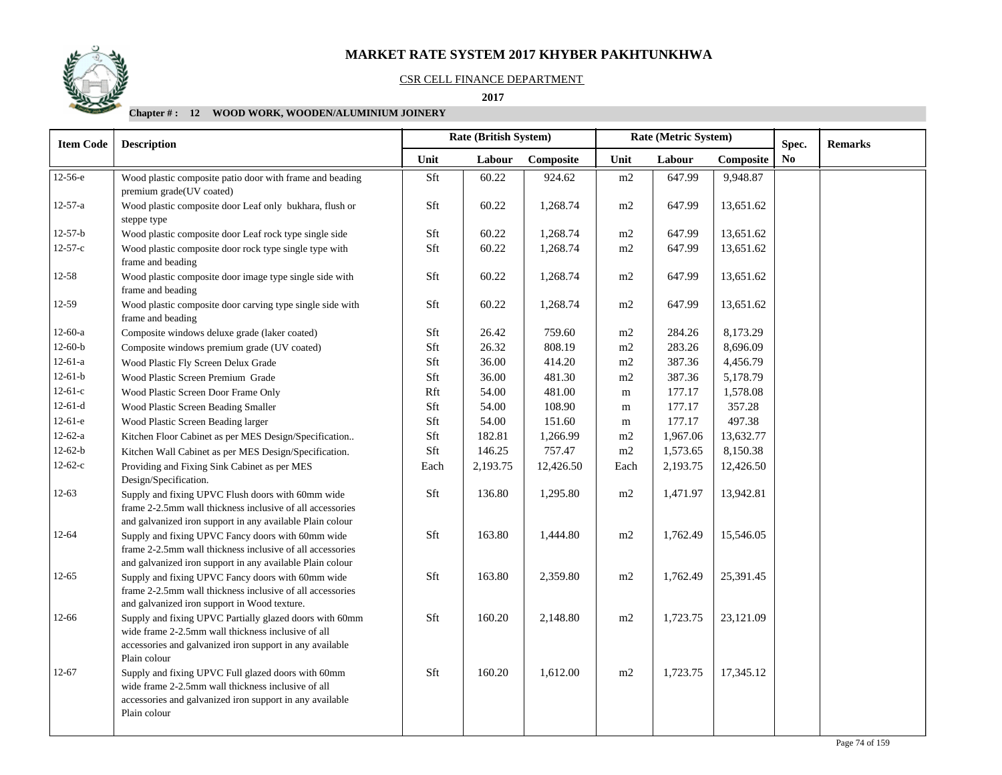## CSR CELL FINANCE DEPARTMENT

 **2017** 

# **Chapter # : 12 WOOD WORK, WOODEN/ALUMINIUM JOINERY**

| <b>Item Code</b> | <b>Description</b>                                                                                                                                                                        |      | <b>Rate (British System)</b> |           |      | Rate (Metric System) | Spec.     | <b>Remarks</b> |  |
|------------------|-------------------------------------------------------------------------------------------------------------------------------------------------------------------------------------------|------|------------------------------|-----------|------|----------------------|-----------|----------------|--|
|                  |                                                                                                                                                                                           | Unit | Labour                       | Composite | Unit | Labour               | Composite | N <sub>0</sub> |  |
| 12-56-е          | Wood plastic composite patio door with frame and beading<br>premium grade(UV coated)                                                                                                      | Sft  | 60.22                        | 924.62    | m2   | 647.99               | 9,948.87  |                |  |
| $12 - 57 - a$    | Wood plastic composite door Leaf only bukhara, flush or<br>steppe type                                                                                                                    | Sft  | 60.22                        | 1,268.74  | m2   | 647.99               | 13,651.62 |                |  |
| $12 - 57 - b$    | Wood plastic composite door Leaf rock type single side                                                                                                                                    | Sft  | 60.22                        | 1,268.74  | m2   | 647.99               | 13,651.62 |                |  |
| $12 - 57 - c$    | Wood plastic composite door rock type single type with<br>frame and beading                                                                                                               | Sft  | 60.22                        | 1,268.74  | m2   | 647.99               | 13,651.62 |                |  |
| $12 - 58$        | Wood plastic composite door image type single side with<br>frame and beading                                                                                                              | Sft  | 60.22                        | 1,268.74  | m2   | 647.99               | 13,651.62 |                |  |
| 12-59            | Wood plastic composite door carving type single side with<br>frame and beading                                                                                                            | Sft  | 60.22                        | 1,268.74  | m2   | 647.99               | 13,651.62 |                |  |
| $12-60-a$        | Composite windows deluxe grade (laker coated)                                                                                                                                             | Sft  | 26.42                        | 759.60    | m2   | 284.26               | 8,173.29  |                |  |
| $12-60-b$        | Composite windows premium grade (UV coated)                                                                                                                                               | Sft  | 26.32                        | 808.19    | m2   | 283.26               | 8,696.09  |                |  |
| $12-61-a$        | Wood Plastic Fly Screen Delux Grade                                                                                                                                                       | Sft  | 36.00                        | 414.20    | m2   | 387.36               | 4,456.79  |                |  |
| $12-61-b$        | Wood Plastic Screen Premium Grade                                                                                                                                                         | Sft  | 36.00                        | 481.30    | m2   | 387.36               | 5,178.79  |                |  |
| $12-61-c$        | Wood Plastic Screen Door Frame Only                                                                                                                                                       | Rft  | 54.00                        | 481.00    | m    | 177.17               | 1,578.08  |                |  |
| $12-61-d$        | Wood Plastic Screen Beading Smaller                                                                                                                                                       | Sft  | 54.00                        | 108.90    | m    | 177.17               | 357.28    |                |  |
| $12-61-e$        | Wood Plastic Screen Beading larger                                                                                                                                                        | Sft  | 54.00                        | 151.60    | m    | 177.17               | 497.38    |                |  |
| $12-62-a$        | Kitchen Floor Cabinet as per MES Design/Specification                                                                                                                                     | Sft  | 182.81                       | 1,266.99  | m2   | 1,967.06             | 13,632.77 |                |  |
| $12-62-b$        | Kitchen Wall Cabinet as per MES Design/Specification.                                                                                                                                     | Sft  | 146.25                       | 757.47    | m2   | 1,573.65             | 8,150.38  |                |  |
| $12-62-c$        | Providing and Fixing Sink Cabinet as per MES<br>Design/Specification.                                                                                                                     | Each | 2,193.75                     | 12,426.50 | Each | 2,193.75             | 12,426.50 |                |  |
| $12 - 63$        | Supply and fixing UPVC Flush doors with 60mm wide<br>frame 2-2.5mm wall thickness inclusive of all accessories<br>and galvanized iron support in any available Plain colour               | Sft  | 136.80                       | 1,295.80  | m2   | 1,471.97             | 13,942.81 |                |  |
| 12-64            | Supply and fixing UPVC Fancy doors with 60mm wide<br>frame 2-2.5mm wall thickness inclusive of all accessories<br>and galvanized iron support in any available Plain colour               | Sft  | 163.80                       | 1,444.80  | m2   | 1,762.49             | 15,546.05 |                |  |
| 12-65            | Supply and fixing UPVC Fancy doors with 60mm wide<br>frame 2-2.5mm wall thickness inclusive of all accessories<br>and galvanized iron support in Wood texture.                            | Sft  | 163.80                       | 2,359.80  | m2   | 1,762.49             | 25,391.45 |                |  |
| 12-66            | Supply and fixing UPVC Partially glazed doors with 60mm<br>wide frame 2-2.5mm wall thickness inclusive of all<br>accessories and galvanized iron support in any available<br>Plain colour | Sft  | 160.20                       | 2,148.80  | m2   | 1,723.75             | 23,121.09 |                |  |
| $12 - 67$        | Supply and fixing UPVC Full glazed doors with 60mm<br>wide frame 2-2.5mm wall thickness inclusive of all<br>accessories and galvanized iron support in any available<br>Plain colour      | Sft  | 160.20                       | 1,612.00  | m2   | 1,723.75             | 17,345.12 |                |  |

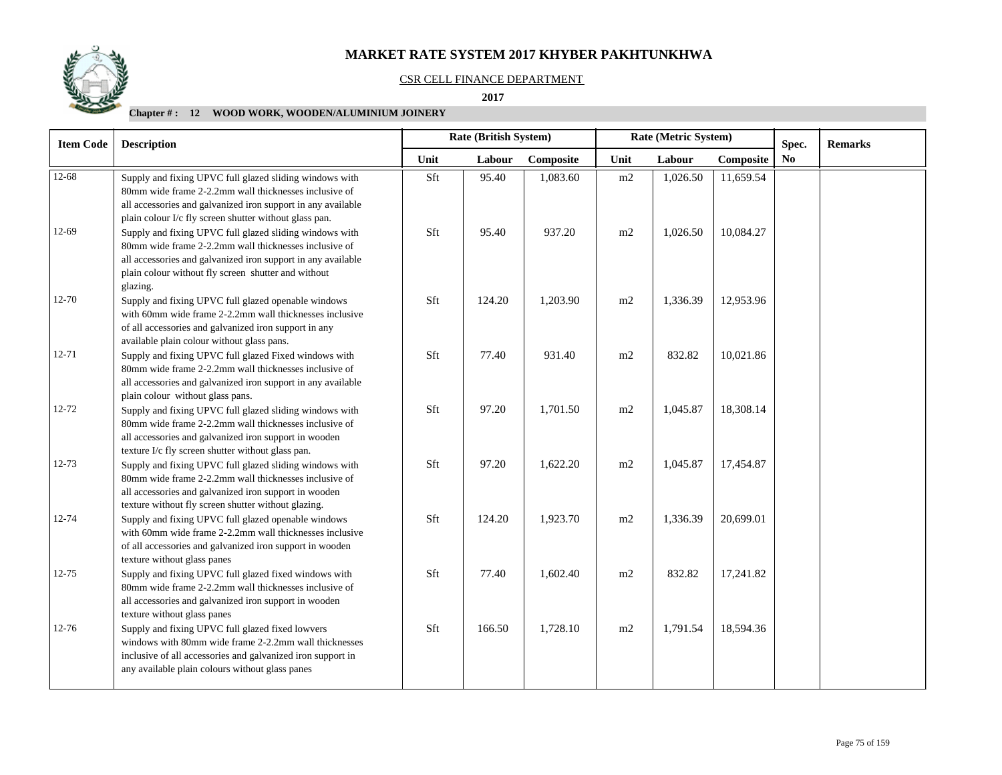#### CSR CELL FINANCE DEPARTMENT

 **2017** 

# **Chapter # : 12 WOOD WORK, WOODEN/ALUMINIUM JOINERY**

| <b>Item Code</b> | <b>Rate (British System)</b><br><b>Description</b>                                                                                                                                                                                                  |      | Rate (Metric System) |           |      | Spec.    | <b>Remarks</b> |                |  |
|------------------|-----------------------------------------------------------------------------------------------------------------------------------------------------------------------------------------------------------------------------------------------------|------|----------------------|-----------|------|----------|----------------|----------------|--|
|                  |                                                                                                                                                                                                                                                     | Unit | Labour               | Composite | Unit | Labour   | Composite      | N <sub>0</sub> |  |
| $12 - 68$        | Supply and fixing UPVC full glazed sliding windows with<br>80mm wide frame 2-2.2mm wall thicknesses inclusive of<br>all accessories and galvanized iron support in any available<br>plain colour I/c fly screen shutter without glass pan.          | Sft  | 95.40                | 1,083.60  | m2   | 1,026.50 | 11,659.54      |                |  |
| $12-69$          | Supply and fixing UPVC full glazed sliding windows with<br>80mm wide frame 2-2.2mm wall thicknesses inclusive of<br>all accessories and galvanized iron support in any available<br>plain colour without fly screen shutter and without<br>glazing. | Sft  | 95.40                | 937.20    | m2   | 1,026.50 | 10,084.27      |                |  |
| 12-70            | Supply and fixing UPVC full glazed openable windows<br>with 60mm wide frame 2-2.2mm wall thicknesses inclusive<br>of all accessories and galvanized iron support in any<br>available plain colour without glass pans.                               | Sft  | 124.20               | 1,203.90  | m2   | 1,336.39 | 12,953.96      |                |  |
| 12-71            | Supply and fixing UPVC full glazed Fixed windows with<br>80mm wide frame 2-2.2mm wall thicknesses inclusive of<br>all accessories and galvanized iron support in any available<br>plain colour without glass pans.                                  | Sft  | 77.40                | 931.40    | m2   | 832.82   | 10,021.86      |                |  |
| $12 - 72$        | Supply and fixing UPVC full glazed sliding windows with<br>80mm wide frame 2-2.2mm wall thicknesses inclusive of<br>all accessories and galvanized iron support in wooden<br>texture I/c fly screen shutter without glass pan.                      | Sft  | 97.20                | 1.701.50  | m2   | 1,045.87 | 18,308.14      |                |  |
| $12 - 73$        | Supply and fixing UPVC full glazed sliding windows with<br>80mm wide frame 2-2.2mm wall thicknesses inclusive of<br>all accessories and galvanized iron support in wooden<br>texture without fly screen shutter without glazing.                    | Sft  | 97.20                | 1,622.20  | m2   | 1,045.87 | 17,454.87      |                |  |
| $12 - 74$        | Supply and fixing UPVC full glazed openable windows<br>with 60mm wide frame 2-2.2mm wall thicknesses inclusive<br>of all accessories and galvanized iron support in wooden<br>texture without glass panes                                           | Sft  | 124.20               | 1,923.70  | m2   | 1,336.39 | 20,699.01      |                |  |
| $12 - 75$        | Supply and fixing UPVC full glazed fixed windows with<br>80mm wide frame 2-2.2mm wall thicknesses inclusive of<br>all accessories and galvanized iron support in wooden<br>texture without glass panes                                              | Sft  | 77.40                | 1,602.40  | m2   | 832.82   | 17,241.82      |                |  |
| $12 - 76$        | Supply and fixing UPVC full glazed fixed lowvers<br>windows with 80mm wide frame 2-2.2mm wall thicknesses<br>inclusive of all accessories and galvanized iron support in<br>any available plain colours without glass panes                         | Sft  | 166.50               | 1,728.10  | m2   | 1,791.54 | 18,594.36      |                |  |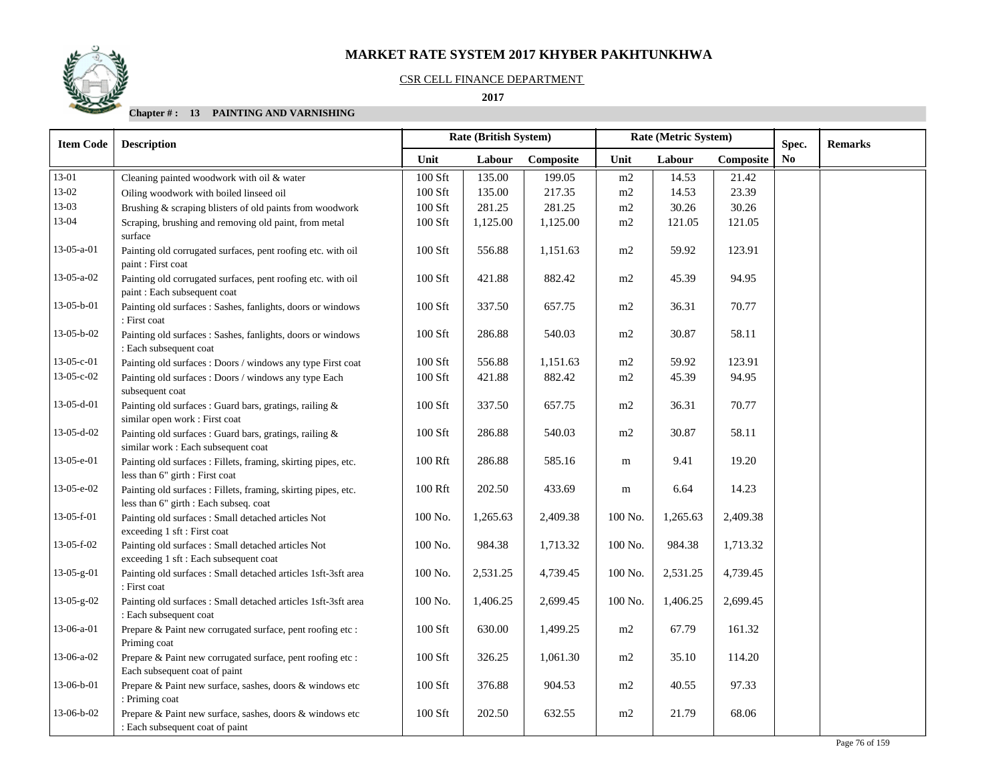### CSR CELL FINANCE DEPARTMENT

## **2017**

| <b>Item Code</b> | <b>Description</b>                                                                                       |           | Rate (British System) |           |                | Rate (Metric System) |           | Spec. | <b>Remarks</b> |
|------------------|----------------------------------------------------------------------------------------------------------|-----------|-----------------------|-----------|----------------|----------------------|-----------|-------|----------------|
|                  |                                                                                                          | Unit      | Labour                | Composite | Unit           | Labour               | Composite | No    |                |
| 13-01            | Cleaning painted woodwork with oil & water                                                               | 100 Sft   | 135.00                | 199.05    | m2             | 14.53                | 21.42     |       |                |
| 13-02            | Oiling woodwork with boiled linseed oil                                                                  | 100 Sft   | 135.00                | 217.35    | m2             | 14.53                | 23.39     |       |                |
| 13-03            | Brushing & scraping blisters of old paints from woodwork                                                 | 100 Sft   | 281.25                | 281.25    | m2             | 30.26                | 30.26     |       |                |
| 13-04            | Scraping, brushing and removing old paint, from metal<br>surface                                         | 100 Sft   | 1,125.00              | 1,125.00  | m2             | 121.05               | 121.05    |       |                |
| $13-05-a-01$     | Painting old corrugated surfaces, pent roofing etc. with oil<br>paint: First coat                        | 100 Sft   | 556.88                | 1,151.63  | m2             | 59.92                | 123.91    |       |                |
| $13-05-a-02$     | Painting old corrugated surfaces, pent roofing etc. with oil<br>paint : Each subsequent coat             | 100 Sft   | 421.88                | 882.42    | m <sub>2</sub> | 45.39                | 94.95     |       |                |
| 13-05-b-01       | Painting old surfaces : Sashes, fanlights, doors or windows<br>: First coat                              | $100$ Sft | 337.50                | 657.75    | m2             | 36.31                | 70.77     |       |                |
| 13-05-b-02       | Painting old surfaces : Sashes, fanlights, doors or windows<br>: Each subsequent coat                    | 100 Sft   | 286.88                | 540.03    | m2             | 30.87                | 58.11     |       |                |
| 13-05-c-01       | Painting old surfaces : Doors / windows any type First coat                                              | 100 Sft   | 556.88                | 1,151.63  | m2             | 59.92                | 123.91    |       |                |
| 13-05-c-02       | Painting old surfaces : Doors / windows any type Each<br>subsequent coat                                 | 100 Sft   | 421.88                | 882.42    | m2             | 45.39                | 94.95     |       |                |
| 13-05-d-01       | Painting old surfaces : Guard bars, gratings, railing &<br>similar open work : First coat                | 100 Sft   | 337.50                | 657.75    | m2             | 36.31                | 70.77     |       |                |
| 13-05-d-02       | Painting old surfaces : Guard bars, gratings, railing &<br>similar work : Each subsequent coat           | 100 Sft   | 286.88                | 540.03    | m <sub>2</sub> | 30.87                | 58.11     |       |                |
| 13-05-e-01       | Painting old surfaces : Fillets, framing, skirting pipes, etc.<br>less than 6" girth : First coat        | 100 Rft   | 286.88                | 585.16    | m              | 9.41                 | 19.20     |       |                |
| 13-05-e-02       | Painting old surfaces : Fillets, framing, skirting pipes, etc.<br>less than 6" girth : Each subseq. coat | 100 Rft   | 202.50                | 433.69    | m              | 6.64                 | 14.23     |       |                |
| 13-05-f-01       | Painting old surfaces : Small detached articles Not<br>exceeding 1 sft: First coat                       | 100 No.   | 1,265.63              | 2,409.38  | 100 No.        | 1,265.63             | 2,409.38  |       |                |
| 13-05-f-02       | Painting old surfaces : Small detached articles Not<br>exceeding 1 sft : Each subsequent coat            | 100 No.   | 984.38                | 1,713.32  | 100 No.        | 984.38               | 1,713.32  |       |                |
| 13-05-g-01       | Painting old surfaces : Small detached articles 1sft-3sft area<br>: First coat                           | 100 No.   | 2,531.25              | 4,739.45  | 100 No.        | 2,531.25             | 4,739.45  |       |                |
| 13-05-g-02       | Painting old surfaces : Small detached articles 1sft-3sft area<br>: Each subsequent coat                 | 100 No.   | 1,406.25              | 2,699.45  | 100 No.        | 1,406.25             | 2,699.45  |       |                |
| 13-06-a-01       | Prepare & Paint new corrugated surface, pent roofing etc :<br>Priming coat                               | $100$ Sft | 630.00                | 1,499.25  | m2             | 67.79                | 161.32    |       |                |
| 13-06-a-02       | Prepare & Paint new corrugated surface, pent roofing etc :<br>Each subsequent coat of paint              | 100 Sft   | 326.25                | 1,061.30  | m2             | 35.10                | 114.20    |       |                |
| 13-06-b-01       | Prepare & Paint new surface, sashes, doors & windows etc<br>: Priming coat                               | 100 Sft   | 376.88                | 904.53    | m2             | 40.55                | 97.33     |       |                |
| 13-06-b-02       | Prepare & Paint new surface, sashes, doors & windows etc<br>: Each subsequent coat of paint              | 100 Sft   | 202.50                | 632.55    | m2             | 21.79                | 68.06     |       |                |

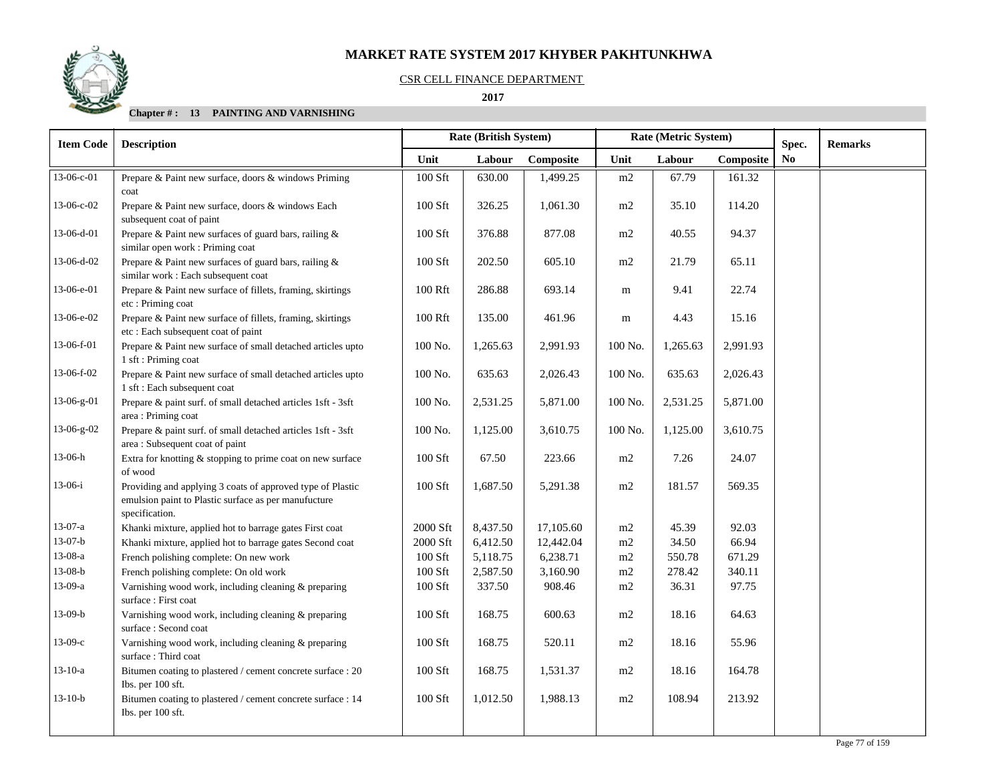## CSR CELL FINANCE DEPARTMENT

## **2017**

| <b>Item Code</b> | <b>Description</b>                                                                                                                   |           | Rate (British System) |           |         | Rate (Metric System) | Spec.     | <b>Remarks</b> |  |
|------------------|--------------------------------------------------------------------------------------------------------------------------------------|-----------|-----------------------|-----------|---------|----------------------|-----------|----------------|--|
|                  |                                                                                                                                      | Unit      | Labour                | Composite | Unit    | Labour               | Composite | No             |  |
| 13-06-c-01       | Prepare & Paint new surface, doors & windows Priming<br>coat                                                                         | 100 Sft   | 630.00                | 1,499.25  | m2      | 67.79                | 161.32    |                |  |
| 13-06-c-02       | Prepare & Paint new surface, doors & windows Each<br>subsequent coat of paint                                                        | 100 Sft   | 326.25                | 1,061.30  | m2      | 35.10                | 114.20    |                |  |
| 13-06-d-01       | Prepare & Paint new surfaces of guard bars, railing &<br>similar open work : Priming coat                                            | 100 Sft   | 376.88                | 877.08    | m2      | 40.55                | 94.37     |                |  |
| 13-06-d-02       | Prepare & Paint new surfaces of guard bars, railing &<br>similar work: Each subsequent coat                                          | 100 Sft   | 202.50                | 605.10    | m2      | 21.79                | 65.11     |                |  |
| 13-06-e-01       | Prepare & Paint new surface of fillets, framing, skirtings<br>etc: Priming coat                                                      | 100 Rft   | 286.88                | 693.14    | m       | 9.41                 | 22.74     |                |  |
| 13-06-e-02       | Prepare & Paint new surface of fillets, framing, skirtings<br>etc : Each subsequent coat of paint                                    | 100 Rft   | 135.00                | 461.96    | m       | 4.43                 | 15.16     |                |  |
| 13-06-f-01       | Prepare & Paint new surface of small detached articles upto<br>1 sft : Priming coat                                                  | 100 No.   | 1,265.63              | 2,991.93  | 100 No. | 1,265.63             | 2,991.93  |                |  |
| 13-06-f-02       | Prepare & Paint new surface of small detached articles upto<br>1 sft : Each subsequent coat                                          | 100 No.   | 635.63                | 2,026.43  | 100 No. | 635.63               | 2,026.43  |                |  |
| 13-06-g-01       | Prepare & paint surf. of small detached articles 1sft - 3sft<br>area: Priming coat                                                   | 100 No.   | 2,531.25              | 5,871.00  | 100 No. | 2,531.25             | 5,871.00  |                |  |
| 13-06-g-02       | Prepare & paint surf. of small detached articles 1sft - 3sft<br>area: Subsequent coat of paint                                       | 100 No.   | 1,125.00              | 3,610.75  | 100 No. | 1,125.00             | 3,610.75  |                |  |
| 13-06-h          | Extra for knotting & stopping to prime coat on new surface<br>of wood                                                                | 100 Sft   | 67.50                 | 223.66    | m2      | 7.26                 | 24.07     |                |  |
| $13-06-i$        | Providing and applying 3 coats of approved type of Plastic<br>emulsion paint to Plastic surface as per manufucture<br>specification. | 100 Sft   | 1,687.50              | 5,291.38  | m2      | 181.57               | 569.35    |                |  |
| $13-07-a$        | Khanki mixture, applied hot to barrage gates First coat                                                                              | 2000 Sft  | 8,437.50              | 17,105.60 | m2      | 45.39                | 92.03     |                |  |
| $13-07-b$        | Khanki mixture, applied hot to barrage gates Second coat                                                                             | 2000 Sft  | 6,412.50              | 12,442.04 | m2      | 34.50                | 66.94     |                |  |
| $13-08-a$        | French polishing complete: On new work                                                                                               | $100$ Sft | 5,118.75              | 6,238.71  | m2      | 550.78               | 671.29    |                |  |
| $13-08-b$        | French polishing complete: On old work                                                                                               | $100$ Sft | 2,587.50              | 3,160.90  | m2      | 278.42               | 340.11    |                |  |
| 13-09-a          | Varnishing wood work, including cleaning & preparing<br>surface: First coat                                                          | 100 Sft   | 337.50                | 908.46    | m2      | 36.31                | 97.75     |                |  |
| $13-09-b$        | Varnishing wood work, including cleaning & preparing<br>surface: Second coat                                                         | 100 Sft   | 168.75                | 600.63    | m2      | 18.16                | 64.63     |                |  |
| $13-09-c$        | Varnishing wood work, including cleaning & preparing<br>surface: Third coat                                                          | 100 Sft   | 168.75                | 520.11    | m2      | 18.16                | 55.96     |                |  |
| $13-10-a$        | Bitumen coating to plastered / cement concrete surface : 20<br>Ibs. per 100 sft.                                                     | 100 Sft   | 168.75                | 1,531.37  | m2      | 18.16                | 164.78    |                |  |
| $13-10-b$        | Bitumen coating to plastered / cement concrete surface : 14<br>Ibs. per 100 sft.                                                     | 100 Sft   | 1,012.50              | 1,988.13  | m2      | 108.94               | 213.92    |                |  |
|                  |                                                                                                                                      |           |                       |           |         |                      |           |                |  |

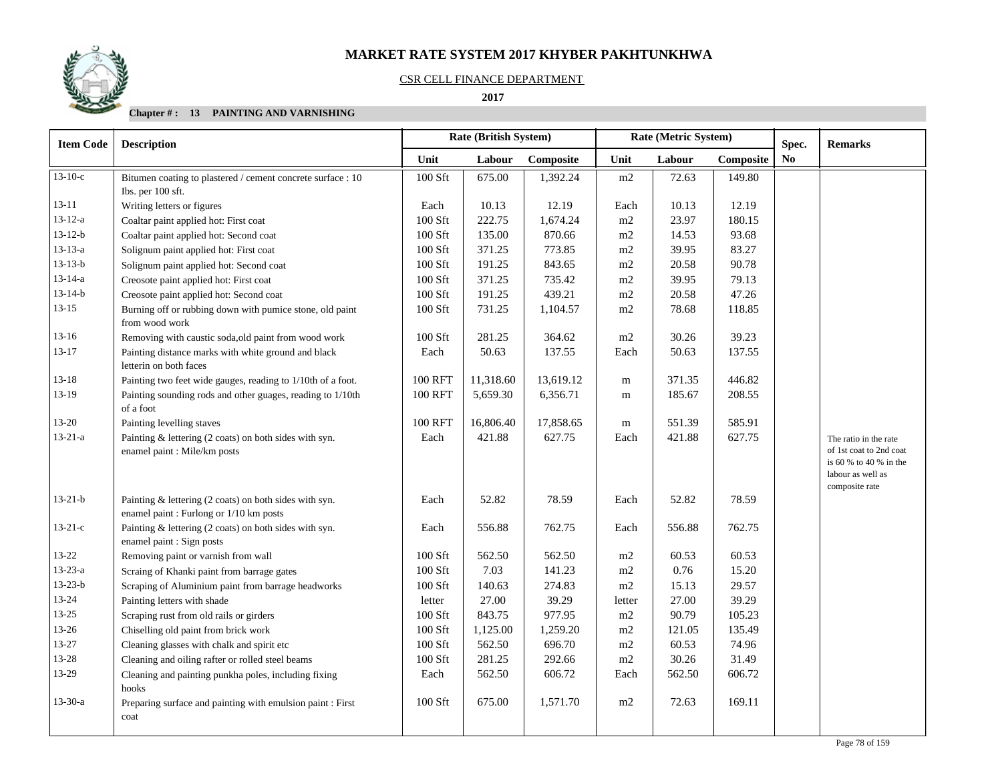### CSR CELL FINANCE DEPARTMENT

 **2017** 

| <b>Item Code</b> | <b>Description</b>                                                                                |                | <b>Rate (British System)</b> |           |           | Rate (Metric System) | Spec.     | <b>Remarks</b> |                                                                                                                   |
|------------------|---------------------------------------------------------------------------------------------------|----------------|------------------------------|-----------|-----------|----------------------|-----------|----------------|-------------------------------------------------------------------------------------------------------------------|
|                  |                                                                                                   | Unit           | Labour                       | Composite | Unit      | Labour               | Composite | N <sub>0</sub> |                                                                                                                   |
| $13-10-c$        | Bitumen coating to plastered / cement concrete surface : 10                                       | $100$ Sft      | 675.00                       | 1,392.24  | m2        | 72.63                | 149.80    |                |                                                                                                                   |
|                  | Ibs. per 100 sft.                                                                                 |                |                              |           |           |                      |           |                |                                                                                                                   |
| $13 - 11$        | Writing letters or figures                                                                        | Each           | 10.13                        | 12.19     | Each      | 10.13                | 12.19     |                |                                                                                                                   |
| $13 - 12 - a$    | Coaltar paint applied hot: First coat                                                             | $100$ Sft      | 222.75                       | 1,674.24  | m2        | 23.97                | 180.15    |                |                                                                                                                   |
| $13 - 12 - b$    | Coaltar paint applied hot: Second coat                                                            | 100 Sft        | 135.00                       | 870.66    | m2        | 14.53                | 93.68     |                |                                                                                                                   |
| $13 - 13 - a$    | Solignum paint applied hot: First coat                                                            | 100 Sft        | 371.25                       | 773.85    | m2        | 39.95                | 83.27     |                |                                                                                                                   |
| $13 - 13 - b$    | Solignum paint applied hot: Second coat                                                           | 100 Sft        | 191.25                       | 843.65    | m2        | 20.58                | 90.78     |                |                                                                                                                   |
| $13 - 14 - a$    | Creosote paint applied hot: First coat                                                            | 100 Sft        | 371.25                       | 735.42    | m2        | 39.95                | 79.13     |                |                                                                                                                   |
| $13 - 14 - b$    | Creosote paint applied hot: Second coat                                                           | 100 Sft        | 191.25                       | 439.21    | m2        | 20.58                | 47.26     |                |                                                                                                                   |
| $13 - 15$        | Burning off or rubbing down with pumice stone, old paint<br>from wood work                        | 100 Sft        | 731.25                       | 1,104.57  | m2        | 78.68                | 118.85    |                |                                                                                                                   |
| $13-16$          | Removing with caustic soda, old paint from wood work                                              | 100 Sft        | 281.25                       | 364.62    | m2        | 30.26                | 39.23     |                |                                                                                                                   |
| $13 - 17$        | Painting distance marks with white ground and black<br>letterin on both faces                     | Each           | 50.63                        | 137.55    | Each      | 50.63                | 137.55    |                |                                                                                                                   |
| $13 - 18$        | Painting two feet wide gauges, reading to 1/10th of a foot.                                       | <b>100 RFT</b> | 11,318.60                    | 13,619.12 | m         | 371.35               | 446.82    |                |                                                                                                                   |
| $13-19$          | Painting sounding rods and other guages, reading to 1/10th<br>of a foot                           | <b>100 RFT</b> | 5,659.30                     | 6,356.71  | ${\bf m}$ | 185.67               | 208.55    |                |                                                                                                                   |
| $13 - 20$        | Painting levelling staves                                                                         | <b>100 RFT</b> | 16,806.40                    | 17,858.65 | m         | 551.39               | 585.91    |                |                                                                                                                   |
| $13 - 21 - a$    | Painting & lettering (2 coats) on both sides with syn.<br>enamel paint : Mile/km posts            | Each           | 421.88                       | 627.75    | Each      | 421.88               | 627.75    |                | The ratio in the rate<br>of 1st coat to 2nd coat<br>is 60 % to 40 % in the<br>labour as well as<br>composite rate |
| $13 - 21 - b$    | Painting & lettering (2 coats) on both sides with syn.<br>enamel paint : Furlong or 1/10 km posts | Each           | 52.82                        | 78.59     | Each      | 52.82                | 78.59     |                |                                                                                                                   |
| $13-21-c$        | Painting & lettering (2 coats) on both sides with syn.<br>enamel paint : Sign posts               | Each           | 556.88                       | 762.75    | Each      | 556.88               | 762.75    |                |                                                                                                                   |
| $13 - 22$        | Removing paint or varnish from wall                                                               | 100 Sft        | 562.50                       | 562.50    | m2        | 60.53                | 60.53     |                |                                                                                                                   |
| $13 - 23 - a$    | Scraing of Khanki paint from barrage gates                                                        | 100 Sft        | 7.03                         | 141.23    | m2        | 0.76                 | 15.20     |                |                                                                                                                   |
| $13 - 23 - b$    | Scraping of Aluminium paint from barrage headworks                                                | 100 Sft        | 140.63                       | 274.83    | m2        | 15.13                | 29.57     |                |                                                                                                                   |
| $13 - 24$        | Painting letters with shade                                                                       | letter         | 27.00                        | 39.29     | letter    | 27.00                | 39.29     |                |                                                                                                                   |
| $13 - 25$        | Scraping rust from old rails or girders                                                           | 100 Sft        | 843.75                       | 977.95    | m2        | 90.79                | 105.23    |                |                                                                                                                   |
| 13-26            | Chiselling old paint from brick work                                                              | 100 Sft        | 1,125.00                     | 1,259.20  | m2        | 121.05               | 135.49    |                |                                                                                                                   |
| 13-27            | Cleaning glasses with chalk and spirit etc                                                        | $100$ Sft      | 562.50                       | 696.70    | m2        | 60.53                | 74.96     |                |                                                                                                                   |
| 13-28            | Cleaning and oiling rafter or rolled steel beams                                                  | 100 Sft        | 281.25                       | 292.66    | m2        | 30.26                | 31.49     |                |                                                                                                                   |
| 13-29            | Cleaning and painting punkha poles, including fixing<br>hooks                                     | Each           | 562.50                       | 606.72    | Each      | 562.50               | 606.72    |                |                                                                                                                   |
| $13 - 30 - a$    | Preparing surface and painting with emulsion paint : First<br>coat                                | 100 Sft        | 675.00                       | 1,571.70  | m2        | 72.63                | 169.11    |                |                                                                                                                   |

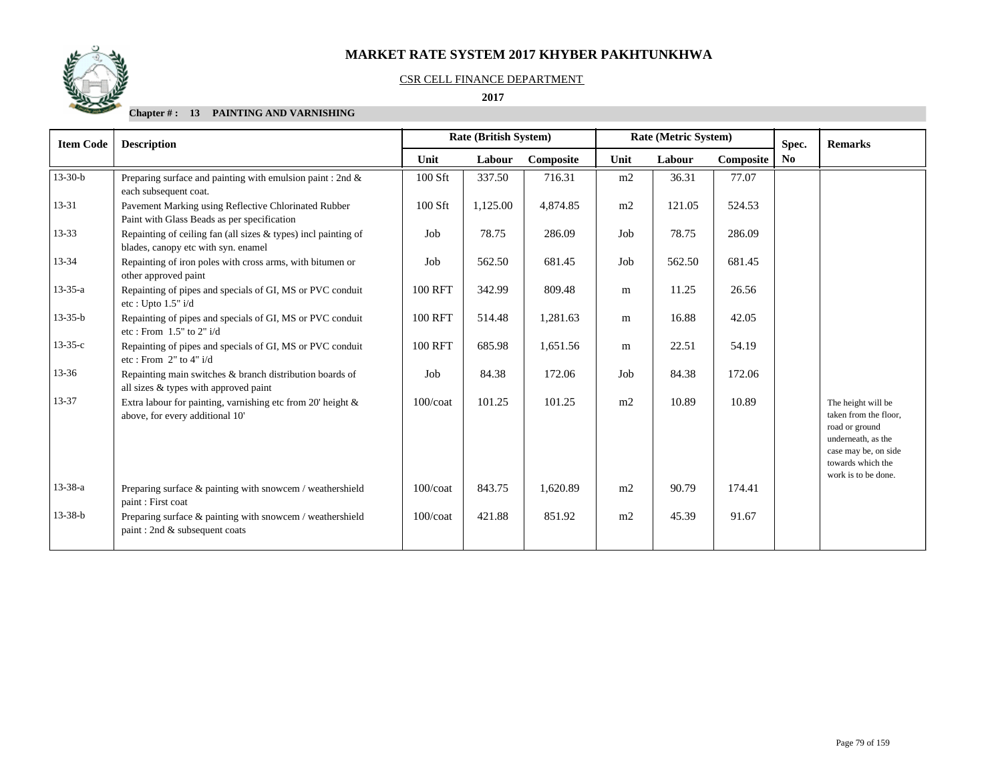

#### CSR CELL FINANCE DEPARTMENT

 **2017** 

| <b>Item Code</b> | <b>Description</b>                                                                                      |                | <b>Rate (British System)</b> |           |      | Rate (Metric System) |           | Spec.                  | <b>Remarks</b>                                                                                                                                          |
|------------------|---------------------------------------------------------------------------------------------------------|----------------|------------------------------|-----------|------|----------------------|-----------|------------------------|---------------------------------------------------------------------------------------------------------------------------------------------------------|
|                  |                                                                                                         | Unit           | Labour                       | Composite | Unit | Labour               | Composite | $\mathbf{N}\mathbf{0}$ |                                                                                                                                                         |
| $13 - 30 - b$    | Preparing surface and painting with emulsion paint : 2nd $\&$<br>each subsequent coat.                  | 100 Sft        | 337.50                       | 716.31    | m2   | 36.31                | 77.07     |                        |                                                                                                                                                         |
| $13 - 31$        | Pavement Marking using Reflective Chlorinated Rubber<br>Paint with Glass Beads as per specification     | 100 Sft        | 1,125.00                     | 4,874.85  | m2   | 121.05               | 524.53    |                        |                                                                                                                                                         |
| $13 - 33$        | Repainting of ceiling fan (all sizes $&$ types) incl painting of<br>blades, canopy etc with syn. enamel | Job            | 78.75                        | 286.09    | Job  | 78.75                | 286.09    |                        |                                                                                                                                                         |
| 13-34            | Repainting of iron poles with cross arms, with bitumen or<br>other approved paint                       | Job            | 562.50                       | 681.45    | Job  | 562.50               | 681.45    |                        |                                                                                                                                                         |
| $13 - 35 - a$    | Repainting of pipes and specials of GI, MS or PVC conduit<br>etc: Upto 1.5" i/d                         | <b>100 RFT</b> | 342.99                       | 809.48    | m    | 11.25                | 26.56     |                        |                                                                                                                                                         |
| $13 - 35 - b$    | Repainting of pipes and specials of GI, MS or PVC conduit<br>etc: From $1.5"$ to $2"$ i/d               | <b>100 RFT</b> | 514.48                       | 1,281.63  | m    | 16.88                | 42.05     |                        |                                                                                                                                                         |
| $13 - 35 - c$    | Repainting of pipes and specials of GI, MS or PVC conduit<br>etc: From $2"$ to $4"$ i/d                 | <b>100 RFT</b> | 685.98                       | 1,651.56  | m    | 22.51                | 54.19     |                        |                                                                                                                                                         |
| $13 - 36$        | Repainting main switches & branch distribution boards of<br>all sizes & types with approved paint       | Job            | 84.38                        | 172.06    | Job  | 84.38                | 172.06    |                        |                                                                                                                                                         |
| 13-37            | Extra labour for painting, varnishing etc from 20' height $\&$<br>above, for every additional 10'       | $100$ / $\cot$ | 101.25                       | 101.25    | m2   | 10.89                | 10.89     |                        | The height will be<br>taken from the floor,<br>road or ground<br>underneath, as the<br>case may be, on side<br>towards which the<br>work is to be done. |
| 13-38-a          | Preparing surface $\&$ painting with snowcem / weathershield<br>paint: First coat                       | $100$ / $\cot$ | 843.75                       | 1.620.89  | m2   | 90.79                | 174.41    |                        |                                                                                                                                                         |
| $13 - 38 - b$    | Preparing surface $\&$ painting with snowcem / weathershield<br>paint: 2nd & subsequent coats           | $100$ / $\cot$ | 421.88                       | 851.92    | m2   | 45.39                | 91.67     |                        |                                                                                                                                                         |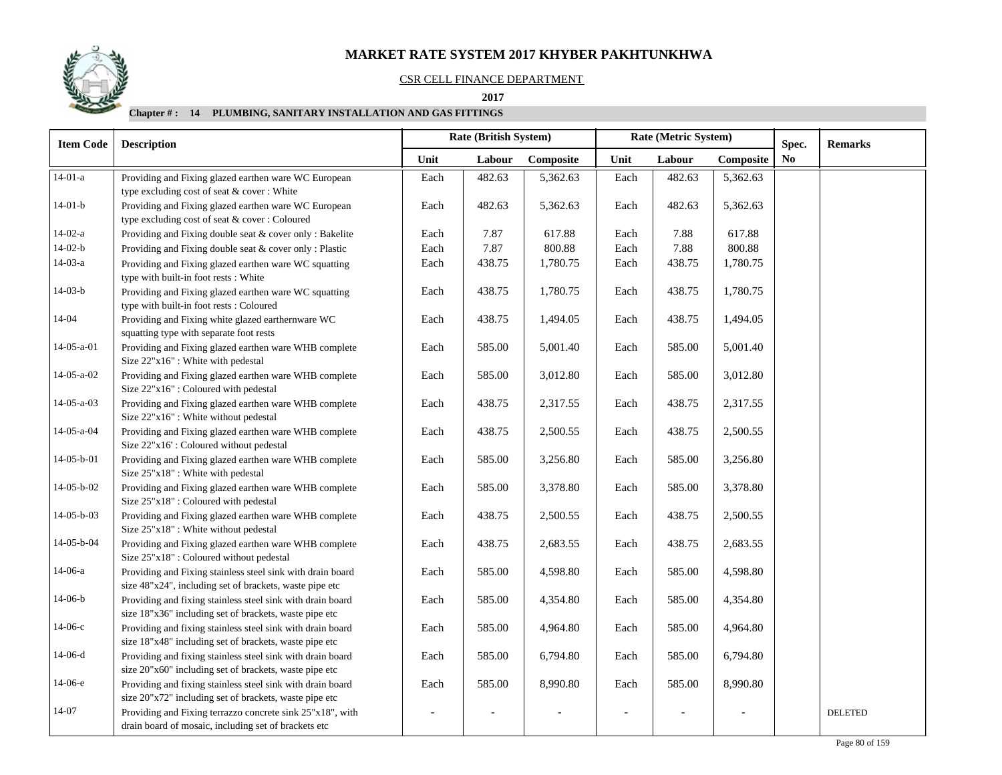### CSR CELL FINANCE DEPARTMENT

 **2017** 

| <b>Item Code</b> | <b>Description</b>                                                                                                    |      | <b>Rate (British System)</b> |           |      | Rate (Metric System) |           | Spec. | <b>Remarks</b> |  |
|------------------|-----------------------------------------------------------------------------------------------------------------------|------|------------------------------|-----------|------|----------------------|-----------|-------|----------------|--|
|                  |                                                                                                                       | Unit | Labour                       | Composite | Unit | Labour               | Composite | No.   |                |  |
| $14-01-a$        | Providing and Fixing glazed earthen ware WC European<br>type excluding cost of seat & cover: White                    | Each | 482.63                       | 5,362.63  | Each | 482.63               | 5,362.63  |       |                |  |
| $14-01-b$        | Providing and Fixing glazed earthen ware WC European<br>type excluding cost of seat & cover: Coloured                 | Each | 482.63                       | 5,362.63  | Each | 482.63               | 5,362.63  |       |                |  |
| $14-02-a$        | Providing and Fixing double seat & cover only: Bakelite                                                               | Each | 7.87                         | 617.88    | Each | 7.88                 | 617.88    |       |                |  |
| $14-02-b$        | Providing and Fixing double seat & cover only: Plastic                                                                | Each | 7.87                         | 800.88    | Each | 7.88                 | 800.88    |       |                |  |
| $14-03-a$        | Providing and Fixing glazed earthen ware WC squatting<br>type with built-in foot rests: White                         | Each | 438.75                       | 1,780.75  | Each | 438.75               | 1,780.75  |       |                |  |
| $14-03-b$        | Providing and Fixing glazed earthen ware WC squatting<br>type with built-in foot rests: Coloured                      | Each | 438.75                       | 1,780.75  | Each | 438.75               | 1,780.75  |       |                |  |
| 14-04            | Providing and Fixing white glazed earthernware WC<br>squatting type with separate foot rests                          | Each | 438.75                       | 1,494.05  | Each | 438.75               | 1,494.05  |       |                |  |
| $14-05-a-01$     | Providing and Fixing glazed earthen ware WHB complete<br>Size 22"x16": White with pedestal                            | Each | 585.00                       | 5,001.40  | Each | 585.00               | 5,001.40  |       |                |  |
| $14-05-a-02$     | Providing and Fixing glazed earthen ware WHB complete<br>Size 22"x16": Coloured with pedestal                         | Each | 585.00                       | 3,012.80  | Each | 585.00               | 3,012.80  |       |                |  |
| $14-05-a-03$     | Providing and Fixing glazed earthen ware WHB complete<br>Size 22"x16": White without pedestal                         | Each | 438.75                       | 2,317.55  | Each | 438.75               | 2,317.55  |       |                |  |
| 14-05-a-04       | Providing and Fixing glazed earthen ware WHB complete<br>Size 22"x16': Coloured without pedestal                      | Each | 438.75                       | 2,500.55  | Each | 438.75               | 2,500.55  |       |                |  |
| $14-05-b-01$     | Providing and Fixing glazed earthen ware WHB complete<br>Size 25"x18": White with pedestal                            | Each | 585.00                       | 3,256.80  | Each | 585.00               | 3,256.80  |       |                |  |
| $14-05-b-02$     | Providing and Fixing glazed earthen ware WHB complete<br>Size 25"x18": Coloured with pedestal                         | Each | 585.00                       | 3,378.80  | Each | 585.00               | 3,378.80  |       |                |  |
| 14-05-b-03       | Providing and Fixing glazed earthen ware WHB complete<br>Size 25"x18": White without pedestal                         | Each | 438.75                       | 2,500.55  | Each | 438.75               | 2,500.55  |       |                |  |
| 14-05-b-04       | Providing and Fixing glazed earthen ware WHB complete<br>Size 25"x18" : Coloured without pedestal                     | Each | 438.75                       | 2,683.55  | Each | 438.75               | 2,683.55  |       |                |  |
| 14-06-a          | Providing and Fixing stainless steel sink with drain board<br>size 48"x24", including set of brackets, waste pipe etc | Each | 585.00                       | 4,598.80  | Each | 585.00               | 4,598.80  |       |                |  |
| $14-06-b$        | Providing and fixing stainless steel sink with drain board<br>size 18"x36" including set of brackets, waste pipe etc  | Each | 585.00                       | 4,354.80  | Each | 585.00               | 4,354.80  |       |                |  |
| $14-06-c$        | Providing and fixing stainless steel sink with drain board<br>size 18"x48" including set of brackets, waste pipe etc  | Each | 585.00                       | 4,964.80  | Each | 585.00               | 4,964.80  |       |                |  |
| $14-06-d$        | Providing and fixing stainless steel sink with drain board<br>size 20"x60" including set of brackets, waste pipe etc  | Each | 585.00                       | 6,794.80  | Each | 585.00               | 6,794.80  |       |                |  |
| 14-06-е          | Providing and fixing stainless steel sink with drain board<br>size 20"x72" including set of brackets, waste pipe etc  | Each | 585.00                       | 8,990.80  | Each | 585.00               | 8,990.80  |       |                |  |
| 14-07            | Providing and Fixing terrazzo concrete sink 25"x18", with<br>drain board of mosaic, including set of brackets etc     |      |                              |           |      |                      |           |       | <b>DELETED</b> |  |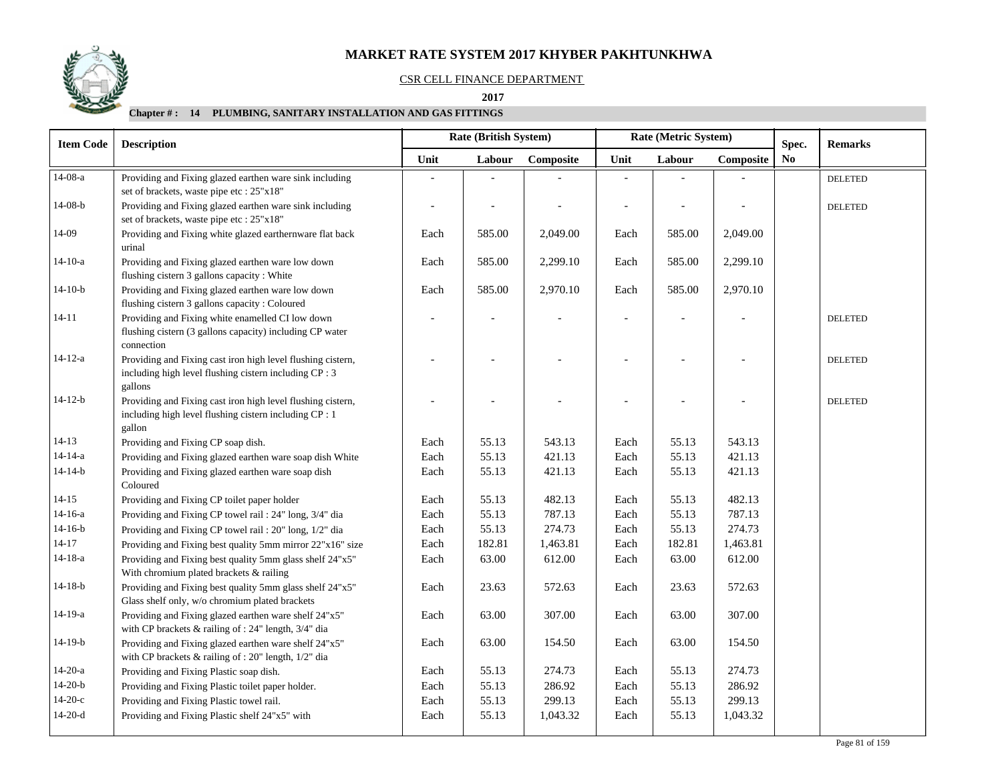### CSR CELL FINANCE DEPARTMENT

#### **2017**

| <b>Item Code</b> | <b>Rate (British System)</b><br><b>Description</b>                                                                               |      |        |           |      | Rate (Metric System) |           | Spec. | <b>Remarks</b> |  |
|------------------|----------------------------------------------------------------------------------------------------------------------------------|------|--------|-----------|------|----------------------|-----------|-------|----------------|--|
|                  |                                                                                                                                  | Unit | Labour | Composite | Unit | Labour               | Composite | No.   |                |  |
| $14-08-a$        | Providing and Fixing glazed earthen ware sink including<br>set of brackets, waste pipe etc : 25"x18"                             |      |        |           |      |                      |           |       | <b>DELETED</b> |  |
| $14-08-b$        | Providing and Fixing glazed earthen ware sink including<br>set of brackets, waste pipe etc : 25"x18"                             |      |        |           |      |                      |           |       | <b>DELETED</b> |  |
| 14-09            | Providing and Fixing white glazed earthernware flat back<br>urinal                                                               | Each | 585.00 | 2,049.00  | Each | 585.00               | 2,049.00  |       |                |  |
| $14-10-a$        | Providing and Fixing glazed earthen ware low down<br>flushing cistern 3 gallons capacity : White                                 | Each | 585.00 | 2,299.10  | Each | 585.00               | 2,299.10  |       |                |  |
| $14-10-b$        | Providing and Fixing glazed earthen ware low down<br>flushing cistern 3 gallons capacity : Coloured                              | Each | 585.00 | 2,970.10  | Each | 585.00               | 2,970.10  |       |                |  |
| $14 - 11$        | Providing and Fixing white enamelled CI low down<br>flushing cistern (3 gallons capacity) including CP water<br>connection       |      |        |           |      |                      |           |       | <b>DELETED</b> |  |
| $14 - 12 - a$    | Providing and Fixing cast iron high level flushing cistern,<br>including high level flushing cistern including CP : 3<br>gallons |      |        |           |      |                      |           |       | <b>DELETED</b> |  |
| $14 - 12 - b$    | Providing and Fixing cast iron high level flushing cistern,<br>including high level flushing cistern including CP : 1<br>gallon  |      |        |           |      |                      |           |       | <b>DELETED</b> |  |
| $14-13$          | Providing and Fixing CP soap dish.                                                                                               | Each | 55.13  | 543.13    | Each | 55.13                | 543.13    |       |                |  |
| $14 - 14 - a$    | Providing and Fixing glazed earthen ware soap dish White                                                                         | Each | 55.13  | 421.13    | Each | 55.13                | 421.13    |       |                |  |
| $14 - 14 - b$    | Providing and Fixing glazed earthen ware soap dish<br>Coloured                                                                   | Each | 55.13  | 421.13    | Each | 55.13                | 421.13    |       |                |  |
| $14 - 15$        | Providing and Fixing CP toilet paper holder                                                                                      | Each | 55.13  | 482.13    | Each | 55.13                | 482.13    |       |                |  |
| $14 - 16 - a$    | Providing and Fixing CP towel rail: 24" long, 3/4" dia                                                                           | Each | 55.13  | 787.13    | Each | 55.13                | 787.13    |       |                |  |
| $14-16-b$        | Providing and Fixing CP towel rail: 20" long, 1/2" dia                                                                           | Each | 55.13  | 274.73    | Each | 55.13                | 274.73    |       |                |  |
| $14 - 17$        | Providing and Fixing best quality 5mm mirror 22"x16" size                                                                        | Each | 182.81 | 1,463.81  | Each | 182.81               | 1,463.81  |       |                |  |
| $14 - 18 - a$    | Providing and Fixing best quality 5mm glass shelf 24"x5"<br>With chromium plated brackets & railing                              | Each | 63.00  | 612.00    | Each | 63.00                | 612.00    |       |                |  |
| $14-18-b$        | Providing and Fixing best quality 5mm glass shelf 24"x5"<br>Glass shelf only, w/o chromium plated brackets                       | Each | 23.63  | 572.63    | Each | 23.63                | 572.63    |       |                |  |
| 14-19-a          | Providing and Fixing glazed earthen ware shelf 24"x5"<br>with CP brackets & railing of : 24" length, 3/4" dia                    | Each | 63.00  | 307.00    | Each | 63.00                | 307.00    |       |                |  |
| $14-19-b$        | Providing and Fixing glazed earthen ware shelf 24"x5"<br>with CP brackets & railing of : 20" length, 1/2" dia                    | Each | 63.00  | 154.50    | Each | 63.00                | 154.50    |       |                |  |
| $14-20-a$        | Providing and Fixing Plastic soap dish.                                                                                          | Each | 55.13  | 274.73    | Each | 55.13                | 274.73    |       |                |  |
| $14-20-b$        | Providing and Fixing Plastic toilet paper holder.                                                                                | Each | 55.13  | 286.92    | Each | 55.13                | 286.92    |       |                |  |
| $14-20-c$        | Providing and Fixing Plastic towel rail.                                                                                         | Each | 55.13  | 299.13    | Each | 55.13                | 299.13    |       |                |  |
| $14-20-d$        | Providing and Fixing Plastic shelf 24"x5" with                                                                                   | Each | 55.13  | 1,043.32  | Each | 55.13                | 1,043.32  |       |                |  |

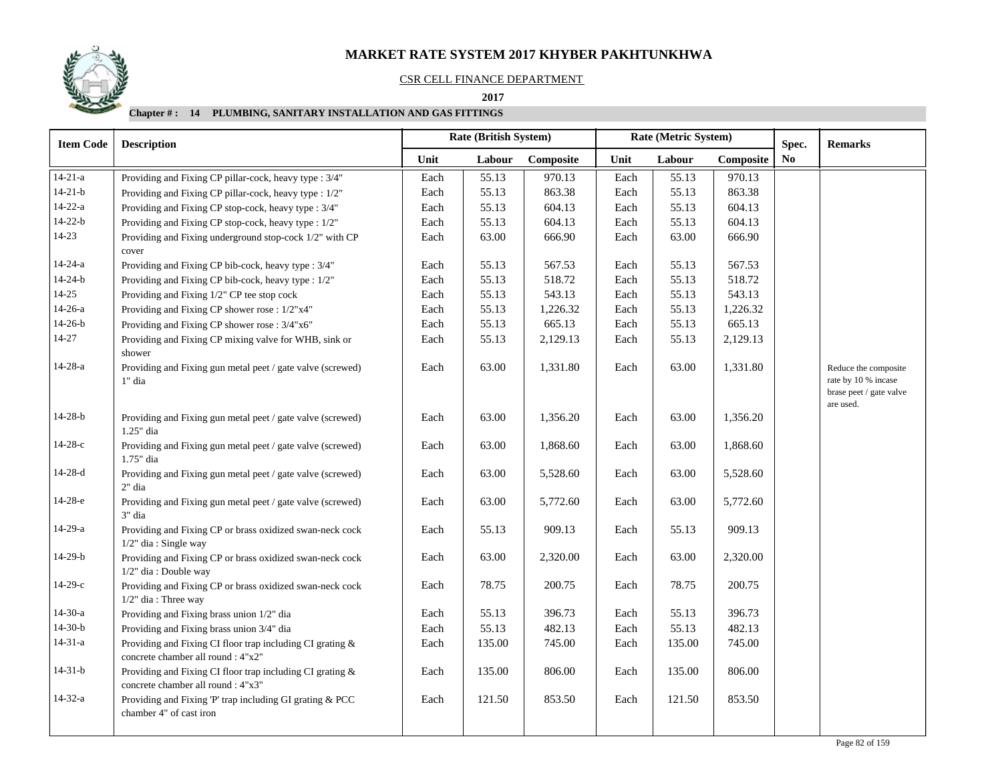#### CSR CELL FINANCE DEPARTMENT

 **As on Jan-Mar (QTR-1) 2017 2017**

| <b>Item Code</b> | <b>Description</b>                                                                              |      | <b>Rate (British System)</b> |           |      | Rate (Metric System) | Spec.     | <b>Remarks</b> |                                                                        |
|------------------|-------------------------------------------------------------------------------------------------|------|------------------------------|-----------|------|----------------------|-----------|----------------|------------------------------------------------------------------------|
|                  |                                                                                                 | Unit | Labour                       | Composite | Unit | Labour               | Composite | N <sub>0</sub> |                                                                        |
| $14 - 21 - a$    | Providing and Fixing CP pillar-cock, heavy type : 3/4"                                          | Each | 55.13                        | 970.13    | Each | 55.13                | 970.13    |                |                                                                        |
| $14 - 21 - b$    | Providing and Fixing CP pillar-cock, heavy type : 1/2"                                          | Each | 55.13                        | 863.38    | Each | 55.13                | 863.38    |                |                                                                        |
| $14-22-a$        | Providing and Fixing CP stop-cock, heavy type : 3/4"                                            | Each | 55.13                        | 604.13    | Each | 55.13                | 604.13    |                |                                                                        |
| $14 - 22 - b$    | Providing and Fixing CP stop-cock, heavy type : 1/2"                                            | Each | 55.13                        | 604.13    | Each | 55.13                | 604.13    |                |                                                                        |
| $14-23$          | Providing and Fixing underground stop-cock 1/2" with CP<br>cover                                | Each | 63.00                        | 666.90    | Each | 63.00                | 666.90    |                |                                                                        |
| $14 - 24 - a$    | Providing and Fixing CP bib-cock, heavy type : 3/4"                                             | Each | 55.13                        | 567.53    | Each | 55.13                | 567.53    |                |                                                                        |
| $14 - 24 - b$    | Providing and Fixing CP bib-cock, heavy type : 1/2"                                             | Each | 55.13                        | 518.72    | Each | 55.13                | 518.72    |                |                                                                        |
| $14 - 25$        | Providing and Fixing 1/2" CP tee stop cock                                                      | Each | 55.13                        | 543.13    | Each | 55.13                | 543.13    |                |                                                                        |
| $14-26-a$        | Providing and Fixing CP shower rose : 1/2"x4"                                                   | Each | 55.13                        | 1,226.32  | Each | 55.13                | 1,226.32  |                |                                                                        |
| $14-26-b$        | Providing and Fixing CP shower rose : 3/4"x6"                                                   | Each | 55.13                        | 665.13    | Each | 55.13                | 665.13    |                |                                                                        |
| $14 - 27$        | Providing and Fixing CP mixing valve for WHB, sink or<br>shower                                 | Each | 55.13                        | 2,129.13  | Each | 55.13                | 2,129.13  |                |                                                                        |
| $14 - 28 - a$    | Providing and Fixing gun metal peet / gate valve (screwed)<br>1" dia                            | Each | 63.00                        | 1,331.80  | Each | 63.00                | 1,331.80  |                | Reduce the composite<br>rate by 10 % incase<br>brase peet / gate valve |
| $14 - 28 - b$    | Providing and Fixing gun metal peet / gate valve (screwed)<br>1.25" dia                         | Each | 63.00                        | 1,356.20  | Each | 63.00                | 1,356.20  |                | are used.                                                              |
| $14-28-c$        | Providing and Fixing gun metal peet / gate valve (screwed)<br>1.75" dia                         | Each | 63.00                        | 1,868.60  | Each | 63.00                | 1,868.60  |                |                                                                        |
| $14-28-d$        | Providing and Fixing gun metal peet / gate valve (screwed)<br>2" dia                            | Each | 63.00                        | 5,528.60  | Each | 63.00                | 5,528.60  |                |                                                                        |
| $14-28-e$        | Providing and Fixing gun metal peet / gate valve (screwed)<br>3" dia                            | Each | 63.00                        | 5,772.60  | Each | 63.00                | 5,772.60  |                |                                                                        |
| $14-29-a$        | Providing and Fixing CP or brass oxidized swan-neck cock<br>1/2" dia: Single way                | Each | 55.13                        | 909.13    | Each | 55.13                | 909.13    |                |                                                                        |
| $14-29-b$        | Providing and Fixing CP or brass oxidized swan-neck cock<br>$1/2$ " dia: Double way             | Each | 63.00                        | 2,320.00  | Each | 63.00                | 2,320.00  |                |                                                                        |
| $14-29-c$        | Providing and Fixing CP or brass oxidized swan-neck cock<br>$1/2$ " dia: Three way              | Each | 78.75                        | 200.75    | Each | 78.75                | 200.75    |                |                                                                        |
| $14-30-a$        | Providing and Fixing brass union 1/2" dia                                                       | Each | 55.13                        | 396.73    | Each | 55.13                | 396.73    |                |                                                                        |
| $14-30-b$        | Providing and Fixing brass union 3/4" dia                                                       | Each | 55.13                        | 482.13    | Each | 55.13                | 482.13    |                |                                                                        |
| $14 - 31 - a$    | Providing and Fixing CI floor trap including CI grating &<br>concrete chamber all round : 4"x2" | Each | 135.00                       | 745.00    | Each | 135.00               | 745.00    |                |                                                                        |
| $14 - 31 - b$    | Providing and Fixing CI floor trap including CI grating &<br>concrete chamber all round : 4"x3" | Each | 135.00                       | 806.00    | Each | 135.00               | 806.00    |                |                                                                        |
| $14 - 32 - a$    | Providing and Fixing 'P' trap including GI grating & PCC<br>chamber 4" of cast iron             | Each | 121.50                       | 853.50    | Each | 121.50               | 853.50    |                |                                                                        |
|                  |                                                                                                 |      |                              |           |      |                      |           |                |                                                                        |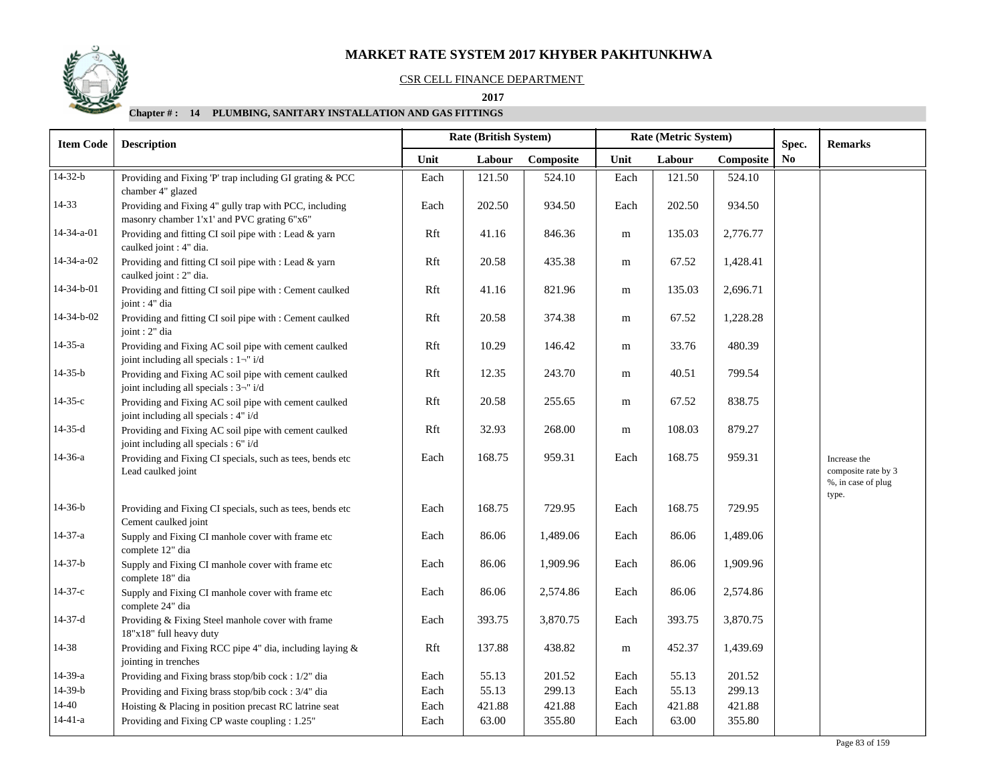

#### CSR CELL FINANCE DEPARTMENT

 **2017** 

| <b>Item Code</b> | <b>Description</b>                                                                                    |      | Rate (British System) |           | Rate (Metric System) |        |           | Spec.                  | <b>Remarks</b>                                                     |
|------------------|-------------------------------------------------------------------------------------------------------|------|-----------------------|-----------|----------------------|--------|-----------|------------------------|--------------------------------------------------------------------|
|                  |                                                                                                       | Unit | Labour                | Composite | Unit                 | Labour | Composite | $\mathbf{N}\mathbf{o}$ |                                                                    |
| $14-32-b$        | Providing and Fixing 'P' trap including GI grating & PCC<br>chamber 4" glazed                         | Each | 121.50                | 524.10    | Each                 | 121.50 | 524.10    |                        |                                                                    |
| 14-33            | Providing and Fixing 4" gully trap with PCC, including<br>masonry chamber 1'x1' and PVC grating 6"x6" | Each | 202.50                | 934.50    | Each                 | 202.50 | 934.50    |                        |                                                                    |
| 14-34-a-01       | Providing and fitting CI soil pipe with : Lead & yarn<br>caulked joint : 4" dia.                      | Rft  | 41.16                 | 846.36    | m                    | 135.03 | 2,776.77  |                        |                                                                    |
| 14-34-a-02       | Providing and fitting CI soil pipe with : Lead & yarn<br>caulked joint : 2" dia.                      | Rft  | 20.58                 | 435.38    | m                    | 67.52  | 1,428.41  |                        |                                                                    |
| 14-34-b-01       | Providing and fitting CI soil pipe with : Cement caulked<br>joint : 4" dia                            | Rft  | 41.16                 | 821.96    | m                    | 135.03 | 2,696.71  |                        |                                                                    |
| 14-34-b-02       | Providing and fitting CI soil pipe with : Cement caulked<br>joint : 2" dia                            | Rft  | 20.58                 | 374.38    | m                    | 67.52  | 1,228.28  |                        |                                                                    |
| $14 - 35 - a$    | Providing and Fixing AC soil pipe with cement caulked<br>joint including all specials : $1\neg$ i/d   | Rft  | 10.29                 | 146.42    | m                    | 33.76  | 480.39    |                        |                                                                    |
| $14 - 35 - b$    | Providing and Fixing AC soil pipe with cement caulked<br>joint including all specials : 3-" i/d       | Rft  | 12.35                 | 243.70    | ${\bf m}$            | 40.51  | 799.54    |                        |                                                                    |
| $14 - 35 - c$    | Providing and Fixing AC soil pipe with cement caulked<br>joint including all specials : 4" i/d        | Rft  | 20.58                 | 255.65    | m                    | 67.52  | 838.75    |                        |                                                                    |
| $14-35-d$        | Providing and Fixing AC soil pipe with cement caulked<br>joint including all specials : 6" i/d        | Rft  | 32.93                 | 268.00    | ${\bf m}$            | 108.03 | 879.27    |                        |                                                                    |
| $14-36-a$        | Providing and Fixing CI specials, such as tees, bends etc<br>Lead caulked joint                       | Each | 168.75                | 959.31    | Each                 | 168.75 | 959.31    |                        | Increase the<br>composite rate by 3<br>%, in case of plug<br>type. |
| $14-36-b$        | Providing and Fixing CI specials, such as tees, bends etc<br>Cement caulked joint                     | Each | 168.75                | 729.95    | Each                 | 168.75 | 729.95    |                        |                                                                    |
| 14-37-a          | Supply and Fixing CI manhole cover with frame etc<br>complete 12" dia                                 | Each | 86.06                 | 1,489.06  | Each                 | 86.06  | 1,489.06  |                        |                                                                    |
| $14-37-b$        | Supply and Fixing CI manhole cover with frame etc<br>complete 18" dia                                 | Each | 86.06                 | 1,909.96  | Each                 | 86.06  | 1,909.96  |                        |                                                                    |
| $14-37-c$        | Supply and Fixing CI manhole cover with frame etc<br>complete 24" dia                                 | Each | 86.06                 | 2,574.86  | Each                 | 86.06  | 2,574.86  |                        |                                                                    |
| $14-37-d$        | Providing & Fixing Steel manhole cover with frame<br>18"x18" full heavy duty                          | Each | 393.75                | 3,870.75  | Each                 | 393.75 | 3,870.75  |                        |                                                                    |
| 14-38            | Providing and Fixing RCC pipe 4" dia, including laying &<br>jointing in trenches                      | Rft  | 137.88                | 438.82    | ${\bf m}$            | 452.37 | 1,439.69  |                        |                                                                    |
| $14-39-a$        | Providing and Fixing brass stop/bib cock: 1/2" dia                                                    | Each | 55.13                 | 201.52    | Each                 | 55.13  | 201.52    |                        |                                                                    |
| $14-39-b$        | Providing and Fixing brass stop/bib cock: 3/4" dia                                                    | Each | 55.13                 | 299.13    | Each                 | 55.13  | 299.13    |                        |                                                                    |
| $14 - 40$        | Hoisting & Placing in position precast RC latrine seat                                                | Each | 421.88                | 421.88    | Each                 | 421.88 | 421.88    |                        |                                                                    |
| $14-41-a$        | Providing and Fixing CP waste coupling : 1.25"                                                        | Each | 63.00                 | 355.80    | Each                 | 63.00  | 355.80    |                        |                                                                    |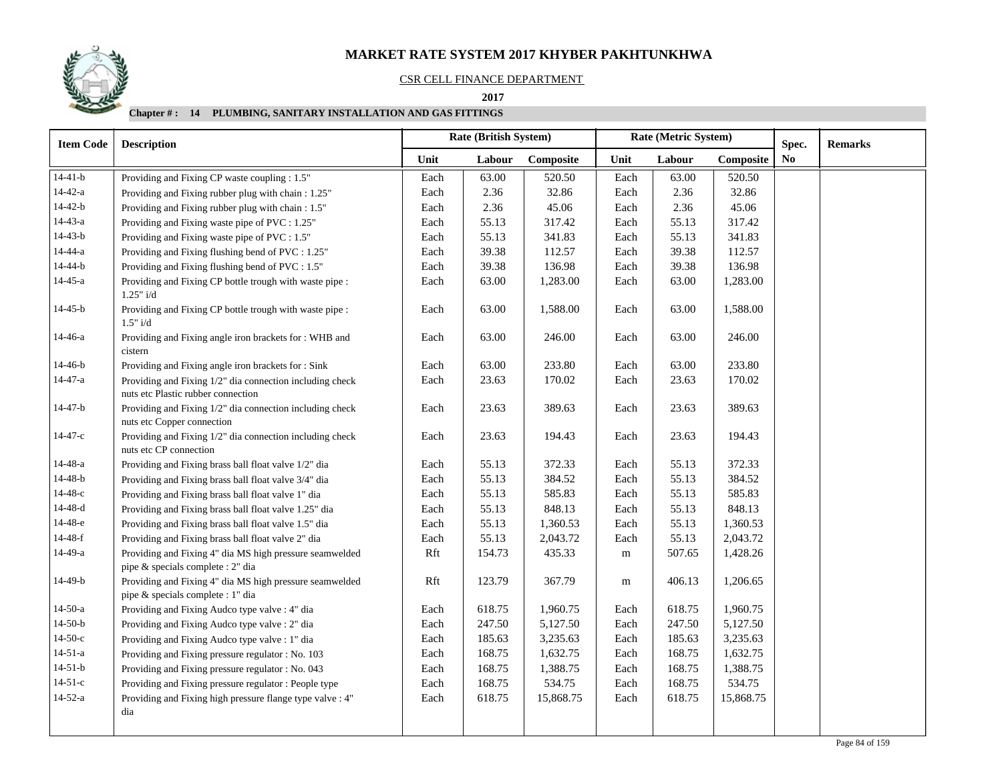#### CSR CELL FINANCE DEPARTMENT

 **As on Jan-Mar (QTR-1) 2017 2017**

| <b>Item Code</b> | <b>Description</b>                                                                             | <b>Rate (British System)</b><br>Rate (Metric System) |        |           | Spec.     | <b>Remarks</b> |           |                |  |
|------------------|------------------------------------------------------------------------------------------------|------------------------------------------------------|--------|-----------|-----------|----------------|-----------|----------------|--|
|                  |                                                                                                | Unit                                                 | Labour | Composite | Unit      | Labour         | Composite | N <sub>0</sub> |  |
| $14-41-b$        | Providing and Fixing CP waste coupling : 1.5"                                                  | Each                                                 | 63.00  | 520.50    | Each      | 63.00          | 520.50    |                |  |
| $14 - 42 - a$    | Providing and Fixing rubber plug with chain: 1.25"                                             | Each                                                 | 2.36   | 32.86     | Each      | 2.36           | 32.86     |                |  |
| $14 - 42 - b$    | Providing and Fixing rubber plug with chain: 1.5"                                              | Each                                                 | 2.36   | 45.06     | Each      | 2.36           | 45.06     |                |  |
| $14 - 43 - a$    | Providing and Fixing waste pipe of PVC : 1.25"                                                 | Each                                                 | 55.13  | 317.42    | Each      | 55.13          | 317.42    |                |  |
| $14 - 43 - b$    | Providing and Fixing waste pipe of PVC : 1.5"                                                  | Each                                                 | 55.13  | 341.83    | Each      | 55.13          | 341.83    |                |  |
| $14 - 44 - a$    | Providing and Fixing flushing bend of PVC : 1.25"                                              | Each                                                 | 39.38  | 112.57    | Each      | 39.38          | 112.57    |                |  |
| $14 - 44 - b$    | Providing and Fixing flushing bend of PVC : 1.5"                                               | Each                                                 | 39.38  | 136.98    | Each      | 39.38          | 136.98    |                |  |
| $14 - 45 - a$    | Providing and Fixing CP bottle trough with waste pipe :<br>1.25" i/d                           | Each                                                 | 63.00  | 1,283.00  | Each      | 63.00          | 1,283.00  |                |  |
| $14 - 45 - b$    | Providing and Fixing CP bottle trough with waste pipe :<br>1.5" i/d                            | Each                                                 | 63.00  | 1,588.00  | Each      | 63.00          | 1,588.00  |                |  |
| 14-46-a          | Providing and Fixing angle iron brackets for : WHB and<br>cistern                              | Each                                                 | 63.00  | 246.00    | Each      | 63.00          | 246.00    |                |  |
| $14-46-b$        | Providing and Fixing angle iron brackets for : Sink                                            | Each                                                 | 63.00  | 233.80    | Each      | 63.00          | 233.80    |                |  |
| $14 - 47 - a$    | Providing and Fixing 1/2" dia connection including check<br>nuts etc Plastic rubber connection | Each                                                 | 23.63  | 170.02    | Each      | 23.63          | 170.02    |                |  |
| $14 - 47 - b$    | Providing and Fixing 1/2" dia connection including check<br>nuts etc Copper connection         | Each                                                 | 23.63  | 389.63    | Each      | 23.63          | 389.63    |                |  |
| $14 - 47 - c$    | Providing and Fixing 1/2" dia connection including check<br>nuts etc CP connection             | Each                                                 | 23.63  | 194.43    | Each      | 23.63          | 194.43    |                |  |
| $14 - 48 - a$    | Providing and Fixing brass ball float valve 1/2" dia                                           | Each                                                 | 55.13  | 372.33    | Each      | 55.13          | 372.33    |                |  |
| $14 - 48 - b$    | Providing and Fixing brass ball float valve 3/4" dia                                           | Each                                                 | 55.13  | 384.52    | Each      | 55.13          | 384.52    |                |  |
| $14 - 48 - c$    | Providing and Fixing brass ball float valve 1" dia                                             | Each                                                 | 55.13  | 585.83    | Each      | 55.13          | 585.83    |                |  |
| $14 - 48 - d$    | Providing and Fixing brass ball float valve 1.25" dia                                          | Each                                                 | 55.13  | 848.13    | Each      | 55.13          | 848.13    |                |  |
| 14-48-е          | Providing and Fixing brass ball float valve 1.5" dia                                           | Each                                                 | 55.13  | 1,360.53  | Each      | 55.13          | 1,360.53  |                |  |
| $14 - 48 - f$    | Providing and Fixing brass ball float valve 2" dia                                             | Each                                                 | 55.13  | 2,043.72  | Each      | 55.13          | 2,043.72  |                |  |
| $14-49-a$        | Providing and Fixing 4" dia MS high pressure seamwelded<br>pipe & specials complete : 2" dia   | Rft                                                  | 154.73 | 435.33    | ${\bf m}$ | 507.65         | 1,428.26  |                |  |
| 14-49-b          | Providing and Fixing 4" dia MS high pressure seamwelded<br>pipe & specials complete : 1" dia   | Rft                                                  | 123.79 | 367.79    | m         | 406.13         | 1,206.65  |                |  |
| $14-50-a$        | Providing and Fixing Audco type valve : 4" dia                                                 | Each                                                 | 618.75 | 1,960.75  | Each      | 618.75         | 1,960.75  |                |  |
| $14-50-b$        | Providing and Fixing Audco type valve : 2" dia                                                 | Each                                                 | 247.50 | 5,127.50  | Each      | 247.50         | 5,127.50  |                |  |
| $14-50-c$        | Providing and Fixing Audco type valve : 1" dia                                                 | Each                                                 | 185.63 | 3,235.63  | Each      | 185.63         | 3,235.63  |                |  |
| $14 - 51 - a$    | Providing and Fixing pressure regulator : No. 103                                              | Each                                                 | 168.75 | 1,632.75  | Each      | 168.75         | 1,632.75  |                |  |
| $14-51-b$        | Providing and Fixing pressure regulator : No. 043                                              | Each                                                 | 168.75 | 1,388.75  | Each      | 168.75         | 1,388.75  |                |  |
| $14 - 51 - c$    | Providing and Fixing pressure regulator: People type                                           | Each                                                 | 168.75 | 534.75    | Each      | 168.75         | 534.75    |                |  |
| $14-52-a$        | Providing and Fixing high pressure flange type valve : 4"<br>dia                               | Each                                                 | 618.75 | 15,868.75 | Each      | 618.75         | 15,868.75 |                |  |
|                  |                                                                                                |                                                      |        |           |           |                |           |                |  |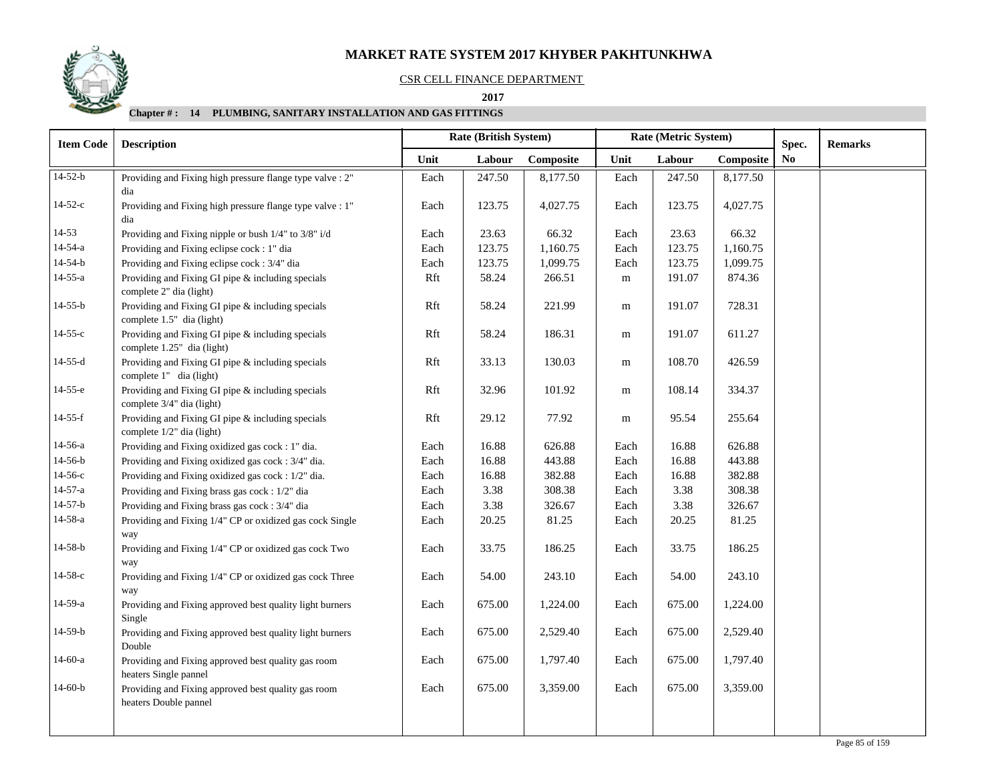### CSR CELL FINANCE DEPARTMENT

 **As on Jan-Mar (QTR-1) 2017 2017**

| <b>Item Code</b> | <b>Description</b>                                                              |      | <b>Rate (British System)</b> |           |           | Rate (Metric System) | Spec.     | <b>Remarks</b> |  |
|------------------|---------------------------------------------------------------------------------|------|------------------------------|-----------|-----------|----------------------|-----------|----------------|--|
|                  |                                                                                 | Unit | Labour                       | Composite | Unit      | Labour               | Composite | N <sub>0</sub> |  |
| $14-52-b$        | Providing and Fixing high pressure flange type valve : 2"<br>dia                | Each | 247.50                       | 8,177.50  | Each      | 247.50               | 8,177.50  |                |  |
| $14-52-c$        | Providing and Fixing high pressure flange type valve : 1"<br>dia                | Each | 123.75                       | 4,027.75  | Each      | 123.75               | 4,027.75  |                |  |
| 14-53            | Providing and Fixing nipple or bush 1/4" to 3/8" i/d                            | Each | 23.63                        | 66.32     | Each      | 23.63                | 66.32     |                |  |
| $14 - 54 - a$    | Providing and Fixing eclipse cock: 1" dia                                       | Each | 123.75                       | 1,160.75  | Each      | 123.75               | 1,160.75  |                |  |
| $14 - 54 - b$    | Providing and Fixing eclipse cock: 3/4" dia                                     | Each | 123.75                       | 1,099.75  | Each      | 123.75               | 1,099.75  |                |  |
| $14 - 55 - a$    | Providing and Fixing GI pipe & including specials<br>complete 2" dia (light)    | Rft  | 58.24                        | 266.51    | ${\rm m}$ | 191.07               | 874.36    |                |  |
| $14 - 55 - b$    | Providing and Fixing GI pipe & including specials<br>complete 1.5" dia (light)  | Rft  | 58.24                        | 221.99    | ${\rm m}$ | 191.07               | 728.31    |                |  |
| $14 - 55 - c$    | Providing and Fixing GI pipe & including specials<br>complete 1.25" dia (light) | Rft  | 58.24                        | 186.31    | m         | 191.07               | 611.27    |                |  |
| $14 - 55 - d$    | Providing and Fixing GI pipe & including specials<br>complete 1" dia (light)    | Rft  | 33.13                        | 130.03    | ${\bf m}$ | 108.70               | 426.59    |                |  |
| $14-55-e$        | Providing and Fixing GI pipe & including specials<br>complete 3/4" dia (light)  | Rft  | 32.96                        | 101.92    | m         | 108.14               | 334.37    |                |  |
| $14-55-f$        | Providing and Fixing GI pipe & including specials<br>complete 1/2" dia (light)  | Rft  | 29.12                        | 77.92     | ${\rm m}$ | 95.54                | 255.64    |                |  |
| 14-56-a          | Providing and Fixing oxidized gas cock : 1" dia.                                | Each | 16.88                        | 626.88    | Each      | 16.88                | 626.88    |                |  |
| $14-56-b$        | Providing and Fixing oxidized gas cock: 3/4" dia.                               | Each | 16.88                        | 443.88    | Each      | 16.88                | 443.88    |                |  |
| $14 - 56 - c$    | Providing and Fixing oxidized gas cock : 1/2" dia.                              | Each | 16.88                        | 382.88    | Each      | 16.88                | 382.88    |                |  |
| $14 - 57 - a$    | Providing and Fixing brass gas cock : 1/2" dia                                  | Each | 3.38                         | 308.38    | Each      | 3.38                 | 308.38    |                |  |
| $14-57-b$        | Providing and Fixing brass gas cock: 3/4" dia                                   | Each | 3.38                         | 326.67    | Each      | 3.38                 | 326.67    |                |  |
| $14 - 58 - a$    | Providing and Fixing 1/4" CP or oxidized gas cock Single<br>way                 | Each | 20.25                        | 81.25     | Each      | 20.25                | 81.25     |                |  |
| $14 - 58 - b$    | Providing and Fixing 1/4" CP or oxidized gas cock Two<br>way                    | Each | 33.75                        | 186.25    | Each      | 33.75                | 186.25    |                |  |
| 14-58-с          | Providing and Fixing 1/4" CP or oxidized gas cock Three<br>way                  | Each | 54.00                        | 243.10    | Each      | 54.00                | 243.10    |                |  |
| 14-59-a          | Providing and Fixing approved best quality light burners<br>Single              | Each | 675.00                       | 1,224.00  | Each      | 675.00               | 1,224.00  |                |  |
| $14-59-b$        | Providing and Fixing approved best quality light burners<br>Double              | Each | 675.00                       | 2,529.40  | Each      | 675.00               | 2,529.40  |                |  |
| $14-60-a$        | Providing and Fixing approved best quality gas room<br>heaters Single pannel    | Each | 675.00                       | 1,797.40  | Each      | 675.00               | 1,797.40  |                |  |
| $14-60-b$        | Providing and Fixing approved best quality gas room<br>heaters Double pannel    | Each | 675.00                       | 3,359.00  | Each      | 675.00               | 3,359.00  |                |  |

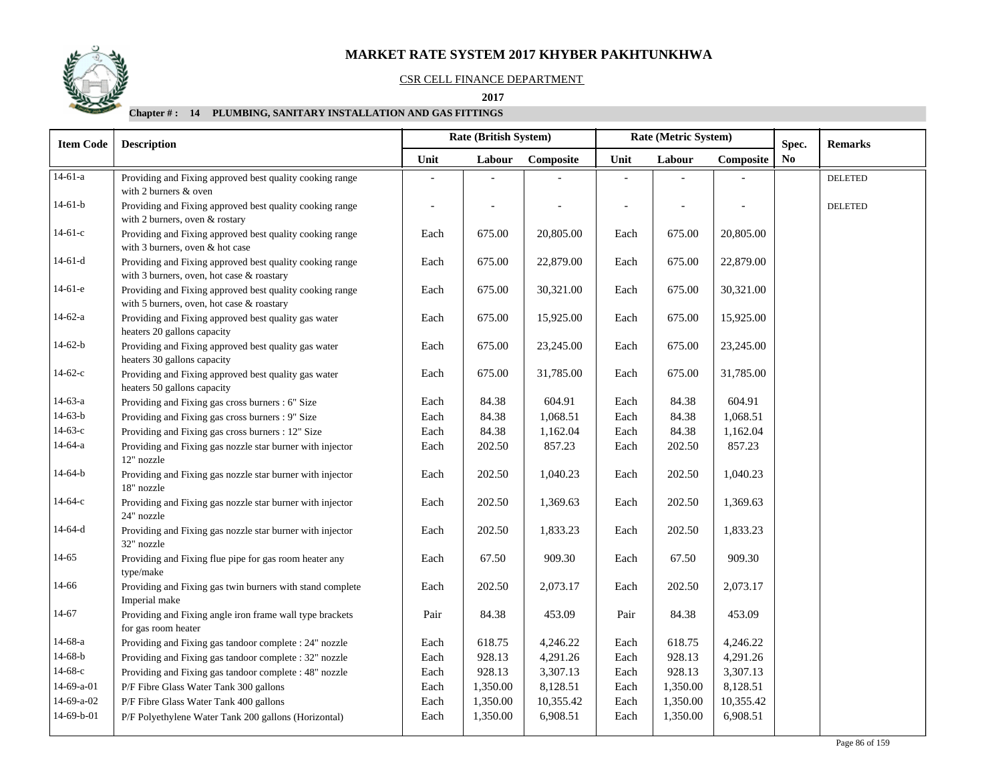#### CSR CELL FINANCE DEPARTMENT

#### **2017**

| <b>Item Code</b> | <b>Description</b>                                                                                    | <b>Rate (British System)</b> |          |           |                          | Rate (Metric System) |           | Spec.          | <b>Remarks</b> |
|------------------|-------------------------------------------------------------------------------------------------------|------------------------------|----------|-----------|--------------------------|----------------------|-----------|----------------|----------------|
|                  |                                                                                                       | Unit                         | Labour   | Composite | Unit                     | Labour               | Composite | N <sub>0</sub> |                |
| $14-61-a$        | Providing and Fixing approved best quality cooking range<br>with 2 burners & oven                     |                              |          |           |                          |                      |           |                | <b>DELETED</b> |
| $14-61-b$        | Providing and Fixing approved best quality cooking range<br>with 2 burners, oven & rostary            | $\overline{\phantom{a}}$     |          |           | $\overline{\phantom{a}}$ |                      |           |                | <b>DELETED</b> |
| $14-61-c$        | Providing and Fixing approved best quality cooking range<br>with 3 burners, oven & hot case           | Each                         | 675.00   | 20,805.00 | Each                     | 675.00               | 20,805.00 |                |                |
| $14-61-d$        | Providing and Fixing approved best quality cooking range<br>with 3 burners, oven, hot case & roastary | Each                         | 675.00   | 22,879.00 | Each                     | 675.00               | 22,879.00 |                |                |
| $14-61-e$        | Providing and Fixing approved best quality cooking range<br>with 5 burners, oven, hot case & roastary | Each                         | 675.00   | 30,321.00 | Each                     | 675.00               | 30,321.00 |                |                |
| $14-62-a$        | Providing and Fixing approved best quality gas water<br>heaters 20 gallons capacity                   | Each                         | 675.00   | 15,925.00 | Each                     | 675.00               | 15,925.00 |                |                |
| $14-62-b$        | Providing and Fixing approved best quality gas water<br>heaters 30 gallons capacity                   | Each                         | 675.00   | 23,245.00 | Each                     | 675.00               | 23,245.00 |                |                |
| $14-62-c$        | Providing and Fixing approved best quality gas water<br>heaters 50 gallons capacity                   | Each                         | 675.00   | 31,785.00 | Each                     | 675.00               | 31,785.00 |                |                |
| $14-63-a$        | Providing and Fixing gas cross burners : 6" Size                                                      | Each                         | 84.38    | 604.91    | Each                     | 84.38                | 604.91    |                |                |
| $14-63-b$        | Providing and Fixing gas cross burners : 9" Size                                                      | Each                         | 84.38    | 1,068.51  | Each                     | 84.38                | 1,068.51  |                |                |
| $14-63-c$        | Providing and Fixing gas cross burners : 12" Size                                                     | Each                         | 84.38    | 1,162.04  | Each                     | 84.38                | 1,162.04  |                |                |
| 14-64-a          | Providing and Fixing gas nozzle star burner with injector<br>12" nozzle                               | Each                         | 202.50   | 857.23    | Each                     | 202.50               | 857.23    |                |                |
| $14-64-b$        | Providing and Fixing gas nozzle star burner with injector<br>18" nozzle                               | Each                         | 202.50   | 1,040.23  | Each                     | 202.50               | 1,040.23  |                |                |
| $14-64-c$        | Providing and Fixing gas nozzle star burner with injector<br>24" nozzle                               | Each                         | 202.50   | 1,369.63  | Each                     | 202.50               | 1,369.63  |                |                |
| $14-64-d$        | Providing and Fixing gas nozzle star burner with injector<br>32" nozzle                               | Each                         | 202.50   | 1,833.23  | Each                     | 202.50               | 1,833.23  |                |                |
| $14 - 65$        | Providing and Fixing flue pipe for gas room heater any<br>type/make                                   | Each                         | 67.50    | 909.30    | Each                     | 67.50                | 909.30    |                |                |
| 14-66            | Providing and Fixing gas twin burners with stand complete<br>Imperial make                            | Each                         | 202.50   | 2,073.17  | Each                     | 202.50               | 2,073.17  |                |                |
| 14-67            | Providing and Fixing angle iron frame wall type brackets<br>for gas room heater                       | Pair                         | 84.38    | 453.09    | Pair                     | 84.38                | 453.09    |                |                |
| 14-68-a          | Providing and Fixing gas tandoor complete : 24" nozzle                                                | Each                         | 618.75   | 4,246.22  | Each                     | 618.75               | 4,246.22  |                |                |
| $14-68-b$        | Providing and Fixing gas tandoor complete : 32" nozzle                                                | Each                         | 928.13   | 4,291.26  | Each                     | 928.13               | 4,291.26  |                |                |
| $14-68-c$        | Providing and Fixing gas tandoor complete : 48" nozzle                                                | Each                         | 928.13   | 3,307.13  | Each                     | 928.13               | 3,307.13  |                |                |
| 14-69-a-01       | P/F Fibre Glass Water Tank 300 gallons                                                                | Each                         | 1,350.00 | 8,128.51  | Each                     | 1,350.00             | 8,128.51  |                |                |
| 14-69-a-02       | P/F Fibre Glass Water Tank 400 gallons                                                                | Each                         | 1,350.00 | 10,355.42 | Each                     | 1,350.00             | 10,355.42 |                |                |
| 14-69-b-01       | P/F Polyethylene Water Tank 200 gallons (Horizontal)                                                  | Each                         | 1,350.00 | 6,908.51  | Each                     | 1,350.00             | 6,908.51  |                |                |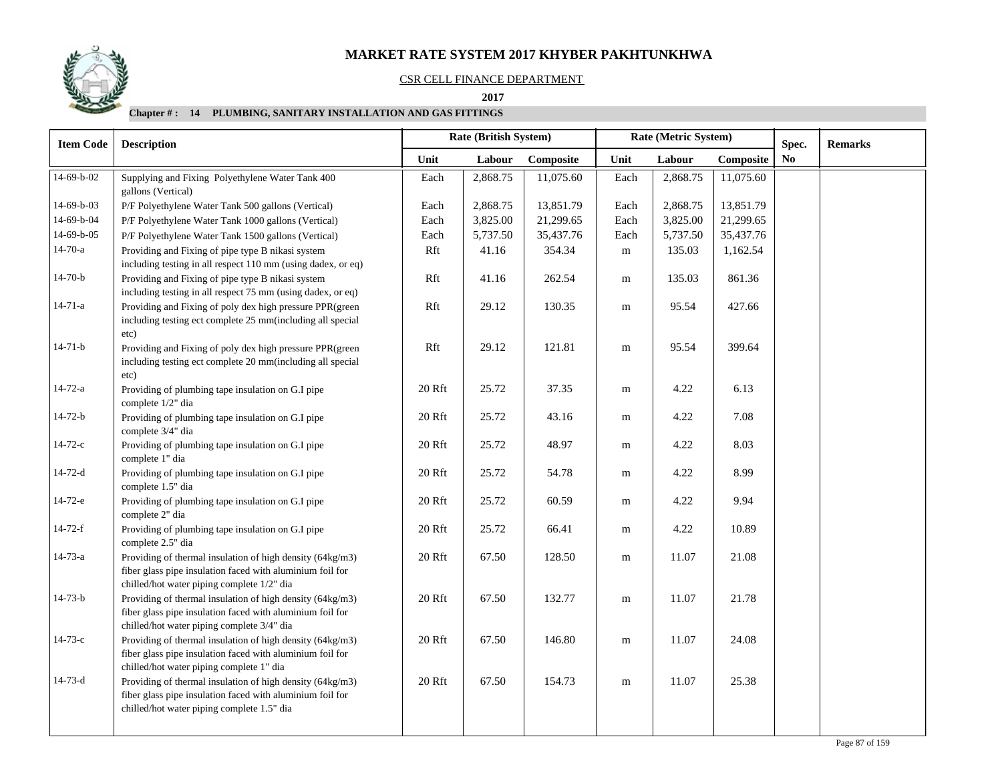#### CSR CELL FINANCE DEPARTMENT

 **2017** 

| <b>Item Code</b> | <b>Description</b>                                                                                                                                                   | Rate (British System)<br>Rate (Metric System) |          |           |           |          |           |                |  | Spec. | <b>Remarks</b> |
|------------------|----------------------------------------------------------------------------------------------------------------------------------------------------------------------|-----------------------------------------------|----------|-----------|-----------|----------|-----------|----------------|--|-------|----------------|
|                  |                                                                                                                                                                      | Unit                                          | Labour   | Composite | Unit      | Labour   | Composite | N <sub>0</sub> |  |       |                |
| 14-69-b-02       | Supplying and Fixing Polyethylene Water Tank 400<br>gallons (Vertical)                                                                                               | Each                                          | 2,868.75 | 11,075.60 | Each      | 2,868.75 | 11,075.60 |                |  |       |                |
| 14-69-b-03       | P/F Polyethylene Water Tank 500 gallons (Vertical)                                                                                                                   | Each                                          | 2,868.75 | 13,851.79 | Each      | 2,868.75 | 13,851.79 |                |  |       |                |
| 14-69-b-04       | P/F Polyethylene Water Tank 1000 gallons (Vertical)                                                                                                                  | Each                                          | 3,825.00 | 21,299.65 | Each      | 3,825.00 | 21,299.65 |                |  |       |                |
| 14-69-b-05       | P/F Polyethylene Water Tank 1500 gallons (Vertical)                                                                                                                  | Each                                          | 5,737.50 | 35,437.76 | Each      | 5,737.50 | 35,437.76 |                |  |       |                |
| $14 - 70 - a$    | Providing and Fixing of pipe type B nikasi system<br>including testing in all respect 110 mm (using dadex, or eq)                                                    | Rft                                           | 41.16    | 354.34    | ${\bf m}$ | 135.03   | 1,162.54  |                |  |       |                |
| $14 - 70 - b$    | Providing and Fixing of pipe type B nikasi system<br>including testing in all respect 75 mm (using dadex, or eq)                                                     | Rft                                           | 41.16    | 262.54    | ${\bf m}$ | 135.03   | 861.36    |                |  |       |                |
| $14 - 71 - a$    | Providing and Fixing of poly dex high pressure PPR(green<br>including testing ect complete 25 mm(including all special<br>etc)                                       | Rft                                           | 29.12    | 130.35    | m         | 95.54    | 427.66    |                |  |       |                |
| $14 - 71 - b$    | Providing and Fixing of poly dex high pressure PPR(green<br>including testing ect complete 20 mm(including all special<br>etc)                                       | Rft                                           | 29.12    | 121.81    | m         | 95.54    | 399.64    |                |  |       |                |
| $14 - 72 - a$    | Providing of plumbing tape insulation on G.I pipe<br>complete 1/2" dia                                                                                               | 20 Rft                                        | 25.72    | 37.35     | m         | 4.22     | 6.13      |                |  |       |                |
| $14 - 72 - b$    | Providing of plumbing tape insulation on G.I pipe<br>complete 3/4" dia                                                                                               | 20 Rft                                        | 25.72    | 43.16     | m         | 4.22     | 7.08      |                |  |       |                |
| $14 - 72 - c$    | Providing of plumbing tape insulation on G.I pipe<br>complete 1" dia                                                                                                 | 20 Rft                                        | 25.72    | 48.97     | ${\rm m}$ | 4.22     | 8.03      |                |  |       |                |
| $14 - 72 - d$    | Providing of plumbing tape insulation on G.I pipe<br>complete 1.5" dia                                                                                               | 20 Rft                                        | 25.72    | 54.78     | m         | 4.22     | 8.99      |                |  |       |                |
| $14-72-e$        | Providing of plumbing tape insulation on G.I pipe<br>complete 2" dia                                                                                                 | 20 Rft                                        | 25.72    | 60.59     | m         | 4.22     | 9.94      |                |  |       |                |
| 14-72-f          | Providing of plumbing tape insulation on G.I pipe<br>complete 2.5" dia                                                                                               | 20 Rft                                        | 25.72    | 66.41     | m         | 4.22     | 10.89     |                |  |       |                |
| 14-73-a          | Providing of thermal insulation of high density (64kg/m3)<br>fiber glass pipe insulation faced with aluminium foil for<br>chilled/hot water piping complete 1/2" dia | 20 Rft                                        | 67.50    | 128.50    | m         | 11.07    | 21.08     |                |  |       |                |
| $14 - 73 - b$    | Providing of thermal insulation of high density (64kg/m3)<br>fiber glass pipe insulation faced with aluminium foil for<br>chilled/hot water piping complete 3/4" dia | 20 Rft                                        | 67.50    | 132.77    | m         | 11.07    | 21.78     |                |  |       |                |
| $14 - 73 - c$    | Providing of thermal insulation of high density (64kg/m3)<br>fiber glass pipe insulation faced with aluminium foil for<br>chilled/hot water piping complete 1" dia   | 20 Rft                                        | 67.50    | 146.80    | m         | 11.07    | 24.08     |                |  |       |                |
| $14 - 73 - d$    | Providing of thermal insulation of high density (64kg/m3)<br>fiber glass pipe insulation faced with aluminium foil for<br>chilled/hot water piping complete 1.5" dia | 20 Rft                                        | 67.50    | 154.73    | m         | 11.07    | 25.38     |                |  |       |                |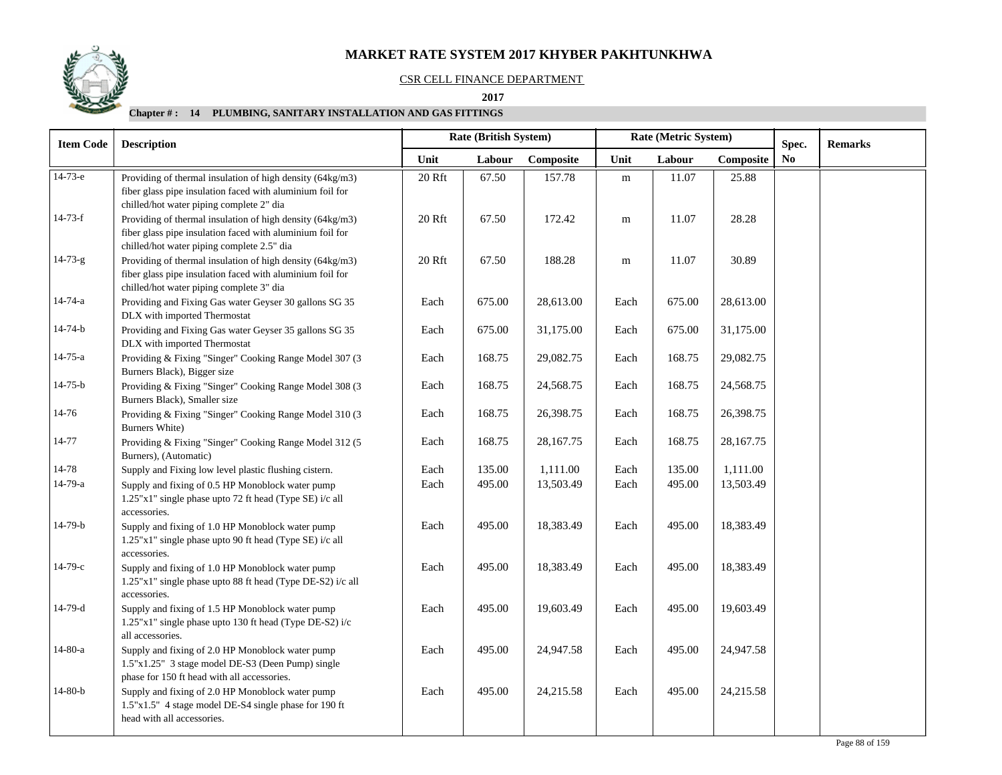### CSR CELL FINANCE DEPARTMENT

 **As on Jan-Mar (QTR-1) 2017 2017**

| <b>Item Code</b><br><b>Description</b>                                                                                                                               |                                             | Rate (British System) |           |           | Rate (Metric System) | Spec.     | <b>Remarks</b> |  |
|----------------------------------------------------------------------------------------------------------------------------------------------------------------------|---------------------------------------------|-----------------------|-----------|-----------|----------------------|-----------|----------------|--|
|                                                                                                                                                                      | Unit                                        | Labour                | Composite | Unit      | Labour               | Composite | N <sub>0</sub> |  |
| Providing of thermal insulation of high density (64kg/m3)<br>fiber glass pipe insulation faced with aluminium foil for<br>chilled/hot water piping complete 2" dia   | 20 Rft                                      | 67.50                 | 157.78    | ${\bf m}$ | 11.07                | 25.88     |                |  |
| Providing of thermal insulation of high density (64kg/m3)<br>fiber glass pipe insulation faced with aluminium foil for<br>chilled/hot water piping complete 2.5" dia | 20 Rft                                      | 67.50                 | 172.42    | ${\bf m}$ | 11.07                | 28.28     |                |  |
| Providing of thermal insulation of high density (64kg/m3)<br>fiber glass pipe insulation faced with aluminium foil for<br>chilled/hot water piping complete 3" dia   | 20 Rft                                      | 67.50                 | 188.28    | m         | 11.07                | 30.89     |                |  |
| Providing and Fixing Gas water Geyser 30 gallons SG 35<br>DLX with imported Thermostat                                                                               | Each                                        | 675.00                | 28,613.00 | Each      | 675.00               | 28,613.00 |                |  |
| Providing and Fixing Gas water Geyser 35 gallons SG 35<br>DLX with imported Thermostat                                                                               | Each                                        | 675.00                | 31,175.00 | Each      | 675.00               | 31,175.00 |                |  |
| Providing & Fixing "Singer" Cooking Range Model 307 (3<br>Burners Black), Bigger size                                                                                | Each                                        | 168.75                | 29,082.75 | Each      | 168.75               | 29,082.75 |                |  |
| Providing & Fixing "Singer" Cooking Range Model 308 (3<br>Burners Black), Smaller size                                                                               | Each                                        | 168.75                | 24,568.75 | Each      | 168.75               | 24,568.75 |                |  |
| Providing & Fixing "Singer" Cooking Range Model 310 (3<br>Burners White)                                                                                             | Each                                        | 168.75                | 26,398.75 | Each      | 168.75               | 26,398.75 |                |  |
| Providing & Fixing "Singer" Cooking Range Model 312 (5<br>Burners), (Automatic)                                                                                      | Each                                        | 168.75                | 28,167.75 | Each      | 168.75               | 28,167.75 |                |  |
| Supply and Fixing low level plastic flushing cistern.                                                                                                                | Each                                        | 135.00                | 1,111.00  | Each      | 135.00               | 1,111.00  |                |  |
| Supply and fixing of 0.5 HP Monoblock water pump<br>1.25"x1" single phase upto 72 ft head (Type SE) i/c all<br>accessories.                                          | Each                                        | 495.00                | 13,503.49 | Each      | 495.00               | 13,503.49 |                |  |
| Supply and fixing of 1.0 HP Monoblock water pump<br>1.25"x1" single phase upto 90 ft head (Type SE) i/c all<br>accessories.                                          | Each                                        | 495.00                | 18,383.49 | Each      | 495.00               | 18,383.49 |                |  |
| Supply and fixing of 1.0 HP Monoblock water pump<br>1.25"x1" single phase upto 88 ft head (Type DE-S2) i/c all<br>accessories.                                       | Each                                        | 495.00                | 18,383.49 | Each      | 495.00               | 18,383.49 |                |  |
| Supply and fixing of 1.5 HP Monoblock water pump<br>1.25"x1" single phase upto 130 ft head (Type DE-S2) i/c<br>all accessories.                                      | Each                                        | 495.00                | 19,603.49 | Each      | 495.00               | 19,603.49 |                |  |
| Supply and fixing of 2.0 HP Monoblock water pump<br>1.5"x1.25" 3 stage model DE-S3 (Deen Pump) single                                                                | Each                                        | 495.00                | 24,947.58 | Each      | 495.00               | 24,947.58 |                |  |
| Supply and fixing of 2.0 HP Monoblock water pump<br>1.5"x1.5" 4 stage model DE-S4 single phase for 190 ft<br>head with all accessories.                              | Each                                        | 495.00                | 24,215.58 | Each      | 495.00               | 24,215.58 |                |  |
|                                                                                                                                                                      | phase for 150 ft head with all accessories. |                       |           |           |                      |           |                |  |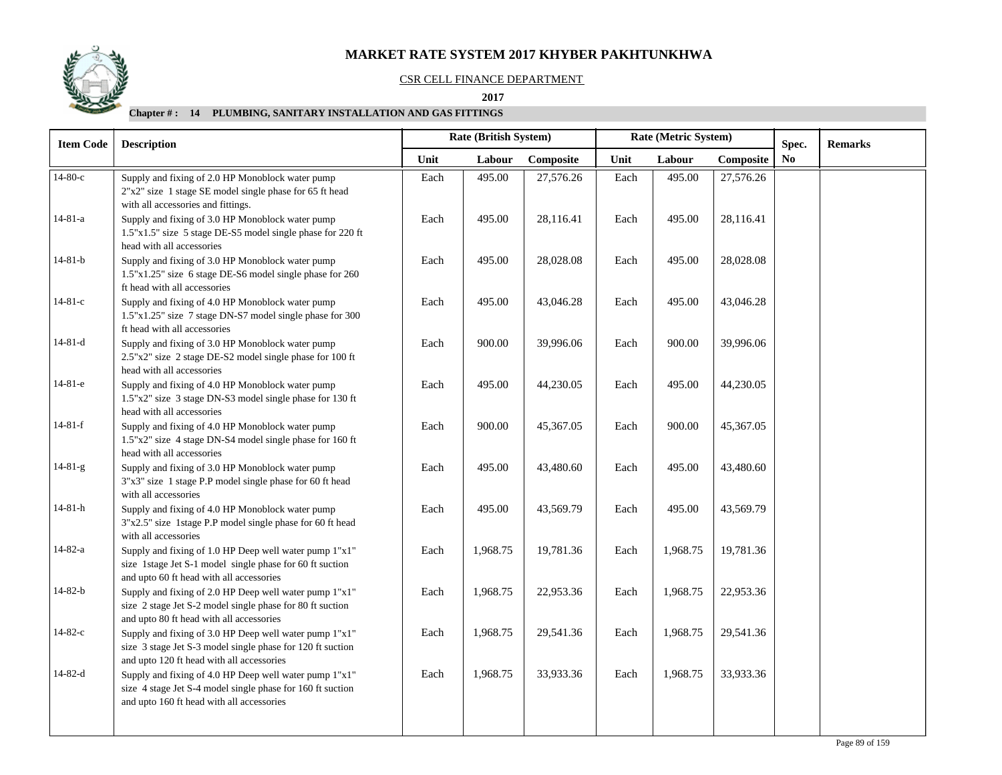#### CSR CELL FINANCE DEPARTMENT

#### **As on Jan-Mar (QTR-1) 2017 2017**

| <b>Item Code</b> | <b>Description</b>                                                                                                                                                |      | Rate (British System) |           |      | Rate (Metric System) | Spec.     | <b>Remarks</b> |  |
|------------------|-------------------------------------------------------------------------------------------------------------------------------------------------------------------|------|-----------------------|-----------|------|----------------------|-----------|----------------|--|
|                  |                                                                                                                                                                   | Unit | Labour                | Composite | Unit | Labour               | Composite | N <sub>0</sub> |  |
| $14-80-c$        | Supply and fixing of 2.0 HP Monoblock water pump<br>2"x2" size 1 stage SE model single phase for 65 ft head<br>with all accessories and fittings.                 | Each | 495.00                | 27,576.26 | Each | 495.00               | 27,576.26 |                |  |
| $14 - 81 - a$    | Supply and fixing of 3.0 HP Monoblock water pump<br>1.5"x1.5" size 5 stage DE-S5 model single phase for 220 ft<br>head with all accessories                       | Each | 495.00                | 28,116.41 | Each | 495.00               | 28,116.41 |                |  |
| $14 - 81 - b$    | Supply and fixing of 3.0 HP Monoblock water pump<br>1.5"x1.25" size 6 stage DE-S6 model single phase for 260<br>ft head with all accessories                      | Each | 495.00                | 28,028.08 | Each | 495.00               | 28,028.08 |                |  |
| $14 - 81 - c$    | Supply and fixing of 4.0 HP Monoblock water pump<br>1.5"x1.25" size 7 stage DN-S7 model single phase for 300<br>ft head with all accessories                      | Each | 495.00                | 43,046.28 | Each | 495.00               | 43,046.28 |                |  |
| 14-81-d          | Supply and fixing of 3.0 HP Monoblock water pump<br>2.5"x2" size 2 stage DE-S2 model single phase for 100 ft<br>head with all accessories                         | Each | 900.00                | 39,996.06 | Each | 900.00               | 39,996.06 |                |  |
| $14-81-e$        | Supply and fixing of 4.0 HP Monoblock water pump<br>1.5"x2" size 3 stage DN-S3 model single phase for 130 ft<br>head with all accessories                         | Each | 495.00                | 44,230.05 | Each | 495.00               | 44,230.05 |                |  |
| $14-81-f$        | Supply and fixing of 4.0 HP Monoblock water pump<br>1.5"x2" size 4 stage DN-S4 model single phase for 160 ft<br>head with all accessories                         | Each | 900.00                | 45,367.05 | Each | 900.00               | 45,367.05 |                |  |
| $14 - 81 - g$    | Supply and fixing of 3.0 HP Monoblock water pump<br>3"x3" size 1 stage P.P model single phase for 60 ft head<br>with all accessories                              | Each | 495.00                | 43,480.60 | Each | 495.00               | 43,480.60 |                |  |
| 14-81-h          | Supply and fixing of 4.0 HP Monoblock water pump<br>3"x2.5" size 1stage P.P model single phase for 60 ft head<br>with all accessories                             | Each | 495.00                | 43,569.79 | Each | 495.00               | 43,569.79 |                |  |
| $14 - 82 - a$    | Supply and fixing of 1.0 HP Deep well water pump 1"x1"<br>size 1stage Jet S-1 model single phase for 60 ft suction<br>and upto 60 ft head with all accessories    | Each | 1,968.75              | 19,781.36 | Each | 1,968.75             | 19,781.36 |                |  |
| $14 - 82 - b$    | Supply and fixing of 2.0 HP Deep well water pump 1"x1"<br>size 2 stage Jet S-2 model single phase for 80 ft suction<br>and upto 80 ft head with all accessories   | Each | 1,968.75              | 22,953.36 | Each | 1,968.75             | 22,953.36 |                |  |
| $14 - 82 - c$    | Supply and fixing of 3.0 HP Deep well water pump 1"x1"<br>size 3 stage Jet S-3 model single phase for 120 ft suction<br>and upto 120 ft head with all accessories | Each | 1,968.75              | 29,541.36 | Each | 1,968.75             | 29,541.36 |                |  |
| $14 - 82 - d$    | Supply and fixing of 4.0 HP Deep well water pump 1"x1"<br>size 4 stage Jet S-4 model single phase for 160 ft suction<br>and upto 160 ft head with all accessories | Each | 1,968.75              | 33,933.36 | Each | 1,968.75             | 33,933.36 |                |  |

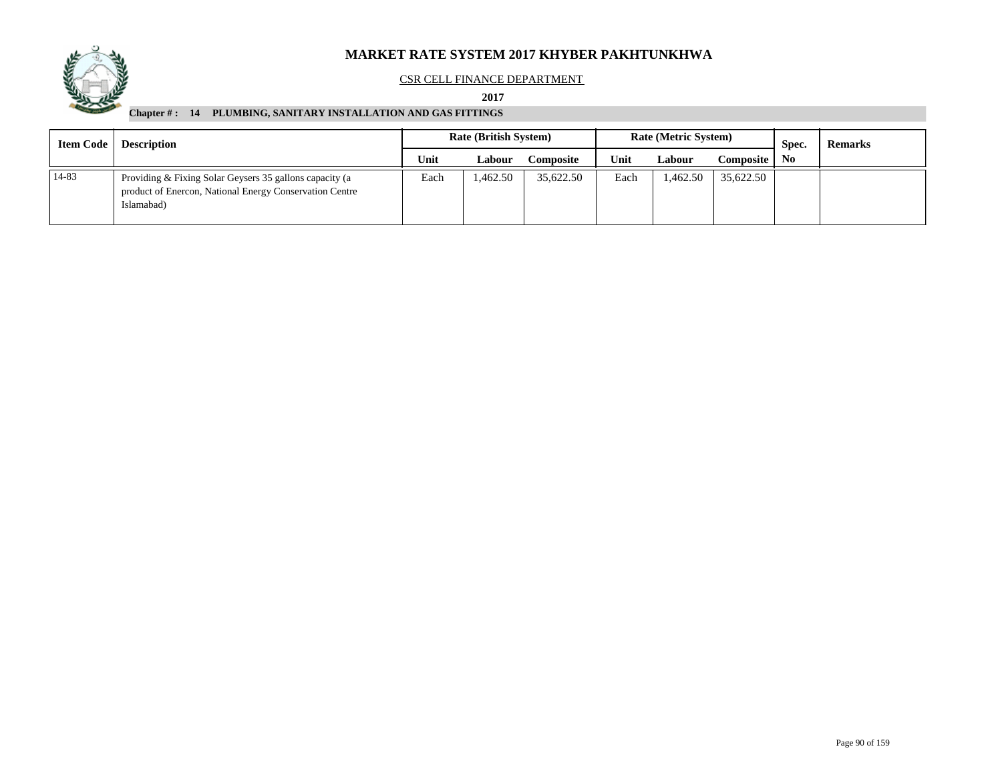

#### CSR CELL FINANCE DEPARTMENT

#### **2017**

| Item Code 1 | <b>Description</b>                                                                                                               | <b>Rate (British System)</b> |          |           |      | <b>Rate (Metric System)</b> |           | Spec.          | <b>Remarks</b> |
|-------------|----------------------------------------------------------------------------------------------------------------------------------|------------------------------|----------|-----------|------|-----------------------------|-----------|----------------|----------------|
|             |                                                                                                                                  | Unit                         | Labour   | Composite | Unit | Labour                      | Composite | N <sub>0</sub> |                |
| 14-83       | Providing & Fixing Solar Geysers 35 gallons capacity (a<br>product of Enercon, National Energy Conservation Centre<br>Islamabad) | Each                         | 1,462.50 | 35,622.50 | Each | 1,462.50                    | 35,622.50 |                |                |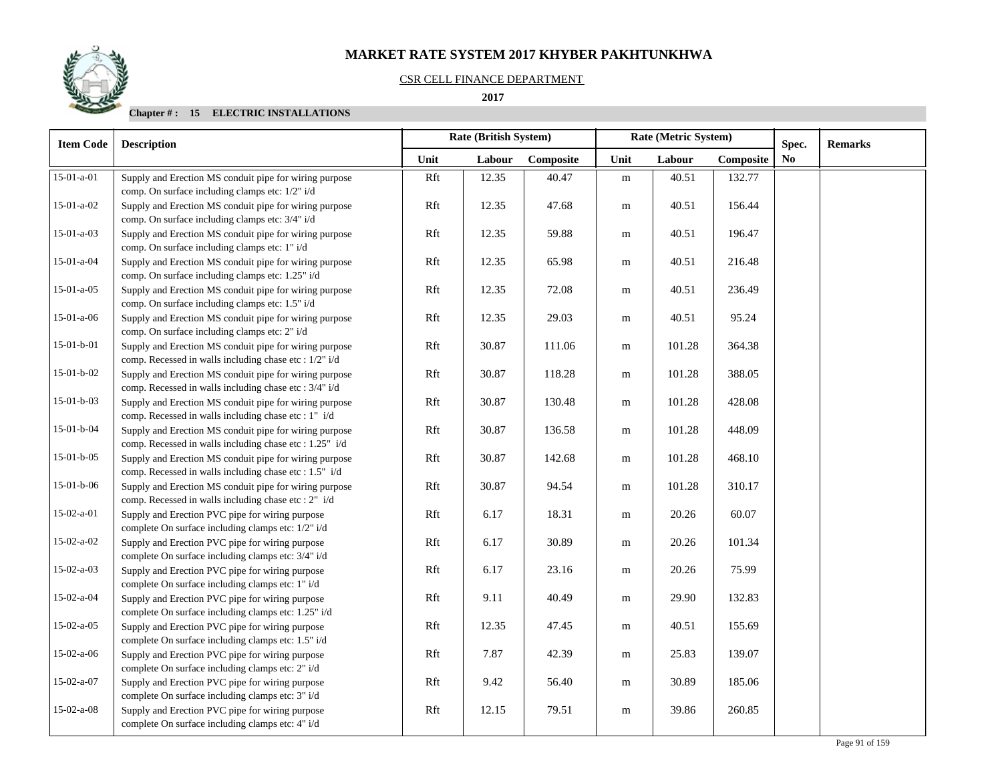### CSR CELL FINANCE DEPARTMENT

#### **2017**

| <b>Item Code</b> | <b>Description</b>                                                                                                | <b>Rate (British System)</b> |        |           |           | Rate (Metric System) |           |                |  |  | Spec. | <b>Remarks</b> |
|------------------|-------------------------------------------------------------------------------------------------------------------|------------------------------|--------|-----------|-----------|----------------------|-----------|----------------|--|--|-------|----------------|
|                  |                                                                                                                   | Unit                         | Labour | Composite | Unit      | Labour               | Composite | N <sub>0</sub> |  |  |       |                |
| $15-01-a-01$     | Supply and Erection MS conduit pipe for wiring purpose<br>comp. On surface including clamps etc: 1/2" i/d         | Rft                          | 12.35  | 40.47     | m         | 40.51                | 132.77    |                |  |  |       |                |
| $15-01-a-02$     | Supply and Erection MS conduit pipe for wiring purpose<br>comp. On surface including clamps etc: 3/4" i/d         | Rft                          | 12.35  | 47.68     | m         | 40.51                | 156.44    |                |  |  |       |                |
| $15-01-a-03$     | Supply and Erection MS conduit pipe for wiring purpose<br>comp. On surface including clamps etc: 1" i/d           | Rft                          | 12.35  | 59.88     | m         | 40.51                | 196.47    |                |  |  |       |                |
| 15-01-a-04       | Supply and Erection MS conduit pipe for wiring purpose<br>comp. On surface including clamps etc: 1.25" i/d        | Rft                          | 12.35  | 65.98     | ${\bf m}$ | 40.51                | 216.48    |                |  |  |       |                |
| $15-01-a-05$     | Supply and Erection MS conduit pipe for wiring purpose<br>comp. On surface including clamps etc: 1.5" i/d         | Rft                          | 12.35  | 72.08     | m         | 40.51                | 236.49    |                |  |  |       |                |
| $15-01-a-06$     | Supply and Erection MS conduit pipe for wiring purpose<br>comp. On surface including clamps etc: 2" i/d           | Rft                          | 12.35  | 29.03     | ${\bf m}$ | 40.51                | 95.24     |                |  |  |       |                |
| 15-01-b-01       | Supply and Erection MS conduit pipe for wiring purpose<br>comp. Recessed in walls including chase etc : 1/2" i/d  | Rft                          | 30.87  | 111.06    | ${\bf m}$ | 101.28               | 364.38    |                |  |  |       |                |
| $15-01-b-02$     | Supply and Erection MS conduit pipe for wiring purpose<br>comp. Recessed in walls including chase etc : 3/4" i/d  | Rft                          | 30.87  | 118.28    | m         | 101.28               | 388.05    |                |  |  |       |                |
| $15-01-b-03$     | Supply and Erection MS conduit pipe for wiring purpose<br>comp. Recessed in walls including chase etc : 1" i/d    | Rft                          | 30.87  | 130.48    | m         | 101.28               | 428.08    |                |  |  |       |                |
| $15-01-b-04$     | Supply and Erection MS conduit pipe for wiring purpose<br>comp. Recessed in walls including chase etc : 1.25" i/d | Rft                          | 30.87  | 136.58    | m         | 101.28               | 448.09    |                |  |  |       |                |
| $15-01-b-05$     | Supply and Erection MS conduit pipe for wiring purpose<br>comp. Recessed in walls including chase etc : 1.5" i/d  | Rft                          | 30.87  | 142.68    | ${\bf m}$ | 101.28               | 468.10    |                |  |  |       |                |
| $15-01-b-06$     | Supply and Erection MS conduit pipe for wiring purpose<br>comp. Recessed in walls including chase etc : 2" i/d    | Rft                          | 30.87  | 94.54     | m         | 101.28               | 310.17    |                |  |  |       |                |
| 15-02-a-01       | Supply and Erection PVC pipe for wiring purpose<br>complete On surface including clamps etc: 1/2" i/d             | Rft                          | 6.17   | 18.31     | m         | 20.26                | 60.07     |                |  |  |       |                |
| 15-02-a-02       | Supply and Erection PVC pipe for wiring purpose<br>complete On surface including clamps etc: 3/4" i/d             | Rft                          | 6.17   | 30.89     | m         | 20.26                | 101.34    |                |  |  |       |                |
| $15-02-a-03$     | Supply and Erection PVC pipe for wiring purpose<br>complete On surface including clamps etc: 1" i/d               | Rft                          | 6.17   | 23.16     | m         | 20.26                | 75.99     |                |  |  |       |                |
| 15-02-a-04       | Supply and Erection PVC pipe for wiring purpose<br>complete On surface including clamps etc: 1.25" i/d            | Rft                          | 9.11   | 40.49     | ${\bf m}$ | 29.90                | 132.83    |                |  |  |       |                |
| $15-02-a-05$     | Supply and Erection PVC pipe for wiring purpose<br>complete On surface including clamps etc: 1.5" i/d             | Rft                          | 12.35  | 47.45     | m         | 40.51                | 155.69    |                |  |  |       |                |
| $15-02-a-06$     | Supply and Erection PVC pipe for wiring purpose<br>complete On surface including clamps etc: 2" i/d               | Rft                          | 7.87   | 42.39     | m         | 25.83                | 139.07    |                |  |  |       |                |
| 15-02-a-07       | Supply and Erection PVC pipe for wiring purpose<br>complete On surface including clamps etc: 3" i/d               | Rft                          | 9.42   | 56.40     | m         | 30.89                | 185.06    |                |  |  |       |                |
| $15-02-a-08$     | Supply and Erection PVC pipe for wiring purpose<br>complete On surface including clamps etc: 4" i/d               | Rft                          | 12.15  | 79.51     | ${\bf m}$ | 39.86                | 260.85    |                |  |  |       |                |

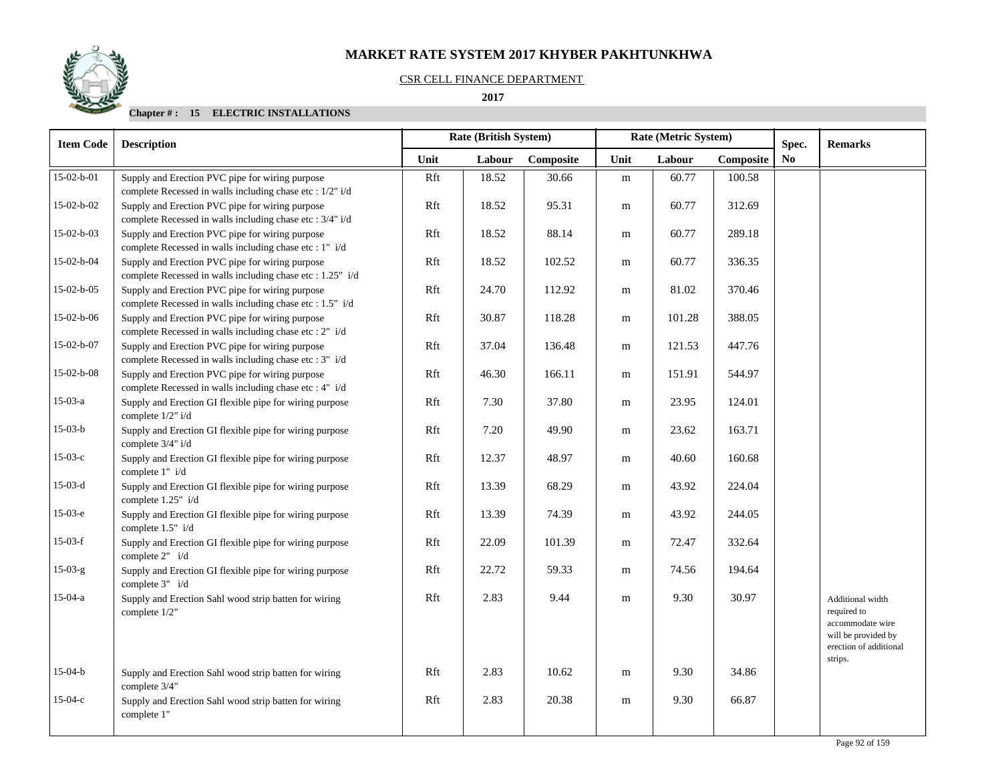## CSR CELL FINANCE DEPARTMENT

## **2017**

| <b>Remarks</b>                                                                                                  |
|-----------------------------------------------------------------------------------------------------------------|
|                                                                                                                 |
|                                                                                                                 |
|                                                                                                                 |
|                                                                                                                 |
|                                                                                                                 |
|                                                                                                                 |
|                                                                                                                 |
|                                                                                                                 |
|                                                                                                                 |
|                                                                                                                 |
|                                                                                                                 |
|                                                                                                                 |
|                                                                                                                 |
|                                                                                                                 |
|                                                                                                                 |
|                                                                                                                 |
| Additional width<br>required to<br>accommodate wire<br>will be provided by<br>erection of additional<br>strips. |
|                                                                                                                 |
|                                                                                                                 |
|                                                                                                                 |

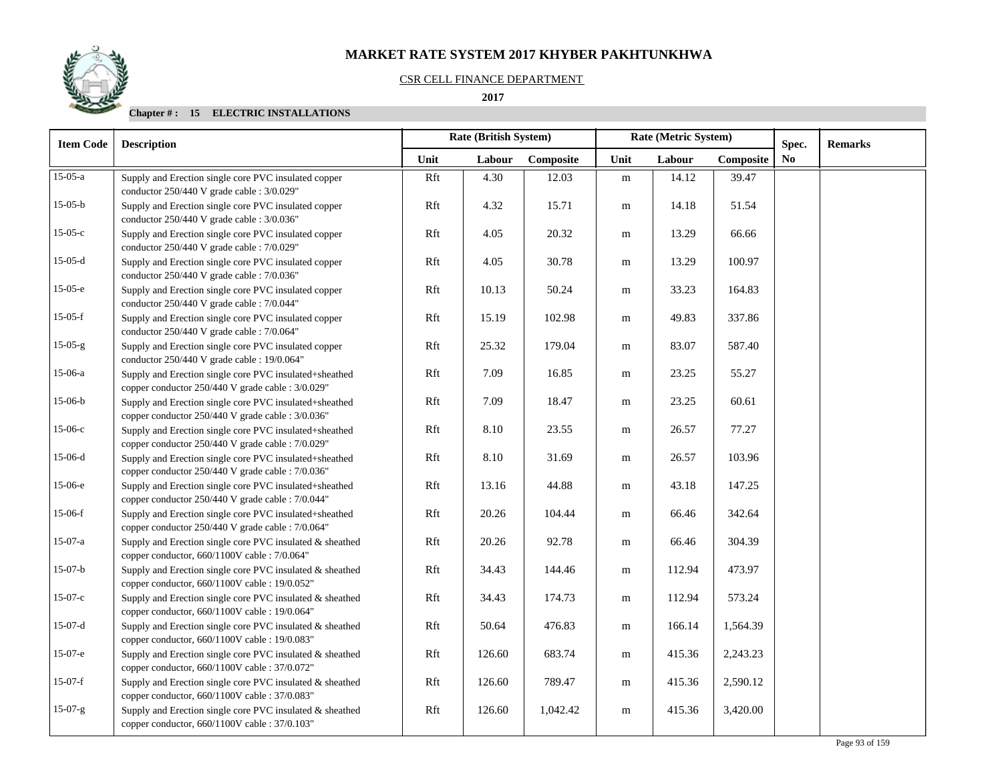## CSR CELL FINANCE DEPARTMENT

#### **2017**

| <b>Item Code</b> | <b>Description</b>                                                                                          | <b>Rate (British System)</b> |        |           |           | Rate (Metric System) |           | Spec. | <b>Remarks</b> |
|------------------|-------------------------------------------------------------------------------------------------------------|------------------------------|--------|-----------|-----------|----------------------|-----------|-------|----------------|
|                  |                                                                                                             | Unit                         | Labour | Composite | Unit      | Labour               | Composite | No.   |                |
| $15-05-a$        | Supply and Erection single core PVC insulated copper<br>conductor 250/440 V grade cable : 3/0.029"          | Rft                          | 4.30   | 12.03     | ${\bf m}$ | 14.12                | 39.47     |       |                |
| $15-05-b$        | Supply and Erection single core PVC insulated copper<br>conductor 250/440 V grade cable : 3/0.036"          | Rft                          | 4.32   | 15.71     | m         | 14.18                | 51.54     |       |                |
| $15-05-c$        | Supply and Erection single core PVC insulated copper<br>conductor 250/440 V grade cable : 7/0.029"          | Rft                          | 4.05   | 20.32     | m         | 13.29                | 66.66     |       |                |
| $15-05-d$        | Supply and Erection single core PVC insulated copper<br>conductor 250/440 V grade cable : 7/0.036"          | Rft                          | 4.05   | 30.78     | m         | 13.29                | 100.97    |       |                |
| $15-05-e$        | Supply and Erection single core PVC insulated copper<br>conductor 250/440 V grade cable : 7/0.044"          | Rft                          | 10.13  | 50.24     | m         | 33.23                | 164.83    |       |                |
| $15-05-f$        | Supply and Erection single core PVC insulated copper<br>conductor 250/440 V grade cable : 7/0.064"          | Rft                          | 15.19  | 102.98    | m         | 49.83                | 337.86    |       |                |
| $15-05-g$        | Supply and Erection single core PVC insulated copper<br>conductor 250/440 V grade cable : 19/0.064"         | Rft                          | 25.32  | 179.04    | m         | 83.07                | 587.40    |       |                |
| 15-06-a          | Supply and Erection single core PVC insulated+sheathed<br>copper conductor 250/440 V grade cable : 3/0.029" | Rft                          | 7.09   | 16.85     | ${\bf m}$ | 23.25                | 55.27     |       |                |
| $15-06-b$        | Supply and Erection single core PVC insulated+sheathed<br>copper conductor 250/440 V grade cable : 3/0.036" | Rft                          | 7.09   | 18.47     | ${\bf m}$ | 23.25                | 60.61     |       |                |
| $15-06-c$        | Supply and Erection single core PVC insulated+sheathed<br>copper conductor 250/440 V grade cable : 7/0.029" | Rft                          | 8.10   | 23.55     | m         | 26.57                | 77.27     |       |                |
| $15-06-d$        | Supply and Erection single core PVC insulated+sheathed<br>copper conductor 250/440 V grade cable : 7/0.036" | Rft                          | 8.10   | 31.69     | m         | 26.57                | 103.96    |       |                |
| 15-06-е          | Supply and Erection single core PVC insulated+sheathed<br>copper conductor 250/440 V grade cable : 7/0.044" | Rft                          | 13.16  | 44.88     | m         | 43.18                | 147.25    |       |                |
| $15-06-f$        | Supply and Erection single core PVC insulated+sheathed<br>copper conductor 250/440 V grade cable : 7/0.064" | Rft                          | 20.26  | 104.44    | ${\bf m}$ | 66.46                | 342.64    |       |                |
| $15-07-a$        | Supply and Erection single core PVC insulated & sheathed<br>copper conductor, 660/1100V cable : 7/0.064"    | Rft                          | 20.26  | 92.78     | m         | 66.46                | 304.39    |       |                |
| $15-07-b$        | Supply and Erection single core PVC insulated & sheathed<br>copper conductor, 660/1100V cable : 19/0.052"   | Rft                          | 34.43  | 144.46    | m         | 112.94               | 473.97    |       |                |
| $15-07-c$        | Supply and Erection single core PVC insulated & sheathed<br>copper conductor, 660/1100V cable : 19/0.064"   | Rft                          | 34.43  | 174.73    | m         | 112.94               | 573.24    |       |                |
| $15-07-d$        | Supply and Erection single core PVC insulated & sheathed<br>copper conductor, 660/1100V cable : 19/0.083"   | Rft                          | 50.64  | 476.83    | m         | 166.14               | 1,564.39  |       |                |
| $15-07-e$        | Supply and Erection single core PVC insulated & sheathed<br>copper conductor, 660/1100V cable : 37/0.072"   | Rft                          | 126.60 | 683.74    | m         | 415.36               | 2,243.23  |       |                |
| $15-07-f$        | Supply and Erection single core PVC insulated & sheathed<br>copper conductor, 660/1100V cable : 37/0.083"   | Rft                          | 126.60 | 789.47    | m         | 415.36               | 2,590.12  |       |                |
| $15-07-g$        | Supply and Erection single core PVC insulated & sheathed<br>copper conductor, 660/1100V cable : 37/0.103"   | Rft                          | 126.60 | 1,042.42  | m         | 415.36               | 3,420.00  |       |                |

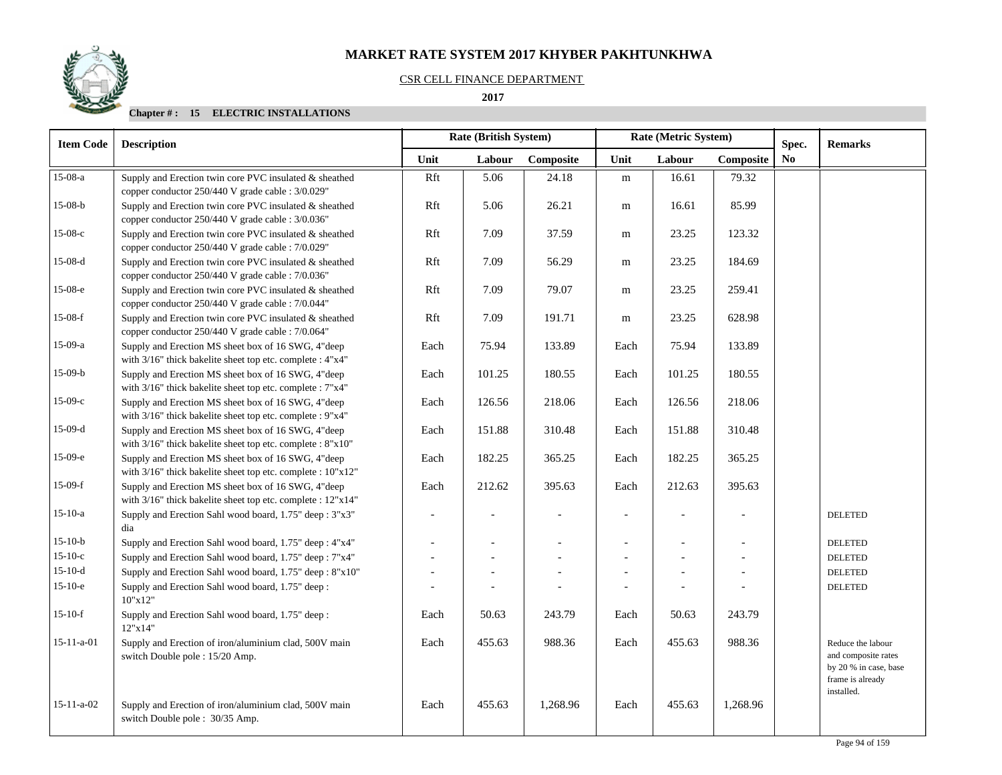## CSR CELL FINANCE DEPARTMENT

## **2017**

| <b>Item Code</b>   | <b>Description</b>                                                                                                | <b>Rate (British System)</b> |                |           |      | Rate (Metric System) |           | Spec.          | <b>Remarks</b>                                                                        |  |
|--------------------|-------------------------------------------------------------------------------------------------------------------|------------------------------|----------------|-----------|------|----------------------|-----------|----------------|---------------------------------------------------------------------------------------|--|
|                    |                                                                                                                   | Unit                         | Labour         | Composite | Unit | Labour               | Composite | N <sub>0</sub> |                                                                                       |  |
| 15-08-a            | Supply and Erection twin core PVC insulated & sheathed<br>copper conductor 250/440 V grade cable : 3/0.029"       | Rft                          | 5.06           | 24.18     | m    | 16.61                | 79.32     |                |                                                                                       |  |
| $15-08-b$          | Supply and Erection twin core PVC insulated & sheathed<br>copper conductor 250/440 V grade cable : 3/0.036"       | Rft                          | 5.06           | 26.21     | m    | 16.61                | 85.99     |                |                                                                                       |  |
| $15-08-c$          | Supply and Erection twin core PVC insulated & sheathed<br>copper conductor 250/440 V grade cable : 7/0.029"       | Rft                          | 7.09           | 37.59     | m    | 23.25                | 123.32    |                |                                                                                       |  |
| $15-08-d$          | Supply and Erection twin core PVC insulated & sheathed<br>copper conductor 250/440 V grade cable : 7/0.036"       | Rft                          | 7.09           | 56.29     | m    | 23.25                | 184.69    |                |                                                                                       |  |
| 15-08-е            | Supply and Erection twin core PVC insulated & sheathed<br>copper conductor 250/440 V grade cable : 7/0.044"       | Rft                          | 7.09           | 79.07     | m    | 23.25                | 259.41    |                |                                                                                       |  |
| $15-08-f$          | Supply and Erection twin core PVC insulated & sheathed<br>copper conductor 250/440 V grade cable : 7/0.064"       | Rft                          | 7.09           | 191.71    | m    | 23.25                | 628.98    |                |                                                                                       |  |
| 15-09-a            | Supply and Erection MS sheet box of 16 SWG, 4"deep<br>with 3/16" thick bakelite sheet top etc. complete : 4"x4"   | Each                         | 75.94          | 133.89    | Each | 75.94                | 133.89    |                |                                                                                       |  |
| $15-09-b$          | Supply and Erection MS sheet box of 16 SWG, 4"deep<br>with 3/16" thick bakelite sheet top etc. complete : 7"x4"   | Each                         | 101.25         | 180.55    | Each | 101.25               | 180.55    |                |                                                                                       |  |
| $15-09-c$          | Supply and Erection MS sheet box of 16 SWG, 4"deep<br>with 3/16" thick bakelite sheet top etc. complete : 9"x4"   | Each                         | 126.56         | 218.06    | Each | 126.56               | 218.06    |                |                                                                                       |  |
| $15-09-d$          | Supply and Erection MS sheet box of 16 SWG, 4"deep<br>with 3/16" thick bakelite sheet top etc. complete : 8"x10"  | Each                         | 151.88         | 310.48    | Each | 151.88               | 310.48    |                |                                                                                       |  |
| 15-09-е            | Supply and Erection MS sheet box of 16 SWG, 4"deep<br>with 3/16" thick bakelite sheet top etc. complete : 10"x12" | Each                         | 182.25         | 365.25    | Each | 182.25               | 365.25    |                |                                                                                       |  |
| $15-09-f$          | Supply and Erection MS sheet box of 16 SWG, 4"deep<br>with 3/16" thick bakelite sheet top etc. complete : 12"x14" | Each                         | 212.62         | 395.63    | Each | 212.63               | 395.63    |                |                                                                                       |  |
| $15-10-a$          | Supply and Erection Sahl wood board, 1.75" deep: 3"x3"<br>dia                                                     | $\overline{\phantom{a}}$     | $\overline{a}$ |           |      | $\blacksquare$       |           |                | <b>DELETED</b>                                                                        |  |
| $15-10-b$          | Supply and Erection Sahl wood board, 1.75" deep: 4"x4"                                                            | $\overline{a}$               | $\overline{a}$ |           |      |                      |           |                | <b>DELETED</b>                                                                        |  |
| $15-10-c$          | Supply and Erection Sahl wood board, 1.75" deep: 7"x4"                                                            | $\overline{a}$               |                |           |      |                      |           |                | <b>DELETED</b>                                                                        |  |
| $15-10-d$          | Supply and Erection Sahl wood board, 1.75" deep: 8"x10"                                                           | $\overline{\phantom{a}}$     |                |           |      |                      |           |                | <b>DELETED</b>                                                                        |  |
| $15-10-e$          | Supply and Erection Sahl wood board, 1.75" deep:<br>10"x12"                                                       |                              |                |           |      |                      |           |                | <b>DELETED</b>                                                                        |  |
| $15-10-f$          | Supply and Erection Sahl wood board, 1.75" deep:<br>12"x14"                                                       | Each                         | 50.63          | 243.79    | Each | 50.63                | 243.79    |                |                                                                                       |  |
| $15 - 11 - a - 01$ | Supply and Erection of iron/aluminium clad, 500V main<br>switch Double pole : 15/20 Amp.                          | Each                         | 455.63         | 988.36    | Each | 455.63               | 988.36    |                | Reduce the labour<br>and composite rates<br>by 20 % in case, base<br>frame is already |  |
| $15-11-a-02$       | Supply and Erection of iron/aluminium clad, 500V main<br>switch Double pole : 30/35 Amp.                          | Each                         | 455.63         | 1,268.96  | Each | 455.63               | 1,268.96  |                | installed.                                                                            |  |

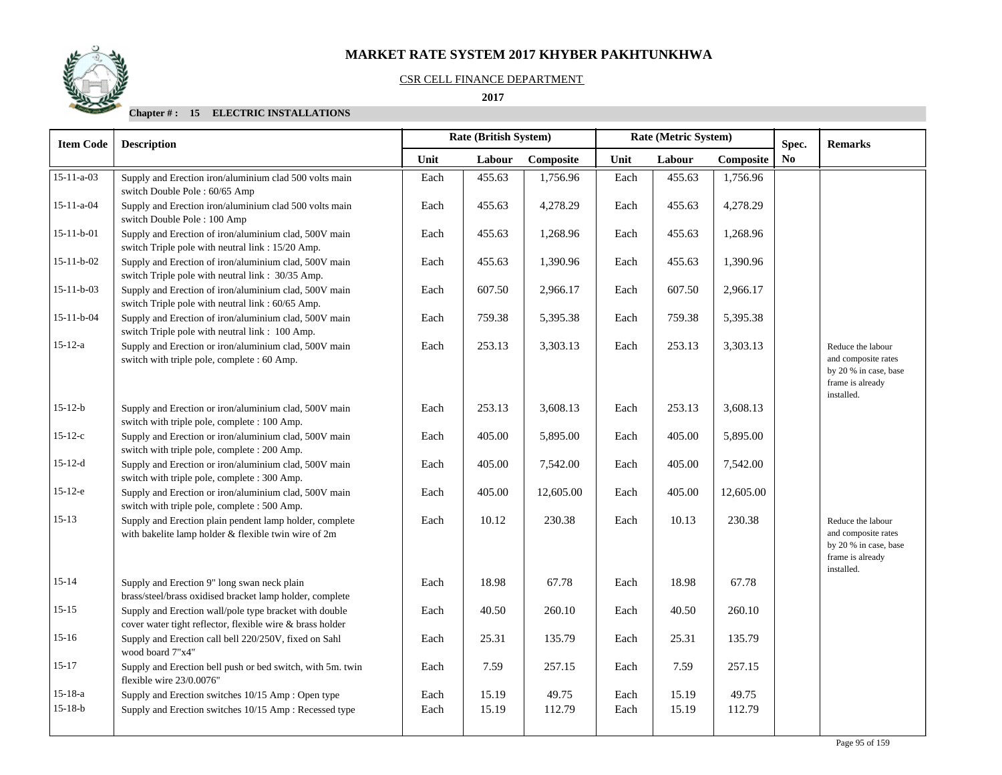### CSR CELL FINANCE DEPARTMENT

## **2017**

| <b>Item Code</b>   | <b>Description</b>                                                                                                  | <b>Rate (British System)</b> |        |           |      | Rate (Metric System) | Spec.     | <b>Remarks</b> |                                                                                                     |
|--------------------|---------------------------------------------------------------------------------------------------------------------|------------------------------|--------|-----------|------|----------------------|-----------|----------------|-----------------------------------------------------------------------------------------------------|
|                    |                                                                                                                     | Unit                         | Labour | Composite | Unit | Labour               | Composite | N <sub>0</sub> |                                                                                                     |
| $15 - 11 - a - 03$ | Supply and Erection iron/aluminium clad 500 volts main<br>switch Double Pole : 60/65 Amp                            | Each                         | 455.63 | 1,756.96  | Each | 455.63               | 1,756.96  |                |                                                                                                     |
| $15 - 11 - a - 04$ | Supply and Erection iron/aluminium clad 500 volts main<br>switch Double Pole: 100 Amp                               | Each                         | 455.63 | 4,278.29  | Each | 455.63               | 4,278.29  |                |                                                                                                     |
| $15-11-b-01$       | Supply and Erection of iron/aluminium clad, 500V main<br>switch Triple pole with neutral link: 15/20 Amp.           | Each                         | 455.63 | 1,268.96  | Each | 455.63               | 1,268.96  |                |                                                                                                     |
| $15 - 11 - b - 02$ | Supply and Erection of iron/aluminium clad, 500V main<br>switch Triple pole with neutral link : 30/35 Amp.          | Each                         | 455.63 | 1,390.96  | Each | 455.63               | 1,390.96  |                |                                                                                                     |
| $15 - 11 - b - 03$ | Supply and Erection of iron/aluminium clad, 500V main<br>switch Triple pole with neutral link: 60/65 Amp.           | Each                         | 607.50 | 2,966.17  | Each | 607.50               | 2,966.17  |                |                                                                                                     |
| $15 - 11 - b - 04$ | Supply and Erection of iron/aluminium clad, 500V main<br>switch Triple pole with neutral link : 100 Amp.            | Each                         | 759.38 | 5,395.38  | Each | 759.38               | 5,395.38  |                |                                                                                                     |
| $15 - 12 - a$      | Supply and Erection or iron/aluminium clad, 500V main<br>switch with triple pole, complete : 60 Amp.                | Each                         | 253.13 | 3,303.13  | Each | 253.13               | 3,303.13  |                | Reduce the labour<br>and composite rates<br>by 20 % in case, base<br>frame is already<br>installed. |
| $15 - 12 - b$      | Supply and Erection or iron/aluminium clad, 500V main<br>switch with triple pole, complete : 100 Amp.               | Each                         | 253.13 | 3,608.13  | Each | 253.13               | 3,608.13  |                |                                                                                                     |
| $15 - 12 - c$      | Supply and Erection or iron/aluminium clad, 500V main<br>switch with triple pole, complete : 200 Amp.               | Each                         | 405.00 | 5,895.00  | Each | 405.00               | 5,895.00  |                |                                                                                                     |
| $15-12-d$          | Supply and Erection or iron/aluminium clad, 500V main<br>switch with triple pole, complete : 300 Amp.               | Each                         | 405.00 | 7,542.00  | Each | 405.00               | 7,542.00  |                |                                                                                                     |
| $15-12-e$          | Supply and Erection or iron/aluminium clad, 500V main<br>switch with triple pole, complete : 500 Amp.               | Each                         | 405.00 | 12,605.00 | Each | 405.00               | 12,605.00 |                |                                                                                                     |
| $15 - 13$          | Supply and Erection plain pendent lamp holder, complete<br>with bakelite lamp holder & flexible twin wire of 2m     | Each                         | 10.12  | 230.38    | Each | 10.13                | 230.38    |                | Reduce the labour<br>and composite rates<br>by 20 % in case, base<br>frame is already<br>installed. |
| $15 - 14$          | Supply and Erection 9" long swan neck plain<br>brass/steel/brass oxidised bracket lamp holder, complete             | Each                         | 18.98  | 67.78     | Each | 18.98                | 67.78     |                |                                                                                                     |
| $15 - 15$          | Supply and Erection wall/pole type bracket with double<br>cover water tight reflector, flexible wire & brass holder | Each                         | 40.50  | 260.10    | Each | 40.50                | 260.10    |                |                                                                                                     |
| $15 - 16$          | Supply and Erection call bell 220/250V, fixed on Sahl<br>wood board 7"x4"                                           | Each                         | 25.31  | 135.79    | Each | 25.31                | 135.79    |                |                                                                                                     |
| $15 - 17$          | Supply and Erection bell push or bed switch, with 5m. twin<br>flexible wire 23/0.0076"                              | Each                         | 7.59   | 257.15    | Each | 7.59                 | 257.15    |                |                                                                                                     |
| $15 - 18 - a$      | Supply and Erection switches 10/15 Amp: Open type                                                                   | Each                         | 15.19  | 49.75     | Each | 15.19                | 49.75     |                |                                                                                                     |
| $15 - 18 - b$      | Supply and Erection switches 10/15 Amp: Recessed type                                                               | Each                         | 15.19  | 112.79    | Each | 15.19                | 112.79    |                |                                                                                                     |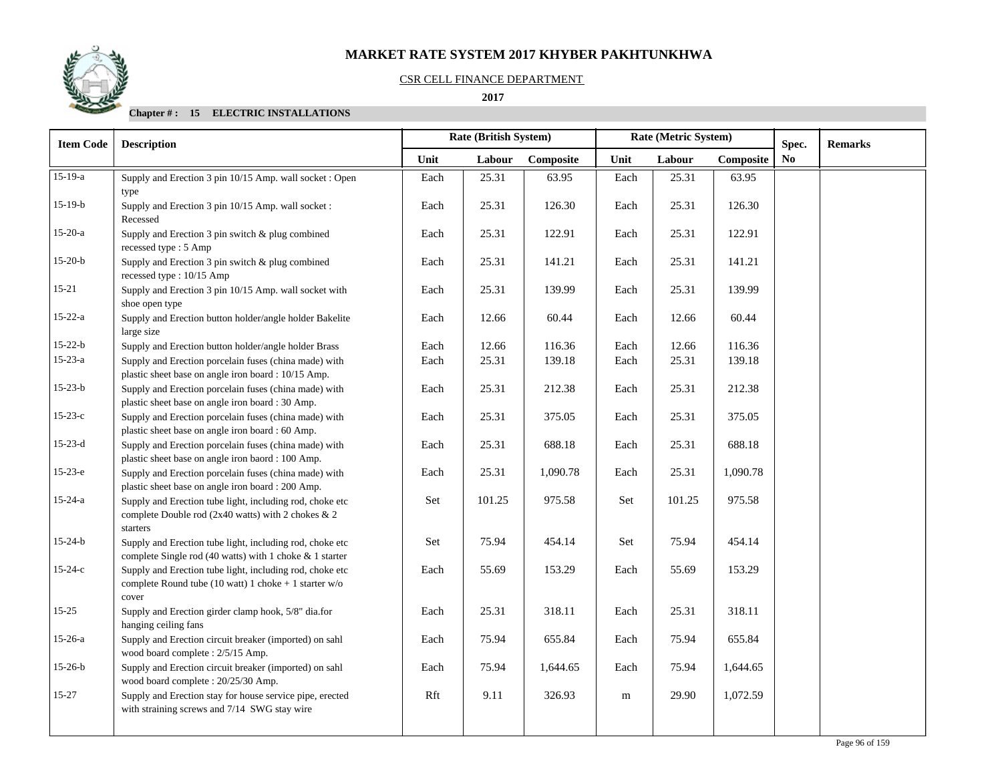## CSR CELL FINANCE DEPARTMENT

#### **2017**

| <b>Item Code</b> | <b>Description</b>                                                                                                           |      | <b>Rate (British System)</b> |           |      | Rate (Metric System) |           | Spec. | <b>Remarks</b> |
|------------------|------------------------------------------------------------------------------------------------------------------------------|------|------------------------------|-----------|------|----------------------|-----------|-------|----------------|
|                  |                                                                                                                              | Unit | Labour                       | Composite | Unit | Labour               | Composite | No.   |                |
| $15-19-a$        | Supply and Erection 3 pin 10/15 Amp. wall socket: Open<br>type                                                               | Each | 25.31                        | 63.95     | Each | 25.31                | 63.95     |       |                |
| $15-19-b$        | Supply and Erection 3 pin 10/15 Amp. wall socket :<br>Recessed                                                               | Each | 25.31                        | 126.30    | Each | 25.31                | 126.30    |       |                |
| $15-20-a$        | Supply and Erection 3 pin switch & plug combined<br>recessed type: 5 Amp                                                     | Each | 25.31                        | 122.91    | Each | 25.31                | 122.91    |       |                |
| $15-20-b$        | Supply and Erection 3 pin switch & plug combined<br>recessed type: 10/15 Amp                                                 | Each | 25.31                        | 141.21    | Each | 25.31                | 141.21    |       |                |
| $15 - 21$        | Supply and Erection 3 pin 10/15 Amp. wall socket with<br>shoe open type                                                      | Each | 25.31                        | 139.99    | Each | 25.31                | 139.99    |       |                |
| $15 - 22 - a$    | Supply and Erection button holder/angle holder Bakelite<br>large size                                                        | Each | 12.66                        | 60.44     | Each | 12.66                | 60.44     |       |                |
| $15 - 22 - b$    | Supply and Erection button holder/angle holder Brass                                                                         | Each | 12.66                        | 116.36    | Each | 12.66                | 116.36    |       |                |
| $15 - 23 - a$    | Supply and Erection porcelain fuses (china made) with<br>plastic sheet base on angle iron board : 10/15 Amp.                 | Each | 25.31                        | 139.18    | Each | 25.31                | 139.18    |       |                |
| $15 - 23 - b$    | Supply and Erection porcelain fuses (china made) with<br>plastic sheet base on angle iron board : 30 Amp.                    | Each | 25.31                        | 212.38    | Each | 25.31                | 212.38    |       |                |
| $15-23-c$        | Supply and Erection porcelain fuses (china made) with<br>plastic sheet base on angle iron board : 60 Amp.                    | Each | 25.31                        | 375.05    | Each | 25.31                | 375.05    |       |                |
| $15-23-d$        | Supply and Erection porcelain fuses (china made) with<br>plastic sheet base on angle iron baord : 100 Amp.                   | Each | 25.31                        | 688.18    | Each | 25.31                | 688.18    |       |                |
| $15-23-e$        | Supply and Erection porcelain fuses (china made) with<br>plastic sheet base on angle iron board : 200 Amp.                   | Each | 25.31                        | 1,090.78  | Each | 25.31                | 1,090.78  |       |                |
| $15 - 24 - a$    | Supply and Erection tube light, including rod, choke etc<br>complete Double rod (2x40 watts) with 2 chokes & 2<br>starters   | Set  | 101.25                       | 975.58    | Set  | 101.25               | 975.58    |       |                |
| $15 - 24 - b$    | Supply and Erection tube light, including rod, choke etc<br>complete Single rod (40 watts) with 1 choke & 1 starter          | Set  | 75.94                        | 454.14    | Set  | 75.94                | 454.14    |       |                |
| $15 - 24 - c$    | Supply and Erection tube light, including rod, choke etc<br>complete Round tube (10 watt) 1 choke $+$ 1 starter w/o<br>cover | Each | 55.69                        | 153.29    | Each | 55.69                | 153.29    |       |                |
| $15 - 25$        | Supply and Erection girder clamp hook, 5/8" dia.for<br>hanging ceiling fans                                                  | Each | 25.31                        | 318.11    | Each | 25.31                | 318.11    |       |                |
| $15-26-a$        | Supply and Erection circuit breaker (imported) on sahl<br>wood board complete: 2/5/15 Amp.                                   | Each | 75.94                        | 655.84    | Each | 75.94                | 655.84    |       |                |
| $15-26-b$        | Supply and Erection circuit breaker (imported) on sahl<br>wood board complete : 20/25/30 Amp.                                | Each | 75.94                        | 1,644.65  | Each | 75.94                | 1,644.65  |       |                |
| $15 - 27$        | Supply and Erection stay for house service pipe, erected<br>with straining screws and 7/14 SWG stay wire                     | Rft  | 9.11                         | 326.93    | m    | 29.90                | 1,072.59  |       |                |

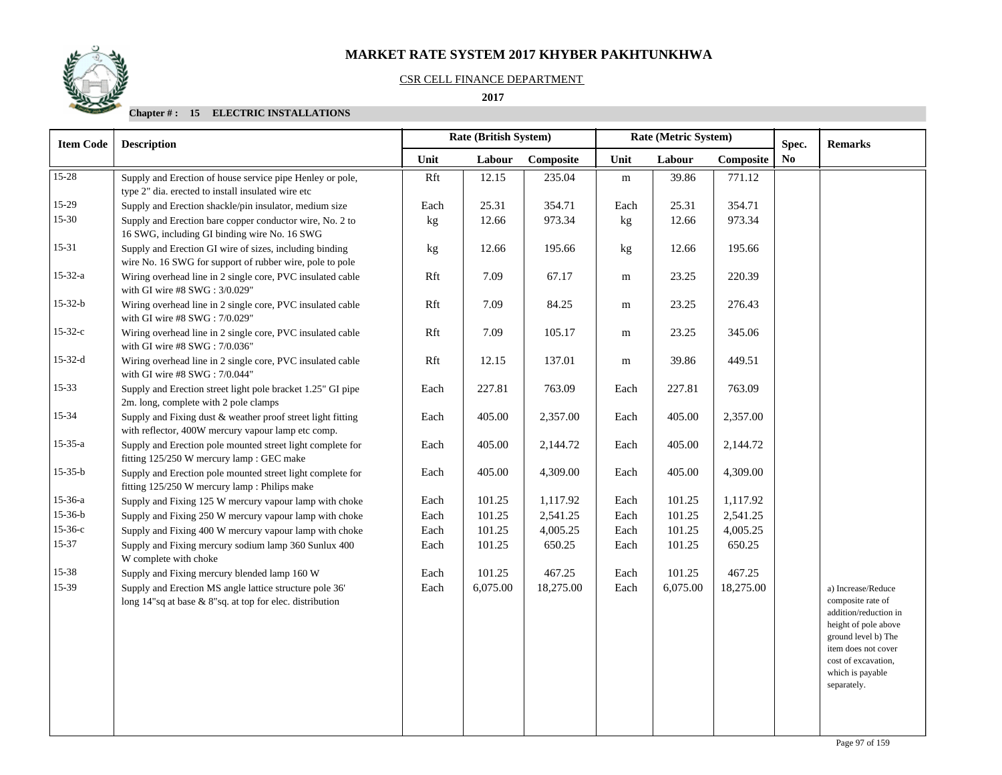## CSR CELL FINANCE DEPARTMENT

#### **2017**

| <b>Item Code</b> | <b>Description</b>                                                                                                  |      |          | <b>Rate (British System)</b> |           |          | Rate (Metric System) |                         |                                                                                                                                                               |  |
|------------------|---------------------------------------------------------------------------------------------------------------------|------|----------|------------------------------|-----------|----------|----------------------|-------------------------|---------------------------------------------------------------------------------------------------------------------------------------------------------------|--|
|                  |                                                                                                                     | Unit | Labour   | Composite                    | Unit      | Labour   | Composite            | Spec.<br>N <sub>0</sub> | <b>Remarks</b>                                                                                                                                                |  |
| 15-28            | Supply and Erection of house service pipe Henley or pole,<br>type 2" dia. erected to install insulated wire etc     | Rft  | 12.15    | 235.04                       | ${\rm m}$ | 39.86    | 771.12               |                         |                                                                                                                                                               |  |
| $15-29$          | Supply and Erection shackle/pin insulator, medium size                                                              | Each | 25.31    | 354.71                       | Each      | 25.31    | 354.71               |                         |                                                                                                                                                               |  |
| 15-30            | Supply and Erection bare copper conductor wire, No. 2 to<br>16 SWG, including GI binding wire No. 16 SWG            | kg   | 12.66    | 973.34                       | kg        | 12.66    | 973.34               |                         |                                                                                                                                                               |  |
| 15-31            | Supply and Erection GI wire of sizes, including binding<br>wire No. 16 SWG for support of rubber wire, pole to pole | kg   | 12.66    | 195.66                       | kg        | 12.66    | 195.66               |                         |                                                                                                                                                               |  |
| $15 - 32 - a$    | Wiring overhead line in 2 single core, PVC insulated cable<br>with GI wire #8 SWG: 3/0.029"                         | Rft  | 7.09     | 67.17                        | ${\bf m}$ | 23.25    | 220.39               |                         |                                                                                                                                                               |  |
| $15 - 32 - b$    | Wiring overhead line in 2 single core, PVC insulated cable<br>with GI wire #8 SWG: 7/0.029"                         | Rft  | 7.09     | 84.25                        | m         | 23.25    | 276.43               |                         |                                                                                                                                                               |  |
| $15 - 32 - c$    | Wiring overhead line in 2 single core, PVC insulated cable<br>with GI wire #8 SWG: 7/0.036"                         | Rft  | 7.09     | 105.17                       | m         | 23.25    | 345.06               |                         |                                                                                                                                                               |  |
| $15 - 32 - d$    | Wiring overhead line in 2 single core, PVC insulated cable<br>with GI wire #8 SWG: 7/0.044"                         | Rft  | 12.15    | 137.01                       | m         | 39.86    | 449.51               |                         |                                                                                                                                                               |  |
| $15 - 33$        | Supply and Erection street light pole bracket 1.25" GI pipe<br>2m. long, complete with 2 pole clamps                | Each | 227.81   | 763.09                       | Each      | 227.81   | 763.09               |                         |                                                                                                                                                               |  |
| 15-34            | Supply and Fixing dust & weather proof street light fitting<br>with reflector, 400W mercury vapour lamp etc comp.   | Each | 405.00   | 2,357.00                     | Each      | 405.00   | 2,357.00             |                         |                                                                                                                                                               |  |
| $15 - 35 - a$    | Supply and Erection pole mounted street light complete for<br>fitting 125/250 W mercury lamp: GEC make              | Each | 405.00   | 2,144.72                     | Each      | 405.00   | 2,144.72             |                         |                                                                                                                                                               |  |
| $15 - 35 - b$    | Supply and Erection pole mounted street light complete for<br>fitting 125/250 W mercury lamp : Philips make         | Each | 405.00   | 4,309.00                     | Each      | 405.00   | 4,309.00             |                         |                                                                                                                                                               |  |
| 15-36-a          | Supply and Fixing 125 W mercury vapour lamp with choke                                                              | Each | 101.25   | 1,117.92                     | Each      | 101.25   | 1,117.92             |                         |                                                                                                                                                               |  |
| $15 - 36 - b$    | Supply and Fixing 250 W mercury vapour lamp with choke                                                              | Each | 101.25   | 2,541.25                     | Each      | 101.25   | 2,541.25             |                         |                                                                                                                                                               |  |
| $15 - 36 - c$    | Supply and Fixing 400 W mercury vapour lamp with choke                                                              | Each | 101.25   | 4,005.25                     | Each      | 101.25   | 4,005.25             |                         |                                                                                                                                                               |  |
| 15-37            | Supply and Fixing mercury sodium lamp 360 Sunlux 400<br>W complete with choke                                       | Each | 101.25   | 650.25                       | Each      | 101.25   | 650.25               |                         |                                                                                                                                                               |  |
| 15-38            | Supply and Fixing mercury blended lamp 160 W                                                                        | Each | 101.25   | 467.25                       | Each      | 101.25   | 467.25               |                         |                                                                                                                                                               |  |
| 15-39            | Supply and Erection MS angle lattice structure pole 36'<br>long 14"sq at base & 8"sq. at top for elec. distribution | Each | 6,075.00 | 18,275.00                    | Each      | 6,075.00 | 18,275.00            |                         | a) Increase/Reduce<br>composite rate of<br>addition/reduction in<br>height of pole above<br>ground level b) The<br>item does not cover<br>cost of excavation, |  |
|                  |                                                                                                                     |      |          |                              |           |          |                      |                         | which is payable<br>separately.                                                                                                                               |  |

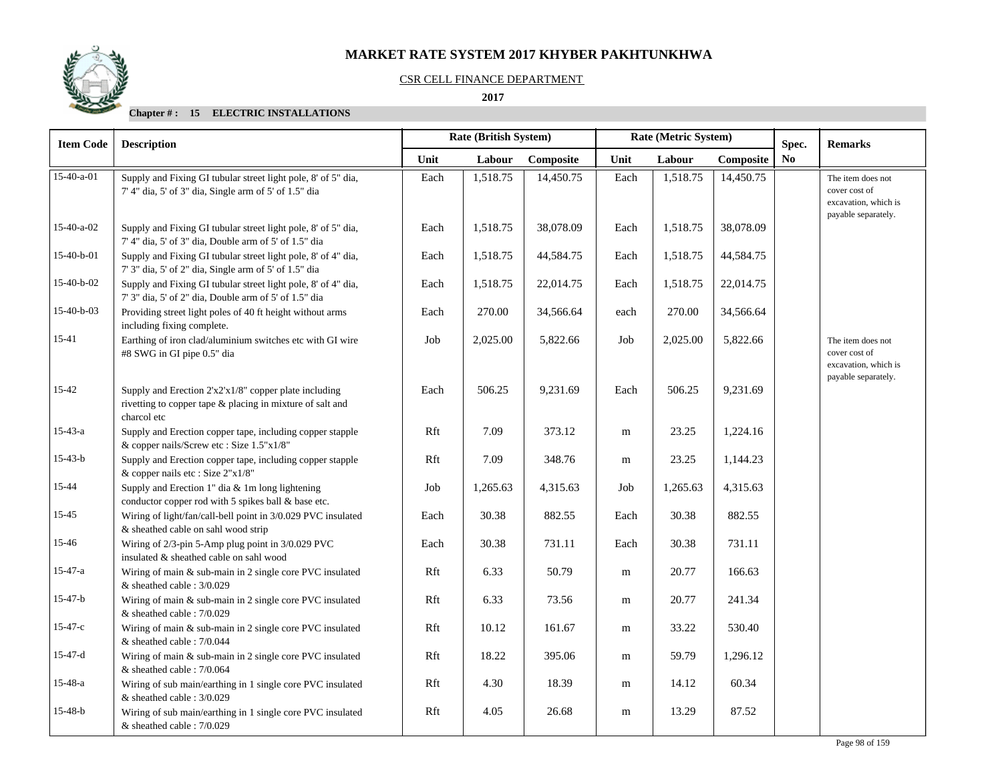### CSR CELL FINANCE DEPARTMENT

#### **2017**

| <b>Item Code</b> | <b>Description</b>                                                                                                                | <b>Rate (British System)</b><br>Rate (Metric System) |          |           |      |          | Spec.     | <b>Remarks</b> |                                                                                   |
|------------------|-----------------------------------------------------------------------------------------------------------------------------------|------------------------------------------------------|----------|-----------|------|----------|-----------|----------------|-----------------------------------------------------------------------------------|
|                  |                                                                                                                                   | Unit                                                 | Labour   | Composite | Unit | Labour   | Composite | N <sub>0</sub> |                                                                                   |
| 15-40-a-01       | Supply and Fixing GI tubular street light pole, 8' of 5" dia,<br>7' 4" dia, 5' of 3" dia, Single arm of 5' of 1.5" dia            | Each                                                 | 1,518.75 | 14,450.75 | Each | 1,518.75 | 14,450.75 |                | The item does not<br>cover cost of<br>excavation, which is<br>payable separately. |
| 15-40-a-02       | Supply and Fixing GI tubular street light pole, 8' of 5" dia,<br>7' 4" dia, 5' of 3" dia, Double arm of 5' of 1.5" dia            | Each                                                 | 1,518.75 | 38,078.09 | Each | 1,518.75 | 38,078.09 |                |                                                                                   |
| 15-40-b-01       | Supply and Fixing GI tubular street light pole, 8' of 4" dia,<br>7' 3" dia, 5' of 2" dia, Single arm of 5' of 1.5" dia            | Each                                                 | 1,518.75 | 44,584.75 | Each | 1,518.75 | 44,584.75 |                |                                                                                   |
| 15-40-b-02       | Supply and Fixing GI tubular street light pole, 8' of 4" dia,<br>7' 3" dia, 5' of 2" dia, Double arm of 5' of 1.5" dia            | Each                                                 | 1,518.75 | 22,014.75 | Each | 1,518.75 | 22,014.75 |                |                                                                                   |
| 15-40-b-03       | Providing street light poles of 40 ft height without arms<br>including fixing complete.                                           | Each                                                 | 270.00   | 34,566.64 | each | 270.00   | 34,566.64 |                |                                                                                   |
| $15 - 41$        | Earthing of iron clad/aluminium switches etc with GI wire<br>#8 SWG in GI pipe 0.5" dia                                           | Job                                                  | 2,025.00 | 5,822.66  | Job  | 2,025.00 | 5,822.66  |                | The item does not<br>cover cost of<br>excavation, which is<br>payable separately. |
| 15-42            | Supply and Erection 2'x2'x1/8" copper plate including<br>rivetting to copper tape & placing in mixture of salt and<br>charcol etc | Each                                                 | 506.25   | 9,231.69  | Each | 506.25   | 9,231.69  |                |                                                                                   |
| $15 - 43 - a$    | Supply and Erection copper tape, including copper stapple<br>& copper nails/Screw etc: Size 1.5"x1/8"                             | Rft                                                  | 7.09     | 373.12    | m    | 23.25    | 1,224.16  |                |                                                                                   |
| $15-43-b$        | Supply and Erection copper tape, including copper stapple<br>& copper nails etc : Size 2"x1/8"                                    | Rft                                                  | 7.09     | 348.76    | m    | 23.25    | 1,144.23  |                |                                                                                   |
| 15-44            | Supply and Erection 1" dia $&$ 1m long lightening<br>conductor copper rod with 5 spikes ball & base etc.                          | Job                                                  | 1,265.63 | 4,315.63  | Job  | 1,265.63 | 4,315.63  |                |                                                                                   |
| $15 - 45$        | Wiring of light/fan/call-bell point in 3/0.029 PVC insulated<br>& sheathed cable on sahl wood strip                               | Each                                                 | 30.38    | 882.55    | Each | 30.38    | 882.55    |                |                                                                                   |
| 15-46            | Wiring of 2/3-pin 5-Amp plug point in 3/0.029 PVC<br>insulated & sheathed cable on sahl wood                                      | Each                                                 | 30.38    | 731.11    | Each | 30.38    | 731.11    |                |                                                                                   |
| $15 - 47 - a$    | Wiring of main & sub-main in 2 single core PVC insulated<br>& sheathed cable : 3/0.029                                            | Rft                                                  | 6.33     | 50.79     | m    | 20.77    | 166.63    |                |                                                                                   |
| $15-47-b$        | Wiring of main & sub-main in 2 single core PVC insulated<br>& sheathed cable : $7/0.029$                                          | Rft                                                  | 6.33     | 73.56     | m    | 20.77    | 241.34    |                |                                                                                   |
| $15 - 47 - c$    | Wiring of main & sub-main in 2 single core PVC insulated<br>& sheathed cable : $7/0.044$                                          | Rft                                                  | 10.12    | 161.67    | m    | 33.22    | 530.40    |                |                                                                                   |
| $15-47-d$        | Wiring of main $&$ sub-main in 2 single core PVC insulated<br>& sheathed cable : 7/0.064                                          | Rft                                                  | 18.22    | 395.06    | m    | 59.79    | 1,296.12  |                |                                                                                   |
| $15 - 48 - a$    | Wiring of sub main/earthing in 1 single core PVC insulated<br>& sheathed cable : 3/0.029                                          | Rft                                                  | 4.30     | 18.39     | m    | 14.12    | 60.34     |                |                                                                                   |
| $15-48-b$        | Wiring of sub main/earthing in 1 single core PVC insulated<br>& sheathed cable: 7/0.029                                           | Rft                                                  | 4.05     | 26.68     | m    | 13.29    | 87.52     |                |                                                                                   |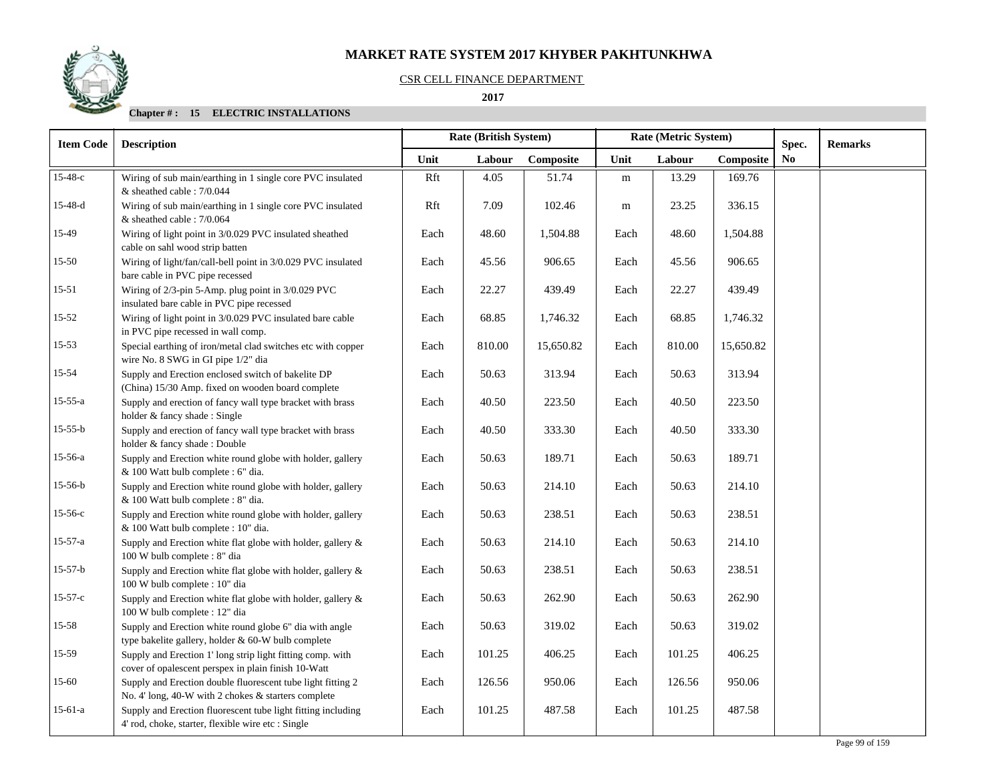## CSR CELL FINANCE DEPARTMENT

#### **2017**

| <b>Item Code</b> | <b>Description</b>                                                                                                 |      | Rate (British System) |           | Rate (Metric System) |        |           | Spec. | <b>Remarks</b> |
|------------------|--------------------------------------------------------------------------------------------------------------------|------|-----------------------|-----------|----------------------|--------|-----------|-------|----------------|
|                  |                                                                                                                    | Unit | Labour                | Composite | Unit                 | Labour | Composite | No.   |                |
| $15 - 48 - c$    | Wiring of sub main/earthing in 1 single core PVC insulated<br>& sheathed cable : 7/0.044                           | Rft  | 4.05                  | 51.74     | m                    | 13.29  | 169.76    |       |                |
| $15-48-d$        | Wiring of sub main/earthing in 1 single core PVC insulated<br>& sheathed cable: 7/0.064                            | Rft  | 7.09                  | 102.46    | m                    | 23.25  | 336.15    |       |                |
| 15-49            | Wiring of light point in 3/0.029 PVC insulated sheathed<br>cable on sahl wood strip batten                         | Each | 48.60                 | 1,504.88  | Each                 | 48.60  | 1,504.88  |       |                |
| $15 - 50$        | Wiring of light/fan/call-bell point in 3/0.029 PVC insulated<br>bare cable in PVC pipe recessed                    | Each | 45.56                 | 906.65    | Each                 | 45.56  | 906.65    |       |                |
| 15-51            | Wiring of 2/3-pin 5-Amp. plug point in 3/0.029 PVC<br>insulated bare cable in PVC pipe recessed                    | Each | 22.27                 | 439.49    | Each                 | 22.27  | 439.49    |       |                |
| $15 - 52$        | Wiring of light point in 3/0.029 PVC insulated bare cable<br>in PVC pipe recessed in wall comp.                    | Each | 68.85                 | 1,746.32  | Each                 | 68.85  | 1,746.32  |       |                |
| $15 - 53$        | Special earthing of iron/metal clad switches etc with copper<br>wire No. 8 SWG in GI pipe 1/2" dia                 | Each | 810.00                | 15,650.82 | Each                 | 810.00 | 15,650.82 |       |                |
| 15-54            | Supply and Erection enclosed switch of bakelite DP<br>(China) 15/30 Amp. fixed on wooden board complete            | Each | 50.63                 | 313.94    | Each                 | 50.63  | 313.94    |       |                |
| $15 - 55 - a$    | Supply and erection of fancy wall type bracket with brass<br>holder & fancy shade: Single                          | Each | 40.50                 | 223.50    | Each                 | 40.50  | 223.50    |       |                |
| $15 - 55 - b$    | Supply and erection of fancy wall type bracket with brass<br>holder & fancy shade: Double                          | Each | 40.50                 | 333.30    | Each                 | 40.50  | 333.30    |       |                |
| 15-56-a          | Supply and Erection white round globe with holder, gallery<br>& 100 Watt bulb complete : 6" dia.                   | Each | 50.63                 | 189.71    | Each                 | 50.63  | 189.71    |       |                |
| $15-56-b$        | Supply and Erection white round globe with holder, gallery<br>& 100 Watt bulb complete : 8" dia.                   | Each | 50.63                 | 214.10    | Each                 | 50.63  | 214.10    |       |                |
| $15-56-c$        | Supply and Erection white round globe with holder, gallery<br>& 100 Watt bulb complete : 10" dia.                  | Each | 50.63                 | 238.51    | Each                 | 50.63  | 238.51    |       |                |
| $15 - 57 - a$    | Supply and Erection white flat globe with holder, gallery &<br>100 W bulb complete : 8" dia                        | Each | 50.63                 | 214.10    | Each                 | 50.63  | 214.10    |       |                |
| $15-57-b$        | Supply and Erection white flat globe with holder, gallery &<br>100 W bulb complete : 10" dia                       | Each | 50.63                 | 238.51    | Each                 | 50.63  | 238.51    |       |                |
| $15 - 57 - c$    | Supply and Erection white flat globe with holder, gallery &<br>100 W bulb complete : 12" dia                       | Each | 50.63                 | 262.90    | Each                 | 50.63  | 262.90    |       |                |
| 15-58            | Supply and Erection white round globe 6" dia with angle<br>type bakelite gallery, holder & 60-W bulb complete      | Each | 50.63                 | 319.02    | Each                 | 50.63  | 319.02    |       |                |
| 15-59            | Supply and Erection 1' long strip light fitting comp. with<br>cover of opalescent perspex in plain finish 10-Watt  | Each | 101.25                | 406.25    | Each                 | 101.25 | 406.25    |       |                |
| 15-60            | Supply and Erection double fluorescent tube light fitting 2<br>No. 4' long, 40-W with 2 chokes & starters complete | Each | 126.56                | 950.06    | Each                 | 126.56 | 950.06    |       |                |
| $15-61-a$        | Supply and Erection fluorescent tube light fitting including<br>4' rod, choke, starter, flexible wire etc : Single | Each | 101.25                | 487.58    | Each                 | 101.25 | 487.58    |       |                |

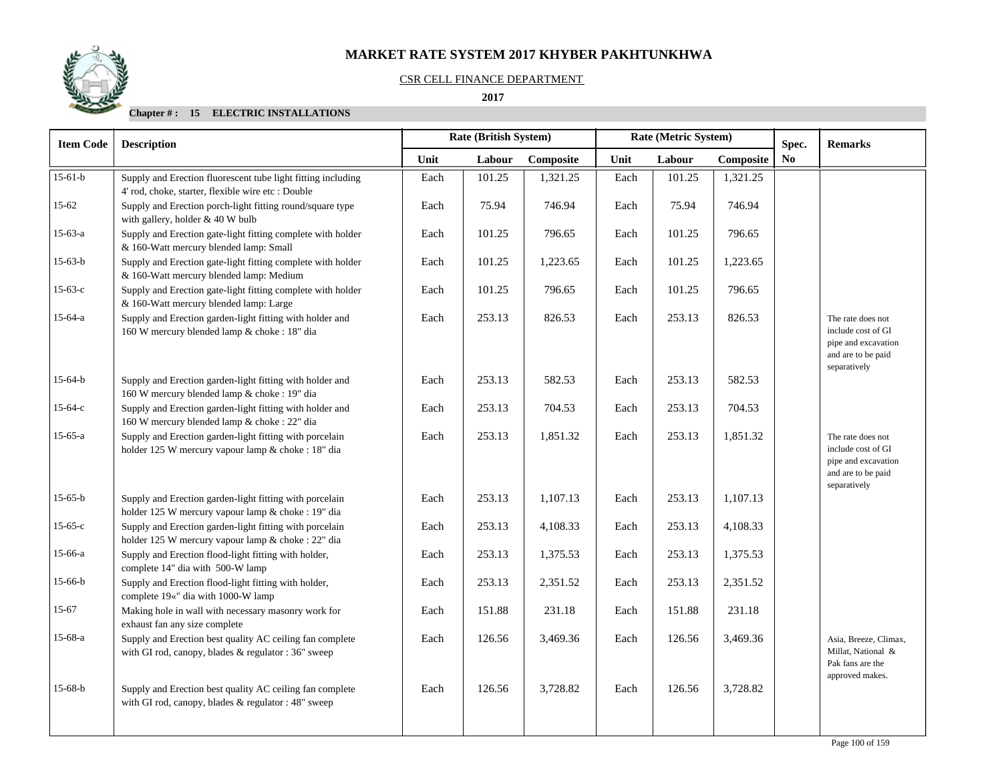## CSR CELL FINANCE DEPARTMENT

#### **2017**

| <b>Item Code</b> | <b>Description</b>                                                                                                 |      | <b>Rate (British System)</b> |           | Rate (Metric System) |        |           | Spec.          | <b>Remarks</b>                                                                                       |
|------------------|--------------------------------------------------------------------------------------------------------------------|------|------------------------------|-----------|----------------------|--------|-----------|----------------|------------------------------------------------------------------------------------------------------|
|                  |                                                                                                                    | Unit | Labour                       | Composite | Unit                 | Labour | Composite | N <sub>0</sub> |                                                                                                      |
| $15-61-b$        | Supply and Erection fluorescent tube light fitting including<br>4' rod, choke, starter, flexible wire etc : Double | Each | 101.25                       | 1,321.25  | Each                 | 101.25 | 1,321.25  |                |                                                                                                      |
| $15 - 62$        | Supply and Erection porch-light fitting round/square type<br>with gallery, holder & 40 W bulb                      | Each | 75.94                        | 746.94    | Each                 | 75.94  | 746.94    |                |                                                                                                      |
| 15-63-a          | Supply and Erection gate-light fitting complete with holder<br>& 160-Watt mercury blended lamp: Small              | Each | 101.25                       | 796.65    | Each                 | 101.25 | 796.65    |                |                                                                                                      |
| 15-63-b          | Supply and Erection gate-light fitting complete with holder<br>& 160-Watt mercury blended lamp: Medium             | Each | 101.25                       | 1,223.65  | Each                 | 101.25 | 1,223.65  |                |                                                                                                      |
| $15-63-c$        | Supply and Erection gate-light fitting complete with holder<br>& 160-Watt mercury blended lamp: Large              | Each | 101.25                       | 796.65    | Each                 | 101.25 | 796.65    |                |                                                                                                      |
| $15-64-a$        | Supply and Erection garden-light fitting with holder and<br>160 W mercury blended lamp & choke : 18" dia           | Each | 253.13                       | 826.53    | Each                 | 253.13 | 826.53    |                | The rate does not<br>include cost of GI<br>pipe and excavation<br>and are to be paid<br>separatively |
| 15-64-b          | Supply and Erection garden-light fitting with holder and<br>160 W mercury blended lamp & choke : 19" dia           | Each | 253.13                       | 582.53    | Each                 | 253.13 | 582.53    |                |                                                                                                      |
| $15-64-c$        | Supply and Erection garden-light fitting with holder and<br>160 W mercury blended lamp & choke : 22" dia           | Each | 253.13                       | 704.53    | Each                 | 253.13 | 704.53    |                |                                                                                                      |
| $15-65-a$        | Supply and Erection garden-light fitting with porcelain<br>holder 125 W mercury vapour lamp & choke : 18" dia      | Each | 253.13                       | 1,851.32  | Each                 | 253.13 | 1,851.32  |                | The rate does not<br>include cost of GI<br>pipe and excavation<br>and are to be paid<br>separatively |
| $15-65-b$        | Supply and Erection garden-light fitting with porcelain<br>holder 125 W mercury vapour lamp & choke : 19" dia      | Each | 253.13                       | 1.107.13  | Each                 | 253.13 | 1,107.13  |                |                                                                                                      |
| $15-65-c$        | Supply and Erection garden-light fitting with porcelain<br>holder 125 W mercury vapour lamp & choke : 22" dia      | Each | 253.13                       | 4,108.33  | Each                 | 253.13 | 4,108.33  |                |                                                                                                      |
| 15-66-a          | Supply and Erection flood-light fitting with holder,<br>complete 14" dia with 500-W lamp                           | Each | 253.13                       | 1,375.53  | Each                 | 253.13 | 1,375.53  |                |                                                                                                      |
| 15-66-b          | Supply and Erection flood-light fitting with holder,<br>complete 19«" dia with 1000-W lamp                         | Each | 253.13                       | 2,351.52  | Each                 | 253.13 | 2,351.52  |                |                                                                                                      |
| 15-67            | Making hole in wall with necessary masonry work for<br>exhaust fan any size complete                               | Each | 151.88                       | 231.18    | Each                 | 151.88 | 231.18    |                |                                                                                                      |
| 15-68-a          | Supply and Erection best quality AC ceiling fan complete<br>with GI rod, canopy, blades & regulator : 36" sweep    | Each | 126.56                       | 3,469.36  | Each                 | 126.56 | 3,469.36  |                | Asia, Breeze, Climax,<br>Millat, National &<br>Pak fans are the                                      |
| $15-68-b$        | Supply and Erection best quality AC ceiling fan complete<br>with GI rod, canopy, blades & regulator : 48" sweep    | Each | 126.56                       | 3,728.82  | Each                 | 126.56 | 3,728.82  |                | approved makes.                                                                                      |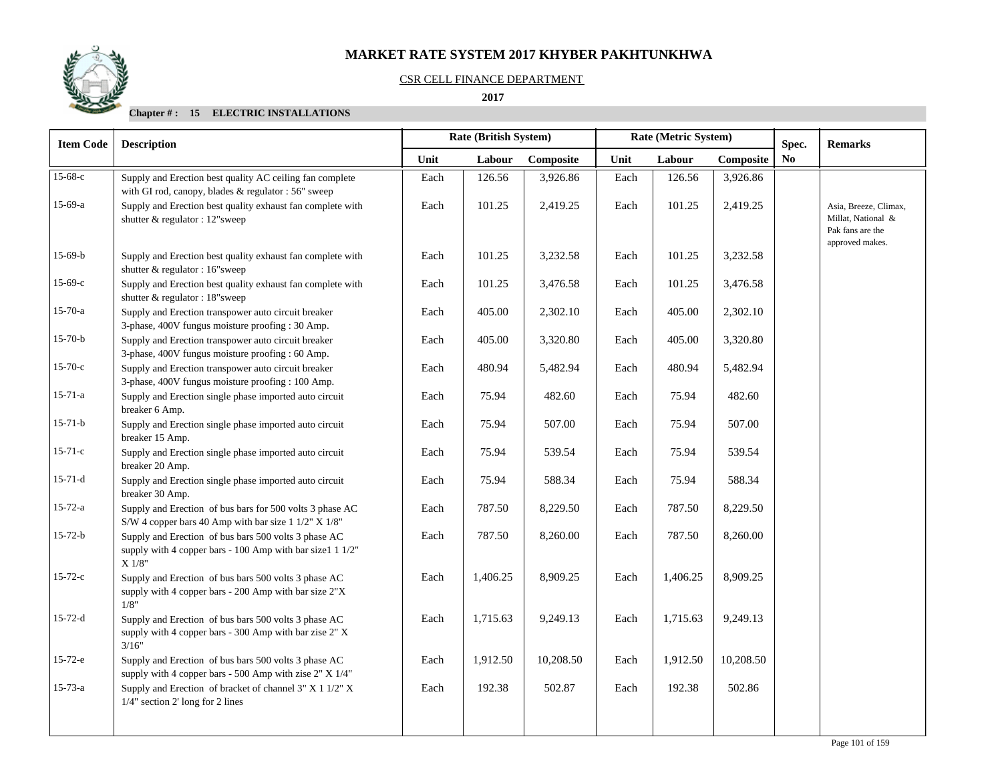#### CSR CELL FINANCE DEPARTMENT

 **2017** 

| <b>Item Code</b> | <b>Description</b>                                                                                                          | Rate (British System) |          |           | Rate (Metric System) |          |           |                |                                                                                    |  | Spec. | <b>Remarks</b> |
|------------------|-----------------------------------------------------------------------------------------------------------------------------|-----------------------|----------|-----------|----------------------|----------|-----------|----------------|------------------------------------------------------------------------------------|--|-------|----------------|
|                  |                                                                                                                             | Unit                  | Labour   | Composite | Unit                 | Labour   | Composite | N <sub>0</sub> |                                                                                    |  |       |                |
| 15-68-с          | Supply and Erection best quality AC ceiling fan complete<br>with GI rod, canopy, blades & regulator : 56" sweep             | Each                  | 126.56   | 3,926.86  | Each                 | 126.56   | 3,926.86  |                |                                                                                    |  |       |                |
| $15-69-a$        | Supply and Erection best quality exhaust fan complete with<br>shutter & regulator : 12"sweep                                | Each                  | 101.25   | 2,419.25  | Each                 | 101.25   | 2,419.25  |                | Asia, Breeze, Climax,<br>Millat, National &<br>Pak fans are the<br>approved makes. |  |       |                |
| $15-69-b$        | Supply and Erection best quality exhaust fan complete with<br>shutter & regulator : 16"sweep                                | Each                  | 101.25   | 3,232.58  | Each                 | 101.25   | 3,232.58  |                |                                                                                    |  |       |                |
| $15-69-c$        | Supply and Erection best quality exhaust fan complete with<br>shutter & regulator : 18"sweep                                | Each                  | 101.25   | 3,476.58  | Each                 | 101.25   | 3,476.58  |                |                                                                                    |  |       |                |
| $15 - 70 - a$    | Supply and Erection transpower auto circuit breaker<br>3-phase, 400V fungus moisture proofing : 30 Amp.                     | Each                  | 405.00   | 2,302.10  | Each                 | 405.00   | 2,302.10  |                |                                                                                    |  |       |                |
| $15 - 70 - b$    | Supply and Erection transpower auto circuit breaker<br>3-phase, 400V fungus moisture proofing : 60 Amp.                     | Each                  | 405.00   | 3,320.80  | Each                 | 405.00   | 3,320.80  |                |                                                                                    |  |       |                |
| $15 - 70 - c$    | Supply and Erection transpower auto circuit breaker<br>3-phase, 400V fungus moisture proofing : 100 Amp.                    | Each                  | 480.94   | 5,482.94  | Each                 | 480.94   | 5,482.94  |                |                                                                                    |  |       |                |
| $15 - 71 - a$    | Supply and Erection single phase imported auto circuit<br>breaker 6 Amp.                                                    | Each                  | 75.94    | 482.60    | Each                 | 75.94    | 482.60    |                |                                                                                    |  |       |                |
| $15 - 71 - b$    | Supply and Erection single phase imported auto circuit<br>breaker 15 Amp.                                                   | Each                  | 75.94    | 507.00    | Each                 | 75.94    | 507.00    |                |                                                                                    |  |       |                |
| $15 - 71 - c$    | Supply and Erection single phase imported auto circuit<br>breaker 20 Amp.                                                   | Each                  | 75.94    | 539.54    | Each                 | 75.94    | 539.54    |                |                                                                                    |  |       |                |
| $15 - 71 - d$    | Supply and Erection single phase imported auto circuit<br>breaker 30 Amp.                                                   | Each                  | 75.94    | 588.34    | Each                 | 75.94    | 588.34    |                |                                                                                    |  |       |                |
| $15 - 72 - a$    | Supply and Erection of bus bars for 500 volts 3 phase AC<br>S/W 4 copper bars 40 Amp with bar size 1 1/2" X 1/8"            | Each                  | 787.50   | 8,229.50  | Each                 | 787.50   | 8,229.50  |                |                                                                                    |  |       |                |
| $15-72-b$        | Supply and Erection of bus bars 500 volts 3 phase AC<br>supply with 4 copper bars - 100 Amp with bar size1 1 1/2"<br>X 1/8" | Each                  | 787.50   | 8,260.00  | Each                 | 787.50   | 8,260.00  |                |                                                                                    |  |       |                |
| $15 - 72 - c$    | Supply and Erection of bus bars 500 volts 3 phase AC<br>supply with 4 copper bars - 200 Amp with bar size 2"X<br>1/8"       | Each                  | 1,406.25 | 8,909.25  | Each                 | 1,406.25 | 8,909.25  |                |                                                                                    |  |       |                |
| $15 - 72 - d$    | Supply and Erection of bus bars 500 volts 3 phase AC<br>supply with 4 copper bars - 300 Amp with bar zise 2" X<br>3/16"     | Each                  | 1,715.63 | 9,249.13  | Each                 | 1,715.63 | 9,249.13  |                |                                                                                    |  |       |                |
| $15 - 72 - e$    | Supply and Erection of bus bars 500 volts 3 phase AC<br>supply with 4 copper bars - 500 Amp with zise 2" X 1/4"             | Each                  | 1,912.50 | 10,208.50 | Each                 | 1,912.50 | 10,208.50 |                |                                                                                    |  |       |                |
| $15 - 73 - a$    | Supply and Erection of bracket of channel $3'' X 1 1/2'' X$<br>1/4" section 2' long for 2 lines                             | Each                  | 192.38   | 502.87    | Each                 | 192.38   | 502.86    |                |                                                                                    |  |       |                |
|                  |                                                                                                                             |                       |          |           |                      |          |           |                |                                                                                    |  |       |                |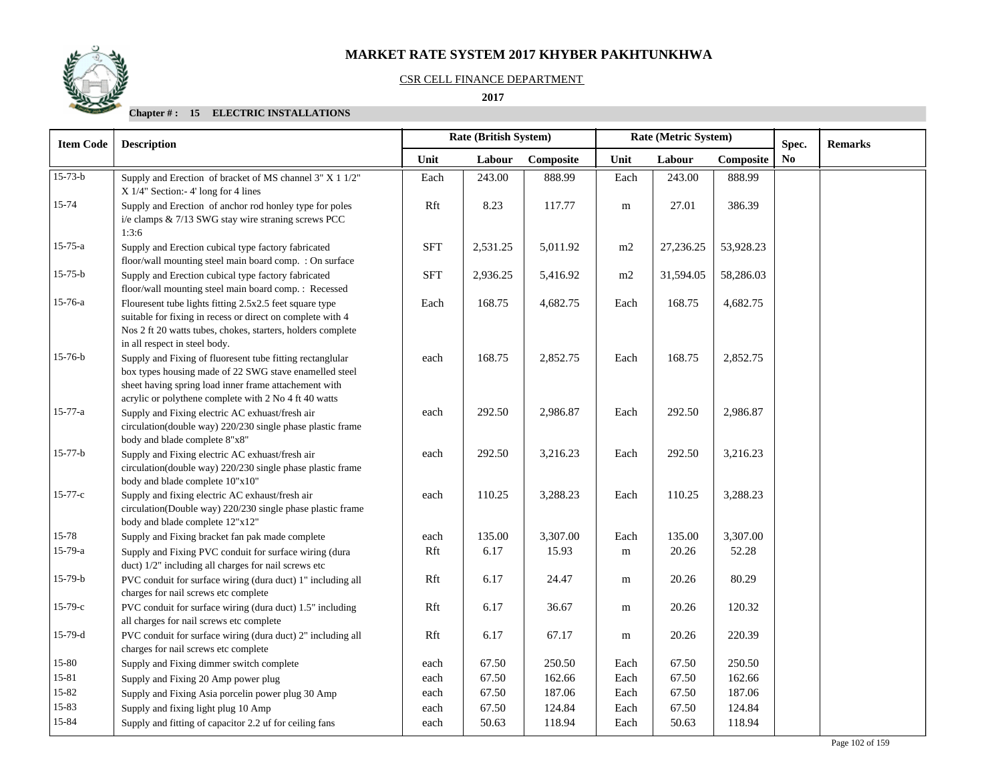## CSR CELL FINANCE DEPARTMENT

#### **2017**

| <b>Item Code</b>   | <b>Description</b>                                                                                                                                                                                                                    |             | Rate (British System) |                   | Rate (Metric System) |                 |                   | Spec.          | <b>Remarks</b> |
|--------------------|---------------------------------------------------------------------------------------------------------------------------------------------------------------------------------------------------------------------------------------|-------------|-----------------------|-------------------|----------------------|-----------------|-------------------|----------------|----------------|
|                    |                                                                                                                                                                                                                                       | Unit        | Labour                | Composite         | Unit                 | Labour          | Composite         | N <sub>0</sub> |                |
| $15 - 73 - b$      | Supply and Erection of bracket of MS channel 3" X 1 1/2"<br>$X$ 1/4" Section:-4' long for 4 lines                                                                                                                                     | Each        | 243.00                | 888.99            | Each                 | 243.00          | 888.99            |                |                |
| 15-74              | Supply and Erection of anchor rod honley type for poles<br>i/e clamps & 7/13 SWG stay wire straning screws PCC<br>1:3:6                                                                                                               | Rft         | 8.23                  | 117.77            | ${\bf m}$            | 27.01           | 386.39            |                |                |
| $15 - 75 - a$      | Supply and Erection cubical type factory fabricated<br>floor/wall mounting steel main board comp. : On surface                                                                                                                        | <b>SFT</b>  | 2,531.25              | 5,011.92          | m2                   | 27,236.25       | 53,928.23         |                |                |
| $15 - 75 - b$      | Supply and Erection cubical type factory fabricated<br>floor/wall mounting steel main board comp. : Recessed                                                                                                                          | <b>SFT</b>  | 2,936.25              | 5,416.92          | m2                   | 31,594.05       | 58,286.03         |                |                |
| 15-76-a            | Flouresent tube lights fitting 2.5x2.5 feet square type<br>suitable for fixing in recess or direct on complete with 4<br>Nos 2 ft 20 watts tubes, chokes, starters, holders complete<br>in all respect in steel body.                 | Each        | 168.75                | 4,682.75          | Each                 | 168.75          | 4,682.75          |                |                |
| 15-76-b            | Supply and Fixing of fluoresent tube fitting rectanglular<br>box types housing made of 22 SWG stave enamelled steel<br>sheet having spring load inner frame attachement with<br>acrylic or polythene complete with 2 No 4 ft 40 watts | each        | 168.75                | 2,852.75          | Each                 | 168.75          | 2,852.75          |                |                |
| $15 - 77 - a$      | Supply and Fixing electric AC exhuast/fresh air<br>circulation(double way) 220/230 single phase plastic frame<br>body and blade complete 8"x8"                                                                                        | each        | 292.50                | 2,986.87          | Each                 | 292.50          | 2,986.87          |                |                |
| 15-77-b            | Supply and Fixing electric AC exhuast/fresh air<br>circulation(double way) 220/230 single phase plastic frame<br>body and blade complete 10"x10"                                                                                      | each        | 292.50                | 3,216.23          | Each                 | 292.50          | 3,216.23          |                |                |
| $15 - 77 - c$      | Supply and fixing electric AC exhaust/fresh air<br>circulation(Double way) 220/230 single phase plastic frame<br>body and blade complete 12"x12"                                                                                      | each        | 110.25                | 3,288.23          | Each                 | 110.25          | 3,288.23          |                |                |
| 15-78<br>$15-79-a$ | Supply and Fixing bracket fan pak made complete<br>Supply and Fixing PVC conduit for surface wiring (dura                                                                                                                             | each<br>Rft | 135.00<br>6.17        | 3,307.00<br>15.93 | Each<br>m            | 135.00<br>20.26 | 3,307.00<br>52.28 |                |                |
| $15-79-b$          | duct) 1/2" including all charges for nail screws etc                                                                                                                                                                                  |             | 6.17                  |                   |                      | 20.26           | 80.29             |                |                |
|                    | PVC conduit for surface wiring (dura duct) 1" including all<br>charges for nail screws etc complete                                                                                                                                   | Rft         |                       | 24.47             | m                    |                 |                   |                |                |
| $15-79-c$          | PVC conduit for surface wiring (dura duct) 1.5" including<br>all charges for nail screws etc complete                                                                                                                                 | Rft         | 6.17                  | 36.67             | m                    | 20.26           | 120.32            |                |                |
| 15-79-d            | PVC conduit for surface wiring (dura duct) 2" including all<br>charges for nail screws etc complete                                                                                                                                   | Rft         | 6.17                  | 67.17             | m                    | 20.26           | 220.39            |                |                |
| 15-80              | Supply and Fixing dimmer switch complete                                                                                                                                                                                              | each        | 67.50                 | 250.50            | Each                 | 67.50           | 250.50            |                |                |
| 15-81              | Supply and Fixing 20 Amp power plug                                                                                                                                                                                                   | each        | 67.50                 | 162.66            | Each                 | 67.50           | 162.66            |                |                |
| 15-82              | Supply and Fixing Asia porcelin power plug 30 Amp                                                                                                                                                                                     | each        | 67.50                 | 187.06            | Each                 | 67.50           | 187.06            |                |                |
| 15-83              | Supply and fixing light plug 10 Amp                                                                                                                                                                                                   | each        | 67.50                 | 124.84            | Each                 | 67.50           | 124.84            |                |                |
| 15-84              | Supply and fitting of capacitor 2.2 uf for ceiling fans                                                                                                                                                                               | each        | 50.63                 | 118.94            | Each                 | 50.63           | 118.94            |                |                |

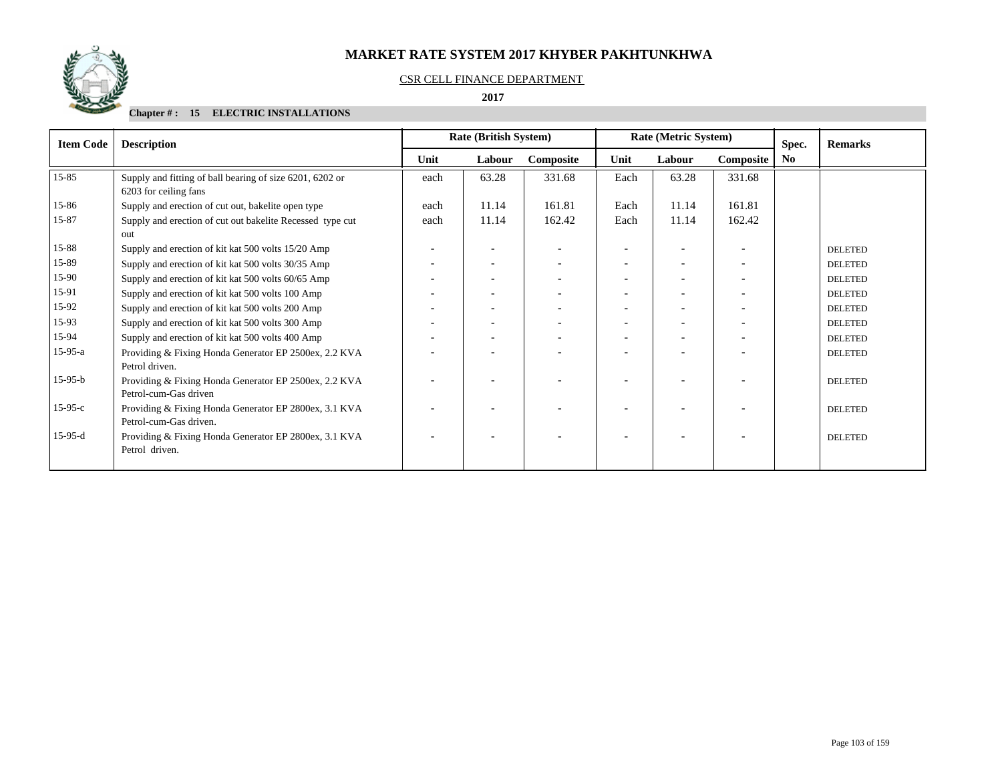

#### CSR CELL FINANCE DEPARTMENT

#### **2017**

| <b>Item Code</b> | <b>Description</b>                                                                |      | <b>Rate (British System)</b> |           |      | Rate (Metric System) |                          | Spec. | <b>Remarks</b> |
|------------------|-----------------------------------------------------------------------------------|------|------------------------------|-----------|------|----------------------|--------------------------|-------|----------------|
|                  |                                                                                   | Unit | Labour                       | Composite | Unit | Labour               | Composite                | No.   |                |
| 15-85            | Supply and fitting of ball bearing of size 6201, 6202 or<br>6203 for ceiling fans | each | 63.28                        | 331.68    | Each | 63.28                | 331.68                   |       |                |
| 15-86            | Supply and erection of cut out, bakelite open type                                | each | 11.14                        | 161.81    | Each | 11.14                | 161.81                   |       |                |
| 15-87            | Supply and erection of cut out bakelite Recessed type cut<br><b>out</b>           | each | 11.14                        | 162.42    | Each | 11.14                | 162.42                   |       |                |
| 15-88            | Supply and erection of kit kat 500 volts 15/20 Amp                                |      | $\overline{\phantom{a}}$     |           |      |                      |                          |       | <b>DELETED</b> |
| 15-89            | Supply and erection of kit kat 500 volts 30/35 Amp                                |      | $\overline{\phantom{a}}$     |           |      |                      |                          |       | <b>DELETED</b> |
| 15-90            | Supply and erection of kit kat 500 volts 60/65 Amp                                |      | $\overline{\phantom{a}}$     |           |      |                      |                          |       | <b>DELETED</b> |
| 15-91            | Supply and erection of kit kat 500 volts 100 Amp                                  |      | $\overline{\phantom{a}}$     |           |      |                      |                          |       | <b>DELETED</b> |
| 15-92            | Supply and erection of kit kat 500 volts 200 Amp                                  |      | $\overline{\phantom{a}}$     |           |      |                      |                          |       | <b>DELETED</b> |
| 15-93            | Supply and erection of kit kat 500 volts 300 Amp                                  |      | $\overline{\phantom{a}}$     |           |      |                      | $\overline{\phantom{a}}$ |       | <b>DELETED</b> |
| 15-94            | Supply and erection of kit kat 500 volts 400 Amp                                  |      |                              |           |      |                      |                          |       | <b>DELETED</b> |
| $15-95-a$        | Providing & Fixing Honda Generator EP 2500ex, 2.2 KVA<br>Petrol driven.           |      |                              |           |      |                      |                          |       | <b>DELETED</b> |
| $15-95-b$        | Providing & Fixing Honda Generator EP 2500ex, 2.2 KVA<br>Petrol-cum-Gas driven    |      |                              |           |      |                      |                          |       | <b>DELETED</b> |
| $15-95-c$        | Providing & Fixing Honda Generator EP 2800ex, 3.1 KVA<br>Petrol-cum-Gas driven.   |      | $\overline{\phantom{a}}$     |           |      |                      |                          |       | <b>DELETED</b> |
| $15-95-d$        | Providing & Fixing Honda Generator EP 2800ex, 3.1 KVA<br>Petrol driven.           |      |                              |           |      |                      |                          |       | <b>DELETED</b> |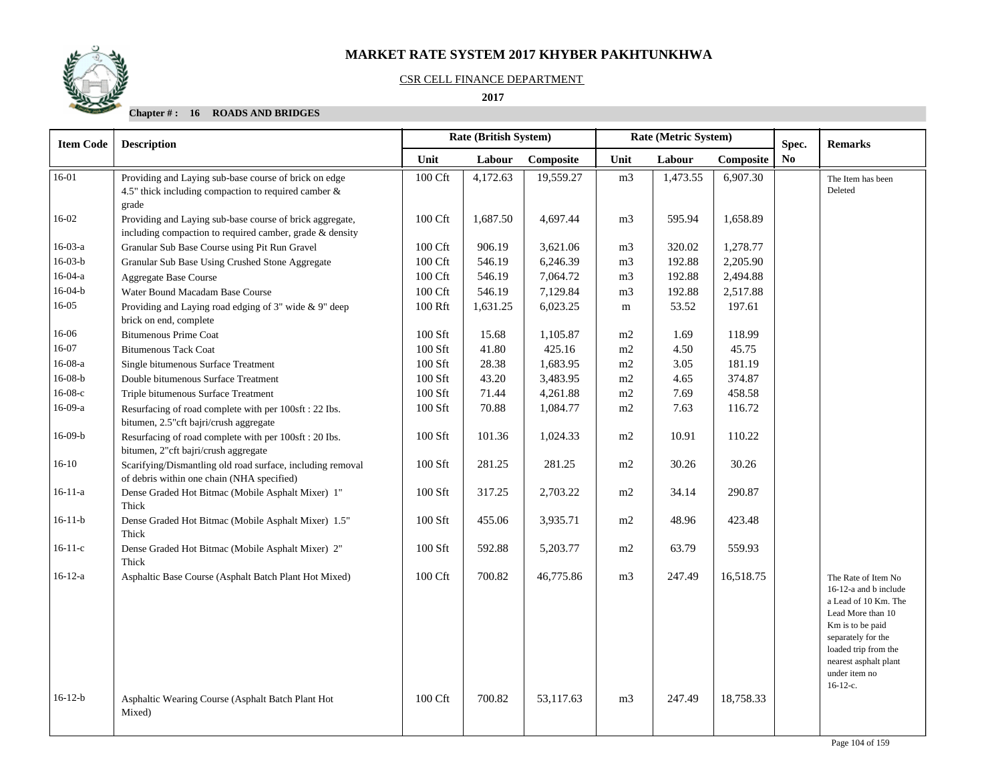#### CSR CELL FINANCE DEPARTMENT

 **2017** 

| <b>Item Code</b> | <b>Description</b>                                                                                                      | <b>Rate (British System)</b>                  |          |           |                | Rate (Metric System) | Spec.     | <b>Remarks</b> |                                                                                                                                                                                                                     |
|------------------|-------------------------------------------------------------------------------------------------------------------------|-----------------------------------------------|----------|-----------|----------------|----------------------|-----------|----------------|---------------------------------------------------------------------------------------------------------------------------------------------------------------------------------------------------------------------|
|                  |                                                                                                                         | Unit<br>Labour<br>Composite<br>Labour<br>Unit |          | Composite | No             |                      |           |                |                                                                                                                                                                                                                     |
| 16-01            | Providing and Laying sub-base course of brick on edge<br>4.5" thick including compaction to required camber &<br>grade  | 100 Cft                                       | 4,172.63 | 19,559.27 | m <sub>3</sub> | 1,473.55             | 6,907.30  |                | The Item has been<br>Deleted                                                                                                                                                                                        |
| 16-02            | Providing and Laying sub-base course of brick aggregate,<br>including compaction to required camber, grade $\&$ density | 100 Cft                                       | 1,687.50 | 4,697.44  | m <sub>3</sub> | 595.94               | 1,658.89  |                |                                                                                                                                                                                                                     |
| $16-03-a$        | Granular Sub Base Course using Pit Run Gravel                                                                           | 100 Cft                                       | 906.19   | 3,621.06  | m <sub>3</sub> | 320.02               | 1,278.77  |                |                                                                                                                                                                                                                     |
| $16-03-b$        | Granular Sub Base Using Crushed Stone Aggregate                                                                         | 100 Cft                                       | 546.19   | 6,246.39  | m <sub>3</sub> | 192.88               | 2,205.90  |                |                                                                                                                                                                                                                     |
| $16-04-a$        | <b>Aggregate Base Course</b>                                                                                            | 100 Cft                                       | 546.19   | 7,064.72  | m <sub>3</sub> | 192.88               | 2,494.88  |                |                                                                                                                                                                                                                     |
| $16-04-b$        | Water Bound Macadam Base Course                                                                                         | 100 Cft                                       | 546.19   | 7,129.84  | m <sub>3</sub> | 192.88               | 2,517.88  |                |                                                                                                                                                                                                                     |
| 16-05            | Providing and Laying road edging of 3" wide & 9" deep<br>brick on end, complete                                         | 100 Rft                                       | 1,631.25 | 6,023.25  | m              | 53.52                | 197.61    |                |                                                                                                                                                                                                                     |
| 16-06            | <b>Bitumenous Prime Coat</b>                                                                                            | $100$ Sft                                     | 15.68    | 1,105.87  | m <sub>2</sub> | 1.69                 | 118.99    |                |                                                                                                                                                                                                                     |
| 16-07            | <b>Bitumenous Tack Coat</b>                                                                                             | $100$ Sft                                     | 41.80    | 425.16    | m2             | 4.50                 | 45.75     |                |                                                                                                                                                                                                                     |
| $16-08-a$        | Single bitumenous Surface Treatment                                                                                     | 100 Sft                                       | 28.38    | 1,683.95  | m2             | 3.05                 | 181.19    |                |                                                                                                                                                                                                                     |
| $16-08-b$        | Double bitumenous Surface Treatment                                                                                     | 100 Sft                                       | 43.20    | 3,483.95  | m2             | 4.65                 | 374.87    |                |                                                                                                                                                                                                                     |
| $16-08-c$        | Triple bitumenous Surface Treatment                                                                                     | 100 Sft                                       | 71.44    | 4,261.88  | m2             | 7.69                 | 458.58    |                |                                                                                                                                                                                                                     |
| $16-09-a$        | Resurfacing of road complete with per 100sft : 22 Ibs.<br>bitumen, 2.5" cft bajri/crush aggregate                       | 100 Sft                                       | 70.88    | 1,084.77  | m2             | 7.63                 | 116.72    |                |                                                                                                                                                                                                                     |
| $16-09-b$        | Resurfacing of road complete with per 100sft : 20 Ibs.<br>bitumen, 2"cft bajri/crush aggregate                          | 100 Sft                                       | 101.36   | 1,024.33  | m2             | 10.91                | 110.22    |                |                                                                                                                                                                                                                     |
| $16-10$          | Scarifying/Dismantling old road surface, including removal<br>of debris within one chain (NHA specified)                | $100$ Sft                                     | 281.25   | 281.25    | m2             | 30.26                | 30.26     |                |                                                                                                                                                                                                                     |
| $16 - 11 - a$    | Dense Graded Hot Bitmac (Mobile Asphalt Mixer) 1"<br>Thick                                                              | 100 Sft                                       | 317.25   | 2,703.22  | m2             | 34.14                | 290.87    |                |                                                                                                                                                                                                                     |
| $16-11-b$        | Dense Graded Hot Bitmac (Mobile Asphalt Mixer) 1.5"<br>Thick                                                            | 100 Sft                                       | 455.06   | 3,935.71  | m2             | 48.96                | 423.48    |                |                                                                                                                                                                                                                     |
| $16-11-c$        | Dense Graded Hot Bitmac (Mobile Asphalt Mixer) 2"<br>Thick                                                              | 100 Sft                                       | 592.88   | 5,203.77  | m2             | 63.79                | 559.93    |                |                                                                                                                                                                                                                     |
| $16-12-a$        | Asphaltic Base Course (Asphalt Batch Plant Hot Mixed)                                                                   | 100 Cft                                       | 700.82   | 46,775.86 | m <sub>3</sub> | 247.49               | 16,518.75 |                | The Rate of Item No<br>16-12-a and b include<br>a Lead of 10 Km. The<br>Lead More than 10<br>Km is to be paid<br>separately for the<br>loaded trip from the<br>nearest asphalt plant<br>under item no<br>$16-12-c.$ |
| $16-12-b$        | Asphaltic Wearing Course (Asphalt Batch Plant Hot<br>Mixed)                                                             | 100 Cft                                       | 700.82   | 53.117.63 | m <sub>3</sub> | 247.49               | 18,758.33 |                |                                                                                                                                                                                                                     |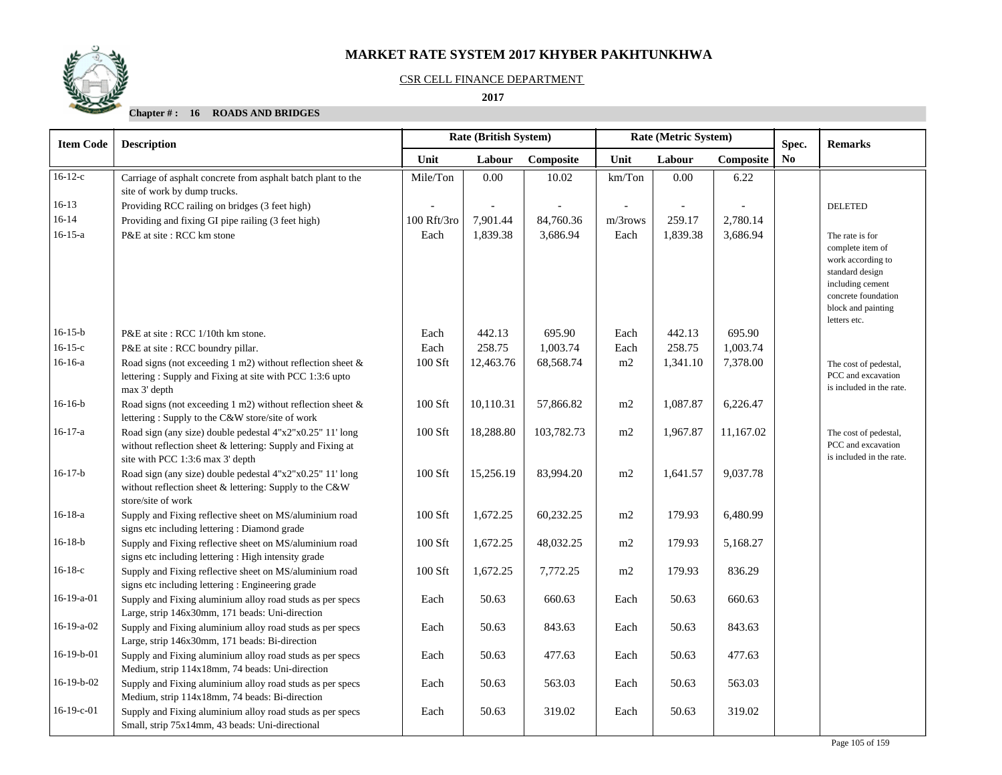

#### CSR CELL FINANCE DEPARTMENT

 **2017** 

| <b>Item Code</b> | <b>Description</b>                                                                                                                                          | Rate (British System) |           |            |            | Rate (Metric System) |           | Spec.          | <b>Remarks</b>                                                                                                                                               |
|------------------|-------------------------------------------------------------------------------------------------------------------------------------------------------------|-----------------------|-----------|------------|------------|----------------------|-----------|----------------|--------------------------------------------------------------------------------------------------------------------------------------------------------------|
|                  |                                                                                                                                                             | Unit                  | Labour    | Composite  | Unit       | Labour               | Composite | N <sub>0</sub> |                                                                                                                                                              |
| $16-12-c$        | Carriage of asphalt concrete from asphalt batch plant to the<br>site of work by dump trucks.                                                                | Mile/Ton              | $0.00\,$  | 10.02      | km/ Ton    | 0.00                 | 6.22      |                |                                                                                                                                                              |
| $16-13$          | Providing RCC railing on bridges (3 feet high)                                                                                                              |                       |           |            |            |                      |           |                | <b>DELETED</b>                                                                                                                                               |
| $16 - 14$        | Providing and fixing GI pipe railing (3 feet high)                                                                                                          | 100 Rft/3ro           | 7,901.44  | 84,760.36  | $m/3$ rows | 259.17               | 2,780.14  |                |                                                                                                                                                              |
| $16 - 15 - a$    | P&E at site: RCC km stone                                                                                                                                   | Each                  | 1,839.38  | 3,686.94   | Each       | 1,839.38             | 3,686.94  |                | The rate is for<br>complete item of<br>work according to<br>standard design<br>including cement<br>concrete foundation<br>block and painting<br>letters etc. |
| $16-15-b$        | P&E at site: RCC 1/10th km stone.                                                                                                                           | Each                  | 442.13    | 695.90     | Each       | 442.13               | 695.90    |                |                                                                                                                                                              |
| $16-15-c$        | P&E at site : RCC boundry pillar.                                                                                                                           | Each                  | 258.75    | 1,003.74   | Each       | 258.75               | 1,003.74  |                |                                                                                                                                                              |
| $16-16-a$        | Road signs (not exceeding 1 m2) without reflection sheet $\&$<br>lettering: Supply and Fixing at site with PCC 1:3:6 upto<br>max 3' depth                   | 100 Sft               | 12,463.76 | 68,568.74  | m2         | 1,341.10             | 7,378.00  |                | The cost of pedestal,<br>PCC and excavation<br>is included in the rate.                                                                                      |
| $16-16-b$        | Road signs (not exceeding 1 m2) without reflection sheet $\&$<br>lettering: Supply to the C&W store/site of work                                            | 100 Sft               | 10,110.31 | 57,866.82  | m2         | 1,087.87             | 6,226.47  |                |                                                                                                                                                              |
| $16-17-a$        | Road sign (any size) double pedestal 4"x2"x0.25" 11' long<br>without reflection sheet & lettering: Supply and Fixing at<br>site with PCC 1:3:6 max 3' depth | 100 Sft               | 18,288.80 | 103,782.73 | m2         | 1,967.87             | 11,167.02 |                | The cost of pedestal,<br>PCC and excavation<br>is included in the rate.                                                                                      |
| $16-17-b$        | Road sign (any size) double pedestal 4"x2"x0.25" 11' long<br>without reflection sheet & lettering: Supply to the C&W<br>store/site of work                  | 100 Sft               | 15,256.19 | 83,994.20  | m2         | 1,641.57             | 9,037.78  |                |                                                                                                                                                              |
| $16-18-a$        | Supply and Fixing reflective sheet on MS/aluminium road<br>signs etc including lettering : Diamond grade                                                    | 100 Sft               | 1,672.25  | 60,232.25  | m2         | 179.93               | 6,480.99  |                |                                                                                                                                                              |
| $16-18-b$        | Supply and Fixing reflective sheet on MS/aluminium road<br>signs etc including lettering : High intensity grade                                             | 100 Sft               | 1,672.25  | 48,032.25  | m2         | 179.93               | 5,168.27  |                |                                                                                                                                                              |
| $16-18-c$        | Supply and Fixing reflective sheet on MS/aluminium road<br>signs etc including lettering : Engineering grade                                                | 100 Sft               | 1,672.25  | 7,772.25   | m2         | 179.93               | 836.29    |                |                                                                                                                                                              |
| 16-19-a-01       | Supply and Fixing aluminium alloy road studs as per specs<br>Large, strip 146x30mm, 171 beads: Uni-direction                                                | Each                  | 50.63     | 660.63     | Each       | 50.63                | 660.63    |                |                                                                                                                                                              |
| $16-19-a-02$     | Supply and Fixing aluminium alloy road studs as per specs<br>Large, strip 146x30mm, 171 beads: Bi-direction                                                 | Each                  | 50.63     | 843.63     | Each       | 50.63                | 843.63    |                |                                                                                                                                                              |
| 16-19-b-01       | Supply and Fixing aluminium alloy road studs as per specs<br>Medium, strip 114x18mm, 74 beads: Uni-direction                                                | Each                  | 50.63     | 477.63     | Each       | 50.63                | 477.63    |                |                                                                                                                                                              |
| 16-19-b-02       | Supply and Fixing aluminium alloy road studs as per specs<br>Medium, strip 114x18mm, 74 beads: Bi-direction                                                 | Each                  | 50.63     | 563.03     | Each       | 50.63                | 563.03    |                |                                                                                                                                                              |
| $16-19-c-01$     | Supply and Fixing aluminium alloy road studs as per specs<br>Small, strip 75x14mm, 43 beads: Uni-directional                                                | Each                  | 50.63     | 319.02     | Each       | 50.63                | 319.02    |                |                                                                                                                                                              |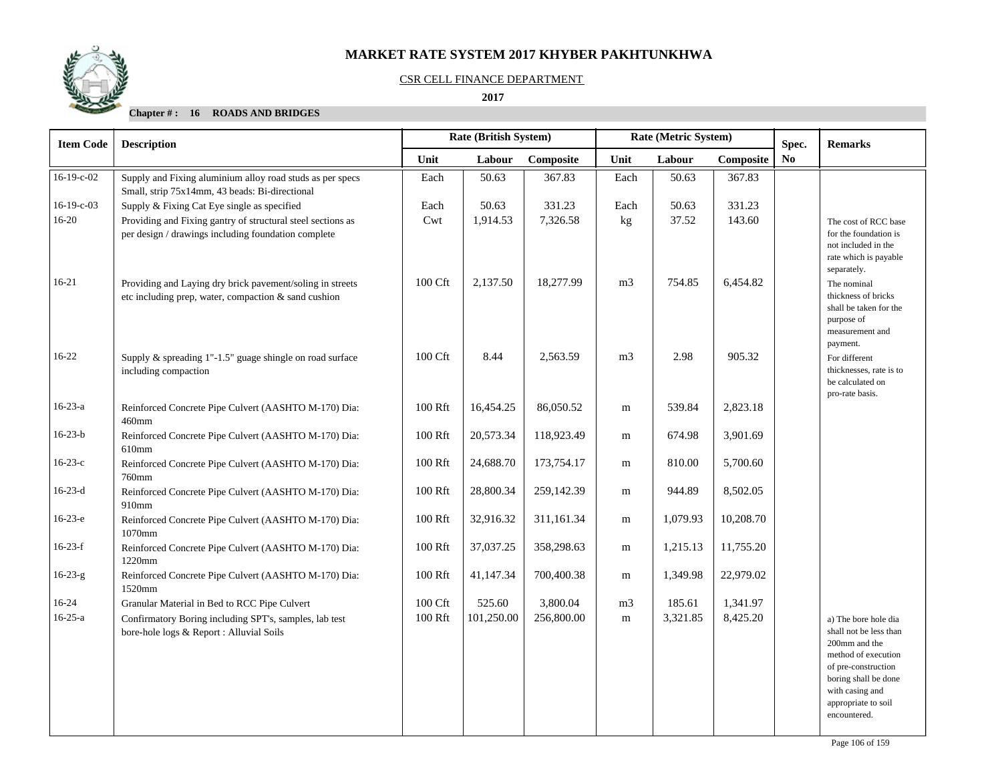

#### CSR CELL FINANCE DEPARTMENT

#### **2017**

| <b>Item Code</b> | <b>Description</b>                                                                                                 | Rate (British System)<br>Rate (Metric System) |            |            | Spec.          | <b>Remarks</b> |           |                |                                                                                                                                                                                                 |
|------------------|--------------------------------------------------------------------------------------------------------------------|-----------------------------------------------|------------|------------|----------------|----------------|-----------|----------------|-------------------------------------------------------------------------------------------------------------------------------------------------------------------------------------------------|
|                  |                                                                                                                    | Unit                                          | Labour     | Composite  | Unit           | Labour         | Composite | N <sub>0</sub> |                                                                                                                                                                                                 |
| 16-19-c-02       | Supply and Fixing aluminium alloy road studs as per specs<br>Small, strip 75x14mm, 43 beads: Bi-directional        | Each                                          | 50.63      | 367.83     | Each           | 50.63          | 367.83    |                |                                                                                                                                                                                                 |
| $16-19-c-03$     | Supply & Fixing Cat Eye single as specified                                                                        | Each                                          | 50.63      | 331.23     | Each           | 50.63          | 331.23    |                |                                                                                                                                                                                                 |
| $16 - 20$        | Providing and Fixing gantry of structural steel sections as<br>per design / drawings including foundation complete | Cwt                                           | 1,914.53   | 7,326.58   | kg             | 37.52          | 143.60    |                | The cost of RCC base<br>for the foundation is<br>not included in the<br>rate which is payable<br>separately.                                                                                    |
| $16 - 21$        | Providing and Laying dry brick pavement/soling in streets<br>etc including prep, water, compaction & sand cushion  | 100 Cft                                       | 2,137.50   | 18,277.99  | m <sub>3</sub> | 754.85         | 6,454.82  |                | The nominal<br>thickness of bricks<br>shall be taken for the<br>purpose of<br>measurement and<br>payment.                                                                                       |
| $16-22$          | Supply & spreading 1"-1.5" guage shingle on road surface<br>including compaction                                   | 100 Cft                                       | 8.44       | 2,563.59   | m <sub>3</sub> | 2.98           | 905.32    |                | For different<br>thicknesses, rate is to<br>be calculated on<br>pro-rate basis.                                                                                                                 |
| $16-23-a$        | Reinforced Concrete Pipe Culvert (AASHTO M-170) Dia:<br>460mm                                                      | 100 Rft                                       | 16,454.25  | 86,050.52  | ${\rm m}$      | 539.84         | 2,823.18  |                |                                                                                                                                                                                                 |
| $16 - 23 - b$    | Reinforced Concrete Pipe Culvert (AASHTO M-170) Dia:<br>610mm                                                      | 100 Rft                                       | 20,573.34  | 118,923.49 | m              | 674.98         | 3,901.69  |                |                                                                                                                                                                                                 |
| $16 - 23 - c$    | Reinforced Concrete Pipe Culvert (AASHTO M-170) Dia:<br>760mm                                                      | 100 Rft                                       | 24,688.70  | 173,754.17 | m              | 810.00         | 5,700.60  |                |                                                                                                                                                                                                 |
| $16-23-d$        | Reinforced Concrete Pipe Culvert (AASHTO M-170) Dia:<br>910mm                                                      | 100 Rft                                       | 28,800.34  | 259,142.39 | m              | 944.89         | 8,502.05  |                |                                                                                                                                                                                                 |
| $16-23-e$        | Reinforced Concrete Pipe Culvert (AASHTO M-170) Dia:<br>1070mm                                                     | 100 Rft                                       | 32,916.32  | 311,161.34 | m              | 1,079.93       | 10,208.70 |                |                                                                                                                                                                                                 |
| $16-23-f$        | Reinforced Concrete Pipe Culvert (AASHTO M-170) Dia:<br>1220mm                                                     | 100 Rft                                       | 37,037.25  | 358,298.63 | m              | 1,215.13       | 11,755.20 |                |                                                                                                                                                                                                 |
| $16-23-g$        | Reinforced Concrete Pipe Culvert (AASHTO M-170) Dia:<br>1520mm                                                     | 100 Rft                                       | 41,147.34  | 700,400.38 | m              | 1,349.98       | 22,979.02 |                |                                                                                                                                                                                                 |
| $16-24$          | Granular Material in Bed to RCC Pipe Culvert                                                                       | 100 Cft                                       | 525.60     | 3,800.04   | m <sub>3</sub> | 185.61         | 1,341.97  |                |                                                                                                                                                                                                 |
| $16 - 25 - a$    | Confirmatory Boring including SPT's, samples, lab test<br>bore-hole logs & Report : Alluvial Soils                 | 100 Rft                                       | 101,250.00 | 256,800.00 | ${\rm m}$      | 3,321.85       | 8,425.20  |                | a) The bore hole dia<br>shall not be less than<br>200mm and the<br>method of execution<br>of pre-construction<br>boring shall be done<br>with casing and<br>appropriate to soil<br>encountered. |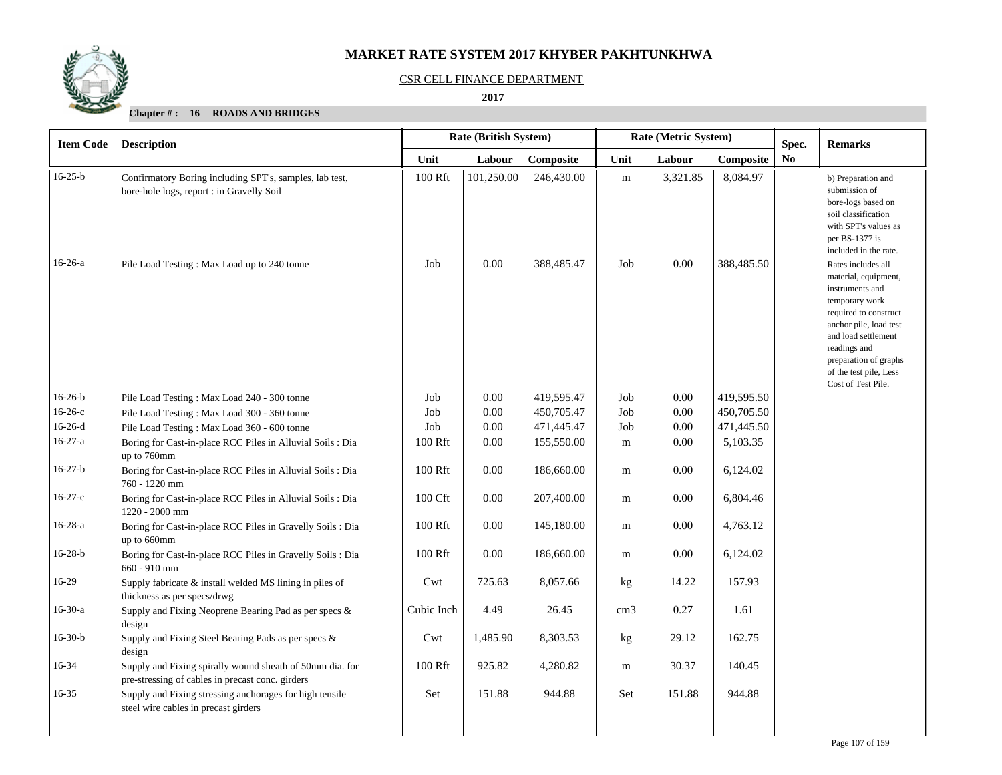

#### CSR CELL FINANCE DEPARTMENT

#### **2017**

| <b>Item Code</b> | <b>Description</b>                                                                                           |            | <b>Rate (British System)</b> |            | Rate (Metric System) |          |            | Spec.          | <b>Remarks</b>                                                                                                                                                                                                                                     |
|------------------|--------------------------------------------------------------------------------------------------------------|------------|------------------------------|------------|----------------------|----------|------------|----------------|----------------------------------------------------------------------------------------------------------------------------------------------------------------------------------------------------------------------------------------------------|
|                  |                                                                                                              | Unit       | Labour                       | Composite  | Unit                 | Labour   | Composite  | N <sub>0</sub> |                                                                                                                                                                                                                                                    |
| $16-25-b$        | Confirmatory Boring including SPT's, samples, lab test,<br>bore-hole logs, report : in Gravelly Soil         | 100 Rft    | 101,250.00                   | 246,430.00 | ${\bf m}$            | 3,321.85 | 8,084.97   |                | b) Preparation and<br>submission of<br>bore-logs based on<br>soil classification<br>with SPT's values as<br>per BS-1377 is<br>included in the rate.                                                                                                |
| $16-26-a$        | Pile Load Testing: Max Load up to 240 tonne                                                                  | Job        | 0.00                         | 388,485.47 | Job                  | 0.00     | 388,485.50 |                | Rates includes all<br>material, equipment,<br>instruments and<br>temporary work<br>required to construct<br>anchor pile, load test<br>and load settlement<br>readings and<br>preparation of graphs<br>of the test pile, Less<br>Cost of Test Pile. |
| $16-26-b$        | Pile Load Testing: Max Load 240 - 300 tonne                                                                  | Job        | $0.00\,$                     | 419,595.47 | Job                  | 0.00     | 419,595.50 |                |                                                                                                                                                                                                                                                    |
| $16-26-c$        | Pile Load Testing: Max Load 300 - 360 tonne                                                                  | Job        | 0.00                         | 450,705.47 | Job                  | 0.00     | 450,705.50 |                |                                                                                                                                                                                                                                                    |
| $16-26-d$        | Pile Load Testing: Max Load 360 - 600 tonne                                                                  | Job        | 0.00                         | 471,445.47 | Job                  | 0.00     | 471,445.50 |                |                                                                                                                                                                                                                                                    |
| $16-27-a$        | Boring for Cast-in-place RCC Piles in Alluvial Soils : Dia<br>up to 760mm                                    | 100 Rft    | 0.00                         | 155,550.00 | m                    | 0.00     | 5,103.35   |                |                                                                                                                                                                                                                                                    |
| $16-27-b$        | Boring for Cast-in-place RCC Piles in Alluvial Soils : Dia<br>760 - 1220 mm                                  | 100 Rft    | $0.00\,$                     | 186,660.00 | m                    | $0.00\,$ | 6,124.02   |                |                                                                                                                                                                                                                                                    |
| $16-27-c$        | Boring for Cast-in-place RCC Piles in Alluvial Soils : Dia<br>1220 - 2000 mm                                 | 100 Cft    | 0.00                         | 207,400.00 | m                    | 0.00     | 6,804.46   |                |                                                                                                                                                                                                                                                    |
| $16-28-a$        | Boring for Cast-in-place RCC Piles in Gravelly Soils : Dia<br>up to 660mm                                    | 100 Rft    | 0.00                         | 145,180.00 | m                    | 0.00     | 4,763.12   |                |                                                                                                                                                                                                                                                    |
| $16 - 28 - b$    | Boring for Cast-in-place RCC Piles in Gravelly Soils : Dia<br>660 - 910 mm                                   | 100 Rft    | 0.00                         | 186,660.00 | m                    | 0.00     | 6,124.02   |                |                                                                                                                                                                                                                                                    |
| 16-29            | Supply fabricate & install welded MS lining in piles of<br>thickness as per specs/drwg                       | Cwt        | 725.63                       | 8.057.66   | kg                   | 14.22    | 157.93     |                |                                                                                                                                                                                                                                                    |
| $16-30-a$        | Supply and Fixing Neoprene Bearing Pad as per specs &<br>design                                              | Cubic Inch | 4.49                         | 26.45      | cm <sub>3</sub>      | 0.27     | 1.61       |                |                                                                                                                                                                                                                                                    |
| $16-30-b$        | Supply and Fixing Steel Bearing Pads as per specs &<br>design                                                | Cwt        | 1,485.90                     | 8,303.53   | kg                   | 29.12    | 162.75     |                |                                                                                                                                                                                                                                                    |
| 16-34            | Supply and Fixing spirally wound sheath of 50mm dia. for<br>pre-stressing of cables in precast conc. girders | 100 Rft    | 925.82                       | 4,280.82   | m                    | 30.37    | 140.45     |                |                                                                                                                                                                                                                                                    |
| $16 - 35$        | Supply and Fixing stressing anchorages for high tensile<br>steel wire cables in precast girders              | Set        | 151.88                       | 944.88     | Set                  | 151.88   | 944.88     |                |                                                                                                                                                                                                                                                    |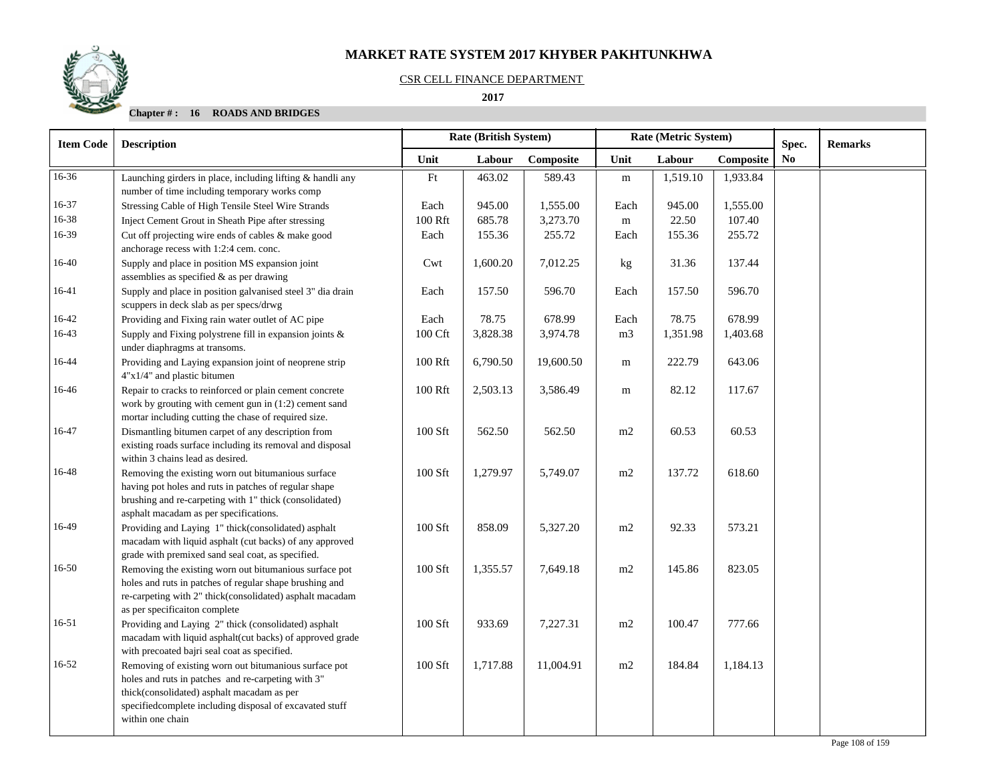### CSR CELL FINANCE DEPARTMENT

## **2017**

| <b>Item Code</b> | <b>Description</b>                                                                                                                                                                                                                       |         | Rate (British System) |           |                | Rate (Metric System) | Spec.     | <b>Remarks</b> |  |
|------------------|------------------------------------------------------------------------------------------------------------------------------------------------------------------------------------------------------------------------------------------|---------|-----------------------|-----------|----------------|----------------------|-----------|----------------|--|
|                  |                                                                                                                                                                                                                                          | Unit    | Labour                | Composite | Unit           | Labour               | Composite | N <sub>0</sub> |  |
| 16-36            | Launching girders in place, including lifting & handli any<br>number of time including temporary works comp                                                                                                                              | Ft      | 463.02                | 589.43    | ${\rm m}$      | 1,519.10             | 1,933.84  |                |  |
| 16-37            | Stressing Cable of High Tensile Steel Wire Strands                                                                                                                                                                                       | Each    | 945.00                | 1,555.00  | Each           | 945.00               | 1,555.00  |                |  |
| 16-38            | Inject Cement Grout in Sheath Pipe after stressing                                                                                                                                                                                       | 100 Rft | 685.78                | 3,273.70  | m              | 22.50                | 107.40    |                |  |
| 16-39            | Cut off projecting wire ends of cables & make good<br>anchorage recess with 1:2:4 cem. conc.                                                                                                                                             | Each    | 155.36                | 255.72    | Each           | 155.36               | 255.72    |                |  |
| 16-40            | Supply and place in position MS expansion joint<br>assemblies as specified & as per drawing                                                                                                                                              | Cwt     | 1,600.20              | 7,012.25  | kg             | 31.36                | 137.44    |                |  |
| 16-41            | Supply and place in position galvanised steel 3" dia drain<br>scuppers in deck slab as per specs/drwg                                                                                                                                    | Each    | 157.50                | 596.70    | Each           | 157.50               | 596.70    |                |  |
| 16-42            | Providing and Fixing rain water outlet of AC pipe                                                                                                                                                                                        | Each    | 78.75                 | 678.99    | Each           | 78.75                | 678.99    |                |  |
| 16-43            | Supply and Fixing polystrene fill in expansion joints &<br>under diaphragms at transoms.                                                                                                                                                 | 100 Cft | 3,828.38              | 3,974.78  | m <sub>3</sub> | 1,351.98             | 1,403.68  |                |  |
| 16-44            | Providing and Laying expansion joint of neoprene strip<br>4"x1/4" and plastic bitumen                                                                                                                                                    | 100 Rft | 6,790.50              | 19,600.50 | m              | 222.79               | 643.06    |                |  |
| 16-46            | Repair to cracks to reinforced or plain cement concrete<br>work by grouting with cement gun in (1:2) cement sand                                                                                                                         | 100 Rft | 2,503.13              | 3,586.49  | m              | 82.12                | 117.67    |                |  |
| 16-47            | mortar including cutting the chase of required size.<br>Dismantling bitumen carpet of any description from<br>existing roads surface including its removal and disposal<br>within 3 chains lead as desired.                              | 100 Sft | 562.50                | 562.50    | m2             | 60.53                | 60.53     |                |  |
| 16-48            | Removing the existing worn out bitumanious surface<br>having pot holes and ruts in patches of regular shape<br>brushing and re-carpeting with 1" thick (consolidated)<br>asphalt macadam as per specifications.                          | 100 Sft | 1,279.97              | 5,749.07  | m2             | 137.72               | 618.60    |                |  |
| 16-49            | Providing and Laying 1" thick(consolidated) asphalt<br>macadam with liquid asphalt (cut backs) of any approved<br>grade with premixed sand seal coat, as specified.                                                                      | 100 Sft | 858.09                | 5,327.20  | m2             | 92.33                | 573.21    |                |  |
| 16-50            | Removing the existing worn out bitumanious surface pot<br>holes and ruts in patches of regular shape brushing and<br>re-carpeting with 2" thick(consolidated) asphalt macadam<br>as per specificaiton complete                           | 100 Sft | 1,355.57              | 7,649.18  | m2             | 145.86               | 823.05    |                |  |
| 16-51            | Providing and Laying 2" thick (consolidated) asphalt<br>macadam with liquid asphalt(cut backs) of approved grade<br>with precoated bajri seal coat as specified.                                                                         | 100 Sft | 933.69                | 7,227.31  | m2             | 100.47               | 777.66    |                |  |
| $16 - 52$        | Removing of existing worn out bitumanious surface pot<br>holes and ruts in patches and re-carpeting with 3"<br>thick(consolidated) asphalt macadam as per<br>specifiedcomplete including disposal of excavated stuff<br>within one chain | 100 Sft | 1,717.88              | 11,004.91 | m2             | 184.84               | 1,184.13  |                |  |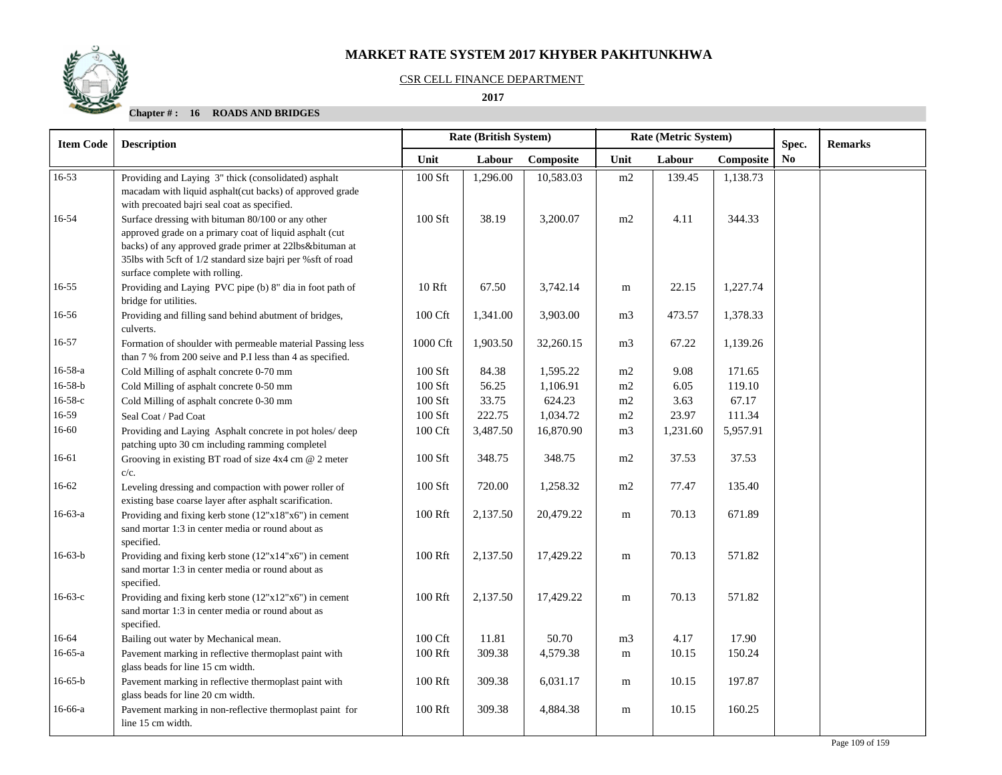#### CSR CELL FINANCE DEPARTMENT

 **2017** 

## **Chapter # : 16 ROADS AND BRIDGES**

| <b>Item Code</b> | <b>Description</b>                                                                                                                                                                                                                                                       | <b>Rate (British System)</b> |          |           | Rate (Metric System) |          |           | Spec. | <b>Remarks</b> |
|------------------|--------------------------------------------------------------------------------------------------------------------------------------------------------------------------------------------------------------------------------------------------------------------------|------------------------------|----------|-----------|----------------------|----------|-----------|-------|----------------|
|                  |                                                                                                                                                                                                                                                                          | Unit                         | Labour   | Composite | Unit                 | Labour   | Composite | No.   |                |
| $16 - 53$        | Providing and Laying 3" thick (consolidated) asphalt<br>macadam with liquid asphalt(cut backs) of approved grade<br>with precoated bajri seal coat as specified.                                                                                                         | $100$ Sft                    | 1,296.00 | 10,583.03 | m2                   | 139.45   | 1,138.73  |       |                |
| 16-54            | Surface dressing with bituman 80/100 or any other<br>approved grade on a primary coat of liquid asphalt (cut<br>backs) of any approved grade primer at 22lbs&bituman at<br>35lbs with 5cft of 1/2 standard size bajri per %sft of road<br>surface complete with rolling. | 100 Sft                      | 38.19    | 3,200.07  | m2                   | 4.11     | 344.33    |       |                |
| 16-55            | Providing and Laying PVC pipe (b) 8" dia in foot path of<br>bridge for utilities.                                                                                                                                                                                        | 10 Rft                       | 67.50    | 3,742.14  | m                    | 22.15    | 1,227.74  |       |                |
| 16-56            | Providing and filling sand behind abutment of bridges,<br>culverts.                                                                                                                                                                                                      | 100 Cft                      | 1,341.00 | 3,903.00  | m <sub>3</sub>       | 473.57   | 1,378.33  |       |                |
| 16-57            | Formation of shoulder with permeable material Passing less<br>than 7 % from 200 seive and P.I less than 4 as specified.                                                                                                                                                  | 1000 Cft                     | 1,903.50 | 32,260.15 | m <sub>3</sub>       | 67.22    | 1,139.26  |       |                |
| $16 - 58 - a$    | Cold Milling of asphalt concrete 0-70 mm                                                                                                                                                                                                                                 | $100$ Sft                    | 84.38    | 1,595.22  | m2                   | 9.08     | 171.65    |       |                |
| $16 - 58 - b$    | Cold Milling of asphalt concrete 0-50 mm                                                                                                                                                                                                                                 | $100$ Sft                    | 56.25    | 1,106.91  | m2                   | 6.05     | 119.10    |       |                |
| $16-58-c$        | Cold Milling of asphalt concrete 0-30 mm                                                                                                                                                                                                                                 | 100 Sft                      | 33.75    | 624.23    | m2                   | 3.63     | 67.17     |       |                |
| 16-59            | Seal Coat / Pad Coat                                                                                                                                                                                                                                                     | 100 Sft                      | 222.75   | 1,034.72  | m2                   | 23.97    | 111.34    |       |                |
| 16-60            | Providing and Laying Asphalt concrete in pot holes/deep<br>patching upto 30 cm including ramming completel                                                                                                                                                               | 100 Cft                      | 3,487.50 | 16,870.90 | m <sub>3</sub>       | 1,231.60 | 5,957.91  |       |                |
| 16-61            | Grooving in existing BT road of size 4x4 cm @ 2 meter<br>$c/c$ .                                                                                                                                                                                                         | 100 Sft                      | 348.75   | 348.75    | m2                   | 37.53    | 37.53     |       |                |
| 16-62            | Leveling dressing and compaction with power roller of<br>existing base coarse layer after asphalt scarification.                                                                                                                                                         | $100$ Sft                    | 720.00   | 1,258.32  | m2                   | 77.47    | 135.40    |       |                |
| $16-63-a$        | Providing and fixing kerb stone (12"x18"x6") in cement<br>sand mortar 1:3 in center media or round about as<br>specified.                                                                                                                                                | 100 Rft                      | 2,137.50 | 20,479.22 | m                    | 70.13    | 671.89    |       |                |
| $16-63-b$        | Providing and fixing kerb stone (12"x14"x6") in cement<br>sand mortar 1:3 in center media or round about as<br>specified.                                                                                                                                                | 100 Rft                      | 2,137.50 | 17,429.22 | m                    | 70.13    | 571.82    |       |                |
| $16-63-c$        | Providing and fixing kerb stone (12"x12"x6") in cement<br>sand mortar 1:3 in center media or round about as<br>specified.                                                                                                                                                | 100 Rft                      | 2,137.50 | 17,429.22 | m                    | 70.13    | 571.82    |       |                |
| 16-64            | Bailing out water by Mechanical mean.                                                                                                                                                                                                                                    | 100 Cft                      | 11.81    | 50.70     | m <sub>3</sub>       | 4.17     | 17.90     |       |                |
| $16-65-a$        | Pavement marking in reflective thermoplast paint with<br>glass beads for line 15 cm width.                                                                                                                                                                               | 100 Rft                      | 309.38   | 4,579.38  | m                    | 10.15    | 150.24    |       |                |
| $16-65-b$        | Pavement marking in reflective thermoplast paint with<br>glass beads for line 20 cm width.                                                                                                                                                                               | 100 Rft                      | 309.38   | 6,031.17  | m                    | 10.15    | 197.87    |       |                |
| 16-66-a          | Pavement marking in non-reflective thermoplast paint for<br>line 15 cm width.                                                                                                                                                                                            | 100 Rft                      | 309.38   | 4,884.38  | m                    | 10.15    | 160.25    |       |                |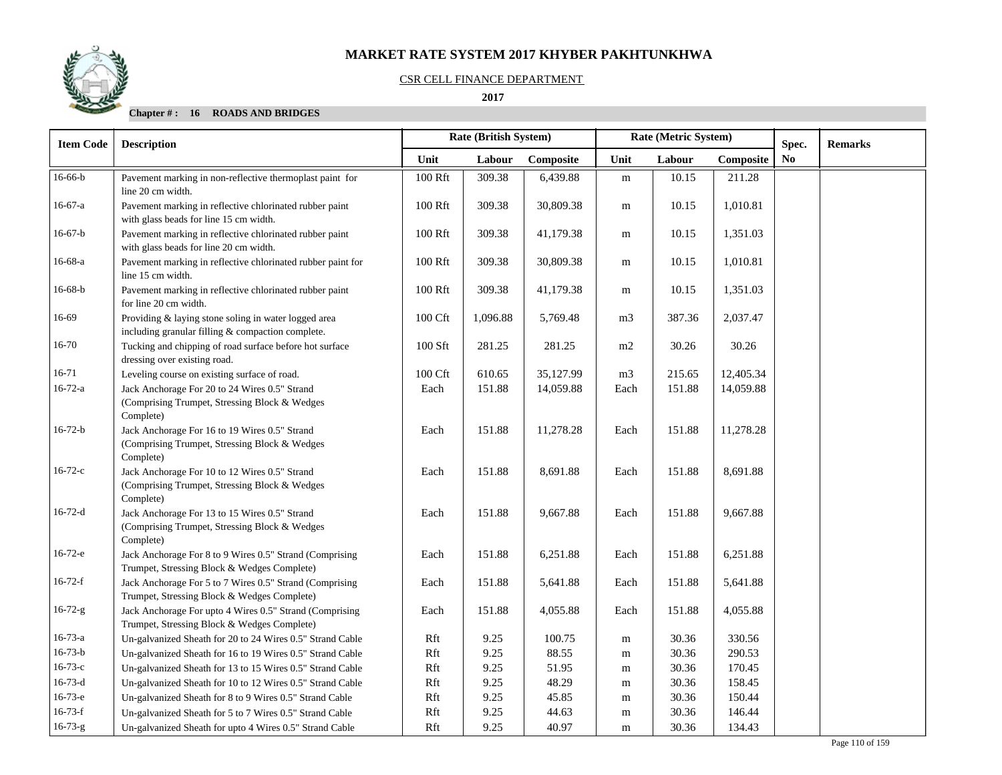#### CSR CELL FINANCE DEPARTMENT

#### **2017**

## **Chapter # : 16 ROADS AND BRIDGES**

| <b>Item Code</b> | <b>Description</b>                                                                                           | Rate (British System) |          |           |                | Rate (Metric System) |           | Spec.          | <b>Remarks</b> |
|------------------|--------------------------------------------------------------------------------------------------------------|-----------------------|----------|-----------|----------------|----------------------|-----------|----------------|----------------|
|                  |                                                                                                              | Unit                  | Labour   | Composite | Unit           | Labour               | Composite | N <sub>0</sub> |                |
| $16 - 66 - b$    | Pavement marking in non-reflective thermoplast paint for<br>line 20 cm width.                                | 100 Rft               | 309.38   | 6,439.88  | ${\bf m}$      | 10.15                | 211.28    |                |                |
| 16-67-a          | Pavement marking in reflective chlorinated rubber paint<br>with glass beads for line 15 cm width.            | 100 Rft               | 309.38   | 30,809.38 | m              | 10.15                | 1,010.81  |                |                |
| $16-67-b$        | Pavement marking in reflective chlorinated rubber paint<br>with glass beads for line 20 cm width.            | 100 Rft               | 309.38   | 41,179.38 | m              | 10.15                | 1,351.03  |                |                |
| 16-68-a          | Pavement marking in reflective chlorinated rubber paint for<br>line 15 cm width.                             | 100 Rft               | 309.38   | 30,809.38 | $\mathbf m$    | 10.15                | 1,010.81  |                |                |
| 16-68-b          | Pavement marking in reflective chlorinated rubber paint<br>for line 20 cm width.                             | 100 Rft               | 309.38   | 41,179.38 | m              | 10.15                | 1,351.03  |                |                |
| 16-69            | Providing & laying stone soling in water logged area<br>including granular filling & compaction complete.    | 100 Cft               | 1,096.88 | 5,769.48  | m <sub>3</sub> | 387.36               | 2,037.47  |                |                |
| 16-70            | Tucking and chipping of road surface before hot surface<br>dressing over existing road.                      | $100$ Sft             | 281.25   | 281.25    | m2             | 30.26                | 30.26     |                |                |
| 16-71            | Leveling course on existing surface of road.                                                                 | 100 Cft               | 610.65   | 35,127.99 | m <sub>3</sub> | 215.65               | 12,405.34 |                |                |
| $16 - 72 - a$    | Jack Anchorage For 20 to 24 Wires 0.5" Strand<br>(Comprising Trumpet, Stressing Block & Wedges<br>Complete)  | Each                  | 151.88   | 14,059.88 | Each           | 151.88               | 14,059.88 |                |                |
| $16-72-b$        | Jack Anchorage For 16 to 19 Wires 0.5" Strand<br>(Comprising Trumpet, Stressing Block & Wedges)<br>Complete) | Each                  | 151.88   | 11,278.28 | Each           | 151.88               | 11,278.28 |                |                |
| $16-72-c$        | Jack Anchorage For 10 to 12 Wires 0.5" Strand<br>(Comprising Trumpet, Stressing Block & Wedges)<br>Complete) | Each                  | 151.88   | 8,691.88  | Each           | 151.88               | 8,691.88  |                |                |
| $16-72-d$        | Jack Anchorage For 13 to 15 Wires 0.5" Strand<br>(Comprising Trumpet, Stressing Block & Wedges<br>Complete)  | Each                  | 151.88   | 9,667.88  | Each           | 151.88               | 9,667.88  |                |                |
| $16-72-e$        | Jack Anchorage For 8 to 9 Wires 0.5" Strand (Comprising<br>Trumpet, Stressing Block & Wedges Complete)       | Each                  | 151.88   | 6,251.88  | Each           | 151.88               | 6,251.88  |                |                |
| $16-72-f$        | Jack Anchorage For 5 to 7 Wires 0.5" Strand (Comprising<br>Trumpet, Stressing Block & Wedges Complete)       | Each                  | 151.88   | 5,641.88  | Each           | 151.88               | 5,641.88  |                |                |
| $16 - 72 - g$    | Jack Anchorage For upto 4 Wires 0.5" Strand (Comprising<br>Trumpet, Stressing Block & Wedges Complete)       | Each                  | 151.88   | 4,055.88  | Each           | 151.88               | 4,055.88  |                |                |
| $16 - 73 - a$    | Un-galvanized Sheath for 20 to 24 Wires 0.5" Strand Cable                                                    | Rft                   | 9.25     | 100.75    | m              | 30.36                | 330.56    |                |                |
| $16 - 73 - b$    | Un-galvanized Sheath for 16 to 19 Wires 0.5" Strand Cable                                                    | Rft                   | 9.25     | 88.55     | m              | 30.36                | 290.53    |                |                |
| $16 - 73 - c$    | Un-galvanized Sheath for 13 to 15 Wires 0.5" Strand Cable                                                    | Rft                   | 9.25     | 51.95     | m              | 30.36                | 170.45    |                |                |
| $16 - 73 - d$    | Un-galvanized Sheath for 10 to 12 Wires 0.5" Strand Cable                                                    | Rft                   | 9.25     | 48.29     | m              | 30.36                | 158.45    |                |                |
| $16-73-e$        | Un-galvanized Sheath for 8 to 9 Wires 0.5" Strand Cable                                                      | Rft                   | 9.25     | 45.85     | m              | 30.36                | 150.44    |                |                |
| $16 - 73 - f$    | Un-galvanized Sheath for 5 to 7 Wires 0.5" Strand Cable                                                      | Rft                   | 9.25     | 44.63     | m              | 30.36                | 146.44    |                |                |
| $16 - 73 - g$    | Un-galvanized Sheath for upto 4 Wires 0.5" Strand Cable                                                      | Rft                   | 9.25     | 40.97     | $\mathbf m$    | 30.36                | 134.43    |                |                |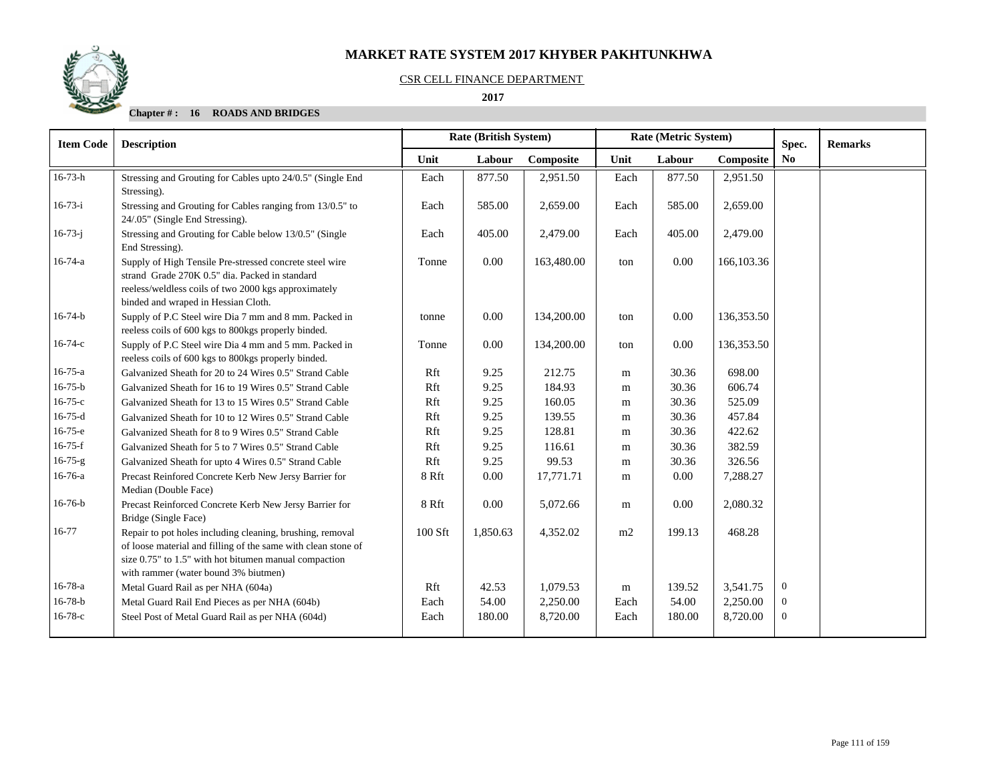

#### CSR CELL FINANCE DEPARTMENT

#### **2017**

## **Chapter # : 16 ROADS AND BRIDGES**

| <b>Item Code</b> | <b>Rate (British System)</b><br>Rate (Metric System)<br><b>Description</b>                                                                                                                                                  |         |          |            |           | Spec.  | <b>Remarks</b> |                |  |
|------------------|-----------------------------------------------------------------------------------------------------------------------------------------------------------------------------------------------------------------------------|---------|----------|------------|-----------|--------|----------------|----------------|--|
|                  |                                                                                                                                                                                                                             | Unit    | Labour   | Composite  | Unit      | Labour | Composite      | No             |  |
| $16 - 73 - h$    | Stressing and Grouting for Cables upto 24/0.5" (Single End<br>Stressing).                                                                                                                                                   | Each    | 877.50   | 2,951.50   | Each      | 877.50 | 2,951.50       |                |  |
| $16-73-i$        | Stressing and Grouting for Cables ranging from 13/0.5" to<br>24/.05" (Single End Stressing).                                                                                                                                | Each    | 585.00   | 2,659.00   | Each      | 585.00 | 2,659.00       |                |  |
| $16 - 73 - j$    | Stressing and Grouting for Cable below 13/0.5" (Single<br>End Stressing).                                                                                                                                                   | Each    | 405.00   | 2,479.00   | Each      | 405.00 | 2,479.00       |                |  |
| $16-74-a$        | Supply of High Tensile Pre-stressed concrete steel wire<br>strand Grade 270K 0.5" dia. Packed in standard<br>reeless/weldless coils of two 2000 kgs approximately<br>binded and wraped in Hessian Cloth.                    | Tonne   | 0.00     | 163,480.00 | ton       | 0.00   | 166,103.36     |                |  |
| $16 - 74 - b$    | Supply of P.C Steel wire Dia 7 mm and 8 mm. Packed in<br>reeless coils of 600 kgs to 800 kgs properly binded.                                                                                                               | tonne   | 0.00     | 134,200.00 | ton       | 0.00   | 136,353.50     |                |  |
| $16 - 74 - c$    | Supply of P.C Steel wire Dia 4 mm and 5 mm. Packed in<br>reeless coils of 600 kgs to 800 kgs properly binded.                                                                                                               | Tonne   | 0.00     | 134,200.00 | ton       | 0.00   | 136,353.50     |                |  |
| $16 - 75 - a$    | Galvanized Sheath for 20 to 24 Wires 0.5" Strand Cable                                                                                                                                                                      | Rft     | 9.25     | 212.75     | m         | 30.36  | 698.00         |                |  |
| $16 - 75 - b$    | Galvanized Sheath for 16 to 19 Wires 0.5" Strand Cable                                                                                                                                                                      | Rft     | 9.25     | 184.93     | m         | 30.36  | 606.74         |                |  |
| $16 - 75 - c$    | Galvanized Sheath for 13 to 15 Wires 0.5" Strand Cable                                                                                                                                                                      | Rft     | 9.25     | 160.05     | m         | 30.36  | 525.09         |                |  |
| $16-75-d$        | Galvanized Sheath for 10 to 12 Wires 0.5" Strand Cable                                                                                                                                                                      | Rft     | 9.25     | 139.55     | m         | 30.36  | 457.84         |                |  |
| $16-75-e$        | Galvanized Sheath for 8 to 9 Wires 0.5" Strand Cable                                                                                                                                                                        | Rft     | 9.25     | 128.81     | m         | 30.36  | 422.62         |                |  |
| $16-75-f$        | Galvanized Sheath for 5 to 7 Wires 0.5" Strand Cable                                                                                                                                                                        | Rft     | 9.25     | 116.61     | m         | 30.36  | 382.59         |                |  |
| $16 - 75 - g$    | Galvanized Sheath for upto 4 Wires 0.5" Strand Cable                                                                                                                                                                        | Rft     | 9.25     | 99.53      | m         | 30.36  | 326.56         |                |  |
| 16-76-a          | Precast Reinfored Concrete Kerb New Jersy Barrier for<br>Median (Double Face)                                                                                                                                               | 8 Rft   | 0.00     | 17,771.71  | m         | 0.00   | 7,288.27       |                |  |
| $16-76-b$        | Precast Reinforced Concrete Kerb New Jersy Barrier for<br>Bridge (Single Face)                                                                                                                                              | 8 Rft   | 0.00     | 5,072.66   | m         | 0.00   | 2,080.32       |                |  |
| 16-77            | Repair to pot holes including cleaning, brushing, removal<br>of loose material and filling of the same with clean stone of<br>size 0.75" to 1.5" with hot bitumen manual compaction<br>with rammer (water bound 3% biutmen) | 100 Sft | 1,850.63 | 4,352.02   | m2        | 199.13 | 468.28         |                |  |
| $16 - 78 - a$    | Metal Guard Rail as per NHA (604a)                                                                                                                                                                                          | Rft     | 42.53    | 1,079.53   | ${\bf m}$ | 139.52 | 3,541.75       | $\overline{0}$ |  |
| $16-78-b$        | Metal Guard Rail End Pieces as per NHA (604b)                                                                                                                                                                               | Each    | 54.00    | 2,250.00   | Each      | 54.00  | 2,250.00       | $\overline{0}$ |  |
| $16-78-c$        | Steel Post of Metal Guard Rail as per NHA (604d)                                                                                                                                                                            | Each    | 180.00   | 8,720.00   | Each      | 180.00 | 8,720.00       | $\Omega$       |  |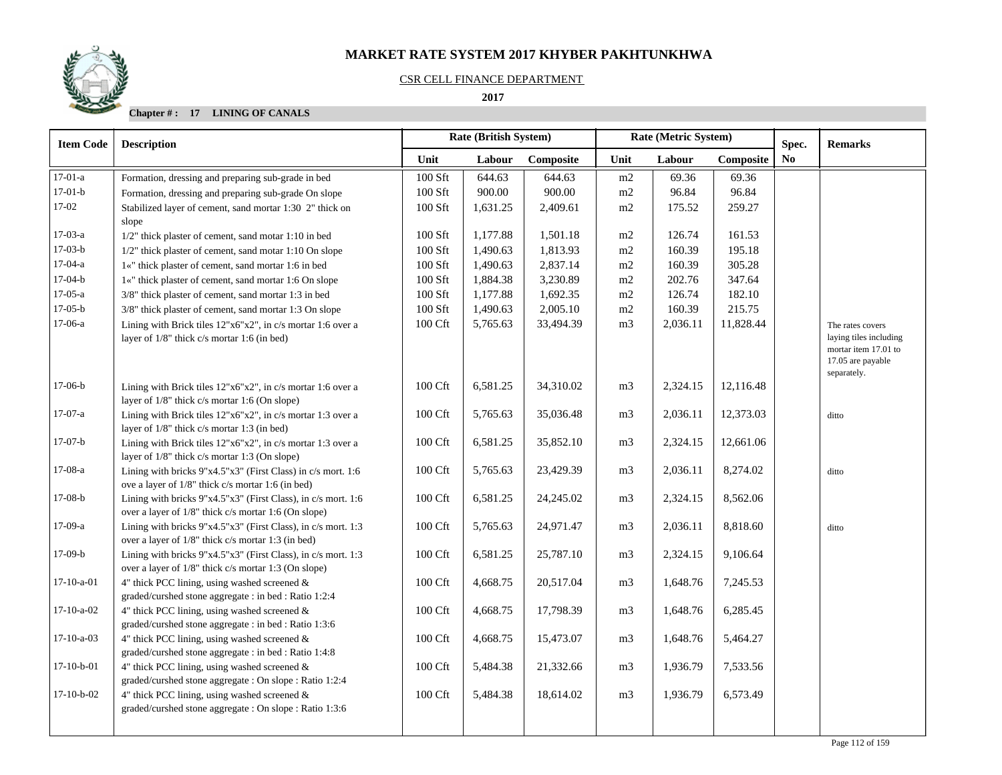# CSR CELL FINANCE DEPARTMENT

 **2017** 

# **Chapter # : 17 LINING OF CANALS**

| <b>Item Code</b> | <b>Description</b>                                                                                                      | <b>Rate (British System)</b> |          |           |                | Rate (Metric System) |           |                         | <b>Remarks</b>                                                                                         |
|------------------|-------------------------------------------------------------------------------------------------------------------------|------------------------------|----------|-----------|----------------|----------------------|-----------|-------------------------|--------------------------------------------------------------------------------------------------------|
|                  |                                                                                                                         | Unit                         | Labour   | Composite | Unit           | Labour               | Composite | Spec.<br>N <sub>0</sub> |                                                                                                        |
| $17-01-a$        | Formation, dressing and preparing sub-grade in bed                                                                      | 100 Sft                      | 644.63   | 644.63    | m2             | 69.36                | 69.36     |                         |                                                                                                        |
| $17-01-b$        | Formation, dressing and preparing sub-grade On slope                                                                    | $100$ Sft                    | 900.00   | 900.00    | m2             | 96.84                | 96.84     |                         |                                                                                                        |
| 17-02            | Stabilized layer of cement, sand mortar 1:30 2" thick on<br>slope                                                       | 100 Sft                      | 1,631.25 | 2,409.61  | m2             | 175.52               | 259.27    |                         |                                                                                                        |
| $17-03-a$        | 1/2" thick plaster of cement, sand motar 1:10 in bed                                                                    | 100 Sft                      | 1,177.88 | 1,501.18  | m2             | 126.74               | 161.53    |                         |                                                                                                        |
| $17-03-b$        | 1/2" thick plaster of cement, sand motar 1:10 On slope                                                                  | 100 Sft                      | 1,490.63 | 1,813.93  | m2             | 160.39               | 195.18    |                         |                                                                                                        |
| $17-04-a$        | 1«" thick plaster of cement, sand mortar 1:6 in bed                                                                     | 100 Sft                      | 1,490.63 | 2,837.14  | m2             | 160.39               | 305.28    |                         |                                                                                                        |
| $17-04-b$        | 1«" thick plaster of cement, sand mortar 1:6 On slope                                                                   | 100 Sft                      | 1,884.38 | 3,230.89  | m2             | 202.76               | 347.64    |                         |                                                                                                        |
| $17-05-a$        | 3/8" thick plaster of cement, sand mortar 1:3 in bed                                                                    | 100 Sft                      | 1,177.88 | 1,692.35  | m2             | 126.74               | 182.10    |                         |                                                                                                        |
| $17-05-b$        | 3/8" thick plaster of cement, sand mortar 1:3 On slope                                                                  | 100 Sft                      | 1,490.63 | 2,005.10  | m2             | 160.39               | 215.75    |                         |                                                                                                        |
| $17-06-a$        | Lining with Brick tiles 12"x6"x2", in c/s mortar 1:6 over a<br>layer of $1/8$ " thick c/s mortar 1:6 (in bed)           | 100 Cft                      | 5,765.63 | 33,494.39 | m <sub>3</sub> | 2,036.11             | 11,828.44 |                         | The rates covers<br>laying tiles including<br>mortar item 17.01 to<br>17.05 are payable<br>separately. |
| $17-06-b$        | Lining with Brick tiles $12"x6"x2"$ , in c/s mortar 1:6 over a<br>layer of $1/8$ " thick c/s mortar 1:6 (On slope)      | 100 Cft                      | 6,581.25 | 34,310.02 | m <sub>3</sub> | 2,324.15             | 12,116.48 |                         |                                                                                                        |
| $17-07-a$        | Lining with Brick tiles 12"x6"x2", in c/s mortar 1:3 over a<br>layer of $1/8$ " thick c/s mortar 1:3 (in bed)           | 100 Cft                      | 5,765.63 | 35,036.48 | m <sub>3</sub> | 2,036.11             | 12,373.03 |                         | ditto                                                                                                  |
| $17-07-b$        | Lining with Brick tiles 12"x6"x2", in c/s mortar 1:3 over a<br>layer of 1/8" thick c/s mortar 1:3 (On slope)            | 100 Cft                      | 6,581.25 | 35,852.10 | m <sub>3</sub> | 2,324.15             | 12,661.06 |                         |                                                                                                        |
| $17-08-a$        | Lining with bricks $9"x4.5"x3"$ (First Class) in c/s mort. 1:6<br>ove a layer of 1/8" thick c/s mortar 1:6 (in bed)     | 100 Cft                      | 5,765.63 | 23,429.39 | m <sub>3</sub> | 2,036.11             | 8,274.02  |                         | ditto                                                                                                  |
| $17-08-b$        | Lining with bricks $9"x4.5"x3"$ (First Class), in c/s mort. 1:6<br>over a layer of 1/8" thick c/s mortar 1:6 (On slope) | 100 Cft                      | 6,581.25 | 24,245.02 | m <sub>3</sub> | 2,324.15             | 8,562.06  |                         |                                                                                                        |
| $17-09-a$        | Lining with bricks 9"x4.5"x3" (First Class), in c/s mort. 1:3<br>over a layer of $1/8$ " thick c/s mortar 1:3 (in bed)  | 100 Cft                      | 5,765.63 | 24,971.47 | m <sub>3</sub> | 2,036.11             | 8,818.60  |                         | ditto                                                                                                  |
| $17-09-b$        | Lining with bricks 9"x4.5"x3" (First Class), in c/s mort. 1:3<br>over a layer of 1/8" thick c/s mortar 1:3 (On slope)   | 100 Cft                      | 6,581.25 | 25,787.10 | m <sub>3</sub> | 2,324.15             | 9,106.64  |                         |                                                                                                        |
| $17-10-a-01$     | 4" thick PCC lining, using washed screened &<br>graded/curshed stone aggregate : in bed : Ratio 1:2:4                   | 100 Cft                      | 4,668.75 | 20,517.04 | m <sub>3</sub> | 1,648.76             | 7,245.53  |                         |                                                                                                        |
| $17-10-a-02$     | 4" thick PCC lining, using washed screened $\&$<br>graded/curshed stone aggregate : in bed : Ratio 1:3:6                | 100 Cft                      | 4,668.75 | 17,798.39 | m <sub>3</sub> | 1,648.76             | 6,285.45  |                         |                                                                                                        |
| $17-10-a-03$     | 4" thick PCC lining, using washed screened $\&$<br>graded/curshed stone aggregate : in bed : Ratio 1:4:8                | 100 Cft                      | 4,668.75 | 15,473.07 | m <sub>3</sub> | 1,648.76             | 5,464.27  |                         |                                                                                                        |
| $17-10-b-01$     | 4" thick PCC lining, using washed screened $\&$<br>graded/curshed stone aggregate : On slope : Ratio 1:2:4              | 100 Cft                      | 5,484.38 | 21,332.66 | m <sub>3</sub> | 1,936.79             | 7,533.56  |                         |                                                                                                        |
| 17-10-b-02       | 4" thick PCC lining, using washed screened &<br>graded/curshed stone aggregate : On slope : Ratio 1:3:6                 | 100 Cft                      | 5,484.38 | 18,614.02 | m <sub>3</sub> | 1,936.79             | 6,573.49  |                         |                                                                                                        |
|                  |                                                                                                                         |                              |          |           |                |                      |           |                         |                                                                                                        |

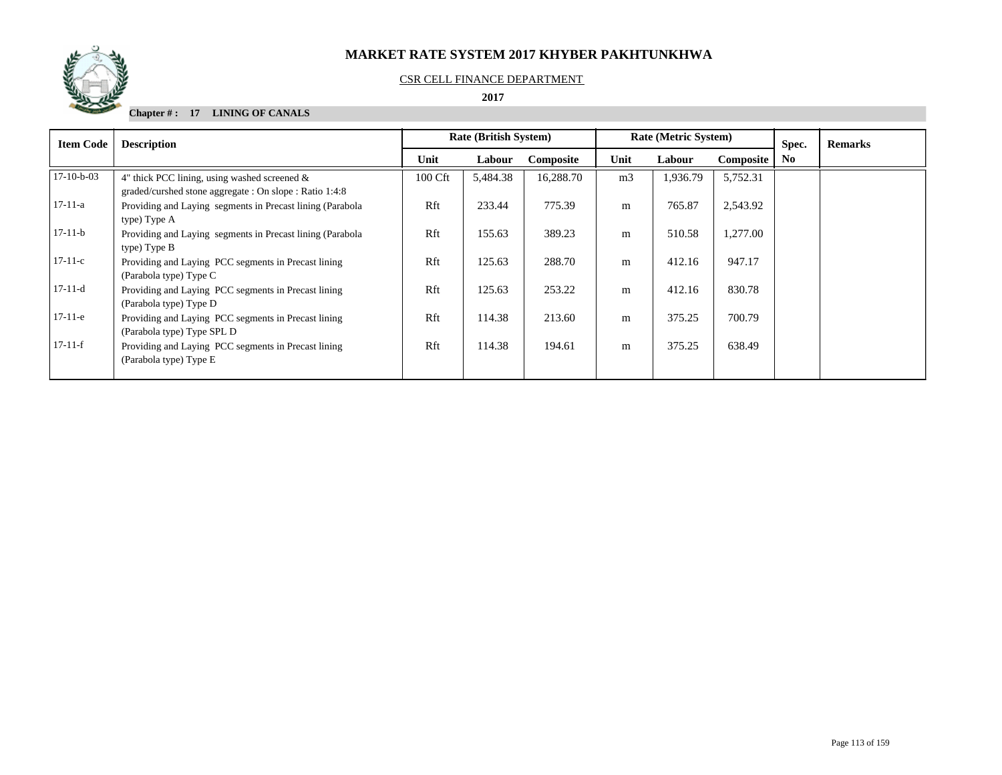

#### CSR CELL FINANCE DEPARTMENT

#### **2017**

## **Chapter # : 17 LINING OF CANALS**

| <b>Item Code</b> | <b>Description</b>                                                                                         | <b>Rate (British System)</b> |          |           |                | <b>Rate (Metric System)</b> |                  | Spec.          | <b>Remarks</b> |
|------------------|------------------------------------------------------------------------------------------------------------|------------------------------|----------|-----------|----------------|-----------------------------|------------------|----------------|----------------|
|                  |                                                                                                            | Unit                         | Labour   | Composite | Unit           | Labour                      | <b>Composite</b> | N <sub>0</sub> |                |
| $17-10-b-03$     | 4" thick PCC lining, using washed screened $\&$<br>graded/curshed stone aggregate : On slope : Ratio 1:4:8 | 100 Cft                      | 5,484.38 | 16,288.70 | m <sub>3</sub> | 1,936.79                    | 5,752.31         |                |                |
| $17-11-a$        | Providing and Laying segments in Precast lining (Parabola<br>type) Type A                                  | Rft                          | 233.44   | 775.39    | m              | 765.87                      | 2,543.92         |                |                |
| $17-11-b$        | Providing and Laying segments in Precast lining (Parabola)<br>type) Type B                                 | Rft                          | 155.63   | 389.23    | m              | 510.58                      | 1,277.00         |                |                |
| $17-11-c$        | Providing and Laying PCC segments in Precast lining<br>(Parabola type) Type C                              | Rft                          | 125.63   | 288.70    | m              | 412.16                      | 947.17           |                |                |
| $17-11-d$        | Providing and Laying PCC segments in Precast lining<br>(Parabola type) Type D                              | Rft                          | 125.63   | 253.22    | m              | 412.16                      | 830.78           |                |                |
| $17-11-e$        | Providing and Laying PCC segments in Precast lining<br>(Parabola type) Type SPL D                          | Rft                          | 114.38   | 213.60    | m              | 375.25                      | 700.79           |                |                |
| $17-11-f$        | Providing and Laying PCC segments in Precast lining<br>(Parabola type) Type E                              | Rft                          | 114.38   | 194.61    | m              | 375.25                      | 638.49           |                |                |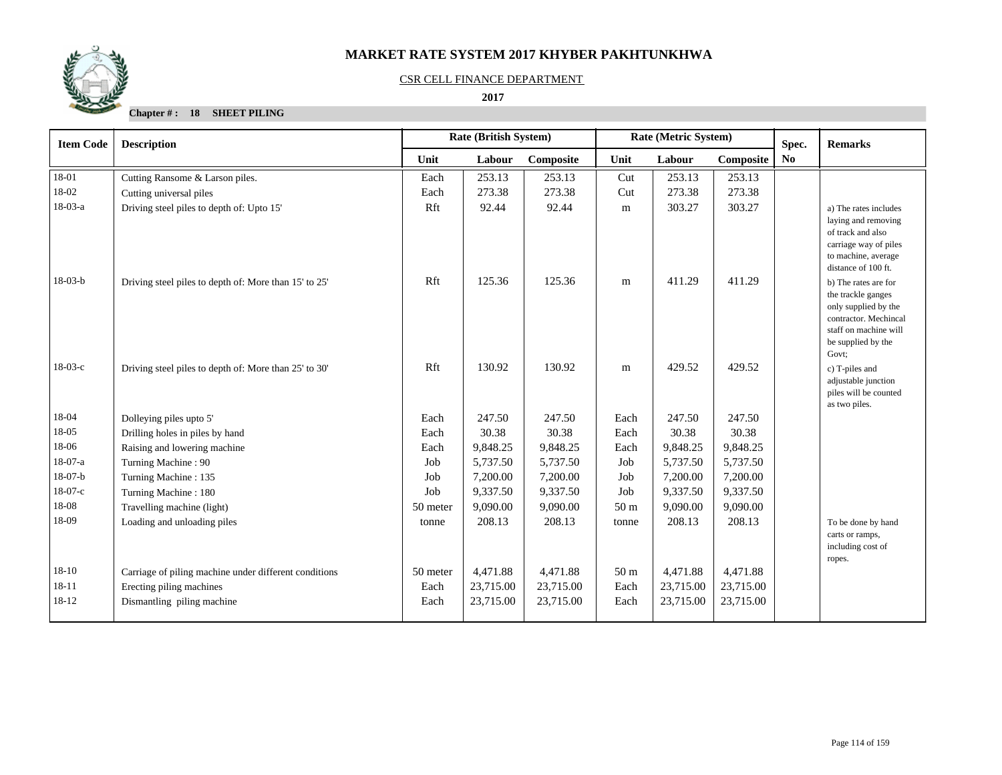

#### CSR CELL FINANCE DEPARTMENT

 **2017** 

**Chapter # : 18 SHEET PILING**

| <b>Item Code</b> | <b>Description</b>                                    | <b>Rate (British System)</b><br>Rate (Metric System)<br>Spec. |           |           |                 | <b>Remarks</b> |           |    |                                                                                                                                                     |
|------------------|-------------------------------------------------------|---------------------------------------------------------------|-----------|-----------|-----------------|----------------|-----------|----|-----------------------------------------------------------------------------------------------------------------------------------------------------|
|                  |                                                       | Unit                                                          | Labour    | Composite | Unit            | Labour         | Composite | No |                                                                                                                                                     |
| 18-01            | Cutting Ransome & Larson piles.                       | Each                                                          | 253.13    | 253.13    | Cut             | 253.13         | 253.13    |    |                                                                                                                                                     |
| 18-02            | Cutting universal piles                               | Each                                                          | 273.38    | 273.38    | Cut             | 273.38         | 273.38    |    |                                                                                                                                                     |
| $18-03-a$        | Driving steel piles to depth of: Upto 15'             | Rft                                                           | 92.44     | 92.44     | m               | 303.27         | 303.27    |    | a) The rates includes<br>laying and removing<br>of track and also<br>carriage way of piles<br>to machine, average<br>distance of 100 ft.            |
| $18-03-b$        | Driving steel piles to depth of: More than 15' to 25' | Rft                                                           | 125.36    | 125.36    | m               | 411.29         | 411.29    |    | b) The rates are for<br>the trackle ganges<br>only supplied by the<br>contractor. Mechincal<br>staff on machine will<br>be supplied by the<br>Govt: |
| $18-03-c$        | Driving steel piles to depth of: More than 25' to 30' | Rft                                                           | 130.92    | 130.92    | m               | 429.52         | 429.52    |    | c) T-piles and<br>adjustable junction<br>piles will be counted<br>as two piles.                                                                     |
| 18-04            | Dolleying piles upto 5'                               | Each                                                          | 247.50    | 247.50    | Each            | 247.50         | 247.50    |    |                                                                                                                                                     |
| 18-05            | Drilling holes in piles by hand                       | Each                                                          | 30.38     | 30.38     | Each            | 30.38          | 30.38     |    |                                                                                                                                                     |
| 18-06            | Raising and lowering machine                          | Each                                                          | 9,848.25  | 9,848.25  | Each            | 9,848.25       | 9,848.25  |    |                                                                                                                                                     |
| 18-07-a          | Turning Machine: 90                                   | Job                                                           | 5,737.50  | 5,737.50  | Job             | 5,737.50       | 5,737.50  |    |                                                                                                                                                     |
| $18-07-b$        | Turning Machine: 135                                  | Job                                                           | 7,200.00  | 7,200.00  | Job             | 7,200.00       | 7,200.00  |    |                                                                                                                                                     |
| $18-07-c$        | Turning Machine: 180                                  | Job                                                           | 9,337.50  | 9,337.50  | Job             | 9,337.50       | 9,337.50  |    |                                                                                                                                                     |
| 18-08            | Travelling machine (light)                            | 50 meter                                                      | 9,090.00  | 9,090.00  | 50 <sub>m</sub> | 9,090.00       | 9,090.00  |    |                                                                                                                                                     |
| 18-09            | Loading and unloading piles                           | tonne                                                         | 208.13    | 208.13    | tonne           | 208.13         | 208.13    |    | To be done by hand<br>carts or ramps,<br>including cost of<br>ropes.                                                                                |
| $18-10$          | Carriage of piling machine under different conditions | 50 meter                                                      | 4,471.88  | 4,471.88  | 50 <sub>m</sub> | 4,471.88       | 4,471.88  |    |                                                                                                                                                     |
| $18 - 11$        | Erecting piling machines                              | Each                                                          | 23,715.00 | 23,715.00 | Each            | 23,715.00      | 23,715.00 |    |                                                                                                                                                     |
| 18-12            | Dismantling piling machine                            | Each                                                          | 23,715.00 | 23,715.00 | Each            | 23,715.00      | 23,715.00 |    |                                                                                                                                                     |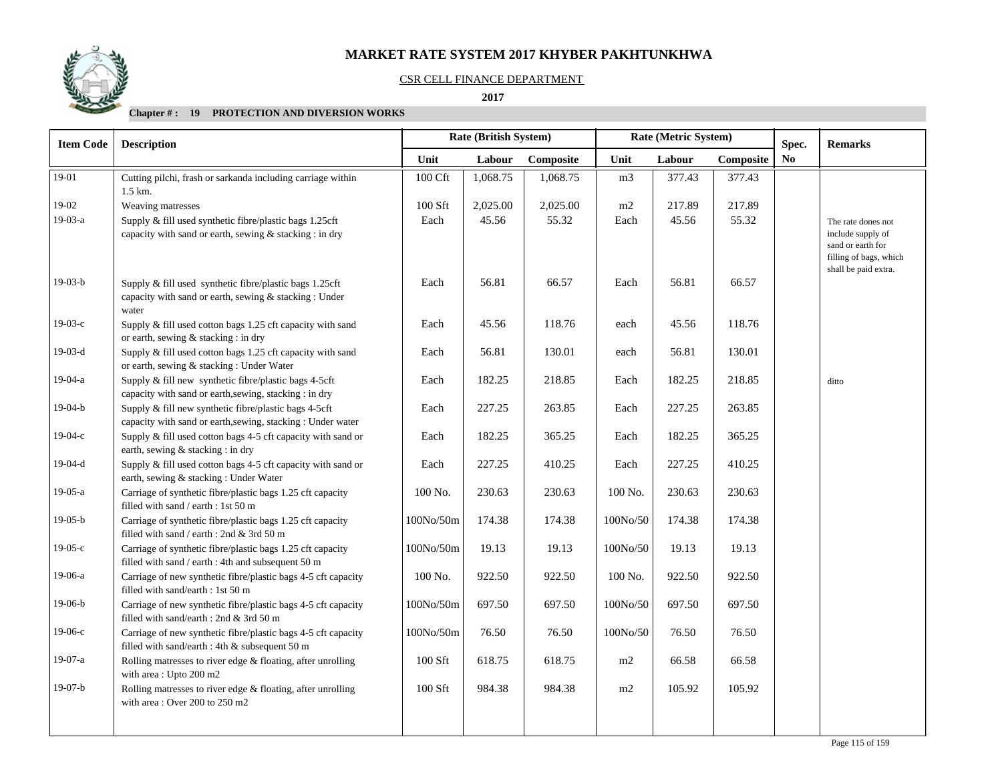#### CSR CELL FINANCE DEPARTMENT

 **2017** 

| <b>Item Code</b> | <b>Description</b>                                                                                                            |           | Rate (British System) |           | Rate (Metric System) |        |           | Spec. | <b>Remarks</b>                                                                                                 |
|------------------|-------------------------------------------------------------------------------------------------------------------------------|-----------|-----------------------|-----------|----------------------|--------|-----------|-------|----------------------------------------------------------------------------------------------------------------|
|                  |                                                                                                                               | Unit      | Labour                | Composite | Unit                 | Labour | Composite | No    |                                                                                                                |
| 19-01            | Cutting pilchi, frash or sarkanda including carriage within<br>$1.5$ km.                                                      | 100 Cft   | 1,068.75              | 1,068.75  | m <sub>3</sub>       | 377.43 | 377.43    |       |                                                                                                                |
| 19-02            | Weaving matresses                                                                                                             | 100 Sft   | 2,025.00              | 2,025.00  | m2                   | 217.89 | 217.89    |       |                                                                                                                |
| 19-03-a          | Supply & fill used synthetic fibre/plastic bags 1.25cft<br>capacity with sand or earth, sewing & stacking : in dry            | Each      | 45.56                 | 55.32     | Each                 | 45.56  | 55.32     |       | The rate dones not<br>include supply of<br>sand or earth for<br>filling of bags, which<br>shall be paid extra. |
| $19-03-b$        | Supply $\&$ fill used synthetic fibre/plastic bags 1.25cft<br>capacity with sand or earth, sewing & stacking : Under<br>water | Each      | 56.81                 | 66.57     | Each                 | 56.81  | 66.57     |       |                                                                                                                |
| $19-03-c$        | Supply & fill used cotton bags 1.25 cft capacity with sand<br>or earth, sewing & stacking : in dry                            | Each      | 45.56                 | 118.76    | each                 | 45.56  | 118.76    |       |                                                                                                                |
| $19-03-d$        | Supply & fill used cotton bags 1.25 cft capacity with sand<br>or earth, sewing & stacking: Under Water                        | Each      | 56.81                 | 130.01    | each                 | 56.81  | 130.01    |       |                                                                                                                |
| $19-04-a$        | Supply & fill new synthetic fibre/plastic bags 4-5cft<br>capacity with sand or earth, sewing, stacking : in dry               | Each      | 182.25                | 218.85    | Each                 | 182.25 | 218.85    |       | ditto                                                                                                          |
| $19-04-b$        | Supply & fill new synthetic fibre/plastic bags 4-5cft<br>capacity with sand or earth, sewing, stacking: Under water           | Each      | 227.25                | 263.85    | Each                 | 227.25 | 263.85    |       |                                                                                                                |
| $19-04-c$        | Supply & fill used cotton bags 4-5 cft capacity with sand or<br>earth, sewing & stacking : in dry                             | Each      | 182.25                | 365.25    | Each                 | 182.25 | 365.25    |       |                                                                                                                |
| $19-04-d$        | Supply & fill used cotton bags 4-5 cft capacity with sand or<br>earth, sewing & stacking: Under Water                         | Each      | 227.25                | 410.25    | Each                 | 227.25 | 410.25    |       |                                                                                                                |
| $19-05-a$        | Carriage of synthetic fibre/plastic bags 1.25 cft capacity<br>filled with sand / earth : 1st 50 m                             | 100 No.   | 230.63                | 230.63    | 100 No.              | 230.63 | 230.63    |       |                                                                                                                |
| $19-05-b$        | Carriage of synthetic fibre/plastic bags 1.25 cft capacity<br>filled with sand / earth : 2nd & 3rd 50 m                       | 100No/50m | 174.38                | 174.38    | 100No/50             | 174.38 | 174.38    |       |                                                                                                                |
| $19-05-c$        | Carriage of synthetic fibre/plastic bags 1.25 cft capacity<br>filled with sand / earth : 4th and subsequent 50 m              | 100No/50m | 19.13                 | 19.13     | 100No/50             | 19.13  | 19.13     |       |                                                                                                                |
| 19-06-a          | Carriage of new synthetic fibre/plastic bags 4-5 cft capacity<br>filled with sand/earth : 1st 50 m                            | 100 No.   | 922.50                | 922.50    | 100 No.              | 922.50 | 922.50    |       |                                                                                                                |
| $19-06-b$        | Carriage of new synthetic fibre/plastic bags 4-5 cft capacity<br>filled with sand/earth : 2nd & 3rd 50 m                      | 100No/50m | 697.50                | 697.50    | 100No/50             | 697.50 | 697.50    |       |                                                                                                                |
| $19-06-c$        | Carriage of new synthetic fibre/plastic bags 4-5 cft capacity<br>filled with sand/earth : 4th & subsequent 50 m               | 100No/50m | 76.50                 | 76.50     | 100No/50             | 76.50  | 76.50     |       |                                                                                                                |
| 19-07-a          | Rolling matresses to river edge $&$ floating, after unrolling<br>with area: Upto 200 m2                                       | 100 Sft   | 618.75                | 618.75    | m2                   | 66.58  | 66.58     |       |                                                                                                                |
| $19-07-b$        | Rolling matresses to river edge & floating, after unrolling<br>with area: Over 200 to 250 m2                                  | 100 Sft   | 984.38                | 984.38    | m2                   | 105.92 | 105.92    |       |                                                                                                                |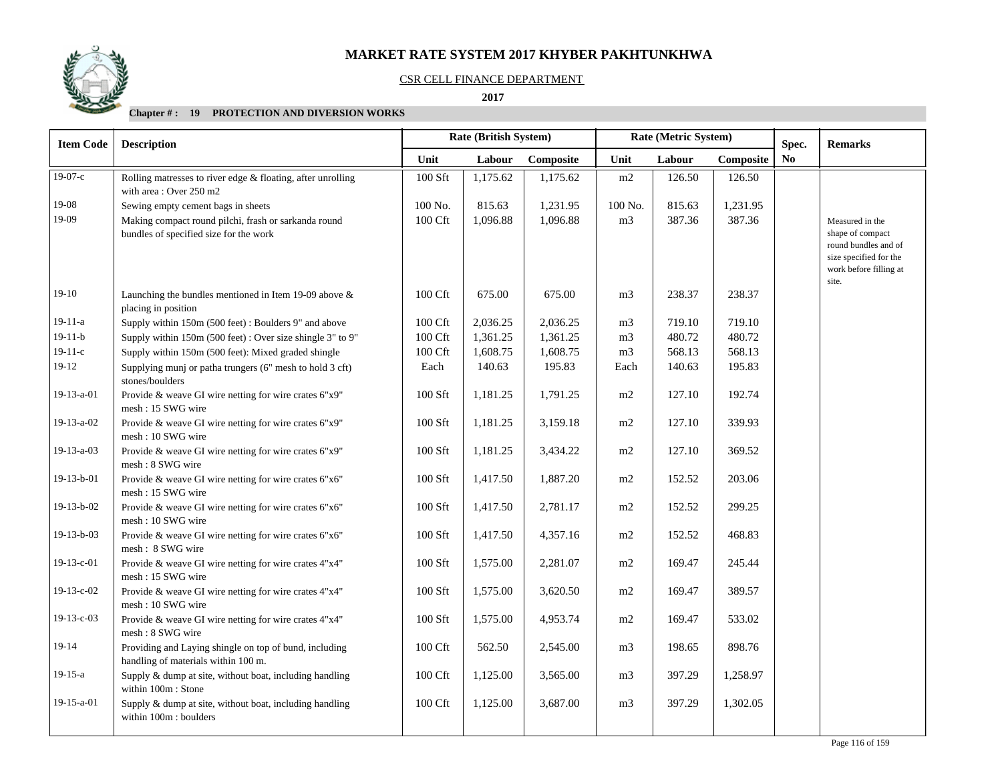

#### CSR CELL FINANCE DEPARTMENT

 **2017** 

| <b>Item Code</b> | <b>Description</b>                                                                             |           | Rate (British System) | Rate (Metric System)<br>Spec. |                |                     |          |  | <b>Remarks</b>                                                                                                           |
|------------------|------------------------------------------------------------------------------------------------|-----------|-----------------------|-------------------------------|----------------|---------------------|----------|--|--------------------------------------------------------------------------------------------------------------------------|
|                  |                                                                                                | Unit      | Labour                | Composite                     | Unit           | Labour<br>Composite |          |  |                                                                                                                          |
| $19-07-c$        | Rolling matresses to river edge & floating, after unrolling<br>with area: Over 250 m2          | 100 Sft   | 1,175.62              | 1,175.62                      | m2             | 126.50              | 126.50   |  |                                                                                                                          |
| 19-08            | Sewing empty cement bags in sheets                                                             | 100 No.   | 815.63                | 1,231.95                      | 100 No.        | 815.63              | 1,231.95 |  |                                                                                                                          |
| 19-09            | Making compact round pilchi, frash or sarkanda round<br>bundles of specified size for the work | 100 Cft   | 1,096.88              | 1,096.88                      | m <sub>3</sub> | 387.36              | 387.36   |  | Measured in the<br>shape of compact<br>round bundles and of<br>size specified for the<br>work before filling at<br>site. |
| $19-10$          | Launching the bundles mentioned in Item 19-09 above $\&$<br>placing in position                | 100 Cft   | 675.00                | 675.00                        | m <sub>3</sub> | 238.37              | 238.37   |  |                                                                                                                          |
| $19-11-a$        | Supply within 150m (500 feet): Boulders 9" and above                                           | 100 Cft   | 2,036.25              | 2,036.25                      | m <sub>3</sub> | 719.10              | 719.10   |  |                                                                                                                          |
| $19-11-b$        | Supply within 150m (500 feet): Over size shingle 3" to 9"                                      | 100 Cft   | 1,361.25              | 1,361.25                      | m <sub>3</sub> | 480.72              | 480.72   |  |                                                                                                                          |
| $19-11-c$        | Supply within 150m (500 feet): Mixed graded shingle                                            | 100 Cft   | 1,608.75              | 1,608.75                      | m <sub>3</sub> | 568.13              | 568.13   |  |                                                                                                                          |
| $19-12$          | Supplying munj or patha trungers (6" mesh to hold 3 cft)<br>stones/boulders                    | Each      | 140.63                | 195.83                        | Each           | 140.63              | 195.83   |  |                                                                                                                          |
| 19-13-a-01       | Provide & weave GI wire netting for wire crates 6"x9"<br>mesh: 15 SWG wire                     | $100$ Sft | 1,181.25              | 1,791.25                      | m2             | 127.10              | 192.74   |  |                                                                                                                          |
| 19-13-a-02       | Provide & weave GI wire netting for wire crates 6"x9"<br>mesh: 10 SWG wire                     | $100$ Sft | 1,181.25              | 3,159.18                      | m2             | 127.10              | 339.93   |  |                                                                                                                          |
| $19-13-a-03$     | Provide & weave GI wire netting for wire crates 6"x9"<br>mesh: 8 SWG wire                      | 100 Sft   | 1,181.25              | 3,434.22                      | m2             | 127.10              | 369.52   |  |                                                                                                                          |
| 19-13-b-01       | Provide & weave GI wire netting for wire crates 6"x6"<br>mesh: 15 SWG wire                     | 100 Sft   | 1,417.50              | 1,887.20                      | m2             | 152.52              | 203.06   |  |                                                                                                                          |
| 19-13-b-02       | Provide & weave GI wire netting for wire crates 6"x6"<br>mesh: 10 SWG wire                     | 100 Sft   | 1,417.50              | 2,781.17                      | m2             | 152.52              | 299.25   |  |                                                                                                                          |
| 19-13-b-03       | Provide & weave GI wire netting for wire crates 6"x6"<br>mesh: 8 SWG wire                      | 100 Sft   | 1,417.50              | 4,357.16                      | m2             | 152.52              | 468.83   |  |                                                                                                                          |
| 19-13-c-01       | Provide & weave GI wire netting for wire crates 4"x4"<br>mesh: 15 SWG wire                     | $100$ Sft | 1,575.00              | 2,281.07                      | m2             | 169.47              | 245.44   |  |                                                                                                                          |
| 19-13-c-02       | Provide & weave GI wire netting for wire crates 4"x4"<br>mesh: 10 SWG wire                     | 100 Sft   | 1,575.00              | 3,620.50                      | m2             | 169.47              | 389.57   |  |                                                                                                                          |
| $19-13-c-03$     | Provide & weave GI wire netting for wire crates 4"x4"<br>mesh: 8 SWG wire                      | 100 Sft   | 1,575.00              | 4,953.74                      | m2             | 169.47              | 533.02   |  |                                                                                                                          |
| 19-14            | Providing and Laying shingle on top of bund, including<br>handling of materials within 100 m.  | 100 Cft   | 562.50                | 2,545.00                      | m <sub>3</sub> | 198.65              | 898.76   |  |                                                                                                                          |
| $19-15-a$        | Supply & dump at site, without boat, including handling<br>within 100m : Stone                 | 100 Cft   | 1,125.00              | 3,565.00                      | m <sub>3</sub> | 397.29              | 1,258.97 |  |                                                                                                                          |
| 19-15-a-01       | Supply & dump at site, without boat, including handling<br>within 100m : boulders              | 100 Cft   | 1,125.00              | 3,687.00                      | m <sub>3</sub> | 397.29              | 1,302.05 |  |                                                                                                                          |
|                  |                                                                                                |           |                       |                               |                |                     |          |  |                                                                                                                          |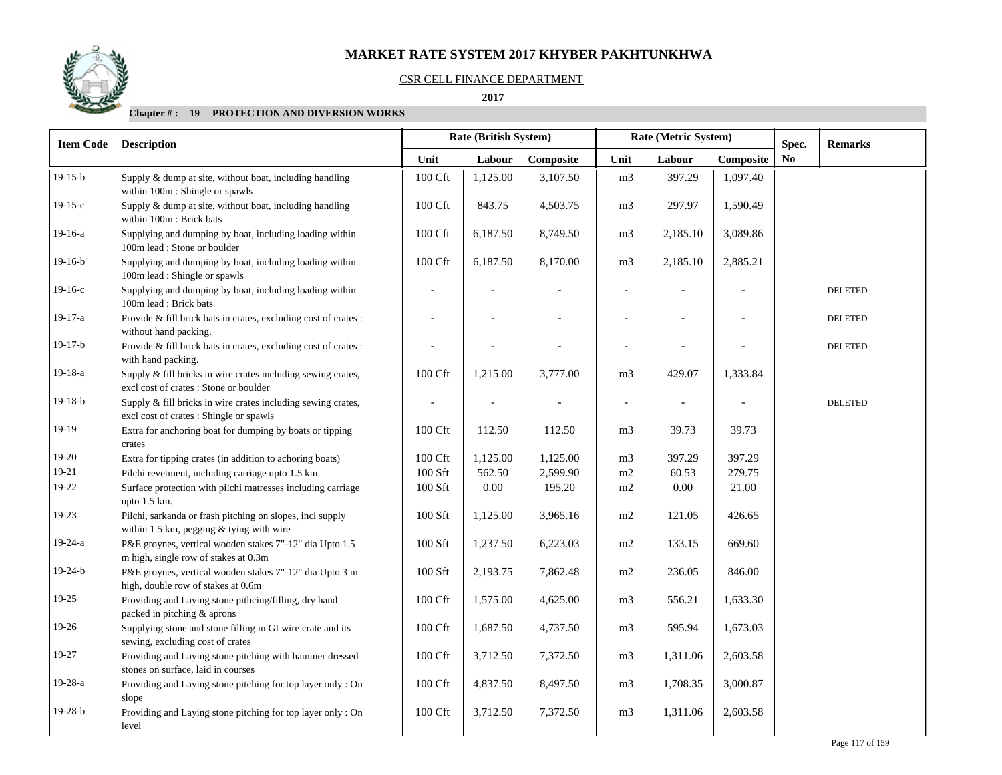### CSR CELL FINANCE DEPARTMENT

 **2017** 

| <b>Item Code</b> | <b>Description</b>                                                                                      | <b>Rate (British System)</b> |          |           |                | Rate (Metric System)     |           | Spec. | <b>Remarks</b> |
|------------------|---------------------------------------------------------------------------------------------------------|------------------------------|----------|-----------|----------------|--------------------------|-----------|-------|----------------|
|                  |                                                                                                         | Unit                         | Labour   | Composite | Unit           | Labour                   | Composite | No    |                |
| $19-15-b$        | Supply & dump at site, without boat, including handling<br>within 100m : Shingle or spawls              | 100 Cft                      | 1,125.00 | 3,107.50  | m <sub>3</sub> | 397.29                   | 1,097.40  |       |                |
| $19-15-c$        | Supply & dump at site, without boat, including handling<br>within 100m : Brick bats                     | 100 Cft                      | 843.75   | 4,503.75  | m <sub>3</sub> | 297.97                   | 1,590.49  |       |                |
| 19-16-a          | Supplying and dumping by boat, including loading within<br>100m lead : Stone or boulder                 | 100 Cft                      | 6,187.50 | 8,749.50  | m <sub>3</sub> | 2,185.10                 | 3,089.86  |       |                |
| $19-16-b$        | Supplying and dumping by boat, including loading within<br>100m lead : Shingle or spawls                | 100 Cft                      | 6,187.50 | 8,170.00  | m <sub>3</sub> | 2,185.10                 | 2,885.21  |       |                |
| $19-16-c$        | Supplying and dumping by boat, including loading within<br>100m lead: Brick bats                        |                              |          |           |                |                          |           |       | <b>DELETED</b> |
| 19-17-a          | Provide & fill brick bats in crates, excluding cost of crates :<br>without hand packing.                |                              |          |           |                |                          |           |       | <b>DELETED</b> |
| $19-17-b$        | Provide & fill brick bats in crates, excluding cost of crates :<br>with hand packing.                   |                              |          |           |                |                          |           |       | <b>DELETED</b> |
| 19-18-a          | Supply & fill bricks in wire crates including sewing crates,<br>excl cost of crates : Stone or boulder  | 100 Cft                      | 1,215.00 | 3,777.00  | m <sub>3</sub> | 429.07                   | 1,333.84  |       |                |
| $19-18-b$        | Supply & fill bricks in wire crates including sewing crates,<br>excl cost of crates : Shingle or spawls |                              |          |           |                | $\overline{\phantom{a}}$ |           |       | <b>DELETED</b> |
| 19-19            | Extra for anchoring boat for dumping by boats or tipping<br>crates                                      | 100 Cft                      | 112.50   | 112.50    | m <sub>3</sub> | 39.73                    | 39.73     |       |                |
| 19-20            | Extra for tipping crates (in addition to achoring boats)                                                | 100 Cft                      | 1,125.00 | 1,125.00  | m <sub>3</sub> | 397.29                   | 397.29    |       |                |
| 19-21            | Pilchi revetment, including carriage upto 1.5 km                                                        | 100 Sft                      | 562.50   | 2,599.90  | $\rm m2$       | 60.53                    | 279.75    |       |                |
| 19-22            | Surface protection with pilchi matresses including carriage<br>upto $1.5$ km.                           | 100 Sft                      | 0.00     | 195.20    | m2             | 0.00                     | 21.00     |       |                |
| 19-23            | Pilchi, sarkanda or frash pitching on slopes, incl supply<br>within 1.5 km, pegging & tying with wire   | $100$ Sft                    | 1,125.00 | 3,965.16  | m2             | 121.05                   | 426.65    |       |                |
| 19-24-a          | P&E groynes, vertical wooden stakes 7"-12" dia Upto 1.5<br>m high, single row of stakes at 0.3m         | 100 Sft                      | 1,237.50 | 6,223.03  | m2             | 133.15                   | 669.60    |       |                |
| $19-24-b$        | P&E groynes, vertical wooden stakes 7"-12" dia Upto 3 m<br>high, double row of stakes at 0.6m           | $100$ Sft                    | 2,193.75 | 7,862.48  | m2             | 236.05                   | 846.00    |       |                |
| $19-25$          | Providing and Laying stone pithcing/filling, dry hand<br>packed in pitching & aprons                    | 100 Cft                      | 1,575.00 | 4,625.00  | m <sub>3</sub> | 556.21                   | 1,633.30  |       |                |
| 19-26            | Supplying stone and stone filling in GI wire crate and its<br>sewing, excluding cost of crates          | 100 Cft                      | 1,687.50 | 4,737.50  | m <sub>3</sub> | 595.94                   | 1,673.03  |       |                |
| 19-27            | Providing and Laying stone pitching with hammer dressed<br>stones on surface, laid in courses           | 100 Cft                      | 3,712.50 | 7,372.50  | m <sub>3</sub> | 1,311.06                 | 2,603.58  |       |                |
| 19-28-a          | Providing and Laying stone pitching for top layer only: On<br>slope                                     | 100 Cft                      | 4,837.50 | 8,497.50  | m <sub>3</sub> | 1,708.35                 | 3,000.87  |       |                |
| $19-28-b$        | Providing and Laying stone pitching for top layer only: On<br>level                                     | 100 Cft                      | 3,712.50 | 7,372.50  | m <sub>3</sub> | 1,311.06                 | 2,603.58  |       |                |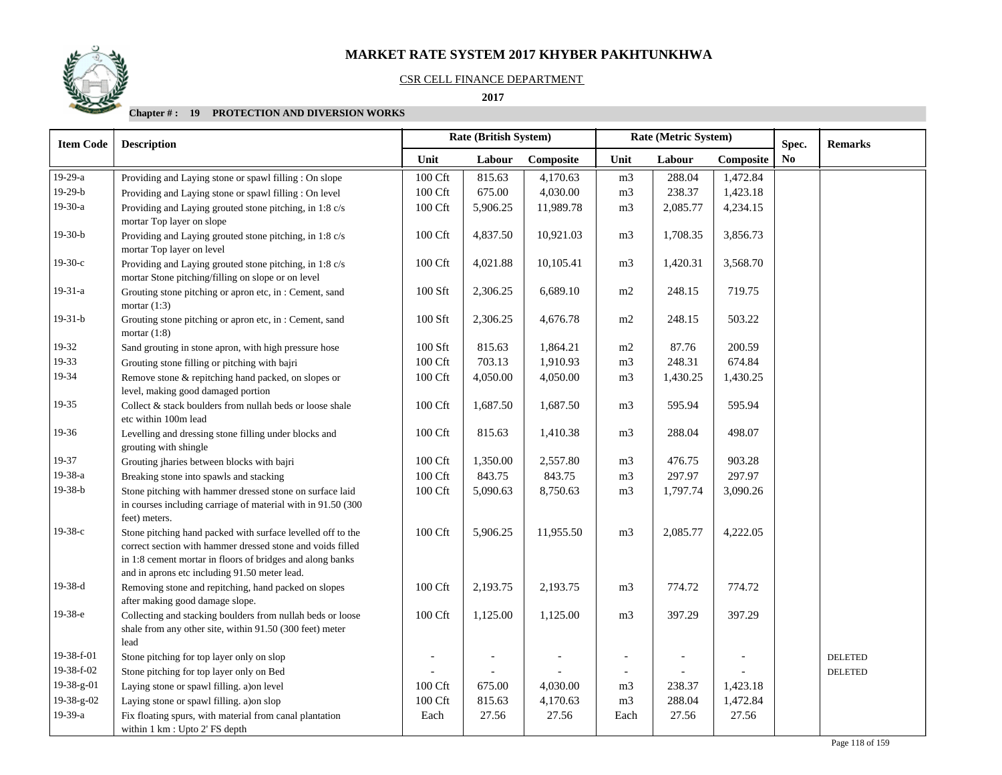#### CSR CELL FINANCE DEPARTMENT

 **2017** 

| <b>Item Code</b> | <b>Description</b>                                                                                                                                                                                                                      | <b>Rate (British System)</b> |                |           |                          | Rate (Metric System) |           | Spec.          | <b>Remarks</b> |
|------------------|-----------------------------------------------------------------------------------------------------------------------------------------------------------------------------------------------------------------------------------------|------------------------------|----------------|-----------|--------------------------|----------------------|-----------|----------------|----------------|
|                  |                                                                                                                                                                                                                                         | Unit                         | Labour         | Composite | Unit                     | Labour               | Composite | N <sub>0</sub> |                |
| 19-29-a          | Providing and Laying stone or spawl filling : On slope                                                                                                                                                                                  | 100 Cft                      | 815.63         | 4,170.63  | m <sub>3</sub>           | 288.04               | 1,472.84  |                |                |
| $19-29-b$        | Providing and Laying stone or spawl filling : On level                                                                                                                                                                                  | 100 Cft                      | 675.00         | 4,030.00  | m <sub>3</sub>           | 238.37               | 1,423.18  |                |                |
| 19-30-a          | Providing and Laying grouted stone pitching, in 1:8 c/s<br>mortar Top layer on slope                                                                                                                                                    | 100 Cft                      | 5,906.25       | 11,989.78 | m <sub>3</sub>           | 2,085.77             | 4,234.15  |                |                |
| $19-30-b$        | Providing and Laying grouted stone pitching, in 1:8 c/s<br>mortar Top layer on level                                                                                                                                                    | 100 Cft                      | 4,837.50       | 10,921.03 | m <sub>3</sub>           | 1,708.35             | 3,856.73  |                |                |
| $19-30-c$        | Providing and Laying grouted stone pitching, in 1:8 c/s<br>mortar Stone pitching/filling on slope or on level                                                                                                                           | 100 Cft                      | 4,021.88       | 10,105.41 | m <sub>3</sub>           | 1,420.31             | 3,568.70  |                |                |
| $19-31-a$        | Grouting stone pitching or apron etc, in: Cement, sand<br>mortar $(1:3)$                                                                                                                                                                | 100 Sft                      | 2,306.25       | 6,689.10  | m2                       | 248.15               | 719.75    |                |                |
| $19-31-b$        | Grouting stone pitching or apron etc, in: Cement, sand<br>mortar $(1:8)$                                                                                                                                                                | 100 Sft                      | 2,306.25       | 4,676.78  | m2                       | 248.15               | 503.22    |                |                |
| 19-32            | Sand grouting in stone apron, with high pressure hose                                                                                                                                                                                   | 100 Sft                      | 815.63         | 1,864.21  | m2                       | 87.76                | 200.59    |                |                |
| 19-33            | Grouting stone filling or pitching with bajri                                                                                                                                                                                           | 100 Cft                      | 703.13         | 1,910.93  | m <sub>3</sub>           | 248.31               | 674.84    |                |                |
| 19-34            | Remove stone & repitching hand packed, on slopes or<br>level, making good damaged portion                                                                                                                                               | 100 Cft                      | 4,050.00       | 4,050.00  | m <sub>3</sub>           | 1,430.25             | 1,430.25  |                |                |
| 19-35            | Collect & stack boulders from nullah beds or loose shale<br>etc within 100m lead                                                                                                                                                        | 100 Cft                      | 1,687.50       | 1,687.50  | m <sub>3</sub>           | 595.94               | 595.94    |                |                |
| 19-36            | Levelling and dressing stone filling under blocks and<br>grouting with shingle                                                                                                                                                          | 100 Cft                      | 815.63         | 1,410.38  | m <sub>3</sub>           | 288.04               | 498.07    |                |                |
| 19-37            | Grouting jharies between blocks with bajri                                                                                                                                                                                              | 100 Cft                      | 1,350.00       | 2,557.80  | m <sub>3</sub>           | 476.75               | 903.28    |                |                |
| 19-38-a          | Breaking stone into spawls and stacking                                                                                                                                                                                                 | 100 Cft                      | 843.75         | 843.75    | m <sub>3</sub>           | 297.97               | 297.97    |                |                |
| $19-38-b$        | Stone pitching with hammer dressed stone on surface laid<br>in courses including carriage of material with in 91.50 (300)<br>feet) meters.                                                                                              | 100 Cft                      | 5,090.63       | 8,750.63  | m <sub>3</sub>           | 1,797.74             | 3,090.26  |                |                |
| $19-38-c$        | Stone pitching hand packed with surface levelled off to the<br>correct section with hammer dressed stone and voids filled<br>in 1:8 cement mortar in floors of bridges and along banks<br>and in aprons etc including 91.50 meter lead. | 100 Cft                      | 5,906.25       | 11,955.50 | m <sub>3</sub>           | 2,085.77             | 4,222.05  |                |                |
| $19-38-d$        | Removing stone and repitching, hand packed on slopes<br>after making good damage slope.                                                                                                                                                 | 100 Cft                      | 2,193.75       | 2,193.75  | m <sub>3</sub>           | 774.72               | 774.72    |                |                |
| 19-38-е          | Collecting and stacking boulders from nullah beds or loose<br>shale from any other site, within 91.50 (300 feet) meter<br>lead                                                                                                          | 100 Cft                      | 1,125.00       | 1,125.00  | m <sub>3</sub>           | 397.29               | 397.29    |                |                |
| 19-38-f-01       | Stone pitching for top layer only on slop                                                                                                                                                                                               |                              |                |           |                          |                      |           |                | <b>DELETED</b> |
| 19-38-f-02       | Stone pitching for top layer only on Bed                                                                                                                                                                                                |                              | $\overline{a}$ |           | $\overline{\phantom{a}}$ |                      |           |                | <b>DELETED</b> |
| 19-38-g-01       | Laying stone or spawl filling. a) on level                                                                                                                                                                                              | 100 Cft                      | 675.00         | 4,030.00  | m <sub>3</sub>           | 238.37               | 1,423.18  |                |                |
| 19-38-g-02       | Laying stone or spawl filling. a) on slop                                                                                                                                                                                               | 100 Cft                      | 815.63         | 4,170.63  | m <sub>3</sub>           | 288.04               | 1,472.84  |                |                |
| 19-39-a          | Fix floating spurs, with material from canal plantation<br>within 1 km : Upto 2' FS depth                                                                                                                                               | Each                         | 27.56          | 27.56     | Each                     | 27.56                | 27.56     |                |                |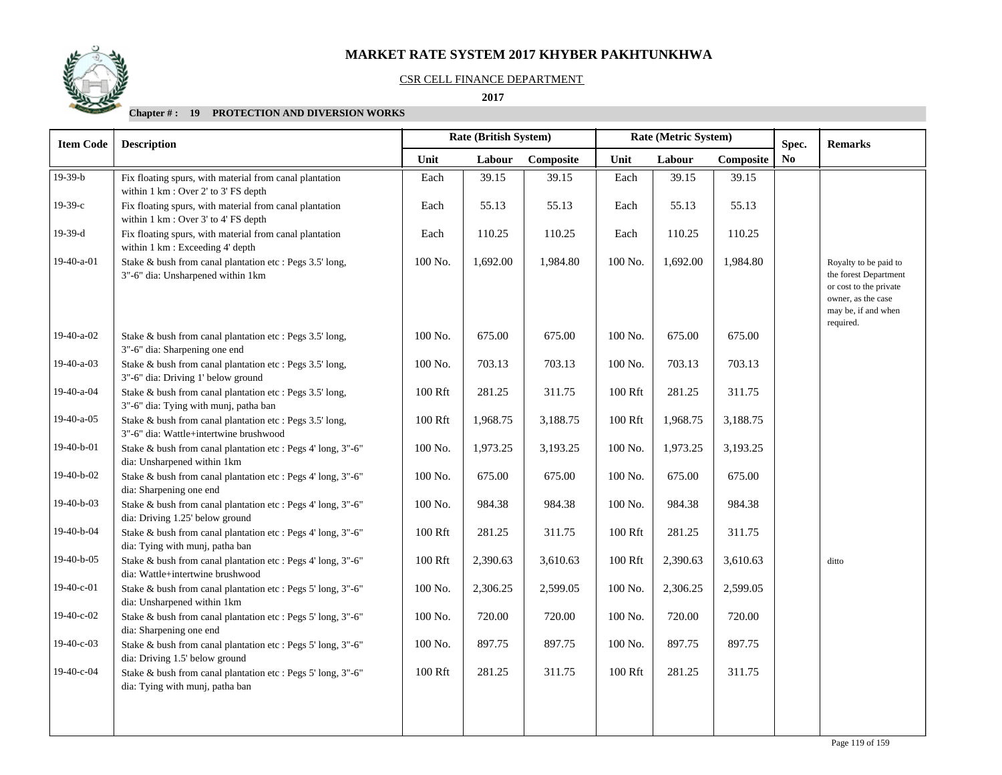## CSR CELL FINANCE DEPARTMENT

 **2017** 

| <b>Item Code</b> | <b>Description</b>                                                                                 |         |          | Rate (British System)<br>Spec. |         | Rate (Metric System) |           |                        | <b>Remarks</b>                                                                                                                     |
|------------------|----------------------------------------------------------------------------------------------------|---------|----------|--------------------------------|---------|----------------------|-----------|------------------------|------------------------------------------------------------------------------------------------------------------------------------|
|                  |                                                                                                    | Unit    | Labour   | Composite                      | Unit    | Labour               | Composite | $\mathbf{N}\mathbf{o}$ |                                                                                                                                    |
| $19-39-b$        | Fix floating spurs, with material from canal plantation<br>within 1 km : Over 2' to 3' FS depth    | Each    | 39.15    | 39.15                          | Each    | 39.15                | 39.15     |                        |                                                                                                                                    |
| $19-39-c$        | Fix floating spurs, with material from canal plantation<br>within 1 km : Over 3' to 4' FS depth    | Each    | 55.13    | 55.13                          | Each    | 55.13                | 55.13     |                        |                                                                                                                                    |
| 19-39-d          | Fix floating spurs, with material from canal plantation<br>within 1 km : Exceeding 4' depth        | Each    | 110.25   | 110.25                         | Each    | 110.25               | 110.25    |                        |                                                                                                                                    |
| 19-40-a-01       | Stake & bush from canal plantation etc : Pegs 3.5' long,<br>3"-6" dia: Unsharpened within 1km      | 100 No. | 1,692.00 | 1,984.80                       | 100 No. | 1,692.00             | 1,984.80  |                        | Royalty to be paid to<br>the forest Department<br>or cost to the private<br>owner, as the case<br>may be, if and when<br>required. |
| 19-40-a-02       | Stake & bush from canal plantation etc : Pegs 3.5' long,<br>3"-6" dia: Sharpening one end          | 100 No. | 675.00   | 675.00                         | 100 No. | 675.00               | 675.00    |                        |                                                                                                                                    |
| 19-40-a-03       | Stake & bush from canal plantation etc : Pegs 3.5' long,<br>3"-6" dia: Driving 1' below ground     | 100 No. | 703.13   | 703.13                         | 100 No. | 703.13               | 703.13    |                        |                                                                                                                                    |
| 19-40-a-04       | Stake & bush from canal plantation etc : Pegs 3.5' long,<br>3"-6" dia: Tying with munj, patha ban  | 100 Rft | 281.25   | 311.75                         | 100 Rft | 281.25               | 311.75    |                        |                                                                                                                                    |
| 19-40-a-05       | Stake & bush from canal plantation etc : Pegs 3.5' long,<br>3"-6" dia: Wattle+intertwine brushwood | 100 Rft | 1,968.75 | 3,188.75                       | 100 Rft | 1,968.75             | 3,188.75  |                        |                                                                                                                                    |
| 19-40-b-01       | Stake & bush from canal plantation etc : Pegs 4' long, 3"-6"<br>dia: Unsharpened within 1km        | 100 No. | 1,973.25 | 3,193.25                       | 100 No. | 1,973.25             | 3,193.25  |                        |                                                                                                                                    |
| 19-40-b-02       | Stake & bush from canal plantation etc : Pegs 4' long, 3"-6"<br>dia: Sharpening one end            | 100 No. | 675.00   | 675.00                         | 100 No. | 675.00               | 675.00    |                        |                                                                                                                                    |
| 19-40-b-03       | Stake & bush from canal plantation etc : Pegs 4' long, 3"-6"<br>dia: Driving 1.25' below ground    | 100 No. | 984.38   | 984.38                         | 100 No. | 984.38               | 984.38    |                        |                                                                                                                                    |
| 19-40-b-04       | Stake & bush from canal plantation etc : Pegs 4' long, 3"-6"<br>dia: Tying with munj, patha ban    | 100 Rft | 281.25   | 311.75                         | 100 Rft | 281.25               | 311.75    |                        |                                                                                                                                    |
| 19-40-b-05       | Stake & bush from canal plantation etc : Pegs 4' long, 3"-6"<br>dia: Wattle+intertwine brushwood   | 100 Rft | 2,390.63 | 3,610.63                       | 100 Rft | 2,390.63             | 3,610.63  |                        | ditto                                                                                                                              |
| 19-40-c-01       | Stake & bush from canal plantation etc : Pegs 5' long, 3"-6"<br>dia: Unsharpened within 1km        | 100 No. | 2,306.25 | 2,599.05                       | 100 No. | 2,306.25             | 2,599.05  |                        |                                                                                                                                    |
| 19-40-c-02       | Stake & bush from canal plantation etc : Pegs 5' long, 3"-6"<br>dia: Sharpening one end            | 100 No. | 720.00   | 720.00                         | 100 No. | 720.00               | 720.00    |                        |                                                                                                                                    |
| 19-40-c-03       | Stake & bush from canal plantation etc : Pegs 5' long, 3"-6"<br>dia: Driving 1.5' below ground     | 100 No. | 897.75   | 897.75                         | 100 No. | 897.75               | 897.75    |                        |                                                                                                                                    |
| 19-40-c-04       | Stake & bush from canal plantation etc : Pegs 5' long, 3"-6"<br>dia: Tying with munj, patha ban    | 100 Rft | 281.25   | 311.75                         | 100 Rft | 281.25               | 311.75    |                        |                                                                                                                                    |
|                  |                                                                                                    |         |          |                                |         |                      |           |                        |                                                                                                                                    |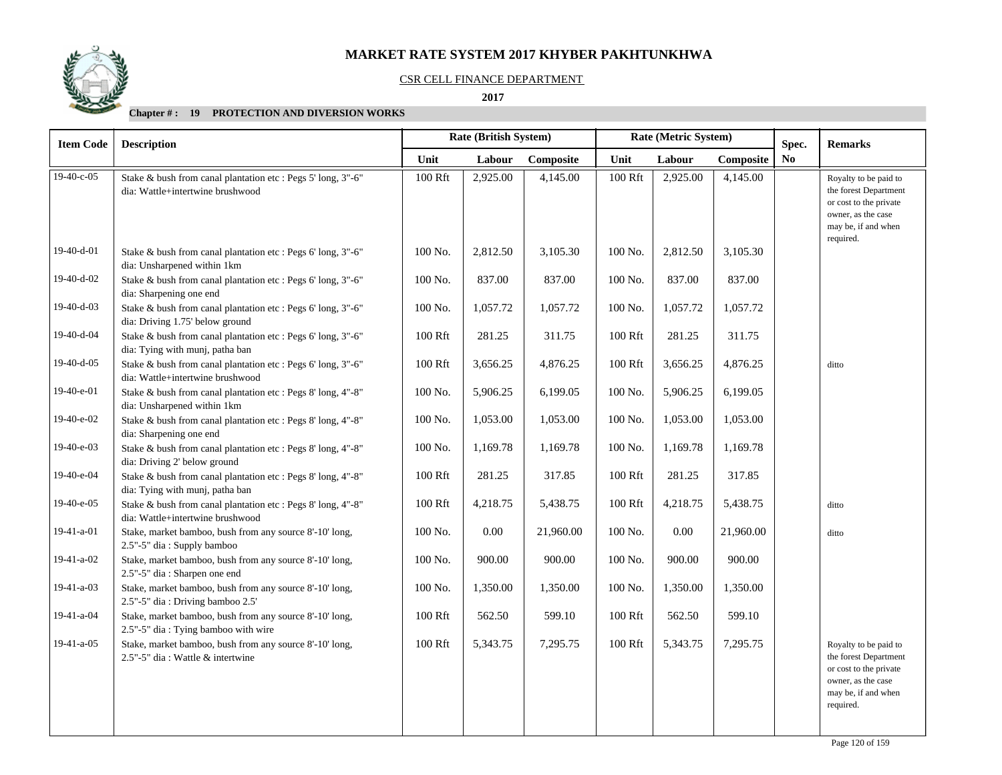# CSR CELL FINANCE DEPARTMENT

### **2017**

| <b>Item Code</b> | <b>Description</b>                                                                               |                     | <b>Rate (British System)</b> |           | Rate (Metric System) |          |           | Spec. | <b>Remarks</b>                                                                                                                     |
|------------------|--------------------------------------------------------------------------------------------------|---------------------|------------------------------|-----------|----------------------|----------|-----------|-------|------------------------------------------------------------------------------------------------------------------------------------|
|                  |                                                                                                  | Unit                | Labour                       | Composite | Unit                 | Labour   | Composite | No    |                                                                                                                                    |
| $19-40-c-05$     | Stake & bush from canal plantation etc : Pegs 5' long, 3"-6"<br>dia: Wattle+intertwine brushwood | 100 Rft             | 2,925.00                     | 4,145.00  | 100 Rft              | 2,925.00 | 4,145.00  |       | Royalty to be paid to<br>the forest Department<br>or cost to the private<br>owner, as the case<br>may be, if and when<br>required. |
| 19-40-d-01       | Stake & bush from canal plantation etc : Pegs 6' long, 3"-6"<br>dia: Unsharpened within 1km      | 100 No.             | 2,812.50                     | 3,105.30  | 100 No.              | 2,812.50 | 3,105.30  |       |                                                                                                                                    |
| 19-40-d-02       | Stake & bush from canal plantation etc : Pegs 6' long, 3"-6"<br>dia: Sharpening one end          | 100 No.             | 837.00                       | 837.00    | 100 No.              | 837.00   | 837.00    |       |                                                                                                                                    |
| 19-40-d-03       | Stake & bush from canal plantation etc : Pegs 6' long, 3"-6"<br>dia: Driving 1.75' below ground  | 100 No.             | 1,057.72                     | 1,057.72  | 100 No.              | 1,057.72 | 1,057.72  |       |                                                                                                                                    |
| 19-40-d-04       | Stake & bush from canal plantation etc : Pegs 6' long, 3"-6"<br>dia: Tying with munj, patha ban  | 100 Rft             | 281.25                       | 311.75    | 100 Rft              | 281.25   | 311.75    |       |                                                                                                                                    |
| 19-40-d-05       | Stake & bush from canal plantation etc : Pegs 6' long, 3"-6"<br>dia: Wattle+intertwine brushwood | 100 Rft             | 3,656.25                     | 4,876.25  | 100 Rft              | 3,656.25 | 4,876.25  |       | ditto                                                                                                                              |
| 19-40-e-01       | Stake & bush from canal plantation etc : Pegs 8' long, 4"-8"<br>dia: Unsharpened within 1km      | 100 No.             | 5,906.25                     | 6,199.05  | 100 No.              | 5,906.25 | 6,199.05  |       |                                                                                                                                    |
| 19-40-e-02       | Stake & bush from canal plantation etc : Pegs 8' long, 4"-8"<br>dia: Sharpening one end          | 100 No.             | 1,053.00                     | 1,053.00  | 100 No.              | 1,053.00 | 1,053.00  |       |                                                                                                                                    |
| 19-40-e-03       | Stake & bush from canal plantation etc : Pegs 8' long, 4"-8"<br>dia: Driving 2' below ground     | 100 No.             | 1,169.78                     | 1,169.78  | 100 No.              | 1,169.78 | 1,169.78  |       |                                                                                                                                    |
| 19-40-e-04       | Stake & bush from canal plantation etc : Pegs 8' long, 4"-8"<br>dia: Tying with munj, patha ban  | 100 Rft             | 281.25                       | 317.85    | 100 Rft              | 281.25   | 317.85    |       |                                                                                                                                    |
| 19-40-e-05       | Stake & bush from canal plantation etc : Pegs 8' long, 4"-8"<br>dia: Wattle+intertwine brushwood | $100\;\mathrm{Rft}$ | 4,218.75                     | 5,438.75  | $100\ \mathrm{Rft}$  | 4,218.75 | 5,438.75  |       | ditto                                                                                                                              |
| 19-41-a-01       | Stake, market bamboo, bush from any source 8'-10' long,<br>2.5"-5" dia: Supply bamboo            | 100 No.             | 0.00                         | 21,960.00 | 100 No.              | 0.00     | 21,960.00 |       | ditto                                                                                                                              |
| 19-41-a-02       | Stake, market bamboo, bush from any source 8'-10' long,<br>2.5"-5" dia: Sharpen one end          | 100 No.             | 900.00                       | 900.00    | 100 No.              | 900.00   | 900.00    |       |                                                                                                                                    |
| 19-41-a-03       | Stake, market bamboo, bush from any source 8'-10' long,<br>2.5"-5" dia: Driving bamboo 2.5'      | 100 No.             | 1,350.00                     | 1,350.00  | 100 No.              | 1,350.00 | 1,350.00  |       |                                                                                                                                    |
| 19-41-a-04       | Stake, market bamboo, bush from any source 8'-10' long,<br>2.5"-5" dia: Tying bamboo with wire   | 100 Rft             | 562.50                       | 599.10    | 100 Rft              | 562.50   | 599.10    |       |                                                                                                                                    |
| 19-41-a-05       | Stake, market bamboo, bush from any source 8'-10' long,<br>2.5"-5" dia: Wattle & intertwine      | 100 Rft             | 5,343.75                     | 7,295.75  | 100 Rft              | 5,343.75 | 7,295.75  |       | Royalty to be paid to<br>the forest Department<br>or cost to the private<br>owner, as the case<br>may be, if and when<br>required. |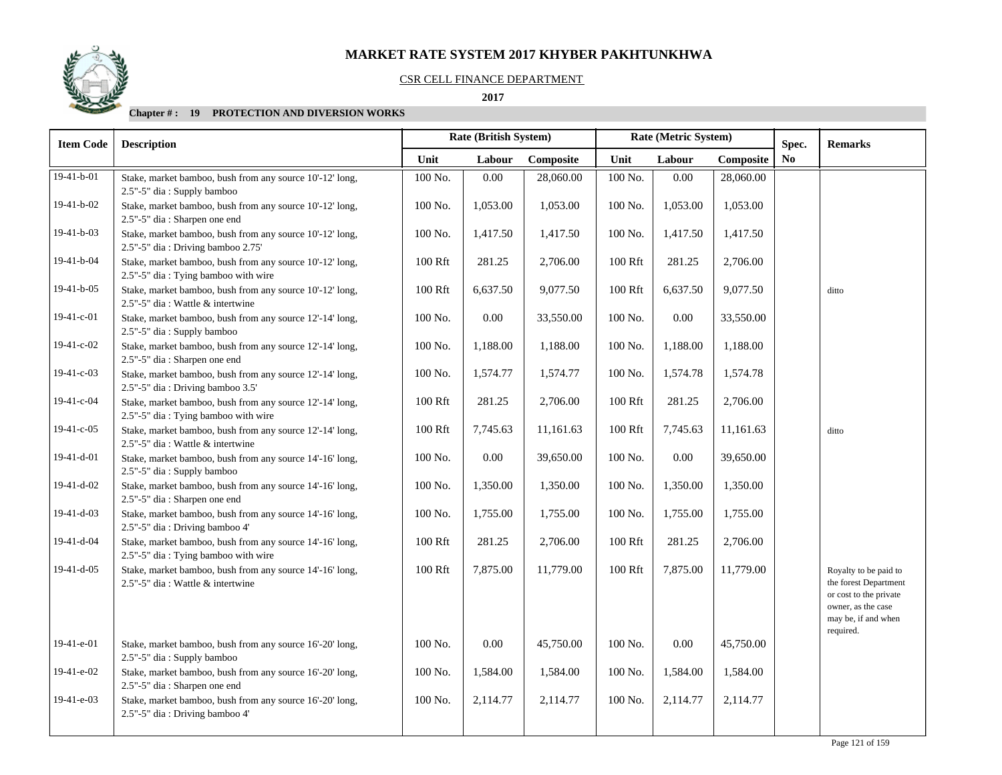### CSR CELL FINANCE DEPARTMENT

 **2017** 

| <b>Remarks</b>                                                                                                                     |  | Rate (Metric System) |          |         | Rate (British System)<br>Spec. |          |         | <b>Description</b>                                                                              | <b>Item Code</b>                                                                                                             |
|------------------------------------------------------------------------------------------------------------------------------------|--|----------------------|----------|---------|--------------------------------|----------|---------|-------------------------------------------------------------------------------------------------|------------------------------------------------------------------------------------------------------------------------------|
| $\mathbf{N}\mathbf{o}$                                                                                                             |  | Composite            | Labour   | Unit    | Composite                      | Labour   | Unit    |                                                                                                 |                                                                                                                              |
|                                                                                                                                    |  | 28,060.00            | 0.00     | 100 No. | 28,060.00                      | 0.00     | 100 No. | Stake, market bamboo, bush from any source 10'-12' long,<br>2.5"-5" dia: Supply bamboo          | $19-41-b-01$                                                                                                                 |
|                                                                                                                                    |  | 1,053.00             | 1,053.00 | 100 No. | 1,053.00                       | 1,053.00 | 100 No. | Stake, market bamboo, bush from any source 10'-12' long,<br>2.5"-5" dia: Sharpen one end        | 19-41-b-02                                                                                                                   |
|                                                                                                                                    |  | 1,417.50             | 1,417.50 | 100 No. | 1,417.50                       | 1,417.50 | 100 No. | Stake, market bamboo, bush from any source 10'-12' long,<br>2.5"-5" dia: Driving bamboo 2.75'   | 19-41-b-03                                                                                                                   |
|                                                                                                                                    |  | 2,706.00             | 281.25   | 100 Rft | 2,706.00                       | 281.25   | 100 Rft | Stake, market bamboo, bush from any source 10'-12' long,<br>2.5"-5" dia: Tying bamboo with wire | 19-41-b-04                                                                                                                   |
| ditto                                                                                                                              |  | 9,077.50             | 6,637.50 | 100 Rft | 9,077.50                       | 6,637.50 | 100 Rft | Stake, market bamboo, bush from any source 10'-12' long,<br>2.5"-5" dia : Wattle & intertwine   | 19-41-b-05                                                                                                                   |
|                                                                                                                                    |  | 33,550.00            | $0.00\,$ | 100 No. | 33,550.00                      | 0.00     | 100 No. | Stake, market bamboo, bush from any source 12'-14' long,<br>2.5"-5" dia: Supply bamboo          | 19-41-c-01                                                                                                                   |
|                                                                                                                                    |  | 1,188.00             | 1,188.00 | 100 No. | 1,188.00                       | 1,188.00 | 100 No. | Stake, market bamboo, bush from any source 12'-14' long,<br>2.5"-5" dia: Sharpen one end        | 19-41-c-02                                                                                                                   |
|                                                                                                                                    |  | 1,574.78             | 1,574.78 | 100 No. | 1,574.77                       | 1,574.77 | 100 No. | Stake, market bamboo, bush from any source 12'-14' long,<br>2.5"-5" dia: Driving bamboo 3.5'    | $19-41-c-03$                                                                                                                 |
|                                                                                                                                    |  | 2,706.00             | 281.25   | 100 Rft | 2,706.00                       | 281.25   | 100 Rft | Stake, market bamboo, bush from any source 12'-14' long,<br>2.5"-5" dia: Tying bamboo with wire | 19-41-c-04                                                                                                                   |
| ditto                                                                                                                              |  | 11,161.63            | 7,745.63 | 100 Rft | 11,161.63                      | 7,745.63 | 100 Rft | Stake, market bamboo, bush from any source 12'-14' long,<br>2.5"-5" dia: Wattle & intertwine    |                                                                                                                              |
|                                                                                                                                    |  | 39,650.00            | 0.00     | 100 No. | 39,650.00                      | 0.00     | 100 No. | Stake, market bamboo, bush from any source 14'-16' long,<br>2.5"-5" dia: Supply bamboo          |                                                                                                                              |
|                                                                                                                                    |  | 1,350.00             | 1,350.00 | 100 No. | 1,350.00                       | 1,350.00 | 100 No. | Stake, market bamboo, bush from any source 14'-16' long,<br>2.5"-5" dia: Sharpen one end        |                                                                                                                              |
|                                                                                                                                    |  | 1,755.00             | 1,755.00 | 100 No. | 1,755.00                       | 1,755.00 | 100 No. | Stake, market bamboo, bush from any source 14'-16' long,<br>2.5"-5" dia: Driving bamboo 4'      |                                                                                                                              |
|                                                                                                                                    |  | 2,706.00             | 281.25   | 100 Rft | 2,706.00                       | 281.25   | 100 Rft | Stake, market bamboo, bush from any source 14'-16' long,<br>2.5"-5" dia: Tying bamboo with wire |                                                                                                                              |
| Royalty to be paid to<br>the forest Department<br>or cost to the private<br>owner, as the case<br>may be, if and when<br>required. |  | 11,779.00            | 7,875.00 | 100 Rft | 11,779.00                      | 7,875.00 | 100 Rft | Stake, market bamboo, bush from any source 14'-16' long,<br>2.5"-5" dia : Wattle & intertwine   |                                                                                                                              |
|                                                                                                                                    |  | 45,750.00            | 0.00     | 100 No. | 45,750.00                      | 0.00     | 100 No. | Stake, market bamboo, bush from any source 16'-20' long,<br>2.5"-5" dia: Supply bamboo          |                                                                                                                              |
|                                                                                                                                    |  | 1,584.00             | 1,584.00 | 100 No. | 1,584.00                       | 1,584.00 | 100 No. | Stake, market bamboo, bush from any source 16'-20' long,<br>2.5"-5" dia: Sharpen one end        |                                                                                                                              |
|                                                                                                                                    |  | 2,114.77             | 2,114.77 | 100 No. | 2,114.77                       | 2,114.77 | 100 No. | Stake, market bamboo, bush from any source 16'-20' long,<br>2.5"-5" dia: Driving bamboo 4'      |                                                                                                                              |
|                                                                                                                                    |  |                      |          |         |                                |          |         |                                                                                                 | $19-41-c-05$<br>19-41-d-01<br>19-41-d-02<br>19-41-d-03<br>19-41-d-04<br>19-41-d-05<br>19-41-e-01<br>19-41-e-02<br>19-41-e-03 |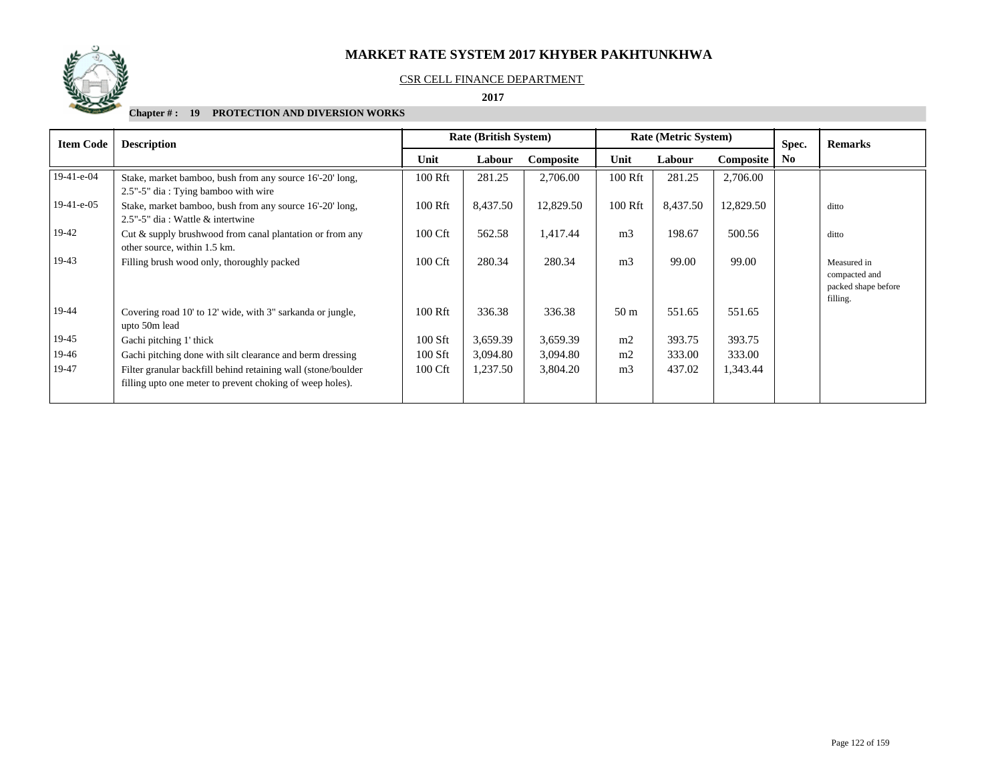

#### CSR CELL FINANCE DEPARTMENT

 **2017** 

| <b>Item Code</b> | <b>Description</b>                                                                                                         |         | <b>Rate (British System)</b> |           | <b>Rate (Metric System)</b> |          |           |                |                                                                 |  | Spec. | <b>Remarks</b> |
|------------------|----------------------------------------------------------------------------------------------------------------------------|---------|------------------------------|-----------|-----------------------------|----------|-----------|----------------|-----------------------------------------------------------------|--|-------|----------------|
|                  |                                                                                                                            | Unit    | Labour                       | Composite | Unit                        | Labour   | Composite | N <sub>0</sub> |                                                                 |  |       |                |
| $19-41-e-04$     | Stake, market bamboo, bush from any source 16'-20' long,<br>2.5"-5" dia: Tying bamboo with wire                            | 100 Rft | 281.25                       | 2,706.00  | 100 Rft                     | 281.25   | 2,706.00  |                |                                                                 |  |       |                |
| $19-41-e-05$     | Stake, market bamboo, bush from any source 16'-20' long,<br>2.5"-5" dia : Wattle & intertwine                              | 100 Rft | 8,437.50                     | 12,829.50 | 100 Rft                     | 8,437.50 | 12,829.50 |                | ditto                                                           |  |       |                |
| 19-42            | Cut & supply brushwood from canal plantation or from any<br>other source, within 1.5 km.                                   | 100 Cft | 562.58                       | 1,417.44  | m <sub>3</sub>              | 198.67   | 500.56    |                | ditto                                                           |  |       |                |
| 19-43            | Filling brush wood only, thoroughly packed                                                                                 | 100 Cft | 280.34                       | 280.34    | m <sub>3</sub>              | 99.00    | 99.00     |                | Measured in<br>compacted and<br>packed shape before<br>filling. |  |       |                |
| 19-44            | Covering road 10' to 12' wide, with 3" sarkanda or jungle,<br>upto 50m lead                                                | 100 Rft | 336.38                       | 336.38    | 50 <sub>m</sub>             | 551.65   | 551.65    |                |                                                                 |  |       |                |
| 19-45            | Gachi pitching 1' thick                                                                                                    | 100 Sft | 3,659.39                     | 3,659.39  | m2                          | 393.75   | 393.75    |                |                                                                 |  |       |                |
| 19-46            | Gachi pitching done with silt clearance and berm dressing                                                                  | 100 Sft | 3,094.80                     | 3,094.80  | m2                          | 333.00   | 333.00    |                |                                                                 |  |       |                |
| 19-47            | Filter granular backfill behind retaining wall (stone/boulder<br>filling upto one meter to prevent choking of weep holes). | 100 Cft | 1,237.50                     | 3,804.20  | m <sub>3</sub>              | 437.02   | 1,343.44  |                |                                                                 |  |       |                |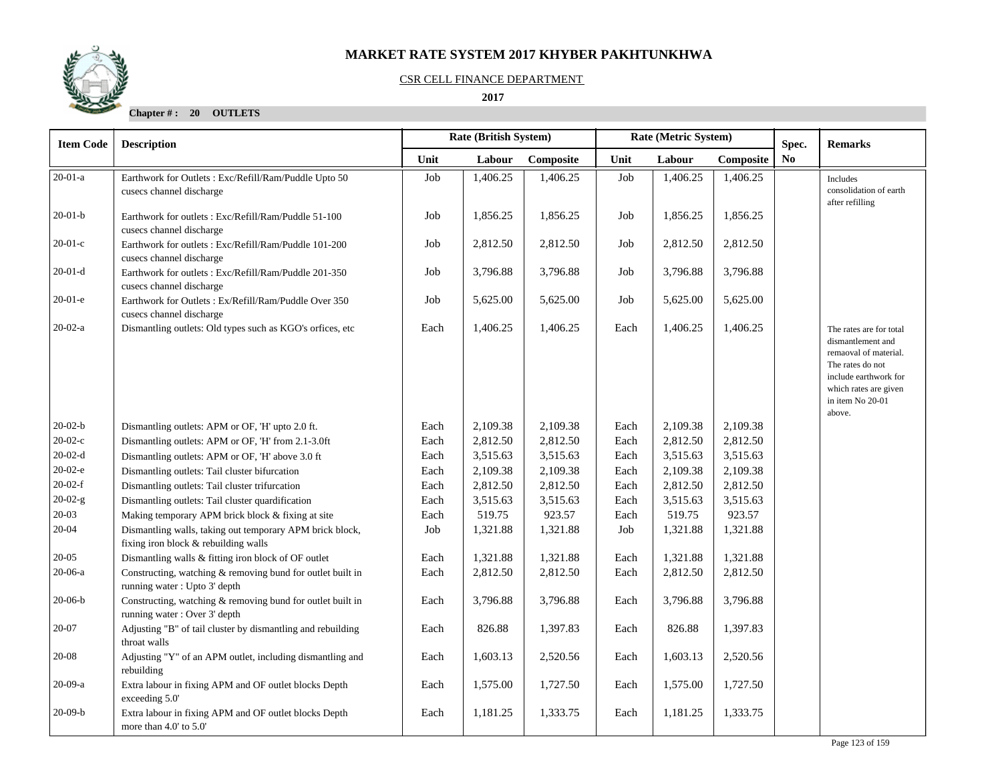## CSR CELL FINANCE DEPARTMENT

## **2017**

**Chapter # : 20 OUTLETS**

| <b>Item Code</b> | <b>Description</b>                                                                               |      | Rate (British System)<br>Rate (Metric System)<br>Spec. |           |      |          |           |                | <b>Remarks</b>                                                                                                                                                            |
|------------------|--------------------------------------------------------------------------------------------------|------|--------------------------------------------------------|-----------|------|----------|-----------|----------------|---------------------------------------------------------------------------------------------------------------------------------------------------------------------------|
|                  |                                                                                                  | Unit | Labour                                                 | Composite | Unit | Labour   | Composite | N <sub>0</sub> |                                                                                                                                                                           |
| $20-01-a$        | Earthwork for Outlets : Exc/Refill/Ram/Puddle Upto 50<br>cusecs channel discharge                | Job  | 1,406.25                                               | 1,406.25  | Job  | 1,406.25 | 1,406.25  |                | Includes<br>consolidation of earth<br>after refilling                                                                                                                     |
| $20-01-b$        | Earthwork for outlets: Exc/Refill/Ram/Puddle 51-100<br>cusecs channel discharge                  | Job  | 1,856.25                                               | 1,856.25  | Job  | 1,856.25 | 1,856.25  |                |                                                                                                                                                                           |
| $20-01-c$        | Earthwork for outlets: Exc/Refill/Ram/Puddle 101-200<br>cusecs channel discharge                 | Job  | 2,812.50                                               | 2,812.50  | Job  | 2,812.50 | 2,812.50  |                |                                                                                                                                                                           |
| $20-01-d$        | Earthwork for outlets: Exc/Refill/Ram/Puddle 201-350<br>cusecs channel discharge                 | Job  | 3,796.88                                               | 3,796.88  | Job  | 3,796.88 | 3,796.88  |                |                                                                                                                                                                           |
| $20-01-e$        | Earthwork for Outlets : Ex/Refill/Ram/Puddle Over 350<br>cusecs channel discharge                | Job  | 5,625.00                                               | 5,625.00  | Job  | 5,625.00 | 5,625.00  |                |                                                                                                                                                                           |
| $20-02-a$        | Dismantling outlets: Old types such as KGO's orfices, etc.                                       | Each | 1,406.25                                               | 1,406.25  | Each | 1,406.25 | 1,406.25  |                | The rates are for total<br>dismantlement and<br>remaoval of material.<br>The rates do not<br>include earthwork for<br>which rates are given<br>in item No 20-01<br>above. |
| $20-02-b$        | Dismantling outlets: APM or OF, 'H' upto 2.0 ft.                                                 | Each | 2,109.38                                               | 2,109.38  | Each | 2,109.38 | 2,109.38  |                |                                                                                                                                                                           |
| $20-02-c$        | Dismantling outlets: APM or OF, 'H' from 2.1-3.0ft                                               | Each | 2,812.50                                               | 2,812.50  | Each | 2,812.50 | 2,812.50  |                |                                                                                                                                                                           |
| $20-02-d$        | Dismantling outlets: APM or OF, 'H' above 3.0 ft                                                 | Each | 3,515.63                                               | 3,515.63  | Each | 3,515.63 | 3,515.63  |                |                                                                                                                                                                           |
| $20-02-e$        | Dismantling outlets: Tail cluster bifurcation                                                    | Each | 2,109.38                                               | 2,109.38  | Each | 2,109.38 | 2,109.38  |                |                                                                                                                                                                           |
| $20-02-f$        | Dismantling outlets: Tail cluster trifurcation                                                   | Each | 2,812.50                                               | 2,812.50  | Each | 2,812.50 | 2,812.50  |                |                                                                                                                                                                           |
| $20-02-g$        | Dismantling outlets: Tail cluster quardification                                                 | Each | 3,515.63                                               | 3,515.63  | Each | 3,515.63 | 3,515.63  |                |                                                                                                                                                                           |
| $20 - 03$        | Making temporary APM brick block & fixing at site                                                | Each | 519.75                                                 | 923.57    | Each | 519.75   | 923.57    |                |                                                                                                                                                                           |
| $20 - 04$        | Dismantling walls, taking out temporary APM brick block,<br>fixing iron block & rebuilding walls | Job  | 1,321.88                                               | 1,321.88  | Job  | 1,321.88 | 1,321.88  |                |                                                                                                                                                                           |
| $20 - 05$        | Dismantling walls & fitting iron block of OF outlet                                              | Each | 1,321.88                                               | 1,321.88  | Each | 1,321.88 | 1,321.88  |                |                                                                                                                                                                           |
| 20-06-a          | Constructing, watching & removing bund for outlet built in<br>running water: Upto 3' depth       | Each | 2,812.50                                               | 2,812.50  | Each | 2,812.50 | 2,812.50  |                |                                                                                                                                                                           |
| $20-06-b$        | Constructing, watching & removing bund for outlet built in<br>running water: Over 3' depth       | Each | 3,796.88                                               | 3,796.88  | Each | 3,796.88 | 3,796.88  |                |                                                                                                                                                                           |
| $20 - 07$        | Adjusting "B" of tail cluster by dismantling and rebuilding<br>throat walls                      | Each | 826.88                                                 | 1,397.83  | Each | 826.88   | 1,397.83  |                |                                                                                                                                                                           |
| 20-08            | Adjusting "Y" of an APM outlet, including dismantling and<br>rebuilding                          | Each | 1,603.13                                               | 2,520.56  | Each | 1,603.13 | 2,520.56  |                |                                                                                                                                                                           |
| $20-09-a$        | Extra labour in fixing APM and OF outlet blocks Depth<br>exceeding 5.0'                          | Each | 1,575.00                                               | 1,727.50  | Each | 1,575.00 | 1,727.50  |                |                                                                                                                                                                           |
| $20-09-b$        | Extra labour in fixing APM and OF outlet blocks Depth<br>more than 4.0' to 5.0'                  | Each | 1,181.25                                               | 1,333.75  | Each | 1,181.25 | 1,333.75  |                |                                                                                                                                                                           |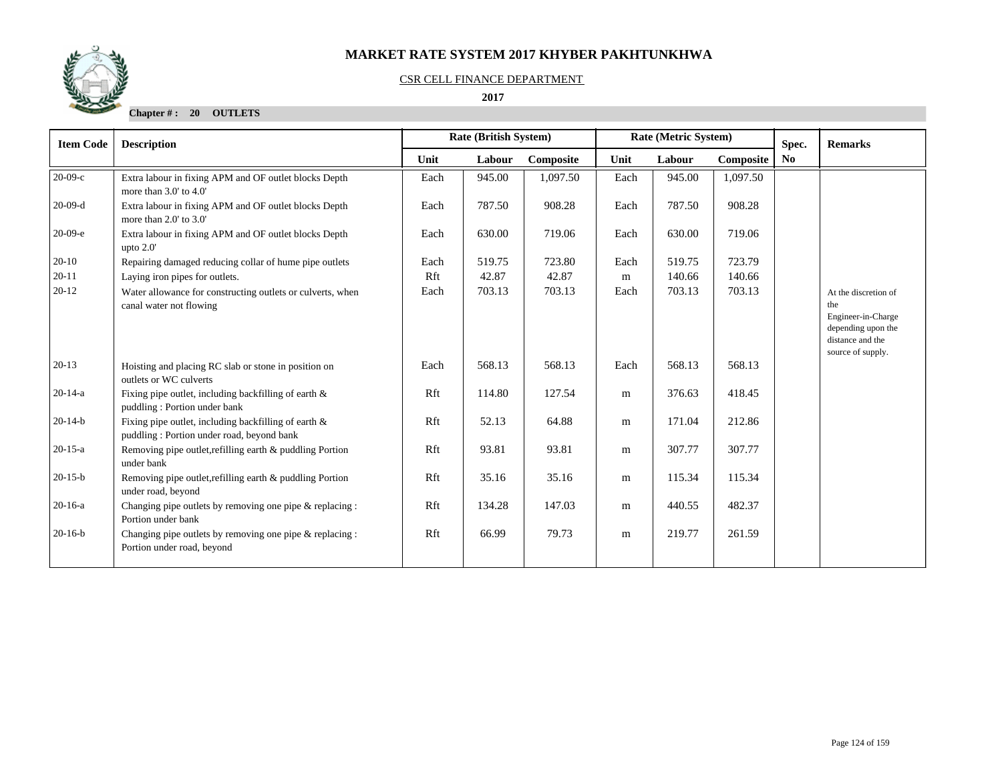

#### CSR CELL FINANCE DEPARTMENT

## **2017**

**Chapter # : 20 OUTLETS**

| <b>Item Code</b> | <b>Description</b>                                                                                |      | Rate (British System)<br>Rate (Metric System) |           |           |        | Spec.     | <b>Remarks</b> |                                                                                                                  |
|------------------|---------------------------------------------------------------------------------------------------|------|-----------------------------------------------|-----------|-----------|--------|-----------|----------------|------------------------------------------------------------------------------------------------------------------|
|                  |                                                                                                   | Unit | Labour                                        | Composite | Unit      | Labour | Composite | No             |                                                                                                                  |
| $20-09-c$        | Extra labour in fixing APM and OF outlet blocks Depth<br>more than 3.0' to 4.0'                   | Each | 945.00                                        | 1,097.50  | Each      | 945.00 | 1,097.50  |                |                                                                                                                  |
| $20-09-d$        | Extra labour in fixing APM and OF outlet blocks Depth<br>more than 2.0' to 3.0'                   | Each | 787.50                                        | 908.28    | Each      | 787.50 | 908.28    |                |                                                                                                                  |
| $20-09-e$        | Extra labour in fixing APM and OF outlet blocks Depth<br>upto $2.0'$                              | Each | 630.00                                        | 719.06    | Each      | 630.00 | 719.06    |                |                                                                                                                  |
| $20-10$          | Repairing damaged reducing collar of hume pipe outlets                                            | Each | 519.75                                        | 723.80    | Each      | 519.75 | 723.79    |                |                                                                                                                  |
| $20 - 11$        | Laying iron pipes for outlets.                                                                    | Rft  | 42.87                                         | 42.87     | m         | 140.66 | 140.66    |                |                                                                                                                  |
| $20-12$          | Water allowance for constructing outlets or culverts, when<br>canal water not flowing             | Each | 703.13                                        | 703.13    | Each      | 703.13 | 703.13    |                | At the discretion of<br>the<br>Engineer-in-Charge<br>depending upon the<br>distance and the<br>source of supply. |
| $20-13$          | Hoisting and placing RC slab or stone in position on<br>outlets or WC culverts                    | Each | 568.13                                        | 568.13    | Each      | 568.13 | 568.13    |                |                                                                                                                  |
| $20-14-a$        | Fixing pipe outlet, including backfilling of earth $\&$<br>puddling: Portion under bank           | Rft  | 114.80                                        | 127.54    | ${\rm m}$ | 376.63 | 418.45    |                |                                                                                                                  |
| $20-14-b$        | Fixing pipe outlet, including backfilling of earth &<br>puddling: Portion under road, beyond bank | Rft  | 52.13                                         | 64.88     | m         | 171.04 | 212.86    |                |                                                                                                                  |
| $20-15-a$        | Removing pipe outlet, refilling earth & puddling Portion<br>under bank                            | Rft  | 93.81                                         | 93.81     | m         | 307.77 | 307.77    |                |                                                                                                                  |
| $20-15-b$        | Removing pipe outlet, refilling earth & puddling Portion<br>under road, beyond                    | Rft  | 35.16                                         | 35.16     | m         | 115.34 | 115.34    |                |                                                                                                                  |
| $20-16-a$        | Changing pipe outlets by removing one pipe & replacing :<br>Portion under bank                    | Rft  | 134.28                                        | 147.03    | m         | 440.55 | 482.37    |                |                                                                                                                  |
| $20-16-b$        | Changing pipe outlets by removing one pipe & replacing :<br>Portion under road, beyond            | Rft  | 66.99                                         | 79.73     | m         | 219.77 | 261.59    |                |                                                                                                                  |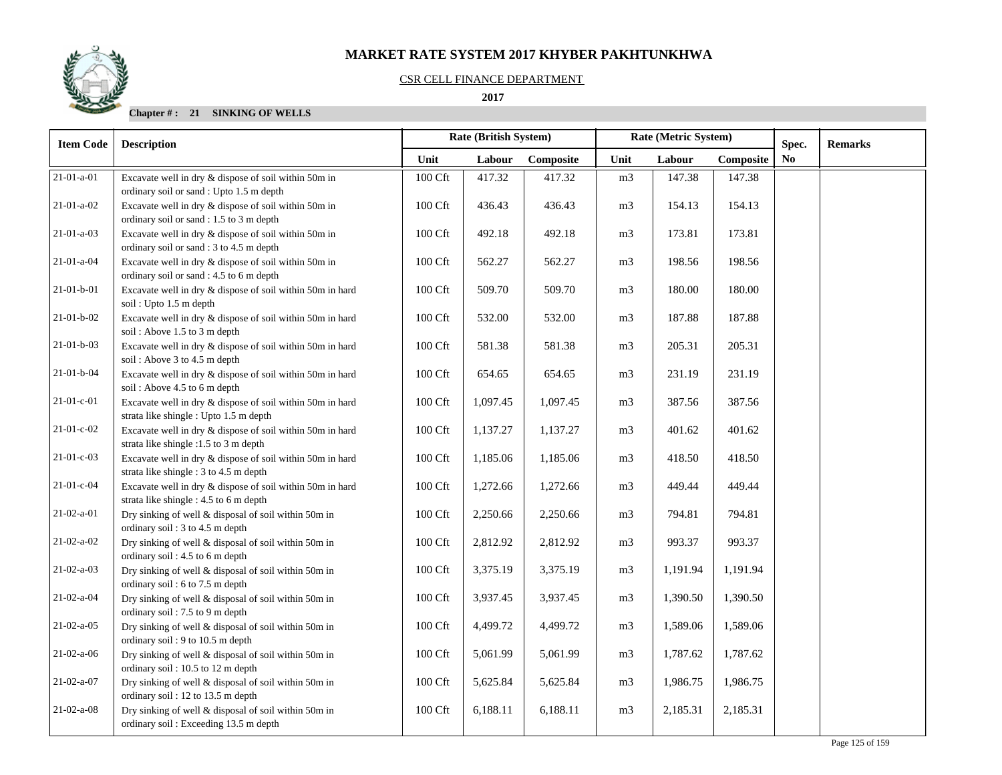#### CSR CELL FINANCE DEPARTMENT

 **2017** 

| <b>Item Code</b>   | <b>Description</b>                                                                                  |                     | <b>Rate (British System)</b> |           | Rate (Metric System) |          |           | Spec.          | <b>Remarks</b> |
|--------------------|-----------------------------------------------------------------------------------------------------|---------------------|------------------------------|-----------|----------------------|----------|-----------|----------------|----------------|
|                    |                                                                                                     | Unit                | Labour                       | Composite | Unit                 | Labour   | Composite | N <sub>0</sub> |                |
| $21 - 01 - a - 01$ | Excavate well in dry & dispose of soil within 50m in<br>ordinary soil or sand : Upto 1.5 m depth    | 100 Cft             | 417.32                       | 417.32    | m <sub>3</sub>       | 147.38   | 147.38    |                |                |
| $21-01-a-02$       | Excavate well in dry & dispose of soil within 50m in<br>ordinary soil or sand : 1.5 to 3 m depth    | 100 Cft             | 436.43                       | 436.43    | m <sub>3</sub>       | 154.13   | 154.13    |                |                |
| $21-01-a-03$       | Excavate well in dry & dispose of soil within 50m in<br>ordinary soil or sand: 3 to 4.5 m depth     | 100 Cft             | 492.18                       | 492.18    | m <sub>3</sub>       | 173.81   | 173.81    |                |                |
| 21-01-a-04         | Excavate well in dry & dispose of soil within 50m in<br>ordinary soil or sand : 4.5 to 6 m depth    | 100 Cft             | 562.27                       | 562.27    | m <sub>3</sub>       | 198.56   | 198.56    |                |                |
| $21-01-b-01$       | Excavate well in dry & dispose of soil within 50m in hard<br>soil: Upto 1.5 m depth                 | 100 Cft             | 509.70                       | 509.70    | m <sub>3</sub>       | 180.00   | 180.00    |                |                |
| $21-01-b-02$       | Excavate well in dry & dispose of soil within 50m in hard<br>soil: Above 1.5 to 3 m depth           | 100 Cft             | 532.00                       | 532.00    | m <sub>3</sub>       | 187.88   | 187.88    |                |                |
| $21 - 01 - b - 03$ | Excavate well in dry & dispose of soil within 50m in hard<br>soil: Above 3 to 4.5 m depth           | 100 Cft             | 581.38                       | 581.38    | m <sub>3</sub>       | 205.31   | 205.31    |                |                |
| $21-01-b-04$       | Excavate well in dry & dispose of soil within 50m in hard<br>soil: Above 4.5 to 6 m depth           | 100 Cft             | 654.65                       | 654.65    | m <sub>3</sub>       | 231.19   | 231.19    |                |                |
| $21-01-c-01$       | Excavate well in dry & dispose of soil within 50m in hard<br>strata like shingle : Upto 1.5 m depth | 100 Cft             | 1,097.45                     | 1,097.45  | m <sub>3</sub>       | 387.56   | 387.56    |                |                |
| $21-01-c-02$       | Excavate well in dry & dispose of soil within 50m in hard<br>strata like shingle :1.5 to 3 m depth  | 100 Cft             | 1,137.27                     | 1,137.27  | m <sub>3</sub>       | 401.62   | 401.62    |                |                |
| $21-01-c-03$       | Excavate well in dry & dispose of soil within 50m in hard<br>strata like shingle : 3 to 4.5 m depth | 100 Cft             | 1,185.06                     | 1,185.06  | m <sub>3</sub>       | 418.50   | 418.50    |                |                |
| 21-01-c-04         | Excavate well in dry & dispose of soil within 50m in hard<br>strata like shingle : 4.5 to 6 m depth | 100 Cft             | 1,272.66                     | 1,272.66  | m <sub>3</sub>       | 449.44   | 449.44    |                |                |
| $21-02-a-01$       | Dry sinking of well & disposal of soil within 50m in<br>ordinary soil: 3 to 4.5 m depth             | 100 Cft             | 2,250.66                     | 2,250.66  | m <sub>3</sub>       | 794.81   | 794.81    |                |                |
| $21-02-a-02$       | Dry sinking of well & disposal of soil within 50m in<br>ordinary soil: 4.5 to 6 m depth             | 100 Cft             | 2,812.92                     | 2,812.92  | m <sub>3</sub>       | 993.37   | 993.37    |                |                |
| $21-02-a-03$       | Dry sinking of well & disposal of soil within 50m in<br>ordinary soil: 6 to 7.5 m depth             | 100 Cft             | 3,375.19                     | 3,375.19  | m <sub>3</sub>       | 1,191.94 | 1,191.94  |                |                |
| $21-02-a-04$       | Dry sinking of well & disposal of soil within 50m in<br>ordinary soil: 7.5 to 9 m depth             | 100 Cft             | 3,937.45                     | 3,937.45  | m <sub>3</sub>       | 1,390.50 | 1,390.50  |                |                |
| $21-02-a-05$       | Dry sinking of well & disposal of soil within 50m in<br>ordinary soil: 9 to 10.5 m depth            | 100 Cft             | 4,499.72                     | 4,499.72  | m <sub>3</sub>       | 1,589.06 | 1,589.06  |                |                |
| $21-02-a-06$       | Dry sinking of well & disposal of soil within 50m in<br>ordinary soil: 10.5 to 12 m depth           | 100 Cft             | 5,061.99                     | 5,061.99  | m <sub>3</sub>       | 1,787.62 | 1,787.62  |                |                |
| $21-02-a-07$       | Dry sinking of well & disposal of soil within 50m in<br>ordinary soil: 12 to 13.5 m depth           | 100 Cft             | 5,625.84                     | 5,625.84  | m <sub>3</sub>       | 1,986.75 | 1,986.75  |                |                |
| $21-02-a-08$       | Dry sinking of well & disposal of soil within 50m in<br>ordinary soil: Exceeding 13.5 m depth       | $100\ \mathrm{Cft}$ | 6,188.11                     | 6,188.11  | m <sub>3</sub>       | 2,185.31 | 2,185.31  |                |                |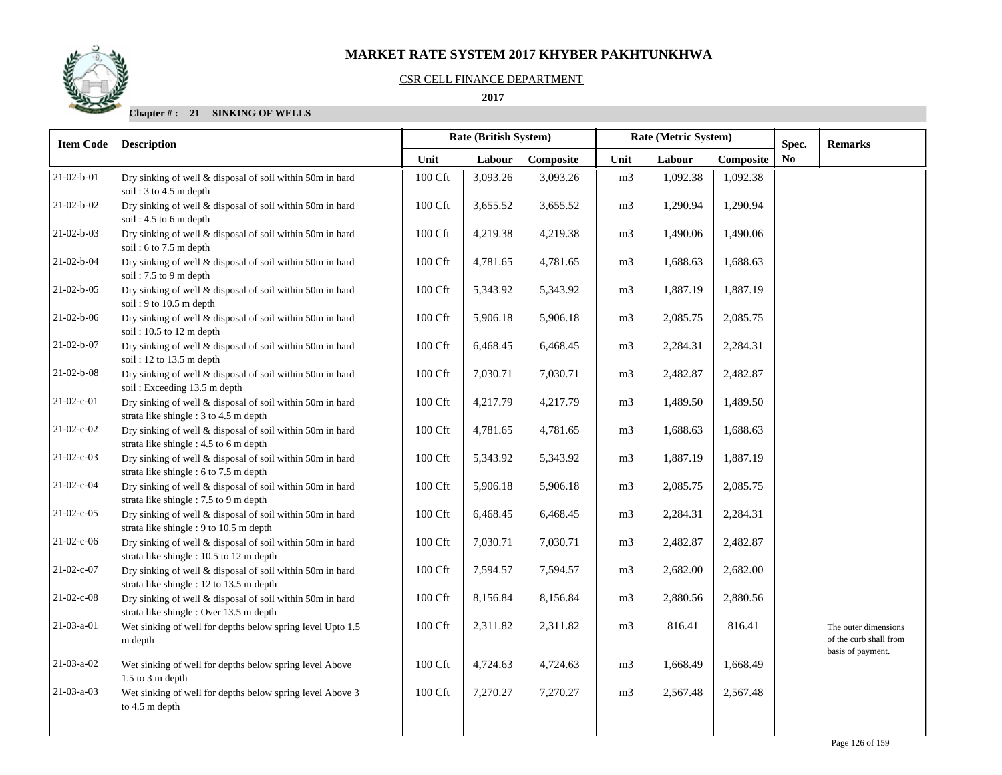

#### CSR CELL FINANCE DEPARTMENT

## **2017**

| <b>Item Code</b>   | <b>Description</b>                                                                                    |         | <b>Rate (British System)</b> |           | Rate (Metric System) |          |           | Spec. | <b>Remarks</b>                                 |
|--------------------|-------------------------------------------------------------------------------------------------------|---------|------------------------------|-----------|----------------------|----------|-----------|-------|------------------------------------------------|
|                    |                                                                                                       | Unit    | Labour                       | Composite | Unit                 | Labour   | Composite | No    |                                                |
| $21-02-b-01$       | Dry sinking of well & disposal of soil within 50m in hard<br>soil: $3$ to $4.5$ m depth               | 100 Cft | 3,093.26                     | 3,093.26  | m <sub>3</sub>       | 1,092.38 | 1,092.38  |       |                                                |
| $21-02-b-02$       | Dry sinking of well & disposal of soil within 50m in hard<br>soil: $4.5$ to 6 m depth                 | 100 Cft | 3,655.52                     | 3,655.52  | m <sub>3</sub>       | 1,290.94 | 1,290.94  |       |                                                |
| $21 - 02 - b - 03$ | Dry sinking of well & disposal of soil within 50m in hard<br>soil: 6 to 7.5 m depth                   | 100 Cft | 4,219.38                     | 4,219.38  | m <sub>3</sub>       | 1,490.06 | 1,490.06  |       |                                                |
| $21 - 02 - b - 04$ | Dry sinking of well & disposal of soil within 50m in hard<br>soil: 7.5 to 9 m depth                   | 100 Cft | 4,781.65                     | 4,781.65  | m <sub>3</sub>       | 1,688.63 | 1,688.63  |       |                                                |
| $21 - 02 - b - 05$ | Dry sinking of well & disposal of soil within 50m in hard<br>soil: 9 to 10.5 m depth                  | 100 Cft | 5,343.92                     | 5,343.92  | m <sub>3</sub>       | 1,887.19 | 1,887.19  |       |                                                |
| $21-02-b-06$       | Dry sinking of well & disposal of soil within 50m in hard<br>soil: 10.5 to 12 m depth                 | 100 Cft | 5,906.18                     | 5,906.18  | m <sub>3</sub>       | 2,085.75 | 2,085.75  |       |                                                |
| $21 - 02 - b - 07$ | Dry sinking of well & disposal of soil within 50m in hard<br>soil: 12 to 13.5 m depth                 | 100 Cft | 6,468.45                     | 6,468.45  | m <sub>3</sub>       | 2,284.31 | 2,284.31  |       |                                                |
| $21-02-b-08$       | Dry sinking of well & disposal of soil within 50m in hard<br>soil: Exceeding 13.5 m depth             | 100 Cft | 7,030.71                     | 7,030.71  | m <sub>3</sub>       | 2,482.87 | 2,482.87  |       |                                                |
| 21-02-c-01         | Dry sinking of well & disposal of soil within 50m in hard<br>strata like shingle : 3 to 4.5 m depth   | 100 Cft | 4,217.79                     | 4,217.79  | m <sub>3</sub>       | 1,489.50 | 1,489.50  |       |                                                |
| $21-02-c-02$       | Dry sinking of well & disposal of soil within 50m in hard<br>strata like shingle : 4.5 to 6 m depth   | 100 Cft | 4,781.65                     | 4,781.65  | m <sub>3</sub>       | 1,688.63 | 1,688.63  |       |                                                |
| $21-02-c-03$       | Dry sinking of well & disposal of soil within 50m in hard<br>strata like shingle : 6 to 7.5 m depth   | 100 Cft | 5,343.92                     | 5,343.92  | m <sub>3</sub>       | 1,887.19 | 1,887.19  |       |                                                |
| $21-02-c-04$       | Dry sinking of well & disposal of soil within 50m in hard<br>strata like shingle : 7.5 to 9 m depth   | 100 Cft | 5,906.18                     | 5,906.18  | m <sub>3</sub>       | 2,085.75 | 2,085.75  |       |                                                |
| $21-02-c-05$       | Dry sinking of well & disposal of soil within 50m in hard<br>strata like shingle : 9 to 10.5 m depth  | 100 Cft | 6,468.45                     | 6,468.45  | m <sub>3</sub>       | 2,284.31 | 2,284.31  |       |                                                |
| 21-02-c-06         | Dry sinking of well & disposal of soil within 50m in hard<br>strata like shingle : 10.5 to 12 m depth | 100 Cft | 7,030.71                     | 7,030.71  | m <sub>3</sub>       | 2,482.87 | 2,482.87  |       |                                                |
| 21-02-c-07         | Dry sinking of well & disposal of soil within 50m in hard<br>strata like shingle : 12 to 13.5 m depth | 100 Cft | 7,594.57                     | 7,594.57  | m <sub>3</sub>       | 2,682.00 | 2,682.00  |       |                                                |
| $21-02-c-08$       | Dry sinking of well & disposal of soil within 50m in hard<br>strata like shingle: Over 13.5 m depth   | 100 Cft | 8,156.84                     | 8,156.84  | m <sub>3</sub>       | 2,880.56 | 2,880.56  |       |                                                |
| $21-03-a-01$       | Wet sinking of well for depths below spring level Upto 1.5<br>m depth                                 | 100 Cft | 2,311.82                     | 2,311.82  | m <sub>3</sub>       | 816.41   | 816.41    |       | The outer dimensions<br>of the curb shall from |
| $21-03-a-02$       | Wet sinking of well for depths below spring level Above<br>$1.5$ to $3 \text{ m}$ depth               | 100 Cft | 4,724.63                     | 4,724.63  | m <sub>3</sub>       | 1,668.49 | 1,668.49  |       | basis of payment.                              |
| $21-03-a-03$       | Wet sinking of well for depths below spring level Above 3<br>to 4.5 m depth                           | 100 Cft | 7,270.27                     | 7,270.27  | m <sub>3</sub>       | 2,567.48 | 2,567.48  |       |                                                |
|                    |                                                                                                       |         |                              |           |                      |          |           |       |                                                |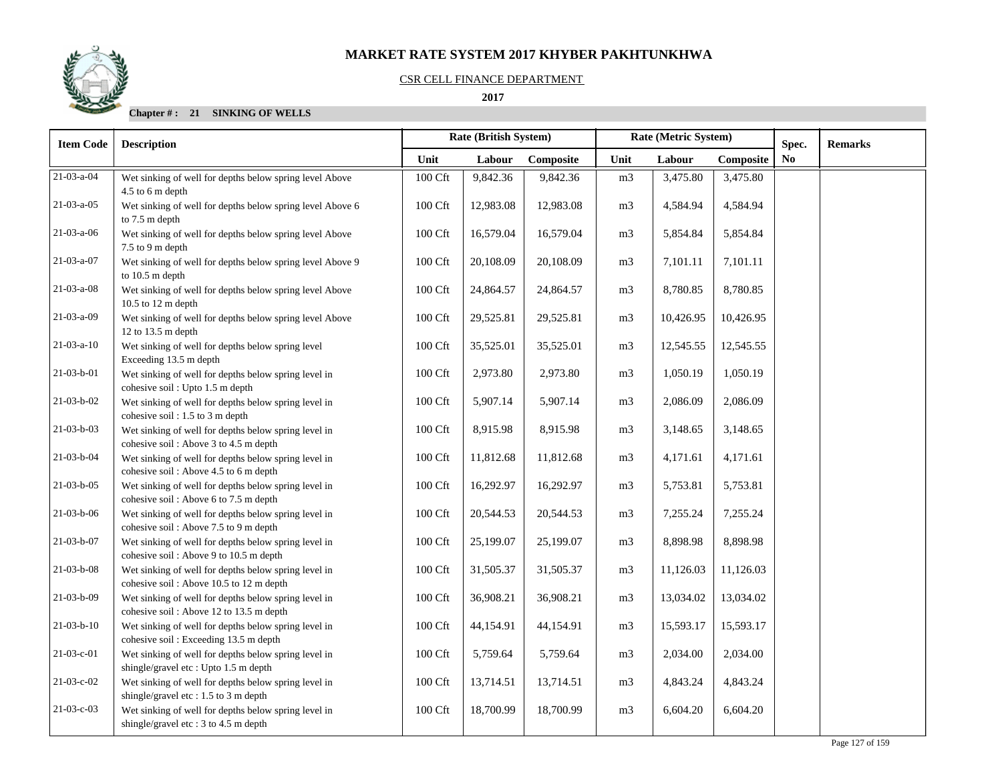

#### CSR CELL FINANCE DEPARTMENT

 **2017** 

| <b>Item Code</b>   | <b>Description</b>                                                                              | <b>Rate (British System)</b><br>Rate (Metric System) |           |           |                |           | Spec.     | <b>Remarks</b> |  |
|--------------------|-------------------------------------------------------------------------------------------------|------------------------------------------------------|-----------|-----------|----------------|-----------|-----------|----------------|--|
|                    |                                                                                                 | Unit                                                 | Labour    | Composite | Unit           | Labour    | Composite | No.            |  |
| $21 - 03 - a - 04$ | Wet sinking of well for depths below spring level Above<br>4.5 to 6 m depth                     | 100 Cft                                              | 9,842.36  | 9,842.36  | m <sub>3</sub> | 3,475.80  | 3,475.80  |                |  |
| $21-03-a-05$       | Wet sinking of well for depths below spring level Above 6<br>to 7.5 m depth                     | 100 Cft                                              | 12,983.08 | 12,983.08 | m <sub>3</sub> | 4,584.94  | 4,584.94  |                |  |
| $21-03-a-06$       | Wet sinking of well for depths below spring level Above<br>7.5 to 9 m depth                     | 100 Cft                                              | 16,579.04 | 16,579.04 | m <sub>3</sub> | 5,854.84  | 5,854.84  |                |  |
| 21-03-a-07         | Wet sinking of well for depths below spring level Above 9<br>to 10.5 m depth                    | 100 Cft                                              | 20,108.09 | 20,108.09 | m <sub>3</sub> | 7,101.11  | 7,101.11  |                |  |
| $21-03-a-08$       | Wet sinking of well for depths below spring level Above<br>10.5 to 12 m depth                   | $100 \mathrm{Cft}$                                   | 24,864.57 | 24,864.57 | m <sub>3</sub> | 8,780.85  | 8,780.85  |                |  |
| $21-03-a-09$       | Wet sinking of well for depths below spring level Above<br>12 to 13.5 m depth                   | 100 Cft                                              | 29,525.81 | 29,525.81 | m <sub>3</sub> | 10,426.95 | 10,426.95 |                |  |
| $21-03-a-10$       | Wet sinking of well for depths below spring level<br>Exceeding 13.5 m depth                     | 100 Cft                                              | 35,525.01 | 35,525.01 | m <sub>3</sub> | 12,545.55 | 12,545.55 |                |  |
| $21-03-b-01$       | Wet sinking of well for depths below spring level in<br>cohesive soil : Upto 1.5 m depth        | 100 Cft                                              | 2,973.80  | 2,973.80  | m <sub>3</sub> | 1,050.19  | 1,050.19  |                |  |
| $21 - 03 - b - 02$ | Wet sinking of well for depths below spring level in<br>cohesive soil: 1.5 to 3 m depth         | $100\,\mathrm{Cft}$                                  | 5,907.14  | 5,907.14  | m <sub>3</sub> | 2,086.09  | 2,086.09  |                |  |
| $21-03-b-03$       | Wet sinking of well for depths below spring level in<br>cohesive soil: Above 3 to 4.5 m depth   | 100 Cft                                              | 8,915.98  | 8,915.98  | m <sub>3</sub> | 3,148.65  | 3,148.65  |                |  |
| 21-03-b-04         | Wet sinking of well for depths below spring level in<br>cohesive soil: Above 4.5 to 6 m depth   | 100 Cft                                              | 11,812.68 | 11,812.68 | m <sub>3</sub> | 4,171.61  | 4,171.61  |                |  |
| $21 - 03 - b - 05$ | Wet sinking of well for depths below spring level in<br>cohesive soil: Above 6 to 7.5 m depth   | $100 \mathrm{Cft}$                                   | 16,292.97 | 16,292.97 | m <sub>3</sub> | 5,753.81  | 5,753.81  |                |  |
| $21 - 03 - b - 06$ | Wet sinking of well for depths below spring level in<br>cohesive soil: Above 7.5 to 9 m depth   | 100 Cft                                              | 20,544.53 | 20,544.53 | m <sub>3</sub> | 7,255.24  | 7,255.24  |                |  |
| 21-03-b-07         | Wet sinking of well for depths below spring level in<br>cohesive soil: Above 9 to 10.5 m depth  | 100 Cft                                              | 25,199.07 | 25,199.07 | m <sub>3</sub> | 8,898.98  | 8,898.98  |                |  |
| $21-03-b-08$       | Wet sinking of well for depths below spring level in<br>cohesive soil: Above 10.5 to 12 m depth | 100 Cft                                              | 31,505.37 | 31,505.37 | m <sub>3</sub> | 11,126.03 | 11,126.03 |                |  |
| $21-03-b-09$       | Wet sinking of well for depths below spring level in<br>cohesive soil: Above 12 to 13.5 m depth | 100 Cft                                              | 36,908.21 | 36,908.21 | m <sub>3</sub> | 13,034.02 | 13,034.02 |                |  |
| $21-03-b-10$       | Wet sinking of well for depths below spring level in<br>cohesive soil: Exceeding 13.5 m depth   | 100 Cft                                              | 44,154.91 | 44,154.91 | m <sub>3</sub> | 15,593.17 | 15,593.17 |                |  |
| 21-03-c-01         | Wet sinking of well for depths below spring level in<br>shingle/gravel etc: Upto 1.5 m depth    | 100 Cft                                              | 5,759.64  | 5,759.64  | m <sub>3</sub> | 2,034.00  | 2,034.00  |                |  |
| 21-03-c-02         | Wet sinking of well for depths below spring level in<br>shingle/gravel etc: 1.5 to 3 m depth    | $100 \mathrm{Cft}$                                   | 13,714.51 | 13,714.51 | m <sub>3</sub> | 4,843.24  | 4,843.24  |                |  |
| $21-03-c-03$       | Wet sinking of well for depths below spring level in<br>shingle/gravel etc: 3 to 4.5 m depth    | 100 Cft                                              | 18,700.99 | 18,700.99 | m <sub>3</sub> | 6,604.20  | 6,604.20  |                |  |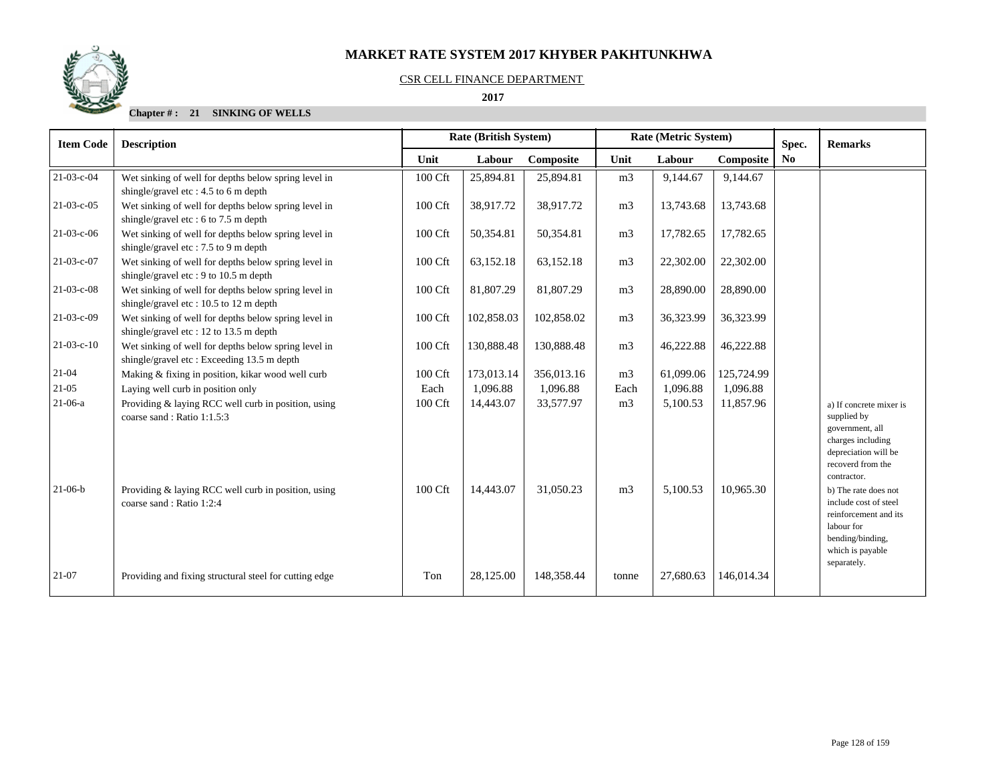#### CSR CELL FINANCE DEPARTMENT

 **2017** 

| <b>Item Code</b> | <b>Description</b>                                                                                 |         | Rate (Metric System)<br><b>Rate (British System)</b> |            |                |           |            |                         |                                                                                                                                             |  |  | <b>Remarks</b> |
|------------------|----------------------------------------------------------------------------------------------------|---------|------------------------------------------------------|------------|----------------|-----------|------------|-------------------------|---------------------------------------------------------------------------------------------------------------------------------------------|--|--|----------------|
|                  |                                                                                                    | Unit    | Labour                                               | Composite  | Unit           | Labour    | Composite  | Spec.<br>N <sub>0</sub> |                                                                                                                                             |  |  |                |
| 21-03-c-04       | Wet sinking of well for depths below spring level in<br>shingle/gravel etc: $4.5$ to 6 m depth     | 100 Cft | 25,894.81                                            | 25,894.81  | m <sub>3</sub> | 9,144.67  | 9,144.67   |                         |                                                                                                                                             |  |  |                |
| $21-03-c-05$     | Wet sinking of well for depths below spring level in<br>shingle/gravel etc: 6 to 7.5 m depth       | 100 Cft | 38,917.72                                            | 38,917.72  | m <sub>3</sub> | 13,743.68 | 13,743.68  |                         |                                                                                                                                             |  |  |                |
| $21-03-c-06$     | Wet sinking of well for depths below spring level in<br>shingle/gravel etc: 7.5 to 9 m depth       | 100 Cft | 50,354.81                                            | 50,354.81  | m <sub>3</sub> | 17,782.65 | 17,782.65  |                         |                                                                                                                                             |  |  |                |
| 21-03-c-07       | Wet sinking of well for depths below spring level in<br>shingle/gravel etc: 9 to 10.5 m depth      | 100 Cft | 63,152.18                                            | 63,152.18  | m <sub>3</sub> | 22,302.00 | 22,302.00  |                         |                                                                                                                                             |  |  |                |
| $21-03-c-08$     | Wet sinking of well for depths below spring level in<br>shingle/gravel etc: 10.5 to 12 m depth     | 100 Cft | 81,807.29                                            | 81,807.29  | m <sub>3</sub> | 28,890.00 | 28,890.00  |                         |                                                                                                                                             |  |  |                |
| $21-03-c-09$     | Wet sinking of well for depths below spring level in<br>shingle/gravel etc: 12 to 13.5 m depth     | 100 Cft | 102,858.03                                           | 102,858.02 | m <sub>3</sub> | 36,323.99 | 36,323.99  |                         |                                                                                                                                             |  |  |                |
| $21-03-c-10$     | Wet sinking of well for depths below spring level in<br>shingle/gravel etc: Exceeding 13.5 m depth | 100 Cft | 130,888.48                                           | 130,888.48 | m <sub>3</sub> | 46,222.88 | 46,222.88  |                         |                                                                                                                                             |  |  |                |
| $21-04$          | Making & fixing in position, kikar wood well curb                                                  | 100 Cft | 173,013.14                                           | 356,013.16 | m <sub>3</sub> | 61,099.06 | 125,724.99 |                         |                                                                                                                                             |  |  |                |
| 21-05            | Laying well curb in position only                                                                  | Each    | 1,096.88                                             | 1,096.88   | Each           | 1,096.88  | 1,096.88   |                         |                                                                                                                                             |  |  |                |
| $21-06-a$        | Providing & laying RCC well curb in position, using<br>coarse sand: Ratio 1:1.5:3                  | 100 Cft | 14,443.07                                            | 33,577.97  | m <sub>3</sub> | 5,100.53  | 11,857.96  |                         | a) If concrete mixer is<br>supplied by<br>government, all<br>charges including<br>depreciation will be<br>recoverd from the<br>contractor.  |  |  |                |
| $21-06-b$        | Providing & laying RCC well curb in position, using<br>coarse sand: Ratio 1:2:4                    | 100 Cft | 14,443.07                                            | 31,050.23  | m <sub>3</sub> | 5,100.53  | 10,965.30  |                         | b) The rate does not<br>include cost of steel<br>reinforcement and its<br>labour for<br>bending/binding,<br>which is payable<br>separately. |  |  |                |
| 21-07            | Providing and fixing structural steel for cutting edge                                             | Ton     | 28,125.00                                            | 148,358.44 | tonne          | 27,680.63 | 146,014.34 |                         |                                                                                                                                             |  |  |                |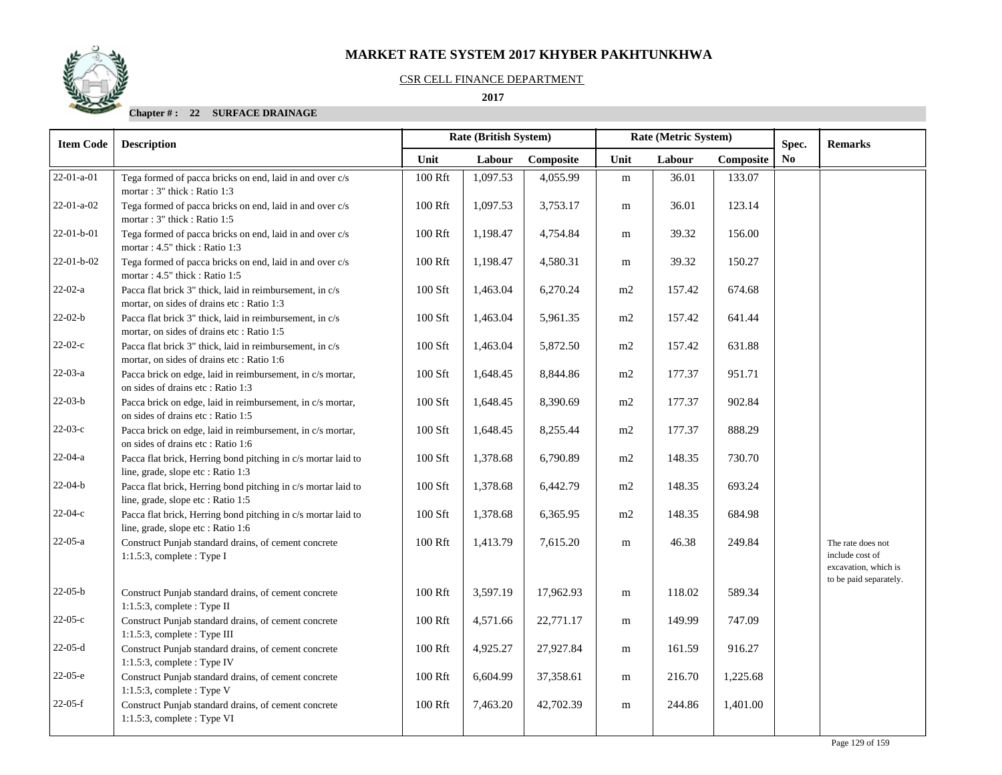#### CSR CELL FINANCE DEPARTMENT

## **2017**

## **Chapter # : 22 SURFACE DRAINAGE**

| <b>Item Code</b> | <b>Description</b>                                                                                     | <b>Rate (British System)</b><br>Rate (Metric System)<br>Spec. |          |           |           |        |           | <b>Remarks</b> |                                                              |
|------------------|--------------------------------------------------------------------------------------------------------|---------------------------------------------------------------|----------|-----------|-----------|--------|-----------|----------------|--------------------------------------------------------------|
|                  |                                                                                                        | Unit                                                          | Labour   | Composite | Unit      | Labour | Composite | N <sub>0</sub> |                                                              |
| $22-01-a-01$     | Tega formed of pacca bricks on end, laid in and over c/s<br>mortar: 3" thick: Ratio 1:3                | 100 Rft                                                       | 1,097.53 | 4,055.99  | ${\bf m}$ | 36.01  | 133.07    |                |                                                              |
| $22-01-a-02$     | Tega formed of pacca bricks on end, laid in and over c/s<br>mortar: 3" thick: Ratio 1:5                | 100 Rft                                                       | 1,097.53 | 3,753.17  | m         | 36.01  | 123.14    |                |                                                              |
| 22-01-b-01       | Tega formed of pacca bricks on end, laid in and over c/s<br>mortar: 4.5" thick: Ratio 1:3              | 100 Rft                                                       | 1,198.47 | 4,754.84  | m         | 39.32  | 156.00    |                |                                                              |
| $22-01-b-02$     | Tega formed of pacca bricks on end, laid in and over c/s<br>mortar: 4.5" thick: Ratio 1:5              | 100 Rft                                                       | 1,198.47 | 4,580.31  | m         | 39.32  | 150.27    |                |                                                              |
| $22-02-a$        | Pacca flat brick 3" thick, laid in reimbursement, in c/s<br>mortar, on sides of drains etc: Ratio 1:3  | 100 Sft                                                       | 1,463.04 | 6,270.24  | m2        | 157.42 | 674.68    |                |                                                              |
| $22-02-b$        | Pacca flat brick 3" thick, laid in reimbursement, in c/s<br>mortar, on sides of drains etc : Ratio 1:5 | 100 Sft                                                       | 1,463.04 | 5,961.35  | m2        | 157.42 | 641.44    |                |                                                              |
| $22-02-c$        | Pacca flat brick 3" thick, laid in reimbursement, in c/s<br>mortar, on sides of drains etc : Ratio 1:6 | $100$ Sft                                                     | 1,463.04 | 5,872.50  | m2        | 157.42 | 631.88    |                |                                                              |
| $22-03-a$        | Pacca brick on edge, laid in reimbursement, in c/s mortar,<br>on sides of drains etc: Ratio 1:3        | 100 Sft                                                       | 1,648.45 | 8,844.86  | m2        | 177.37 | 951.71    |                |                                                              |
| $22-03-b$        | Pacca brick on edge, laid in reimbursement, in c/s mortar,<br>on sides of drains etc: Ratio 1:5        | 100 Sft                                                       | 1,648.45 | 8,390.69  | m2        | 177.37 | 902.84    |                |                                                              |
| $22-03-c$        | Pacca brick on edge, laid in reimbursement, in c/s mortar,<br>on sides of drains etc: Ratio 1:6        | 100 Sft                                                       | 1,648.45 | 8,255.44  | m2        | 177.37 | 888.29    |                |                                                              |
| $22-04-a$        | Pacca flat brick, Herring bond pitching in c/s mortar laid to<br>line, grade, slope etc : Ratio 1:3    | 100 Sft                                                       | 1,378.68 | 6,790.89  | m2        | 148.35 | 730.70    |                |                                                              |
| $22-04-b$        | Pacca flat brick, Herring bond pitching in c/s mortar laid to<br>line, grade, slope etc : Ratio 1:5    | 100 Sft                                                       | 1,378.68 | 6,442.79  | m2        | 148.35 | 693.24    |                |                                                              |
| $22-04-c$        | Pacca flat brick, Herring bond pitching in c/s mortar laid to<br>line, grade, slope etc : Ratio 1:6    | 100 Sft                                                       | 1,378.68 | 6,365.95  | m2        | 148.35 | 684.98    |                |                                                              |
| $22-05-a$        | Construct Punjab standard drains, of cement concrete<br>$1:1.5:3$ , complete : Type I                  | 100 Rft                                                       | 1,413.79 | 7,615.20  | m         | 46.38  | 249.84    |                | The rate does not<br>include cost of<br>excavation, which is |
| $22-05-b$        | Construct Punjab standard drains, of cement concrete<br>1:1.5:3, complete : Type II                    | 100 Rft                                                       | 3,597.19 | 17,962.93 | m         | 118.02 | 589.34    |                | to be paid separately.                                       |
| $22-05-c$        | Construct Punjab standard drains, of cement concrete<br>1:1.5:3, complete : Type III                   | 100 Rft                                                       | 4,571.66 | 22,771.17 | m         | 149.99 | 747.09    |                |                                                              |
| $22-05-d$        | Construct Punjab standard drains, of cement concrete<br>1:1.5:3, complete : Type IV                    | 100 Rft                                                       | 4,925.27 | 27,927.84 | m         | 161.59 | 916.27    |                |                                                              |
| $22-05-e$        | Construct Punjab standard drains, of cement concrete<br>$1:1.5:3$ , complete : Type V                  | 100 Rft                                                       | 6,604.99 | 37,358.61 | m         | 216.70 | 1,225.68  |                |                                                              |
| $22-05-f$        | Construct Punjab standard drains, of cement concrete<br>$1:1.5:3$ , complete : Type VI                 | 100 Rft                                                       | 7,463.20 | 42,702.39 | m         | 244.86 | 1,401.00  |                |                                                              |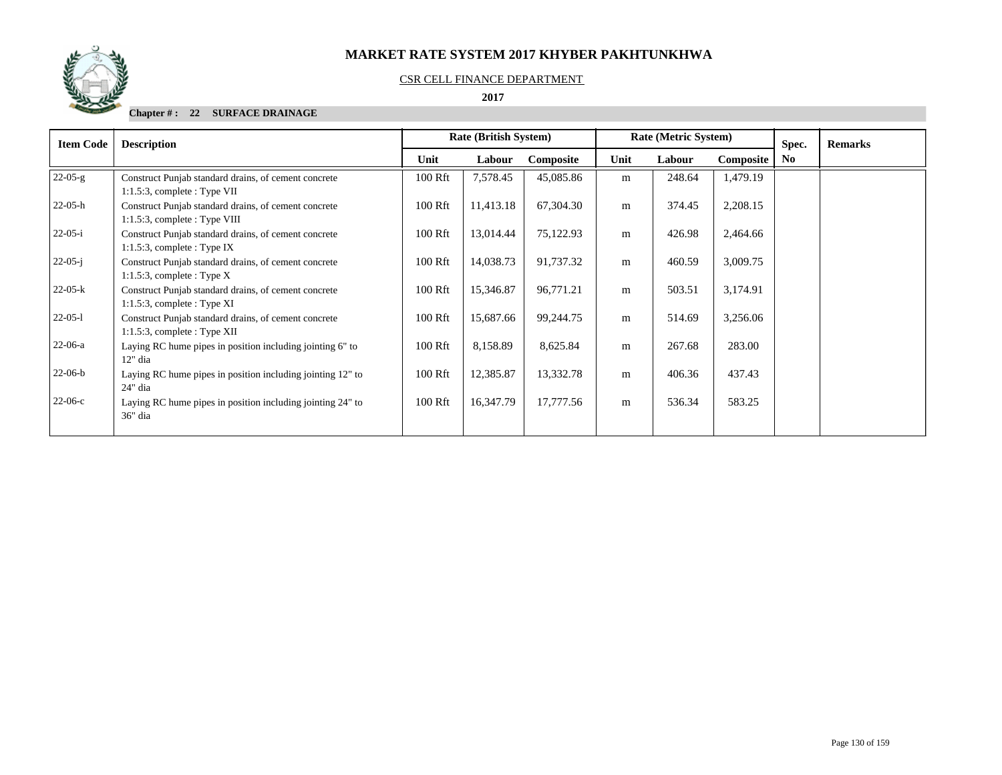

#### CSR CELL FINANCE DEPARTMENT

 **2017** 

## **Chapter # : 22 SURFACE DRAINAGE**

| <b>Item Code</b> | <b>Description</b>                                                                      | <b>Rate (British System)</b> |           |           | Rate (Metric System) |        |           |     |  |  | Spec. | <b>Remarks</b> |
|------------------|-----------------------------------------------------------------------------------------|------------------------------|-----------|-----------|----------------------|--------|-----------|-----|--|--|-------|----------------|
|                  |                                                                                         | Unit                         | Labour    | Composite | Unit                 | Labour | Composite | No. |  |  |       |                |
| $22-05-g$        | Construct Punjab standard drains, of cement concrete<br>$1:1.5:3$ , complete : Type VII | 100 Rft                      | 7,578.45  | 45,085.86 | m                    | 248.64 | 1,479.19  |     |  |  |       |                |
| $22-05-h$        | Construct Punjab standard drains, of cement concrete<br>$1:1.5:3$ , complete: Type VIII | 100 Rft                      | 11,413.18 | 67,304.30 | m                    | 374.45 | 2,208.15  |     |  |  |       |                |
| $22-05-i$        | Construct Punjab standard drains, of cement concrete<br>$1:1.5:3$ , complete : Type IX  | 100 Rft                      | 13,014.44 | 75,122.93 | m                    | 426.98 | 2,464.66  |     |  |  |       |                |
| $22-05-i$        | Construct Punjab standard drains, of cement concrete<br>$1:1.5:3$ , complete : Type X   | 100 Rft                      | 14,038.73 | 91,737.32 | m                    | 460.59 | 3,009.75  |     |  |  |       |                |
| $22-05-k$        | Construct Punjab standard drains, of cement concrete<br>$1:1.5:3$ , complete : Type XI  | 100 Rft                      | 15,346.87 | 96,771.21 | m                    | 503.51 | 3,174.91  |     |  |  |       |                |
| $22-05-1$        | Construct Punjab standard drains, of cement concrete<br>$1:1.5:3$ , complete : Type XII | 100 Rft                      | 15,687.66 | 99,244.75 | m                    | 514.69 | 3,256.06  |     |  |  |       |                |
| $22-06-a$        | Laying RC hume pipes in position including jointing 6" to<br>$12"$ dia                  | 100 Rft                      | 8,158.89  | 8,625.84  | m                    | 267.68 | 283.00    |     |  |  |       |                |
| $22-06-b$        | Laying RC hume pipes in position including jointing 12" to<br>24" dia                   | 100 Rft                      | 12,385.87 | 13,332.78 | m                    | 406.36 | 437.43    |     |  |  |       |                |
| $22-06-c$        | Laying RC hume pipes in position including jointing 24" to<br>36" dia                   | 100 Rft                      | 16,347.79 | 17,777.56 | m                    | 536.34 | 583.25    |     |  |  |       |                |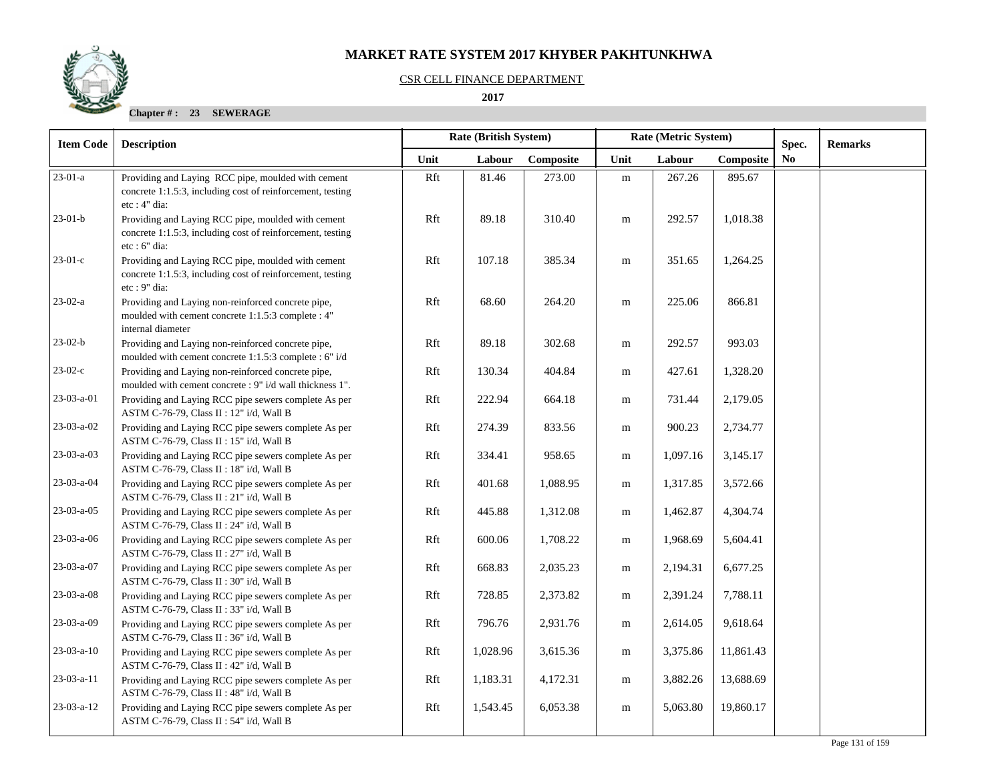#### CSR CELL FINANCE DEPARTMENT

 **2017** 

| <b>Item Code</b> | <b>Description</b>                                                                                                                 |      | <b>Rate (British System)</b><br>Rate (Metric System)<br>Spec. |           |           |          |           |                | <b>Remarks</b> |
|------------------|------------------------------------------------------------------------------------------------------------------------------------|------|---------------------------------------------------------------|-----------|-----------|----------|-----------|----------------|----------------|
|                  |                                                                                                                                    | Unit | Labour                                                        | Composite | Unit      | Labour   | Composite | N <sub>0</sub> |                |
| $23-01-a$        | Providing and Laying RCC pipe, moulded with cement<br>concrete 1:1.5:3, including cost of reinforcement, testing<br>$etc: 4"$ dia: | Rft  | 81.46                                                         | 273.00    | ${\bf m}$ | 267.26   | 895.67    |                |                |
| $23-01-b$        | Providing and Laying RCC pipe, moulded with cement<br>concrete 1:1.5:3, including cost of reinforcement, testing<br>etc : 6" dia:  | Rft  | 89.18                                                         | 310.40    | m         | 292.57   | 1,018.38  |                |                |
| $23-01-c$        | Providing and Laying RCC pipe, moulded with cement<br>concrete 1:1.5:3, including cost of reinforcement, testing<br>$etc: 9"$ dia: | Rft  | 107.18                                                        | 385.34    | m         | 351.65   | 1,264.25  |                |                |
| $23-02-a$        | Providing and Laying non-reinforced concrete pipe,<br>moulded with cement concrete 1:1.5:3 complete : 4"<br>internal diameter      | Rft  | 68.60                                                         | 264.20    | m         | 225.06   | 866.81    |                |                |
| $23-02-b$        | Providing and Laying non-reinforced concrete pipe,<br>moulded with cement concrete 1:1.5:3 complete : 6" i/d                       | Rft  | 89.18                                                         | 302.68    | m         | 292.57   | 993.03    |                |                |
| $23-02-c$        | Providing and Laying non-reinforced concrete pipe,<br>moulded with cement concrete : 9" i/d wall thickness 1".                     | Rft  | 130.34                                                        | 404.84    | ${\bf m}$ | 427.61   | 1,328.20  |                |                |
| 23-03-a-01       | Providing and Laying RCC pipe sewers complete As per<br>ASTM C-76-79, Class II : 12" i/d, Wall B                                   | Rft  | 222.94                                                        | 664.18    | m         | 731.44   | 2,179.05  |                |                |
| 23-03-a-02       | Providing and Laying RCC pipe sewers complete As per<br>ASTM C-76-79, Class II : 15" i/d, Wall B                                   | Rft  | 274.39                                                        | 833.56    | m         | 900.23   | 2,734.77  |                |                |
| 23-03-a-03       | Providing and Laying RCC pipe sewers complete As per<br>ASTM C-76-79, Class II : 18" i/d, Wall B                                   | Rft  | 334.41                                                        | 958.65    | m         | 1,097.16 | 3,145.17  |                |                |
| 23-03-a-04       | Providing and Laying RCC pipe sewers complete As per<br>ASTM C-76-79, Class II : 21" i/d, Wall B                                   | Rft  | 401.68                                                        | 1,088.95  | m         | 1,317.85 | 3,572.66  |                |                |
| $23-03-a-05$     | Providing and Laying RCC pipe sewers complete As per<br>ASTM C-76-79, Class II : 24" i/d, Wall B                                   | Rft  | 445.88                                                        | 1,312.08  | m         | 1,462.87 | 4,304.74  |                |                |
| 23-03-a-06       | Providing and Laying RCC pipe sewers complete As per<br>ASTM C-76-79, Class II : 27" i/d, Wall B                                   | Rft  | 600.06                                                        | 1,708.22  | m         | 1,968.69 | 5,604.41  |                |                |
| 23-03-a-07       | Providing and Laying RCC pipe sewers complete As per<br>ASTM C-76-79, Class II : 30" i/d, Wall B                                   | Rft  | 668.83                                                        | 2,035.23  | m         | 2,194.31 | 6,677.25  |                |                |
| 23-03-a-08       | Providing and Laying RCC pipe sewers complete As per<br>ASTM C-76-79, Class II : 33" i/d, Wall B                                   | Rft  | 728.85                                                        | 2,373.82  | ${\bf m}$ | 2,391.24 | 7,788.11  |                |                |
| 23-03-a-09       | Providing and Laying RCC pipe sewers complete As per<br>ASTM C-76-79, Class II : 36" i/d, Wall B                                   | Rft  | 796.76                                                        | 2,931.76  | m         | 2,614.05 | 9,618.64  |                |                |
| $23-03-a-10$     | Providing and Laying RCC pipe sewers complete As per<br>ASTM C-76-79, Class II : 42" i/d, Wall B                                   | Rft  | 1,028.96                                                      | 3,615.36  | m         | 3,375.86 | 11,861.43 |                |                |
| $23-03-a-11$     | Providing and Laying RCC pipe sewers complete As per<br>ASTM C-76-79, Class II : 48" i/d, Wall B                                   | Rft  | 1,183.31                                                      | 4,172.31  | m         | 3,882.26 | 13,688.69 |                |                |
| 23-03-a-12       | Providing and Laying RCC pipe sewers complete As per<br>ASTM C-76-79, Class II : 54" i/d, Wall B                                   | Rft  | 1,543.45                                                      | 6,053.38  | m         | 5,063.80 | 19,860.17 |                |                |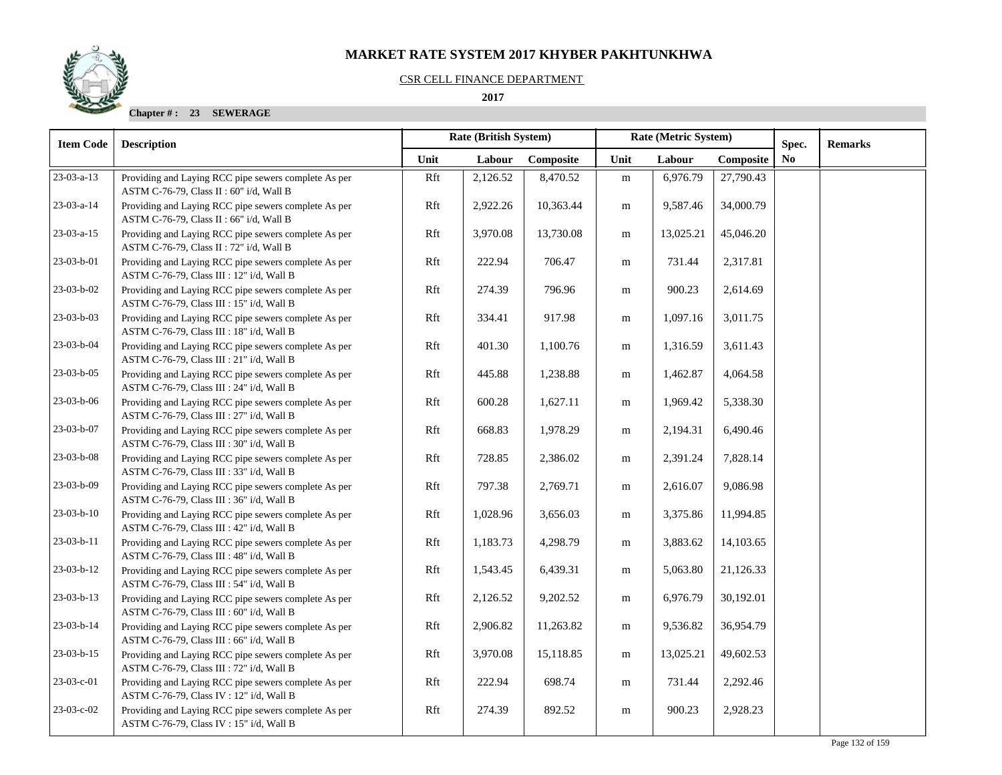#### CSR CELL FINANCE DEPARTMENT

 **2017** 

| <b>Item Code</b>   | <b>Description</b>                                                                                | Rate (British System) |          |           | Rate (Metric System) |           |           | Spec.          | <b>Remarks</b> |
|--------------------|---------------------------------------------------------------------------------------------------|-----------------------|----------|-----------|----------------------|-----------|-----------|----------------|----------------|
|                    |                                                                                                   | Unit                  | Labour   | Composite | Unit                 | Labour    | Composite | N <sub>0</sub> |                |
| 23-03-a-13         | Providing and Laying RCC pipe sewers complete As per<br>ASTM C-76-79, Class II : 60" i/d, Wall B  | Rft                   | 2,126.52 | 8,470.52  | ${\bf m}$            | 6,976.79  | 27,790.43 |                |                |
| 23-03-a-14         | Providing and Laying RCC pipe sewers complete As per<br>ASTM C-76-79, Class II : 66" i/d, Wall B  | Rft                   | 2,922.26 | 10,363.44 | m                    | 9,587.46  | 34,000.79 |                |                |
| $23-03-a-15$       | Providing and Laying RCC pipe sewers complete As per<br>ASTM C-76-79, Class II : 72" i/d, Wall B  | Rft                   | 3,970.08 | 13,730.08 | ${\bf m}$            | 13,025.21 | 45,046.20 |                |                |
| 23-03-b-01         | Providing and Laying RCC pipe sewers complete As per<br>ASTM C-76-79, Class III : 12" i/d, Wall B | Rft                   | 222.94   | 706.47    | m                    | 731.44    | 2,317.81  |                |                |
| 23-03-b-02         | Providing and Laying RCC pipe sewers complete As per<br>ASTM C-76-79, Class III : 15" i/d, Wall B | Rft                   | 274.39   | 796.96    | m                    | 900.23    | 2,614.69  |                |                |
| $23-03-b-03$       | Providing and Laying RCC pipe sewers complete As per<br>ASTM C-76-79, Class III : 18" i/d, Wall B | Rft                   | 334.41   | 917.98    | m                    | 1,097.16  | 3,011.75  |                |                |
| 23-03-b-04         | Providing and Laying RCC pipe sewers complete As per<br>ASTM C-76-79, Class III : 21" i/d, Wall B | Rft                   | 401.30   | 1,100.76  | m                    | 1,316.59  | 3,611.43  |                |                |
| 23-03-b-05         | Providing and Laying RCC pipe sewers complete As per<br>ASTM C-76-79, Class III : 24" i/d, Wall B | Rft                   | 445.88   | 1,238.88  | m                    | 1,462.87  | 4,064.58  |                |                |
| 23-03-b-06         | Providing and Laying RCC pipe sewers complete As per<br>ASTM C-76-79, Class III : 27" i/d, Wall B | Rft                   | 600.28   | 1,627.11  | m                    | 1,969.42  | 5,338.30  |                |                |
| 23-03-b-07         | Providing and Laying RCC pipe sewers complete As per<br>ASTM C-76-79, Class III : 30" i/d, Wall B | Rft                   | 668.83   | 1,978.29  | m                    | 2,194.31  | 6,490.46  |                |                |
| 23-03-b-08         | Providing and Laying RCC pipe sewers complete As per<br>ASTM C-76-79, Class III : 33" i/d, Wall B | Rft                   | 728.85   | 2,386.02  | m                    | 2,391.24  | 7,828.14  |                |                |
| 23-03-b-09         | Providing and Laying RCC pipe sewers complete As per<br>ASTM C-76-79, Class III : 36" i/d, Wall B | Rft                   | 797.38   | 2,769.71  | m                    | 2,616.07  | 9,086.98  |                |                |
| $23-03-b-10$       | Providing and Laying RCC pipe sewers complete As per<br>ASTM C-76-79, Class III : 42" i/d, Wall B | Rft                   | 1,028.96 | 3,656.03  | m                    | 3,375.86  | 11,994.85 |                |                |
| 23-03-b-11         | Providing and Laying RCC pipe sewers complete As per<br>ASTM C-76-79, Class III : 48" i/d, Wall B | Rft                   | 1,183.73 | 4,298.79  | ${\rm m}$            | 3,883.62  | 14,103.65 |                |                |
| $23 - 03 - b - 12$ | Providing and Laying RCC pipe sewers complete As per<br>ASTM C-76-79, Class III : 54" i/d, Wall B | Rft                   | 1,543.45 | 6,439.31  | m                    | 5,063.80  | 21,126.33 |                |                |
| $23-03-b-13$       | Providing and Laying RCC pipe sewers complete As per<br>ASTM C-76-79, Class III : 60" i/d, Wall B | Rft                   | 2,126.52 | 9,202.52  | m                    | 6,976.79  | 30,192.01 |                |                |
| 23-03-b-14         | Providing and Laying RCC pipe sewers complete As per<br>ASTM C-76-79, Class III : 66" i/d, Wall B | Rft                   | 2,906.82 | 11,263.82 | m                    | 9,536.82  | 36,954.79 |                |                |
| 23-03-b-15         | Providing and Laying RCC pipe sewers complete As per<br>ASTM C-76-79, Class III : 72" i/d, Wall B | Rft                   | 3,970.08 | 15,118.85 | ${\bf m}$            | 13,025.21 | 49,602.53 |                |                |
| $23-03-c-01$       | Providing and Laying RCC pipe sewers complete As per<br>ASTM C-76-79, Class IV : 12" i/d, Wall B  | Rft                   | 222.94   | 698.74    | m                    | 731.44    | 2,292.46  |                |                |
| $23-03-c-02$       | Providing and Laying RCC pipe sewers complete As per<br>ASTM C-76-79, Class IV : 15" i/d, Wall B  | Rft                   | 274.39   | 892.52    | m                    | 900.23    | 2,928.23  |                |                |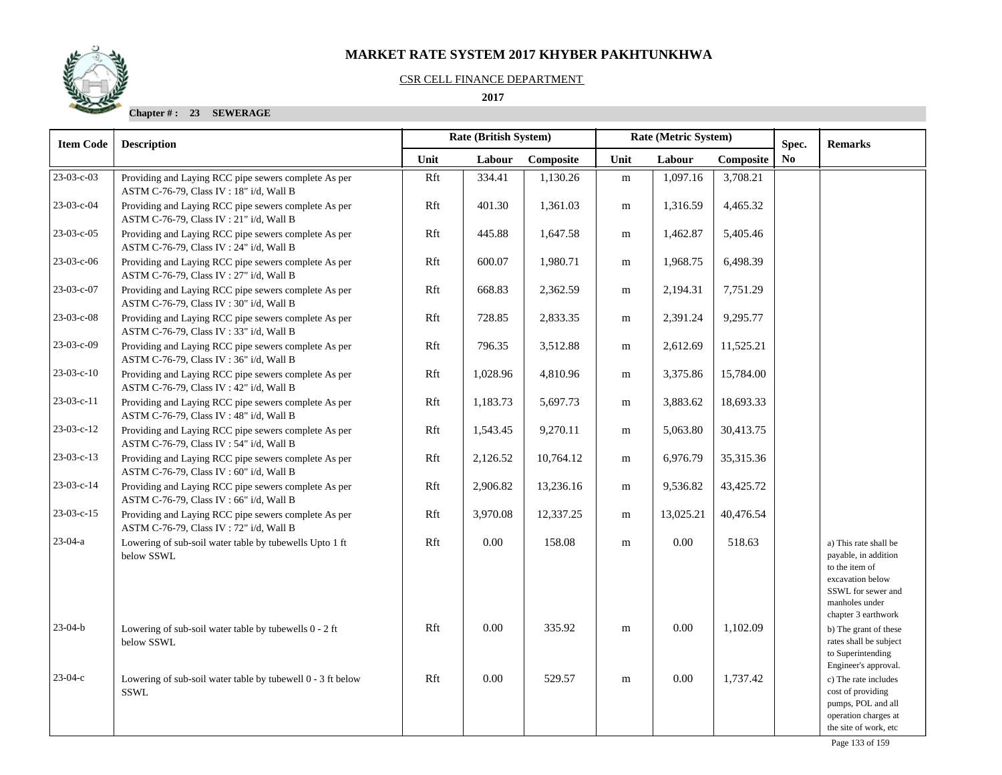## CSR CELL FINANCE DEPARTMENT

 **2017** 

| <b>Item Code</b> | <b>Description</b>                                                                               | Rate (British System)<br>Rate (Metric System) |          |           |           | Spec.     |           | <b>Remarks</b> |                                                                                                                                                    |
|------------------|--------------------------------------------------------------------------------------------------|-----------------------------------------------|----------|-----------|-----------|-----------|-----------|----------------|----------------------------------------------------------------------------------------------------------------------------------------------------|
|                  |                                                                                                  | Unit                                          | Labour   | Composite | Unit      | Labour    | Composite | N <sub>o</sub> |                                                                                                                                                    |
| 23-03-c-03       | Providing and Laying RCC pipe sewers complete As per<br>ASTM C-76-79, Class IV: 18" i/d, Wall B  | Rft                                           | 334.41   | 1,130.26  | ${\bf m}$ | 1,097.16  | 3,708.21  |                |                                                                                                                                                    |
| 23-03-c-04       | Providing and Laying RCC pipe sewers complete As per<br>ASTM C-76-79, Class IV : 21" i/d, Wall B | Rft                                           | 401.30   | 1,361.03  | m         | 1,316.59  | 4,465.32  |                |                                                                                                                                                    |
| 23-03-c-05       | Providing and Laying RCC pipe sewers complete As per<br>ASTM C-76-79, Class IV : 24" i/d, Wall B | Rft                                           | 445.88   | 1,647.58  | m         | 1,462.87  | 5,405.46  |                |                                                                                                                                                    |
| 23-03-c-06       | Providing and Laying RCC pipe sewers complete As per<br>ASTM C-76-79, Class IV: 27" i/d, Wall B  | Rft                                           | 600.07   | 1,980.71  | m         | 1,968.75  | 6,498.39  |                |                                                                                                                                                    |
| 23-03-c-07       | Providing and Laying RCC pipe sewers complete As per<br>ASTM C-76-79, Class IV: 30" i/d, Wall B  | Rft                                           | 668.83   | 2,362.59  | m         | 2,194.31  | 7,751.29  |                |                                                                                                                                                    |
| 23-03-c-08       | Providing and Laying RCC pipe sewers complete As per<br>ASTM C-76-79, Class IV: 33" i/d, Wall B  | Rft                                           | 728.85   | 2,833.35  | m         | 2,391.24  | 9,295.77  |                |                                                                                                                                                    |
| 23-03-c-09       | Providing and Laying RCC pipe sewers complete As per<br>ASTM C-76-79, Class IV: 36" i/d, Wall B  | Rft                                           | 796.35   | 3,512.88  | m         | 2,612.69  | 11,525.21 |                |                                                                                                                                                    |
| $23-03-c-10$     | Providing and Laying RCC pipe sewers complete As per<br>ASTM C-76-79, Class IV: 42" i/d, Wall B  | Rft                                           | 1,028.96 | 4,810.96  | ${\bf m}$ | 3,375.86  | 15,784.00 |                |                                                                                                                                                    |
| $23-03-c-11$     | Providing and Laying RCC pipe sewers complete As per<br>ASTM C-76-79, Class IV: 48" i/d, Wall B  | Rft                                           | 1,183.73 | 5,697.73  | ${\bf m}$ | 3,883.62  | 18,693.33 |                |                                                                                                                                                    |
| 23-03-c-12       | Providing and Laying RCC pipe sewers complete As per<br>ASTM C-76-79, Class IV: 54" i/d, Wall B  | Rft                                           | 1,543.45 | 9,270.11  | m         | 5,063.80  | 30,413.75 |                |                                                                                                                                                    |
| $23-03-c-13$     | Providing and Laying RCC pipe sewers complete As per<br>ASTM C-76-79, Class IV: 60" i/d, Wall B  | Rft                                           | 2,126.52 | 10,764.12 | m         | 6,976.79  | 35,315.36 |                |                                                                                                                                                    |
| $23-03-c-14$     | Providing and Laying RCC pipe sewers complete As per<br>ASTM C-76-79, Class IV: 66" i/d, Wall B  | Rft                                           | 2,906.82 | 13,236.16 | m         | 9,536.82  | 43,425.72 |                |                                                                                                                                                    |
| $23-03-c-15$     | Providing and Laying RCC pipe sewers complete As per<br>ASTM C-76-79, Class IV: 72" i/d, Wall B  | Rft                                           | 3,970.08 | 12,337.25 | ${\bf m}$ | 13,025.21 | 40,476.54 |                |                                                                                                                                                    |
| $23-04-a$        | Lowering of sub-soil water table by tubewells Upto 1 ft<br>below SSWL                            | Rft                                           | 0.00     | 158.08    | m         | 0.00      | 518.63    |                | a) This rate shall be<br>payable, in addition<br>to the item of<br>excavation below<br>SSWL for sewer and<br>manholes under<br>chapter 3 earthwork |
| $23-04-b$        | Lowering of sub-soil water table by tubewells 0 - 2 ft<br>below SSWL                             | Rft                                           | 0.00     | 335.92    | ${\rm m}$ | 0.00      | 1,102.09  |                | b) The grant of these<br>rates shall be subject<br>to Superintending<br>Engineer's approval.                                                       |
| $23-04-c$        | Lowering of sub-soil water table by tubewell 0 - 3 ft below<br>SSWL                              | Rft                                           | 0.00     | 529.57    | m         | 0.00      | 1,737.42  |                | c) The rate includes<br>cost of providing<br>pumps, POL and all<br>operation charges at<br>the site of work, etc                                   |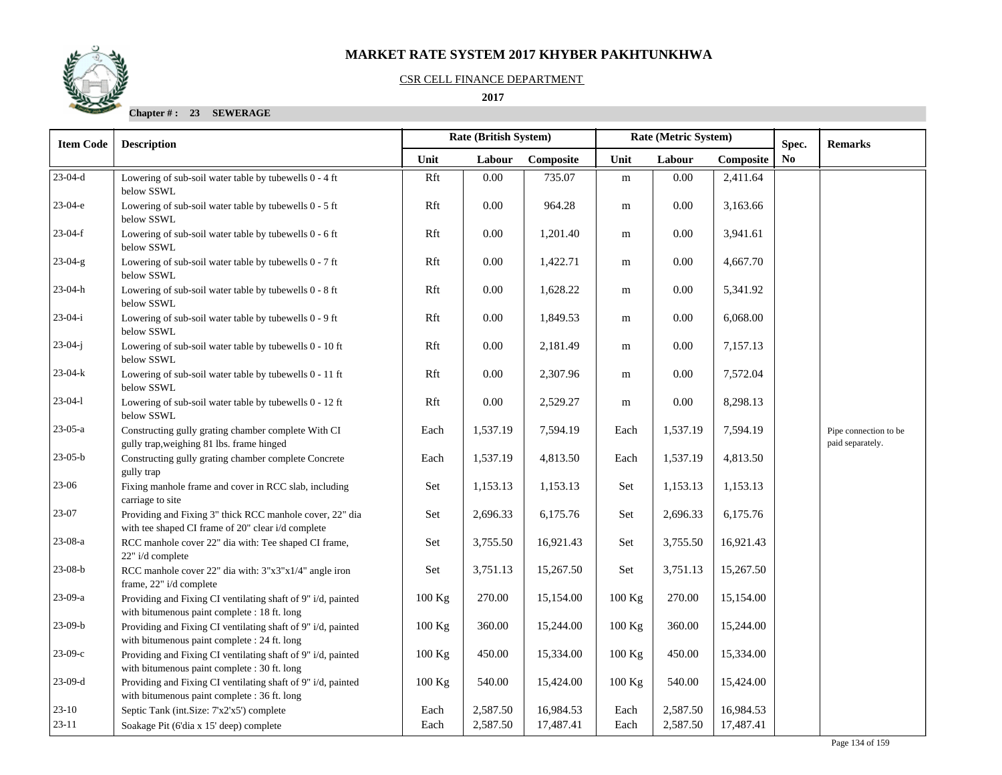#### CSR CELL FINANCE DEPARTMENT

## **2017**

| <b>Item Code</b> | <b>Description</b>                                                                                             |          | <b>Rate (British System)</b> |           | Rate (Metric System) |          | Spec.     | <b>Remarks</b> |                                           |
|------------------|----------------------------------------------------------------------------------------------------------------|----------|------------------------------|-----------|----------------------|----------|-----------|----------------|-------------------------------------------|
|                  |                                                                                                                | Unit     | Labour                       | Composite | Unit                 | Labour   | Composite | N <sub>0</sub> |                                           |
| $23-04-d$        | Lowering of sub-soil water table by tubewells 0 - 4 ft<br>below SSWL                                           | Rft      | 0.00                         | 735.07    | ${\rm m}$            | 0.00     | 2,411.64  |                |                                           |
| $23-04-e$        | Lowering of sub-soil water table by tubewells 0 - 5 ft<br>below SSWL                                           | Rft      | 0.00                         | 964.28    | m                    | 0.00     | 3,163.66  |                |                                           |
| $23-04-f$        | Lowering of sub-soil water table by tubewells 0 - 6 ft<br>below SSWL                                           | Rft      | 0.00                         | 1,201.40  | m                    | 0.00     | 3,941.61  |                |                                           |
| $23-04-g$        | Lowering of sub-soil water table by tubewells 0 - 7 ft<br>below SSWL                                           | Rft      | 0.00                         | 1,422.71  | m                    | $0.00\,$ | 4,667.70  |                |                                           |
| $23-04-h$        | Lowering of sub-soil water table by tubewells 0 - 8 ft<br>below SSWL                                           | Rft      | 0.00                         | 1,628.22  | m                    | $0.00\,$ | 5,341.92  |                |                                           |
| $23-04-i$        | Lowering of sub-soil water table by tubewells 0 - 9 ft<br>below SSWL                                           | Rft      | 0.00                         | 1,849.53  | m                    | 0.00     | 6,068.00  |                |                                           |
| $23-04-j$        | Lowering of sub-soil water table by tubewells 0 - 10 ft<br>below SSWL                                          | Rft      | 0.00                         | 2,181.49  | m                    | 0.00     | 7,157.13  |                |                                           |
| 23-04-k          | Lowering of sub-soil water table by tubewells 0 - 11 ft<br>below SSWL                                          | Rft      | 0.00                         | 2,307.96  | m                    | 0.00     | 7,572.04  |                |                                           |
| $23-04-1$        | Lowering of sub-soil water table by tubewells 0 - 12 ft<br>below SSWL                                          | Rft      | 0.00                         | 2,529.27  | m                    | 0.00     | 8,298.13  |                |                                           |
| $23-05-a$        | Constructing gully grating chamber complete With CI<br>gully trap, weighing 81 lbs. frame hinged               | Each     | 1,537.19                     | 7,594.19  | Each                 | 1,537.19 | 7,594.19  |                | Pipe connection to be<br>paid separately. |
| $23-05-b$        | Constructing gully grating chamber complete Concrete<br>gully trap                                             | Each     | 1,537.19                     | 4,813.50  | Each                 | 1,537.19 | 4,813.50  |                |                                           |
| $23 - 06$        | Fixing manhole frame and cover in RCC slab, including<br>carriage to site                                      | Set      | 1,153.13                     | 1,153.13  | Set                  | 1,153.13 | 1,153.13  |                |                                           |
| 23-07            | Providing and Fixing 3" thick RCC manhole cover, 22" dia<br>with tee shaped CI frame of 20" clear i/d complete | Set      | 2,696.33                     | 6,175.76  | Set                  | 2,696.33 | 6,175.76  |                |                                           |
| 23-08-a          | RCC manhole cover 22" dia with: Tee shaped CI frame,<br>22" i/d complete                                       | Set      | 3,755.50                     | 16,921.43 | Set                  | 3,755.50 | 16,921.43 |                |                                           |
| $23-08-b$        | RCC manhole cover 22" dia with: 3"x3"x1/4" angle iron<br>frame, 22" i/d complete                               | Set      | 3,751.13                     | 15,267.50 | Set                  | 3,751.13 | 15,267.50 |                |                                           |
| 23-09-a          | Providing and Fixing CI ventilating shaft of 9" i/d, painted<br>with bitumenous paint complete : 18 ft. long   | $100$ Kg | 270.00                       | 15,154.00 | $100$ Kg             | 270.00   | 15,154.00 |                |                                           |
| $23-09-b$        | Providing and Fixing CI ventilating shaft of 9" i/d, painted<br>with bitumenous paint complete : 24 ft. long   | 100 Kg   | 360.00                       | 15,244.00 | $100$ Kg             | 360.00   | 15,244.00 |                |                                           |
| $23-09-c$        | Providing and Fixing CI ventilating shaft of 9" i/d, painted<br>with bitumenous paint complete : 30 ft. long   | 100 Kg   | 450.00                       | 15,334.00 | $100$ Kg             | 450.00   | 15,334.00 |                |                                           |
| $23-09-d$        | Providing and Fixing CI ventilating shaft of 9" i/d, painted<br>with bitumenous paint complete : 36 ft. long   | 100 Kg   | 540.00                       | 15,424.00 | 100 Kg               | 540.00   | 15,424.00 |                |                                           |
| $23 - 10$        | Septic Tank (int.Size: 7'x2'x5') complete                                                                      | Each     | 2,587.50                     | 16,984.53 | Each                 | 2,587.50 | 16,984.53 |                |                                           |
| $23-11$          | Soakage Pit (6'dia x 15' deep) complete                                                                        | Each     | 2,587.50                     | 17,487.41 | Each                 | 2,587.50 | 17,487.41 |                |                                           |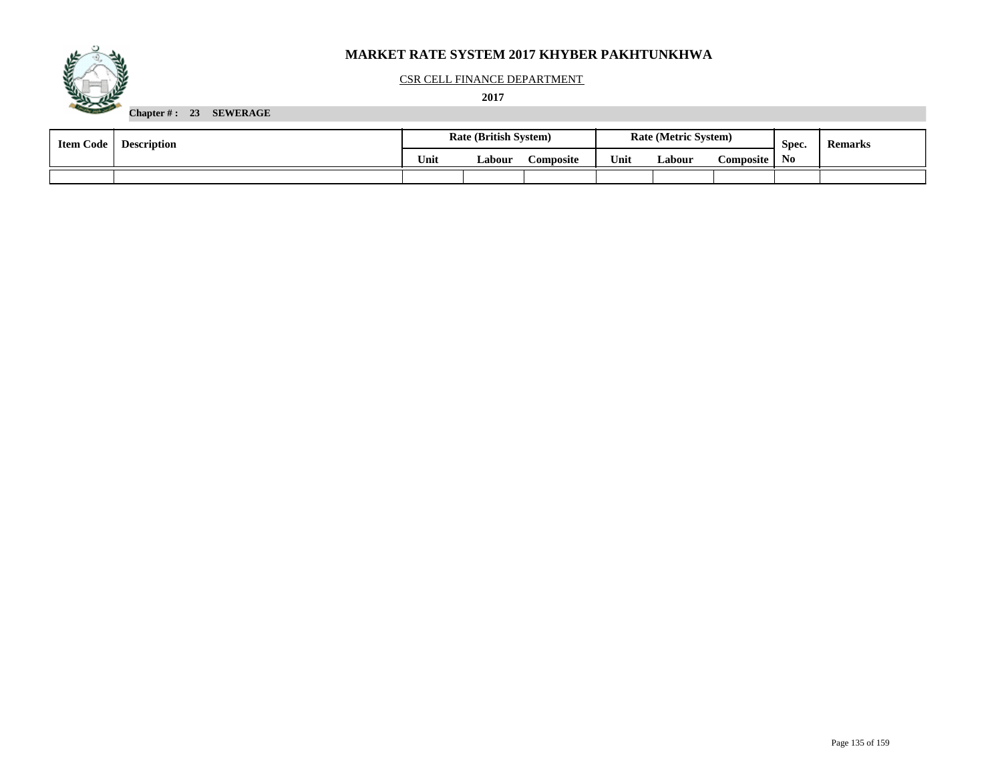

#### CSR CELL FINANCE DEPARTMENT

 **2017** 

| <b>Item Code</b> | <b>Description</b> | <b>Rate (British System)</b> |        |                  |      | <b>Rate (Metric System)</b> |                  | Spec. | <b>Remarks</b> |
|------------------|--------------------|------------------------------|--------|------------------|------|-----------------------------|------------------|-------|----------------|
|                  |                    | Unit                         | Labour | <b>\omposite</b> | Unit | Labour                      | <b>Composite</b> | No.   |                |
|                  |                    |                              |        |                  |      |                             |                  |       |                |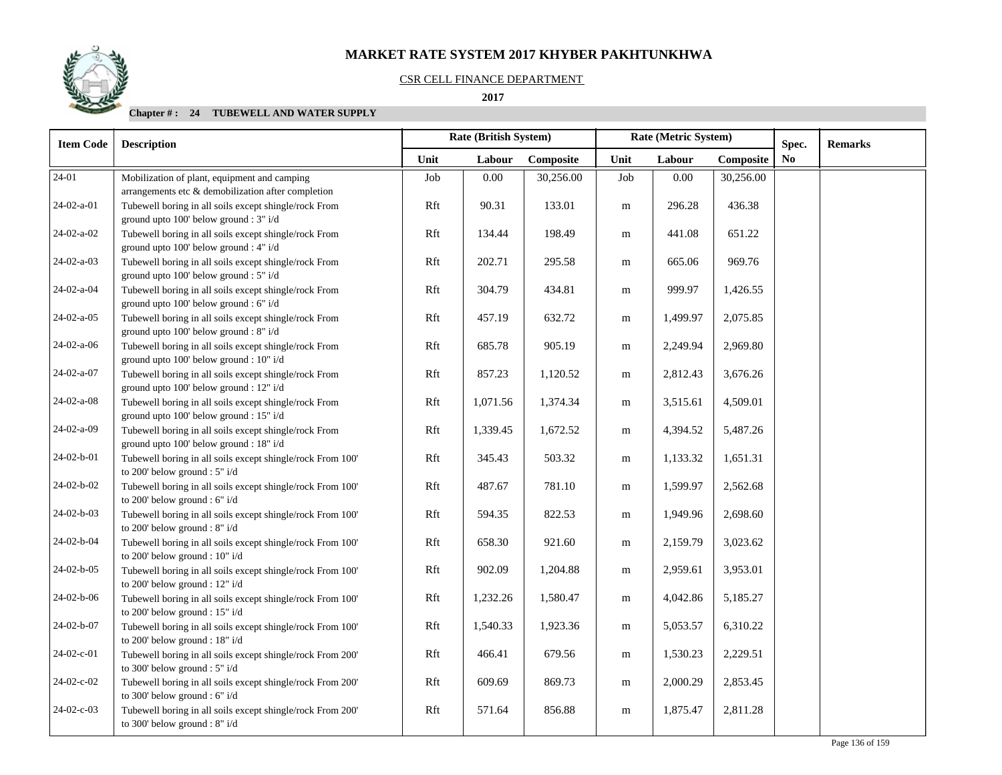### CSR CELL FINANCE DEPARTMENT

## **2017**

| <b>Item Code</b><br><b>Description</b> |                                                                                                    | Rate (British System) |          |           |           | Rate (Metric System) | Spec.     | <b>Remarks</b> |  |
|----------------------------------------|----------------------------------------------------------------------------------------------------|-----------------------|----------|-----------|-----------|----------------------|-----------|----------------|--|
|                                        |                                                                                                    | Unit                  | Labour   | Composite | Unit      | Labour               | Composite | No             |  |
| 24-01                                  | Mobilization of plant, equipment and camping<br>arrangements etc & demobilization after completion | Job                   | 0.00     | 30,256.00 | Job       | 0.00                 | 30,256.00 |                |  |
| 24-02-a-01                             | Tubewell boring in all soils except shingle/rock From<br>ground upto 100' below ground : 3" i/d    | Rft                   | 90.31    | 133.01    | ${\bf m}$ | 296.28               | 436.38    |                |  |
| 24-02-a-02                             | Tubewell boring in all soils except shingle/rock From<br>ground upto 100' below ground : 4" i/d    | Rft                   | 134.44   | 198.49    | m         | 441.08               | 651.22    |                |  |
| 24-02-a-03                             | Tubewell boring in all soils except shingle/rock From<br>ground upto 100' below ground : 5" i/d    | Rft                   | 202.71   | 295.58    | m         | 665.06               | 969.76    |                |  |
| 24-02-a-04                             | Tubewell boring in all soils except shingle/rock From<br>ground upto 100' below ground : 6" i/d    | Rft                   | 304.79   | 434.81    | m         | 999.97               | 1,426.55  |                |  |
| $24-02-a-05$                           | Tubewell boring in all soils except shingle/rock From<br>ground upto 100' below ground : 8" i/d    | Rft                   | 457.19   | 632.72    | ${\bf m}$ | 1,499.97             | 2,075.85  |                |  |
| 24-02-a-06                             | Tubewell boring in all soils except shingle/rock From<br>ground upto 100' below ground : 10" i/d   | Rft                   | 685.78   | 905.19    | m         | 2,249.94             | 2,969.80  |                |  |
| 24-02-a-07                             | Tubewell boring in all soils except shingle/rock From<br>ground upto 100' below ground : 12" i/d   | Rft                   | 857.23   | 1,120.52  | ${\bf m}$ | 2,812.43             | 3,676.26  |                |  |
| 24-02-a-08                             | Tubewell boring in all soils except shingle/rock From<br>ground upto 100' below ground : 15" i/d   | Rft                   | 1,071.56 | 1,374.34  | m         | 3,515.61             | 4,509.01  |                |  |
| 24-02-a-09                             | Tubewell boring in all soils except shingle/rock From<br>ground upto 100' below ground : 18" i/d   | Rft                   | 1,339.45 | 1,672.52  | m         | 4,394.52             | 5,487.26  |                |  |
| 24-02-b-01                             | Tubewell boring in all soils except shingle/rock From 100'<br>to 200' below ground : 5" i/d        | Rft                   | 345.43   | 503.32    | ${\bf m}$ | 1,133.32             | 1,651.31  |                |  |
| 24-02-b-02                             | Tubewell boring in all soils except shingle/rock From 100'<br>to 200' below ground : 6" i/d        | Rft                   | 487.67   | 781.10    | ${\bf m}$ | 1,599.97             | 2,562.68  |                |  |
| 24-02-b-03                             | Tubewell boring in all soils except shingle/rock From 100'<br>to 200' below ground : 8" i/d        | Rft                   | 594.35   | 822.53    | m         | 1,949.96             | 2,698.60  |                |  |
| 24-02-b-04                             | Tubewell boring in all soils except shingle/rock From 100'<br>to 200' below ground : 10" i/d       | Rft                   | 658.30   | 921.60    | m         | 2,159.79             | 3,023.62  |                |  |
| 24-02-b-05                             | Tubewell boring in all soils except shingle/rock From 100'<br>to 200' below ground : 12" i/d       | Rft                   | 902.09   | 1,204.88  | m         | 2,959.61             | 3,953.01  |                |  |
| 24-02-b-06                             | Tubewell boring in all soils except shingle/rock From 100'<br>to 200' below ground : 15" i/d       | Rft                   | 1,232.26 | 1,580.47  | ${\bf m}$ | 4,042.86             | 5,185.27  |                |  |
| 24-02-b-07                             | Tubewell boring in all soils except shingle/rock From 100'<br>to 200' below ground : 18" i/d       | Rft                   | 1,540.33 | 1,923.36  | m         | 5,053.57             | 6,310.22  |                |  |
| 24-02-c-01                             | Tubewell boring in all soils except shingle/rock From 200'<br>to 300' below ground : $5"$ i/d      | Rft                   | 466.41   | 679.56    | m         | 1,530.23             | 2,229.51  |                |  |
| 24-02-c-02                             | Tubewell boring in all soils except shingle/rock From 200'<br>to 300' below ground : 6" i/d        | Rft                   | 609.69   | 869.73    | m         | 2,000.29             | 2,853.45  |                |  |
| 24-02-c-03                             | Tubewell boring in all soils except shingle/rock From 200'<br>to 300' below ground : $8"$ i/d      | Rft                   | 571.64   | 856.88    | m         | 1,875.47             | 2,811.28  |                |  |

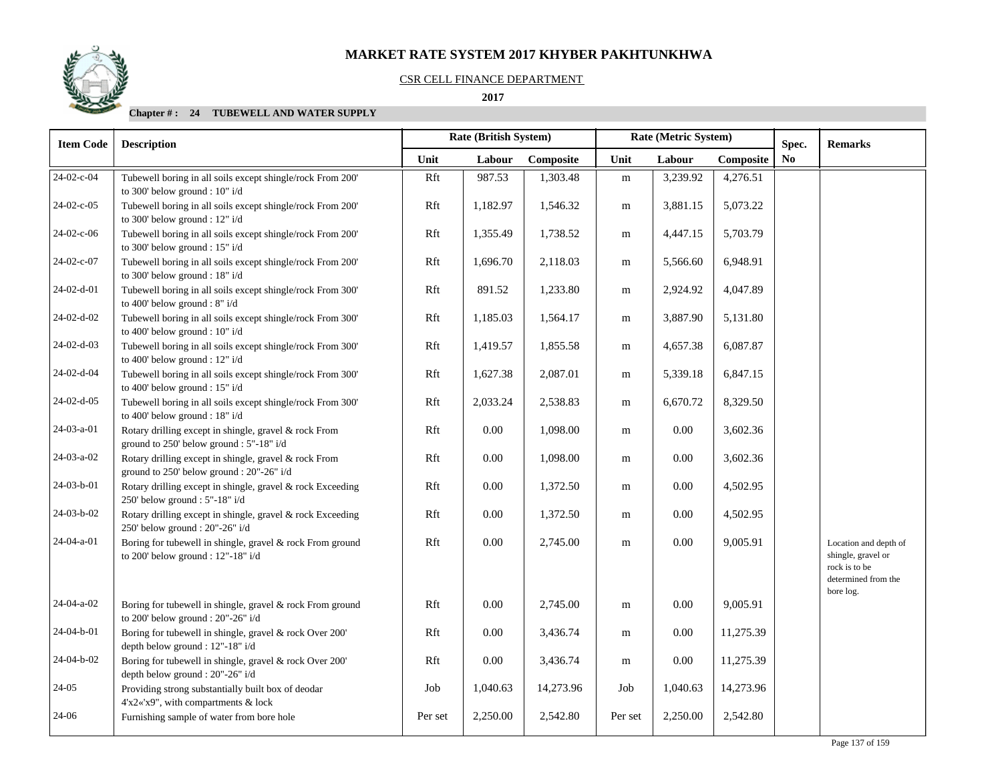#### CSR CELL FINANCE DEPARTMENT

 **2017** 

| <b>Item Code</b> | <b>Description</b>                                                                                 |         | Rate (British System) |           | Rate (Metric System) |          | Spec.     | <b>Remarks</b> |                                                                                                  |
|------------------|----------------------------------------------------------------------------------------------------|---------|-----------------------|-----------|----------------------|----------|-----------|----------------|--------------------------------------------------------------------------------------------------|
|                  |                                                                                                    | Unit    | Labour                | Composite | Unit                 | Labour   | Composite | N <sub>0</sub> |                                                                                                  |
| 24-02-c-04       | Tubewell boring in all soils except shingle/rock From 200'<br>to 300' below ground : 10" i/d       | Rft     | 987.53                | 1,303.48  | ${\bf m}$            | 3,239.92 | 4,276.51  |                |                                                                                                  |
| 24-02-c-05       | Tubewell boring in all soils except shingle/rock From 200'<br>to 300' below ground : 12" i/d       | Rft     | 1,182.97              | 1,546.32  | m                    | 3,881.15 | 5,073.22  |                |                                                                                                  |
| 24-02-c-06       | Tubewell boring in all soils except shingle/rock From 200'<br>to 300' below ground : 15" i/d       | Rft     | 1,355.49              | 1,738.52  | m                    | 4,447.15 | 5,703.79  |                |                                                                                                  |
| 24-02-c-07       | Tubewell boring in all soils except shingle/rock From 200'<br>to 300' below ground : $18"$ i/d     | Rft     | 1,696.70              | 2,118.03  | m                    | 5,566.60 | 6,948.91  |                |                                                                                                  |
| 24-02-d-01       | Tubewell boring in all soils except shingle/rock From 300'<br>to 400' below ground : 8" i/d        | Rft     | 891.52                | 1,233.80  | m                    | 2,924.92 | 4,047.89  |                |                                                                                                  |
| 24-02-d-02       | Tubewell boring in all soils except shingle/rock From 300'<br>to 400' below ground : 10" i/d       | Rft     | 1,185.03              | 1,564.17  | m                    | 3,887.90 | 5,131.80  |                |                                                                                                  |
| 24-02-d-03       | Tubewell boring in all soils except shingle/rock From 300'<br>to 400' below ground : 12" i/d       | Rft     | 1,419.57              | 1,855.58  | m                    | 4,657.38 | 6,087.87  |                |                                                                                                  |
| 24-02-d-04       | Tubewell boring in all soils except shingle/rock From 300'<br>to 400' below ground : $15"$ i/d     | Rft     | 1,627.38              | 2,087.01  | m                    | 5,339.18 | 6,847.15  |                |                                                                                                  |
| 24-02-d-05       | Tubewell boring in all soils except shingle/rock From 300'<br>to 400' below ground : 18" i/d       | Rft     | 2,033.24              | 2,538.83  | m                    | 6,670.72 | 8,329.50  |                |                                                                                                  |
| 24-03-a-01       | Rotary drilling except in shingle, gravel & rock From<br>ground to 250' below ground : 5"-18" i/d  | Rft     | $0.00\,$              | 1,098.00  | m                    | $0.00\,$ | 3,602.36  |                |                                                                                                  |
| 24-03-a-02       | Rotary drilling except in shingle, gravel & rock From<br>ground to 250' below ground : 20"-26" i/d | Rft     | $0.00\,$              | 1,098.00  | m                    | $0.00\,$ | 3,602.36  |                |                                                                                                  |
| 24-03-b-01       | Rotary drilling except in shingle, gravel & rock Exceeding<br>250' below ground : 5"-18" i/d       | Rft     | $0.00\,$              | 1,372.50  | m                    | $0.00\,$ | 4,502.95  |                |                                                                                                  |
| 24-03-b-02       | Rotary drilling except in shingle, gravel & rock Exceeding<br>250' below ground : 20"-26" i/d      | Rft     | $0.00\,$              | 1,372.50  | m                    | $0.00\,$ | 4,502.95  |                |                                                                                                  |
| 24-04-a-01       | Boring for tubewell in shingle, gravel & rock From ground<br>to 200' below ground : 12"-18" i/d    | Rft     | $0.00\,$              | 2,745.00  | m                    | $0.00\,$ | 9,005.91  |                | Location and depth of<br>shingle, gravel or<br>rock is to be<br>determined from the<br>bore log. |
| 24-04-a-02       | Boring for tubewell in shingle, gravel & rock From ground<br>to 200' below ground : $20"$ -26" i/d | Rft     | $0.00\,$              | 2,745.00  | m                    | $0.00\,$ | 9,005.91  |                |                                                                                                  |
| 24-04-b-01       | Boring for tubewell in shingle, gravel & rock Over 200'<br>depth below ground : 12"-18" i/d        | Rft     | $0.00\,$              | 3,436.74  | m                    | 0.00     | 11,275.39 |                |                                                                                                  |
| 24-04-b-02       | Boring for tubewell in shingle, gravel & rock Over 200'<br>depth below ground : 20"-26" i/d        | Rft     | 0.00                  | 3,436.74  | m                    | 0.00     | 11,275.39 |                |                                                                                                  |
| $24-05$          | Providing strong substantially built box of deodar<br>4'x2«'x9", with compartments & lock          | Job     | 1,040.63              | 14,273.96 | Job                  | 1,040.63 | 14,273.96 |                |                                                                                                  |
| 24-06            | Furnishing sample of water from bore hole                                                          | Per set | 2,250.00              | 2,542.80  | Per set              | 2,250.00 | 2,542.80  |                |                                                                                                  |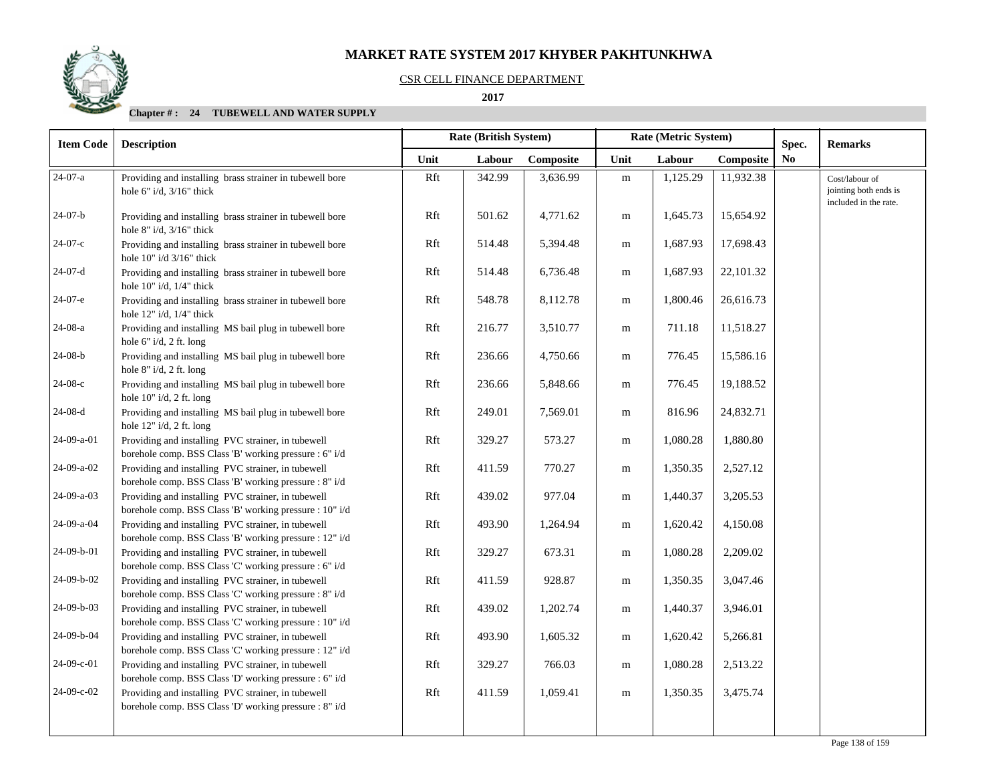

### CSR CELL FINANCE DEPARTMENT

 **2017** 

| <b>Item Code</b>     | <b>Description</b>                                                                                            |      | Rate (British System) |           | Rate (Metric System) |          | Spec.     | <b>Remarks</b> |                                                                  |
|----------------------|---------------------------------------------------------------------------------------------------------------|------|-----------------------|-----------|----------------------|----------|-----------|----------------|------------------------------------------------------------------|
|                      |                                                                                                               | Unit | Labour                | Composite | Unit                 | Labour   | Composite | N <sub>0</sub> |                                                                  |
| $\overline{24-07-a}$ | Providing and installing brass strainer in tubewell bore<br>hole $6"$ i/d, $3/16"$ thick                      | Rft  | 342.99                | 3,636.99  | m                    | 1,125.29 | 11,932.38 |                | Cost/labour of<br>jointing both ends is<br>included in the rate. |
| $24-07-b$            | Providing and installing brass strainer in tubewell bore<br>hole $8"$ i/d, $3/16"$ thick                      | Rft  | 501.62                | 4,771.62  | m                    | 1,645.73 | 15,654.92 |                |                                                                  |
| 24-07-с              | Providing and installing brass strainer in tubewell bore<br>hole $10"$ i/d $3/16"$ thick                      | Rft  | 514.48                | 5,394.48  | m                    | 1,687.93 | 17,698.43 |                |                                                                  |
| $24-07-d$            | Providing and installing brass strainer in tubewell bore<br>hole $10"$ i/d, $1/4"$ thick                      | Rft  | 514.48                | 6,736.48  | m                    | 1,687.93 | 22,101.32 |                |                                                                  |
| $24-07-e$            | Providing and installing brass strainer in tubewell bore<br>hole $12"$ i/d, $1/4"$ thick                      | Rft  | 548.78                | 8,112.78  | m                    | 1,800.46 | 26,616.73 |                |                                                                  |
| $24-08-a$            | Providing and installing MS bail plug in tubewell bore<br>hole 6" i/d, 2 ft. long                             | Rft  | 216.77                | 3,510.77  | m                    | 711.18   | 11,518.27 |                |                                                                  |
| $24-08-b$            | Providing and installing MS bail plug in tubewell bore<br>hole 8" i/d, 2 ft. long                             | Rft  | 236.66                | 4,750.66  | m                    | 776.45   | 15,586.16 |                |                                                                  |
| $24-08-c$            | Providing and installing MS bail plug in tubewell bore<br>hole 10" i/d, 2 ft. long                            | Rft  | 236.66                | 5,848.66  | m                    | 776.45   | 19,188.52 |                |                                                                  |
| $24-08-d$            | Providing and installing MS bail plug in tubewell bore<br>hole 12" i/d, 2 ft. long                            | Rft  | 249.01                | 7,569.01  | m                    | 816.96   | 24,832.71 |                |                                                                  |
| 24-09-a-01           | Providing and installing PVC strainer, in tubewell<br>borehole comp. BSS Class 'B' working pressure : 6" i/d  | Rft  | 329.27                | 573.27    | m                    | 1,080.28 | 1,880.80  |                |                                                                  |
| 24-09-a-02           | Providing and installing PVC strainer, in tubewell<br>borehole comp. BSS Class 'B' working pressure : 8" i/d  | Rft  | 411.59                | 770.27    | m                    | 1,350.35 | 2,527.12  |                |                                                                  |
| 24-09-a-03           | Providing and installing PVC strainer, in tubewell<br>borehole comp. BSS Class 'B' working pressure : 10" i/d | Rft  | 439.02                | 977.04    | m                    | 1,440.37 | 3,205.53  |                |                                                                  |
| 24-09-a-04           | Providing and installing PVC strainer, in tubewell<br>borehole comp. BSS Class 'B' working pressure : 12" i/d | Rft  | 493.90                | 1,264.94  | m                    | 1,620.42 | 4,150.08  |                |                                                                  |
| 24-09-b-01           | Providing and installing PVC strainer, in tubewell<br>borehole comp. BSS Class 'C' working pressure : 6" i/d  | Rft  | 329.27                | 673.31    | m                    | 1,080.28 | 2,209.02  |                |                                                                  |
| 24-09-b-02           | Providing and installing PVC strainer, in tubewell<br>borehole comp. BSS Class 'C' working pressure : 8" i/d  | Rft  | 411.59                | 928.87    | m                    | 1,350.35 | 3,047.46  |                |                                                                  |
| 24-09-b-03           | Providing and installing PVC strainer, in tubewell<br>borehole comp. BSS Class 'C' working pressure : 10" i/d | Rft  | 439.02                | 1,202.74  | m                    | 1,440.37 | 3,946.01  |                |                                                                  |
| 24-09-b-04           | Providing and installing PVC strainer, in tubewell<br>borehole comp. BSS Class 'C' working pressure : 12" i/d | Rft  | 493.90                | 1,605.32  | m                    | 1,620.42 | 5,266.81  |                |                                                                  |
| 24-09-c-01           | Providing and installing PVC strainer, in tubewell<br>borehole comp. BSS Class 'D' working pressure : 6" i/d  | Rft  | 329.27                | 766.03    | m                    | 1,080.28 | 2,513.22  |                |                                                                  |
| 24-09-c-02           | Providing and installing PVC strainer, in tubewell<br>borehole comp. BSS Class 'D' working pressure : 8" i/d  | Rft  | 411.59                | 1,059.41  | m                    | 1,350.35 | 3,475.74  |                |                                                                  |
|                      |                                                                                                               |      |                       |           |                      |          |           |                |                                                                  |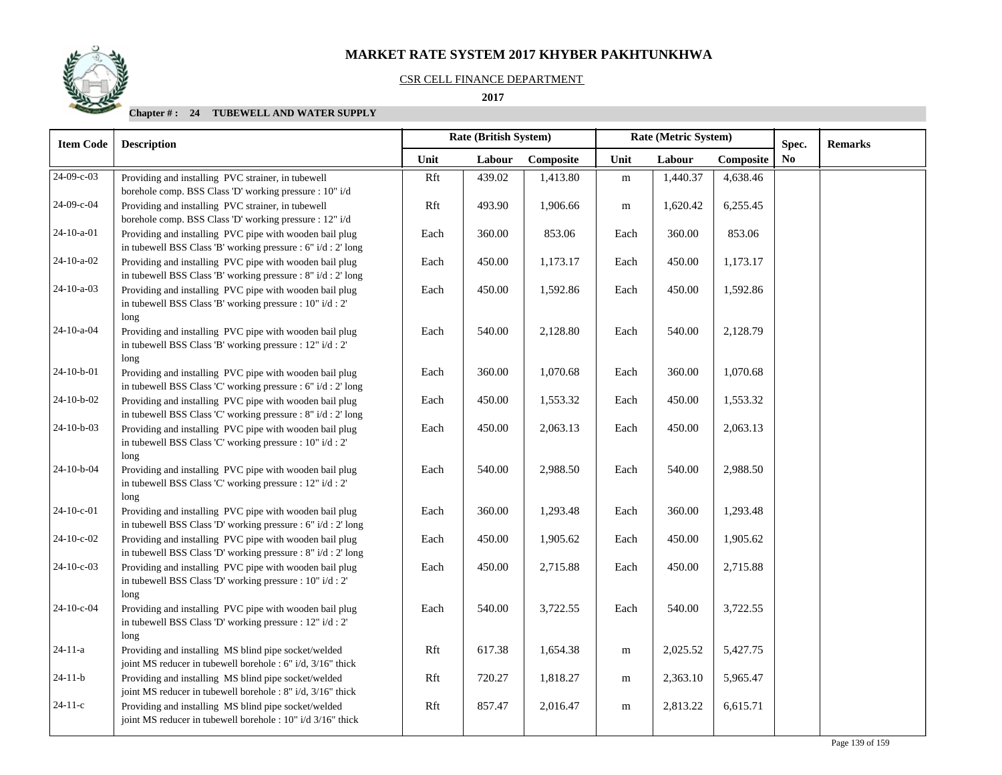## CSR CELL FINANCE DEPARTMENT

#### **2017**

| <b>Item Code</b> | <b>Description</b>                                                                                                                   |      | <b>Rate (British System)</b> |           | Rate (Metric System) |          | Spec.     | <b>Remarks</b> |  |
|------------------|--------------------------------------------------------------------------------------------------------------------------------------|------|------------------------------|-----------|----------------------|----------|-----------|----------------|--|
|                  |                                                                                                                                      | Unit | Labour                       | Composite | Unit                 | Labour   | Composite | N <sub>0</sub> |  |
| 24-09-c-03       | Providing and installing PVC strainer, in tubewell<br>borehole comp. BSS Class 'D' working pressure : 10" i/d                        | Rft  | 439.02                       | 1,413.80  | m                    | 1,440.37 | 4,638.46  |                |  |
| 24-09-с-04       | Providing and installing PVC strainer, in tubewell<br>borehole comp. BSS Class 'D' working pressure : 12" i/d                        | Rft  | 493.90                       | 1,906.66  | m                    | 1,620.42 | 6,255.45  |                |  |
| $24-10-a-01$     | Providing and installing PVC pipe with wooden bail plug<br>in tubewell BSS Class 'B' working pressure : 6" i/d : 2' long             | Each | 360.00                       | 853.06    | Each                 | 360.00   | 853.06    |                |  |
| $24-10-a-02$     | Providing and installing PVC pipe with wooden bail plug<br>in tubewell BSS Class 'B' working pressure : 8" i/d : 2' long             | Each | 450.00                       | 1,173.17  | Each                 | 450.00   | 1,173.17  |                |  |
| 24-10-a-03       | Providing and installing PVC pipe with wooden bail plug<br>in tubewell BSS Class 'B' working pressure : 10" i/d : 2'<br>long         | Each | 450.00                       | 1,592.86  | Each                 | 450.00   | 1,592.86  |                |  |
| $24-10-a-04$     | Providing and installing PVC pipe with wooden bail plug<br>in tubewell BSS Class 'B' working pressure : $12$ " $i/d$ : $2$ "<br>long | Each | 540.00                       | 2,128.80  | Each                 | 540.00   | 2,128.79  |                |  |
| $24-10-b-01$     | Providing and installing PVC pipe with wooden bail plug<br>in tubewell BSS Class 'C' working pressure : 6" i/d : 2' long             | Each | 360.00                       | 1,070.68  | Each                 | 360.00   | 1,070.68  |                |  |
| $24-10-b-02$     | Providing and installing PVC pipe with wooden bail plug<br>in tubewell BSS Class 'C' working pressure : 8" i/d : 2' long             | Each | 450.00                       | 1,553.32  | Each                 | 450.00   | 1,553.32  |                |  |
| 24-10-b-03       | Providing and installing PVC pipe with wooden bail plug<br>in tubewell BSS Class 'C' working pressure : 10" i/d : 2"<br>long         | Each | 450.00                       | 2,063.13  | Each                 | 450.00   | 2,063.13  |                |  |
| 24-10-b-04       | Providing and installing PVC pipe with wooden bail plug<br>in tubewell BSS Class 'C' working pressure : 12" i/d : 2'<br>long         | Each | 540.00                       | 2,988.50  | Each                 | 540.00   | 2,988.50  |                |  |
| $24-10-c-01$     | Providing and installing PVC pipe with wooden bail plug<br>in tubewell BSS Class 'D' working pressure : $6" i/d : 2'$ long           | Each | 360.00                       | 1,293.48  | Each                 | 360.00   | 1,293.48  |                |  |
| 24-10-c-02       | Providing and installing PVC pipe with wooden bail plug<br>in tubewell BSS Class 'D' working pressure : 8" i/d : 2' long             | Each | 450.00                       | 1,905.62  | Each                 | 450.00   | 1,905.62  |                |  |
| $24-10-c-03$     | Providing and installing PVC pipe with wooden bail plug<br>in tubewell BSS Class 'D' working pressure : 10" i/d : 2'<br>long         | Each | 450.00                       | 2,715.88  | Each                 | 450.00   | 2,715.88  |                |  |
| $24-10-c-04$     | Providing and installing PVC pipe with wooden bail plug<br>in tubewell BSS Class 'D' working pressure : $12$ " $i/d$ : $2$ "<br>long | Each | 540.00                       | 3,722.55  | Each                 | 540.00   | 3,722.55  |                |  |
| $24-11-a$        | Providing and installing MS blind pipe socket/welded<br>joint MS reducer in tubewell borehole : 6" i/d, 3/16" thick                  | Rft  | 617.38                       | 1,654.38  | ${\bf m}$            | 2,025.52 | 5,427.75  |                |  |
| $24 - 11 - b$    | Providing and installing MS blind pipe socket/welded<br>joint MS reducer in tubewell borehole : 8" i/d, 3/16" thick                  | Rft  | 720.27                       | 1,818.27  | m                    | 2,363.10 | 5,965.47  |                |  |
| $24-11-c$        | Providing and installing MS blind pipe socket/welded<br>joint MS reducer in tubewell borehole : 10" i/d 3/16" thick                  | Rft  | 857.47                       | 2,016.47  | m                    | 2,813.22 | 6,615.71  |                |  |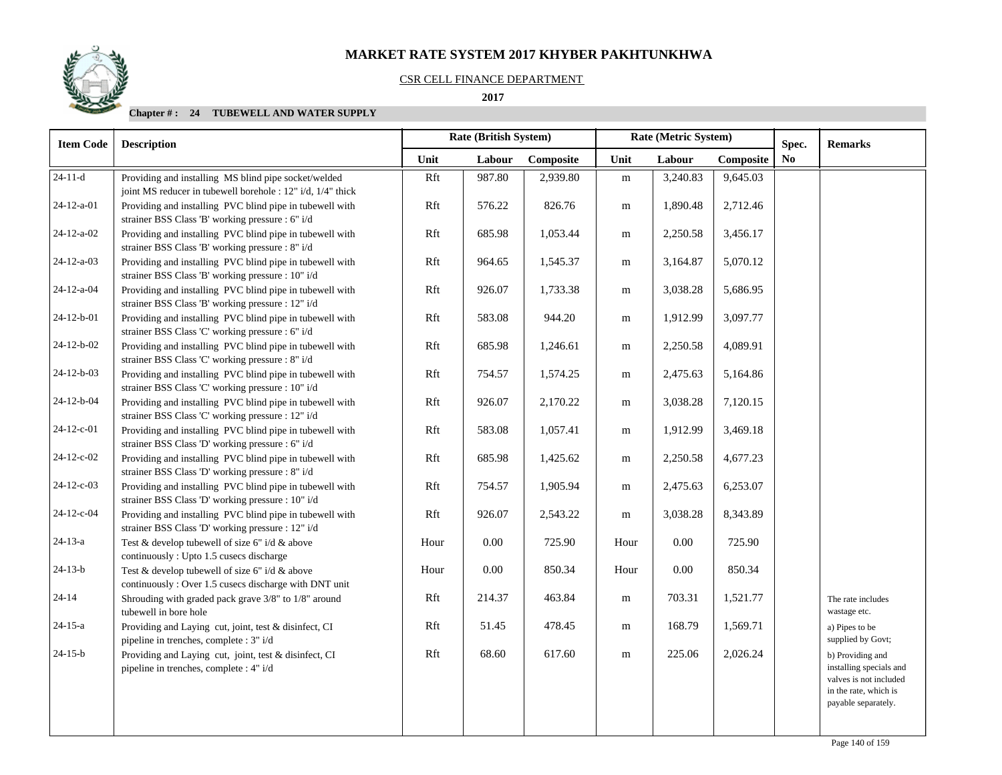### CSR CELL FINANCE DEPARTMENT

#### **2017**

| <b>Item Code</b>   | <b>Description</b>                                                                                                  |      |          | Rate (Metric System)<br><b>Rate (British System)</b> |           | Spec.    | <b>Remarks</b> |                |                                                                                                                       |
|--------------------|---------------------------------------------------------------------------------------------------------------------|------|----------|------------------------------------------------------|-----------|----------|----------------|----------------|-----------------------------------------------------------------------------------------------------------------------|
|                    |                                                                                                                     | Unit | Labour   | Composite                                            | Unit      | Labour   | Composite      | N <sub>0</sub> |                                                                                                                       |
| $\sqrt{24-11-d}$   | Providing and installing MS blind pipe socket/welded<br>joint MS reducer in tubewell borehole : 12" i/d, 1/4" thick | Rft  | 987.80   | 2,939.80                                             | m         | 3,240.83 | 9,645.03       |                |                                                                                                                       |
| 24-12-a-01         | Providing and installing PVC blind pipe in tubewell with<br>strainer BSS Class 'B' working pressure : 6" i/d        | Rft  | 576.22   | 826.76                                               | m         | 1,890.48 | 2,712.46       |                |                                                                                                                       |
| 24-12-a-02         | Providing and installing PVC blind pipe in tubewell with<br>strainer BSS Class 'B' working pressure : 8" i/d        | Rft  | 685.98   | 1,053.44                                             | m         | 2,250.58 | 3,456.17       |                |                                                                                                                       |
| $24-12-a-03$       | Providing and installing PVC blind pipe in tubewell with<br>strainer BSS Class 'B' working pressure : 10" i/d       | Rft  | 964.65   | 1,545.37                                             | ${\bf m}$ | 3,164.87 | 5,070.12       |                |                                                                                                                       |
| $24 - 12 - a - 04$ | Providing and installing PVC blind pipe in tubewell with<br>strainer BSS Class 'B' working pressure : 12" i/d       | Rft  | 926.07   | 1,733.38                                             | m         | 3,038.28 | 5,686.95       |                |                                                                                                                       |
| 24-12-b-01         | Providing and installing PVC blind pipe in tubewell with<br>strainer BSS Class 'C' working pressure : 6" i/d        | Rft  | 583.08   | 944.20                                               | ${\bf m}$ | 1,912.99 | 3,097.77       |                |                                                                                                                       |
| $24 - 12 - b - 02$ | Providing and installing PVC blind pipe in tubewell with<br>strainer BSS Class 'C' working pressure : 8" i/d        | Rft  | 685.98   | 1,246.61                                             | m         | 2,250.58 | 4,089.91       |                |                                                                                                                       |
| 24-12-b-03         | Providing and installing PVC blind pipe in tubewell with<br>strainer BSS Class 'C' working pressure : 10" i/d       | Rft  | 754.57   | 1,574.25                                             | m         | 2,475.63 | 5,164.86       |                |                                                                                                                       |
| 24-12-b-04         | Providing and installing PVC blind pipe in tubewell with<br>strainer BSS Class 'C' working pressure : 12" i/d       | Rft  | 926.07   | 2,170.22                                             | m         | 3,038.28 | 7,120.15       |                |                                                                                                                       |
| 24-12-c-01         | Providing and installing PVC blind pipe in tubewell with<br>strainer BSS Class 'D' working pressure : 6" i/d        | Rft  | 583.08   | 1,057.41                                             | m         | 1,912.99 | 3,469.18       |                |                                                                                                                       |
| 24-12-c-02         | Providing and installing PVC blind pipe in tubewell with<br>strainer BSS Class 'D' working pressure : 8" i/d        | Rft  | 685.98   | 1,425.62                                             | m         | 2,250.58 | 4,677.23       |                |                                                                                                                       |
| 24-12-c-03         | Providing and installing PVC blind pipe in tubewell with<br>strainer BSS Class 'D' working pressure : 10" i/d       | Rft  | 754.57   | 1,905.94                                             | m         | 2,475.63 | 6,253.07       |                |                                                                                                                       |
| 24-12-c-04         | Providing and installing PVC blind pipe in tubewell with<br>strainer BSS Class 'D' working pressure : 12" i/d       | Rft  | 926.07   | 2,543.22                                             | m         | 3,038.28 | 8,343.89       |                |                                                                                                                       |
| $24-13-a$          | Test & develop tubewell of size 6" i/d & above<br>continuously: Upto 1.5 cusecs discharge                           | Hour | 0.00     | 725.90                                               | Hour      | $0.00\,$ | 725.90         |                |                                                                                                                       |
| $24 - 13 - b$      | Test & develop tubewell of size 6" i/d & above<br>continuously: Over 1.5 cusecs discharge with DNT unit             | Hour | $0.00\,$ | 850.34                                               | Hour      | 0.00     | 850.34         |                |                                                                                                                       |
| $24 - 14$          | Shrouding with graded pack grave 3/8" to 1/8" around<br>tubewell in bore hole                                       | Rft  | 214.37   | 463.84                                               | m         | 703.31   | 1,521.77       |                | The rate includes<br>wastage etc.                                                                                     |
| $24 - 15 - a$      | Providing and Laying cut, joint, test & disinfect, CI<br>pipeline in trenches, complete : 3" i/d                    | Rft  | 51.45    | 478.45                                               | m         | 168.79   | 1,569.71       |                | a) Pipes to be<br>supplied by Govt;                                                                                   |
| $24 - 15 - b$      | Providing and Laying cut, joint, test & disinfect, CI<br>pipeline in trenches, complete : 4" i/d                    | Rft  | 68.60    | 617.60                                               | m         | 225.06   | 2,026.24       |                | b) Providing and<br>installing specials and<br>valves is not included<br>in the rate, which is<br>payable separately. |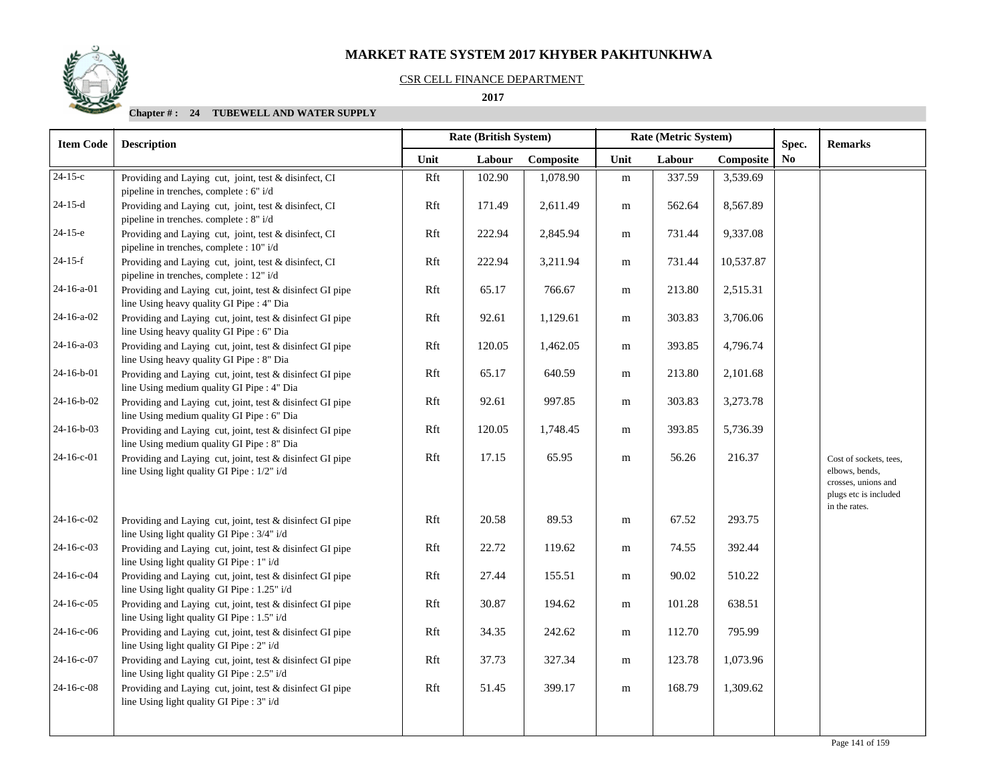### CSR CELL FINANCE DEPARTMENT

## **2017**

| <b>Item Code</b> | <b>Description</b>                                                                                        |      | Rate (British System) |           |           | Rate (Metric System) |           | Spec. | <b>Remarks</b>                                                                           |
|------------------|-----------------------------------------------------------------------------------------------------------|------|-----------------------|-----------|-----------|----------------------|-----------|-------|------------------------------------------------------------------------------------------|
|                  |                                                                                                           | Unit | Labour                | Composite | Unit      | Labour               | Composite | No    |                                                                                          |
| $\sqrt{24-15-c}$ | Providing and Laying cut, joint, test & disinfect, CI<br>pipeline in trenches, complete : 6" i/d          | Rft  | 102.90                | 1,078.90  | ${\rm m}$ | 337.59               | 3,539.69  |       |                                                                                          |
| $24-15-d$        | Providing and Laying cut, joint, test & disinfect, CI<br>pipeline in trenches. complete : 8" i/d          | Rft  | 171.49                | 2,611.49  | m         | 562.64               | 8,567.89  |       |                                                                                          |
| $24-15-e$        | Providing and Laying cut, joint, test & disinfect, CI<br>pipeline in trenches, complete : 10" i/d         | Rft  | 222.94                | 2,845.94  | ${\bf m}$ | 731.44               | 9,337.08  |       |                                                                                          |
| $24-15-f$        | Providing and Laying cut, joint, test & disinfect, CI<br>pipeline in trenches, complete : 12" i/d         | Rft  | 222.94                | 3,211.94  | ${\bf m}$ | 731.44               | 10,537.87 |       |                                                                                          |
| 24-16-a-01       | Providing and Laying cut, joint, test & disinfect GI pipe<br>line Using heavy quality GI Pipe : 4" Dia    | Rft  | 65.17                 | 766.67    | m         | 213.80               | 2,515.31  |       |                                                                                          |
| $24-16-a-02$     | Providing and Laying cut, joint, test & disinfect GI pipe<br>line Using heavy quality GI Pipe : 6" Dia    | Rft  | 92.61                 | 1,129.61  | m         | 303.83               | 3,706.06  |       |                                                                                          |
| 24-16-a-03       | Providing and Laying cut, joint, test & disinfect GI pipe<br>line Using heavy quality GI Pipe : 8" Dia    | Rft  | 120.05                | 1,462.05  | m         | 393.85               | 4,796.74  |       |                                                                                          |
| 24-16-b-01       | Providing and Laying cut, joint, test & disinfect GI pipe<br>line Using medium quality GI Pipe : 4" Dia   | Rft  | 65.17                 | 640.59    | ${\bf m}$ | 213.80               | 2,101.68  |       |                                                                                          |
| 24-16-b-02       | Providing and Laying cut, joint, test & disinfect GI pipe<br>line Using medium quality GI Pipe : 6" Dia   | Rft  | 92.61                 | 997.85    | m         | 303.83               | 3,273.78  |       |                                                                                          |
| $24-16-b-03$     | Providing and Laying cut, joint, test & disinfect GI pipe<br>line Using medium quality GI Pipe : 8" Dia   | Rft  | 120.05                | 1,748.45  | m         | 393.85               | 5,736.39  |       |                                                                                          |
| 24-16-c-01       | Providing and Laying cut, joint, test & disinfect GI pipe<br>line Using light quality GI Pipe : 1/2" i/d  | Rft  | 17.15                 | 65.95     | ${\bf m}$ | 56.26                | 216.37    |       | Cost of sockets, tees,<br>elbows, bends,<br>crosses, unions and<br>plugs etc is included |
| $24-16-c-02$     | Providing and Laying cut, joint, test & disinfect GI pipe<br>line Using light quality GI Pipe : 3/4" i/d  | Rft  | 20.58                 | 89.53     | ${\bf m}$ | 67.52                | 293.75    |       | in the rates.                                                                            |
| 24-16-c-03       | Providing and Laying cut, joint, test & disinfect GI pipe<br>line Using light quality GI Pipe : 1" i/d    | Rft  | 22.72                 | 119.62    | m         | 74.55                | 392.44    |       |                                                                                          |
| 24-16-c-04       | Providing and Laying cut, joint, test & disinfect GI pipe<br>line Using light quality GI Pipe : 1.25" i/d | Rft  | 27.44                 | 155.51    | m         | 90.02                | 510.22    |       |                                                                                          |
| $24-16-c-05$     | Providing and Laying cut, joint, test & disinfect GI pipe<br>line Using light quality GI Pipe : 1.5" i/d  | Rft  | 30.87                 | 194.62    | m         | 101.28               | 638.51    |       |                                                                                          |
| 24-16-c-06       | Providing and Laying cut, joint, test & disinfect GI pipe<br>line Using light quality GI Pipe : 2" i/d    | Rft  | 34.35                 | 242.62    | ${\bf m}$ | 112.70               | 795.99    |       |                                                                                          |
| 24-16-c-07       | Providing and Laying cut, joint, test & disinfect GI pipe<br>line Using light quality GI Pipe : 2.5" i/d  | Rft  | 37.73                 | 327.34    | m         | 123.78               | 1,073.96  |       |                                                                                          |
| $24-16-c-08$     | Providing and Laying cut, joint, test & disinfect GI pipe<br>line Using light quality GI Pipe : 3" i/d    | Rft  | 51.45                 | 399.17    | m         | 168.79               | 1,309.62  |       |                                                                                          |
|                  |                                                                                                           |      |                       |           |           |                      |           |       |                                                                                          |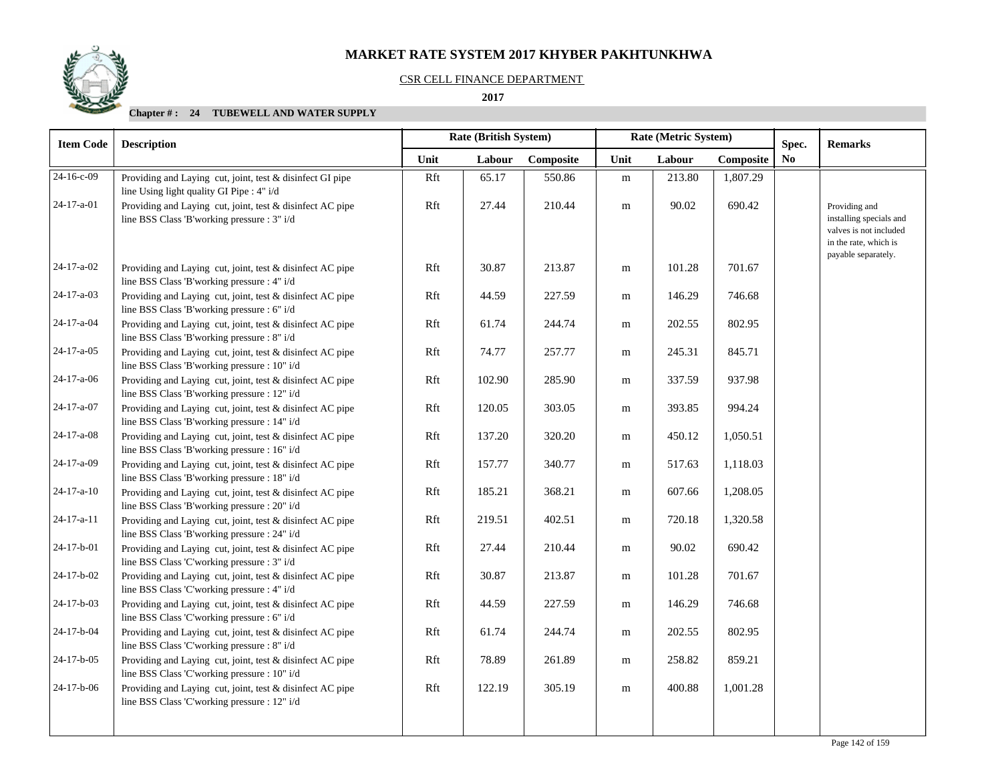#### CSR CELL FINANCE DEPARTMENT

 **2017** 

| <b>Item Code</b>   | <b>Description</b>                                                                                        |      | <b>Rate (British System)</b> |           | Rate (Metric System) |        | Spec.     | <b>Remarks</b> |                                                                                                                    |
|--------------------|-----------------------------------------------------------------------------------------------------------|------|------------------------------|-----------|----------------------|--------|-----------|----------------|--------------------------------------------------------------------------------------------------------------------|
|                    |                                                                                                           | Unit | Labour                       | Composite | Unit                 | Labour | Composite | No.            |                                                                                                                    |
| 24-16-c-09         | Providing and Laying cut, joint, test & disinfect GI pipe<br>line Using light quality GI Pipe : 4" i/d    | Rft  | 65.17                        | 550.86    | ${\bf m}$            | 213.80 | 1,807.29  |                |                                                                                                                    |
| 24-17-a-01         | Providing and Laying cut, joint, test & disinfect AC pipe<br>line BSS Class 'B'working pressure : 3" i/d  | Rft  | 27.44                        | 210.44    | ${\bf m}$            | 90.02  | 690.42    |                | Providing and<br>installing specials and<br>valves is not included<br>in the rate, which is<br>payable separately. |
| 24-17-a-02         | Providing and Laying cut, joint, test & disinfect AC pipe<br>line BSS Class 'B'working pressure : 4" i/d  | Rft  | 30.87                        | 213.87    | m                    | 101.28 | 701.67    |                |                                                                                                                    |
| 24-17-a-03         | Providing and Laying cut, joint, test & disinfect AC pipe<br>line BSS Class 'B'working pressure : 6" i/d  | Rft  | 44.59                        | 227.59    | m                    | 146.29 | 746.68    |                |                                                                                                                    |
| 24-17-a-04         | Providing and Laying cut, joint, test & disinfect AC pipe<br>line BSS Class 'B'working pressure : 8" i/d  | Rft  | 61.74                        | 244.74    | m                    | 202.55 | 802.95    |                |                                                                                                                    |
| $24-17-a-05$       | Providing and Laying cut, joint, test & disinfect AC pipe<br>line BSS Class 'B'working pressure : 10" i/d | Rft  | 74.77                        | 257.77    | m                    | 245.31 | 845.71    |                |                                                                                                                    |
| 24-17-a-06         | Providing and Laying cut, joint, test & disinfect AC pipe<br>line BSS Class 'B'working pressure : 12" i/d | Rft  | 102.90                       | 285.90    | m                    | 337.59 | 937.98    |                |                                                                                                                    |
| 24-17-a-07         | Providing and Laying cut, joint, test & disinfect AC pipe<br>line BSS Class 'B'working pressure : 14" i/d | Rft  | 120.05                       | 303.05    | m                    | 393.85 | 994.24    |                |                                                                                                                    |
| 24-17-a-08         | Providing and Laying cut, joint, test & disinfect AC pipe<br>line BSS Class 'B'working pressure : 16" i/d | Rft  | 137.20                       | 320.20    | m                    | 450.12 | 1,050.51  |                |                                                                                                                    |
| 24-17-a-09         | Providing and Laying cut, joint, test & disinfect AC pipe<br>line BSS Class 'B'working pressure : 18" i/d | Rft  | 157.77                       | 340.77    | m                    | 517.63 | 1,118.03  |                |                                                                                                                    |
| $24 - 17 - a - 10$ | Providing and Laying cut, joint, test & disinfect AC pipe<br>line BSS Class 'B'working pressure : 20" i/d | Rft  | 185.21                       | 368.21    | m                    | 607.66 | 1,208.05  |                |                                                                                                                    |
| 24-17-a-11         | Providing and Laying cut, joint, test & disinfect AC pipe<br>line BSS Class 'B'working pressure : 24" i/d | Rft  | 219.51                       | 402.51    | m                    | 720.18 | 1,320.58  |                |                                                                                                                    |
| 24-17-b-01         | Providing and Laying cut, joint, test & disinfect AC pipe<br>line BSS Class 'C'working pressure : 3" i/d  | Rft  | 27.44                        | 210.44    | m                    | 90.02  | 690.42    |                |                                                                                                                    |
| 24-17-b-02         | Providing and Laying cut, joint, test & disinfect AC pipe<br>line BSS Class 'C'working pressure : 4" i/d  | Rft  | 30.87                        | 213.87    | ${\bf m}$            | 101.28 | 701.67    |                |                                                                                                                    |
| $24-17-b-03$       | Providing and Laying cut, joint, test & disinfect AC pipe<br>line BSS Class 'C'working pressure : 6" i/d  | Rft  | 44.59                        | 227.59    | m                    | 146.29 | 746.68    |                |                                                                                                                    |
| 24-17-b-04         | Providing and Laying cut, joint, test & disinfect AC pipe<br>line BSS Class 'C'working pressure : 8" i/d  | Rft  | 61.74                        | 244.74    | m                    | 202.55 | 802.95    |                |                                                                                                                    |
| $24-17-b-05$       | Providing and Laying cut, joint, test & disinfect AC pipe<br>line BSS Class 'C'working pressure : 10" i/d | Rft  | 78.89                        | 261.89    | m                    | 258.82 | 859.21    |                |                                                                                                                    |
| $24-17-b-06$       | Providing and Laying cut, joint, test & disinfect AC pipe<br>line BSS Class 'C'working pressure : 12" i/d | Rft  | 122.19                       | 305.19    | m                    | 400.88 | 1,001.28  |                |                                                                                                                    |
|                    |                                                                                                           |      |                              |           |                      |        |           |                |                                                                                                                    |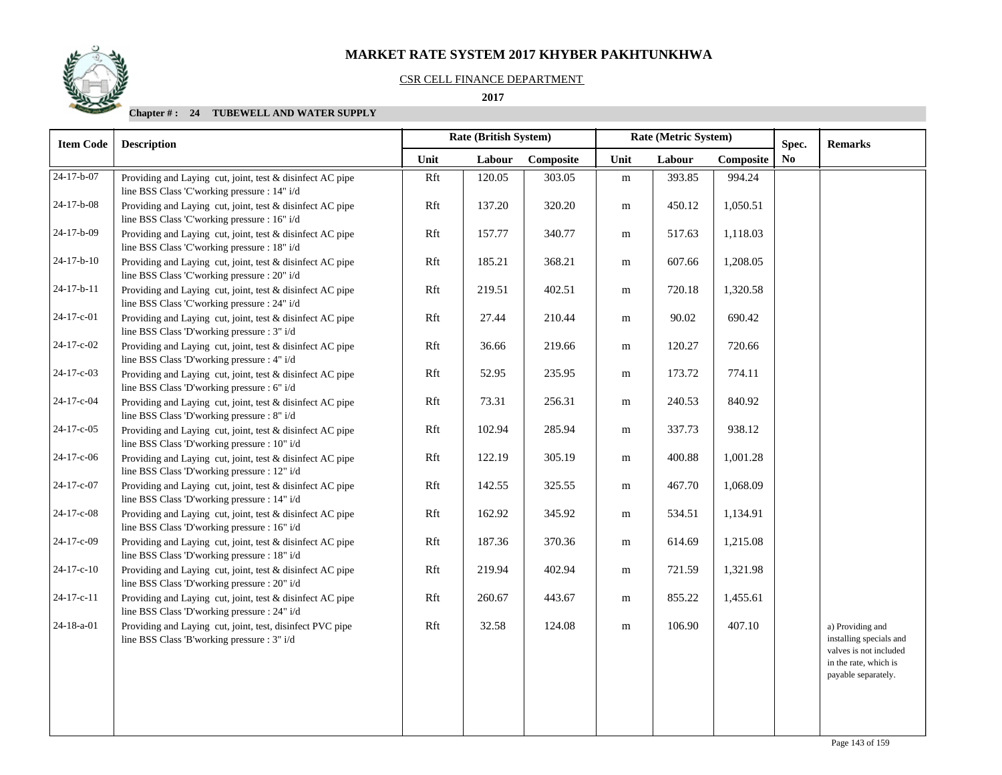#### CSR CELL FINANCE DEPARTMENT

#### **2017**

| <b>Item Code</b> | <b>Description</b>                                                                                        |      | Rate (British System) |           | Rate (Metric System) |        | Spec.     | <b>Remarks</b> |                                                                                                                       |
|------------------|-----------------------------------------------------------------------------------------------------------|------|-----------------------|-----------|----------------------|--------|-----------|----------------|-----------------------------------------------------------------------------------------------------------------------|
|                  |                                                                                                           | Unit | Labour                | Composite | Unit                 | Labour | Composite | N <sub>0</sub> |                                                                                                                       |
| $24-17-b-07$     | Providing and Laying cut, joint, test & disinfect AC pipe<br>line BSS Class 'C'working pressure : 14" i/d | Rft  | 120.05                | 303.05    | ${\bf m}$            | 393.85 | 994.24    |                |                                                                                                                       |
| 24-17-b-08       | Providing and Laying cut, joint, test & disinfect AC pipe<br>line BSS Class 'C'working pressure : 16" i/d | Rft  | 137.20                | 320.20    | m                    | 450.12 | 1,050.51  |                |                                                                                                                       |
| 24-17-b-09       | Providing and Laying cut, joint, test & disinfect AC pipe<br>line BSS Class 'C'working pressure : 18" i/d | Rft  | 157.77                | 340.77    | ${\bf m}$            | 517.63 | 1,118.03  |                |                                                                                                                       |
| $24-17-b-10$     | Providing and Laying cut, joint, test & disinfect AC pipe<br>line BSS Class 'C'working pressure : 20" i/d | Rft  | 185.21                | 368.21    | ${\bf m}$            | 607.66 | 1,208.05  |                |                                                                                                                       |
| 24-17-b-11       | Providing and Laying cut, joint, test & disinfect AC pipe<br>line BSS Class 'C'working pressure : 24" i/d | Rft  | 219.51                | 402.51    | m                    | 720.18 | 1,320.58  |                |                                                                                                                       |
| 24-17-c-01       | Providing and Laying cut, joint, test & disinfect AC pipe<br>line BSS Class 'D'working pressure : 3" i/d  | Rft  | 27.44                 | 210.44    | m                    | 90.02  | 690.42    |                |                                                                                                                       |
| 24-17-c-02       | Providing and Laying cut, joint, test & disinfect AC pipe<br>line BSS Class 'D'working pressure : 4" i/d  | Rft  | 36.66                 | 219.66    | m                    | 120.27 | 720.66    |                |                                                                                                                       |
| 24-17-c-03       | Providing and Laying cut, joint, test & disinfect AC pipe<br>line BSS Class 'D'working pressure : 6" i/d  | Rft  | 52.95                 | 235.95    | m                    | 173.72 | 774.11    |                |                                                                                                                       |
| 24-17-c-04       | Providing and Laying cut, joint, test & disinfect AC pipe<br>line BSS Class 'D'working pressure : 8" i/d  | Rft  | 73.31                 | 256.31    | m                    | 240.53 | 840.92    |                |                                                                                                                       |
| 24-17-c-05       | Providing and Laying cut, joint, test & disinfect AC pipe<br>line BSS Class 'D'working pressure : 10" i/d | Rft  | 102.94                | 285.94    | ${\bf m}$            | 337.73 | 938.12    |                |                                                                                                                       |
| 24-17-c-06       | Providing and Laying cut, joint, test & disinfect AC pipe<br>line BSS Class 'D'working pressure : 12" i/d | Rft  | 122.19                | 305.19    | m                    | 400.88 | 1,001.28  |                |                                                                                                                       |
| 24-17-c-07       | Providing and Laying cut, joint, test & disinfect AC pipe<br>line BSS Class 'D'working pressure : 14" i/d | Rft  | 142.55                | 325.55    | m                    | 467.70 | 1,068.09  |                |                                                                                                                       |
| 24-17-c-08       | Providing and Laying cut, joint, test & disinfect AC pipe<br>line BSS Class 'D'working pressure : 16" i/d | Rft  | 162.92                | 345.92    | m                    | 534.51 | 1,134.91  |                |                                                                                                                       |
| 24-17-c-09       | Providing and Laying cut, joint, test & disinfect AC pipe<br>line BSS Class 'D'working pressure : 18" i/d | Rft  | 187.36                | 370.36    | m                    | 614.69 | 1,215.08  |                |                                                                                                                       |
| $24-17-c-10$     | Providing and Laying cut, joint, test & disinfect AC pipe<br>line BSS Class 'D'working pressure : 20" i/d | Rft  | 219.94                | 402.94    | m                    | 721.59 | 1,321.98  |                |                                                                                                                       |
| 24-17-c-11       | Providing and Laying cut, joint, test & disinfect AC pipe<br>line BSS Class 'D'working pressure : 24" i/d | Rft  | 260.67                | 443.67    | m                    | 855.22 | 1,455.61  |                |                                                                                                                       |
| 24-18-a-01       | Providing and Laying cut, joint, test, disinfect PVC pipe<br>line BSS Class 'B'working pressure : 3" i/d  | Rft  | 32.58                 | 124.08    | ${\bf m}$            | 106.90 | 407.10    |                | a) Providing and<br>installing specials and<br>valves is not included<br>in the rate, which is<br>payable separately. |
|                  |                                                                                                           |      |                       |           |                      |        |           |                |                                                                                                                       |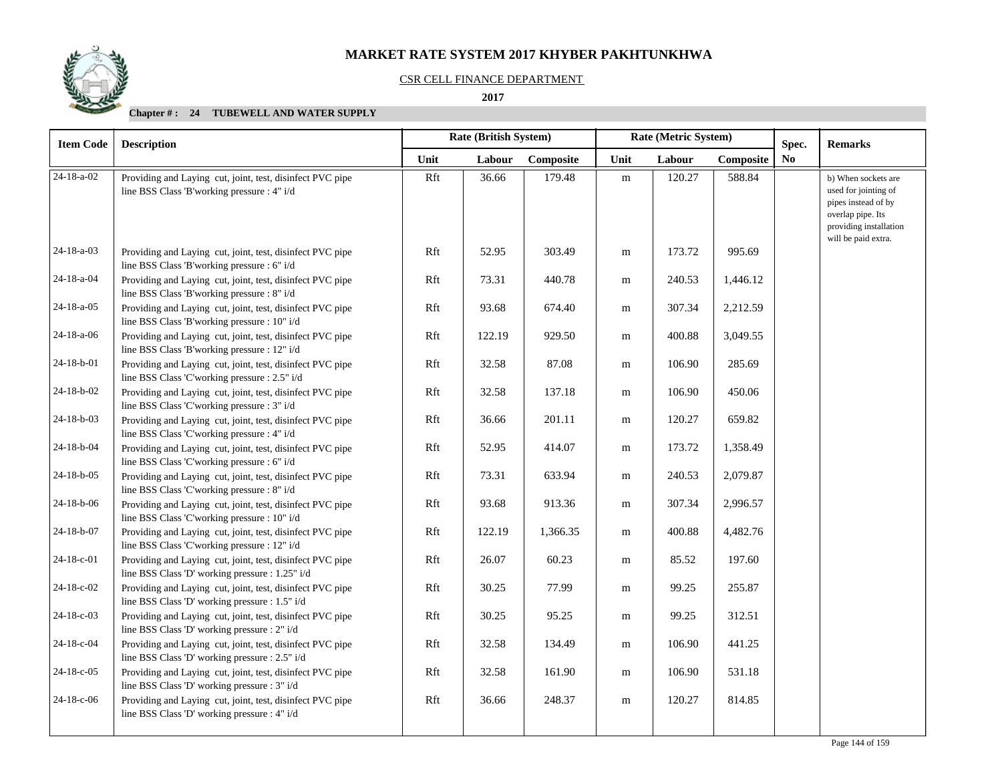## CSR CELL FINANCE DEPARTMENT

 **2017** 

| <b>Item Code</b>   | <b>Description</b>                                                                                           |      | <b>Rate (British System)</b> |           |           | Rate (Metric System) |           |                         | <b>Remarks</b>                                                                                                                           |
|--------------------|--------------------------------------------------------------------------------------------------------------|------|------------------------------|-----------|-----------|----------------------|-----------|-------------------------|------------------------------------------------------------------------------------------------------------------------------------------|
|                    |                                                                                                              | Unit | Labour                       | Composite | Unit      | Labour               | Composite | Spec.<br>N <sub>0</sub> |                                                                                                                                          |
| 24-18-a-02         | Providing and Laying cut, joint, test, disinfect PVC pipe<br>line BSS Class 'B'working pressure : 4" i/d     | Rft  | 36.66                        | 179.48    | ${\rm m}$ | 120.27               | 588.84    |                         | b) When sockets are<br>used for jointing of<br>pipes instead of by<br>overlap pipe. Its<br>providing installation<br>will be paid extra. |
| $24 - 18 - a - 03$ | Providing and Laying cut, joint, test, disinfect PVC pipe<br>line BSS Class 'B'working pressure : 6" i/d     | Rft  | 52.95                        | 303.49    | m         | 173.72               | 995.69    |                         |                                                                                                                                          |
| 24-18-a-04         | Providing and Laying cut, joint, test, disinfect PVC pipe<br>line BSS Class 'B'working pressure : 8" i/d     | Rft  | 73.31                        | 440.78    | m         | 240.53               | 1,446.12  |                         |                                                                                                                                          |
| 24-18-a-05         | Providing and Laying cut, joint, test, disinfect PVC pipe<br>line BSS Class 'B'working pressure : 10" i/d    | Rft  | 93.68                        | 674.40    | m         | 307.34               | 2,212.59  |                         |                                                                                                                                          |
| 24-18-a-06         | Providing and Laying cut, joint, test, disinfect PVC pipe<br>line BSS Class 'B'working pressure : 12" i/d    | Rft  | 122.19                       | 929.50    | m         | 400.88               | 3,049.55  |                         |                                                                                                                                          |
| 24-18-b-01         | Providing and Laying cut, joint, test, disinfect PVC pipe<br>line BSS Class 'C'working pressure : 2.5" i/d   | Rft  | 32.58                        | 87.08     | m         | 106.90               | 285.69    |                         |                                                                                                                                          |
| 24-18-b-02         | Providing and Laying cut, joint, test, disinfect PVC pipe<br>line BSS Class 'C'working pressure : 3" i/d     | Rft  | 32.58                        | 137.18    | m         | 106.90               | 450.06    |                         |                                                                                                                                          |
| 24-18-b-03         | Providing and Laying cut, joint, test, disinfect PVC pipe<br>line BSS Class 'C'working pressure : 4" i/d     | Rft  | 36.66                        | 201.11    | m         | 120.27               | 659.82    |                         |                                                                                                                                          |
| 24-18-b-04         | Providing and Laying cut, joint, test, disinfect PVC pipe<br>line BSS Class 'C'working pressure : 6" i/d     | Rft  | 52.95                        | 414.07    | m         | 173.72               | 1,358.49  |                         |                                                                                                                                          |
| $24-18-b-05$       | Providing and Laying cut, joint, test, disinfect PVC pipe<br>line BSS Class 'C'working pressure : 8" i/d     | Rft  | 73.31                        | 633.94    | m         | 240.53               | 2,079.87  |                         |                                                                                                                                          |
| 24-18-b-06         | Providing and Laying cut, joint, test, disinfect PVC pipe<br>line BSS Class 'C'working pressure : 10" i/d    | Rft  | 93.68                        | 913.36    | m         | 307.34               | 2,996.57  |                         |                                                                                                                                          |
| 24-18-b-07         | Providing and Laying cut, joint, test, disinfect PVC pipe<br>line BSS Class 'C'working pressure : 12" i/d    | Rft  | 122.19                       | 1,366.35  | m         | 400.88               | 4,482.76  |                         |                                                                                                                                          |
| 24-18-c-01         | Providing and Laying cut, joint, test, disinfect PVC pipe<br>line BSS Class 'D' working pressure : 1.25" i/d | Rft  | 26.07                        | 60.23     | m         | 85.52                | 197.60    |                         |                                                                                                                                          |
| 24-18-c-02         | Providing and Laying cut, joint, test, disinfect PVC pipe<br>line BSS Class 'D' working pressure : 1.5" i/d  | Rft  | 30.25                        | 77.99     | m         | 99.25                | 255.87    |                         |                                                                                                                                          |
| 24-18-c-03         | Providing and Laying cut, joint, test, disinfect PVC pipe<br>line BSS Class 'D' working pressure : 2" i/d    | Rft  | 30.25                        | 95.25     | m         | 99.25                | 312.51    |                         |                                                                                                                                          |
| 24-18-c-04         | Providing and Laying cut, joint, test, disinfect PVC pipe<br>line BSS Class 'D' working pressure : 2.5" i/d  | Rft  | 32.58                        | 134.49    | m         | 106.90               | 441.25    |                         |                                                                                                                                          |
| 24-18-c-05         | Providing and Laying cut, joint, test, disinfect PVC pipe<br>line BSS Class 'D' working pressure : 3" i/d    | Rft  | 32.58                        | 161.90    | m         | 106.90               | 531.18    |                         |                                                                                                                                          |
| 24-18-c-06         | Providing and Laying cut, joint, test, disinfect PVC pipe<br>line BSS Class 'D' working pressure : 4" i/d    | Rft  | 36.66                        | 248.37    | m         | 120.27               | 814.85    |                         |                                                                                                                                          |
|                    |                                                                                                              |      |                              |           |           |                      |           |                         |                                                                                                                                          |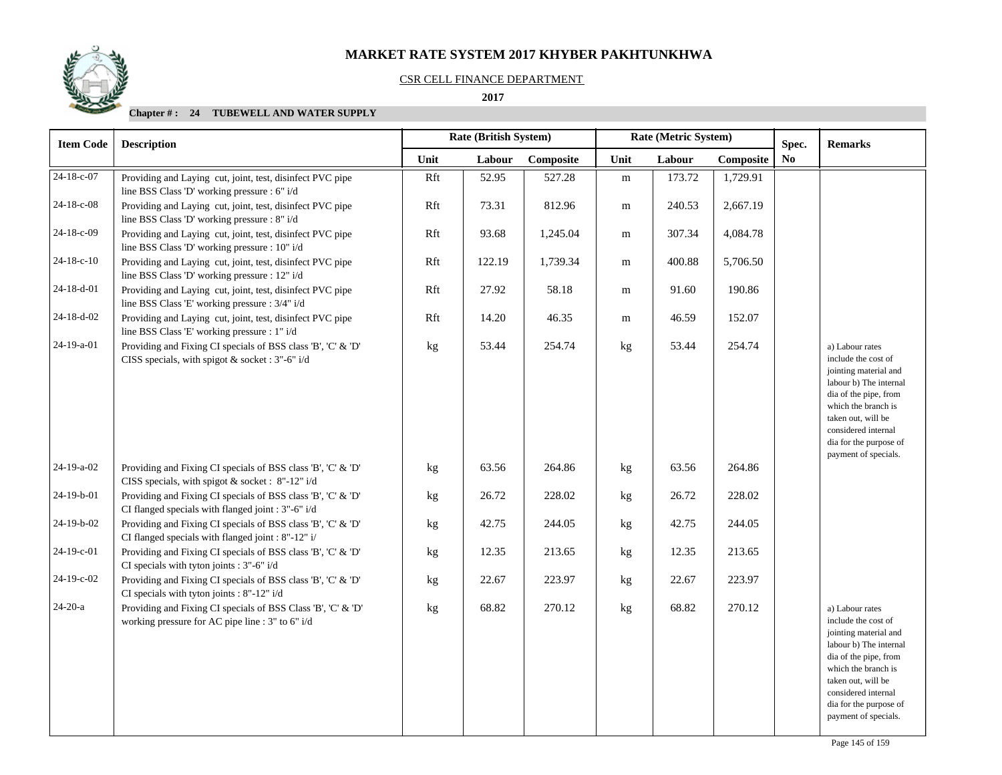## CSR CELL FINANCE DEPARTMENT

#### **2017**

| <b>Item Code</b> | <b>Description</b>                                                                                                 |      | <b>Rate (British System)</b> |           | Rate (Metric System) |        |           | Spec.          | <b>Remarks</b>                                                                                                                                                                                                                           |
|------------------|--------------------------------------------------------------------------------------------------------------------|------|------------------------------|-----------|----------------------|--------|-----------|----------------|------------------------------------------------------------------------------------------------------------------------------------------------------------------------------------------------------------------------------------------|
|                  |                                                                                                                    | Unit | Labour                       | Composite | Unit                 | Labour | Composite | N <sub>0</sub> |                                                                                                                                                                                                                                          |
| 24-18-c-07       | Providing and Laying cut, joint, test, disinfect PVC pipe<br>line BSS Class 'D' working pressure : 6" i/d          | Rft  | 52.95                        | 527.28    | ${\rm m}$            | 173.72 | 1,729.91  |                |                                                                                                                                                                                                                                          |
| 24-18-c-08       | Providing and Laying cut, joint, test, disinfect PVC pipe<br>line BSS Class 'D' working pressure : 8" i/d          | Rft  | 73.31                        | 812.96    | ${\rm m}$            | 240.53 | 2,667.19  |                |                                                                                                                                                                                                                                          |
| 24-18-c-09       | Providing and Laying cut, joint, test, disinfect PVC pipe<br>line BSS Class 'D' working pressure : 10" i/d         | Rft  | 93.68                        | 1,245.04  | ${\bf m}$            | 307.34 | 4,084.78  |                |                                                                                                                                                                                                                                          |
| $24-18-c-10$     | Providing and Laying cut, joint, test, disinfect PVC pipe<br>line BSS Class 'D' working pressure : 12" i/d         | Rft  | 122.19                       | 1,739.34  | m                    | 400.88 | 5,706.50  |                |                                                                                                                                                                                                                                          |
| 24-18-d-01       | Providing and Laying cut, joint, test, disinfect PVC pipe<br>line BSS Class 'E' working pressure : 3/4" i/d        | Rft  | 27.92                        | 58.18     | m                    | 91.60  | 190.86    |                |                                                                                                                                                                                                                                          |
| 24-18-d-02       | Providing and Laying cut, joint, test, disinfect PVC pipe<br>line BSS Class 'E' working pressure : 1" i/d          | Rft  | 14.20                        | 46.35     | m                    | 46.59  | 152.07    |                |                                                                                                                                                                                                                                          |
| 24-19-a-01       | Providing and Fixing CI specials of BSS class 'B', 'C' & 'D'<br>CISS specials, with spigot $&$ socket : 3"-6" i/d  | kg   | 53.44                        | 254.74    | kg                   | 53.44  | 254.74    |                | a) Labour rates<br>include the cost of<br>jointing material and<br>labour b) The internal<br>dia of the pipe, from<br>which the branch is<br>taken out, will be<br>considered internal<br>dia for the purpose of                         |
| 24-19-a-02       | Providing and Fixing CI specials of BSS class 'B', 'C' & 'D'<br>CISS specials, with spigot & socket : 8"-12" i/d   | kg   | 63.56                        | 264.86    | kg                   | 63.56  | 264.86    |                | payment of specials.                                                                                                                                                                                                                     |
| 24-19-b-01       | Providing and Fixing CI specials of BSS class 'B', 'C' & 'D'<br>CI flanged specials with flanged joint : 3"-6" i/d | kg   | 26.72                        | 228.02    | kg                   | 26.72  | 228.02    |                |                                                                                                                                                                                                                                          |
| 24-19-b-02       | Providing and Fixing CI specials of BSS class 'B', 'C' & 'D'<br>CI flanged specials with flanged joint : 8"-12" i/ | kg   | 42.75                        | 244.05    | kg                   | 42.75  | 244.05    |                |                                                                                                                                                                                                                                          |
| 24-19-c-01       | Providing and Fixing CI specials of BSS class 'B', 'C' & 'D'<br>CI specials with tyton joints : 3"-6" i/d          | kg   | 12.35                        | 213.65    | kg                   | 12.35  | 213.65    |                |                                                                                                                                                                                                                                          |
| 24-19-c-02       | Providing and Fixing CI specials of BSS class 'B', 'C' & 'D'<br>CI specials with tyton joints : 8"-12" i/d         | kg   | 22.67                        | 223.97    | kg                   | 22.67  | 223.97    |                |                                                                                                                                                                                                                                          |
| $24-20-a$        | Providing and Fixing CI specials of BSS Class 'B', 'C' & 'D'<br>working pressure for AC pipe line : 3" to 6" i/d   | kg   | 68.82                        | 270.12    | kg                   | 68.82  | 270.12    |                | a) Labour rates<br>include the cost of<br>jointing material and<br>labour b) The internal<br>dia of the pipe, from<br>which the branch is<br>taken out, will be<br>considered internal<br>dia for the purpose of<br>payment of specials. |

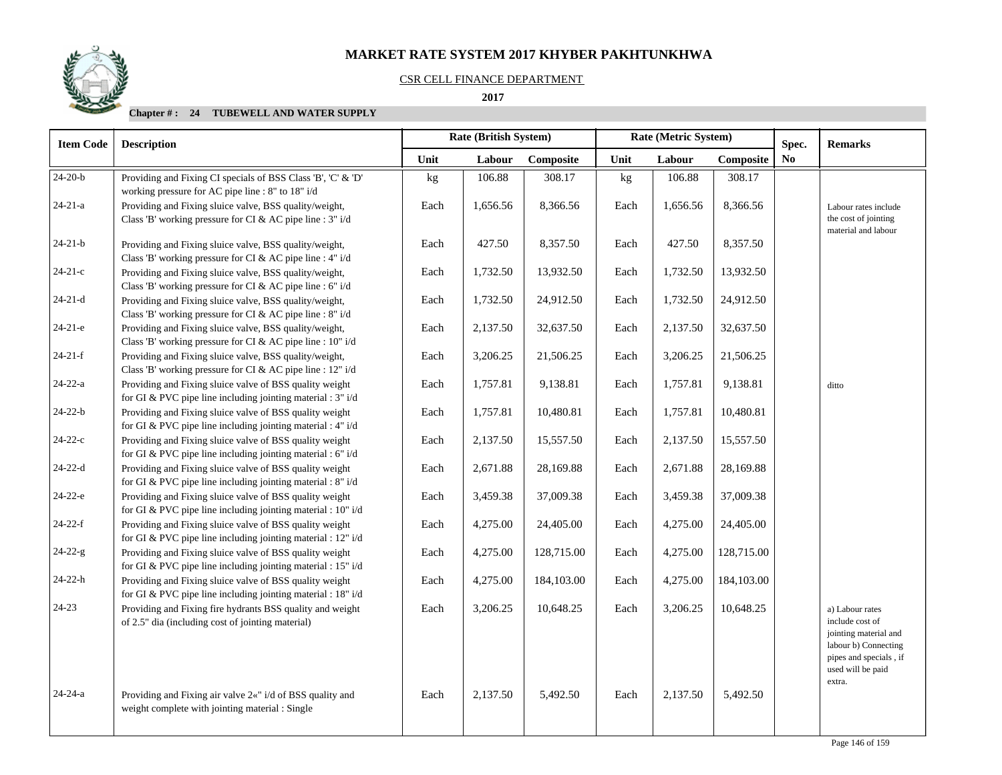#### CSR CELL FINANCE DEPARTMENT

#### **2017**

| <b>Item Code</b> | <b>Description</b>                                                                                                      |      | Rate (British System) |            | Rate (Metric System) |          |            | Spec.          | <b>Remarks</b>                                                                                                                     |
|------------------|-------------------------------------------------------------------------------------------------------------------------|------|-----------------------|------------|----------------------|----------|------------|----------------|------------------------------------------------------------------------------------------------------------------------------------|
|                  |                                                                                                                         | Unit | Labour                | Composite  | Unit                 | Labour   | Composite  | N <sub>0</sub> |                                                                                                                                    |
| $24-20-b$        | Providing and Fixing CI specials of BSS Class 'B', 'C' & 'D'<br>working pressure for AC pipe line : 8" to 18" i/d       | kg   | 106.88                | 308.17     | kg                   | 106.88   | 308.17     |                |                                                                                                                                    |
| $24 - 21 - a$    | Providing and Fixing sluice valve, BSS quality/weight,<br>Class 'B' working pressure for CI & AC pipe line : 3" i/d     | Each | 1,656.56              | 8,366.56   | Each                 | 1,656.56 | 8,366.56   |                | Labour rates include<br>the cost of jointing<br>material and labour                                                                |
| $24 - 21 - b$    | Providing and Fixing sluice valve, BSS quality/weight,<br>Class 'B' working pressure for CI & AC pipe line : $4" i/d$   | Each | 427.50                | 8,357.50   | Each                 | 427.50   | 8,357.50   |                |                                                                                                                                    |
| $24-21-c$        | Providing and Fixing sluice valve, BSS quality/weight,<br>Class 'B' working pressure for CI & AC pipe line : 6" i/d     | Each | 1,732.50              | 13,932.50  | Each                 | 1,732.50 | 13,932.50  |                |                                                                                                                                    |
| $24-21-d$        | Providing and Fixing sluice valve, BSS quality/weight,<br>Class 'B' working pressure for CI & AC pipe line : 8" i/d     | Each | 1,732.50              | 24,912.50  | Each                 | 1,732.50 | 24,912.50  |                |                                                                                                                                    |
| $24-21-e$        | Providing and Fixing sluice valve, BSS quality/weight,<br>Class 'B' working pressure for CI & AC pipe line : 10" i/d    | Each | 2,137.50              | 32,637.50  | Each                 | 2,137.50 | 32,637.50  |                |                                                                                                                                    |
| $24 - 21 - f$    | Providing and Fixing sluice valve, BSS quality/weight,<br>Class 'B' working pressure for CI & AC pipe line : 12" i/d    | Each | 3,206.25              | 21,506.25  | Each                 | 3,206.25 | 21,506.25  |                |                                                                                                                                    |
| $24 - 22 - a$    | Providing and Fixing sluice valve of BSS quality weight<br>for GI & PVC pipe line including jointing material : 3" i/d  | Each | 1,757.81              | 9,138.81   | Each                 | 1,757.81 | 9,138.81   |                | ditto                                                                                                                              |
| $24 - 22 - b$    | Providing and Fixing sluice valve of BSS quality weight<br>for GI & PVC pipe line including jointing material : 4" i/d  | Each | 1,757.81              | 10,480.81  | Each                 | 1,757.81 | 10,480.81  |                |                                                                                                                                    |
| $24-22-c$        | Providing and Fixing sluice valve of BSS quality weight<br>for GI & PVC pipe line including jointing material : 6" i/d  | Each | 2,137.50              | 15,557.50  | Each                 | 2,137.50 | 15,557.50  |                |                                                                                                                                    |
| $24 - 22 - d$    | Providing and Fixing sluice valve of BSS quality weight<br>for GI & PVC pipe line including jointing material : 8" i/d  | Each | 2,671.88              | 28,169.88  | Each                 | 2,671.88 | 28,169.88  |                |                                                                                                                                    |
| $24-22-e$        | Providing and Fixing sluice valve of BSS quality weight<br>for GI & PVC pipe line including jointing material : 10" i/d | Each | 3,459.38              | 37,009.38  | Each                 | 3,459.38 | 37,009.38  |                |                                                                                                                                    |
| $24-22-f$        | Providing and Fixing sluice valve of BSS quality weight<br>for GI & PVC pipe line including jointing material : 12" i/d | Each | 4,275.00              | 24,405.00  | Each                 | 4,275.00 | 24,405.00  |                |                                                                                                                                    |
| $24 - 22 - g$    | Providing and Fixing sluice valve of BSS quality weight<br>for GI & PVC pipe line including jointing material : 15" i/d | Each | 4,275.00              | 128,715.00 | Each                 | 4,275.00 | 128,715.00 |                |                                                                                                                                    |
| $24 - 22 - h$    | Providing and Fixing sluice valve of BSS quality weight<br>for GI & PVC pipe line including jointing material : 18" i/d | Each | 4,275.00              | 184,103.00 | Each                 | 4,275.00 | 184,103.00 |                |                                                                                                                                    |
| $24 - 23$        | Providing and Fixing fire hydrants BSS quality and weight<br>of 2.5" dia (including cost of jointing material)          | Each | 3,206.25              | 10,648.25  | Each                 | 3,206.25 | 10,648.25  |                | a) Labour rates<br>include cost of<br>jointing material and<br>labour b) Connecting<br>pipes and specials, if<br>used will be paid |
| $24 - 24 - a$    | Providing and Fixing air valve 2«" i/d of BSS quality and<br>weight complete with jointing material : Single            | Each | 2,137.50              | 5,492.50   | Each                 | 2,137.50 | 5,492.50   |                | extra.                                                                                                                             |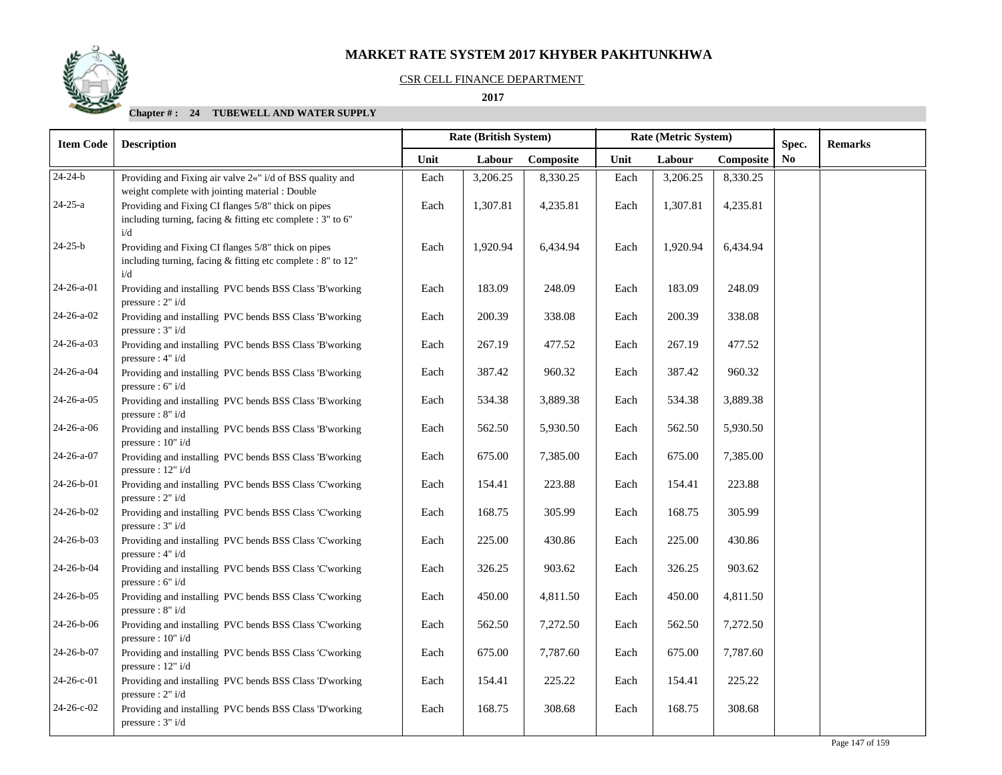### CSR CELL FINANCE DEPARTMENT

 **2017** 

| <b>Item Code</b>   | <b>Description</b>                                                                                                         |      | Rate (British System) |           | Rate (Metric System) |          |           | Spec.          | <b>Remarks</b> |
|--------------------|----------------------------------------------------------------------------------------------------------------------------|------|-----------------------|-----------|----------------------|----------|-----------|----------------|----------------|
|                    |                                                                                                                            | Unit | Labour                | Composite | Unit                 | Labour   | Composite | N <sub>0</sub> |                |
| $24 - 24 - b$      | Providing and Fixing air valve 2«" i/d of BSS quality and<br>weight complete with jointing material : Double               | Each | 3,206.25              | 8,330.25  | Each                 | 3,206.25 | 8,330.25  |                |                |
| $24 - 25 - a$      | Providing and Fixing CI flanges 5/8" thick on pipes<br>including turning, facing & fitting etc complete : 3" to 6"<br>i/d  | Each | 1,307.81              | 4,235.81  | Each                 | 1,307.81 | 4,235.81  |                |                |
| $24 - 25 - b$      | Providing and Fixing CI flanges 5/8" thick on pipes<br>including turning, facing & fitting etc complete : 8" to 12"<br>i/d | Each | 1,920.94              | 6,434.94  | Each                 | 1,920.94 | 6,434.94  |                |                |
| 24-26-a-01         | Providing and installing PVC bends BSS Class 'B'working<br>pressure : $2" i/d$                                             | Each | 183.09                | 248.09    | Each                 | 183.09   | 248.09    |                |                |
| $24 - 26 - a - 02$ | Providing and installing PVC bends BSS Class 'B'working<br>pressure : 3" i/d                                               | Each | 200.39                | 338.08    | Each                 | 200.39   | 338.08    |                |                |
| $24 - 26 - a - 03$ | Providing and installing PVC bends BSS Class 'B'working<br>pressure : $4" i/d$                                             | Each | 267.19                | 477.52    | Each                 | 267.19   | 477.52    |                |                |
| $24 - 26 - a - 04$ | Providing and installing PVC bends BSS Class 'B'working<br>pressure : 6" i/d                                               | Each | 387.42                | 960.32    | Each                 | 387.42   | 960.32    |                |                |
| $24 - 26 - a - 05$ | Providing and installing PVC bends BSS Class 'B'working<br>pressure : $8" i/d$                                             | Each | 534.38                | 3,889.38  | Each                 | 534.38   | 3,889.38  |                |                |
| 24-26-a-06         | Providing and installing PVC bends BSS Class 'B'working<br>pressure : $10" i/d$                                            | Each | 562.50                | 5,930.50  | Each                 | 562.50   | 5,930.50  |                |                |
| 24-26-a-07         | Providing and installing PVC bends BSS Class 'B'working<br>pressure : $12" i/d$                                            | Each | 675.00                | 7,385.00  | Each                 | 675.00   | 7,385.00  |                |                |
| 24-26-b-01         | Providing and installing PVC bends BSS Class 'C'working<br>pressure : $2" i/d$                                             | Each | 154.41                | 223.88    | Each                 | 154.41   | 223.88    |                |                |
| 24-26-b-02         | Providing and installing PVC bends BSS Class 'C'working<br>pressure : $3" i/d$                                             | Each | 168.75                | 305.99    | Each                 | 168.75   | 305.99    |                |                |
| 24-26-b-03         | Providing and installing PVC bends BSS Class 'C'working<br>pressure : $4" i/d$                                             | Each | 225.00                | 430.86    | Each                 | 225.00   | 430.86    |                |                |
| 24-26-b-04         | Providing and installing PVC bends BSS Class 'C'working<br>pressure : $6" i/d$                                             | Each | 326.25                | 903.62    | Each                 | 326.25   | 903.62    |                |                |
| 24-26-b-05         | Providing and installing PVC bends BSS Class 'C'working<br>pressure : 8" i/d                                               | Each | 450.00                | 4,811.50  | Each                 | 450.00   | 4,811.50  |                |                |
| $24 - 26 - b - 06$ | Providing and installing PVC bends BSS Class 'C'working<br>pressure: 10" i/d                                               | Each | 562.50                | 7,272.50  | Each                 | 562.50   | 7,272.50  |                |                |
| 24-26-b-07         | Providing and installing PVC bends BSS Class 'C'working<br>pressure: 12" i/d                                               | Each | 675.00                | 7,787.60  | Each                 | 675.00   | 7,787.60  |                |                |
| $24-26-c-01$       | Providing and installing PVC bends BSS Class 'D'working<br>pressure: 2" i/d                                                | Each | 154.41                | 225.22    | Each                 | 154.41   | 225.22    |                |                |
| 24-26-c-02         | Providing and installing PVC bends BSS Class 'D'working<br>pressure : $3" i/d$                                             | Each | 168.75                | 308.68    | Each                 | 168.75   | 308.68    |                |                |

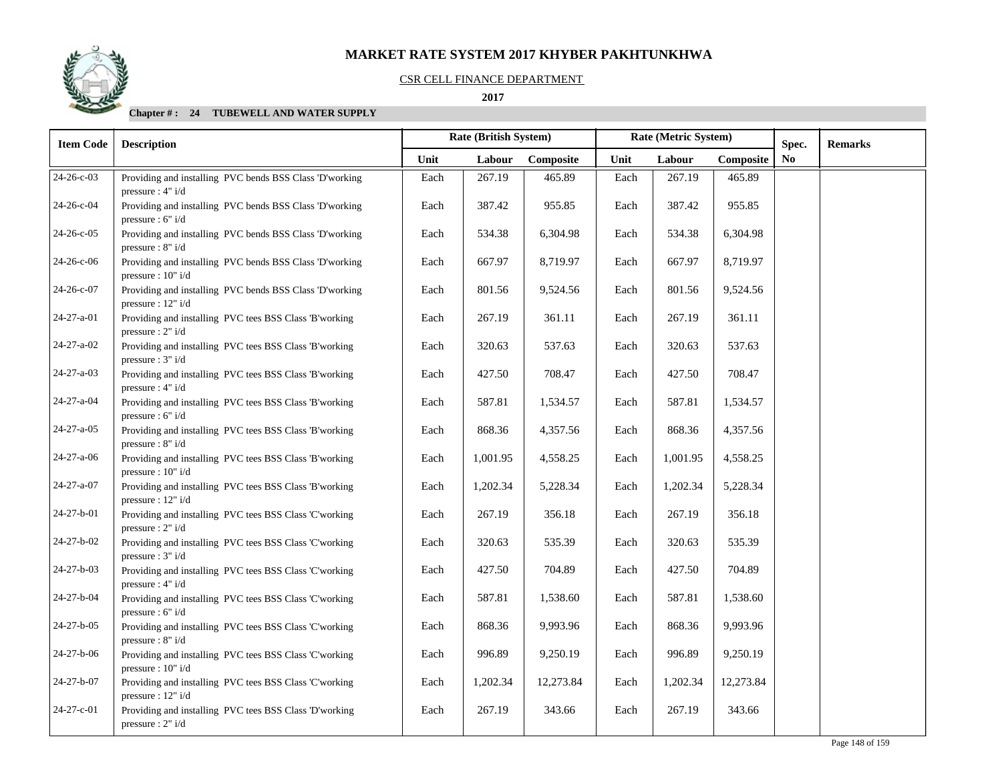## CSR CELL FINANCE DEPARTMENT

## **2017**

| <b>Item Code</b>   | <b>Description</b>                                                              |      | Rate (British System) |           | Rate (Metric System) |          | Spec.     | <b>Remarks</b> |  |
|--------------------|---------------------------------------------------------------------------------|------|-----------------------|-----------|----------------------|----------|-----------|----------------|--|
|                    |                                                                                 | Unit | Labour                | Composite | Unit                 | Labour   | Composite | N <sub>0</sub> |  |
| 24-26-c-03         | Providing and installing PVC bends BSS Class 'D'working<br>pressure : $4" i/d$  | Each | 267.19                | 465.89    | Each                 | 267.19   | 465.89    |                |  |
| 24-26-c-04         | Providing and installing PVC bends BSS Class 'D'working<br>pressure : $6" i/d$  | Each | 387.42                | 955.85    | Each                 | 387.42   | 955.85    |                |  |
| 24-26-c-05         | Providing and installing PVC bends BSS Class 'D'working<br>pressure : $8" i/d$  | Each | 534.38                | 6,304.98  | Each                 | 534.38   | 6,304.98  |                |  |
| 24-26-c-06         | Providing and installing PVC bends BSS Class 'D'working<br>pressure : $10" i/d$ | Each | 667.97                | 8,719.97  | Each                 | 667.97   | 8,719.97  |                |  |
| 24-26-c-07         | Providing and installing PVC bends BSS Class 'D'working<br>pressure : $12" i/d$ | Each | 801.56                | 9,524.56  | Each                 | 801.56   | 9,524.56  |                |  |
| 24-27-a-01         | Providing and installing PVC tees BSS Class 'B'working<br>pressure : $2" i/d$   | Each | 267.19                | 361.11    | Each                 | 267.19   | 361.11    |                |  |
| 24-27-a-02         | Providing and installing PVC tees BSS Class 'B'working<br>pressure : $3" i/d$   | Each | 320.63                | 537.63    | Each                 | 320.63   | 537.63    |                |  |
| 24-27-a-03         | Providing and installing PVC tees BSS Class 'B'working<br>pressure : $4" i/d$   | Each | 427.50                | 708.47    | Each                 | 427.50   | 708.47    |                |  |
| 24-27-a-04         | Providing and installing PVC tees BSS Class 'B'working<br>pressure : $6" i/d$   | Each | 587.81                | 1,534.57  | Each                 | 587.81   | 1,534.57  |                |  |
| 24-27-a-05         | Providing and installing PVC tees BSS Class 'B'working<br>pressure : $8" i/d$   | Each | 868.36                | 4,357.56  | Each                 | 868.36   | 4,357.56  |                |  |
| $24 - 27 - a - 06$ | Providing and installing PVC tees BSS Class 'B'working<br>pressure : $10" i/d$  | Each | 1,001.95              | 4,558.25  | Each                 | 1,001.95 | 4,558.25  |                |  |
| 24-27-a-07         | Providing and installing PVC tees BSS Class 'B'working<br>pressure : 12" i/d    | Each | 1,202.34              | 5,228.34  | Each                 | 1,202.34 | 5,228.34  |                |  |
| 24-27-b-01         | Providing and installing PVC tees BSS Class 'C'working<br>pressure : $2" i/d$   | Each | 267.19                | 356.18    | Each                 | 267.19   | 356.18    |                |  |
| 24-27-b-02         | Providing and installing PVC tees BSS Class 'C'working<br>pressure : $3" i/d$   | Each | 320.63                | 535.39    | Each                 | 320.63   | 535.39    |                |  |
| 24-27-b-03         | Providing and installing PVC tees BSS Class 'C'working<br>pressure : $4" i/d$   | Each | 427.50                | 704.89    | Each                 | 427.50   | 704.89    |                |  |
| 24-27-b-04         | Providing and installing PVC tees BSS Class 'C'working<br>pressure : $6" i/d$   | Each | 587.81                | 1,538.60  | Each                 | 587.81   | 1,538.60  |                |  |
| 24-27-b-05         | Providing and installing PVC tees BSS Class 'C'working<br>pressure : $8" i/d$   | Each | 868.36                | 9,993.96  | Each                 | 868.36   | 9,993.96  |                |  |
| 24-27-b-06         | Providing and installing PVC tees BSS Class 'C'working<br>pressure : $10" i/d$  | Each | 996.89                | 9,250.19  | Each                 | 996.89   | 9,250.19  |                |  |
| 24-27-b-07         | Providing and installing PVC tees BSS Class 'C'working<br>pressure : $12" i/d$  | Each | 1,202.34              | 12,273.84 | Each                 | 1,202.34 | 12,273.84 |                |  |
| 24-27-c-01         | Providing and installing PVC tees BSS Class 'D'working<br>pressure : $2" i/d$   | Each | 267.19                | 343.66    | Each                 | 267.19   | 343.66    |                |  |

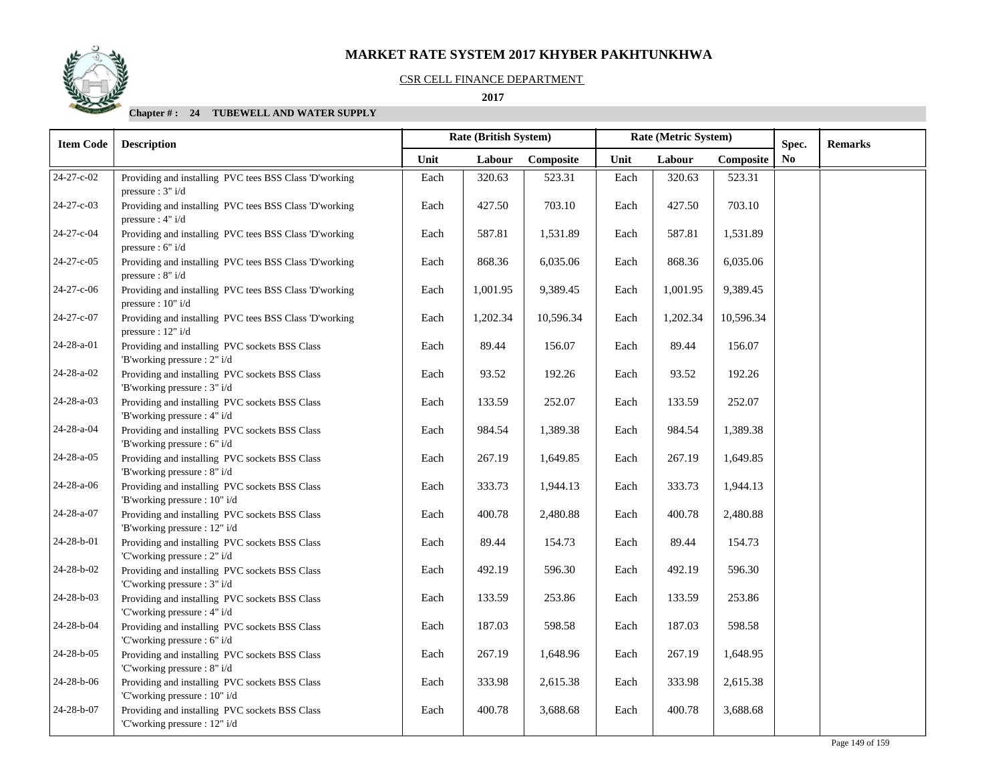#### CSR CELL FINANCE DEPARTMENT

 **2017** 

| <b>Item Code</b> | <b>Description</b>                                                              |      | Rate (British System) |           | Rate (Metric System) |          |           | Spec. | <b>Remarks</b> |
|------------------|---------------------------------------------------------------------------------|------|-----------------------|-----------|----------------------|----------|-----------|-------|----------------|
|                  |                                                                                 | Unit | Labour                | Composite | Unit                 | Labour   | Composite | No.   |                |
| 24-27-c-02       | Providing and installing PVC tees BSS Class 'D'working<br>pressure : $3" i/d$   | Each | 320.63                | 523.31    | Each                 | 320.63   | 523.31    |       |                |
| 24-27-c-03       | Providing and installing PVC tees BSS Class 'D'working<br>pressure : $4" i/d$   | Each | 427.50                | 703.10    | Each                 | 427.50   | 703.10    |       |                |
| 24-27-c-04       | Providing and installing PVC tees BSS Class 'D'working<br>pressure : 6" i/d     | Each | 587.81                | 1,531.89  | Each                 | 587.81   | 1,531.89  |       |                |
| 24-27-c-05       | Providing and installing PVC tees BSS Class 'D'working<br>pressure : 8" i/d     | Each | 868.36                | 6,035.06  | Each                 | 868.36   | 6,035.06  |       |                |
| 24-27-c-06       | Providing and installing PVC tees BSS Class 'D'working<br>pressure : $10" i/d$  | Each | 1,001.95              | 9,389.45  | Each                 | 1,001.95 | 9,389.45  |       |                |
| 24-27-c-07       | Providing and installing PVC tees BSS Class 'D'working<br>pressure : $12" i/d$  | Each | 1,202.34              | 10,596.34 | Each                 | 1,202.34 | 10,596.34 |       |                |
| 24-28-a-01       | Providing and installing PVC sockets BSS Class<br>'B'working pressure : 2" i/d  | Each | 89.44                 | 156.07    | Each                 | 89.44    | 156.07    |       |                |
| 24-28-a-02       | Providing and installing PVC sockets BSS Class<br>'B'working pressure : 3" i/d  | Each | 93.52                 | 192.26    | Each                 | 93.52    | 192.26    |       |                |
| 24-28-a-03       | Providing and installing PVC sockets BSS Class<br>'B'working pressure : 4" i/d  | Each | 133.59                | 252.07    | Each                 | 133.59   | 252.07    |       |                |
| 24-28-a-04       | Providing and installing PVC sockets BSS Class<br>'B'working pressure : 6" i/d  | Each | 984.54                | 1,389.38  | Each                 | 984.54   | 1,389.38  |       |                |
| 24-28-a-05       | Providing and installing PVC sockets BSS Class<br>'B'working pressure : 8" i/d  | Each | 267.19                | 1,649.85  | Each                 | 267.19   | 1,649.85  |       |                |
| 24-28-a-06       | Providing and installing PVC sockets BSS Class<br>'B'working pressure : 10" i/d | Each | 333.73                | 1,944.13  | Each                 | 333.73   | 1,944.13  |       |                |
| 24-28-a-07       | Providing and installing PVC sockets BSS Class<br>'B'working pressure : 12" i/d | Each | 400.78                | 2,480.88  | Each                 | 400.78   | 2,480.88  |       |                |
| 24-28-b-01       | Providing and installing PVC sockets BSS Class<br>'C'working pressure : 2" i/d  | Each | 89.44                 | 154.73    | Each                 | 89.44    | 154.73    |       |                |
| 24-28-b-02       | Providing and installing PVC sockets BSS Class<br>'C'working pressure : 3" i/d  | Each | 492.19                | 596.30    | Each                 | 492.19   | 596.30    |       |                |
| 24-28-b-03       | Providing and installing PVC sockets BSS Class<br>'C'working pressure : 4" i/d  | Each | 133.59                | 253.86    | Each                 | 133.59   | 253.86    |       |                |
| 24-28-b-04       | Providing and installing PVC sockets BSS Class<br>'C'working pressure : 6" i/d  | Each | 187.03                | 598.58    | Each                 | 187.03   | 598.58    |       |                |
| 24-28-b-05       | Providing and installing PVC sockets BSS Class<br>'C'working pressure : 8" i/d  | Each | 267.19                | 1,648.96  | Each                 | 267.19   | 1,648.95  |       |                |
| 24-28-b-06       | Providing and installing PVC sockets BSS Class<br>'C'working pressure : 10" i/d | Each | 333.98                | 2,615.38  | Each                 | 333.98   | 2,615.38  |       |                |
| 24-28-b-07       | Providing and installing PVC sockets BSS Class<br>'C'working pressure : 12" i/d | Each | 400.78                | 3,688.68  | Each                 | 400.78   | 3,688.68  |       |                |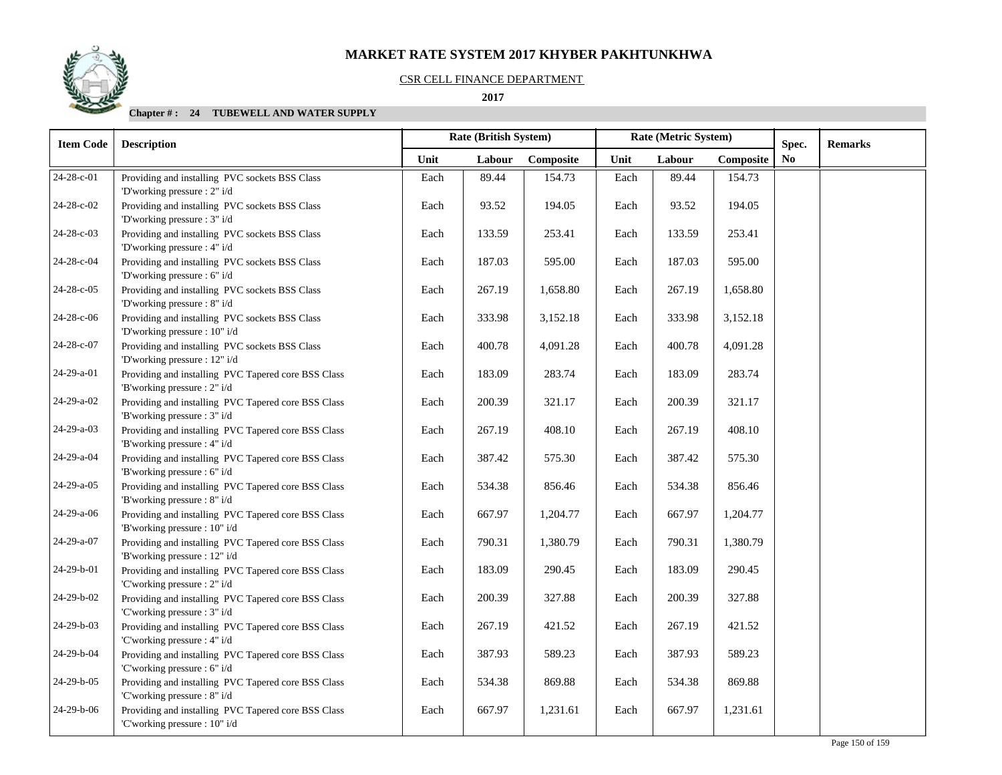#### CSR CELL FINANCE DEPARTMENT

 **2017** 

| <b>Item Code</b> | <b>Description</b>                                                                   |      | Rate (British System) |           | Rate (Metric System) |        |           | Spec.          | <b>Remarks</b> |
|------------------|--------------------------------------------------------------------------------------|------|-----------------------|-----------|----------------------|--------|-----------|----------------|----------------|
|                  |                                                                                      | Unit | Labour                | Composite | Unit                 | Labour | Composite | N <sub>0</sub> |                |
| 24-28-c-01       | Providing and installing PVC sockets BSS Class<br>'D'working pressure : 2" i/d       | Each | 89.44                 | 154.73    | Each                 | 89.44  | 154.73    |                |                |
| 24-28-c-02       | Providing and installing PVC sockets BSS Class<br>'D'working pressure : 3" i/d       | Each | 93.52                 | 194.05    | Each                 | 93.52  | 194.05    |                |                |
| 24-28-c-03       | Providing and installing PVC sockets BSS Class<br>'D'working pressure : 4" i/d       | Each | 133.59                | 253.41    | Each                 | 133.59 | 253.41    |                |                |
| 24-28-c-04       | Providing and installing PVC sockets BSS Class<br>'D'working pressure : 6" i/d       | Each | 187.03                | 595.00    | Each                 | 187.03 | 595.00    |                |                |
| 24-28-c-05       | Providing and installing PVC sockets BSS Class<br>'D'working pressure : 8" i/d       | Each | 267.19                | 1,658.80  | Each                 | 267.19 | 1,658.80  |                |                |
| 24-28-c-06       | Providing and installing PVC sockets BSS Class<br>'D'working pressure : 10" i/d      | Each | 333.98                | 3,152.18  | Each                 | 333.98 | 3,152.18  |                |                |
| 24-28-c-07       | Providing and installing PVC sockets BSS Class<br>'D'working pressure : 12" i/d      | Each | 400.78                | 4,091.28  | Each                 | 400.78 | 4,091.28  |                |                |
| 24-29-a-01       | Providing and installing PVC Tapered core BSS Class<br>'B'working pressure : 2" i/d  | Each | 183.09                | 283.74    | Each                 | 183.09 | 283.74    |                |                |
| 24-29-a-02       | Providing and installing PVC Tapered core BSS Class<br>'B'working pressure : 3" i/d  | Each | 200.39                | 321.17    | Each                 | 200.39 | 321.17    |                |                |
| 24-29-a-03       | Providing and installing PVC Tapered core BSS Class<br>'B'working pressure : 4" i/d  | Each | 267.19                | 408.10    | Each                 | 267.19 | 408.10    |                |                |
| 24-29-a-04       | Providing and installing PVC Tapered core BSS Class<br>'B'working pressure : 6" i/d  | Each | 387.42                | 575.30    | Each                 | 387.42 | 575.30    |                |                |
| 24-29-a-05       | Providing and installing PVC Tapered core BSS Class<br>'B'working pressure : 8" i/d  | Each | 534.38                | 856.46    | Each                 | 534.38 | 856.46    |                |                |
| 24-29-a-06       | Providing and installing PVC Tapered core BSS Class<br>'B'working pressure : 10" i/d | Each | 667.97                | 1,204.77  | Each                 | 667.97 | 1,204.77  |                |                |
| 24-29-a-07       | Providing and installing PVC Tapered core BSS Class<br>'B'working pressure : 12" i/d | Each | 790.31                | 1,380.79  | Each                 | 790.31 | 1,380.79  |                |                |
| 24-29-b-01       | Providing and installing PVC Tapered core BSS Class<br>'C'working pressure : 2" i/d  | Each | 183.09                | 290.45    | Each                 | 183.09 | 290.45    |                |                |
| 24-29-b-02       | Providing and installing PVC Tapered core BSS Class<br>'C'working pressure : 3" i/d  | Each | 200.39                | 327.88    | Each                 | 200.39 | 327.88    |                |                |
| 24-29-b-03       | Providing and installing PVC Tapered core BSS Class<br>'C'working pressure : 4" i/d  | Each | 267.19                | 421.52    | Each                 | 267.19 | 421.52    |                |                |
| 24-29-b-04       | Providing and installing PVC Tapered core BSS Class<br>'C'working pressure : 6" i/d  | Each | 387.93                | 589.23    | Each                 | 387.93 | 589.23    |                |                |
| 24-29-b-05       | Providing and installing PVC Tapered core BSS Class<br>'C'working pressure : 8" i/d  | Each | 534.38                | 869.88    | Each                 | 534.38 | 869.88    |                |                |
| 24-29-b-06       | Providing and installing PVC Tapered core BSS Class<br>'C'working pressure : 10" i/d | Each | 667.97                | 1,231.61  | Each                 | 667.97 | 1,231.61  |                |                |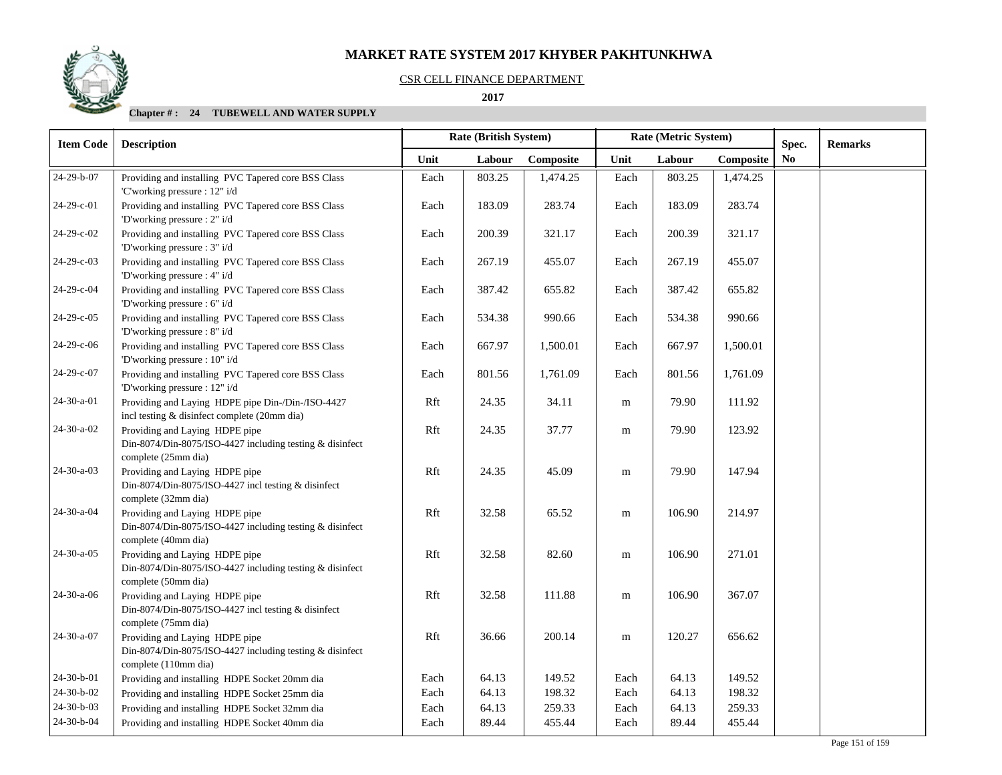

#### CSR CELL FINANCE DEPARTMENT

 **2017** 

| <b>Item Code</b>   | <b>Description</b>                                                                                                 |      | <b>Rate (British System)</b> |           | Rate (Metric System) |        | Spec.     | <b>Remarks</b> |  |
|--------------------|--------------------------------------------------------------------------------------------------------------------|------|------------------------------|-----------|----------------------|--------|-----------|----------------|--|
|                    |                                                                                                                    | Unit | Labour                       | Composite | Unit                 | Labour | Composite | N <sub>0</sub> |  |
| 24-29-b-07         | Providing and installing PVC Tapered core BSS Class<br>'C'working pressure : 12" i/d                               | Each | 803.25                       | 1,474.25  | Each                 | 803.25 | 1,474.25  |                |  |
| 24-29-c-01         | Providing and installing PVC Tapered core BSS Class<br>'D'working pressure : 2" i/d                                | Each | 183.09                       | 283.74    | Each                 | 183.09 | 283.74    |                |  |
| 24-29-c-02         | Providing and installing PVC Tapered core BSS Class<br>'D'working pressure : 3" i/d                                | Each | 200.39                       | 321.17    | Each                 | 200.39 | 321.17    |                |  |
| 24-29-c-03         | Providing and installing PVC Tapered core BSS Class<br>'D'working pressure : 4" i/d                                | Each | 267.19                       | 455.07    | Each                 | 267.19 | 455.07    |                |  |
| 24-29-c-04         | Providing and installing PVC Tapered core BSS Class<br>'D'working pressure : 6" i/d                                | Each | 387.42                       | 655.82    | Each                 | 387.42 | 655.82    |                |  |
| 24-29-c-05         | Providing and installing PVC Tapered core BSS Class<br>'D'working pressure : 8" i/d                                | Each | 534.38                       | 990.66    | Each                 | 534.38 | 990.66    |                |  |
| 24-29-c-06         | Providing and installing PVC Tapered core BSS Class<br>'D'working pressure : 10" i/d                               | Each | 667.97                       | 1,500.01  | Each                 | 667.97 | 1,500.01  |                |  |
| 24-29-c-07         | Providing and installing PVC Tapered core BSS Class<br>'D'working pressure : 12" i/d                               | Each | 801.56                       | 1,761.09  | Each                 | 801.56 | 1,761.09  |                |  |
| 24-30-a-01         | Providing and Laying HDPE pipe Din-/Din-/ISO-4427<br>incl testing & disinfect complete (20mm dia)                  | Rft  | 24.35                        | 34.11     | m                    | 79.90  | 111.92    |                |  |
| 24-30-a-02         | Providing and Laying HDPE pipe<br>Din-8074/Din-8075/ISO-4427 including testing & disinfect<br>complete (25mm dia)  | Rft  | 24.35                        | 37.77     | ${\bf m}$            | 79.90  | 123.92    |                |  |
| $24 - 30 - a - 03$ | Providing and Laying HDPE pipe<br>Din-8074/Din-8075/ISO-4427 incl testing & disinfect<br>complete (32mm dia)       | Rft  | 24.35                        | 45.09     | m                    | 79.90  | 147.94    |                |  |
| 24-30-a-04         | Providing and Laying HDPE pipe<br>Din-8074/Din-8075/ISO-4427 including testing & disinfect<br>complete (40mm dia)  | Rft  | 32.58                        | 65.52     | m                    | 106.90 | 214.97    |                |  |
| $24-30-a-05$       | Providing and Laying HDPE pipe<br>Din-8074/Din-8075/ISO-4427 including testing & disinfect<br>complete (50mm dia)  | Rft  | 32.58                        | 82.60     | ${\rm m}$            | 106.90 | 271.01    |                |  |
| 24-30-a-06         | Providing and Laying HDPE pipe<br>Din-8074/Din-8075/ISO-4427 incl testing & disinfect<br>complete (75mm dia)       | Rft  | 32.58                        | 111.88    | m                    | 106.90 | 367.07    |                |  |
| 24-30-a-07         | Providing and Laying HDPE pipe<br>Din-8074/Din-8075/ISO-4427 including testing & disinfect<br>complete (110mm dia) | Rft  | 36.66                        | 200.14    | m                    | 120.27 | 656.62    |                |  |
| 24-30-b-01         | Providing and installing HDPE Socket 20mm dia                                                                      | Each | 64.13                        | 149.52    | Each                 | 64.13  | 149.52    |                |  |
| 24-30-b-02         | Providing and installing HDPE Socket 25mm dia                                                                      | Each | 64.13                        | 198.32    | Each                 | 64.13  | 198.32    |                |  |
| $24-30-b-03$       | Providing and installing HDPE Socket 32mm dia                                                                      | Each | 64.13                        | 259.33    | Each                 | 64.13  | 259.33    |                |  |
| 24-30-b-04         | Providing and installing HDPE Socket 40mm dia                                                                      | Each | 89.44                        | 455.44    | Each                 | 89.44  | 455.44    |                |  |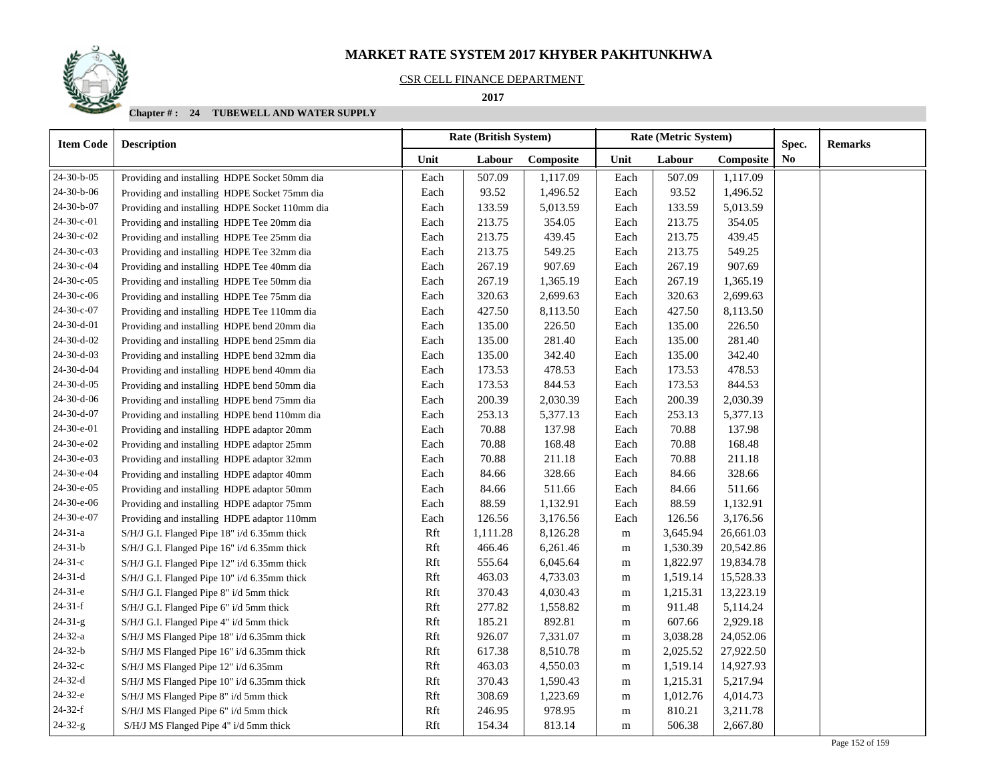#### CSR CELL FINANCE DEPARTMENT

 **2017** 

| <b>Item Code</b> | <b>Description</b>                             |      | <b>Rate (British System)</b> |           | Rate (Metric System) |          |           | Spec. | <b>Remarks</b> |
|------------------|------------------------------------------------|------|------------------------------|-----------|----------------------|----------|-----------|-------|----------------|
|                  |                                                | Unit | Labour                       | Composite | Unit                 | Labour   | Composite | No.   |                |
| 24-30-b-05       | Providing and installing HDPE Socket 50mm dia  | Each | 507.09                       | 1,117.09  | Each                 | 507.09   | 1,117.09  |       |                |
| 24-30-b-06       | Providing and installing HDPE Socket 75mm dia  | Each | 93.52                        | 1,496.52  | Each                 | 93.52    | 1,496.52  |       |                |
| 24-30-b-07       | Providing and installing HDPE Socket 110mm dia | Each | 133.59                       | 5,013.59  | Each                 | 133.59   | 5,013.59  |       |                |
| 24-30-c-01       | Providing and installing HDPE Tee 20mm dia     | Each | 213.75                       | 354.05    | Each                 | 213.75   | 354.05    |       |                |
| 24-30-c-02       | Providing and installing HDPE Tee 25mm dia     | Each | 213.75                       | 439.45    | Each                 | 213.75   | 439.45    |       |                |
| 24-30-с-03       | Providing and installing HDPE Tee 32mm dia     | Each | 213.75                       | 549.25    | Each                 | 213.75   | 549.25    |       |                |
| 24-30-с-04       | Providing and installing HDPE Tee 40mm dia     | Each | 267.19                       | 907.69    | Each                 | 267.19   | 907.69    |       |                |
| 24-30-с-05       | Providing and installing HDPE Tee 50mm dia     | Each | 267.19                       | 1,365.19  | Each                 | 267.19   | 1,365.19  |       |                |
| 24-30-c-06       | Providing and installing HDPE Tee 75mm dia     | Each | 320.63                       | 2,699.63  | Each                 | 320.63   | 2,699.63  |       |                |
| 24-30-с-07       | Providing and installing HDPE Tee 110mm dia    | Each | 427.50                       | 8,113.50  | Each                 | 427.50   | 8,113.50  |       |                |
| 24-30-d-01       | Providing and installing HDPE bend 20mm dia    | Each | 135.00                       | 226.50    | Each                 | 135.00   | 226.50    |       |                |
| 24-30-d-02       | Providing and installing HDPE bend 25mm dia    | Each | 135.00                       | 281.40    | Each                 | 135.00   | 281.40    |       |                |
| 24-30-d-03       | Providing and installing HDPE bend 32mm dia    | Each | 135.00                       | 342.40    | Each                 | 135.00   | 342.40    |       |                |
| 24-30-d-04       | Providing and installing HDPE bend 40mm dia    | Each | 173.53                       | 478.53    | Each                 | 173.53   | 478.53    |       |                |
| 24-30-d-05       | Providing and installing HDPE bend 50mm dia    | Each | 173.53                       | 844.53    | Each                 | 173.53   | 844.53    |       |                |
| 24-30-d-06       | Providing and installing HDPE bend 75mm dia    | Each | 200.39                       | 2,030.39  | Each                 | 200.39   | 2,030.39  |       |                |
| 24-30-d-07       | Providing and installing HDPE bend 110mm dia   | Each | 253.13                       | 5,377.13  | Each                 | 253.13   | 5,377.13  |       |                |
| 24-30-e-01       | Providing and installing HDPE adaptor 20mm     | Each | 70.88                        | 137.98    | Each                 | 70.88    | 137.98    |       |                |
| 24-30-e-02       | Providing and installing HDPE adaptor 25mm     | Each | 70.88                        | 168.48    | Each                 | 70.88    | 168.48    |       |                |
| 24-30-e-03       | Providing and installing HDPE adaptor 32mm     | Each | 70.88                        | 211.18    | Each                 | 70.88    | 211.18    |       |                |
| 24-30-e-04       | Providing and installing HDPE adaptor 40mm     | Each | 84.66                        | 328.66    | Each                 | 84.66    | 328.66    |       |                |
| 24-30-e-05       | Providing and installing HDPE adaptor 50mm     | Each | 84.66                        | 511.66    | Each                 | 84.66    | 511.66    |       |                |
| 24-30-e-06       | Providing and installing HDPE adaptor 75mm     | Each | 88.59                        | 1,132.91  | Each                 | 88.59    | 1,132.91  |       |                |
| 24-30-e-07       | Providing and installing HDPE adaptor 110mm    | Each | 126.56                       | 3,176.56  | Each                 | 126.56   | 3,176.56  |       |                |
| $24 - 31 - a$    | S/H/J G.I. Flanged Pipe 18" i/d 6.35mm thick   | Rft  | 1,111.28                     | 8,126.28  | m                    | 3,645.94 | 26,661.03 |       |                |
| $24 - 31 - b$    | S/H/J G.I. Flanged Pipe 16" i/d 6.35mm thick   | Rft  | 466.46                       | 6,261.46  | m                    | 1,530.39 | 20,542.86 |       |                |
| $24-31-c$        | S/H/J G.I. Flanged Pipe 12" i/d 6.35mm thick   | Rft  | 555.64                       | 6,045.64  | m                    | 1,822.97 | 19,834.78 |       |                |
| $24-31-d$        | S/H/J G.I. Flanged Pipe 10" i/d 6.35mm thick   | Rft  | 463.03                       | 4,733.03  | m                    | 1,519.14 | 15,528.33 |       |                |
| $24-31-e$        | S/H/J G.I. Flanged Pipe 8" i/d 5mm thick       | Rft  | 370.43                       | 4,030.43  | m                    | 1,215.31 | 13,223.19 |       |                |
| $24-31-f$        | S/H/J G.I. Flanged Pipe 6" i/d 5mm thick       | Rft  | 277.82                       | 1,558.82  | m                    | 911.48   | 5,114.24  |       |                |
| $24-31-g$        | S/H/J G.I. Flanged Pipe 4" i/d 5mm thick       | Rft  | 185.21                       | 892.81    | m                    | 607.66   | 2,929.18  |       |                |
| $24 - 32 - a$    | S/H/J MS Flanged Pipe 18" i/d 6.35mm thick     | Rft  | 926.07                       | 7,331.07  | m                    | 3,038.28 | 24,052.06 |       |                |
| $24-32-b$        | S/H/J MS Flanged Pipe 16" i/d 6.35mm thick     | Rft  | 617.38                       | 8,510.78  | m                    | 2,025.52 | 27,922.50 |       |                |
| $24-32-c$        | S/H/J MS Flanged Pipe 12" i/d 6.35mm           | Rft  | 463.03                       | 4,550.03  | m                    | 1,519.14 | 14,927.93 |       |                |
| $24-32-d$        | S/H/J MS Flanged Pipe 10" i/d 6.35mm thick     | Rft  | 370.43                       | 1,590.43  | m                    | 1,215.31 | 5,217.94  |       |                |
| 24-32-е          | S/H/J MS Flanged Pipe 8" i/d 5mm thick         | Rft  | 308.69                       | 1,223.69  | m                    | 1,012.76 | 4,014.73  |       |                |
| $24-32-f$        | S/H/J MS Flanged Pipe 6" i/d 5mm thick         | Rft  | 246.95                       | 978.95    | m                    | 810.21   | 3,211.78  |       |                |
| $24 - 32 - g$    | S/H/J MS Flanged Pipe 4" i/d 5mm thick         | Rft  | 154.34                       | 813.14    | m                    | 506.38   | 2,667.80  |       |                |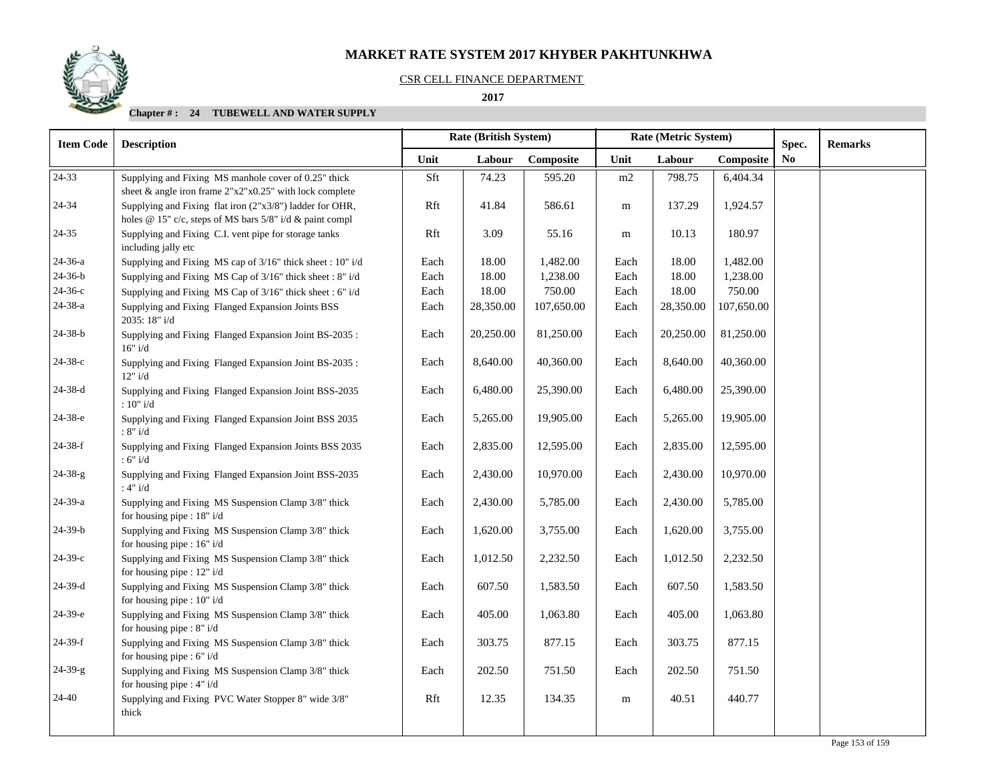### CSR CELL FINANCE DEPARTMENT

## **2017**

| <b>Item Code</b> | <b>Description</b>                                                                  | Rate (British System)<br>Rate (Metric System) |           | Spec.      | <b>Remarks</b> |           |            |                |  |
|------------------|-------------------------------------------------------------------------------------|-----------------------------------------------|-----------|------------|----------------|-----------|------------|----------------|--|
|                  |                                                                                     | Unit                                          | Labour    | Composite  | Unit           | Labour    | Composite  | N <sub>0</sub> |  |
| 24-33            | Supplying and Fixing MS manhole cover of 0.25" thick                                | Sft                                           | 74.23     | 595.20     | m2             | 798.75    | 6,404.34   |                |  |
|                  | sheet & angle iron frame $2"x2"x0.25"$ with lock complete                           |                                               |           |            |                |           |            |                |  |
| 24-34            | Supplying and Fixing flat iron (2"x3/8") ladder for OHR,                            | Rft                                           | 41.84     | 586.61     | m              | 137.29    | 1,924.57   |                |  |
|                  | holes @ 15" c/c, steps of MS bars 5/8" i/d & paint compl                            |                                               |           |            |                |           |            |                |  |
| 24-35            | Supplying and Fixing C.I. vent pipe for storage tanks<br>including jally etc        | Rft                                           | 3.09      | 55.16      | m              | 10.13     | 180.97     |                |  |
| 24-36-a          | Supplying and Fixing MS cap of 3/16" thick sheet : 10" i/d                          | Each                                          | 18.00     | 1,482.00   | Each           | 18.00     | 1,482.00   |                |  |
| 24-36-b          | Supplying and Fixing MS Cap of 3/16" thick sheet : 8" i/d                           | Each                                          | 18.00     | 1,238.00   | Each           | 18.00     | 1,238.00   |                |  |
| 24-36-с          | Supplying and Fixing MS Cap of 3/16" thick sheet : 6" i/d                           | Each                                          | 18.00     | 750.00     | Each           | 18.00     | 750.00     |                |  |
| 24-38-a          | Supplying and Fixing Flanged Expansion Joints BSS<br>2035: 18" i/d                  | Each                                          | 28,350.00 | 107,650.00 | Each           | 28,350.00 | 107,650.00 |                |  |
| 24-38-b          | Supplying and Fixing Flanged Expansion Joint BS-2035:<br>16" i/d                    | Each                                          | 20,250.00 | 81,250.00  | Each           | 20,250.00 | 81,250.00  |                |  |
| $24 - 38 - c$    | Supplying and Fixing Flanged Expansion Joint BS-2035:<br>12" i/d                    | Each                                          | 8,640.00  | 40,360.00  | Each           | 8,640.00  | 40,360.00  |                |  |
| $24 - 38 - d$    | Supplying and Fixing Flanged Expansion Joint BSS-2035<br>: $10"$ i/d                | Each                                          | 6,480.00  | 25,390.00  | Each           | 6,480.00  | 25,390.00  |                |  |
| 24-38-е          | Supplying and Fixing Flanged Expansion Joint BSS 2035<br>: $8"$ i/d                 | Each                                          | 5,265.00  | 19,905.00  | Each           | 5,265.00  | 19,905.00  |                |  |
| 24-38-f          | Supplying and Fixing Flanged Expansion Joints BSS 2035<br>:6"i/d                    | Each                                          | 2,835.00  | 12,595.00  | Each           | 2,835.00  | 12,595.00  |                |  |
| $24 - 38 - g$    | Supplying and Fixing Flanged Expansion Joint BSS-2035<br>:4"i/d                     | Each                                          | 2,430.00  | 10,970.00  | Each           | 2,430.00  | 10,970.00  |                |  |
| 24-39-a          | Supplying and Fixing MS Suspension Clamp 3/8" thick<br>for housing pipe : 18" i/d   | Each                                          | 2,430.00  | 5,785.00   | Each           | 2,430.00  | 5,785.00   |                |  |
| $24-39-b$        | Supplying and Fixing MS Suspension Clamp 3/8" thick<br>for housing pipe : $16" i/d$ | Each                                          | 1,620.00  | 3,755.00   | Each           | 1,620.00  | 3,755.00   |                |  |
| $24-39-c$        | Supplying and Fixing MS Suspension Clamp 3/8" thick<br>for housing pipe : $12" i/d$ | Each                                          | 1,012.50  | 2,232.50   | Each           | 1,012.50  | 2,232.50   |                |  |
| $24-39-d$        | Supplying and Fixing MS Suspension Clamp 3/8" thick<br>for housing pipe : 10" i/d   | Each                                          | 607.50    | 1,583.50   | Each           | 607.50    | 1,583.50   |                |  |
| 24-39-е          | Supplying and Fixing MS Suspension Clamp 3/8" thick<br>for housing pipe : 8" i/d    | Each                                          | 405.00    | 1,063.80   | Each           | 405.00    | 1,063.80   |                |  |
| $24-39-f$        | Supplying and Fixing MS Suspension Clamp 3/8" thick<br>for housing pipe : 6" i/d    | Each                                          | 303.75    | 877.15     | Each           | 303.75    | 877.15     |                |  |
| 24-39-g          | Supplying and Fixing MS Suspension Clamp 3/8" thick<br>for housing pipe : 4" i/d    | Each                                          | 202.50    | 751.50     | Each           | 202.50    | 751.50     |                |  |
| 24-40            | Supplying and Fixing PVC Water Stopper 8" wide 3/8"<br>thick                        | Rft                                           | 12.35     | 134.35     | m              | 40.51     | 440.77     |                |  |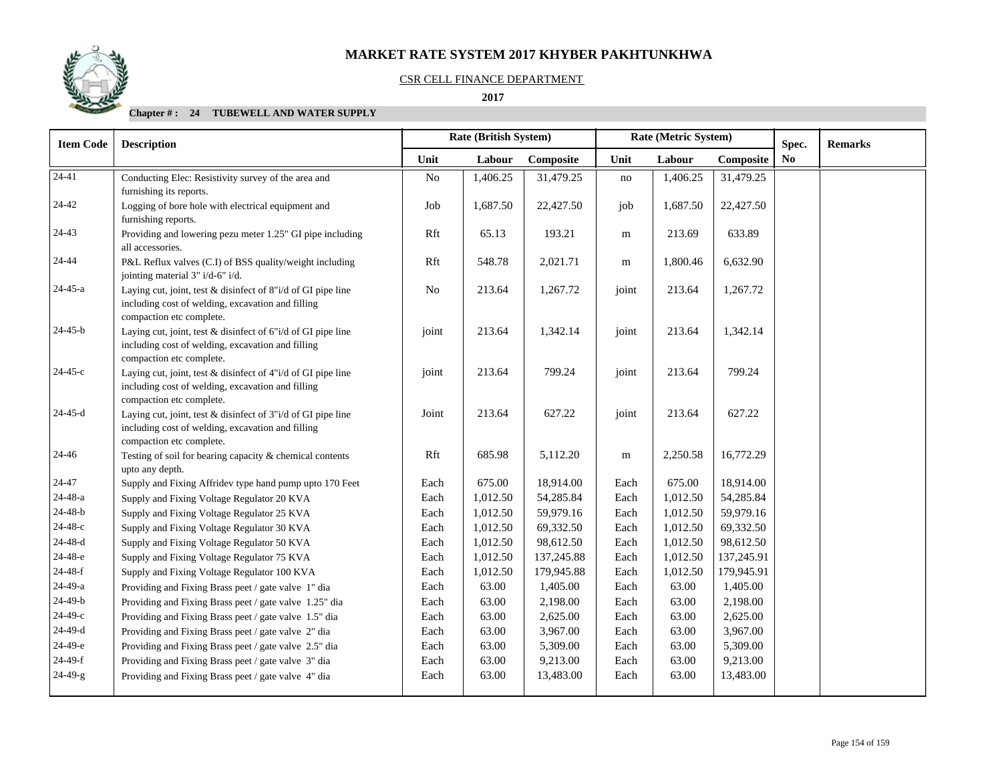

#### CSR CELL FINANCE DEPARTMENT

#### **2017**

| <b>Item Code</b> | <b>Description</b>                                                                                                                            |                | Rate (British System) |            | Rate (Metric System) |          | Spec.      | <b>Remarks</b> |  |
|------------------|-----------------------------------------------------------------------------------------------------------------------------------------------|----------------|-----------------------|------------|----------------------|----------|------------|----------------|--|
|                  |                                                                                                                                               | Unit           | Labour                | Composite  | Unit                 | Labour   | Composite  | N <sub>0</sub> |  |
| $24-41$          | Conducting Elec: Resistivity survey of the area and<br>furnishing its reports.                                                                | N <sub>o</sub> | 1,406.25              | 31,479.25  | $\rm no$             | 1,406.25 | 31,479.25  |                |  |
| 24-42            | Logging of bore hole with electrical equipment and<br>furnishing reports.                                                                     | Job            | 1,687.50              | 22,427.50  | job                  | 1,687.50 | 22,427.50  |                |  |
| $24 - 43$        | Providing and lowering pezu meter 1.25" GI pipe including<br>all accessories.                                                                 | Rft            | 65.13                 | 193.21     | ${\bf m}$            | 213.69   | 633.89     |                |  |
| 24-44            | P&L Reflux valves (C.I) of BSS quality/weight including<br>jointing material 3" i/d-6" i/d.                                                   | Rft            | 548.78                | 2,021.71   | m                    | 1,800.46 | 6,632.90   |                |  |
| 24-45-a          | Laying cut, joint, test & disinfect of 8"i/d of GI pipe line<br>including cost of welding, excavation and filling<br>compaction etc complete. | No             | 213.64                | 1,267.72   | joint                | 213.64   | 1,267.72   |                |  |
| $24 - 45 - b$    | Laying cut, joint, test & disinfect of 6"i/d of GI pipe line<br>including cost of welding, excavation and filling<br>compaction etc complete. | joint          | 213.64                | 1,342.14   | joint                | 213.64   | 1,342.14   |                |  |
| $24 - 45 - c$    | Laying cut, joint, test & disinfect of 4"i/d of GI pipe line<br>including cost of welding, excavation and filling<br>compaction etc complete. | joint          | 213.64                | 799.24     | joint                | 213.64   | 799.24     |                |  |
| 24-45-d          | Laying cut, joint, test & disinfect of 3"i/d of GI pipe line<br>including cost of welding, excavation and filling<br>compaction etc complete. | Joint          | 213.64                | 627.22     | joint                | 213.64   | 627.22     |                |  |
| 24-46            | Testing of soil for bearing capacity & chemical contents<br>upto any depth.                                                                   | Rft            | 685.98                | 5,112.20   | m                    | 2,250.58 | 16,772.29  |                |  |
| 24-47            | Supply and Fixing Affridev type hand pump upto 170 Feet                                                                                       | Each           | 675.00                | 18,914.00  | Each                 | 675.00   | 18,914.00  |                |  |
| 24-48-a          | Supply and Fixing Voltage Regulator 20 KVA                                                                                                    | Each           | 1,012.50              | 54,285.84  | Each                 | 1,012.50 | 54,285.84  |                |  |
| 24-48-b          | Supply and Fixing Voltage Regulator 25 KVA                                                                                                    | Each           | 1,012.50              | 59,979.16  | Each                 | 1,012.50 | 59,979.16  |                |  |
| 24-48-с          | Supply and Fixing Voltage Regulator 30 KVA                                                                                                    | Each           | 1,012.50              | 69,332.50  | Each                 | 1,012.50 | 69,332.50  |                |  |
| $24 - 48 - d$    | Supply and Fixing Voltage Regulator 50 KVA                                                                                                    | Each           | 1,012.50              | 98,612.50  | Each                 | 1,012.50 | 98,612.50  |                |  |
| 24-48-е          | Supply and Fixing Voltage Regulator 75 KVA                                                                                                    | Each           | 1,012.50              | 137,245.88 | Each                 | 1,012.50 | 137,245.91 |                |  |
| 24-48-f          | Supply and Fixing Voltage Regulator 100 KVA                                                                                                   | Each           | 1,012.50              | 179,945.88 | Each                 | 1,012.50 | 179,945.91 |                |  |
| 24-49-a          | Providing and Fixing Brass peet / gate valve 1" dia                                                                                           | Each           | 63.00                 | 1,405.00   | Each                 | 63.00    | 1,405.00   |                |  |
| $24-49-b$        | Providing and Fixing Brass peet / gate valve 1.25" dia                                                                                        | Each           | 63.00                 | 2,198.00   | Each                 | 63.00    | 2,198.00   |                |  |
| 24-49-с          | Providing and Fixing Brass peet / gate valve 1.5" dia                                                                                         | Each           | 63.00                 | 2,625.00   | Each                 | 63.00    | 2,625.00   |                |  |
| 24-49-d          | Providing and Fixing Brass peet / gate valve 2" dia                                                                                           | Each           | 63.00                 | 3,967.00   | Each                 | 63.00    | 3,967.00   |                |  |
| 24-49-е          | Providing and Fixing Brass peet / gate valve 2.5" dia                                                                                         | Each           | 63.00                 | 5,309.00   | Each                 | 63.00    | 5,309.00   |                |  |
| $24-49-f$        | Providing and Fixing Brass peet / gate valve 3" dia                                                                                           | Each           | 63.00                 | 9,213.00   | Each                 | 63.00    | 9,213.00   |                |  |
| $24 - 49 - g$    | Providing and Fixing Brass peet / gate valve 4" dia                                                                                           | Each           | 63.00                 | 13,483.00  | Each                 | 63.00    | 13,483.00  |                |  |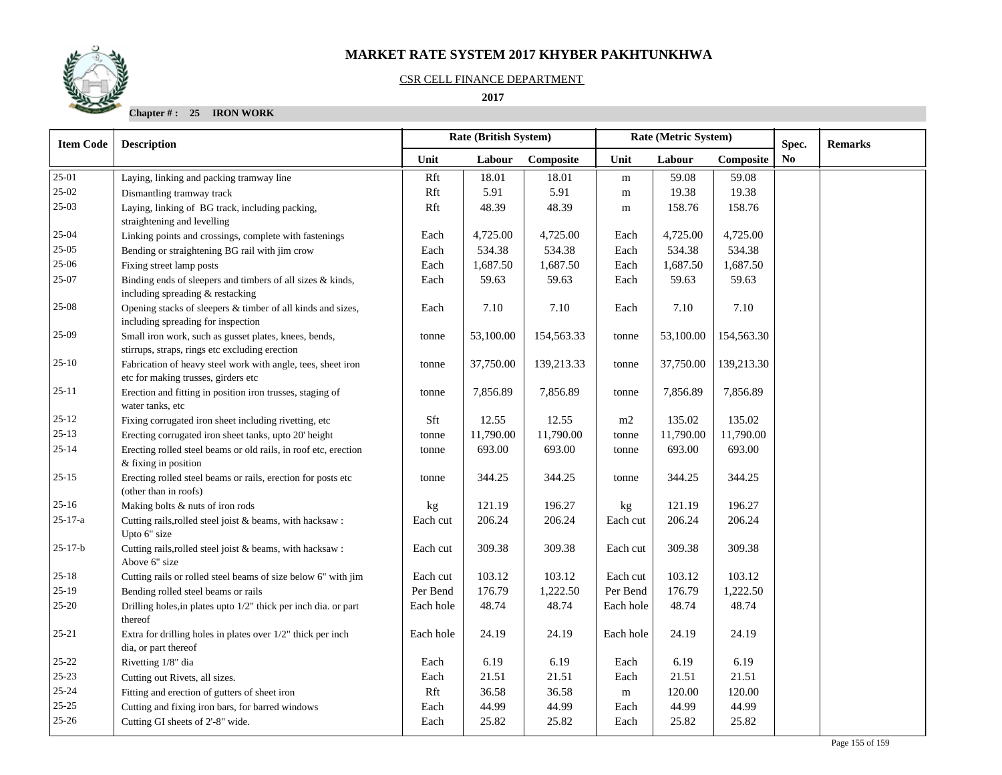## CSR CELL FINANCE DEPARTMENT

 **2017** 

**Chapter # : 25 IRON WORK**

| <b>Item Code</b> | <b>Description</b>                                                                                      |           | Rate (British System) |            | Rate (Metric System) |           |            | Spec. | <b>Remarks</b> |
|------------------|---------------------------------------------------------------------------------------------------------|-----------|-----------------------|------------|----------------------|-----------|------------|-------|----------------|
|                  |                                                                                                         | Unit      | Labour                | Composite  | Unit                 | Labour    | Composite  | No    |                |
| $25-01$          | Laying, linking and packing tramway line                                                                | Rft       | 18.01                 | 18.01      | m                    | 59.08     | 59.08      |       |                |
| $25-02$          | Dismantling tramway track                                                                               | Rft       | 5.91                  | 5.91       | m                    | 19.38     | 19.38      |       |                |
| $25-03$          | Laying, linking of BG track, including packing,<br>straightening and levelling                          | Rft       | 48.39                 | 48.39      | m                    | 158.76    | 158.76     |       |                |
| $25 - 04$        | Linking points and crossings, complete with fastenings                                                  | Each      | 4,725.00              | 4,725.00   | Each                 | 4,725.00  | 4,725.00   |       |                |
| $25-05$          | Bending or straightening BG rail with jim crow                                                          | Each      | 534.38                | 534.38     | Each                 | 534.38    | 534.38     |       |                |
| $25-06$          | Fixing street lamp posts                                                                                | Each      | 1,687.50              | 1,687.50   | Each                 | 1,687.50  | 1,687.50   |       |                |
| 25-07            | Binding ends of sleepers and timbers of all sizes & kinds,<br>including spreading & restacking          | Each      | 59.63                 | 59.63      | Each                 | 59.63     | 59.63      |       |                |
| 25-08            | Opening stacks of sleepers & timber of all kinds and sizes,<br>including spreading for inspection       | Each      | 7.10                  | 7.10       | Each                 | 7.10      | 7.10       |       |                |
| 25-09            | Small iron work, such as gusset plates, knees, bends,<br>stirrups, straps, rings etc excluding erection | tonne     | 53,100.00             | 154,563.33 | tonne                | 53,100.00 | 154,563.30 |       |                |
| $25-10$          | Fabrication of heavy steel work with angle, tees, sheet iron<br>etc for making trusses, girders etc     | tonne     | 37,750.00             | 139,213.33 | tonne                | 37,750.00 | 139,213.30 |       |                |
| $25 - 11$        | Erection and fitting in position iron trusses, staging of<br>water tanks, etc                           | tonne     | 7,856.89              | 7,856.89   | tonne                | 7,856.89  | 7,856.89   |       |                |
| $25 - 12$        | Fixing corrugated iron sheet including rivetting, etc                                                   | Sft       | 12.55                 | 12.55      | m2                   | 135.02    | 135.02     |       |                |
| $25-13$          | Erecting corrugated iron sheet tanks, upto 20' height                                                   | tonne     | 11,790.00             | 11,790.00  | tonne                | 11,790.00 | 11,790.00  |       |                |
| $25 - 14$        | Erecting rolled steel beams or old rails, in roof etc, erection<br>$&$ fixing in position               | tonne     | 693.00                | 693.00     | tonne                | 693.00    | 693.00     |       |                |
| $25 - 15$        | Erecting rolled steel beams or rails, erection for posts etc<br>(other than in roofs)                   | tonne     | 344.25                | 344.25     | tonne                | 344.25    | 344.25     |       |                |
| $25 - 16$        | Making bolts & nuts of iron rods                                                                        | kg        | 121.19                | 196.27     | kg                   | 121.19    | 196.27     |       |                |
| $25 - 17 - a$    | Cutting rails, rolled steel joist & beams, with hacksaw:<br>Upto 6" size                                | Each cut  | 206.24                | 206.24     | Each cut             | 206.24    | 206.24     |       |                |
| $25 - 17 - b$    | Cutting rails, rolled steel joist & beams, with hacksaw:<br>Above 6" size                               | Each cut  | 309.38                | 309.38     | Each cut             | 309.38    | 309.38     |       |                |
| $25 - 18$        | Cutting rails or rolled steel beams of size below 6" with jim                                           | Each cut  | 103.12                | 103.12     | Each cut             | 103.12    | 103.12     |       |                |
| $25-19$          | Bending rolled steel beams or rails                                                                     | Per Bend  | 176.79                | 1,222.50   | Per Bend             | 176.79    | 1,222.50   |       |                |
| $25 - 20$        | Drilling holes, in plates upto 1/2" thick per inch dia. or part<br>thereof                              | Each hole | 48.74                 | 48.74      | Each hole            | 48.74     | 48.74      |       |                |
| $25 - 21$        | Extra for drilling holes in plates over $1/2$ " thick per inch<br>dia, or part thereof                  | Each hole | 24.19                 | 24.19      | Each hole            | 24.19     | 24.19      |       |                |
| $25 - 22$        | Rivetting 1/8" dia                                                                                      | Each      | 6.19                  | 6.19       | Each                 | 6.19      | 6.19       |       |                |
| 25-23            | Cutting out Rivets, all sizes.                                                                          | Each      | 21.51                 | 21.51      | Each                 | 21.51     | 21.51      |       |                |
| $25 - 24$        | Fitting and erection of gutters of sheet iron                                                           | Rft       | 36.58                 | 36.58      | m                    | 120.00    | 120.00     |       |                |
| $25 - 25$        | Cutting and fixing iron bars, for barred windows                                                        | Each      | 44.99                 | 44.99      | Each                 | 44.99     | 44.99      |       |                |
| $25 - 26$        | Cutting GI sheets of 2'-8" wide.                                                                        | Each      | 25.82                 | 25.82      | Each                 | 25.82     | 25.82      |       |                |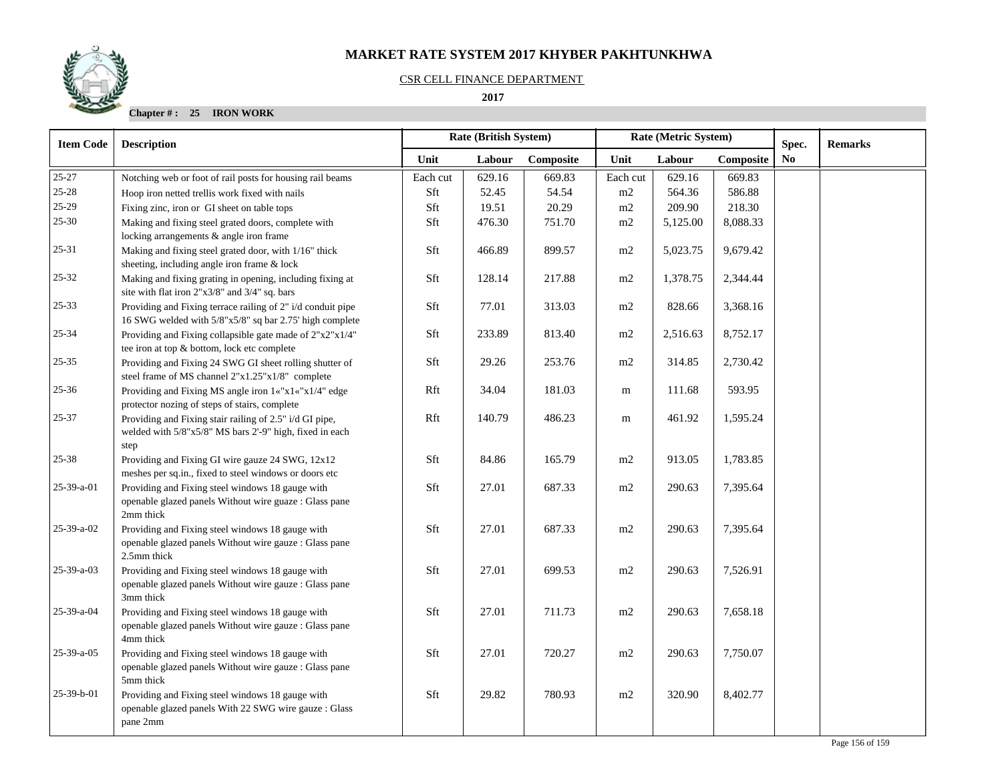#### CSR CELL FINANCE DEPARTMENT

 **2017** 

**Chapter # : 25 IRON WORK**

| <b>Item Code</b> | <b>Description</b>                                                                                                                     |          | Rate (British System) |           | Rate (Metric System) |          |           | Spec. | <b>Remarks</b> |
|------------------|----------------------------------------------------------------------------------------------------------------------------------------|----------|-----------------------|-----------|----------------------|----------|-----------|-------|----------------|
|                  |                                                                                                                                        | Unit     | Labour                | Composite | Unit                 | Labour   | Composite | No    |                |
| 25-27            | Notching web or foot of rail posts for housing rail beams                                                                              | Each cut | 629.16                | 669.83    | Each cut             | 629.16   | 669.83    |       |                |
| $25 - 28$        | Hoop iron netted trellis work fixed with nails                                                                                         | Sft      | 52.45                 | 54.54     | m2                   | 564.36   | 586.88    |       |                |
| 25-29            | Fixing zinc, iron or GI sheet on table tops                                                                                            | Sft      | 19.51                 | 20.29     | m2                   | 209.90   | 218.30    |       |                |
| $25 - 30$        | Making and fixing steel grated doors, complete with                                                                                    | Sft      | 476.30                | 751.70    | m2                   | 5,125.00 | 8,088.33  |       |                |
| 25-31            | locking arrangements & angle iron frame<br>Making and fixing steel grated door, with 1/16" thick                                       | Sft      | 466.89                | 899.57    | m2                   | 5,023.75 | 9,679.42  |       |                |
|                  | sheeting, including angle iron frame & lock                                                                                            |          |                       |           |                      |          |           |       |                |
| $25 - 32$        | Making and fixing grating in opening, including fixing at<br>site with flat iron 2"x3/8" and 3/4" sq. bars                             | Sft      | 128.14                | 217.88    | $\rm m2$             | 1,378.75 | 2,344.44  |       |                |
| $25 - 33$        | Providing and Fixing terrace railing of 2" i/d conduit pipe<br>16 SWG welded with 5/8"x5/8" sq bar 2.75' high complete                 | Sft      | 77.01                 | 313.03    | m2                   | 828.66   | 3,368.16  |       |                |
| 25-34            | Providing and Fixing collapsible gate made of 2"x2"x1/4"<br>tee iron at top & bottom, lock etc complete                                | Sft      | 233.89                | 813.40    | m2                   | 2,516.63 | 8,752.17  |       |                |
| $25 - 35$        | Providing and Fixing 24 SWG GI sheet rolling shutter of<br>steel frame of MS channel 2"x1.25"x1/8" complete                            | Sft      | 29.26                 | 253.76    | m2                   | 314.85   | 2,730.42  |       |                |
| $25 - 36$        | Providing and Fixing MS angle iron 1«"x1«"x1/4" edge<br>protector nozing of steps of stairs, complete                                  | Rft      | 34.04                 | 181.03    | m                    | 111.68   | 593.95    |       |                |
| 25-37            | Providing and Fixing stair railing of 2.5" i/d GI pipe,<br>welded with 5/8"x5/8" MS bars 2'-9" high, fixed in each                     | Rft      | 140.79                | 486.23    | ${\bf m}$            | 461.92   | 1,595.24  |       |                |
|                  | step                                                                                                                                   |          |                       |           |                      |          |           |       |                |
| $25 - 38$        | Providing and Fixing GI wire gauze 24 SWG, 12x12<br>meshes per sq.in., fixed to steel windows or doors etc                             | Sft      | 84.86                 | 165.79    | m2                   | 913.05   | 1,783.85  |       |                |
| 25-39-a-01       | Providing and Fixing steel windows 18 gauge with<br>openable glazed panels Without wire guaze : Glass pane<br>2mm thick                | Sft      | 27.01                 | 687.33    | m2                   | 290.63   | 7,395.64  |       |                |
| 25-39-a-02       | Providing and Fixing steel windows 18 gauge with<br>openable glazed panels Without wire gauze : Glass pane                             | Sft      | 27.01                 | 687.33    | m2                   | 290.63   | 7,395.64  |       |                |
| 25-39-a-03       | 2.5mm thick<br>Providing and Fixing steel windows 18 gauge with<br>openable glazed panels Without wire gauze : Glass pane<br>3mm thick | Sft      | 27.01                 | 699.53    | m2                   | 290.63   | 7,526.91  |       |                |
| 25-39-a-04       | Providing and Fixing steel windows 18 gauge with<br>openable glazed panels Without wire gauze : Glass pane                             | Sft      | 27.01                 | 711.73    | m2                   | 290.63   | 7,658.18  |       |                |
| 25-39-a-05       | 4mm thick<br>Providing and Fixing steel windows 18 gauge with<br>openable glazed panels Without wire gauze : Glass pane<br>5mm thick   | Sft      | 27.01                 | 720.27    | m2                   | 290.63   | 7,750.07  |       |                |
| 25-39-b-01       | Providing and Fixing steel windows 18 gauge with<br>openable glazed panels With 22 SWG wire gauze : Glass<br>pane 2mm                  | Sft      | 29.82                 | 780.93    | m2                   | 320.90   | 8,402.77  |       |                |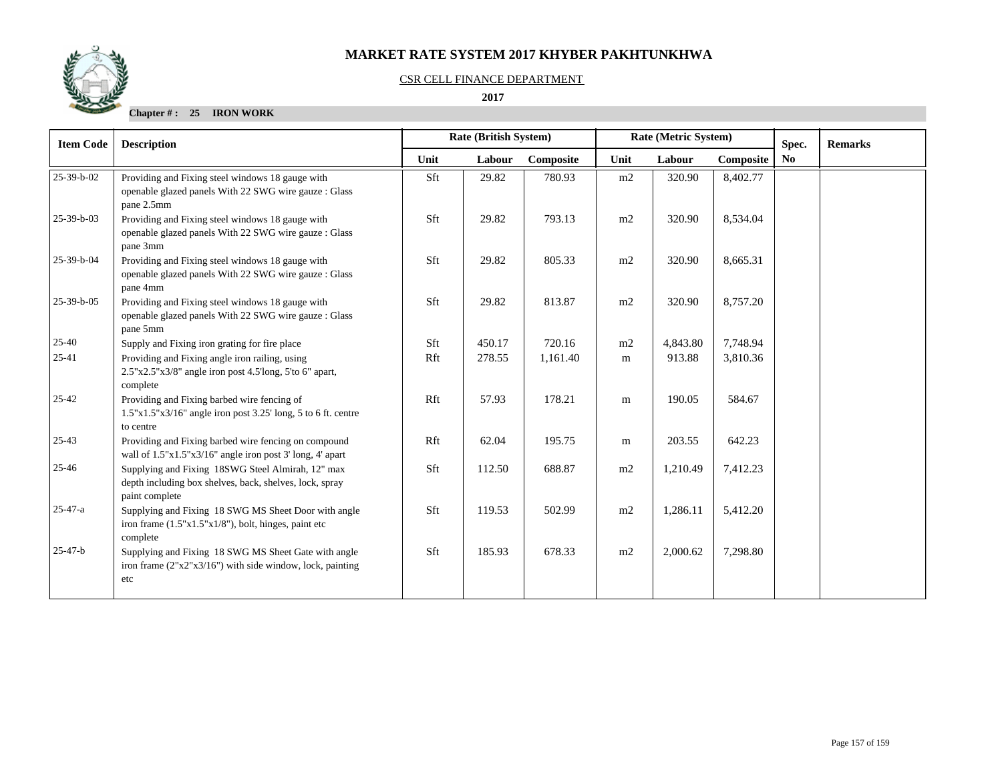#### CSR CELL FINANCE DEPARTMENT

#### **2017**

## **Chapter # : 25 IRON WORK**

| <b>Item Code</b> | <b>Description</b>                                                                                                             | <b>Rate (British System)</b> |        |           | Rate (Metric System) |          |           | Spec.          | <b>Remarks</b> |
|------------------|--------------------------------------------------------------------------------------------------------------------------------|------------------------------|--------|-----------|----------------------|----------|-----------|----------------|----------------|
|                  |                                                                                                                                | Unit                         | Labour | Composite | Unit                 | Labour   | Composite | N <sub>0</sub> |                |
| 25-39-b-02       | Providing and Fixing steel windows 18 gauge with<br>openable glazed panels With 22 SWG wire gauze : Glass<br>pane 2.5mm        | Sft                          | 29.82  | 780.93    | m2                   | 320.90   | 8,402.77  |                |                |
| 25-39-b-03       | Providing and Fixing steel windows 18 gauge with<br>openable glazed panels With 22 SWG wire gauze : Glass<br>pane 3mm          | Sft                          | 29.82  | 793.13    | m2                   | 320.90   | 8,534.04  |                |                |
| 25-39-b-04       | Providing and Fixing steel windows 18 gauge with<br>openable glazed panels With 22 SWG wire gauze : Glass<br>pane 4mm          | Sft                          | 29.82  | 805.33    | m2                   | 320.90   | 8,665.31  |                |                |
| 25-39-b-05       | Providing and Fixing steel windows 18 gauge with<br>openable glazed panels With 22 SWG wire gauze : Glass<br>pane 5mm          | Sft                          | 29.82  | 813.87    | m2                   | 320.90   | 8,757.20  |                |                |
| $25 - 40$        | Supply and Fixing iron grating for fire place                                                                                  | Sft                          | 450.17 | 720.16    | m2                   | 4,843.80 | 7,748.94  |                |                |
| 25-41            | Providing and Fixing angle iron railing, using<br>$2.5"x2.5"x3/8"$ angle iron post 4.5'long, 5'to 6" apart,<br>complete        | Rft                          | 278.55 | 1,161.40  | m                    | 913.88   | 3,810.36  |                |                |
| $25 - 42$        | Providing and Fixing barbed wire fencing of<br>1.5"x1.5"x3/16" angle iron post 3.25' long, 5 to 6 ft. centre<br>to centre      | Rft                          | 57.93  | 178.21    | m                    | 190.05   | 584.67    |                |                |
| $25-43$          | Providing and Fixing barbed wire fencing on compound<br>wall of 1.5"x1.5"x3/16" angle iron post 3' long, 4' apart              | Rft                          | 62.04  | 195.75    | ${\rm m}$            | 203.55   | 642.23    |                |                |
| $25 - 46$        | Supplying and Fixing 18SWG Steel Almirah, 12" max<br>depth including box shelves, back, shelves, lock, spray<br>paint complete | Sft                          | 112.50 | 688.87    | m2                   | 1,210.49 | 7,412.23  |                |                |
| $25 - 47 - a$    | Supplying and Fixing 18 SWG MS Sheet Door with angle<br>iron frame $(1.5"x1.5"x1/8")$ , bolt, hinges, paint etc<br>complete    | Sft                          | 119.53 | 502.99    | m2                   | 1,286.11 | 5,412.20  |                |                |
| $25 - 47 - b$    | Supplying and Fixing 18 SWG MS Sheet Gate with angle<br>iron frame $(2"x2"x3/16")$ with side window, lock, painting<br>etc     | Sft                          | 185.93 | 678.33    | m2                   | 2,000.62 | 7,298.80  |                |                |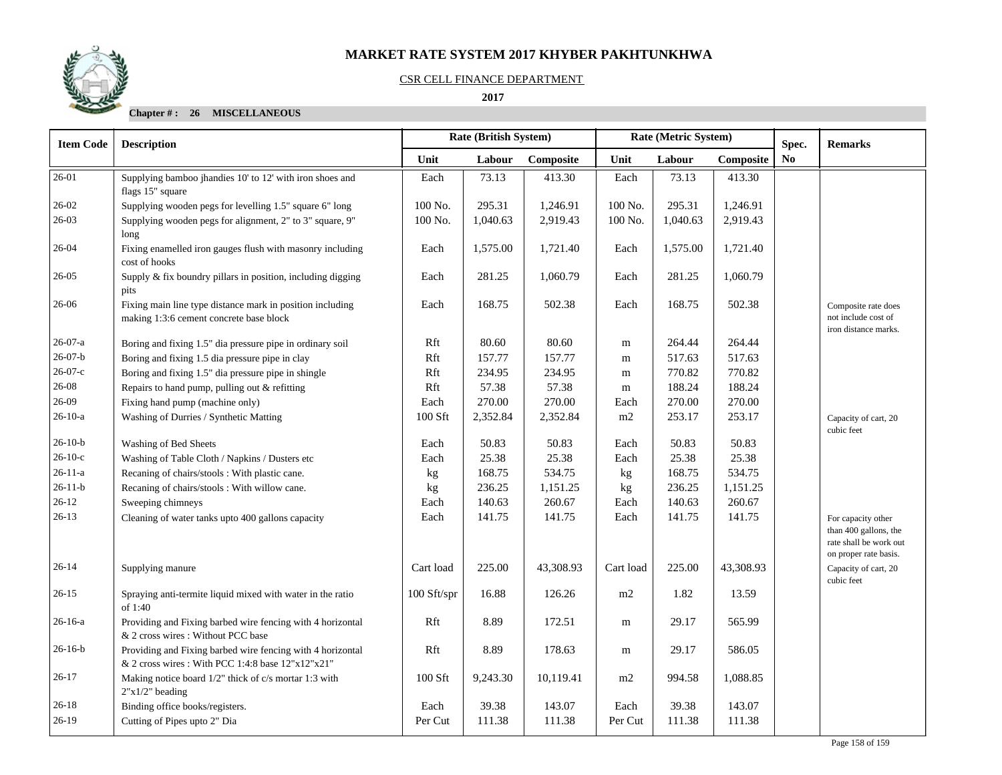

#### CSR CELL FINANCE DEPARTMENT

#### **2017**

## **Chapter # : 26 MISCELLANEOUS**

| <b>Item Code</b> | <b>Description</b>                                                                                              | <b>Rate (British System)</b> |          |           | Rate (Metric System) |          |           | Spec.          | <b>Remarks</b>                                                                                 |
|------------------|-----------------------------------------------------------------------------------------------------------------|------------------------------|----------|-----------|----------------------|----------|-----------|----------------|------------------------------------------------------------------------------------------------|
|                  |                                                                                                                 | Unit                         | Labour   | Composite | Unit                 | Labour   | Composite | N <sub>0</sub> |                                                                                                |
| 26-01            | Supplying bamboo jhandies 10' to 12' with iron shoes and<br>flags 15" square                                    | Each                         | 73.13    | 413.30    | Each                 | 73.13    | 413.30    |                |                                                                                                |
| 26-02            | Supplying wooden pegs for levelling 1.5" square 6" long                                                         | 100 No.                      | 295.31   | 1,246.91  | 100 No.              | 295.31   | 1,246.91  |                |                                                                                                |
| $26-03$          | Supplying wooden pegs for alignment, 2" to 3" square, 9"<br>long                                                | 100 No.                      | 1,040.63 | 2,919.43  | 100 No.              | 1,040.63 | 2,919.43  |                |                                                                                                |
| $26-04$          | Fixing enamelled iron gauges flush with masonry including<br>cost of hooks                                      | Each                         | 1,575.00 | 1,721.40  | Each                 | 1,575.00 | 1,721.40  |                |                                                                                                |
| $26 - 05$        | Supply & fix boundry pillars in position, including digging<br>pits                                             | Each                         | 281.25   | 1,060.79  | Each                 | 281.25   | 1,060.79  |                |                                                                                                |
| 26-06            | Fixing main line type distance mark in position including<br>making 1:3:6 cement concrete base block            | Each                         | 168.75   | 502.38    | Each                 | 168.75   | 502.38    |                | Composite rate does<br>not include cost of<br>iron distance marks.                             |
| $26-07-a$        | Boring and fixing 1.5" dia pressure pipe in ordinary soil                                                       | Rft                          | 80.60    | 80.60     | m                    | 264.44   | 264.44    |                |                                                                                                |
| $26-07-b$        | Boring and fixing 1.5 dia pressure pipe in clay                                                                 | Rft                          | 157.77   | 157.77    | ${\bf m}$            | 517.63   | 517.63    |                |                                                                                                |
| $26 - 07 - c$    | Boring and fixing 1.5" dia pressure pipe in shingle                                                             | Rft                          | 234.95   | 234.95    | m                    | 770.82   | 770.82    |                |                                                                                                |
| $26 - 08$        | Repairs to hand pump, pulling out & refitting                                                                   | Rft                          | 57.38    | 57.38     | m                    | 188.24   | 188.24    |                |                                                                                                |
| $26-09$          | Fixing hand pump (machine only)                                                                                 | Each                         | 270.00   | 270.00    | Each                 | 270.00   | 270.00    |                |                                                                                                |
| $26-10-a$        | Washing of Durries / Synthetic Matting                                                                          | 100 Sft                      | 2,352.84 | 2,352.84  | m2                   | 253.17   | 253.17    |                | Capacity of cart, 20<br>cubic feet                                                             |
| $26-10-b$        | Washing of Bed Sheets                                                                                           | Each                         | 50.83    | 50.83     | Each                 | 50.83    | 50.83     |                |                                                                                                |
| $26-10-c$        | Washing of Table Cloth / Napkins / Dusters etc                                                                  | Each                         | 25.38    | 25.38     | Each                 | 25.38    | 25.38     |                |                                                                                                |
| $26 - 11 - a$    | Recaning of chairs/stools: With plastic cane.                                                                   | kg                           | 168.75   | 534.75    | kg                   | 168.75   | 534.75    |                |                                                                                                |
| $26 - 11 - b$    | Recaning of chairs/stools: With willow cane.                                                                    | kg                           | 236.25   | 1,151.25  | kg                   | 236.25   | 1,151.25  |                |                                                                                                |
| $26-12$          | Sweeping chimneys                                                                                               | Each                         | 140.63   | 260.67    | Each                 | 140.63   | 260.67    |                |                                                                                                |
| $26-13$          | Cleaning of water tanks upto 400 gallons capacity                                                               | Each                         | 141.75   | 141.75    | Each                 | 141.75   | 141.75    |                | For capacity other<br>than 400 gallons, the<br>rate shall be work out<br>on proper rate basis. |
| $26 - 14$        | Supplying manure                                                                                                | Cart load                    | 225.00   | 43,308.93 | Cart load            | 225.00   | 43,308.93 |                | Capacity of cart, 20<br>cubic feet                                                             |
| $26 - 15$        | Spraying anti-termite liquid mixed with water in the ratio<br>of 1:40                                           | 100 Sft/spr                  | 16.88    | 126.26    | m2                   | 1.82     | 13.59     |                |                                                                                                |
| 26-16-a          | Providing and Fixing barbed wire fencing with 4 horizontal<br>& 2 cross wires : Without PCC base                | Rft                          | 8.89     | 172.51    | m                    | 29.17    | 565.99    |                |                                                                                                |
| $26-16-b$        | Providing and Fixing barbed wire fencing with 4 horizontal<br>& 2 cross wires : With PCC 1:4:8 base 12"x12"x21" | Rft                          | 8.89     | 178.63    | m                    | 29.17    | 586.05    |                |                                                                                                |
| $26-17$          | Making notice board 1/2" thick of c/s mortar 1:3 with<br>$2"x1/2"$ beading                                      | 100 Sft                      | 9,243.30 | 10,119.41 | m2                   | 994.58   | 1,088.85  |                |                                                                                                |
| $26 - 18$        | Binding office books/registers.                                                                                 | Each                         | 39.38    | 143.07    | Each                 | 39.38    | 143.07    |                |                                                                                                |
| $26-19$          | Cutting of Pipes upto 2" Dia                                                                                    | Per Cut                      | 111.38   | 111.38    | Per Cut              | 111.38   | 111.38    |                |                                                                                                |